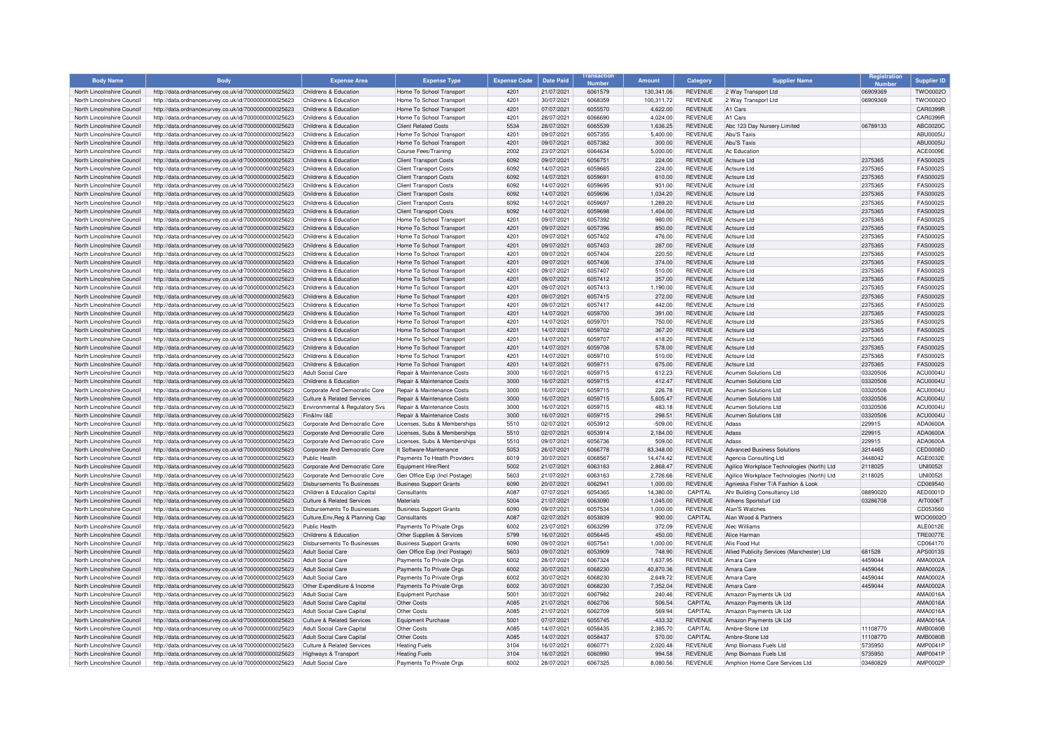| <b>Body Name</b>                                         | <b>Body</b>                                                                                                  | <b>Expense Area</b>                                    | <b>Expense Type</b>                                 | <b>Expense Code</b> | <b>Date Paid</b>         | <b>Number</b>      | <b>Amount</b>      | Category                         | <b>Supplier Name</b>                       | Registration         | <b>Supplier ID</b>                 |
|----------------------------------------------------------|--------------------------------------------------------------------------------------------------------------|--------------------------------------------------------|-----------------------------------------------------|---------------------|--------------------------|--------------------|--------------------|----------------------------------|--------------------------------------------|----------------------|------------------------------------|
| North Lincolnshire Council                               | http://data.ordnancesurvey.co.uk/id/7000000000025623                                                         | Childrens & Education                                  | Home To School Transport                            | 4201                | 21/07/2021               | 6061579            | 130,341.06         | <b>REVENUE</b>                   | 2 Way Transport Ltd                        | 06909369             | TWO0002O                           |
| North Lincolnshire Council                               | http://data.ordnancesurvey.co.uk/id/7000000000025623                                                         | Childrens & Education                                  | Home To School Transport                            | 4201                | 30/07/2021               | 6068359            | 100,311.72         | <b>REVENUE</b>                   | 2 Way Transport Ltd                        | 06909369             | <b>TWO0002C</b>                    |
| North Lincolnshire Council                               | http://data.ordnancesurvey.co.uk/id/7000000000025623                                                         | Childrens & Education                                  | Home To School Transport                            | 4201                | 07/07/2021               | 6055570            | 4.622.00           | <b>REVENUE</b>                   | A1 Cars                                    |                      | CAR0399F                           |
| North Lincolnshire Council                               | http://data.ordnancesurvey.co.uk/id/7000000000025623                                                         | Childrens & Education                                  | Home To School Transport                            | 4201                | 28/07/2021               | 6066690            | 4.024.00           | <b>REVENUE</b>                   | A1 Cars                                    |                      | CAR0399F                           |
| North Lincolnshire Council                               | http://data.ordnancesurvey.co.uk/id/7000000000025623                                                         | Childrens & Education                                  | <b>Client Related Costs</b>                         | 5534                | 28/07/2021               | 6065539            | 1,636.25           | <b>REVENUE</b>                   | Abc 123 Day Nursery Limited                | 06789133             | <b>ABC0020C</b>                    |
| North Lincolnshire Council                               | http://data.ordnancesurvey.co.uk/id/7000000000025623                                                         | Childrens & Education                                  | Home To School Transport                            | 4201                | 09/07/2021               | 6057355            | 5.400.00           | <b>REVENUE</b>                   | Abu'S Taxis                                |                      | <b>ABU0005L</b>                    |
| North Lincolnshire Council                               | http://data.ordnancesurvey.co.uk/id/7000000000025623                                                         | Childrens & Education                                  | Home To School Transport                            | 4201                | 09/07/2021               | 6057382            | 300.00             | <b>REVENUE</b>                   | Abu'S Taxis                                |                      | <b>ABU0005L</b>                    |
| North Lincolnshire Council                               | http://data.ordnancesurvey.co.uk/id/7000000000025623                                                         | Childrens & Education                                  | Course Fees/Training                                | 2002                | 23/07/2021               | 6064634            | 5,000.00           | <b>REVENUE</b>                   | Ac Education                               |                      | <b>ACE0009E</b>                    |
| North Lincolnshire Council                               | http://data.ordnancesurvey.co.uk/id/7000000000025623                                                         | Childrens & Education                                  | <b>Client Transport Costs</b>                       | 6092                | 09/07/2021               | 6056751            | 224.00             | <b>REVENUE</b>                   | Actsure I td                               | 2375365              | <b>FAS0002S</b>                    |
| North Lincolnshire Council                               | http://data.ordnancesurvey.co.uk/id/7000000000025623                                                         | Childrens & Education                                  | <b>Client Transport Costs</b>                       | 6092                | 14/07/2021               | 6059665            | 224.00             | <b>REVENUE</b>                   | Actsure I td                               | 2375365              | EAS0002S                           |
| North Lincolnshire Council                               | http://data.ordnancesurvey.co.uk/id/7000000000025623                                                         | Childrens & Education                                  | <b>Client Transport Costs</b>                       | 6092                | 14/07/2021               | 6059691            | 610.00             | <b>REVENUE</b>                   | Actsure I td                               | 2375365              | FAS0002S                           |
| North Lincolnshire Council                               | http://data.ordnancesurvey.co.uk/id/7000000000025623                                                         | Childrens & Education                                  | <b>Client Transport Costs</b>                       | 6092                | 14/07/2021               | 6059695            | 931.00             | <b>REVENUE</b>                   | Actsure I td                               | 2375365              | <b>FAS0002S</b>                    |
| North Lincolnshire Council                               | http://data.ordnancesurvey.co.uk/id/7000000000025623                                                         | Childrens & Education                                  | <b>Client Transport Costs</b>                       | 6092                | 14/07/2021               | 6059696            | 1,034.20           | <b>REVENUE</b>                   | Actsure I td                               | 2375365              | <b>FAS0002S</b>                    |
| North Lincolnshire Council                               | http://data.ordnancesurvey.co.uk/id/7000000000025623                                                         | Childrens & Education                                  | <b>Client Transport Costs</b>                       | 6092                | 14/07/2021               | 6059697            | 1,289.20           | REVENUE                          | Actsure I td                               | 2375365              | <b>FAS0002S</b>                    |
| North Lincolnshire Council                               | http://data.ordnancesurvey.co.uk/id/7000000000025623                                                         | Childrens & Education                                  | <b>Client Transport Costs</b>                       | 6092                | 14/07/2021               | 6059698            | 1,404.00           | <b>REVENUE</b>                   | Actsure I td                               | 2375365              | <b>FAS0002S</b>                    |
| North Lincolnshire Council                               | http://data.ordnancesurvey.co.uk/id/7000000000025623                                                         | Childrens & Education                                  | Home To School Transport                            | 4201                | 09/07/2021               | 6057392            | 980.00             | <b>REVENUE</b>                   | Actsure Ltd                                | 2375365              | <b>FAS0002S</b>                    |
| North Lincolnshire Council                               | http://data.ordnancesurvey.co.uk/id/7000000000025623                                                         | Childrens & Education                                  | Home To School Transport                            | 4201                | 09/07/2021               | 6057396            | 850.00             | <b>REVENUE</b>                   | Actsure Ltd                                | 2375365              | FAS0002S                           |
| North Lincolnshire Council                               | http://data.ordnancesurvey.co.uk/id/7000000000025623                                                         | Childrens & Education                                  | Home To School Transpor                             | 4201                | 09/07/2021               | 6057402            | 476.00             | REVENUE                          | Actsure I td                               | 2375365              | <b>FAS0002S</b>                    |
| North Lincolnshire Council                               | http://data.ordnancesurvey.co.uk/id/7000000000025623                                                         | Childrens & Education                                  | Home To School Transport                            | 4201                | 09/07/2021               | 6057403            | 287.00             | <b>REVENUE</b>                   | Actsure Ltd                                | 2375365              | <b>FAS0002S</b>                    |
| North Lincolnshire Council                               | http://data.ordnancesurvey.co.uk/id/7000000000025623                                                         | Childrens & Education                                  | Home To School Transport                            | 4201                | 09/07/2021               | 6057404            | 220.50             | <b>REVENUE</b>                   | Actsure I td                               | 2375365              | <b>FAS0002S</b>                    |
| North Lincolnshire Council                               | http://data.ordnancesurvey.co.uk/id/7000000000025623                                                         | Childrens & Education                                  | Home To School Transport                            | 4201                | 09/07/2021               | 6057406            | 374.00             | <b>REVENUE</b>                   | Actsure I td                               | 2375365              | <b>FAS0002S</b>                    |
| North Lincolnshire Council                               | http://data.ordnancesurvey.co.uk/id/7000000000025623                                                         | Childrens & Education                                  | Home To School Transport                            | 4201                | 09/07/2021               | 6057407<br>6057412 | 510.00             | <b>REVENUE</b><br><b>REVENUE</b> | Actsure Ltd<br>Actsure I td                | 2375365              | <b>FAS0002S</b><br><b>FAS0002S</b> |
| North Lincolnshire Council                               | http://data.ordnancesurvey.co.uk/id/7000000000025623                                                         | Childrens & Education                                  | Home To School Transport                            | 4201                | 09/07/2021               |                    | 357.00             |                                  |                                            | 2375365              |                                    |
| North Lincolnshire Council<br>North Lincolnshire Council | http://data.ordnancesurvey.co.uk/id/7000000000025623                                                         | Childrens & Education<br>Childrens & Education         | Home To School Transport                            | 4201<br>4201        | 09/07/2021<br>09/07/2021 | 6057413<br>6057415 | 1,190.00           | <b>REVENUE</b><br><b>REVENUE</b> | Actsure I td<br>Actsure I td               | 2375365              | <b>FAS0002S</b><br><b>FAS0002S</b> |
|                                                          | http://data.ordnancesurvey.co.uk/id/7000000000025623                                                         |                                                        | Home To School Transport                            |                     |                          | 6057417            | 272.00             |                                  | Actsure I td                               | 2375365              | <b>FAS0002S</b>                    |
| North Lincolnshire Council<br>North Lincolnshire Council | http://data.ordnancesurvey.co.uk/id/7000000000025623                                                         | Childrens & Education<br>Childrens & Education         | Home To School Transport                            | 4201<br>4201        | 09/07/2021               | 6059700            | 442.00             | <b>REVENUE</b>                   | Actsure Ltd                                | 2375365              | <b>FAS0002S</b>                    |
| North Lincolnshire Council                               | http://data.ordnancesurvey.co.uk/id/7000000000025623<br>http://data.ordnancesurvey.co.uk/id/7000000000025623 | Childrens & Education                                  | Home To School Transport<br>Home To School Transpor | 4201                | 14/07/2021<br>14/07/2021 | 6059701            | 391.00<br>750.00   | <b>REVENUE</b><br><b>REVENUE</b> | Actsure Ltd                                | 2375365<br>2375365   | FAS0002S                           |
| North Lincolnshire Council                               | http://data.ordnancesurvey.co.uk/id/7000000000025623                                                         | Childrens & Education                                  | Home To School Transport                            | 4201                | 14/07/2021               | 6059702            | 367.20             | <b>REVENUE</b>                   | Actsure Ltd                                | 2375365              | <b>FAS0002S</b>                    |
| North Lincolnshire Council                               | http://data.ordnancesurvey.co.uk/id/7000000000025623                                                         | Childrens & Education                                  | Home To School Transport                            | 4201                | 14/07/2021               | 6059707            | 418.20             | <b>REVENUE</b>                   | Actsure Ltd                                | 2375365              | FAS0002S                           |
| North Lincolnshire Council                               | http://data.ordnancesurvey.co.uk/id/7000000000025623                                                         | Childrens & Education                                  | Home To School Transport                            | 4201                | 14/07/2021               | 6059708            | 578.00             | <b>REVENUE</b>                   | Actsure Ltd                                | 2375365              | FAS0002S                           |
| North Lincolnshire Council                               | http://data.ordnancesurvey.co.uk/id/7000000000025623                                                         | Childrens & Education                                  | Home To School Transport                            | 4201                | 14/07/2021               | 6059710            | 510.00             | REVENUE                          | Actsure Ltd                                | 2375365              | <b>FAS0002S</b>                    |
| North Lincolnshire Council                               | http://data.ordnancesurvey.co.uk/id/7000000000025623                                                         | Childrens & Education                                  | Home To School Transport                            | 4201                | 14/07/2021               | 6059711            | 675.00             | <b>REVENUE</b>                   | Actsure I td                               | 2375365              | <b>FAS0002S</b>                    |
| North Lincolnshire Council                               | http://data.ordnancesurvey.co.uk/id/7000000000025623                                                         | <b>Adult Social Care</b>                               | Repair & Maintenance Costs                          | 3000                | 16/07/2021               | 6059715            | 612.23             | <b>REVENUE</b>                   | <b>Acumen Solutions Ltd</b>                | 03320506             | ACU0004L                           |
| North Lincolnshire Council                               | http://data.ordnancesurvey.co.uk/id/7000000000025623                                                         | Childrens & Education                                  | Repair & Maintenance Costs                          | 3000                | 16/07/2021               | 6059715            | 412.47             | <b>REVENUE</b>                   | <b>Acumen Solutions Ltd</b>                | 03320506             | ACU0004U                           |
| North Lincolnshire Council                               | http://data.ordnancesurvey.co.uk/id/7000000000025623                                                         | Corporate And Democratic Core                          | Repair & Maintenance Costs                          | 3000                | 16/07/2021               | 6059715            | 226.78             | <b>REVENUE</b>                   | Acumen Solutions Ltd                       | 03320506             | <b>ACLIO004L</b>                   |
| North Lincolnshire Council                               | http://data.ordnancesurvey.co.uk/id/7000000000025623                                                         | Culture & Related Services                             | Repair & Maintenance Costs                          | 3000                | 16/07/2021               | 6059715            | 5,605.47           | <b>REVENUE</b>                   | <b>Acumen Solutions Ltd</b>                | 03320506             | <b>ACU0004U</b>                    |
| North Lincolnshire Council                               | http://data.ordnancesurvey.co.uk/id/7000000000025623                                                         | Environmental & Regulatory Svs                         | Repair & Maintenance Costs                          | 3000                | 16/07/2021               | 6059715            | 483.18             | <b>REVENUE</b>                   | <b>Acumen Solutions Ltd</b>                | 03320506             | ACU0004U                           |
| North Lincolnshire Council                               | http://data.ordnancesurvey.co.uk/id/7000000000025623                                                         | Fin&Inv I&F                                            | <b>Benair &amp; Maintenance Costs</b>               | 3000                | 16/07/2021               | 6059715            | 298.51             | <b>REVENUE</b>                   | Acumen Solutions Ltd                       | 03320506             | ACU0004U                           |
| North Lincolnshire Council                               | http://data.ordnancesurvey.co.uk/id/7000000000025623                                                         | Corporate And Democratic Core                          | Licenses, Subs & Memberships                        | 5510                | 02/07/2021               | 6053912            | $-509.00$          | <b>REVENUE</b>                   | Adass                                      | 229915               | ADA0600A                           |
| North Lincolnshire Council                               | http://data.ordnancesurvey.co.uk/id/7000000000025623                                                         | Corporate And Democratic Core                          | Licenses, Subs & Memberships                        | 5510                | 02/07/2021               | 6053914            | 2,184.00           | <b>REVENUE</b>                   | Adass                                      | 229915               | ADA0600A                           |
| North Lincolnshire Council                               | http://data.ordnancesurvey.co.uk/id/7000000000025623                                                         | Corporate And Democratic Core                          | Licenses, Subs & Memberships                        | 5510                | 09/07/2021               | 6056736            | 509.00             | <b>REVENUE</b>                   | Adass                                      | 229915               | ADA0600A                           |
| North Lincolnshire Council                               | http://data.ordnancesurvey.co.uk/id/7000000000025623                                                         | Corporate And Democratic Core                          | It Software-Maintenance                             | 5053                | 26/07/2021               | 6066778            | 83.348.00          | <b>REVENUE</b>                   | <b>Advanced Business Solutions</b>         | 3214465              | CED0008D                           |
| North Lincolnshire Council                               | http://data.ordnancesurvey.co.uk/id/7000000000025623                                                         | Public Health                                          | Payments To Health Providers                        | 6019                | 30/07/2021               | 6068567            | 14,474.42          | REVENUE                          | Agencia Consulting Ltd                     | 3448042              | AGE0032E                           |
| North Lincolnshire Council                               | http://data.ordnancesurvey.co.uk/id/7000000000025623                                                         | Corporate And Democratic Core                          | Equipment Hire/Rent                                 | 5002                | 21/07/2021               | 6063163            | 2,868.47           | <b>REVENUE</b>                   | Agilico Workplace Technologies (North) Ltd | 2118025              | <b>UNI00521</b>                    |
| North Lincolnshire Council                               | http://data.ordnancesurvey.co.uk/id/7000000000025623                                                         | Corporate And Democratic Core                          | Gen Office Exp (Incl Postage)                       | 5603                | 21/07/2021               | 6063163            | 2,726.66           | <b>REVENUE</b>                   | Agilico Workplace Technologies (North) Ltd | 2118025              | <b>UNI00521</b>                    |
| North Lincolnshire Council                               | http://data.ordnancesurvey.co.uk/id/7000000000025623                                                         | Disbursements To Businesses                            | <b>Business Support Grants</b>                      | 6090                | 20/07/2021               | 6062941            | 1,000.00           | <b>REVENUE</b>                   | Agnieska Fisher T/A Fashion & Look         |                      | CD069540                           |
| North Lincolnshire Council                               | http://data.ordnancesurvey.co.uk/id/7000000000025623                                                         | Children & Education Capital                           | Consultants                                         | A087                | 07/07/2021               | 6054365            | 14,380.00          | CAPITAL                          | Ahr Building Consultancy Ltd               | 08890020             | AED0001D                           |
| North Lincolnshire Council                               | http://data.ordnancesurvey.co.uk/id/7000000000025623                                                         | Culture & Related Services                             | Materials                                           | 5004                | 21/07/2021               | 6063090            | 1,045.00           | <b>REVENUE</b>                   | Aitkens Sportsturf Ltd                     | 03286708             | AIT0006T                           |
| North Lincolnshire Council                               | http://data.ordnancesurvey.co.uk/id/7000000000025623                                                         | <b>Disbursements To Businesses</b>                     | <b>Business Support Grants</b>                      | 6090                | 09/07/2021               | 6057534            | 1,000.00           | REVENUE                          | Alan'S Watches                             |                      | CD053560                           |
| North Lincolnshire Council                               | http://data.ordnancesurvey.co.uk/id/7000000000025623                                                         | Culture, Env, Reg & Planning Cap                       | <b>Consultant</b>                                   | A087                | 02/07/2021               | 6053839            | 900.00             | CAPITAL                          | Alan Wood & Partners                       |                      | WOO0002C                           |
| North Lincolnshire Council                               | http://data.ordnancesurvey.co.uk/id/7000000000025623                                                         | Public Health                                          | Payments To Private Orgs                            | 6002                | 23/07/2021               | 6063299            | 372.09             | <b>REVENUE</b>                   | Alec Williams                              |                      | ALE0012E                           |
| North Lincolnshire Council                               | http://data.ordnancesurvey.co.uk/id/7000000000025623                                                         | Childrens & Education                                  | Other Supplies & Services                           | 5799                | 16/07/2021               | 6056445            | 450.00             | <b>REVENUE</b>                   | Alice Harman                               |                      | <b>TRE0077E</b>                    |
| North Lincolnshire Council                               | http://data.ordnancesurvey.co.uk/id/7000000000025623                                                         | Disbursements To Businesses                            | <b>Business Support Grants</b>                      | 6090                | 09/07/2021               | 6057541            | 1,000.00           | <b>REVENUE</b>                   | Alis Food Hu                               |                      | CD064170                           |
| North Lincolnshire Council                               | http://data.ordnancesurvey.co.uk/id/7000000000025623                                                         | <b>Adult Social Care</b>                               | Gen Office Exp (Incl Postage)                       | 5603                | 09/07/2021               | 6053909            | 748.90             | <b>REVENUE</b>                   | Allied Publicity Services (Manchester) Ltd | 681528               | APS0013S                           |
| North Lincolnshire Council                               | http://data.ordnancesurvey.co.uk/id/7000000000025623                                                         | <b>Adult Social Care</b>                               | Payments To Private Orgs                            | 6002                | 28/07/2021               | 6067324            | 1,637.95           | <b>REVENUE</b>                   | Amara Care                                 | 4459044              | AMA0002A                           |
| North Lincolnshire Council                               | http://data.ordnancesurvey.co.uk/id/7000000000025623                                                         | <b>Adult Social Care</b>                               | Payments To Private Orgs                            | 6002                | 30/07/2021               | 6068230            | 40,870.36          | <b>REVENUE</b>                   | Amara Care                                 | 4459044              | AMA0002/                           |
| North Lincolnshire Council                               | http://data.ordnancesurvey.co.uk/id/7000000000025623                                                         | Adult Social Care                                      | Payments To Private Orgs                            | 6002                | 30/07/2021               | 6068230            | 2.649.72           | <b>REVENUE</b>                   | Amara Care                                 | 4459044              | AMA0002A                           |
| North Lincolnshire Council                               | http://data.ordnancesurvey.co.uk/id/7000000000025623                                                         | Other Expenditure & Income                             | Payments To Private Orgs                            | 6002                | 30/07/2021               | 6068230            | 7,352.04           | <b>REVENUE</b>                   | Amara Care                                 | 4459044              | AMA0002A                           |
| North Lincolnshire Council                               | http://data.ordnancesurvey.co.uk/id/7000000000025623                                                         | <b>Adult Social Care</b>                               | Equipment Purchase                                  | 5001                | 30/07/2021               | 6067982            | 240.46             | <b>REVENUE</b>                   | Amazon Payments Uk Ltd                     |                      | AMA0016A                           |
| North Lincolnshire Council                               | http://data.ordnancesurvey.co.uk/id/7000000000025623                                                         | Adult Social Care Capital                              | Other Costs                                         | A085                | 21/07/2021               | 6062706            | 506.54             | CAPITAL                          | Amazon Payments Uk Ltd                     |                      | AMA0016A                           |
| North Lincolnshire Council                               | http://data.ordnancesurvey.co.uk/id/7000000000025623                                                         | Adult Social Care Capital                              | Other Costs                                         | A085                | 21/07/2021               | 6062709            | 569.94             | CAPITAL                          | Amazon Payments Uk Ltd                     |                      | AMA0016A                           |
| North Lincolnshire Council                               | http://data.ordnancesurvey.co.uk/id/7000000000025623                                                         | <b>Culture &amp; Related Services</b>                  | Equipment Purchase                                  | 5001                | 07/07/2021               | 6055745            | $-433.32$          | <b>REVENUE</b>                   | Amazon Payments Uk Ltd                     |                      | AMA0016A                           |
| North Lincolnshire Council<br>North Lincolnshire Council | http://data.ordnancesurvey.co.uk/id/7000000000025623                                                         | Adult Social Care Capital<br>Adult Social Care Capital | Other Costs<br>Other Costs                          | A085<br>A085        | 14/07/2021<br>14/07/2021 | 6058435<br>6058437 | 2,385.70<br>570.00 | CAPITAL<br>CAPITAL               | Ambre-Stone Ltd<br>Ambre-Stone Ltd         | 11108770<br>11108770 | <b>AMB0080E</b><br><b>AMB0080E</b> |
| North Lincolnshire Council                               | http://data.ordnancesurvey.co.uk/id/7000000000025623                                                         | Culture & Related Services                             | <b>Heating Fuels</b>                                | 3104                | 16/07/2021               | 6060771            | 2,020.48           | REVENUE                          | Amp Biomass Fuels Ltd                      | 5735950              | AMP0041F                           |
| North Lincolnshire Council                               | http://data.ordnancesurvey.co.uk/id/7000000000025623<br>http://data.ordnancesurvey.co.uk/id/7000000000025623 |                                                        | <b>Heating Fuels</b>                                | 3104                | 16/07/2021               | 6060990            | 994.58             | <b>REVENUE</b>                   | Amp Biomass Fuels Ltd                      | 5735950              | AMP0041F                           |
| North Lincolnshire Council                               | http://data.ordnancesurvey.co.uk/id/7000000000025623                                                         | <b>Highways &amp; Transport</b><br>Adult Social Care   | Payments To Private Orgs                            | 6002                | 28/07/2021               | 6067325            | 8.080.56           | <b>REVENUE</b>                   | Amphion Home Care Services Ltd             | 03480829             | <b>AMP0002F</b>                    |
|                                                          |                                                                                                              |                                                        |                                                     |                     |                          |                    |                    |                                  |                                            |                      |                                    |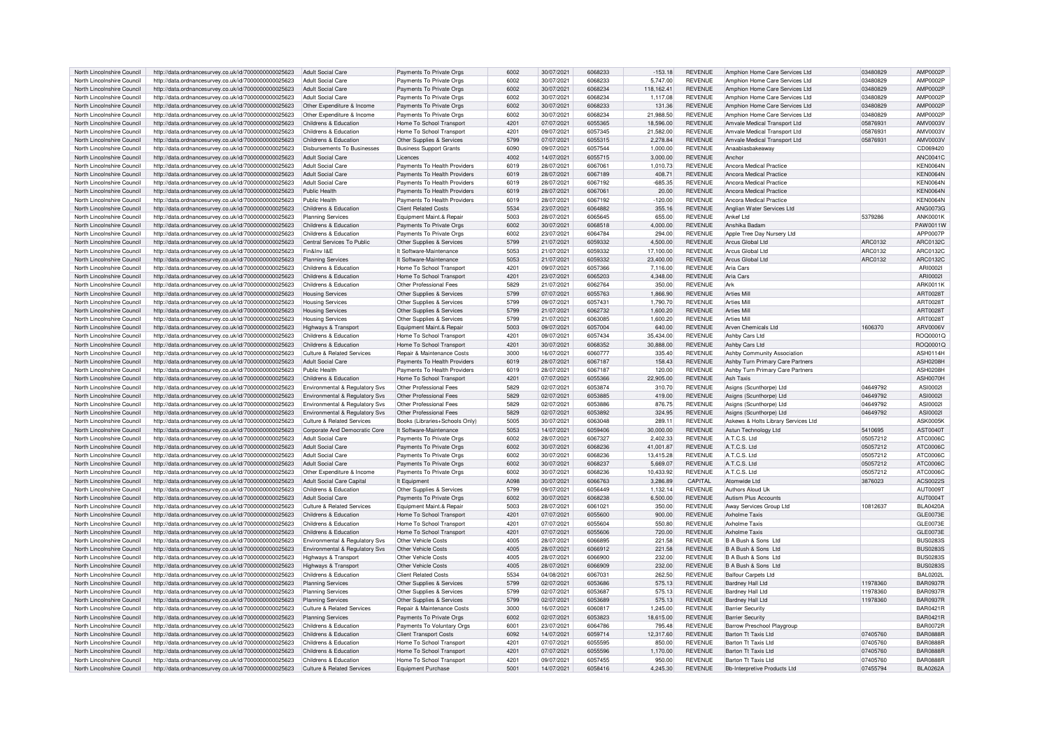| North Lincolnshire Council |                                                                                                              |                                           |                                                       |      |            |         |            |                                  |                                     |          |                                    |
|----------------------------|--------------------------------------------------------------------------------------------------------------|-------------------------------------------|-------------------------------------------------------|------|------------|---------|------------|----------------------------------|-------------------------------------|----------|------------------------------------|
|                            | http://data.ordnancesurvey.co.uk/id/7000000000025623                                                         | Adult Social Care                         | Payments To Private Orgs                              | 6002 | 30/07/2021 | 6068233 | $-153.18$  | <b>REVENUE</b>                   | Amphion Home Care Services Ltd      | 03480829 | AMP0002F                           |
| North Lincolnshire Council | http://data.ordnancesurvey.co.uk/id/7000000000025623                                                         | <b>Adult Social Care</b>                  | Payments To Private Oras                              | 6002 | 30/07/2021 | 6068233 | 5.747.00   | <b>REVENUE</b>                   | Amphion Home Care Services Ltd      | 03480829 | <b>AMP0002P</b>                    |
| North Lincolnshire Council | http://data.ordnancesurvey.co.uk/id/7000000000025623                                                         | <b>Adult Social Care</b>                  | Payments To Private Orgs                              | 6002 | 30/07/2021 | 6068234 | 118,162.41 | <b>REVENUE</b>                   | Amphion Home Care Services Ltd      | 03480829 | AMP0002P                           |
| North Lincolnshire Council | http://data.ordnancesurvey.co.uk/id/7000000000025623                                                         | <b>Adult Social Care</b>                  | Payments To Private Orgs                              | 6002 | 30/07/2021 | 6068234 | 1,117.08   | <b>REVENUE</b>                   | Amphion Home Care Services Ltd      | 03480829 | AMP0002F                           |
|                            |                                                                                                              |                                           |                                                       |      |            |         |            |                                  |                                     |          |                                    |
| North Lincolnshire Council | http://data.ordnancesurvey.co.uk/id/7000000000025623                                                         | Other Expenditure & Income                | Payments To Private Orgs                              | 6002 | 30/07/2021 | 6068233 | 131.36     | <b>REVENUE</b>                   | Amphion Home Care Services Ltd      | 03480829 | <b>AMP0002F</b>                    |
| North Lincolnshire Council | http://data.ordnancesurvey.co.uk/id/7000000000025623                                                         | Other Expenditure & Income                | Payments To Private Orgs                              | 6002 | 30/07/2021 | 6068234 | 21.988.50  | <b>REVENUE</b>                   | Amphion Home Care Services Ltd      | 03480829 | AMP0002F                           |
| North Lincolnshire Council | http://data.ordnancesurvey.co.uk/id/7000000000025623                                                         | Childrens & Education                     | Home To School Transport                              | 4201 | 07/07/2021 | 6055365 | 18.596.00  | <b>REVENUE</b>                   | Amvale Medical Transport Ltd        | 05876931 | AMV0003V                           |
| North Lincolnshire Council | http://data.ordnancesurvey.co.uk/id/7000000000025623                                                         | Childrens & Education                     | Home To School Transport                              | 4201 | 09/07/2021 | 6057345 | 21.582.00  | <b>REVENUE</b>                   | Amvale Medical Transport Ltd        | 05876931 | AMV0003V                           |
|                            |                                                                                                              | Childrens & Education                     |                                                       | 5799 |            | 6055315 |            | <b>REVENUE</b>                   |                                     |          |                                    |
| North Lincolnshire Council | http://data.ordnancesurvey.co.uk/id/7000000000025623                                                         |                                           | Other Supplies & Services                             |      | 07/07/2021 |         | 2,278.84   |                                  | Amvale Medical Transport Ltd        | 05876931 | AMV0003V                           |
| North Lincolnshire Council | http://data.ordnancesurvey.co.uk/id/7000000000025623                                                         | <b>Disbursements To Businesses</b>        | <b>Business Support Grants</b>                        | 6090 | 09/07/2021 | 6057544 | 1,000.00   | <b>REVENUE</b>                   | Anaabiasbakeaway                    |          | CD069420                           |
| North Lincolnshire Council | http://data.ordnancesurvey.co.uk/id/7000000000025623                                                         | Adult Social Care                         | Licences                                              | 4002 | 14/07/2021 | 6055715 | 3.000.00   | <b>REVENUE</b>                   | Anchor                              |          | ANC0041C                           |
| North Lincolnshire Council | http://data.ordnancesurvey.co.uk/id/7000000000025623                                                         | Adult Social Care                         | Payments To Health Providers                          | 6019 | 28/07/2021 | 606706  | 1.010.73   | <b>REVENUE</b>                   | Ancora Medical Practice             |          | <b>KEN0064N</b>                    |
| North Lincolnshire Council | http://data.ordnancesurvey.co.uk/id/7000000000025623                                                         | <b>Adult Social Care</b>                  | Payments To Health Providers                          | 6019 | 28/07/2021 | 6067189 | 408.71     | <b>REVENUE</b>                   | Ancora Medical Practice             |          | <b>KEN0064N</b>                    |
|                            |                                                                                                              |                                           |                                                       |      |            |         |            |                                  |                                     |          |                                    |
| North Lincolnshire Council | http://data.ordnancesurvey.co.uk/id/7000000000025623                                                         | <b>Adult Social Care</b>                  | Payments To Health Providers                          | 6019 | 28/07/2021 | 6067192 | $-685.35$  | <b>REVENUE</b>                   | Ancora Medical Practice             |          | <b>KEN0064N</b>                    |
| North Lincolnshire Council | http://data.ordnancesurvey.co.uk/id/7000000000025623                                                         | Public Health                             | Payments To Health Providers                          | 6019 | 28/07/2021 | 606706  | 20.00      | <b>REVENUE</b>                   | Ancora Medical Practice             |          | <b>KEN0064N</b>                    |
| North Lincolnshire Council | http://data.ordnancesurvey.co.uk/id/7000000000025623                                                         | Public Health                             | Payments To Health Providers                          | 6019 | 28/07/2021 | 6067192 | $-120.00$  | <b>REVENUE</b>                   | <b>Ancora Medical Practice</b>      |          | KEN0064N                           |
| North Lincolnshire Council | http://data.ordnancesurvey.co.uk/id/7000000000025623                                                         | Childrens & Education                     | <b>Client Related Costs</b>                           | 5534 | 23/07/2021 | 6064882 | 355.16     | <b>REVENUE</b>                   | Anglian Water Services Ltd          |          | ANG0073G                           |
|                            |                                                                                                              |                                           |                                                       |      |            |         |            |                                  |                                     |          |                                    |
| North Lincolnshire Council | http://data.ordnancesurvey.co.uk/id/7000000000025623                                                         | <b>Planning Services</b>                  | Equipment Maint.& Repair                              | 5003 | 28/07/2021 | 6065645 | 655.00     | <b>REVENUE</b>                   | Ankef I to                          | 5379286  | ANK0001K                           |
| North Lincolnshire Council | http://data.ordnancesurvey.co.uk/id/7000000000025623                                                         | Childrens & Education                     | Payments To Private Orgs                              | 6002 | 30/07/2021 | 6068518 | 4,000.00   | <b>REVENUE</b>                   | Anshika Badam                       |          | PAW0011W                           |
| North Lincolnshire Council | http://data.ordnancesurvey.co.uk/id/7000000000025623                                                         | Childrens & Education                     | Payments To Private Orgs                              | 6002 | 23/07/2021 | 6064784 | 294.00     | <b>REVENUE</b>                   | Apple Tree Day Nursery Ltd          |          | APP0007P                           |
| North Lincolnshire Council | http://data.ordnancesurvey.co.uk/id/7000000000025623                                                         | Central Services To Public                | Other Supplies & Services                             | 5799 | 21/07/2021 | 6059332 | 4,500.00   | <b>REVENUE</b>                   | Arcus Global Ltd                    | ARC0132  | ARC0132C                           |
|                            |                                                                                                              |                                           |                                                       |      |            |         |            |                                  |                                     |          |                                    |
| North Lincolnshire Council | http://data.ordnancesurvey.co.uk/id/7000000000025623                                                         | Fin&Inv I&E                               | It Software-Maintenance                               | 5053 | 21/07/2021 | 6059332 | 17.100.00  | <b>REVENUE</b>                   | Arcus Global Ltd                    | ARC0132  | ARC0132C                           |
| North Lincolnshire Council | http://data.ordnancesurvey.co.uk/id/7000000000025623                                                         | <b>Planning Services</b>                  | It Software-Maintenance                               | 5053 | 21/07/2021 | 6059332 | 23,400.00  | <b>REVENUE</b>                   | Arcus Global Ltd                    | ARC0132  | ARC0132C                           |
| North Lincolnshire Council | http://data.ordnancesurvey.co.uk/id/7000000000025623                                                         | Childrens & Education                     | Home To School Transport                              | 4201 | 09/07/2021 | 6057366 | 7,116.00   | <b>REVENUE</b>                   | Aria Cars                           |          | ARI0002                            |
| North Lincolnshire Council | http://data.ordnancesurvey.co.uk/id/7000000000025623                                                         | Childrens & Education                     | Home To School Transport                              | 4201 | 23/07/2021 | 6065203 | 4,348.00   | <b>REVENUE</b>                   | Aria Cars                           |          | ARI0002                            |
|                            |                                                                                                              |                                           |                                                       |      |            |         |            |                                  |                                     |          |                                    |
| North Lincolnshire Council | http://data.ordnancesurvey.co.uk/id/7000000000025623                                                         | Childrens & Education                     | Other Professional Fees                               | 5829 | 21/07/2021 | 6062764 | 350.00     | <b>REVENUE</b>                   | Ark                                 |          | ARK0011K                           |
| North Lincolnshire Council | http://data.ordnancesurvey.co.uk/id/7000000000025623                                                         | <b>Housing Services</b>                   | Other Supplies & Services                             | 5799 | 07/07/2021 | 6055763 | 1.866.90   | <b>REVENUE</b>                   | Arties Mil                          |          | ART00281                           |
| North Lincolnshire Council | http://data.ordnancesurvey.co.uk/id/7000000000025623                                                         | <b>Housing Services</b>                   | Other Supplies & Services                             | 5799 | 09/07/2021 | 6057431 | 1,790.70   | <b>REVENUE</b>                   | <b>Arties Mil</b>                   |          | ART00281                           |
| North Lincolnshire Council | http://data.ordnancesurvey.co.uk/id/7000000000025623                                                         | <b>Housing Services</b>                   | Other Supplies & Services                             | 5799 | 21/07/2021 | 6062732 | 1,600.20   | <b>REVENUE</b>                   | <b>Arties Mil</b>                   |          | ART00281                           |
|                            |                                                                                                              |                                           |                                                       |      |            |         |            |                                  |                                     |          |                                    |
| North Lincolnshire Council | http://data.ordnancesurvey.co.uk/id/7000000000025623                                                         | <b>Housing Services</b>                   | Other Supplies & Services                             | 5799 | 21/07/2021 | 6063085 | 1,600.20   | <b>REVENUE</b>                   | <b>Arties Mill</b>                  |          | ART0028T                           |
| North Lincolnshire Council | http://data.ordnancesurvey.co.uk/id/7000000000025623                                                         | Highways & Transport                      | Equipment Maint.& Repair                              | 5003 | 09/07/2021 | 6057004 | 640.00     | <b>REVENUE</b>                   | Arven Chemicals I td                | 1606370  | ARV0006V                           |
| North Lincolnshire Council | http://data.ordnancesurvey.co.uk/id/7000000000025623                                                         | Childrens & Education                     | Home To School Transport                              | 4201 | 09/07/2021 | 6057434 | 35,434.00  | <b>REVENUE</b>                   | Ashby Cars Ltd                      |          | BOO0001C                           |
| North Lincolnshire Council | http://data.ordnancesurvey.co.uk/id/7000000000025623                                                         | Childrens & Education                     | Home To School Transport                              | 4201 | 30/07/2021 | 6068352 | 30.888.00  | <b>REVENUE</b>                   | Ashby Cars Ltd                      |          | BOQ0001C                           |
|                            |                                                                                                              |                                           |                                                       |      |            |         |            |                                  |                                     |          |                                    |
| North Lincolnshire Council | http://data.ordnancesurvey.co.uk/id/7000000000025623                                                         | <b>Culture &amp; Related Services</b>     | Repair & Maintenance Costs                            | 3000 | 16/07/2021 | 6060777 | 335.40     | <b>REVENUE</b>                   | Ashby Community Association         |          | ASH0114H                           |
| North Lincolnshire Council | http://data.ordnancesurvey.co.uk/id/7000000000025623                                                         | <b>Adult Social Care</b>                  | Payments To Health Providers                          | 6019 | 28/07/2021 | 6067187 | 158.43     | <b>REVENUE</b>                   | Ashby Turn Primary Care Partners    |          | <b>ASH0208H</b>                    |
| North Lincolnshire Council | http://data.ordnancesurvey.co.uk/id/7000000000025623                                                         | Public Health                             | Payments To Health Providers                          | 6019 | 28/07/2021 | 6067187 | 120.00     | <b>REVENUE</b>                   | Ashby Turn Primary Care Partners    |          | <b>ASH0208H</b>                    |
| North Lincolnshire Council | http://data.ordnancesurvey.co.uk/id/7000000000025623                                                         | Childrens & Education                     | Home To School Transport                              | 4201 | 07/07/2021 | 6055366 | 22,905.00  | <b>REVENUE</b>                   | <b>Ash Taxis</b>                    |          | ASH0070H                           |
|                            |                                                                                                              |                                           | Other Professional Fees                               | 5829 |            | 6053874 |            | <b>REVENUE</b>                   |                                     |          |                                    |
| North Lincolnshire Council | http://data.ordnancesurvey.co.uk/id/7000000000025623                                                         | Environmental & Regulatory Svs            |                                                       |      | 02/07/2021 |         | 310.70     |                                  | Asigns (Scunthorpe) Ltd             | 04649792 | ASI0002                            |
|                            |                                                                                                              |                                           |                                                       |      |            |         |            |                                  |                                     |          |                                    |
| North Lincolnshire Council | http://data.ordnancesurvey.co.uk/id/7000000000025623                                                         | Environmental & Regulatory Svs            | Other Professional Fees                               | 5829 | 02/07/2021 | 6053885 | 419.00     | <b>REVENUE</b>                   | Asigns (Scunthorpe) Ltd             | 04649792 | ASI0002                            |
| North Lincolnshire Council |                                                                                                              |                                           | Other Professional Fees                               | 5829 | 02/07/2021 | 6053886 |            | <b>REVENUE</b>                   |                                     |          |                                    |
|                            | http://data.ordnancesurvey.co.uk/id/7000000000025623                                                         | Environmental & Regulatory Svs            |                                                       |      |            |         | 876.75     |                                  | Asigns (Scunthorpe) Ltc             | 04649792 | ASI0002I                           |
| North Lincolnshire Council | http://data.ordnancesurvey.co.uk/id/7000000000025623                                                         | <b>Environmental &amp; Regulatory Svs</b> | Other Professional Fees                               | 5829 | 02/07/2021 | 6053892 | 324.95     | <b>REVENUE</b>                   | Asigns (Scunthorpe) Ltd             | 04649792 | ASI0002                            |
| North Lincolnshire Council | http://data.ordnancesurvey.co.uk/id/7000000000025623                                                         | Culture & Related Services                | Books (Libraries+Schools Only)                        | 5005 | 30/07/2021 | 6063048 | 289.11     | <b>REVENUE</b>                   | Askews & Holts Library Services Ltd |          | <b>ASK0005K</b>                    |
| North Lincolnshire Council | http://data.ordnancesurvey.co.uk/id/7000000000025623                                                         | Corporate And Democratic Core             | It Software-Maintenance                               | 5053 | 14/07/2021 | 6059406 | 30,000.00  | <b>REVENUE</b>                   | Astun Technology Ltd                | 5410695  | AST0040T                           |
|                            |                                                                                                              |                                           |                                                       |      |            | 6067327 |            | <b>REVENUE</b>                   |                                     | 05057212 |                                    |
| North Lincolnshire Council | http://data.ordnancesurvey.co.uk/id/7000000000025623                                                         | <b>Adult Social Care</b>                  | Payments To Private Orgs                              | 6002 | 28/07/2021 |         | 2,402.33   |                                  | A.T.C.S. Ltd                        |          | ATC0006C                           |
| North Lincolnshire Council | http://data.ordnancesurvey.co.uk/id/7000000000025623                                                         | <b>Adult Social Care</b>                  | Payments To Private Orgs                              | 6002 | 30/07/2021 | 6068236 | 41.001.87  | <b>REVENUE</b>                   | A.T.C.S. Ltd                        | 05057212 | ATC0006C                           |
| North Lincolnshire Council | http://data.ordnancesurvey.co.uk/id/7000000000025623                                                         | <b>Adult Social Care</b>                  | Payments To Private Orgs                              | 6002 | 30/07/2021 | 6068236 | 13,415.28  | <b>REVENUE</b>                   | A.T.C.S. I to                       | 05057212 | ATC0006C                           |
| North Lincolnshire Council | http://data.ordnancesurvey.co.uk/id/7000000000025623                                                         | <b>Adult Social Care</b>                  | Payments To Private Orgs                              | 6002 | 30/07/2021 | 6068237 | 5.669.07   | <b>REVENUE</b>                   | A.T.C.S. Ltd                        | 05057212 | ATC0006C                           |
|                            |                                                                                                              |                                           |                                                       |      | 30/07/2021 | 6068236 |            |                                  |                                     |          |                                    |
| North Lincolnshire Council | http://data.ordnancesurvey.co.uk/id/7000000000025623                                                         | Other Expenditure & Income                | Payments To Private Orgs                              | 6002 |            |         | 10,433.92  | <b>REVENUE</b>                   | A.T.C.S. Ltd                        | 05057212 | ATC0006C                           |
| North Lincolnshire Council | http://data.ordnancesurvey.co.uk/id/7000000000025623                                                         | Adult Social Care Capital                 | It Equipment                                          | A098 | 30/07/2021 | 6066763 | 3,286.89   | CAPITAL                          | Atomwide I td                       | 3876023  | ACS0022S                           |
| North Lincolnshire Council | http://data.ordnancesurvey.co.uk/id/7000000000025623                                                         | Childrens & Education                     | Other Supplies & Services                             | 5799 | 09/07/2021 | 6056449 | 1,132.14   | <b>REVENUE</b>                   | Authors Aloud Uk                    |          | AUT0009T                           |
| North Lincolnshire Council | http://data.ordnancesurvey.co.uk/id/7000000000025623                                                         | Adult Social Care                         | Payments To Private Orgs                              | 6002 | 30/07/2021 | 6068238 | 6,500.00   | <b>REVENUE</b>                   | Autism Plus Accounts                |          | AUT0004T                           |
| North Lincolnshire Council | http://data.ordnancesurvey.co.uk/id/7000000000025623                                                         | Culture & Related Services                | Equipment Maint.& Repair                              | 5003 | 28/07/2021 | 6061021 | 350.00     | <b>REVENUE</b>                   | Away Services Group Ltd             | 10812637 | <b>RI A04204</b>                   |
| North Lincolnshire Council |                                                                                                              | Childrens & Education                     | Home To School Transport                              | 4201 |            | 6055600 |            | <b>REVENUE</b>                   | <b>Axholme Taxis</b>                |          |                                    |
|                            | http://data.ordnancesurvey.co.uk/id/7000000000025623                                                         |                                           |                                                       |      | 07/07/2021 |         | 900.00     |                                  |                                     |          | GLE0073E                           |
| North Lincolnshire Council | http://data.ordnancesurvey.co.uk/id/7000000000025623                                                         | Childrens & Education                     | Home To School Transport                              | 4201 | 07/07/2021 | 6055604 | 550.80     | <b>REVENUE</b>                   | Ayholme Tayis                       |          | GLE0073E                           |
| North Lincolnshire Council | http://data.ordnancesurvey.co.uk/id/7000000000025623                                                         | Childrens & Education                     | Home To School Transport                              | 4201 | 07/07/2021 | 6055606 | 720.00     | <b>REVENUE</b>                   | <b>Axholme Taxis</b>                |          | GLE0073E                           |
| North Lincolnshire Council | http://data.ordnancesurvey.co.uk/id/7000000000025623                                                         | Environmental & Regulatory Svs            | Other Vehicle Costs                                   | 4005 | 28/07/2021 | 6066895 | 221.58     | <b>REVENUE</b>                   | B A Bush & Sons Ltd                 |          | BUS02835                           |
| North Lincolnshire Council | http://data.ordnancesurvey.co.uk/id/7000000000025623                                                         | Environmental & Regulatory Svs            | Other Vehicle Costs                                   | 4005 | 28/07/2021 | 6066912 | 221.58     | <b>REVENUE</b>                   | B A Bush & Sons Ltd                 |          | <b>BUS0283S</b>                    |
|                            |                                                                                                              |                                           |                                                       |      |            |         |            |                                  |                                     |          |                                    |
| North Lincolnshire Council | http://data.ordnancesurvey.co.uk/id/7000000000025623                                                         | Highways & Transport                      | Other Vehicle Costs                                   | 4005 | 28/07/2021 | 6066900 | 232.00     | <b>REVENUE</b>                   | <b>B A Bush &amp; Sons Ltd</b>      |          | <b>BUS0283S</b>                    |
| North Lincolnshire Council | http://data.ordnancesurvey.co.uk/id/7000000000025623                                                         | Highways & Transport                      | Other Vehicle Costs                                   | 4005 | 28/07/2021 | 6066909 | 232.00     | <b>REVENUE</b>                   | B A Bush & Sons Ltd                 |          | <b>BUS0283S</b>                    |
| North Lincolnshire Council | http://data.ordnancesurvey.co.uk/id/7000000000025623                                                         | Childrens & Education                     | <b>Client Related Costs</b>                           | 5534 | 04/08/2021 | 6067031 | 262.50     | <b>REVENUE</b>                   | <b>Balfour Carpets Ltd</b>          |          | <b>BAL0202L</b>                    |
| North Lincolnshire Council | http://data.ordnancesurvey.co.uk/id/7000000000025623                                                         | <b>Planning Services</b>                  | Other Supplies & Services                             | 5799 | 02/07/2021 | 6053686 | 575.13     | <b>REVENUE</b>                   | <b>Bardney Hall Ltd</b>             | 11978360 | <b>BAR0937R</b>                    |
|                            |                                                                                                              |                                           |                                                       |      |            |         |            |                                  |                                     |          |                                    |
| North Lincolnshire Council | http://data.ordnancesurvey.co.uk/id/7000000000025623                                                         | <b>Planning Services</b>                  | Other Supplies & Services                             | 5799 | 02/07/2021 | 6053687 | 575.13     | <b>REVENUE</b>                   | Bardney Hall I to                   | 11978360 | <b>BAR0937R</b>                    |
| North Lincolnshire Council | http://data.ordnancesurvey.co.uk/id/7000000000025623                                                         | <b>Planning Services</b>                  | Other Supplies & Services                             | 5799 | 02/07/2021 | 6053689 | 575.13     | <b>REVENUE</b>                   | <b>Bardney Hall Ltd</b>             | 11978360 | <b>BAR0937R</b>                    |
| North Lincolnshire Council | http://data.ordnancesurvey.co.uk/id/7000000000025623                                                         | <b>Culture &amp; Related Services</b>     | Repair & Maintenance Costs                            | 3000 | 16/07/2021 | 6060817 | 1,245.00   | <b>REVENUE</b>                   | <b>Barrier Security</b>             |          | <b>BAR0421R</b>                    |
| North Lincolnshire Council | http://data.ordnancesurvey.co.uk/id/7000000000025623                                                         | <b>Planning Services</b>                  | Payments To Private Orgs                              | 6002 | 02/07/2021 | 6053823 | 18.615.00  | <b>REVENUE</b>                   | <b>Barrier Security</b>             |          | <b>BAR0421R</b>                    |
|                            |                                                                                                              |                                           |                                                       | 6001 |            | 6064786 |            |                                  |                                     |          |                                    |
| North Lincolnshire Council | http://data.ordnancesurvey.co.uk/id/7000000000025623                                                         | Childrens & Education                     | Payments To Voluntary Orgs                            |      | 23/07/2021 |         | 795.48     | <b>REVENUE</b>                   | <b>Barrow Preschool Playgroup</b>   |          | <b>BAR0072R</b>                    |
| North Lincolnshire Council | http://data.ordnancesurvey.co.uk/id/7000000000025623                                                         | Childrens & Education                     | <b>Client Transport Costs</b>                         | 6092 | 14/07/2021 | 6059714 | 12.317.60  | <b>REVENUE</b>                   | <b>Barton Tt Taxis Ltd</b>          | 07405760 | <b>BAR0888R</b>                    |
| North Lincolnshire Council | http://data.ordnancesurvey.co.uk/id/7000000000025623                                                         | Childrens & Education                     | Home To School Transport                              | 4201 | 07/07/2021 | 6055595 | 850.00     | <b>REVENUE</b>                   | <b>Barton Tt Taxis Ltd</b>          | 07405760 | <b>BAR0888R</b>                    |
| North Lincolnshire Council | http://data.ordnancesurvey.co.uk/id/7000000000025623                                                         | Childrens & Education                     | Home To School Transport                              | 4201 | 07/07/2021 | 6055596 | 1,170.00   | <b>REVENUE</b>                   | Barton Tt Taxis Ltd                 | 07405760 | <b>BAR0888R</b>                    |
| North Lincolnshire Council |                                                                                                              | Childrens & Education                     |                                                       | 4201 | 09/07/2021 | 6057455 | 950.00     |                                  | Barton Tt Taxis Ltd                 | 07405760 |                                    |
| North Lincolnshire Council | http://data.ordnancesurvey.co.uk/id/7000000000025623<br>http://data.ordnancesurvey.co.uk/id/7000000000025623 | Culture & Related Services                | Home To School Transport<br><b>Equipment Purchase</b> | 5001 | 14/07/2021 | 6058416 | 4,245.30   | <b>REVENUE</b><br><b>REVENUE</b> | <b>Bb-Interpretive Products Ltd</b> | 07455794 | <b>BAR0888R</b><br><b>BLA0262A</b> |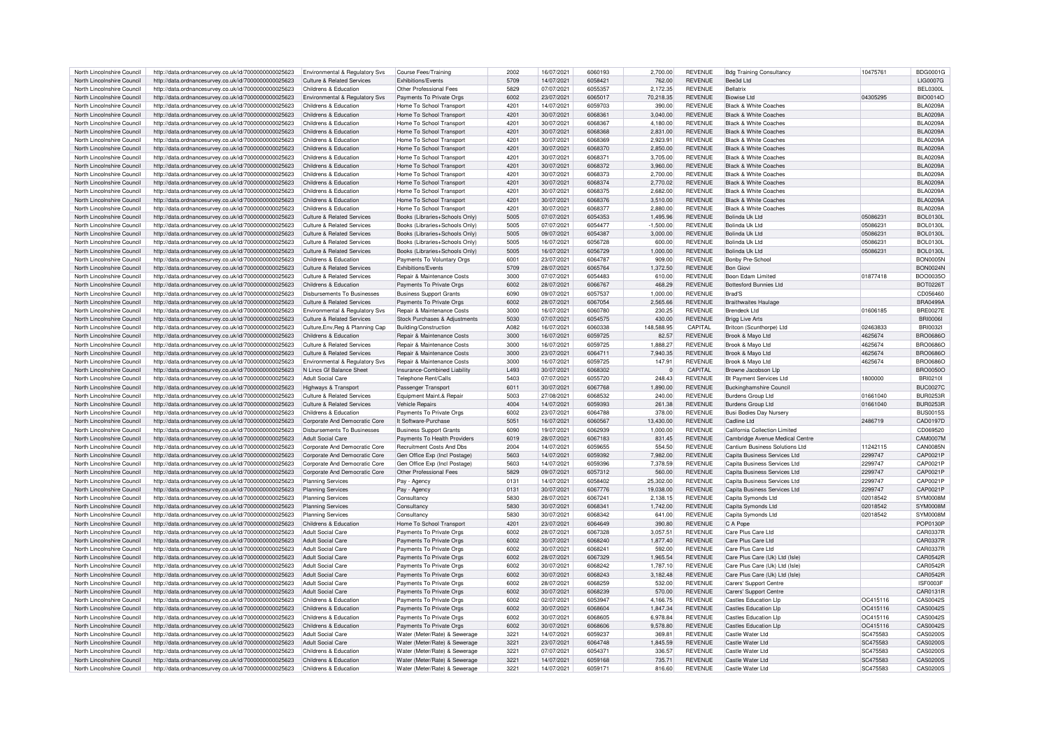| North Lincolnshire Council | http://data.ordnancesurvey.co.uk/id/7000000000025623 | Environmental & Regulatory Svs            | <b>Course Fees/Training</b>    | 2002 | 16/07/2021 | 6060193 | 2,700.00    | <b>REVENUE</b> | <b>Bdg Training Consultancy</b>  | 10475761 | BDG00016        |
|----------------------------|------------------------------------------------------|-------------------------------------------|--------------------------------|------|------------|---------|-------------|----------------|----------------------------------|----------|-----------------|
| North Lincolnshire Council | http://data.ordnancesurvey.co.uk/id/7000000000025623 | <b>Culture &amp; Related Services</b>     | Exhibitions/Events             | 5709 | 14/07/2021 | 6058421 | 762.00      | <b>REVENUE</b> | Bee3d I td                       |          | <b>LIG0007G</b> |
| North Lincolnshire Council | http://data.ordnancesurvey.co.uk/id/7000000000025623 | Childrens & Education                     | Other Professional Fees        | 5829 | 07/07/2021 | 6055357 | 2,172.35    | <b>REVENUE</b> | Rellatrix                        |          | <b>BEL0300L</b> |
| North Lincolnshire Council | http://data.ordnancesurvey.co.uk/id/7000000000025623 | Environmental & Regulatory Svs            | Payments To Private Orgs       | 6002 | 23/07/2021 | 6065017 | 70,218.35   | <b>REVENUE</b> | Biowise I td                     | 04305295 | BIO0014C        |
|                            |                                                      |                                           |                                |      |            |         |             |                |                                  |          |                 |
| North Lincolnshire Council | http://data.ordnancesurvey.co.uk/id/7000000000025623 | Childrens & Education                     | Home To School Transport       | 4201 | 14/07/2021 | 6059703 | 390.00      | <b>REVENUE</b> | <b>Black &amp; White Coaches</b> |          | <b>BLA0209A</b> |
| North Lincolnshire Council | http://data.ordnancesurvey.co.uk/id/7000000000025623 | Childrens & Education                     | Home To School Transport       | 4201 | 30/07/2021 | 606836  | 3.040.00    | REVENUE        | <b>Black &amp; White Coaches</b> |          | BL A0209/       |
| North Lincolnshire Council | http://data.ordnancesurvey.co.uk/id/7000000000025623 | Childrens & Education                     | Home To School Transport       | 4201 | 30/07/2021 | 6068367 | 4.180.00    | <b>REVENUE</b> | <b>Black &amp; White Coaches</b> |          | <b>BLA0209A</b> |
| North Lincolnshire Council | http://data.ordnancesurvey.co.uk/id/7000000000025623 | Childrens & Education                     | Home To School Transport       | 4201 | 30/07/2021 | 6068362 | 2.831.00    | <b>REVENUE</b> | <b>Black &amp; White Coaches</b> |          | <b>BLA0209A</b> |
| North Lincolnshire Council |                                                      | Childrens & Education                     |                                | 4201 | 30/07/2021 | 6068369 | 2.923.91    |                | <b>Black &amp; White Coaches</b> |          |                 |
|                            | http://data.ordnancesurvey.co.uk/id/7000000000025623 |                                           | Home To School Transport       |      |            |         |             | <b>REVENUE</b> |                                  |          | <b>BLA0209A</b> |
| North Lincolnshire Council | http://data.ordnancesurvey.co.uk/id/7000000000025623 | Childrens & Education                     | Home To School Transport       | 4201 | 30/07/2021 | 6068370 | 2,850.00    | <b>REVENUE</b> | <b>Black &amp; White Coaches</b> |          | <b>BLA0209A</b> |
| North Lincolnshire Council | http://data.ordnancesurvey.co.uk/id/7000000000025623 | Childrens & Education                     | Home To School Transport       | 4201 | 30/07/2021 | 606837  | 3.705.00    | <b>REVENUE</b> | <b>Black &amp; White Coaches</b> |          | <b>BLA0209A</b> |
| North Lincolnshire Council | http://data.ordnancesurvey.co.uk/id/7000000000025623 | Childrens & Education                     | Home To School Transport       | 4201 | 30/07/2021 | 6068372 | 3.960.00    | <b>REVENUE</b> | <b>Black &amp; White Coaches</b> |          | <b>BLA0209A</b> |
| North Lincolnshire Council | http://data.ordnancesurvey.co.uk/id/7000000000025623 | Childrens & Education                     | Home To School Transport       | 4201 | 30/07/2021 | 6068373 | 2.700.00    | <b>REVENUE</b> | <b>Black &amp; White Coaches</b> |          | <b>BLA0209A</b> |
|                            |                                                      |                                           |                                |      |            | 6068374 |             |                | <b>Black &amp; White Coaches</b> |          |                 |
| North Lincolnshire Council | http://data.ordnancesurvey.co.uk/id/7000000000025623 | Childrens & Education                     | Home To School Transport       | 4201 | 30/07/2021 |         | 2,770.02    | <b>REVENUE</b> |                                  |          | <b>BLA0209A</b> |
| North Lincolnshire Council | http://data.ordnancesurvey.co.uk/id/7000000000025623 | Childrens & Education                     | Home To School Transport       | 4201 | 30/07/2021 | 6068375 | 2,682.00    | <b>REVENUE</b> | <b>Black &amp; White Coaches</b> |          | <b>BLA0209A</b> |
| North Lincolnshire Council | http://data.ordnancesurvey.co.uk/id/7000000000025623 | Childrens & Education                     | Home To School Transport       | 4201 | 30/07/2021 | 6068376 | 3,510.00    | REVENUE        | <b>Black &amp; White Coaches</b> |          | <b>BLA0209A</b> |
| North Lincolnshire Council | http://data.ordnancesurvey.co.uk/id/7000000000025623 | Childrens & Education                     | Home To School Transport       | 4201 | 30/07/2021 | 6068377 | 2.880.00    | REVENUE        | <b>Black &amp; White Coaches</b> |          | <b>BLA0209A</b> |
| North Lincolnshire Council | http://data.ordnancesurvey.co.uk/id/7000000000025623 | Culture & Related Services                | Books (Libraries+Schools Only) | 5005 | 07/07/2021 | 6054353 | 1,495.96    | <b>REVENUE</b> | <b>Bolinda Lik Ltd</b>           | 05086231 | <b>BOL0130L</b> |
|                            |                                                      |                                           |                                | 5005 |            | 6054477 |             | REVENUE        | Bolinda Uk I td                  | 05086231 |                 |
| North Lincolnshire Council | http://data.ordnancesurvey.co.uk/id/7000000000025623 | Culture & Related Services                | Books (Libraries+Schools Only) |      | 07/07/2021 |         | $-1,500.00$ |                |                                  |          | <b>BOL0130L</b> |
| North Lincolnshire Council | http://data.ordnancesurvey.co.uk/id/7000000000025623 | Culture & Related Services                | Books (Libraries+Schools Only) | 5005 | 09/07/2021 | 6054387 | 3,000.00    | <b>REVENUE</b> | Bolinda Uk Ltd                   | 05086231 | <b>BOL0130L</b> |
| North Lincolnshire Council | http://data.ordnancesurvey.co.uk/id/7000000000025623 | <b>Culture &amp; Related Services</b>     | Books (Libraries+Schools Only) | 5005 | 16/07/2021 | 6056728 | 600.00      | REVENUE        | Bolinda Uk I to                  | 05086231 | <b>BOL0130L</b> |
| North Lincolnshire Council | http://data.ordnancesurvey.co.uk/id/7000000000025623 | <b>Culture &amp; Related Services</b>     | Books (Libraries+Schools Only) | 5005 | 16/07/2021 | 6056729 | 1.000.00    | <b>REVENUE</b> | Bolinda Uk Ltd                   | 05086231 | <b>BOL0130L</b> |
| North Lincolnshire Council | http://data.ordnancesurvey.co.uk/id/7000000000025623 | Childrens & Education                     | Payments To Voluntary Orgs     | 6001 | 23/07/2021 | 6064787 | 909.00      | REVENUE        | Bonby Pre-School                 |          | <b>BON0005M</b> |
|                            |                                                      |                                           |                                |      |            |         |             |                |                                  |          |                 |
| North Lincolnshire Council | http://data.ordnancesurvey.co.uk/id/7000000000025623 | <b>Culture &amp; Related Services</b>     | Exhibitions/Events             | 5709 | 28/07/2021 | 6065764 | 1,372.50    | REVENUE        | <b>Bon Giov</b>                  |          | BON0024M        |
| North Lincolnshire Council | http://data.ordnancesurvey.co.uk/id/7000000000025623 | <b>Culture &amp; Related Services</b>     | Repair & Maintenance Costs     | 3000 | 07/07/2021 | 6054483 | 610.00      | REVENUE        | Boon Edam Limited                | 01877418 | BOO0035C        |
| North Lincolnshire Council | http://data.ordnancesurvey.co.uk/id/7000000000025623 | Childrens & Education                     | Payments To Private Orgs       | 6002 | 28/07/2021 | 6066767 | 468.29      | REVENUE        | <b>Bottesford Bunnies Ltd</b>    |          | BOT02261        |
| North Lincolnshire Council | http://data.ordnancesurvey.co.uk/id/7000000000025623 | <b>Disbursements To Businesses</b>        | <b>Business Support Grants</b> | 6090 | 09/07/2021 | 6057537 | 1.000.00    | <b>REVENUE</b> | Brad'S                           |          | CD056460        |
|                            |                                                      |                                           |                                | 6002 |            | 6067054 |             | <b>REVENUE</b> |                                  |          | <b>BRA0499A</b> |
| North Lincolnshire Council | http://data.ordnancesurvey.co.uk/id/7000000000025623 | <b>Culture &amp; Related Services</b>     | Payments To Private Orgs       |      | 28/07/2021 |         | 2,565.66    |                | <b>Braithwaites Haulage</b>      |          |                 |
| North Lincolnshire Council | http://data.ordnancesurvey.co.uk/id/7000000000025623 | <b>Environmental &amp; Regulatory Svs</b> | Repair & Maintenance Costs     | 3000 | 16/07/2021 | 6060780 | 230.25      | <b>REVENUE</b> | Brendeck I td                    | 01606185 | <b>BRE0027E</b> |
| North Lincolnshire Council | http://data.ordnancesurvey.co.uk/id/7000000000025623 | <b>Culture &amp; Related Services</b>     | Stock Purchases & Adjustments  | 5030 | 07/07/2021 | 6054575 | 430.00      | REVENUE        | <b>Brigg Live Arts</b>           |          | <b>BRI00061</b> |
| North Lincolnshire Council | http://data.ordnancesurvey.co.uk/id/7000000000025623 | Culture, Env, Reg & Planning Cap          | Building/Construction          | A082 | 16/07/2021 | 6060338 | 148.588.95  | CAPITAI        | Britcon (Scunthorpe) Ltd         | 02463833 | <b>BRI00321</b> |
| North Lincolnshire Council | http://data.ordnancesurvey.co.uk/id/7000000000025623 | Childrens & Education                     | Repair & Maintenance Costs     | 3000 | 16/07/2021 | 6059725 | 82.57       | <b>REVENUE</b> | Brook & Mayo Ltd                 | 4625674  | <b>BRO0686C</b> |
|                            |                                                      |                                           |                                | 3000 | 16/07/2021 | 6059725 | 1.888.27    | <b>REVENUE</b> |                                  | 4625674  | <b>BRO0686C</b> |
| North Lincolnshire Council | http://data.ordnancesurvey.co.uk/id/7000000000025623 | Culture & Related Services                | Repair & Maintenance Costs     |      |            |         |             |                | Brook & Mayo Ltd                 |          |                 |
| North Lincolnshire Council | http://data.ordnancesurvey.co.uk/id/7000000000025623 | <b>Culture &amp; Related Services</b>     | Repair & Maintenance Costs     | 3000 | 23/07/2021 | 606471  | 7,940.35    | REVENUE        | Brook & Mayo Ltd                 | 4625674  | <b>BRO0686C</b> |
| North Lincolnshire Council | http://data.ordnancesurvey.co.uk/id/7000000000025623 | Environmental & Regulatory Svs            | Repair & Maintenance Costs     | 3000 | 16/07/2021 | 6059725 | 147.91      | REVENUE        | Brook & Mayo Ltd                 | 4625674  | <b>BRO0686C</b> |
| North Lincolnshire Council | http://data.ordnancesurvey.co.uk/id/7000000000025623 | N Lincs Gf Balance Sheet                  | Insurance-Combined Liability   | L493 | 30/07/2021 | 6068302 | $\Omega$    | CAPITAL        | Browne Jacobson Lip              |          | <b>BRO0050C</b> |
| North Lincolnshire Council | http://data.ordnancesurvey.co.uk/id/7000000000025623 | <b>Adult Social Care</b>                  | Telephone Rent/Calls           | 5403 | 07/07/2021 | 6055720 | 248.43      | <b>REVENUE</b> | <b>Bt Payment Services Ltd</b>   | 1800000  | BRI02101        |
| North Lincolnshire Council |                                                      |                                           |                                | 6011 | 30/07/2021 | 6067768 | 1,890.00    | <b>REVENUE</b> |                                  |          | <b>BUC0027C</b> |
|                            | http://data.ordnancesurvey.co.uk/id/7000000000025623 | Highways & Transport                      | Passenger Transport            |      |            |         |             |                | <b>Buckinghamshire Council</b>   |          |                 |
| North Lincolnshire Council | http://data.ordnancesurvey.co.uk/id/7000000000025623 | <b>Culture &amp; Related Services</b>     | Equipment Maint.& Repair       | 5003 | 27/08/2021 | 6068532 | 240.00      | <b>REVENUE</b> | <b>Burdens Group Ltd</b>         | 01661040 | <b>BUR0253F</b> |
| North Lincolnshire Council | http://data.ordnancesurvey.co.uk/id/7000000000025623 | Culture & Related Services                | Vehicle Repairs                | 4004 | 14/07/2021 | 6059393 | 261.38      | <b>REVENUE</b> | <b>Burdens Group Ltd</b>         | 01661040 | <b>BUR0253F</b> |
| North Lincolnshire Council | http://data.ordnancesurvey.co.uk/id/7000000000025623 | Childrens & Education                     | Payments To Private Orgs       | 6002 | 23/07/2021 | 6064788 | 378.00      | REVENUE        | <b>Busi Bodies Day Nursery</b>   |          | <b>BUS00159</b> |
| North Lincolnshire Council | http://data.ordnancesurvey.co.uk/id/7000000000025623 | Corporate And Democratic Core             | It Software-Purchase           | 5051 | 16/07/2021 | 6060567 | 13.430.00   | <b>REVENUE</b> | Cadline I td                     | 2486719  | <b>CAD0197D</b> |
| North Lincolnshire Council |                                                      | Disbursements To Businesses               |                                | 6090 | 19/07/2021 | 6062939 | 1,000.00    | <b>REVENUE</b> | California Collection Limited    |          | CD069520        |
|                            | http://data.ordnancesurvey.co.uk/id/7000000000025623 |                                           | <b>Business Support Grants</b> |      |            |         |             |                |                                  |          |                 |
| North Lincolnshire Council | http://data.ordnancesurvey.co.uk/id/7000000000025623 | <b>Adult Social Care</b>                  | Payments To Health Providers   | 6019 | 28/07/2021 | 6067183 | 831.45      | REVENUE        | Cambridge Avenue Medical Centre  |          | <b>CAM0007N</b> |
| North Lincolnshire Council | http://data.ordnancesurvey.co.uk/id/7000000000025623 | Corporate And Democratic Core             | Recruitment Costs And Dbs      | 2004 | 14/07/2021 | 6059655 | 554.50      | <b>REVENUE</b> | Cantium Business Solutions Ltd   | 11242115 | CAN0085N        |
| North Lincolnshire Council | http://data.ordnancesurvey.co.uk/id/7000000000025623 | Corporate And Democratic Core             | Gen Office Exp (Incl Postage)  | 5603 | 14/07/2021 | 6059392 | 7.982.00    | REVENUE        | Capita Business Services Ltd     | 2299747  | CAP0021E        |
| North Lincolnshire Council | http://data.ordnancesurvev.co.uk/id/7000000000025623 | Corporate And Democratic Core             | Gen Office Exp (Incl Postage)  | 5603 | 14/07/2021 | 6059396 | 7.378.59    | <b>REVENUE</b> | Capita Business Services Ltd     | 2299747  | CAP0021F        |
|                            |                                                      |                                           |                                | 5829 |            |         |             | <b>REVENUE</b> |                                  |          | CAP0021F        |
| North Lincolnshire Council | http://data.ordnancesurvey.co.uk/id/7000000000025623 | Corporate And Democratic Core             | Other Professional Fees        |      | 09/07/2021 | 6057312 | 560.00      |                | Capita Business Services Ltd     | 2299747  |                 |
| North Lincolnshire Council | http://data.ordnancesurvey.co.uk/id/7000000000025623 | <b>Planning Services</b>                  | Pay - Agency                   | 0131 | 14/07/2021 | 6058402 | 25,302.00   | <b>REVENUE</b> | Capita Business Services Ltd     | 2299747  | CAP0021F        |
| North Lincolnshire Council | http://data.ordnancesurvey.co.uk/id/7000000000025623 | <b>Planning Services</b>                  | Pay - Agency                   | 0131 | 30/07/2021 | 6067776 | 19,038.00   | <b>REVENUE</b> | Capita Business Services Ltd     | 2299747  | CAP0021P        |
| North Lincolnshire Council | http://data.ordnancesurvey.co.uk/id/7000000000025623 | <b>Planning Services</b>                  | Consultancy                    | 5830 | 28/07/2021 | 606724  | 2,138.15    | REVENUE        | Capita Symonds Ltd               | 02018542 | SYM0008M        |
| North Lincolnshire Council | http://data.ordnancesurvey.co.uk/id/7000000000025623 | <b>Planning Services</b>                  | Consultancy                    | 5830 | 30/07/2021 | 606834  | 1,742.00    | <b>REVENUE</b> | Capita Symonds Ltd               | 02018542 | SYM0008M        |
| North Lincolnshire Council |                                                      |                                           | Consultancy                    | 5830 | 30/07/2021 | 6068342 | 641.00      | <b>REVENUE</b> | Capita Symonds Ltd               | 02018542 | SYM0008M        |
|                            | http://data.ordnancesurvey.co.uk/id/7000000000025623 | <b>Planning Services</b>                  |                                |      |            |         |             |                |                                  |          |                 |
| North Lincolnshire Council | http://data.ordnancesurvey.co.uk/id/7000000000025623 | Childrens & Education                     | Home To School Transport       | 4201 | 23/07/2021 | 6064649 | 390.80      | <b>REVENUE</b> | C A Pone                         |          | POP0130F        |
| North Lincolnshire Council | http://data.ordnancesurvey.co.uk/id/7000000000025623 | <b>Adult Social Care</b>                  | Payments To Private Orgs       | 6002 | 28/07/2021 | 6067328 | 3,057.51    | <b>REVENUE</b> | Care Plus Care Ltd               |          | CAR0337F        |
| North Lincolnshire Council | http://data.ordnancesurvey.co.uk/id/7000000000025623 | <b>Adult Social Care</b>                  | Payments To Private Orgs       | 6002 | 30/07/2021 | 6068240 | 1,877.40    | REVENUE        | Care Plus Care I td              |          | CAR0337F        |
| North Lincolnshire Council | http://data.ordnancesurvey.co.uk/id/7000000000025623 | <b>Adult Social Care</b>                  | Payments To Private Orgs       | 6002 | 30/07/2021 | 6068241 | 592.00      | REVENUE        | Care Plus Care Ltd               |          | <b>CAR0337F</b> |
| North Lincolnshire Council | http://data.ordnancesurvey.co.uk/id/7000000000025623 | Adult Social Care                         | Payments To Private Orgs       | 6002 | 28/07/2021 | 6067329 | 1,965.54    | <b>REVENUE</b> | Care Plus Care (Uk) Ltd (Isle)   |          | CAR0542F        |
|                            |                                                      |                                           |                                |      |            |         |             |                |                                  |          |                 |
| North Lincolnshire Council | http://data.ordnancesurvey.co.uk/id/7000000000025623 | <b>Adult Social Care</b>                  | Payments To Private Orgs       | 6002 | 30/07/2021 | 6068242 | 1,787.10    | REVENUE        | Care Plus Care (Uk) Ltd (Isle)   |          | CAR0542F        |
| North Lincolnshire Council | http://data.ordnancesurvey.co.uk/id/7000000000025623 | <b>Adult Social Care</b>                  | Payments To Private Orgs       | 6002 | 30/07/2021 | 6068243 | 3,182.48    | <b>REVENUE</b> | Care Plus Care (Uk) Ltd (Isle)   |          | CAR0542F        |
| North Lincolnshire Council | http://data.ordnancesurvey.co.uk/id/7000000000025623 | <b>Adult Social Care</b>                  | Payments To Private Orgs       | 6002 | 28/07/2021 | 6068259 | 532.00      | REVENUE        | Carers' Support Centre           |          | <b>ISF0003F</b> |
| North Lincolnshire Council | http://data.ordnancesurvey.co.uk/id/7000000000025623 | Adult Social Care                         | Payments To Private Orgs       | 6002 | 30/07/2021 | 6068239 | 570.00      | <b>REVENUE</b> | Carers' Support Centre           |          | CAR0131F        |
| North Lincolnshire Council | http://data.ordnancesurvey.co.uk/id/7000000000025623 | Childrens & Education                     | Payments To Private Orgs       | 6002 | 02/07/2021 | 6053947 | 4,166.75    | <b>REVENUE</b> | Castles Education I In           | OC415116 | CAS0042S        |
|                            |                                                      |                                           |                                |      |            |         |             |                |                                  |          |                 |
| North Lincolnshire Council | http://data.ordnancesurvey.co.uk/id/7000000000025623 | Childrens & Education                     | Payments To Private Orgs       | 6002 | 30/07/2021 | 6068604 | 1,847.34    | <b>REVENUE</b> | <b>Castles Education LIp</b>     | OC415116 | CAS0042S        |
| North Lincolnshire Council | http://data.ordnancesurvey.co.uk/id/7000000000025623 | Childrens & Education                     | Payments To Private Orgs       | 6002 | 30/07/2021 | 6068605 | 6.978.84    | <b>REVENUE</b> | Castles Education Lin            | OC415116 | CAS0042S        |
| North Lincolnshire Council | http://data.ordnancesurvey.co.uk/id/7000000000025623 | Childrens & Education                     | Payments To Private Orgs       | 6002 | 30/07/2021 | 6068606 | 9,578.80    | REVENUE        | <b>Castles Education Llp</b>     | OC415116 | CAS0042S        |
| North Lincolnshire Council | http://data.ordnancesurvey.co.uk/id/7000000000025623 | <b>Adult Social Care</b>                  | Water (Meter/Rate) & Sewerage  | 3221 | 14/07/2021 | 6059237 | 369.81      | REVENUE        | Castle Water Ltd                 | SC475583 | CAS0200S        |
| North Lincolnshire Council | http://data.ordnancesurvey.co.uk/id/7000000000025623 | <b>Adult Social Care</b>                  | Water (Meter/Rate) & Sewerage  | 3221 | 23/07/2021 | 6064748 | 184559      | <b>REVENUE</b> | Castle Water Ltd                 | SC475583 | CAS0200S        |
|                            |                                                      |                                           |                                |      |            |         |             |                |                                  |          |                 |
|                            |                                                      |                                           |                                |      |            |         |             |                |                                  |          |                 |
| North Lincolnshire Council | http://data.ordnancesurvey.co.uk/id/7000000000025623 | Childrens & Education                     | Water (Meter/Rate) & Sewerage  | 3221 | 07/07/2021 | 605437  | 336.57      | REVENUE        | Castle Water Ltd                 | SC475583 | CAS02005        |
| North Lincolnshire Council | http://data.ordnancesurvey.co.uk/id/7000000000025623 | Childrens & Education                     | Water (Meter/Rate) & Sewerage  | 3221 | 14/07/2021 | 6059168 | 735.71      | <b>REVENUE</b> | Castle Water I td                | SC475583 | CAS0200S        |
| North Lincolnshire Council | http://data.ordnancesurvey.co.uk/id/7000000000025623 | Childrens & Education                     | Water (Meter/Rate) & Sewerage  | 3221 | 14/07/2021 | 605917  | 816.60      | <b>REVENUE</b> | Castle Water I td                | SC475583 | CAS0200S        |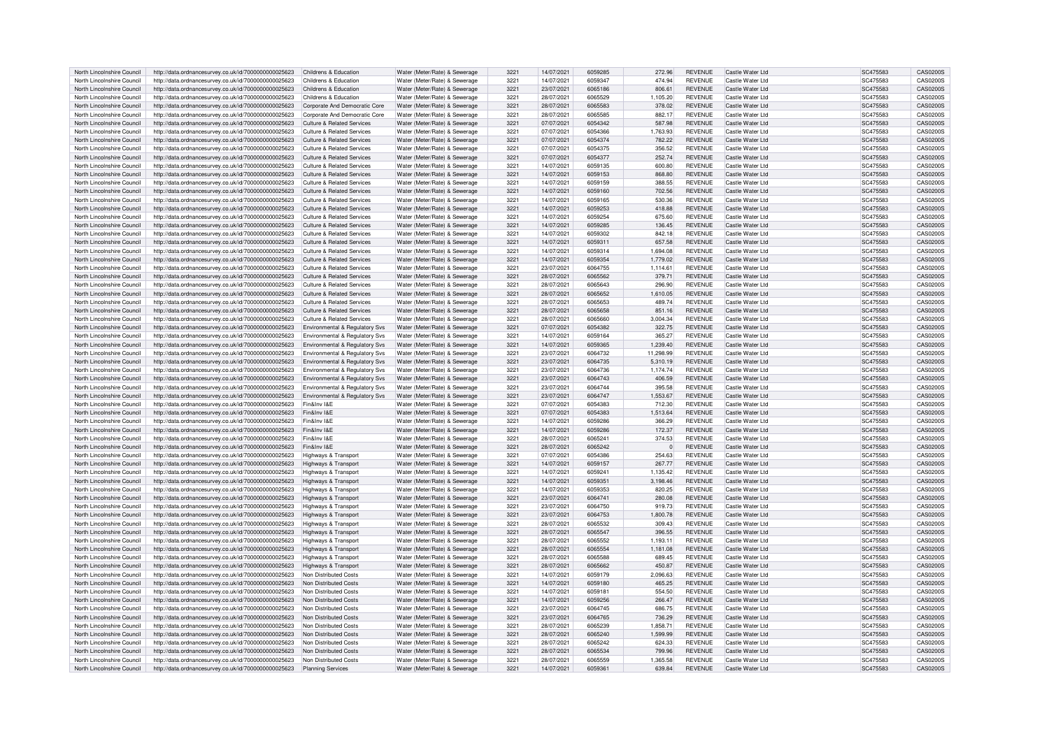| North Lincolnshire Council | http://data.ordnancesurvey.co.uk/id/7000000000025623 | Childrens & Education                     | Water (Meter/Rate) & Sewerage | 3221 | 14/07/2021 | 6059285 | 272.96      | <b>REVENUE</b> | Castle Water Ltd  | SC475583 | CAS0200S        |
|----------------------------|------------------------------------------------------|-------------------------------------------|-------------------------------|------|------------|---------|-------------|----------------|-------------------|----------|-----------------|
| North Lincolnshire Council | http://data.ordnancesurvey.co.uk/id/7000000000025623 | Childrens & Education                     | Water (Meter/Rate) & Sewerage | 3221 | 14/07/2021 | 6059347 | 474.94      | <b>REVENUE</b> | Castle Water I to | SC475583 | CAS0200S        |
|                            |                                                      |                                           |                               |      |            |         |             |                |                   |          |                 |
| North Lincolnshire Council | http://data.ordnancesurvey.co.uk/id/7000000000025623 | Childrens & Education                     | Water (Meter/Rate) & Sewerage | 3221 | 23/07/2021 | 6065186 | 806.61      | <b>REVENUE</b> | Castle Water Ltd  | SC475583 | CAS0200S        |
| North Lincolnshire Council | http://data.ordnancesurvey.co.uk/id/7000000000025623 | Childrens & Education                     | Water (Meter/Rate) & Sewerage | 3221 | 28/07/2021 | 6065529 | 1,105.20    | <b>REVENUE</b> | Castle Water Ltd  | SC475583 | CAS0200S        |
| North Lincolnshire Council | http://data.ordnancesurvey.co.uk/id/7000000000025623 | Corporate And Democratic Core             | Water (Meter/Rate) & Sewerage | 3221 | 28/07/2021 | 6065583 | 378.02      | <b>REVENUE</b> | Castle Water Ltd  | SC475583 | CAS0200S        |
| North Lincolnshire Council | http://data.ordnancesurvey.co.uk/id/7000000000025623 | Corporate And Democratic Core             | Water (Meter/Rate) & Sewerage | 3221 | 28/07/2021 | 6065585 | 882.17      | <b>REVENUE</b> | Castle Water Ltd  | SC475583 | CAS0200S        |
| North Lincolnshire Council | http://data.ordnancesurvey.co.uk/id/7000000000025623 | <b>Culture &amp; Related Services</b>     | Water (Meter/Rate) & Sewerage | 3221 | 07/07/2021 | 6054342 | 587.98      | <b>REVENUE</b> | Castle Water Ltd  | SC475583 | CAS0200S        |
|                            |                                                      |                                           |                               |      |            |         |             |                |                   |          |                 |
| North Lincolnshire Council | http://data.ordnancesurvey.co.uk/id/7000000000025623 | Culture & Related Services                | Water (Meter/Rate) & Sewerage | 3221 | 07/07/2021 | 6054366 | 1.763.93    | <b>REVENUE</b> | Castle Water Ltd  | SC475583 | CAS0200S        |
| North Lincolnshire Council | http://data.ordnancesurvey.co.uk/id/7000000000025623 | Culture & Related Services                | Water (Meter/Rate) & Sewerage | 3221 | 07/07/2021 | 6054374 | 782.22      | <b>REVENUE</b> | Castle Water Ltd  | SC475583 | CAS0200S        |
| North Lincolnshire Council | http://data.ordnancesurvey.co.uk/id/7000000000025623 | <b>Culture &amp; Related Services</b>     | Water (Meter/Rate) & Sewerage | 3221 | 07/07/2021 | 6054375 | 356.52      | <b>REVENUE</b> | Castle Water Ltd  | SC475583 | CAS0200S        |
|                            |                                                      | Culture & Related Services                |                               | 3221 |            | 6054377 | 252.74      | <b>REVENUE</b> | Castle Water Ltd  |          | CAS0200S        |
| North Lincolnshire Council | http://data.ordnancesurvey.co.uk/id/7000000000025623 |                                           | Water (Meter/Rate) & Sewerage |      | 07/07/2021 |         |             |                |                   | SC475583 |                 |
| North Lincolnshire Council | http://data.ordnancesurvey.co.uk/id/7000000000025623 | Culture & Related Services                | Water (Meter/Rate) & Sewerage | 3221 | 14/07/2021 | 6059135 | 600.80      | <b>REVENUE</b> | Castle Water Ltd  | SC475583 | CAS0200S        |
| North Lincolnshire Council | http://data.ordnancesurvey.co.uk/id/7000000000025623 | Culture & Related Services                | Water (Meter/Rate) & Sewerage | 3221 | 14/07/2021 | 6059153 | 868.80      | <b>REVENUE</b> | Castle Water Ltd  | SC475583 | CAS0200S        |
| North Lincolnshire Council | http://data.ordnancesurvey.co.uk/id/7000000000025623 | Culture & Related Services                | Water (Meter/Rate) & Sewerage | 3221 | 14/07/2021 | 6059159 | 388.55      | <b>REVENUE</b> | Castle Water Ltd  | SC475583 | CAS0200S        |
| North Lincolnshire Council | http://data.ordnancesurvey.co.uk/id/7000000000025623 | Culture & Related Services                | Water (Meter/Rate) & Sewerage | 3221 | 14/07/2021 | 6059160 | 702.56      | <b>REVENUE</b> | Castle Water Ltd  | SC475583 | CAS0200S        |
|                            |                                                      |                                           |                               |      |            |         |             |                |                   |          |                 |
| North Lincolnshire Council | http://data.ordnancesurvey.co.uk/id/7000000000025623 | Culture & Related Services                | Water (Meter/Rate) & Sewerage | 3221 | 14/07/2021 | 6059165 | 530.36      | <b>REVENUE</b> | Castle Water Ltd  | SC475583 | CAS0200S        |
| North Lincolnshire Council | http://data.ordnancesurvey.co.uk/id/7000000000025623 | <b>Culture &amp; Related Services</b>     | Water (Meter/Rate) & Sewerage | 3221 | 14/07/2021 | 6059253 | 418.88      | <b>REVENUE</b> | Castle Water Ltd  | SC475583 | CAS0200S        |
| North Lincolnshire Council | http://data.ordnancesurvey.co.uk/id/7000000000025623 | Culture & Related Services                | Water (Meter/Rate) & Sewerage | 3221 | 14/07/2021 | 6059254 | 675.60      | <b>REVENUE</b> | Castle Water Ltd  | SC475583 | CAS0200S        |
| North Lincolnshire Council | http://data.ordnancesurvey.co.uk/id/7000000000025623 | Culture & Related Services                | Water (Meter/Rate) & Sewerage | 3221 | 14/07/2021 | 605928  | 136.45      | <b>REVENUE</b> | Castle Water Ltd  | SC475583 | <b>CAS0200S</b> |
|                            |                                                      |                                           |                               |      |            |         |             |                |                   |          |                 |
| North Lincolnshire Council | http://data.ordnancesurvey.co.uk/id/7000000000025623 | <b>Culture &amp; Related Services</b>     | Water (Meter/Rate) & Sewerage | 3221 | 14/07/2021 | 6059302 | 842.18      | <b>REVENUE</b> | Castle Water Ltd  | SC475583 | CAS0200S        |
| North Lincolnshire Council | http://data.ordnancesurvey.co.uk/id/7000000000025623 | Culture & Related Services                | Water (Meter/Rate) & Sewerage | 3221 | 14/07/2021 | 605931  | 657.58      | <b>REVENUE</b> | Castle Water I to | SC475583 | CAS0200S        |
| North Lincolnshire Council | http://data.ordnancesurvey.co.uk/id/7000000000025623 | Culture & Related Services                | Water (Meter/Rate) & Sewerage | 3221 | 14/07/2021 | 6059314 | 1,694.08    | REVENUE        | Castle Water I to | SC475583 | CAS0200S        |
| North Lincolnshire Council | http://data.ordnancesurvey.co.uk/id/7000000000025623 | Culture & Related Services                | Water (Meter/Rate) & Sewerage | 3221 | 14/07/2021 | 6059354 | 1.779.02    | <b>REVENUE</b> | Castle Water Ltd  | SC475583 | CAS0200S        |
|                            |                                                      |                                           |                               |      |            |         |             |                |                   |          |                 |
| North Lincolnshire Council | http://data.ordnancesurvey.co.uk/id/7000000000025623 | <b>Culture &amp; Related Services</b>     | Water (Meter/Rate) & Sewerage | 3221 | 23/07/2021 | 6064755 | 1,114.61    | <b>REVENUE</b> | Castle Water Ltd  | SC475583 | CAS0200S        |
| North Lincolnshire Council | http://data.ordnancesurvey.co.uk/id/7000000000025623 | <b>Culture &amp; Related Services</b>     | Water (Meter/Rate) & Sewerage | 3221 | 28/07/2021 | 6065562 | 379.71      | <b>REVENUE</b> | Castle Water I td | SC475583 | CAS0200S        |
| North Lincolnshire Council | http://data.ordnancesurvey.co.uk/id/7000000000025623 | <b>Culture &amp; Related Services</b>     | Water (Meter/Rate) & Sewerage | 3221 | 28/07/2021 | 6065643 | 296.90      | <b>REVENUE</b> | Castle Water Ltd  | SC475583 | CAS0200S        |
| North Lincolnshire Council | http://data.ordnancesurvey.co.uk/id/7000000000025623 | Culture & Related Services                | Water (Meter/Rate) & Sewerage | 3221 | 28/07/2021 | 6065652 | 1,610.05    | REVENUE        | Castle Water Ltd  | SC475583 | CAS02005        |
| North Lincolnshire Council |                                                      | Culture & Related Services                |                               | 3221 | 28/07/2021 | 6065653 |             | <b>REVENUE</b> | Castle Water Ltd  |          | CAS0200S        |
|                            | http://data.ordnancesurvey.co.uk/id/7000000000025623 |                                           | Water (Meter/Rate) & Sewerage |      |            |         | 489.74      |                |                   | SC475583 |                 |
| North Lincolnshire Council | http://data.ordnancesurvey.co.uk/id/7000000000025623 | <b>Culture &amp; Related Services</b>     | Water (Meter/Rate) & Sewerage | 3221 | 28/07/2021 | 6065658 | 851.16      | <b>REVENUE</b> | Castle Water Ltd  | SC475583 | CAS0200S        |
| North Lincolnshire Council | http://data.ordnancesurvey.co.uk/id/7000000000025623 | <b>Culture &amp; Related Services</b>     | Water (Meter/Rate) & Sewerage | 3221 | 28/07/2021 | 6065660 | 3,004.34    | <b>REVENUE</b> | Castle Water Ltd  | SC475583 | CAS0200S        |
| North Lincolnshire Council | http://data.ordnancesurvey.co.uk/id/7000000000025623 | Environmental & Regulatory Svs            | Water (Meter/Rate) & Sewerage | 3221 | 07/07/2021 | 6054382 | 322.75      | <b>REVENUE</b> | Castle Water Ltd  | SC475583 | CAS0200S        |
| North Lincolnshire Council | http://data.ordnancesurvey.co.uk/id/7000000000025623 | Environmental & Regulatory Sys            | Water (Meter/Rate) & Sewerage | 3221 | 14/07/2021 | 6059164 | 365.27      | <b>REVENUE</b> | Castle Water Ltd  | SC475583 | CAS0200S        |
|                            |                                                      |                                           |                               |      |            |         |             |                |                   |          |                 |
| North Lincolnshire Council | http://data.ordnancesurvey.co.uk/id/7000000000025623 | <b>Environmental &amp; Regulatory Svs</b> | Water (Meter/Rate) & Sewerage | 3221 | 14/07/2021 | 6059365 | 1,239.40    | <b>REVENUE</b> | Castle Water Ltd  | SC475583 | CAS0200S        |
| North Lincolnshire Council | http://data.ordnancesurvey.co.uk/id/7000000000025623 | Environmental & Regulatory Svs            | Water (Meter/Rate) & Sewerage | 3221 | 23/07/2021 | 6064732 | 11,298.99   | <b>REVENUE</b> | Castle Water Ltd  | SC475583 | CAS0200S        |
| North Lincolnshire Council | http://data.ordnancesurvey.co.uk/id/7000000000025623 | Environmental & Regulatory Svs            | Water (Meter/Rate) & Sewerage | 3221 | 23/07/2021 | 6064735 | 5,310.19    | <b>REVENUE</b> | Castle Water Ltd  | SC475583 | CAS0200S        |
| North Lincolnshire Council | http://data.ordnancesurvey.co.uk/id/7000000000025623 | Environmental & Regulatory Svs            | Water (Meter/Rate) & Sewerage | 3221 | 23/07/2021 | 6064736 | 1,174.74    | <b>REVENUE</b> | Castle Water I to | SC475583 | CAS0200S        |
|                            |                                                      |                                           |                               |      |            |         |             |                |                   |          |                 |
| North Lincolnshire Council | http://data.ordnancesurvey.co.uk/id/7000000000025623 | <b>Environmental &amp; Requiatory Sys</b> | Water (Meter/Rate) & Sewerage | 3221 | 23/07/2021 | 6064743 | 406.59      | <b>REVENUE</b> | Castle Water Ltd  | SC475583 | CAS0200S        |
| North Lincolnshire Council | http://data.ordnancesurvey.co.uk/id/7000000000025623 | Environmental & Regulatory Svs            | Water (Meter/Rate) & Sewerage | 3221 | 23/07/2021 | 6064744 | 395.58      | <b>REVENUE</b> | Castle Water I to | SC475583 | CAS0200S        |
| North Lincolnshire Council | http://data.ordnancesurvey.co.uk/id/7000000000025623 | Environmental & Regulatory Svs            | Water (Meter/Rate) & Sewerage | 3221 | 23/07/2021 | 6064747 | 1,553.67    | <b>REVENUE</b> | Castle Water I to | SC475583 | <b>CAS0200S</b> |
| North Lincolnshire Council | http://data.ordnancesurvey.co.uk/id/7000000000025623 | Fin&Inv I&E                               | Water (Meter/Rate) & Sewerage | 3221 | 07/07/2021 | 6054383 | 712.30      | <b>REVENUE</b> | Castle Water Ltd  | SC475583 | CAS0200S        |
|                            |                                                      |                                           |                               |      |            |         |             |                |                   |          |                 |
| North Lincolnshire Council | http://data.ordnancesurvey.co.uk/id/7000000000025623 | Fin&Inv I&F                               | Water (Meter/Rate) & Sewerage | 3221 | 07/07/2021 | 6054383 | 1,513.64    | REVENUE        | Castle Water I to | SC475583 | CAS02005        |
| North Lincolnshire Council | http://data.ordnancesurvey.co.uk/id/7000000000025623 | Fin&Inv I&F                               | Water (Meter/Rate) & Sewerage | 3221 | 14/07/2021 | 6059286 | 366.29      | REVENUE        | Castle Water Ltd  | SC475583 | CAS0200S        |
| North Lincolnshire Council | http://data.ordnancesurvey.co.uk/id/7000000000025623 | Fin&Inv I&F                               | Water (Meter/Rate) & Sewerage | 3221 | 14/07/2021 | 6059286 | 172.37      | <b>REVENUE</b> | Castle Water Ltd  | SC475583 | CAS0200S        |
| North Lincolnshire Council | http://data.ordnancesurvey.co.uk/id/7000000000025623 | Fin&Inv I&F                               | Water (Meter/Rate) & Sewerage | 3221 | 28/07/2021 | 606524  | 374.53      | <b>REVENUE</b> | Castle Water Ltd  | SC475583 | CAS0200S        |
|                            |                                                      |                                           |                               |      |            |         |             |                |                   |          |                 |
| North Lincolnshire Council | http://data.ordnancesurvey.co.uk/id/7000000000025623 | Fin&Inv I&E                               | Water (Meter/Rate) & Sewerage | 3221 | 28/07/2021 | 6065242 | $\mathbf 0$ | <b>REVENUE</b> | Castle Water Ltd  | SC475583 | CAS0200S        |
| North Lincolnshire Council | http://data.ordnancesurvey.co.uk/id/7000000000025623 | Highways & Transport                      | Water (Meter/Rate) & Sewerage | 3221 | 07/07/2021 | 6054386 | 254.63      | <b>REVENUE</b> | Castle Water I to | SC475583 | CAS0200S        |
| North Lincolnshire Council | http://data.ordnancesurvey.co.uk/id/7000000000025623 | Highways & Transport                      | Water (Meter/Rate) & Sewerage | 3221 | 14/07/2021 | 6059157 | 267.77      | <b>REVENUE</b> | Castle Water Ltd  | SC475583 | CAS0200S        |
| North Lincolnshire Council | http://data.ordnancesurvey.co.uk/id/7000000000025623 | Highways & Transport                      | Water (Meter/Rate) & Sewerage | 3221 | 14/07/2021 | 605924  | 1.135.42    | <b>REVENUE</b> | Castle Water Ltd  | SC475583 | CAS0200S        |
|                            |                                                      |                                           |                               |      |            |         |             |                |                   |          |                 |
| North Lincolnshire Council | http://data.ordnancesurvey.co.uk/id/7000000000025623 | Highways & Transport                      | Water (Meter/Rate) & Sewerage | 3221 | 14/07/2021 | 605935  | 3,198.46    | <b>REVENUE</b> | Castle Water Ltd  | SC475583 | CAS0200S        |
| North Lincolnshire Council | http://data.ordnancesurvey.co.uk/id/7000000000025623 | Highways & Transport                      | Water (Meter/Rate) & Sewerage | 3221 | 14/07/2021 | 6059353 | 820.25      | <b>REVENUE</b> | Castle Water Ltd  | SC475583 | CAS0200S        |
| North Lincolnshire Council | http://data.ordnancesurvey.co.uk/id/7000000000025623 | <b>Highways &amp; Transport</b>           | Water (Meter/Rate) & Sewerage | 3221 | 23/07/2021 | 606474  | 280.08      | <b>REVENUE</b> | Castle Water Ltd  | SC475583 | CAS0200S        |
| North Lincolnshire Council | http://data.ordnancesurvey.co.uk/id/7000000000025623 | Highways & Transport                      | Water (Meter/Rate) & Sewerage | 3221 | 23/07/2021 | 6064750 | 919.73      | <b>REVENUE</b> | Castle Water Ltd  | SC475583 | CAS0200S        |
| North Lincolnshire Council | http://data.ordnancesurvey.co.uk/id/7000000000025623 | <b>Highways &amp; Transport</b>           | Water (Meter/Rate) & Sewerage | 3221 | 23/07/2021 | 6064753 | 1.800.78    | <b>REVENUE</b> | Castle Water Ltd  | SC475583 | CAS0200S        |
|                            |                                                      |                                           |                               |      |            |         |             |                |                   |          |                 |
| North Lincolnshire Council | http://data.ordnancesurvey.co.uk/id/7000000000025623 | <b>Highways &amp; Transport</b>           | Water (Meter/Rate) & Sewerage | 3221 | 28/07/2021 | 6065532 | 309.43      | <b>REVENUE</b> | Castle Water Ltd  | SC475583 | CAS0200S        |
| North Lincolnshire Council | http://data.ordnancesurvey.co.uk/id/7000000000025623 | Highways & Transport                      | Water (Meter/Rate) & Sewerage | 3221 | 28/07/2021 | 6065547 | 396.55      | <b>REVENUE</b> | Castle Water Ltd  | SC475583 | CAS0200S        |
| North Lincolnshire Council | http://data.ordnancesurvey.co.uk/id/7000000000025623 | Highways & Transport                      | Water (Meter/Rate) & Sewerage | 3221 | 28/07/2021 | 6065552 | 1,193.11    | <b>REVENUE</b> | Castle Water Ltd  | SC475583 | CAS0200S        |
| North Lincolnshire Council | http://data.ordnancesurvey.co.uk/id/7000000000025623 | Highways & Transport                      | Water (Meter/Rate) & Sewerage | 3221 | 28/07/2021 | 6065554 | 1.181.08    | <b>REVENUE</b> | Castle Water Ltd  | SC475583 | CAS0200S        |
| North Lincolnshire Council | http://data.ordnancesurvey.co.uk/id/7000000000025623 | Highways & Transpor                       | Water (Meter/Rate) & Sewerage | 3221 | 28/07/2021 | 6065588 | 689.45      | <b>REVENUE</b> | Castle Water Ltd  | SC475583 | CAS0200S        |
|                            |                                                      |                                           |                               |      |            |         |             |                |                   |          |                 |
| North Lincolnshire Council | http://data.ordnancesurvey.co.uk/id/7000000000025623 | Highways & Transport                      | Water (Meter/Rate) & Sewerage | 3221 | 28/07/2021 | 6065662 | 450.87      | <b>REVENUE</b> | Castle Water Ltd  | SC475583 | CAS0200S        |
| North Lincolnshire Council | http://data.ordnancesurvey.co.uk/id/7000000000025623 | Non Distributed Costs                     | Water (Meter/Rate) & Sewerage | 3221 | 14/07/2021 | 6059179 | 2,096.63    | <b>REVENUE</b> | Castle Water Ltd  | SC475583 | CAS0200S        |
| North Lincolnshire Council | http://data.ordnancesurvey.co.uk/id/7000000000025623 | Non Distributed Costs                     | Water (Meter/Rate) & Sewerage | 3221 | 14/07/2021 | 6059180 | 465.25      | REVENUE        | Castle Water Ltd  | SC475583 | CAS0200S        |
| North Lincolnshire Council | http://data.ordnancesurvey.co.uk/id/7000000000025623 | Non Distributed Costs                     | Water (Meter/Rate) & Sewerage | 3221 | 14/07/2021 | 6059181 | 554.50      | <b>REVENUE</b> | Castle Water Ltd  | SC475583 | CAS0200S        |
|                            |                                                      |                                           |                               |      |            | 6059256 |             | <b>REVENUE</b> |                   |          |                 |
| North Lincolnshire Council | http://data.ordnancesurvey.co.uk/id/7000000000025623 | Non Distributed Costs                     | Water (Meter/Rate) & Sewerage | 3221 | 14/07/2021 |         | 266.47      |                | Castle Water Ltd  | SC475583 | CAS0200S        |
| North Lincolnshire Council | http://data.ordnancesurvey.co.uk/id/7000000000025623 | Non Distributed Costs                     | Water (Meter/Rate) & Sewerage | 3221 | 23/07/2021 | 6064745 | 686.75      | <b>REVENUE</b> | Castle Water Ltd  | SC475583 | CAS0200S        |
| North Lincolnshire Council | http://data.ordnancesurvey.co.uk/id/7000000000025623 | Non Distributed Costs                     | Water (Meter/Rate) & Sewerage | 3221 | 23/07/2021 | 6064765 | 736.29      | <b>REVENUE</b> | Castle Water Ltd  | SC475583 | CAS0200S        |
| North Lincolnshire Council | http://data.ordnancesurvey.co.uk/id/7000000000025623 | Non Distributed Costs                     | Water (Meter/Rate) & Sewerage | 3221 | 28/07/2021 | 6065239 | 1,858.71    | <b>REVENUE</b> | Castle Water Ltd  | SC475583 | CAS0200S        |
| North Lincolnshire Council | http://data.ordnancesurvey.co.uk/id/7000000000025623 | Non Distributed Costs                     | Water (Meter/Rate) & Sewerage | 3221 | 28/07/2021 | 6065240 | 1.599.99    | <b>REVENUE</b> | Castle Water Ltd  | SC475583 | CAS0200S        |
|                            |                                                      |                                           |                               |      |            |         |             |                |                   |          |                 |
| North Lincolnshire Council | http://data.ordnancesurvey.co.uk/id/7000000000025623 | Non Distributed Costs                     | Water (Meter/Rate) & Sewerage | 3221 | 28/07/2021 | 6065243 | 624.33      | <b>REVENUE</b> | Castle Water Ltd  | SC475583 | CAS0200S        |
| North Lincolnshire Council | http://data.ordnancesurvey.co.uk/id/7000000000025623 | Non Distributed Costs                     | Water (Meter/Rate) & Sewerage | 3221 | 28/07/2021 | 6065534 | 799.96      | <b>REVENUE</b> | Castle Water Ltd  | SC475583 | CAS0200S        |
| North Lincolnshire Council | http://data.ordnancesurvey.co.uk/id/7000000000025623 | Non Distributed Costs                     | Water (Meter/Rate) & Sewerage | 3221 | 28/07/2021 | 6065559 | 1.365.58    | <b>REVENUE</b> | Castle Water Ltd  | SC475583 | CAS0200S        |
| North Lincolnshire Council | http://data.ordnancesurvey.co.uk/id/7000000000025623 | <b>Planning Services</b>                  | Water (Meter/Rate) & Sewerage | 3221 | 14/07/2021 | 605936  | 639.84      | <b>REVENUE</b> | Castle Water Ltd  | SC475583 | CAS0200S        |
|                            |                                                      |                                           |                               |      |            |         |             |                |                   |          |                 |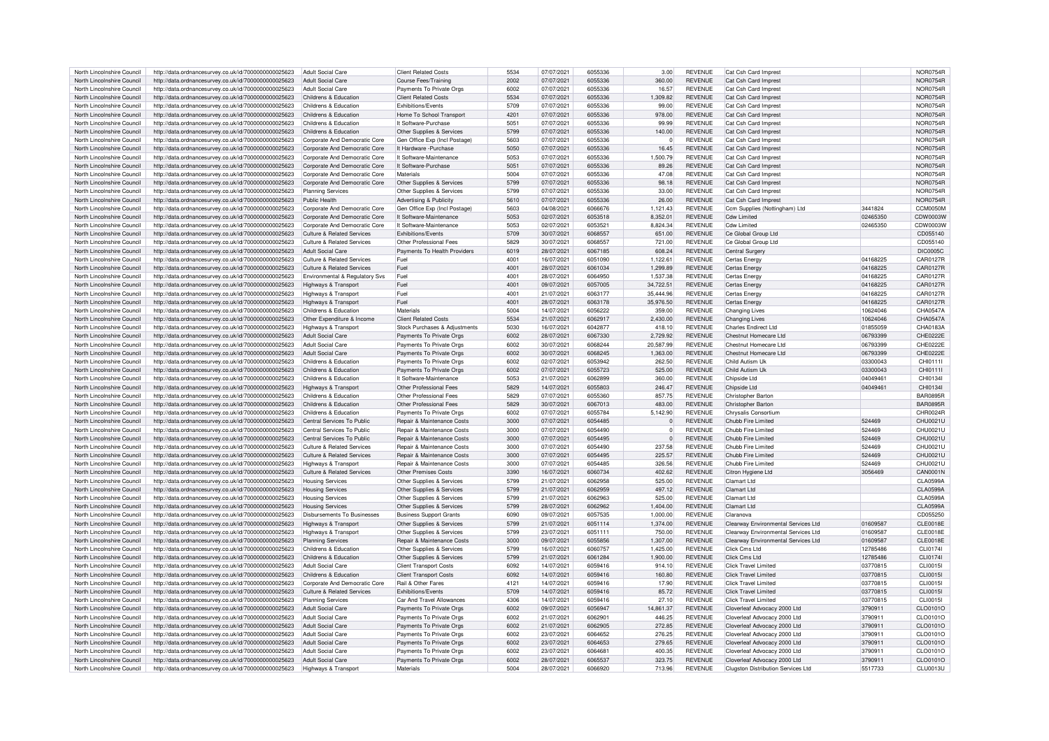| North Lincolnshire Council | http://data.ordnancesurvey.co.uk/id/7000000000025623 | Adult Social Care                     | <b>Client Related Costs</b>        | 5534          | 07/07/2021 | 6055336 | 3.00        | <b>REVENUE</b> | Cat Csh Card Imprest                      |          | <b>NOR0754F</b> |
|----------------------------|------------------------------------------------------|---------------------------------------|------------------------------------|---------------|------------|---------|-------------|----------------|-------------------------------------------|----------|-----------------|
| North Lincolnshire Council |                                                      | Adult Social Care                     |                                    | 2002          | 07/07/2021 | 6055336 | 360.00      | <b>REVENUE</b> |                                           |          | <b>NOR0754R</b> |
|                            | http://data.ordnancesurvey.co.uk/id/7000000000025623 |                                       | Course Fees/Training               |               |            |         |             |                | Cat Csh Card Imprest                      |          |                 |
| North Lincolnshire Council | http://data.ordnancesurvey.co.uk/id/7000000000025623 | <b>Adult Social Care</b>              | Payments To Private Orgs           | 6002          | 07/07/2021 | 6055336 | 16.57       | REVENUE        | Cat Csh Card Imprest                      |          | NOR0754F        |
| North Lincolnshire Council | http://data.ordnancesurvey.co.uk/id/7000000000025623 | Childrens & Education                 | <b>Client Related Costs</b>        | 5534          | 07/07/2021 | 6055336 | 1.309.82    | <b>REVENUE</b> | Cat Csh Card Imprest                      |          | <b>NOR0754F</b> |
| North Lincolnshire Council | http://data.ordnancesurvey.co.uk/id/7000000000025623 | Childrens & Education                 | <b>Exhibitions/Events</b>          | 5709          | 07/07/2021 | 6055336 | 99.00       | REVENUE        | Cat Csh Card Imprest                      |          | NOR0754F        |
| North Lincolnshire Council | http://data.ordnancesurvey.co.uk/id/7000000000025623 | Childrens & Education                 | Home To School Transport           | 4201          | 07/07/2021 | 6055336 | 978.00      | <b>REVENUE</b> | Cat Csh Card Imprest                      |          | <b>NOR0754F</b> |
|                            |                                                      |                                       |                                    |               |            |         |             |                |                                           |          |                 |
| North Lincolnshire Council | http://data.ordnancesurvey.co.uk/id/7000000000025623 | Childrens & Education                 | It Software-Purchase               | 5051          | 07/07/2021 | 6055336 | 99.99       | REVENUE        | Cat Csh Card Imprest                      |          | NOR0754F        |
| North Lincolnshire Council | http://data.ordnancesurvey.co.uk/id/7000000000025623 | Childrens & Education                 | Other Supplies & Services          | 5799          | 07/07/2021 | 6055336 | 140.00      | <b>REVENUE</b> | Cat Csh Card Imprest                      |          | NOR0754F        |
| North Lincolnshire Council | http://data.ordnancesurvey.co.uk/id/7000000000025623 | Corporate And Democratic Core         | Gen Office Exp (Incl Postage)      | 5603          | 07/07/2021 | 6055336 | $\mathbf 0$ | REVENUE        | Cat Csh Card Imprest                      |          | NOR0754F        |
| North Lincolnshire Council | http://data.ordnancesurvey.co.uk/id/7000000000025623 | Corporate And Democratic Core         | It Hardware - Purchase             | 5050          | 07/07/2021 | 6055336 | 16.45       | <b>REVENUE</b> | Cat Csh Card Imprest                      |          | NOR0754F        |
| North Lincolnshire Council | http://data.ordnancesurvey.co.uk/id/7000000000025623 | Corporate And Democratic Core         | It Software-Maintenance            | 5053          | 07/07/2021 | 6055336 | 1,500.79    | REVENUE        | Cat Csh Card Imprest                      |          | NOR0754F        |
|                            |                                                      |                                       |                                    |               |            |         |             |                |                                           |          |                 |
| North Lincolnshire Council | http://data.ordnancesurvey.co.uk/id/7000000000025623 | Corporate And Democratic Core         | It Software-Purchase               | 5051          | 07/07/2021 | 6055336 | 89.26       | <b>REVENUE</b> | Cat Csh Card Imprest                      |          | NOR0754F        |
| North Lincolnshire Council | http://data.ordnancesurvey.co.uk/id/7000000000025623 | Corporate And Democratic Core         | Materials                          | 5004          | 07/07/2021 | 6055336 | 47.08       | REVENUE        | Cat Csh Card Imprest                      |          | NOR0754F        |
| North Lincolnshire Council | http://data.ordnancesurvey.co.uk/id/7000000000025623 | Corporate And Democratic Core         | Other Supplies & Services          | 5799          | 07/07/2021 | 6055336 | 98.18       | <b>REVENUE</b> | Cat Csh Card Imprest                      |          | NOR0754F        |
| North Lincolnshire Council | http://data.ordnancesurvey.co.uk/id/7000000000025623 | <b>Planning Services</b>              | Other Supplies & Services          | 5799          | 07/07/2021 | 6055336 | 33.00       | <b>REVENUE</b> | Cat Csh Card Imprest                      |          | <b>NOR0754F</b> |
| North Lincolnshire Council | http://data.ordnancesurvey.co.uk/id/7000000000025623 | Public Health                         | <b>Advertising &amp; Publicity</b> | 5610          | 07/07/2021 | 6055336 | 26.00       | <b>REVENUE</b> | Cat Csh Card Imprest                      |          | <b>NOR0754F</b> |
| North Lincolnshire Council |                                                      |                                       |                                    | 5603          | 04/08/2021 | 6066676 |             | REVENUE        |                                           | 3441824  | CCM0050N        |
|                            | http://data.ordnancesurvey.co.uk/id/7000000000025623 | Corporate And Democratic Core         | Gen Office Exp (Incl Postage)      |               |            |         | 1,121.43    |                | Ccm Supplies (Nottingham) Ltd             |          |                 |
| North Lincolnshire Council | http://data.ordnancesurvey.co.uk/id/7000000000025623 | Corporate And Democratic Core         | It Software-Maintenance            | 5053          | 02/07/2021 | 6053518 | 8.352.01    | REVENUE        | <b>Cdw Limited</b>                        | 02465350 | CDW0003W        |
| North Lincolnshire Council | http://data.ordnancesurvey.co.uk/id/7000000000025623 | Corporate And Democratic Core         | It Software-Maintenance            | 5053          | 02/07/2021 | 6053521 | 8,824.34    | REVENUE        | <b>Cdw Limited</b>                        | 02465350 | CDW0003W        |
| North Lincolnshire Council | http://data.ordnancesurvey.co.uk/id/7000000000025623 | <b>Culture &amp; Related Services</b> | <b>Exhibitions/Events</b>          | 5709          | 30/07/2021 | 6068557 | 651.00      | REVENUE        | Ce Global Group Ltd                       |          | CD055140        |
| North Lincolnshire Council | http://data.ordnancesurvey.co.uk/id/7000000000025623 | <b>Culture &amp; Related Services</b> | Other Professional Fees            | 5829          | 30/07/2021 | 6068557 | 721.00      | REVENUE        | Ce Global Group Ltd                       |          | CD055140        |
| North Lincolnshire Council |                                                      | Adult Social Care                     | Payments To Health Providers       | 6019          | 28/07/2021 | 6067185 | 608.24      | REVENUE        |                                           |          | <b>DIC0005C</b> |
|                            | http://data.ordnancesurvey.co.uk/id/7000000000025623 |                                       |                                    |               |            |         |             |                | <b>Central Surger</b>                     |          |                 |
| North Lincolnshire Council | http://data.ordnancesurvey.co.uk/id/7000000000025623 | <b>Culture &amp; Related Services</b> | Fuel                               | 400           | 16/07/2021 | 6051090 | 1,122.61    | REVENUE        | Certas Energy                             | 04168225 | <b>CAR0127F</b> |
| North Lincolnshire Council | http://data.ordnancesurvey.co.uk/id/7000000000025623 | <b>Culture &amp; Related Services</b> | Fuel                               | 4001          | 28/07/2021 | 6061034 | 1,299.89    | REVENUE        | Certas Energ                              | 04168225 | <b>CAR0127F</b> |
| North Lincolnshire Council | http://data.ordnancesurvey.co.uk/id/7000000000025623 | Environmental & Regulatory Svs        | Fuel                               | $400^{\circ}$ | 28/07/2021 | 6064950 | 1,537.38    | REVENUE        | Certas Energy                             | 04168225 | CAR0127F        |
| North Lincolnshire Council | http://data.ordnancesurvey.co.uk/id/7000000000025623 | Highways & Transport                  | Fuel                               | 4001          | 09/07/2021 | 6057005 | 34.722.51   | <b>REVENUE</b> | Certas Energy                             | 04168225 | <b>CAR0127F</b> |
| North Lincolnshire Council | http://data.ordnancesurvey.co.uk/id/7000000000025623 | Highways & Transport                  | Fuel                               | $400^{\circ}$ | 21/07/2021 | 6063177 | 35,444.96   | REVENUE        | Certas Energy                             | 04168225 | <b>CAR0127F</b> |
|                            |                                                      |                                       |                                    |               |            |         |             |                |                                           |          |                 |
| North Lincolnshire Council | http://data.ordnancesurvey.co.uk/id/7000000000025623 | Highways & Transport                  | Fuel                               | $400^{\circ}$ | 28/07/2021 | 6063178 | 35,976.50   | <b>REVENUE</b> | Certas Energy                             | 04168225 | <b>CAR0127F</b> |
| North Lincolnshire Council | http://data.ordnancesurvey.co.uk/id/7000000000025623 | Childrens & Education                 | Materials                          | 5004          | 14/07/2021 | 6056222 | 359.00      | REVENUE        | Changing Lives                            | 10624046 | CHA0547A        |
| North Lincolnshire Council | http://data.ordnancesurvey.co.uk/id/7000000000025623 | Other Expenditure & Income            | <b>Client Related Costs</b>        | 5534          | 21/07/2021 | 6062917 | 2,430.00    | REVENUE        | <b>Changing Lives</b>                     | 10624046 | CHA0547A        |
| North Lincolnshire Council | http://data.ordnancesurvey.co.uk/id/7000000000025623 | <b>Highways &amp; Transport</b>       | Stock Purchases & Adjustments      | 5030          | 16/07/2021 | 6042877 | 418.10      | REVENUE        | <b>Charles Endirect Ltd</b>               | 01855059 | CHA0183A        |
| North Lincolnshire Council | http://data.ordnancesurvey.co.uk/id/7000000000025623 | <b>Adult Social Care</b>              | Payments To Private Orgs           | 6002          | 28/07/2021 | 6067330 | 2,729.92    | REVENUE        | Chestnut Homecare Ltd                     | 06793399 | <b>CHE0222E</b> |
|                            |                                                      |                                       |                                    |               |            |         |             |                |                                           |          |                 |
| North Lincolnshire Council | http://data.ordnancesurvey.co.uk/id/7000000000025623 | <b>Adult Social Care</b>              | Payments To Private Orgs           | 6002          | 30/07/2021 | 6068244 | 20,587.99   | REVENUE        | Chestnut Homecare Ltd                     | 06793399 | CHE0222E        |
| North Lincolnshire Council | http://data.ordnancesurvey.co.uk/id/7000000000025623 | <b>Adult Social Care</b>              | Payments To Private Orgs           | 6002          | 30/07/2021 | 6068245 | 1,363.00    | REVENUE        | Chestnut Homecare Ltd                     | 06793399 | CHE0222E        |
| North Lincolnshire Council | http://data.ordnancesurvey.co.uk/id/7000000000025623 | Childrens & Education                 | Payments To Private Orgs           | 6002          | 02/07/2021 | 6053942 | 262.50      | <b>REVENUE</b> | Child Autism Uk                           | 03300043 | CHI0111         |
| North Lincolnshire Council | http://data.ordnancesurvey.co.uk/id/7000000000025623 | Childrens & Education                 | Payments To Private Orgs           | 6002          | 07/07/2021 | 6055723 | 525.00      | <b>REVENUE</b> | Child Autism Uk                           | 03300043 | CHI0111         |
| North Lincolnshire Council | http://data.ordnancesurvey.co.uk/id/7000000000025623 | Childrens & Education                 | It Software-Maintenance            | 5053          | 21/07/2021 | 6062899 | 360.00      | <b>REVENUE</b> | Chipside Ltd                              | 0404946  | CHI0134         |
|                            |                                                      |                                       |                                    |               |            |         |             |                |                                           |          |                 |
| North Lincolnshire Council | http://data.ordnancesurvey.co.uk/id/7000000000025623 | Highways & Transport                  | Other Professional Fees            | 5829          | 14/07/2021 | 6055803 | 246.47      | REVENUE        | <b>Chipside Ltd</b>                       | 0404946  | CHI0134         |
| North Lincolnshire Council | http://data.ordnancesurvey.co.uk/id/7000000000025623 | Childrens & Education                 | Other Professional Fees            | 5829          | 07/07/2021 | 6055360 | 857.75      | REVENUE        | Christopher Barton                        |          | <b>BAR0895F</b> |
| North Lincolnshire Council | http://data.ordnancesurvey.co.uk/id/7000000000025623 | Childrens & Education                 | Other Professional Fees            | 5829          | 30/07/2021 | 6067013 | 483.00      | REVENUE        | Christopher Barton                        |          | <b>BAR0895F</b> |
| North Lincolnshire Council | http://data.ordnancesurvey.co.uk/id/7000000000025623 | Childrens & Education                 | Payments To Private Orgs           | 6002          | 07/07/2021 | 6055784 | 5.142.90    | REVENUE        | Chrysalis Consortiun                      |          | CHR0024F        |
| North Lincolnshire Council | http://data.ordnancesurvey.co.uk/id/7000000000025623 | Central Services To Public            | Repair & Maintenance Costs         | 3000          | 07/07/2021 | 6054485 | $\Omega$    | REVENUE        | Chubb Fire Limited                        | 524469   | CHU0021U        |
|                            |                                                      |                                       |                                    | 3000          |            | 6054490 |             | REVENUE        | Chubb Fire Limited                        | 524469   |                 |
| North Lincolnshire Council | http://data.ordnancesurvey.co.uk/id/7000000000025623 | Central Services To Public            | Repair & Maintenance Costs         |               | 07/07/2021 |         | $\Omega$    |                |                                           |          | CHU0021L        |
| North Lincolnshire Council | http://data.ordnancesurvey.co.uk/id/7000000000025623 | Central Services To Public            | Repair & Maintenance Costs         | 3000          | 07/07/2021 | 6054495 | $\mathbf 0$ | REVENUE        | Chubb Fire Limited                        | 524469   | CHU0021L        |
| North Lincolnshire Council | http://data.ordnancesurvey.co.uk/id/7000000000025623 | Culture & Related Services            | Repair & Maintenance Costs         | 3000          | 07/07/2021 | 6054490 | 237.58      | REVENUE        | Chubb Fire Limited                        | 524469   | CHU0021L        |
| North Lincolnshire Council | http://data.ordnancesurvey.co.uk/id/7000000000025623 | <b>Culture &amp; Related Services</b> | Repair & Maintenance Costs         | 3000          | 07/07/2021 | 6054495 | 225.57      | <b>REVENUE</b> | Chubb Fire Limited                        | 524469   | CHU0021L        |
| North Lincolnshire Council | http://data.ordnancesurvey.co.uk/id/7000000000025623 | Highways & Transport                  | Repair & Maintenance Costs         | 3000          | 07/07/2021 | 6054485 | 326.56      | REVENUE        | Chubb Fire Limited                        | 524469   | CHU0021L        |
|                            |                                                      |                                       |                                    |               |            |         |             |                |                                           |          |                 |
| North Lincolnshire Council | http://data.ordnancesurvey.co.uk/id/7000000000025623 | <b>Culture &amp; Related Services</b> | Other Premises Costs               | 3390          | 16/07/2021 | 6060734 | 402.62      | REVENUE        | Citron Hygiene Ltd                        | 3056469  | CAN0001N        |
| North Lincolnshire Council | http://data.ordnancesurvey.co.uk/id/7000000000025623 | <b>Housing Services</b>               | Other Supplies & Services          | 5799          | 21/07/2021 | 6062958 | 525.00      | REVENUE        | <b>Clamart Ltd</b>                        |          | <b>CLA0599A</b> |
| North Lincolnshire Council | http://data.ordnancesurvey.co.uk/id/7000000000025623 | <b>Housing Services</b>               | Other Supplies & Services          | 5799          | 21/07/2021 | 6062959 | 497.12      | <b>REVENUE</b> | Clamart I to                              |          | <b>CLA0599A</b> |
| North Lincolnshire Council | http://data.ordnancesurvey.co.uk/id/7000000000025623 | <b>Housing Services</b>               | Other Supplies & Services          | 5799          | 21/07/2021 | 6062963 | 525.00      | REVENUE        | <b>Clamart Ltd</b>                        |          | <b>CLA0599A</b> |
| North Lincolnshire Council | http://data.ordnancesurvey.co.uk/id/7000000000025623 | <b>Housing Services</b>               | Other Supplies & Services          | 5799          | 28/07/2021 | 6062962 | 1,404.00    | REVENUE        | Clamart I to                              |          | <b>CLA0599A</b> |
|                            |                                                      |                                       |                                    |               |            |         |             |                |                                           |          |                 |
| North Lincolnshire Council | http://data.ordnancesurvey.co.uk/id/7000000000025623 | <b>Disbursements To Businesses</b>    | <b>Business Support Grants</b>     | 6090          | 09/07/2021 | 6057535 | 1.000.00    | REVENUE        | Claranova                                 |          | CD055250        |
| North Lincolnshire Council | http://data.ordnancesurvey.co.uk/id/7000000000025623 | Highways & Transport                  | Other Supplies & Services          | 5799          | 21/07/2021 | 6051114 | 1,374.00    | REVENUE        | Clearway Environmental Services Ltd       | 01609587 | <b>CLE0018E</b> |
| North Lincolnshire Council | http://data.ordnancesurvey.co.uk/id/7000000000025623 | Highways & Transport                  | Other Supplies & Services          | 5799          | 23/07/2021 | 6051111 | 750.00      | REVENUE        | Clearway Environmental Services Ltd       | 01609587 | CLE0018E        |
| North Lincolnshire Council | http://data.ordnancesurvey.co.uk/id/7000000000025623 | <b>Planning Services</b>              | Repair & Maintenance Costs         | 3000          | 09/07/2021 | 6055856 | 1,307.00    | REVENUE        | Clearway Environmental Services Ltd       | 01609587 | <b>CLE0018E</b> |
| North Lincolnshire Council | http://data.ordnancesurvey.co.uk/id/7000000000025623 | Childrens & Education                 | Other Supplies & Services          | 5799          | 16/07/2021 | 6060757 | 1,425.00    | REVENUE        | Click Cms I to                            | 12785486 | CI 101741       |
| North Lincolnshire Council |                                                      | Childrens & Education                 |                                    | 5799          | 21/07/2021 | 6061284 | 1,900.00    | <b>REVENUE</b> | Click Cms I to                            | 12785486 | CLI0174         |
|                            | http://data.ordnancesurvey.co.uk/id/7000000000025623 |                                       | Other Supplies & Services          |               |            |         |             |                |                                           |          |                 |
| North Lincolnshire Council | http://data.ordnancesurvey.co.uk/id/7000000000025623 | Adult Social Care                     | <b>Client Transport Costs</b>      | 6092          | 14/07/2021 | 6059416 | 914.10      | REVENUE        | Click Travel Limited                      | 03770815 | CI 100151       |
| North Lincolnshire Council | http://data.ordnancesurvey.co.uk/id/7000000000025623 | Childrens & Education                 | <b>Client Transport Costs</b>      | 6092          | 14/07/2021 | 6059416 | 160.80      | <b>REVENUE</b> | <b>Click Travel Limited</b>               | 03770815 | <b>CLI0015I</b> |
| North Lincolnshire Council | http://data.ordnancesurvev.co.uk/id/7000000000025623 | Corporate And Democratic Core         | Rail & Other Fares                 | 4121          | 14/07/2021 | 6059416 | 17.90       | REVENUE        | <b>Click Travel Limited</b>               | 03770815 | CLI0015I        |
| North Lincolnshire Council | http://data.ordnancesurvey.co.uk/id/7000000000025623 | Culture & Related Services            | <b>Exhibitions/Events</b>          | 5709          | 14/07/2021 | 6059416 | 85.72       | <b>REVENUE</b> | Click Travel Limited                      | 03770815 | <b>CLI0015I</b> |
| North Lincolnshire Council | http://data.ordnancesurvey.co.uk/id/7000000000025623 | <b>Planning Services</b>              | Car And Travel Allowances          | 4306          | 14/07/2021 | 6059416 | 27.10       | REVENUE        | Click Travel Limited                      | 03770815 | CLI0015I        |
|                            |                                                      |                                       |                                    |               |            |         |             |                |                                           |          |                 |
| North Lincolnshire Council | http://data.ordnancesurvey.co.uk/id/7000000000025623 | <b>Adult Social Care</b>              | Payments To Private Orgs           | 6002          | 09/07/2021 | 6056947 | 14,861.37   | <b>REVENUE</b> | Cloverleaf Advocacy 2000 Ltd              | 3790911  | CLO0101C        |
| North Lincolnshire Council | http://data.ordnancesurvey.co.uk/id/7000000000025623 | <b>Adult Social Care</b>              | Payments To Private Orgs           | 6002          | 21/07/2021 | 606290  | 446.25      | REVENUE        | Cloverleaf Advocacy 2000 Ltd              | 3790911  | CLO0101C        |
| North Lincolnshire Council | http://data.ordnancesurvey.co.uk/id/7000000000025623 | <b>Adult Social Care</b>              | Payments To Private Orgs           | 6002          | 21/07/2021 | 6062905 | 272.85      | <b>REVENUE</b> | Cloverleaf Advocacy 2000 Ltd              | 3790911  | CLO0101C        |
| North Lincolnshire Council | http://data.ordnancesurvey.co.uk/id/7000000000025623 | <b>Adult Social Care</b>              | Payments To Private Orgs           | 6002          | 23/07/2021 | 6064652 | 276.25      | <b>REVENUE</b> | Cloverleaf Advocacy 2000 Ltd              | 3790911  | CLO0101C        |
| North Lincolnshire Council | http://data.ordnancesurvey.co.uk/id/7000000000025623 | Adult Social Care                     | Payments To Private Orgs           | 6002          | 23/07/2021 | 6064653 | 279.65      | <b>REVENUE</b> | Cloverleaf Advocacy 2000 Ltd              | 3790911  | CLO0101C        |
|                            |                                                      |                                       |                                    | 6002          |            |         |             |                |                                           |          |                 |
| North Lincolnshire Council | http://data.ordnancesurvey.co.uk/id/7000000000025623 | <b>Adult Social Care</b>              | Payments To Private Orgs           |               | 23/07/2021 | 6064681 | 400.35      | REVENUE        | Cloverleaf Advocacy 2000 Ltd              | 3790911  | CLO0101C        |
| North Lincolnshire Council | http://data.ordnancesurvey.co.uk/id/7000000000025623 | Adult Social Care                     | Payments To Private Orgs           | 6002          | 28/07/2021 | 6065537 | 323.75      | <b>REVENUE</b> | Cloverleaf Advocacy 2000 Ltd              | 3790911  | CLO0101O        |
| North Lincolnshire Council | http://data.ordnancesurvey.co.uk/id/7000000000025623 | Highways & Transport                  | Materials                          | 5004          | 28/07/2021 | 6066920 | 713.96      | REVENUE        | <b>Clugston Distribution Services Ltd</b> | 5517733  | <b>CLU0013U</b> |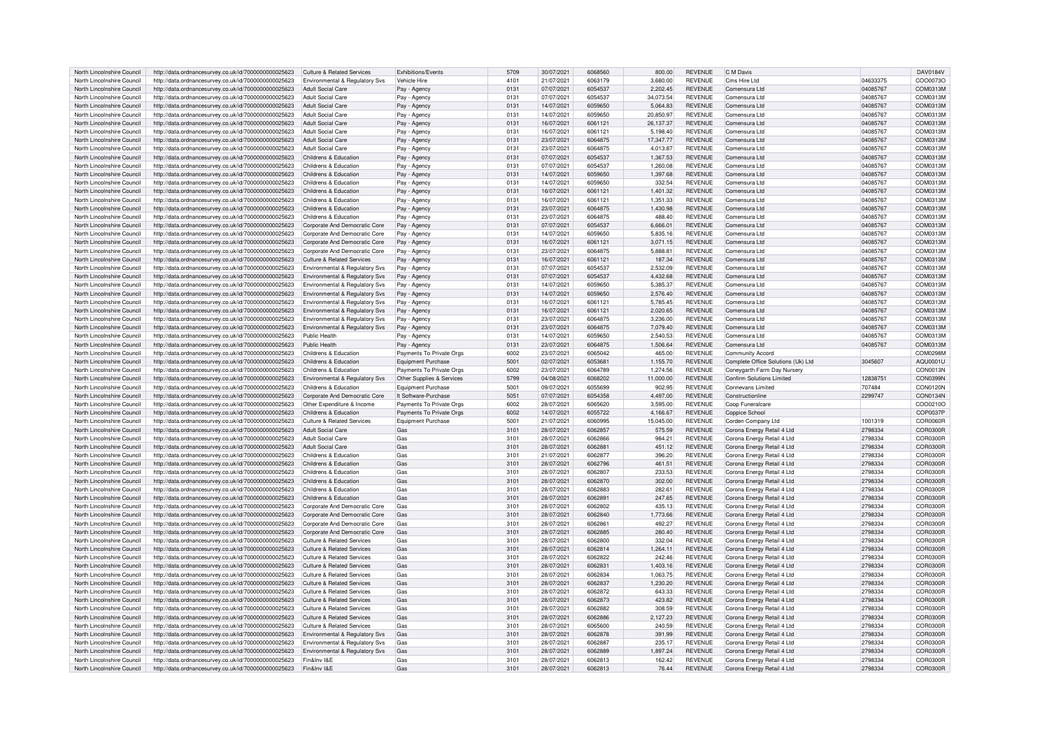| North Lincolnshire Council | http://data.ordnancesurvey.co.uk/id/7000000000025623 | Culture & Related Services            | Exhibitions/Events        | 5709             | 30/07/2021 | 6068560 | 800.00    | <b>REVENUE</b> | C M Davis                          |          | DAV0184V        |
|----------------------------|------------------------------------------------------|---------------------------------------|---------------------------|------------------|------------|---------|-----------|----------------|------------------------------------|----------|-----------------|
| North Lincolnshire Council | http://data.ordnancesurvey.co.uk/id/7000000000025623 | Environmental & Regulatory Svs        | Vehicle Hire              | 4101             | 21/07/2021 | 6063179 | 3,680.00  | <b>REVENUE</b> | Cms Hire Ltd                       | 04633375 | COO0073O        |
|                            |                                                      |                                       |                           |                  |            |         |           |                |                                    |          |                 |
| North Lincolnshire Council | http://data.ordnancesurvey.co.uk/id/7000000000025623 | <b>Adult Social Care</b>              | Pay - Agency              | 0131             | 07/07/2021 | 6054537 | 2,202.45  | <b>REVENUE</b> | Comensura Ltd                      | 04085767 | COM0313M        |
| North Lincolnshire Council | http://data.ordnancesurvey.co.uk/id/7000000000025623 | Adult Social Care                     | Pay - Agency              | 0131             | 07/07/2021 | 6054537 | 34.073.54 | <b>REVENUE</b> | Comensura Ltd                      | 04085767 | COM0313M        |
| North Lincolnshire Council | http://data.ordnancesurvey.co.uk/id/7000000000025623 | Adult Social Care                     | Pay - Agency              | 0131             | 14/07/2021 | 6059650 | 5.064.83  | <b>REVENUE</b> | Comensura Ltd                      | 04085767 | COM0313M        |
| North Lincolnshire Council | http://data.ordnancesurvey.co.uk/id/7000000000025623 | <b>Adult Social Care</b>              | Pay - Agency              | 0131             | 14/07/2021 | 6059650 | 20.850.97 | <b>REVENUE</b> | Comensura Ltd                      | 04085767 | COM0313M        |
| North Lincolnshire Council | http://data.ordnancesurvey.co.uk/id/7000000000025623 | <b>Adult Social Care</b>              | Pay - Agency              | 013 <sup>1</sup> | 16/07/2021 | 606112  | 26.137.37 | <b>REVENUE</b> | Comensura Ltd                      | 04085767 | COM0313M        |
|                            |                                                      |                                       |                           |                  |            |         |           |                |                                    |          |                 |
| North Lincolnshire Council | http://data.ordnancesurvey.co.uk/id/7000000000025623 | <b>Adult Social Care</b>              | Pay - Agency              | 0131             | 16/07/2021 | 606112  | 5,198.40  | <b>REVENUE</b> | Comensura Ltd                      | 04085767 | COM0313M        |
| North Lincolnshire Council | http://data.ordnancesurvey.co.uk/id/7000000000025623 | <b>Adult Social Care</b>              | Pay - Agency              | 0131             | 23/07/2021 | 6064875 | 17.347.77 | <b>REVENUE</b> | Comensura Ltd                      | 04085767 | COM0313M        |
| North Lincolnshire Council | http://data.ordnancesurvey.co.uk/id/7000000000025623 | Adult Social Care                     | Pay - Agency              | 0131             | 23/07/2021 | 606487  | 4,013.87  | <b>REVENUE</b> | Comensura Ltd                      | 04085767 | COM0313M        |
| North Lincolnshire Council | http://data.ordnancesurvey.co.uk/id/7000000000025623 | Childrens & Education                 | Pay - Agency              | 0131             | 07/07/2021 | 6054537 | 1,367.53  | <b>REVENUE</b> | Comensura Ltd                      | 04085767 | COM0313M        |
|                            |                                                      | Childrens & Education                 |                           | 0131             |            | 6054537 |           | <b>REVENUE</b> | Comensura Ltd                      |          | COM0313M        |
| North Lincolnshire Council | http://data.ordnancesurvey.co.uk/id/7000000000025623 |                                       | Pay - Agency              |                  | 07/07/2021 |         | 1,260.08  |                |                                    | 04085767 |                 |
| North Lincolnshire Council | http://data.ordnancesurvey.co.uk/id/7000000000025623 | Childrens & Education                 | Pay - Agency              | 0131             | 14/07/2021 | 6059650 | 1,397.68  | <b>REVENUE</b> | Comensura Ltd                      | 04085767 | COM0313M        |
| North Lincolnshire Council | http://data.ordnancesurvey.co.uk/id/7000000000025623 | Childrens & Education                 | Pay - Agency              | 0131             | 14/07/2021 | 6059650 | 332.54    | <b>REVENUE</b> | Comensura Ltd                      | 04085767 | COM0313M        |
| North Lincolnshire Council | http://data.ordnancesurvey.co.uk/id/7000000000025623 | Childrens & Education                 | Pay - Agency              | 0131             | 16/07/2021 | 6061121 | 1,401.32  | <b>REVENUE</b> | Comensura Ltd                      | 04085767 | COM0313M        |
| North Lincolnshire Council | http://data.ordnancesurvey.co.uk/id/7000000000025623 | Childrens & Education                 | Pay - Agency              | 0131             | 16/07/2021 | 6061121 | 1,351.33  | <b>REVENUE</b> | Comensura Ltd                      | 04085767 | COM0313M        |
|                            |                                                      |                                       |                           |                  |            |         |           |                |                                    |          |                 |
| North Lincolnshire Council | http://data.ordnancesurvey.co.uk/id/7000000000025623 | Childrens & Education                 | Pay - Agency              | 0131             | 23/07/2021 | 6064875 | 1,430.98  | <b>REVENUE</b> | Comensura Ltd                      | 04085767 | COM0313M        |
| North Lincolnshire Council | http://data.ordnancesurvey.co.uk/id/7000000000025623 | Childrens & Education                 | Pay - Agency              | 0131             | 23/07/2021 | 6064875 | 488.40    | <b>REVENUE</b> | Comensura Ltd                      | 04085767 | COM0313M        |
| North Lincolnshire Council | http://data.ordnancesurvey.co.uk/id/7000000000025623 | Corporate And Democratic Core         | Pay - Agency              | 0131             | 07/07/2021 | 6054537 | 6.666.01  | <b>REVENUE</b> | Comensura Ltd                      | 04085767 | COM0313M        |
| North Lincolnshire Council | http://data.ordnancesurvey.co.uk/id/7000000000025623 | Corporate And Democratic Core         | Pay - Agency              | 0131             | 14/07/2021 | 6059650 | 5.835.16  | <b>REVENUE</b> | Comensura Ltd                      | 04085767 | COM0313M        |
|                            |                                                      |                                       |                           |                  |            |         |           |                |                                    |          |                 |
| North Lincolnshire Council | http://data.ordnancesurvey.co.uk/id/7000000000025623 | Corporate And Democratic Core         | Pay - Agency              | 0131             | 16/07/2021 | 606112  | 3,071.15  | <b>REVENUE</b> | Comensura Ltd                      | 04085767 | COM0313M        |
| North Lincolnshire Council | http://data.ordnancesurvey.co.uk/id/7000000000025623 | Corporate And Democratic Core         | Pay - Agency              | 0131             | 23/07/2021 | 606487  | 5,888.81  | <b>REVENUE</b> | Comensura Ltd                      | 04085767 | COM0313M        |
| North Lincolnshire Council | http://data.ordnancesurvey.co.uk/id/7000000000025623 | <b>Culture &amp; Related Services</b> | Pay - Agency              | 0131             | 16/07/2021 | 6061121 | 187.34    | <b>REVENUE</b> | Comensura Ltd                      | 04085767 | COM0313M        |
| North Lincolnshire Council | http://data.ordnancesurvey.co.uk/id/7000000000025623 | Environmental & Regulatory Sys        | Pay - Agency              | 0131             | 07/07/2021 | 6054537 | 2,532.09  | <b>REVENUE</b> | Comensura Ltd                      | 04085767 | COM0313M        |
| North Lincolnshire Council | http://data.ordnancesurvey.co.uk/id/7000000000025623 | Environmental & Regulatory Svs        | Pay<br>- Agenc            | 0131             | 07/07/2021 | 6054537 | 4,432.68  | <b>REVENUE</b> | Comensura Ltd                      | 04085767 | COM0313M        |
|                            |                                                      |                                       |                           |                  |            |         |           |                |                                    |          |                 |
| North Lincolnshire Council | http://data.ordnancesurvey.co.uk/id/7000000000025623 | Environmental & Regulatory Svs        | Pav - Agency              | 0131             | 14/07/2021 | 6059650 | 5,385.37  | <b>REVENUE</b> | Comensura Ltd                      | 04085767 | COM0313M        |
| North Lincolnshire Council | http://data.ordnancesurvey.co.uk/id/7000000000025623 | Environmental & Regulatory Svs        | Pay - Agency              | 0131             | 14/07/2021 | 6059650 | 2,576.40  | <b>REVENUE</b> | Comensura Ltd                      | 04085767 | COM0313M        |
| North Lincolnshire Council | http://data.ordnancesurvey.co.uk/id/7000000000025623 | Environmental & Regulatory Svs        | Pay - Agency              | 0131             | 16/07/2021 | 606112  | 5,785.45  | <b>REVENUE</b> | Comensura Ltd                      | 04085767 | COM0313M        |
| North Lincolnshire Council | http://data.ordnancesurvey.co.uk/id/7000000000025623 | Environmental & Regulatory Svs        | Pay - Agency              | 0131             | 16/07/2021 | 606112  | 2.020.65  | <b>REVENUE</b> | Comensura Ltd                      | 04085767 | COM0313N        |
|                            |                                                      |                                       |                           |                  |            | 606487  |           | <b>REVENUE</b> | Comensura Ltd                      |          | COM0313M        |
| North Lincolnshire Council | http://data.ordnancesurvey.co.uk/id/7000000000025623 | Environmental & Regulatory Svs        | Pay - Agency              | 0131             | 23/07/2021 |         | 3,236.00  |                |                                    | 04085767 |                 |
| North Lincolnshire Council | http://data.ordnancesurvey.co.uk/id/7000000000025623 | Environmental & Regulatory Svs        | Pay - Agency              | 0131             | 23/07/2021 | 6064875 | 7,079.40  | <b>REVENUE</b> | Comensura Ltd                      | 04085767 | COM0313M        |
| North Lincolnshire Council | http://data.ordnancesurvey.co.uk/id/7000000000025623 | Public Health                         | Pay - Agency              | 0131             | 14/07/2021 | 6059650 | 2.540.53  | <b>REVENUE</b> | Comensura Ltd                      | 04085767 | COM0313M        |
| North Lincolnshire Council | http://data.ordnancesurvey.co.uk/id/7000000000025623 | Public Health                         | Pay - Agency              | 0131             | 23/07/2021 | 6064875 | 1,506.64  | <b>REVENUE</b> | Comensura Ltd                      | 04085767 | COM0313M        |
| North Lincolnshire Council | http://data.ordnancesurvey.co.uk/id/7000000000025623 | Childrens & Education                 | Payments To Private Orgs  | 6002             | 23/07/2021 | 6065042 | 465.00    | <b>REVENUE</b> | <b>Community Accord</b>            |          | COM0298M        |
|                            |                                                      |                                       |                           |                  |            |         |           |                |                                    |          |                 |
| North Lincolnshire Council | http://data.ordnancesurvey.co.uk/id/7000000000025623 | Childrens & Education                 | <b>Equipment Purchase</b> | 5001             | 02/07/2021 | 605368  | 1,155.70  | <b>REVENUE</b> | Complete Office Solutions (Uk) Ltd | 3045607  | AQU0001L        |
| North Lincolnshire Council | http://data.ordnancesurvey.co.uk/id/7000000000025623 | Childrens & Education                 | Payments To Private Orgs  | 6002             | 23/07/2021 | 6064789 | 1,274.56  | <b>REVENUE</b> | Coneygarth Farm Day Nursery        |          | CON0013N        |
| North Lincolnshire Council | http://data.ordnancesurvey.co.uk/id/7000000000025623 | Environmental & Regulatory Sys        | Other Supplies & Services | 5799             | 04/08/2021 | 6068202 | 11,000.00 | <b>REVENUE</b> | Confirm Solutions Limited          | 12838751 | CON0399N        |
| North Lincolnshire Council | http://data.ordnancesurvey.co.uk/id/7000000000025623 | Childrens & Education                 | Foujoment Purchase        | 5001             | 09/07/2021 | 6055699 | 902.95    | <b>REVENUE</b> | Connevans Limited                  | 707484   | CON0120N        |
| North Lincolnshire Council | http://data.ordnancesurvey.co.uk/id/7000000000025623 | Corporate And Democratic Core         | It Software-Purchase      | 5051             | 07/07/2021 | 6054358 | 4,497.00  | <b>REVENUE</b> | Constructionline                   | 2299747  | CON0134N        |
|                            |                                                      |                                       |                           |                  |            |         |           |                |                                    |          |                 |
| North Lincolnshire Council | http://data.ordnancesurvey.co.uk/id/7000000000025623 | Other Expenditure & Income            | Payments To Private Orgs  | 6002             | 28/07/2021 | 6065620 | 3,595.00  | <b>REVENUE</b> | Coop Funeralcare                   |          | COO0210C        |
| North Lincolnshire Council | http://data.ordnancesurvey.co.uk/id/7000000000025623 | Childrens & Education                 | Payments To Private Orgs  | 6002             | 14/07/2021 | 6055722 | 4,166.67  | <b>REVENUE</b> | Coppice School                     |          | COP0037F        |
| North Lincolnshire Council | http://data.ordnancesurvey.co.uk/id/7000000000025623 | <b>Culture &amp; Related Services</b> | <b>Foujoment Purchase</b> | 5001             | 21/07/2021 | 6060995 | 15.045.00 | <b>REVENUE</b> | Corden Company Ltd                 | 1001319  | COR0060F        |
| North Lincolnshire Council | http://data.ordnancesurvey.co.uk/id/7000000000025623 | <b>Adult Social Care</b>              | Gas                       | 3101             | 28/07/2021 | 6062857 | 575.59    | <b>REVENUE</b> | Corona Energy Retail 4 Ltd         | 2798334  | COR0300E        |
|                            |                                                      |                                       |                           |                  |            | 6062866 |           |                |                                    |          |                 |
| North Lincolnshire Council | http://data.ordnancesurvey.co.uk/id/7000000000025623 | <b>Adult Social Care</b>              | Gas                       | 3101             | 28/07/2021 |         | 984.21    | <b>REVENUE</b> | Corona Energy Retail 4 Ltd         | 2798334  | COR0300F        |
| North Lincolnshire Council | http://data.ordnancesurvey.co.uk/id/7000000000025623 | <b>Adult Social Care</b>              | Gas                       | 3101             | 28/07/2021 | 606288  | 451.12    | <b>REVENUE</b> | Corona Energy Retail 4 Ltd         | 2798334  | <b>COR0300F</b> |
| North Lincolnshire Council | http://data.ordnancesurvey.co.uk/id/7000000000025623 | Childrens & Education                 | Gas                       | 3101             | 21/07/2021 | 6062877 | 396.20    | <b>REVENUE</b> | Corona Energy Retail 4 Ltd         | 2798334  | <b>COR0300F</b> |
| North Lincolnshire Council | http://data.ordnancesurvey.co.uk/id/7000000000025623 | Childrens & Education                 | Gas                       | 3101             | 28/07/2021 | 6062796 | 461.51    | <b>REVENUE</b> | Corona Energy Retail 4 Ltd         | 2798334  | <b>COR0300F</b> |
| North Lincolnshire Council | http://data.ordnancesurvey.co.uk/id/7000000000025623 | Childrens & Education                 | Gas                       | 3101             | 28/07/2021 | 6062807 | 233.53    | <b>REVENUE</b> | Corona Energy Retail 4 Ltd         | 2798334  | COR0300F        |
|                            |                                                      |                                       |                           |                  |            |         |           |                |                                    |          |                 |
| North Lincolnshire Council | http://data.ordnancesurvey.co.uk/id/7000000000025623 | Childrens & Education                 | Gas                       | 3101             | 28/07/2021 | 6062870 | 302.00    | <b>REVENUE</b> | Corona Energy Retail 4 Ltd         | 2798334  | <b>COR0300F</b> |
| North Lincolnshire Council | http://data.ordnancesurvey.co.uk/id/7000000000025623 | Childrens & Education                 | Gas                       | 3101             | 28/07/2021 | 6062883 | 282.61    | <b>REVENUE</b> | Corona Energy Retail 4 Ltd         | 2798334  | COR0300F        |
| North Lincolnshire Council | http://data.ordnancesurvey.co.uk/id/7000000000025623 | Childrens & Education                 | Gas                       | 3101             | 28/07/2021 | 6062891 | 247.65    | <b>REVENUE</b> | Corona Energy Retail 4 Ltd         | 2798334  | <b>COR0300F</b> |
| North Lincolnshire Council | http://data.ordnancesurvey.co.uk/id/7000000000025623 | Corporate And Democratic Core         | Gas                       | 3101             | 28/07/2021 | 6062802 | 435.13    | <b>REVENUE</b> | Corona Energy Retail 4 Ltd         | 2798334  | COR0300R        |
| North Lincolnshire Council | http://data.ordnancesurvey.co.uk/id/7000000000025623 | Corporate And Democratic Core         | Gas                       | 3101             | 28/07/2021 | 6062840 | 1,773.66  | <b>REVENUE</b> | Corona Energy Retail 4 Ltd         | 2798334  | <b>COR0300F</b> |
|                            |                                                      |                                       |                           |                  |            |         |           |                |                                    |          |                 |
| North Lincolnshire Council | http://data.ordnancesurvey.co.uk/id/7000000000025623 | Corporate And Democratic Core         | Gas                       | 3101             | 28/07/2021 | 606286  | 492.27    | <b>REVENUE</b> | Corona Energy Retail 4 Ltd         | 2798334  | COR0300F        |
| North Lincolnshire Council | http://data.ordnancesurvey.co.uk/id/7000000000025623 | Corporate And Democratic Core         | Gas                       | 3101             | 28/07/2021 | 6062885 | 280.40    | <b>REVENUE</b> | Corona Energy Retail 4 Ltd         | 2798334  | <b>COR0300F</b> |
| North Lincolnshire Council |                                                      |                                       |                           |                  | 28/07/2021 | 6062800 |           | <b>REVENUE</b> | Corona Energy Retail 4 Ltd         | 2798334  | <b>COR0300F</b> |
| North Lincolnshire Council | http://data.ordnancesurvey.co.uk/id/7000000000025623 | <b>Culture &amp; Related Services</b> | Gas                       | 3101             |            |         | 332.04    |                |                                    |          |                 |
| North Lincolnshire Council |                                                      | Culture & Related Services            | Gas                       |                  |            | 6062814 |           | <b>REVENUE</b> |                                    |          | COR0300E        |
|                            | http://data.ordnancesurvey.co.uk/id/7000000000025623 |                                       |                           | 3101             | 28/07/2021 |         | 1,264.11  |                | Corona Energy Retail 4 Ltd         | 2798334  |                 |
|                            | http://data.ordnancesurvey.co.uk/id/7000000000025623 | <b>Culture &amp; Related Services</b> | Gas                       | 3101             | 28/07/2021 | 6062822 | 242.46    | <b>REVENUE</b> | Corona Energy Retail 4 Ltd         | 2798334  | COR0300F        |
| North Lincolnshire Council | http://data.ordnancesurvey.co.uk/id/7000000000025623 | <b>Culture &amp; Related Services</b> | Gas                       | 3101             | 28/07/2021 | 6062831 | 1,403.16  | <b>REVENUE</b> | Corona Energy Retail 4 Ltd         | 2798334  | COR0300F        |
| North Lincolnshire Council | http://data.ordnancesurvey.co.uk/id/7000000000025623 | <b>Culture &amp; Related Services</b> | Gas                       | 3101             | 28/07/2021 | 6062834 | 1.063.75  | <b>REVENUE</b> | Corona Energy Retail 4 Ltd         | 2798334  | COR0300F        |
| North Lincolnshire Council | http://data.ordnancesurvey.co.uk/id/7000000000025623 | Culture & Related Services            | Gas                       | 3101             | 28/07/2021 | 6062837 | 1.230.20  | <b>REVENUE</b> | Corona Energy Retail 4 Ltd         | 2798334  | COR0300F        |
|                            |                                                      |                                       |                           |                  |            |         |           |                |                                    |          |                 |
| North Lincolnshire Council | http://data.ordnancesurvey.co.uk/id/7000000000025623 | Culture & Related Services            | Gas                       | 3101             | 28/07/2021 | 6062872 | 643.33    | <b>REVENUE</b> | Corona Energy Retail 4 Ltd         | 2798334  | COR0300F        |
| North Lincolnshire Council | http://data.ordnancesurvey.co.uk/id/7000000000025623 | Culture & Related Services            | Gas                       | 3101             | 28/07/2021 | 6062873 | 423.82    | <b>REVENUE</b> | Corona Energy Retail 4 Ltd         | 2798334  | COR0300F        |
| North Lincolnshire Council | http://data.ordnancesurvey.co.uk/id/7000000000025623 | Culture & Related Services            | Gas                       | 3101             | 28/07/2021 | 6062882 | 308.59    | <b>REVENUE</b> | Corona Energy Retail 4 Ltd         | 2798334  | COR0300F        |
| North Lincolnshire Council | http://data.ordnancesurvey.co.uk/id/7000000000025623 | <b>Culture &amp; Related Services</b> | Gas                       | 3101             | 28/07/2021 | 6062886 | 2,127.23  | <b>REVENUE</b> | Corona Energy Retail 4 Ltd         | 2798334  | <b>COR0300F</b> |
| North Lincolnshire Council | http://data.ordnancesurvey.co.uk/id/7000000000025623 | Culture & Related Services            | Gas                       | 3101             | 28/07/2021 | 6065600 | 240.59    | <b>REVENUE</b> |                                    | 2798334  | <b>COR0300F</b> |
|                            |                                                      |                                       |                           |                  |            | 6062878 |           |                | Corona Energy Retail 4 Ltd         |          | COR0300E        |
| North Lincolnshire Council | http://data.ordnancesurvey.co.uk/id/7000000000025623 | Environmental & Regulatory Svs        | Gas                       | 3101             | 28/07/2021 |         | 391.99    | <b>REVENUE</b> | Corona Energy Retail 4 Ltd         | 2798334  |                 |
| North Lincolnshire Council | http://data.ordnancesurvey.co.uk/id/7000000000025623 | Environmental & Regulatory Svs        | Gas                       | 3101             | 28/07/2021 | 6062887 | 235.17    | <b>REVENUE</b> | Corona Energy Retail 4 Ltd         | 2798334  | COR0300F        |
| North Lincolnshire Council | http://data.ordnancesurvey.co.uk/id/7000000000025623 | Environmental & Regulatory Svs        | Gas                       | 3101             | 28/07/2021 | 6062889 | 1,897.24  | <b>REVENUE</b> | Corona Energy Retail 4 Ltd         | 2798334  | <b>COR0300F</b> |
| North Lincolnshire Council | http://data.ordnancesurvey.co.uk/id/7000000000025623 | Fin&Inv I&F                           | Gas                       | 3101             | 28/07/2021 | 6062813 | 162.42    | <b>REVENUE</b> | Corona Energy Retail 4 Ltd         | 2798334  | COR0300R        |
| North Lincolnshire Council | http://data.ordnancesurvey.co.uk/id/7000000000025623 | Fin&Inv I&F                           | Gas                       | 3101             | 28/07/2021 | 6062813 | 76.44     | <b>REVENUE</b> | Corona Energy Retail 4 Ltd         | 2798334  | COR0300R        |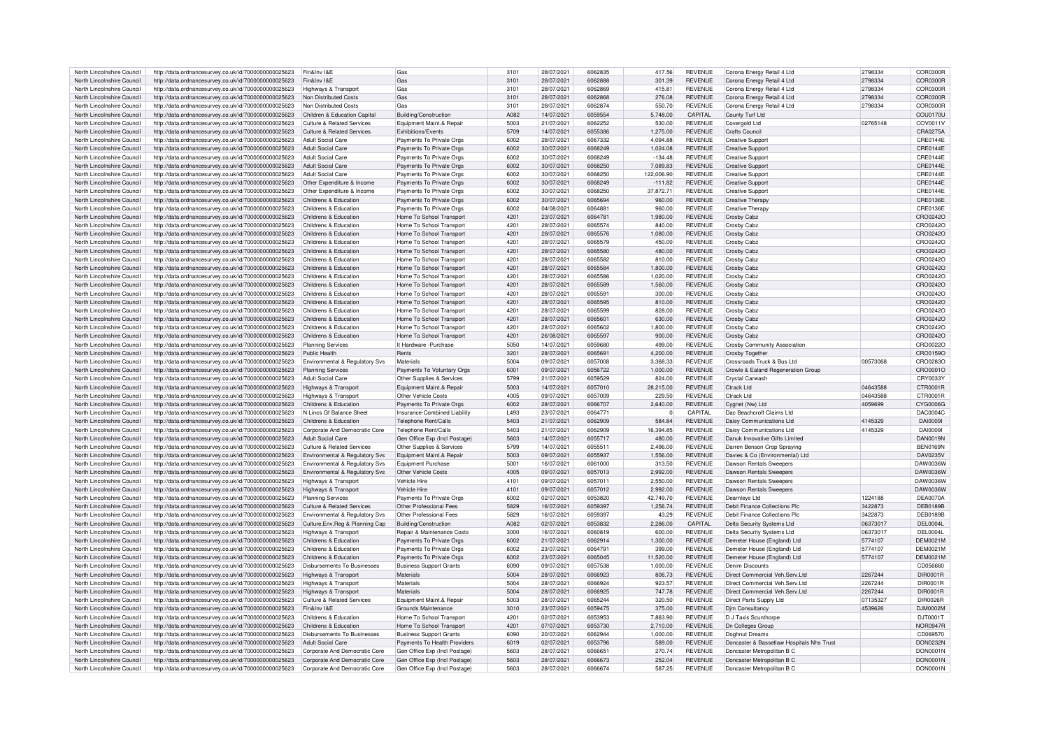| North Lincolnshire Council | http://data.ordnancesurvey.co.uk/id/7000000000025623 | Fin&Inv I&F                           | Gas                                   | 3101 | 28/07/2021 | 6062835        | 417.56     | <b>REVENUE</b> | Corona Energy Retail 4 Ltd                | 2798334  | COR0300R        |
|----------------------------|------------------------------------------------------|---------------------------------------|---------------------------------------|------|------------|----------------|------------|----------------|-------------------------------------------|----------|-----------------|
|                            |                                                      |                                       |                                       |      |            |                |            |                |                                           |          |                 |
| North Lincolnshire Council | http://data.ordnancesurvey.co.uk/id/7000000000025623 | Fin&Inv I&E                           | Gas                                   | 3101 | 28/07/2021 | <b>6062888</b> | 301.39     | <b>REVENUE</b> | Corona Energy Retail 4 Ltd                | 2798334  | COR0300R        |
| North Lincolnshire Council | http://data.ordnancesurvey.co.uk/id/7000000000025623 | Highways & Transport                  | Gas                                   | 3101 | 28/07/2021 | 6062869        | 415.81     | <b>REVENUE</b> | Corona Energy Retail 4 Ltd                | 2798334  | COR0300R        |
|                            |                                                      |                                       |                                       |      |            |                |            |                |                                           |          |                 |
| North Lincolnshire Council | http://data.ordnancesurvey.co.uk/id/7000000000025623 | Non Distributed Costs                 | Gas                                   | 3101 | 28/07/2021 | 6062868        | 276.08     | <b>REVENUE</b> | Corona Energy Retail 4 Ltd                | 2798334  | COR0300R        |
| North Lincolnshire Council | http://data.ordnancesurvey.co.uk/id/7000000000025623 | Non Distributed Costs                 | Gas                                   | 3101 | 28/07/2021 | 6062874        | 550.70     | <b>REVENUE</b> | Corona Energy Retail 4 Ltd                | 2798334  | COR0300R        |
| North Lincolnshire Council | http://data.ordnancesurvey.co.uk/id/7000000000025623 | Children & Education Capita           | Building/Construction                 | A082 | 14/07/2021 | 6059554        | 5.748.00   | CAPITAL        | County Turf Ltd                           |          | <b>COU0170U</b> |
|                            |                                                      |                                       |                                       |      |            |                |            |                |                                           |          |                 |
| North Lincolnshire Council | http://data.ordnancesurvey.co.uk/id/7000000000025623 | Culture & Related Services            | Foujnment Maint & Renair              | 5003 | 21/07/2021 | 6062252        | 530.00     | <b>REVENUE</b> | Covergold Ltd                             | 02765148 | COV0011V        |
| North Lincolnshire Council | http://data.ordnancesurvey.co.uk/id/7000000000025623 | Culture & Related Services            | <b>Exhibitions/Events</b>             | 5709 | 14/07/2021 | 6055386        | 1.275.00   | <b>REVENUE</b> | Crafts Council                            |          | CRA0275A        |
|                            |                                                      |                                       |                                       |      |            |                |            |                |                                           |          |                 |
| North Lincolnshire Council | http://data.ordnancesurvey.co.uk/id/7000000000025623 | Adult Social Care                     | Payments To Private Orgs              | 6002 | 28/07/2021 | 6067332        | 4.094.88   | REVENUE        | Creative Suppor                           |          | CRE0144E        |
| North Lincolnshire Council | http://data.ordnancesurvey.co.uk/id/7000000000025623 | Adult Social Care                     | Payments To Private Orgs              | 6002 | 30/07/2021 | 6068249        | 1,024.08   | <b>REVENUE</b> | Creative Support                          |          | CRE0144E        |
|                            |                                                      | Adult Social Care                     |                                       |      |            | 6068249        |            |                |                                           |          |                 |
| North Lincolnshire Council | http://data.ordnancesurvey.co.uk/id/7000000000025623 |                                       | Payments To Private Orgs              | 6002 | 30/07/2021 |                | $-134.48$  | <b>REVENUE</b> | <b>Creative Support</b>                   |          | CRE0144E        |
| North Lincolnshire Council | http://data.ordnancesurvey.co.uk/id/7000000000025623 | Adult Social Care                     | Payments To Private Orgs              | 6002 | 30/07/2021 | 6068250        | 7.089.83   | <b>REVENUE</b> | <b>Creative Support</b>                   |          | CRE0144E        |
| North Lincolnshire Council | http://data.ordnancesurvey.co.uk/id/7000000000025623 | Adult Social Care                     | Payments To Private Orgs              | 6002 | 30/07/2021 | 6068250        | 122.006.90 | <b>REVENUE</b> | <b>Creative Support</b>                   |          | CRE0144E        |
|                            |                                                      |                                       |                                       |      |            |                |            |                |                                           |          |                 |
| North Lincolnshire Council | http://data.ordnancesurvey.co.uk/id/7000000000025623 | Other Expenditure & Income            | Payments To Private Orgs              | 6002 | 30/07/2021 | 6068249        | $-111.82$  | <b>REVENUE</b> | <b>Creative Support</b>                   |          | CRE0144E        |
| North Lincolnshire Council | http://data.ordnancesurvey.co.uk/id/7000000000025623 | Other Expenditure & Income            | Payments To Private Orgs              | 6002 | 30/07/2021 | 6068250        | 37,872.71  | REVENUE        | <b>Creative Support</b>                   |          | CRE0144E        |
|                            |                                                      |                                       |                                       |      |            |                |            |                |                                           |          |                 |
| North Lincolnshire Council | http://data.ordnancesurvey.co.uk/id/7000000000025623 | Childrens & Education                 | Payments To Private Orgs              | 6002 | 30/07/2021 | 6065694        | 960.00     | <b>REVENUE</b> | Creative Therapy                          |          | CRE0136E        |
| North Lincolnshire Council | http://data.ordnancesurvey.co.uk/id/7000000000025623 | Childrens & Education                 | Payments To Private Orgs              | 6002 | 04/08/2021 | 6064881        | 960.00     | <b>REVENUE</b> | Creative Therapy                          |          | CRE0136E        |
| North Lincolnshire Council | http://data.ordnancesurvey.co.uk/id/7000000000025623 | Childrens & Education                 | Home To School Transport              | 4201 | 23/07/2021 | 6064781        | 1.980.00   | <b>REVENUE</b> | Crosby Cabz                               |          | CRO0242O        |
|                            |                                                      |                                       |                                       |      |            |                |            |                |                                           |          |                 |
| North Lincolnshire Council | http://data.ordnancesurvey.co.uk/id/7000000000025623 | Childrens & Education                 | Home To School Transport              | 4201 | 28/07/2021 | 6065574        | 840.00     | <b>REVENUE</b> | Crosby Cabz                               |          | CRO0242O        |
| North Lincolnshire Council | http://data.ordnancesurvey.co.uk/id/7000000000025623 | Childrens & Education                 | Home To School Transport              | 4201 | 28/07/2021 | 6065576        | 1,080.00   | <b>REVENUE</b> | Crosby Cabz                               |          | CRO0242C        |
|                            |                                                      |                                       |                                       |      |            |                |            |                |                                           |          |                 |
| North Lincolnshire Council | http://data.ordnancesurvey.co.uk/id/7000000000025623 | Childrens & Education                 | Home To School Transport              | 4201 | 28/07/2021 | 6065579        | 450.00     | REVENUE        | Crosby Cabz                               |          | CRO0242C        |
| North Lincolnshire Council | http://data.ordnancesurvey.co.uk/id/7000000000025623 | Childrens & Education                 | Home To School Transport              | 4201 | 28/07/2021 | 6065580        | 480.00     | <b>REVENUE</b> | Crosby Cabz                               |          | CRO0242O        |
|                            |                                                      |                                       |                                       |      |            |                |            |                |                                           |          |                 |
| North Lincolnshire Council | http://data.ordnancesurvey.co.uk/id/7000000000025623 | Childrens & Education                 | Home To School Transport              | 4201 | 28/07/2021 | 6065582        | 810.00     | <b>REVENUE</b> | Crosby Cabz                               |          | CRO0242O        |
| North Lincolnshire Council | http://data.ordnancesurvey.co.uk/id/7000000000025623 | Childrens & Education                 | Home To School Transport              | 4201 | 28/07/2021 | 6065584        | 1,800.00   | <b>REVENUE</b> | Crosby Cabz                               |          | CRO0242C        |
| North Lincolnshire Council | http://data.ordnancesurvey.co.uk/id/7000000000025623 | Childrens & Education                 | Home To School Transport              | 4201 | 28/07/2021 | 6065586        | 1,020.00   | <b>REVENUE</b> | Crosby Cabz                               |          | CRO0242C        |
|                            |                                                      |                                       |                                       |      |            |                |            |                |                                           |          |                 |
| North Lincolnshire Council | http://data.ordnancesurvey.co.uk/id/7000000000025623 | Childrens & Education                 | Home To School Transport              | 4201 | 28/07/2021 | 6065589        | 1.560.00   | <b>REVENUE</b> | Crosby Cabz                               |          | CRO02420        |
| North Lincolnshire Council | http://data.ordnancesurvey.co.uk/id/7000000000025623 | Childrens & Education                 | Home To School Transport              | 4201 | 28/07/2021 | 606559         | 300.00     | <b>REVENUE</b> | Crosby Cabz                               |          | CRO0242O        |
|                            |                                                      |                                       |                                       |      |            |                |            |                |                                           |          |                 |
| North Lincolnshire Council | http://data.ordnancesurvey.co.uk/id/7000000000025623 | Childrens & Education                 | Home To School Transport              | 4201 | 28/07/2021 | 6065595        | 810.00     | <b>REVENUE</b> | Crosby Cabz                               |          | CRO0242O        |
| North Lincolnshire Council | http://data.ordnancesurvey.co.uk/id/7000000000025623 | Childrens & Education                 | Home To School Transport              | 4201 | 28/07/2021 | 6065599        | 828.00     | <b>REVENUE</b> | Crosby Cabz                               |          | CRO0242O        |
|                            |                                                      |                                       |                                       |      |            |                |            |                |                                           |          |                 |
| North Lincolnshire Council | http://data.ordnancesurvey.co.uk/id/7000000000025623 | Childrens & Education                 | Home To School Transport              | 4201 | 28/07/2021 | 6065601        | 630.00     | <b>REVENUE</b> | Crosby Cabz                               |          | CRO0242O        |
| North Lincolnshire Council | http://data.ordnancesurvey.co.uk/id/7000000000025623 | Childrens & Education                 | Home To School Transport              | 4201 | 28/07/2021 | 6065602        | 1.800.00   | <b>REVENUE</b> | Crosby Cabz                               |          | CRO0242O        |
| North Lincolnshire Council | http://data.ordnancesurvey.co.uk/id/7000000000025623 | Childrens & Education                 | Home To School Transport              | 4201 | 26/08/2021 | 6065597        | 900.00     | <b>REVENUE</b> | Crosby Cabz                               |          | CRO0242O        |
|                            |                                                      |                                       |                                       |      |            |                |            |                |                                           |          |                 |
| North Lincolnshire Council | http://data.ordnancesurvey.co.uk/id/7000000000025623 | <b>Planning Services</b>              | It Hardware - Purchase                | 5050 | 14/07/2021 | 6059680        | 499.00     | <b>REVENUE</b> | Crosby Community Association              |          | CRO0022O        |
| North Lincolnshire Council | http://data.ordnancesurvey.co.uk/id/7000000000025623 | Public Health                         | Rents                                 | 3201 | 28/07/2021 | 6065691        | 4,200.00   | <b>REVENUE</b> | Crosby Together                           |          | CRO0159O        |
|                            |                                                      |                                       |                                       |      |            |                |            |                |                                           |          |                 |
| North Lincolnshire Council | http://data.ordnancesurvey.co.uk/id/7000000000025623 | Environmental & Regulatory Svs        | Materials                             | 5004 | 09/07/2021 | 6057008        | 3,368.33   | REVENUE        | Crossroads Truck & Bus Ltd                | 00573068 | CRO0283O        |
| North Lincolnshire Council | http://data.ordnancesurvey.co.uk/id/7000000000025623 | <b>Planning Services</b>              | Payments To Voluntary Orgs            | 6001 | 09/07/2021 | 6056722        | 1,000.00   | <b>REVENUE</b> | Crowle & Ealand Regeneration Group        |          | CRO0001O        |
|                            |                                                      |                                       |                                       |      |            |                |            |                |                                           |          |                 |
| North Lincolnshire Council | http://data.ordnancesurvey.co.uk/id/7000000000025623 | <b>Adult Social Care</b>              | Other Supplies & Services             | 5799 | 21/07/2021 | 6059529        | 824.00     | <b>REVENUE</b> | Crystal Carwash                           |          | CRY0033Y        |
| North Lincolnshire Council | http://data.ordnancesurvey.co.uk/id/7000000000025623 | Highways & Transport                  | Equipment Maint.& Repair              | 5003 | 14/07/2021 | 6057010        | 28,215.00  | <b>REVENUE</b> | Ctrack Ltd                                | 04643588 | CTR0001R        |
| North Lincolnshire Council |                                                      |                                       | Other Vehicle Costs                   | 4005 | 09/07/2021 | 6057009        | 229.50     | <b>REVENUE</b> | Ctrack Ltd                                | 04643588 | CTR0001R        |
|                            | http://data.ordnancesurvey.co.uk/id/7000000000025623 | Highways & Transpor                   |                                       |      |            |                |            |                |                                           |          |                 |
| North Lincolnshire Council | http://data.ordnancesurvey.co.uk/id/7000000000025623 | Childrens & Education                 | Payments To Private Orgs              | 6002 | 28/07/2021 | 6066707        | 2,640.00   | <b>REVENUE</b> | Cygnet (Nw) Ltd                           | 4059699  | CYG0006G        |
| North Lincolnshire Council | http://data.ordnancesurvey.co.uk/id/7000000000025623 | N Lincs Gf Balance Sheet              | Insurance-Combined Liabilit           | 1493 | 23/07/2021 | 6064771        | $\Omega$   | CAPITAL        | Dac Beachcroft Claims Ltd                 |          | <b>DAC0004C</b> |
|                            |                                                      |                                       |                                       |      |            |                |            |                |                                           |          |                 |
| North Lincolnshire Council | http://data.ordnancesurvey.co.uk/id/7000000000025623 | Childrens & Education                 | Telephone Rent/Calls                  | 5403 | 21/07/2021 | 6062909        | 584.84     | <b>REVENUE</b> | Daisy Communications Ltd                  | 4145329  | DAI00091        |
|                            |                                                      | Corporate And Democratic Core         | Telephone Rent/Calls                  | 5403 | 21/07/2021 | 6062909        | 16.394.85  | <b>REVENUE</b> | Daisy Communications Ltd                  | 4145329  | DAI00091        |
|                            |                                                      |                                       |                                       |      |            |                |            |                |                                           |          |                 |
| North Lincolnshire Council | http://data.ordnancesurvey.co.uk/id/7000000000025623 |                                       |                                       |      |            |                |            |                | Danuk Innovative Gifts Limited            |          |                 |
| North Lincolnshire Council | http://data.ordnancesurvey.co.uk/id/7000000000025623 | <b>Adult Social Care</b>              | Gen Office Exp (Incl Postage)         | 5603 | 14/07/2021 | 6055717        | 480.00     | <b>REVENUE</b> |                                           |          | <b>DAN0019N</b> |
|                            |                                                      |                                       |                                       |      |            |                |            |                |                                           |          |                 |
| North Lincolnshire Council | http://data.ordnancesurvey.co.uk/id/7000000000025623 | <b>Culture &amp; Related Services</b> | Other Supplies & Services             | 5799 | 14/07/2021 | 6055511        | 2,496.00   | <b>REVENUE</b> | Darren Benson Crop Spraying               |          | <b>BEN0169N</b> |
| North Lincolnshire Council | http://data.ordnancesurvey.co.uk/id/7000000000025623 | Environmental & Regulatory Svs        | Foujoment Maint & Repai               | 5003 | 09/07/2021 | 6055937        | 1.556.00   | <b>REVENUE</b> | Davies & Co (Environmental) Ltd           |          | DAV0235V        |
| North Lincolnshire Council | http://data.ordnancesurvey.co.uk/id/7000000000025623 | Environmental & Regulatory Svs        | <b>Equipment Purchase</b>             | 5001 | 16/07/2021 | 6061000        | 313.50     | <b>REVENUE</b> | Dawson Rentals Sweepers                   |          | DAW0036W        |
|                            |                                                      |                                       |                                       |      |            |                |            |                |                                           |          |                 |
| North Lincolnshire Council | http://data.ordnancesurvey.co.uk/id/7000000000025623 | Environmental & Regulatory Sys        | Other Vehicle Costs                   | 4005 | 09/07/2021 | 6057013        | 2.992.00   | <b>REVENUE</b> | <b>Dawson Rentals Sweepers</b>            |          | DAW0036W        |
| North Lincolnshire Council | http://data.ordnancesurvey.co.uk/id/7000000000025623 | Highways & Transport                  | Vehicle Hire                          | 4101 | 09/07/2021 | 605701         | 2,550.00   | <b>REVENUE</b> | Dawson Rentals Sweepers                   |          | DAW0036W        |
|                            |                                                      |                                       |                                       |      |            |                |            |                |                                           |          |                 |
| North Lincolnshire Council | http://data.ordnancesurvey.co.uk/id/7000000000025623 | Highways & Transport                  | Vehicle Hire                          | 4101 | 09/07/2021 | 6057012        | 2,992.00   | <b>REVENUE</b> | Dawson Rentals Sweepers                   |          | DAW0036W        |
| North Lincolnshire Council | http://data.ordnancesurvey.co.uk/id/7000000000025623 | <b>Planning Services</b>              | Payments To Private Orgs              | 6002 | 02/07/2021 | 6053820        | 42,749.70  | <b>REVENUE</b> | Dearnleys Ltd                             | 1224188  | <b>DEA0070A</b> |
| North Lincolnshire Council | http://data.ordnancesurvey.co.uk/id/7000000000025623 | Culture & Related Services            | Other Professional Fees               | 5829 | 16/07/2021 | 6059397        | 1.256.74   | <b>REVENUE</b> | Debit Finance Collections Plc             | 3422873  | <b>DEB0189B</b> |
|                            |                                                      |                                       |                                       |      |            |                |            |                |                                           |          |                 |
| North Lincolnshire Council | http://data.ordnancesurvey.co.uk/id/7000000000025623 | Environmental & Regulatory Svs        | Other Professional Fees               | 5829 | 16/07/2021 | 6059397        | 43.29      | <b>REVENUE</b> | Debit Finance Collections Plc             | 3422873  | <b>DEB0189B</b> |
| North Lincolnshire Council | http://data.ordnancesurvey.co.uk/id/7000000000025623 | Culture, Env, Reg & Planning Cap      | Building/Construction                 | A082 | 02/07/2021 | 6053832        | 2.286.00   | CAPITAL        | Delta Security Systems Ltd                | 06373017 | DEL0004L        |
|                            |                                                      |                                       |                                       |      |            | 6060819        |            |                |                                           |          |                 |
| North Lincolnshire Council | http://data.ordnancesurvey.co.uk/id/7000000000025623 | Highways & Transport                  | <b>Repair &amp; Maintenance Costs</b> | 3000 | 16/07/2021 |                | 600.00     | <b>REVENUE</b> | Delta Security Systems Ltd                | 06373017 | DFI 0004L       |
| North Lincolnshire Council | http://data.ordnancesurvey.co.uk/id/7000000000025623 | Childrens & Education                 | Payments To Private Orgs              | 6002 | 21/07/2021 | 6062914        | 1,300.00   | <b>REVENUE</b> | Demeter House (England) Ltd               | 5774107  | <b>DEM0021M</b> |
|                            |                                                      |                                       |                                       | 6002 |            | 6064791        |            |                |                                           |          |                 |
| North Lincolnshire Council | http://data.ordnancesurvey.co.uk/id/7000000000025623 | Childrens & Education                 | Payments To Private Orgs              |      | 23/07/2021 |                | 399.00     | <b>REVENUE</b> | Demeter House (England) Ltd               | 5774107  | DEM0021M        |
| North Lincolnshire Council | http://data.ordnancesurvey.co.uk/id/7000000000025623 | Childrens & Education                 | Payments To Private Orgs              | 6002 | 23/07/2021 | 6065045        | 11,520.00  | <b>REVENUE</b> | Demeter House (England) Ltd               | 5774107  | <b>DEM0021M</b> |
| North Lincolnshire Council |                                                      | Disbursements To Businesses           | <b>Business Support Grants</b>        | 6090 | 09/07/2021 | 6057538        | 1.000.00   | <b>REVENUE</b> | Denim Discounts                           |          | CD056660        |
|                            | http://data.ordnancesurvey.co.uk/id/7000000000025623 |                                       |                                       |      |            |                |            |                |                                           |          |                 |
| North Lincolnshire Council | http://data.ordnancesurvey.co.uk/id/7000000000025623 | Highways & Transport                  | Materials                             | 5004 | 28/07/2021 | 6066923        | 806.73     | <b>REVENUE</b> | Direct Commercial Veh.Serv.Ltd            | 2267244  | DIR0001R        |
| North Lincolnshire Council | http://data.ordnancesurvey.co.uk/id/7000000000025623 | <b>Highways &amp; Transport</b>       | Materials                             | 5004 | 28/07/2021 | 6066924        | 923.57     | <b>REVENUE</b> | Direct Commercial Veh.Serv.Ltd            | 2267244  | DIR0001R        |
|                            |                                                      |                                       |                                       |      |            |                |            |                |                                           |          |                 |
| North Lincolnshire Council | http://data.ordnancesurvey.co.uk/id/7000000000025623 | Highways & Transport                  | Materials                             | 5004 | 28/07/2021 | 6066925        | 747.78     | <b>REVENUE</b> | Direct Commercial Veh.Serv.Ltd            | 2267244  | DIR0001R        |
| North Lincolnshire Council | http://data.ordnancesurvey.co.uk/id/7000000000025623 | Culture & Related Services            | Equipment Maint.& Repair              | 5003 | 28/07/2021 | 6065244        | 320.50     | <b>REVENUE</b> | Direct Parts Supply Ltd                   | 07135327 | <b>DIR0026R</b> |
| North Lincolnshire Council |                                                      | Fin&Inv I&F                           | Grounds Maintenance                   | 3010 | 23/07/2021 | 6059475        |            |                |                                           | 4539626  | DJM0002M        |
|                            | http://data.ordnancesurvey.co.uk/id/7000000000025623 |                                       |                                       |      |            |                | 375.00     | <b>REVENUE</b> | Djm Consultancy                           |          |                 |
| North Lincolnshire Council | http://data.ordnancesurvey.co.uk/id/7000000000025623 | Childrens & Education                 | Home To School Transport              | 4201 | 02/07/2021 | 6053953        | 7,863.90   | <b>REVENUE</b> | D J Taxis Scunthorpe                      |          | DJT0001T        |
| North Lincolnshire Council | http://data.ordnancesurvey.co.uk/id/7000000000025623 | Childrens & Education                 | Home To School Transport              | 4201 | 07/07/2021 | 6053730        | 2,710.00   | <b>REVENUE</b> | <b>Dn Colleges Group</b>                  |          | NOR0947R        |
|                            |                                                      |                                       |                                       |      |            |                |            |                |                                           |          |                 |
| North Lincolnshire Council | http://data.ordnancesurvey.co.uk/id/7000000000025623 | Disbursements To Businesses           | <b>Business Support Grants</b>        | 6090 | 20/07/2021 | 6062944        | 1,000.00   | <b>REVENUE</b> | Doghnut Dreams                            |          | CD069570        |
| North Lincolnshire Council | http://data.ordnancesurvey.co.uk/id/7000000000025623 | <b>Adult Social Care</b>              | Payments To Health Providers          | 6019 | 02/07/2021 | 6053796        | 589.00     | <b>REVENUE</b> | Doncaster & Bassetlaw Hospitals Nhs Trust |          | <b>DON0232N</b> |
|                            |                                                      |                                       |                                       |      |            |                |            |                |                                           |          |                 |
| North Lincolnshire Council | http://data.ordnancesurvey.co.uk/id/7000000000025623 | Corporate And Democratic Core         | Gen Office Exp (Incl Postage)         | 5603 | 28/07/2021 | 6066651        | 270.74     | <b>REVENUE</b> | Doncaster Metropolitan B C                |          | <b>DON0001N</b> |
| North Lincolnshire Council | http://data.ordnancesurvey.co.uk/id/7000000000025623 | Corporate And Democratic Core         | Gen Office Exp (Incl Postage)         | 5603 | 28/07/2021 | 6066673        | 252.04     | <b>REVENUE</b> | Doncaster Metropolitan B C                |          | <b>DON0001N</b> |
| North Lincolnshire Council | http://data.ordnancesurvey.co.uk/id/7000000000025623 | Corporate And Democratic Core         | Gen Office Exp (Incl Postage)         | 5603 | 28/07/2021 | 6066674        | 587.25     | <b>REVENUE</b> | Doncaster Metropolitan B C                |          | DON0001N        |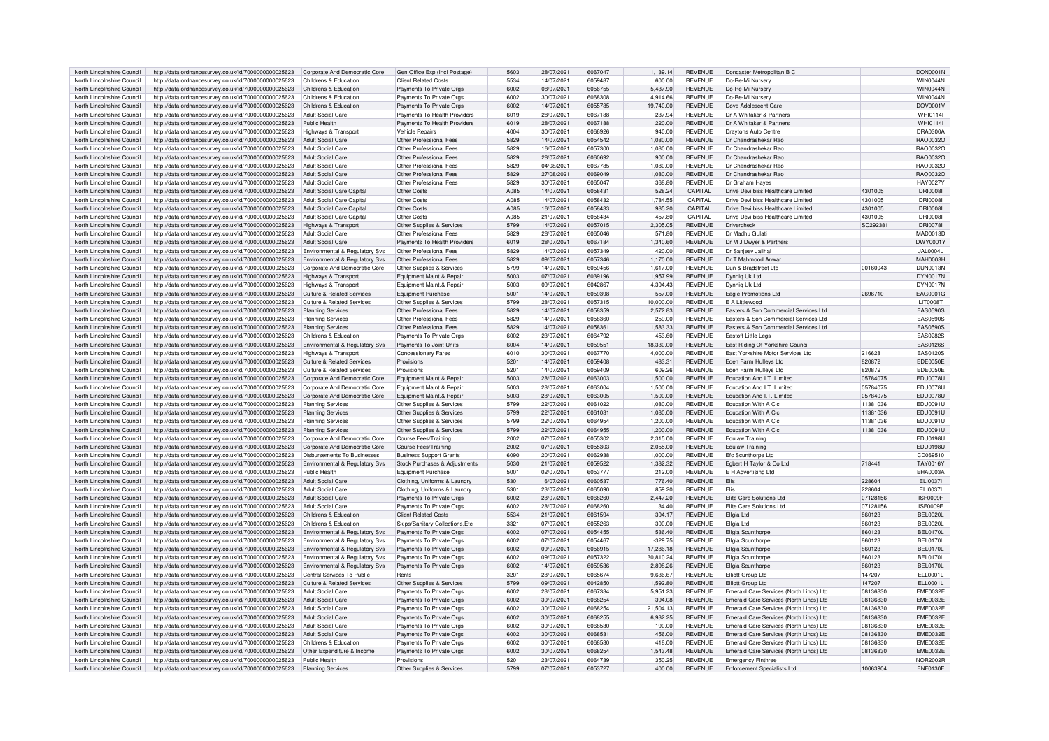| North Lincolnshire Council | http://data.ordnancesurvey.co.uk/id/7000000000025623 | Corporate And Democratic Core             | Gen Office Exp (Incl Postage)   | 5603 | 28/07/2021 | 6067047 | 1,139.14  | <b>REVENUE</b> | Doncaster Metropolitan B C              |          | DON0001N        |
|----------------------------|------------------------------------------------------|-------------------------------------------|---------------------------------|------|------------|---------|-----------|----------------|-----------------------------------------|----------|-----------------|
| North Lincolnshire Council | http://data.ordnancesurvey.co.uk/id/7000000000025623 | Childrens & Education                     | <b>Client Related Costs</b>     | 5534 | 14/07/2021 | 6059487 | 600.00    | <b>REVENUE</b> | Do-Re-Mi Nursery                        |          | <b>WIN0044N</b> |
| North Lincolnshire Council | http://data.ordnancesurvey.co.uk/id/7000000000025623 | Childrens & Education                     | Payments To Private Orgs        | 6002 | 08/07/2021 | 6056755 | 5,437.90  | <b>REVENUE</b> | Do-Re-Mi Nursery                        |          | <b>WIN0044N</b> |
| North Lincolnshire Council | http://data.ordnancesurvey.co.uk/id/7000000000025623 | Childrens & Education                     | Payments To Private Orgs        | 6002 | 30/07/2021 | 6068308 | 4,914.66  | <b>REVENUE</b> | Do-Re-Mi Nursen                         |          | <b>WIN0044N</b> |
|                            |                                                      |                                           |                                 |      |            |         |           |                |                                         |          |                 |
| North Lincolnshire Council | http://data.ordnancesurvey.co.uk/id/7000000000025623 | Childrens & Education                     | Payments To Private Orgs        | 6002 | 14/07/2021 | 6055785 | 19,740.00 | <b>REVENUE</b> | Dove Adolescent Care                    |          | DOV0001V        |
| North Lincolnshire Council | http://data.ordnancesurvey.co.uk/id/7000000000025623 | <b>Adult Social Care</b>                  | Payments To Health Providers    | 6019 | 28/07/2021 | 6067188 | 237.94    | <b>REVENUE</b> | Dr A Whitaker & Partners                |          | WHI0114         |
| North Lincolnshire Council | http://data.ordnancesurvey.co.uk/id/7000000000025623 | Public Health                             | Payments To Health Providers    | 6019 | 28/07/2021 | 6067188 | 220.00    | <b>REVENUE</b> | Dr A Whitaker & Partners                |          | <b>WHI0114I</b> |
|                            | http://data.ordnancesurvey.co.uk/id/7000000000025623 |                                           | Vehicle Repairs                 | 4004 | 30/07/2021 | 6066926 | 940.00    | <b>REVENUE</b> | Draytons Auto Centre                    |          | DRA0300A        |
| North Lincolnshire Council |                                                      | Highways & Transport                      |                                 |      |            |         |           |                |                                         |          |                 |
| North Lincolnshire Council | http://data.ordnancesurvey.co.uk/id/7000000000025623 | Adult Social Care                         | Other Professional Fees         | 5829 | 14/07/2021 | 6054542 | 1,080.00  | <b>REVENUE</b> | Dr Chandrashekar Bao                    |          | RAO0032C        |
| North Lincolnshire Council | http://data.ordnancesurvey.co.uk/id/7000000000025623 | Adult Social Care                         | Other Professional Fees         | 5829 | 16/07/2021 | 6057300 | 1,080.00  | <b>REVENUE</b> | Dr Chandrashekar Rao                    |          | RAO0032C        |
| North Lincolnshire Council | http://data.ordnancesurvey.co.uk/id/7000000000025623 | Adult Social Care                         | Other Professional Fees         | 5829 | 28/07/2021 | 6060692 | 900.00    | <b>REVENUE</b> | Dr Chandrashekar Rao                    |          | RAO0032C        |
|                            |                                                      |                                           |                                 |      |            |         |           |                |                                         |          |                 |
| North Lincolnshire Council | http://data.ordnancesurvey.co.uk/id/7000000000025623 | Adult Social Care                         | Other Professional Fees         | 5829 | 04/08/2021 | 6067785 | 1.080.00  | <b>REVENUE</b> | Dr Chandrashekar Rao                    |          | RAO0032C        |
| North Lincolnshire Council | http://data.ordnancesurvey.co.uk/id/7000000000025623 | Adult Social Care                         | Other Professional Fees         | 5829 | 27/08/2021 | 6069049 | 1.080.00  | <b>REVENUE</b> | Dr Chandrashekar Rao                    |          | RAO0032C        |
| North Lincolnshire Council | http://data.ordnancesurvey.co.uk/id/7000000000025623 | Adult Social Care                         | Other Professional Fees         | 5829 | 30/07/2021 | 6065047 | 368.80    | <b>REVENUE</b> | Dr Graham Haves                         |          | HAY0027\        |
|                            |                                                      |                                           |                                 |      |            |         |           |                |                                         |          |                 |
| North Lincolnshire Council | http://data.ordnancesurvey.co.uk/id/7000000000025623 | Adult Social Care Capital                 | Other Costs                     | A085 | 14/07/2021 | 605843  | 528.24    | CAPITAL        | Drive Devilbiss Healthcare Limited      | 4301005  | <b>DRI0008</b>  |
| North Lincolnshire Council | http://data.ordnancesurvey.co.uk/id/7000000000025623 | <b>Adult Social Care Capital</b>          | Other Costs                     | A085 | 14/07/2021 | 6058432 | 1,784.55  | CAPITAL        | Drive Devilbiss Healthcare Limited      | 4301005  | <b>DRI0008</b>  |
| North Lincolnshire Council | http://data.ordnancesurvey.co.uk/id/7000000000025623 | Adult Social Care Capital                 | Other Costs                     | A085 | 16/07/2021 | 6058433 | 985.20    | CAPITAL        | Drive Devilbiss Healthcare Limited      | 4301005  | <b>DRI0008</b>  |
| North Lincolnshire Council |                                                      | Adult Social Care Capital                 | Other Costs                     | A085 | 21/07/2021 | 6058434 | 457.80    | CAPITAL        | Drive Devilhiss Healthcare Limited      | 4301005  | <b>DRI0008</b>  |
|                            | http://data.ordnancesurvey.co.uk/id/7000000000025623 |                                           |                                 |      |            |         |           |                |                                         |          |                 |
| North Lincolnshire Council | http://data.ordnancesurvey.co.uk/id/7000000000025623 | Highways & Transport                      | Other Supplies & Services       | 5799 | 14/07/2021 | 6057015 | 2,305.05  | <b>REVENUE</b> | Drivercheck                             | SC29238  | <b>DRI0078I</b> |
| North Lincolnshire Council | http://data.ordnancesurvey.co.uk/id/7000000000025623 | Adult Social Care                         | Other Professional Fees         | 5829 | 28/07/2021 | 6065046 | 571.80    | <b>REVENUE</b> | Dr Madhu Gulati                         |          | <b>MAD0013D</b> |
| North Lincolnshire Council | http://data.ordnancesurvey.co.uk/id/7000000000025623 | <b>Adult Social Care</b>                  | Payments To Health Providers    | 6019 | 28/07/2021 | 6067184 | 1,340.60  | <b>REVENUE</b> | Dr M J Dwyer & Partners                 |          | DWY0001\        |
|                            |                                                      |                                           |                                 |      |            |         |           |                |                                         |          |                 |
| North Lincolnshire Council | http://data.ordnancesurvey.co.uk/id/7000000000025623 | <b>Environmental &amp; Requlatory Sys</b> | Other Professional Fees         | 5829 | 14/07/2021 | 6057349 | 420.00    | <b>REVENUE</b> | Dr Sanieev Jalihal                      |          | <b>JAL0004L</b> |
| North Lincolnshire Council | http://data.ordnancesurvey.co.uk/id/7000000000025623 | Environmental & Regulatory Svs            | Other Professional Fees         | 5829 | 09/07/2021 | 6057346 | 1,170.00  | <b>REVENUE</b> | Dr T Mahmood Anwa                       |          | MAH0003H        |
| North Lincolnshire Council | http://data.ordnancesurvey.co.uk/id/7000000000025623 | Corporate And Democratic Core             | Other Supplies & Services       | 5799 | 14/07/2021 | 6059456 | 1,617.00  | <b>REVENUE</b> | Dun & Bradstreet Ltd                    | 00160043 | <b>DUN0013N</b> |
|                            |                                                      |                                           |                                 |      |            |         |           |                |                                         |          |                 |
| North Lincolnshire Council | http://data.ordnancesurvey.co.uk/id/7000000000025623 | <b>Highways &amp; Transport</b>           | Equipment Maint.& Repair        | 5003 | 07/07/2021 | 6039196 | 1,957.99  | <b>REVENUE</b> | Dynnig Uk Ltd                           |          | DYN0017N        |
| North Lincolnshire Council | http://data.ordnancesurvey.co.uk/id/7000000000025623 | Highways & Transport                      | Equipment Maint.& Repai         | 5003 | 09/07/2021 | 6042867 | 4,304.43  | <b>REVENUE</b> | Dynnig Uk Ltd                           |          | DYN0017N        |
| North Lincolnshire Council | http://data.ordnancesurvey.co.uk/id/7000000000025623 | <b>Culture &amp; Related Services</b>     | Equipment Purchase              | 5001 | 14/07/2021 | 6059398 | 557.00    | <b>REVENUE</b> | Eagle Promotions Ltd                    | 2696710  | EAG0001G        |
|                            |                                                      | Culture & Related Services                |                                 | 5799 | 28/07/2021 | 6057315 |           | <b>REVENUE</b> | F A Littlewood                          |          | <b>LIT0008T</b> |
| North Lincolnshire Council | http://data.ordnancesurvey.co.uk/id/7000000000025623 |                                           | Other Supplies & Services       |      |            |         | 10,000.00 |                |                                         |          |                 |
| North Lincolnshire Council | http://data.ordnancesurvey.co.uk/id/7000000000025623 | <b>Planning Services</b>                  | Other Professional Fees         | 5829 | 14/07/2021 | 6058359 | 2,572.83  | <b>REVENUE</b> | Easters & Son Commercial Services Ltd   |          | <b>EAS0590S</b> |
| North Lincolnshire Council | http://data.ordnancesurvey.co.uk/id/7000000000025623 | Planning Services                         | Other Professional Fees         | 5829 | 14/07/2021 | 6058360 | 259.00    | <b>REVENUE</b> | Easters & Son Commercial Services Ltd   |          | <b>EAS0590S</b> |
| North Lincolnshire Council | http://data.ordnancesurvey.co.uk/id/7000000000025623 | <b>Planning Services</b>                  | Other Professional Fees         | 5829 | 14/07/2021 | 605836  | 1,583.33  | <b>REVENUE</b> | Easters & Son Commercial Services Ltd   |          | <b>EAS0590S</b> |
|                            |                                                      |                                           |                                 |      |            |         |           |                |                                         |          |                 |
| North Lincolnshire Council | http://data.ordnancesurvey.co.uk/id/7000000000025623 | Childrens & Education                     | Payments To Private Orgs        | 6002 | 23/07/2021 | 6064792 | 453.60    | <b>REVENUE</b> | Fastoft Little Legs                     |          | EAS0282S        |
| North Lincolnshire Council | http://data.ordnancesurvey.co.uk/id/7000000000025623 | Environmental & Regulatory Svs            | Payments To Joint Units         | 6004 | 14/07/2021 | 6059551 | 18,330.00 | <b>REVENUE</b> | East Riding Of Yorkshire Council        |          | <b>EAS0126S</b> |
| North Lincolnshire Council | http://data.ordnancesurvey.co.uk/id/7000000000025623 | Highways & Transport                      | <b>Concessionary Fares</b>      | 6010 | 30/07/2021 | 6067770 | 4.000.00  | <b>REVENUE</b> | East Yorkshire Motor Services Ltd       | 216628   | EAS0120S        |
|                            |                                                      |                                           |                                 |      |            |         |           |                |                                         |          |                 |
| North Lincolnshire Council | http://data.ordnancesurvey.co.uk/id/7000000000025623 | <b>Culture &amp; Related Services</b>     | Provisions                      | 5201 | 14/07/2021 | 6059408 | 483.31    | <b>REVENUE</b> | Eden Farm Hulleys Ltd                   | 820872   | <b>EDE0050E</b> |
| North Lincolnshire Council | http://data.ordnancesurvey.co.uk/id/7000000000025623 | <b>Culture &amp; Related Services</b>     | Provisions                      | 5201 | 14/07/2021 | 6059409 | 609.26    | <b>REVENUE</b> | Eden Farm Hulleys Ltd                   | 820872   | <b>EDE0050E</b> |
| North Lincolnshire Council | http://data.ordnancesurvey.co.uk/id/7000000000025623 | Corporate And Democratic Core             | Foujnment Maint & Renair        | 5003 | 28/07/2021 | 6063003 | 1.500.00  | <b>REVENUE</b> | Education And I.T. Limited              | 05784075 | <b>EDU0078U</b> |
| North Lincolnshire Council | http://data.ordnancesurvey.co.uk/id/7000000000025623 | Corporate And Democratic Core             | Foujnment Maint & Renair        | 5003 | 28/07/2021 | 6063004 | 1.500.00  | <b>REVENUE</b> | Education And I T. Limited              | 05784075 | <b>EDU0078U</b> |
|                            |                                                      |                                           |                                 |      |            |         |           |                |                                         |          |                 |
| North Lincolnshire Council | http://data.ordnancesurvey.co.uk/id/7000000000025623 | Corporate And Democratic Core             | Equipment Maint.& Repair        | 5003 | 28/07/2021 | 6063005 | 1,500.00  | <b>REVENUE</b> | Education And I.T. Limited              | 05784075 | <b>EDU0078U</b> |
| North Lincolnshire Council | http://data.ordnancesurvey.co.uk/id/7000000000025623 | Planning Services                         | Other Supplies & Services       | 5799 | 22/07/2021 | 6061022 | 1,080.00  | <b>REVENUE</b> | <b>Education With A Cio</b>             | 11381036 | EDU0091U        |
| North Lincolnshire Council | http://data.ordnancesurvey.co.uk/id/7000000000025623 | <b>Planning Services</b>                  | Other Supplies & Services       | 5799 | 22/07/2021 | 6061031 | 1,080.00  | <b>REVENUE</b> | <b>Education With A Cic</b>             | 11381036 | EDU0091U        |
|                            |                                                      |                                           |                                 |      |            |         |           |                |                                         |          |                 |
| North Lincolnshire Council | http://data.ordnancesurvey.co.uk/id/7000000000025623 | <b>Planning Services</b>                  | Other Supplies & Services       | 5799 | 22/07/2021 | 6064954 | 1,200.00  | <b>REVENUE</b> | Education With A Cio                    | 11381036 | EDU0091U        |
| North Lincolnshire Council | http://data.ordnancesurvey.co.uk/id/7000000000025623 | <b>Planning Services</b>                  | Other Supplies & Services       | 5799 | 22/07/2021 | 6064955 | 1,200.00  | <b>REVENUE</b> | <b>Education With A Cic</b>             | 11381036 | EDU0091U        |
| North Lincolnshire Council | http://data.ordnancesurvey.co.uk/id/7000000000025623 | Corporate And Democratic Core             | Course Fees/Trainin             | 2002 | 07/07/2021 | 6055302 | 2,315.00  | <b>REVENUE</b> | <b>Edulaw Training</b>                  |          | <b>EDU0198U</b> |
|                            |                                                      |                                           |                                 |      |            |         |           |                |                                         |          |                 |
| North Lincolnshire Council | http://data.ordnancesurvey.co.uk/id/7000000000025623 | Corporate And Democratic Core             | Course Fees/Training            | 2002 | 07/07/2021 | 6055303 | 2.055.00  | <b>REVENUE</b> | <b>Fdulaw Training</b>                  |          | <b>FDU0198L</b> |
| North Lincolnshire Council | http://data.ordnancesurvey.co.uk/id/7000000000025623 | <b>Disbursements To Businesses</b>        | <b>Business Support Grants</b>  | 6090 | 20/07/2021 | 6062938 | 1,000.00  | <b>REVENUE</b> | Efc Scunthorpe Ltd                      |          | CD069510        |
| North Lincolnshire Council | http://data.ordnancesurvey.co.uk/id/7000000000025623 | Environmental & Regulatory Sys            | Stock Purchases & Adiustments   | 5030 | 21/07/2021 | 6059522 | 1.382.32  | <b>REVENUE</b> | Egbert H Taylor & Co Ltd                | 718441   | <b>TAY0016Y</b> |
| North Lincolnshire Council | http://data.ordnancesurvey.co.uk/id/7000000000025623 | Public Health                             | <b>Equipment Purchase</b>       | 5001 | 02/07/2021 | 6053777 | 212.00    | <b>REVENUE</b> | E H Advertising Ltd                     |          | <b>EHA0003A</b> |
|                            |                                                      |                                           |                                 |      |            |         |           |                |                                         |          |                 |
| North Lincolnshire Council | http://data.ordnancesurvey.co.uk/id/7000000000025623 | Adult Social Care                         | Clothing, Uniforms & Laundry    | 5301 | 16/07/2021 | 6060537 | 776.40    | <b>REVENUE</b> | Flis                                    | 228604   | FL10037         |
| North Lincolnshire Council | http://data.ordnancesurvey.co.uk/id/7000000000025623 | Adult Social Care                         | Clothing, Uniforms & Laundry    | 5301 | 23/07/2021 | 6065090 | 859.20    | <b>REVENUE</b> | Elis                                    | 228604   | ELI0037I        |
| North Lincolnshire Council | http://data.ordnancesurvey.co.uk/id/7000000000025623 | Adult Social Care                         | Payments To Private Orgs        | 6002 | 28/07/2021 | 6068260 | 2,447.20  | <b>REVENUE</b> | <b>Elite Care Solutions Ltd</b>         | 07128156 | ISF0009F        |
|                            |                                                      | Adult Social Care                         |                                 | 6002 |            | 6068260 |           | <b>REVENUE</b> |                                         |          | ISF0009F        |
| North Lincolnshire Council | http://data.ordnancesurvey.co.uk/id/7000000000025623 |                                           | Payments To Private Orgs        |      | 28/07/2021 |         | 134.40    |                | Elite Care Solutions Ltd                | 07128156 |                 |
| North Lincolnshire Council | http://data.ordnancesurvey.co.uk/id/7000000000025623 | Childrens & Education                     | <b>Client Related Costs</b>     | 5534 | 21/07/2021 | 6061594 | 304.17    | <b>REVENUE</b> | Ellgia Ltd                              | 860123   | <b>BEL0020L</b> |
| North Lincolnshire Council | http://data.ordnancesurvey.co.uk/id/7000000000025623 | Childrens & Education                     | Skips/Sanitary Collections, Etc | 3321 | 07/07/2021 | 6055263 | 300.00    | <b>REVENUE</b> | Ellgia Ltd                              | 860123   | BFI 0020L       |
| North Lincolnshire Council | http://data.ordnancesurvey.co.uk/id/7000000000025623 | Environmental & Regulatory Svs            | Payments To Private Orgs        | 6002 | 07/07/2021 | 6054455 | 536.40    | <b>REVENUE</b> | Ellgia Scunthorpe                       | 860123   | <b>BEL0170L</b> |
|                            |                                                      |                                           |                                 |      |            |         |           |                |                                         |          |                 |
| North Lincolnshire Council | http://data.ordnancesurvey.co.uk/id/7000000000025623 | Environmental & Regulatory Svs            | Payments To Private Orgs        | 6002 | 07/07/2021 | 6054467 | $-329.75$ | <b>REVENUE</b> | Ellgia Scunthorpe                       | 860123   | <b>BEL0170L</b> |
| North Lincolnshire Council | http://data.ordnancesurvey.co.uk/id/7000000000025623 | Environmental & Regulatory Svs            | Payments To Private Orgs        | 6002 | 09/07/2021 | 6056915 | 17,286.18 | <b>REVENUE</b> | Ellgia Scunthorpe                       | 860123   | <b>BEL0170L</b> |
| North Lincolnshire Council | http://data.ordnancesurvey.co.uk/id/7000000000025623 | Environmental & Regulatory Svs            | Payments To Private Orgs        | 6002 | 09/07/2021 | 6057323 | 30,810.24 | <b>REVENUE</b> | Ellgia Scunthorpe                       | 860123   | <b>BEL0170L</b> |
|                            |                                                      |                                           |                                 |      |            |         |           |                |                                         |          |                 |
| North Lincolnshire Council | http://data.ordnancesurvey.co.uk/id/7000000000025623 | Environmental & Regulatory Svs            | Payments To Private Orgs        | 6002 | 14/07/2021 | 6059536 | 2,898.26  | <b>REVENUE</b> | Ellgia Scunthorpe                       | 860123   | <b>BEL0170L</b> |
| North Lincolnshire Council | http://data.ordnancesurvey.co.uk/id/7000000000025623 | Central Services To Public                | Rents                           | 3201 | 28/07/2021 | 6065674 | 9,636.67  | <b>REVENUE</b> | Elliott Group Ltd                       | 147207   | <b>ELL0001L</b> |
| North Lincolnshire Council | http://data.ordnancesurvey.co.uk/id/7000000000025623 | <b>Culture &amp; Related Services</b>     | Other Supplies & Services       | 5799 | 09/07/2021 | 6042850 | 1,592.80  | <b>REVENUE</b> | Elliott Group Ltd                       | 147207   | ELL0001L        |
| North Lincolnshire Council | http://data.ordnancesurvey.co.uk/id/7000000000025623 | Adult Social Care                         | Payments To Private Orgs        | 6002 | 28/07/2021 | 6067334 | 5.951.23  | <b>REVENUE</b> | Emerald Care Services (North Lincs) Ltd | 08136830 | <b>EME0032E</b> |
|                            |                                                      |                                           |                                 |      |            |         |           |                |                                         |          |                 |
| North Lincolnshire Council | http://data.ordnancesurvey.co.uk/id/7000000000025623 | Adult Social Care                         | Payments To Private Orgs        | 6002 | 30/07/2021 | 6068254 | 394.08    | <b>REVENUE</b> | Emerald Care Services (North Lincs) Ltd | 08136830 | EME0032E        |
| North Lincolnshire Council | http://data.ordnancesurvey.co.uk/id/7000000000025623 | Adult Social Care                         | Payments To Private Orgs        | 6002 | 30/07/2021 | 606825  | 21.504.13 | <b>REVENUE</b> | Emerald Care Services (North Lincs) Ltd | 08136830 | <b>EME0032E</b> |
| North Lincolnshire Council | http://data.ordnancesurvey.co.uk/id/7000000000025623 | <b>Adult Social Care</b>                  | Payments To Private Orgs        | 6002 | 30/07/2021 | 6068255 | 6.932.25  | <b>REVENUE</b> | Emerald Care Services (North Lincs) Ltd | 08136830 | <b>EME0032E</b> |
|                            |                                                      | Adult Social Care                         |                                 | 6002 |            | 6068530 |           | <b>REVENUE</b> |                                         |          | <b>EME0032E</b> |
| North Lincolnshire Council | http://data.ordnancesurvey.co.uk/id/7000000000025623 |                                           | Payments To Private Orgs        |      | 30/07/2021 |         | 190.00    |                | Emerald Care Services (North Lincs) Ltd | 08136830 |                 |
| North Lincolnshire Council | http://data.ordnancesurvey.co.uk/id/7000000000025623 | Adult Social Care                         | Payments To Private Orgs        | 6002 | 30/07/2021 | 6068531 | 456.00    | <b>REVENUE</b> | Emerald Care Services (North Lincs) Ltd | 08136830 | <b>EME0032E</b> |
| North Lincolnshire Council | http://data.ordnancesurvey.co.uk/id/7000000000025623 | Childrens & Education                     | Payments To Private Orgs        | 6002 | 30/07/2021 | 6068530 | 418.00    | <b>REVENUE</b> | Emerald Care Services (North Lincs) Ltd | 08136830 | <b>EME0032E</b> |
| North Lincolnshire Council | http://data.ordnancesurvey.co.uk/id/7000000000025623 | Other Expenditure & Income                | Payments To Private Orgs        | 6002 | 30/07/2021 | 6068254 | 1,543.48  | <b>REVENUE</b> | Emerald Care Services (North Lincs) Ltd | 08136830 | <b>EME0032E</b> |
|                            |                                                      |                                           |                                 |      |            |         |           |                |                                         |          |                 |
| North Lincolnshire Council | http://data.ordnancesurvey.co.uk/id/7000000000025623 | Public Health                             | Provisions                      | 5201 | 23/07/2021 | 6064739 | 350.25    | <b>REVENUE</b> | <b>Emergency Finthree</b>               |          | <b>NOR2002R</b> |
|                            | http://data.ordnancesurvey.co.uk/id/7000000000025623 | Planning Services                         | Other Supplies & Services       | 5799 | 07/07/2021 | 6053727 | 400.00    | <b>REVENUE</b> | <b>Enforcement Specialists Ltd</b>      | 10063904 | <b>ENF0130F</b> |
| North Lincolnshire Council |                                                      |                                           |                                 |      |            |         |           |                |                                         |          |                 |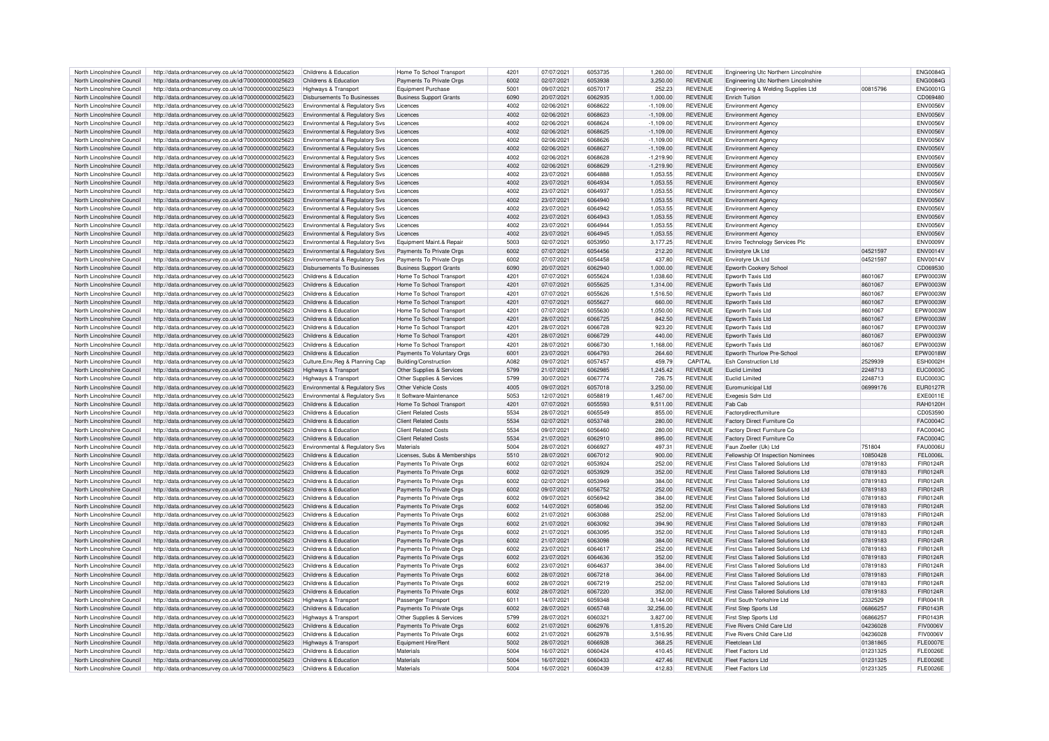| North Lincolnshire Council | http://data.ordnancesurvey.co.uk/id/7000000000025623 | Childrens & Education                     | Home To School Transport       | 4201 | 07/07/2021 | 6053735 | 1.260.00    | <b>REVENUE</b> | Engineering Utc Northern Lincolnshire |          | <b>ENG0084G</b> |
|----------------------------|------------------------------------------------------|-------------------------------------------|--------------------------------|------|------------|---------|-------------|----------------|---------------------------------------|----------|-----------------|
| North Lincolnshire Council | http://data.ordnancesurvey.co.uk/id/7000000000025623 | Childrens & Education                     |                                | 6002 | 02/07/2021 | 6053938 | 3.250.00    | <b>REVENUE</b> |                                       |          | <b>ENG0084G</b> |
|                            |                                                      |                                           | Payments To Private Orgs       |      |            |         |             |                | Engineering Utc Northern Lincolnshire |          |                 |
| North Lincolnshire Council | http://data.ordnancesurvey.co.uk/id/7000000000025623 | Highways & Transport                      | <b>Equipment Purchase</b>      | 5001 | 09/07/2021 | 6057017 | 252.23      | <b>REVENUE</b> | Engineering & Welding Supplies Ltd    | 00815796 | <b>ENG0001G</b> |
| North Lincolnshire Council | http://data.ordnancesurvey.co.uk/id/7000000000025623 | Disbursements To Businesses               | <b>Business Support Grants</b> | 6090 | 20/07/2021 | 6062935 | 1.000.00    | <b>REVENUE</b> | <b>Fnrich Tuition</b>                 |          | CD069480        |
| North Lincolnshire Council | http://data.ordnancesurvey.co.uk/id/7000000000025623 | Environmental & Regulatory Svs            | Licences                       | 4002 | 02/06/2021 | 6068622 | $-1,109.00$ | <b>REVENUE</b> | <b>Environment Agency</b>             |          | <b>ENV0056V</b> |
| North Lincolnshire Council | http://data.ordnancesurvey.co.uk/id/7000000000025623 | Environmental & Regulatory Sys            | Licences                       | 4002 | 02/06/2021 | 6068623 | $-1.109.00$ | <b>REVENUE</b> | <b>Environment Agency</b>             |          | <b>ENV0056V</b> |
|                            |                                                      |                                           |                                |      |            |         |             |                |                                       |          |                 |
| North Lincolnshire Council | http://data.ordnancesurvey.co.uk/id/7000000000025623 | Environmental & Regulatory Svs            | Licences                       | 4002 | 02/06/2021 | 6068624 | $-1,109.00$ | <b>REVENUE</b> | <b>Environment Agency</b>             |          | <b>ENV0056V</b> |
| North Lincolnshire Council | http://data.ordnancesurvey.co.uk/id/7000000000025623 | Environmental & Regulatory Svs            | I icences                      | 4002 | 02/06/2021 | 6068625 | $-1,109.00$ | <b>REVENUE</b> | <b>Environment Agency</b>             |          | <b>ENV0056V</b> |
| North Lincolnshire Council | http://data.ordnancesurvey.co.uk/id/7000000000025623 | Environmental & Regulatory Svs            | Licences                       | 4002 | 02/06/2021 | 6068626 | $-1,109.00$ | <b>REVENUE</b> | <b>Environment Agency</b>             |          | <b>ENV0056V</b> |
| North Lincolnshire Council | http://data.ordnancesurvey.co.uk/id/7000000000025623 | Environmental & Regulatory Svs            | Licences                       | 4002 | 02/06/2021 | 6068627 | $-1,109.00$ | <b>REVENUE</b> | <b>Environment Agency</b>             |          | <b>ENV0056V</b> |
|                            |                                                      |                                           |                                | 4002 | 02/06/2021 | 6068628 |             | <b>REVENUE</b> |                                       |          | <b>ENV0056V</b> |
| North Lincolnshire Council | http://data.ordnancesurvey.co.uk/id/7000000000025623 | Environmental & Regulatory Svs            | Licences                       |      |            |         | $-1,219.90$ |                | <b>Environment Agency</b>             |          |                 |
| North Lincolnshire Council | http://data.ordnancesurvey.co.uk/id/7000000000025623 | <b>Environmental &amp; Regulatory Svs</b> | Licences                       | 4002 | 02/06/2021 | 6068629 | $-1.219.90$ | <b>REVENUE</b> | <b>Environment Agency</b>             |          | <b>ENV0056V</b> |
| North Lincolnshire Council | http://data.ordnancesurvey.co.uk/id/7000000000025623 | Environmental & Regulatory Svs            | I icences                      | 4002 | 23/07/2021 | 6064888 | 1,053.55    | <b>REVENUE</b> | <b>Environment Agency</b>             |          | <b>FNV0056V</b> |
| North Lincolnshire Council | http://data.ordnancesurvey.co.uk/id/7000000000025623 | <b>Environmental &amp; Regulatory Svs</b> | Licences                       | 4002 | 23/07/2021 | 6064934 | 1,053.55    | <b>REVENUE</b> | <b>Environment Agency</b>             |          | <b>ENV0056V</b> |
| North Lincolnshire Council | http://data.ordnancesurvey.co.uk/id/7000000000025623 | Environmental & Regulatory Svs            | Licences                       | 4002 | 23/07/2021 | 606493  | 1.053.55    | <b>REVENUE</b> | Environment Agency                    |          | <b>FNV0056V</b> |
|                            |                                                      |                                           |                                |      |            |         |             |                |                                       |          |                 |
| North Lincolnshire Council | http://data.ordnancesurvey.co.uk/id/7000000000025623 | <b>Environmental &amp; Regulatory Svs</b> | Licences                       | 4002 | 23/07/2021 | 6064940 | 1,053.55    | <b>REVENUE</b> | <b>Environment Agency</b>             |          | <b>ENV0056V</b> |
| North Lincolnshire Council | http://data.ordnancesurvey.co.uk/id/7000000000025623 | <b>Environmental &amp; Requiatory Sys</b> | Licences                       | 4002 | 23/07/2021 | 6064943 | 1.053.55    | <b>REVENUE</b> | <b>Environment Agency</b>             |          | ENV0056V        |
| North Lincolnshire Council | http://data.ordnancesurvey.co.uk/id/7000000000025623 | Environmental & Regulatory Svs            | Licences                       | 4002 | 23/07/2021 | 6064943 | 1,053.55    | <b>REVENUE</b> | Environment Agency                    |          | <b>ENV0056V</b> |
| North Lincolnshire Council | http://data.ordnancesurvey.co.uk/id/7000000000025623 | Environmental & Regulatory Svs            | Licences                       | 4002 | 23/07/2021 | 6064944 | 1,053.55    | <b>REVENUE</b> | <b>Environment Agency</b>             |          | <b>ENV0056V</b> |
|                            |                                                      |                                           | Licences                       | 4002 |            | 6064945 |             |                |                                       |          |                 |
| North Lincolnshire Council | http://data.ordnancesurvey.co.uk/id/7000000000025623 | <b>Environmental &amp; Regulatory Svs</b> |                                |      | 23/07/2021 |         | 1,053.55    | <b>REVENUE</b> | <b>Environment Agency</b>             |          | <b>ENV0056V</b> |
| North Lincolnshire Council | http://data.ordnancesurvey.co.uk/id/7000000000025623 | Environmental & Regulatory Svs            | Equipment Maint.& Repair       | 5003 | 02/07/2021 | 6053950 | 3.177.25    | <b>REVENUE</b> | Enviro Technology Services Plc        |          | <b>ENV0009V</b> |
| North Lincolnshire Council | http://data.ordnancesurvey.co.uk/id/7000000000025623 | Environmental & Regulatory Svs            | Payments To Private Orgs       | 6002 | 07/07/2021 | 6054456 | 212.20      | <b>REVENUE</b> | Envirotvre Uk Ltd                     | 04521597 | <b>ENV0014V</b> |
| North Lincolnshire Council | http://data.ordnancesurvey.co.uk/id/7000000000025623 | Environmental & Regulatory Sys            | Payments To Private Orgs       | 6002 | 07/07/2021 | 6054458 | 437.80      | <b>REVENUE</b> | Envirotvre Uk Ltd                     | 04521597 | <b>ENV0014V</b> |
| North Lincolnshire Council | http://data.ordnancesurvey.co.uk/id/7000000000025623 | <b>Disbursements To Businesses</b>        | <b>Business Support Grants</b> | 6090 | 20/07/2021 | 6062940 | 1,000.00    | <b>REVENUE</b> | Epworth Cookery School                |          | CD069530        |
|                            |                                                      |                                           |                                |      |            |         |             |                |                                       |          |                 |
| North Lincolnshire Council | http://data.ordnancesurvey.co.uk/id/7000000000025623 | Childrens & Education                     | Home To School Transport       | 4201 | 07/07/2021 | 6055624 | 1.038.60    | <b>REVENUE</b> | Foworth Taxis I to                    | 8601067  | EPW0003V        |
| North Lincolnshire Council | http://data.ordnancesurvey.co.uk/id/7000000000025623 | Childrens & Education                     | Home To School Transport       | 4201 | 07/07/2021 | 6055625 | 1.314.00    | <b>REVENUE</b> | Epworth Taxis Ltd                     | 8601067  | EPW0003W        |
| North Lincolnshire Council | http://data.ordnancesurvey.co.uk/id/7000000000025623 | Childrens & Education                     | Home To School Transport       | 4201 | 07/07/2021 | 6055626 | 1.516.50    | <b>REVENUE</b> | Foworth Taxis I td                    | 8601067  | EPW0003W        |
| North Lincolnshire Council | http://data.ordnancesurvey.co.uk/id/7000000000025623 | Childrens & Education                     | Home To School Transport       | 4201 | 07/07/2021 | 6055627 | 660.00      | <b>REVENUE</b> | Epworth Taxis Ltd                     | 8601067  | EPW0003W        |
|                            |                                                      |                                           |                                |      |            |         |             |                |                                       |          |                 |
| North Lincolnshire Council | http://data.ordnancesurvey.co.uk/id/7000000000025623 | Childrens & Education                     | Home To School Transport       | 4201 | 07/07/2021 | 6055630 | 1,050.00    | <b>REVENUE</b> | Epworth Taxis Ltd                     | 8601067  | EPW0003W        |
| North Lincolnshire Council | http://data.ordnancesurvey.co.uk/id/7000000000025623 | Childrens & Education                     | Home To School Transport       | 4201 | 28/07/2021 | 6066725 | 842.50      | <b>REVENUE</b> | Foworth Taxis I td                    | 8601067  | EPW0003W        |
| North Lincolnshire Council | http://data.ordnancesurvey.co.uk/id/7000000000025623 | Childrens & Education                     | Home To School Transport       | 4201 | 28/07/2021 | 6066728 | 923.20      | <b>REVENUE</b> | Epworth Taxis Ltd                     | 8601067  | EPW0003W        |
| North Lincolnshire Council | http://data.ordnancesurvey.co.uk/id/7000000000025623 | Childrens & Education                     | Home To School Transport       | 4201 | 28/07/2021 | 6066729 | 440.00      | <b>REVENUE</b> | Foworth Taxis I td                    | 8601067  | EPW0003W        |
|                            |                                                      |                                           |                                |      |            |         |             |                |                                       |          |                 |
| North Lincolnshire Council | http://data.ordnancesurvey.co.uk/id/7000000000025623 | Childrens & Education                     | Home To School Transport       | 4201 | 28/07/2021 | 6066730 | 1,168.00    | <b>REVENUE</b> | Epworth Taxis Ltd                     | 8601067  | EPW0003W        |
| North Lincolnshire Council | http://data.ordnancesurvey.co.uk/id/7000000000025623 | Childrens & Education                     | Payments To Voluntary Orgs     | 6001 | 23/07/2021 | 6064793 | 264.60      | <b>REVENUE</b> | Epworth Thurlow Pre-School            |          | EPW0018W        |
| North Lincolnshire Council | http://data.ordnancesurvey.co.uk/id/7000000000025623 | Culture, Env, Reg & Planning Cap          | Building/Construction          | A082 | 09/07/2021 | 6057457 | 459.79      | CAPITAL        | <b>Esh Construction Ltd</b>           | 2529939  | <b>ESH0002H</b> |
| North Lincolnshire Council | http://data.ordnancesurvey.co.uk/id/7000000000025623 | Highways & Transport                      | Other Supplies & Services      | 5799 | 21/07/2021 | 6062985 | 1.245.42    | <b>REVENUE</b> | Fuclid Limited                        | 2248713  | <b>EUC0003C</b> |
| North Lincolnshire Council | http://data.ordnancesurvey.co.uk/id/7000000000025623 | Highways & Transport                      | Other Supplies & Services      | 5799 | 30/07/2021 | 6067774 | 726.75      | <b>REVENUE</b> | <b>Fuclid Limited</b>                 | 2248713  | EUC0003C        |
|                            |                                                      |                                           |                                |      |            |         |             |                |                                       |          |                 |
| North Lincolnshire Council | http://data.ordnancesurvey.co.uk/id/7000000000025623 | Environmental & Regulatory Svs            | Other Vehicle Costs            | 4005 | 09/07/2021 | 6057018 | 3,250.00    | <b>REVENUE</b> | Euromunicipal Ltd                     | 06999176 | <b>EUR0127R</b> |
| North Lincolnshire Council | http://data.ordnancesurvey.co.uk/id/7000000000025623 | Environmental & Regulatory Svs            | It Software-Maintenance        | 5053 | 12/07/2021 | 6058819 | 1,467.00    | <b>REVENUE</b> | Exegesis Sdm Ltd                      |          | EXE0011E        |
| North Lincolnshire Council | http://data.ordnancesurvey.co.uk/id/7000000000025623 | Childrens & Education                     | Home To School Transport       | 4201 | 07/07/2021 | 6055593 | 9,511.00    | REVENUE        | Fab Cab                               |          | <b>RAH0120H</b> |
| North Lincolnshire Council | http://data.ordnancesurvey.co.uk/id/7000000000025623 | Childrens & Education                     | <b>Client Related Costs</b>    | 5534 | 28/07/2021 | 6065549 | 855.00      | <b>REVENUE</b> | Factorydirectfurniture                |          | CD053590        |
| North Lincolnshire Council | http://data.ordnancesurvey.co.uk/id/7000000000025623 | Childrens & Education                     | <b>Client Related Costs</b>    | 5534 | 02/07/2021 | 6053748 | 280.00      | <b>REVENUE</b> | Factory Direct Furniture Co           |          | FAC0004C        |
|                            |                                                      |                                           |                                |      |            |         |             |                |                                       |          |                 |
| North Lincolnshire Council | http://data.ordnancesurvey.co.uk/id/7000000000025623 | Childrens & Education                     | <b>Client Related Costs</b>    | 5534 | 09/07/2021 | 6056460 | 280.00      | <b>REVENUE</b> | Factory Direct Furniture Co           |          | <b>FAC0004C</b> |
| North Lincolnshire Council | http://data.ordnancesurvey.co.uk/id/7000000000025623 | Childrens & Education                     | <b>Client Related Costs</b>    | 5534 | 21/07/2021 | 6062910 | 895.00      | <b>REVENUE</b> | Factory Direct Furniture Co           |          | FAC0004C        |
| North Lincolnshire Council | http://data.ordnancesurvey.co.uk/id/7000000000025623 | Environmental & Regulatory Svs            | Materials                      | 5004 | 28/07/2021 | 6066927 | 497.31      | <b>REVENUE</b> | Faun Zoeller (Uk) Ltd                 | 751804   | <b>FAU0006U</b> |
| North Lincolnshire Council | http://data.ordnancesurvey.co.uk/id/7000000000025623 | Childrens & Education                     | Licenses, Subs & Memberships   | 5510 | 28/07/2021 | 6067012 | 900.00      | <b>REVENUE</b> | Fellowship Of Inspection Nominees     | 10850428 | <b>FEL0006L</b> |
|                            |                                                      |                                           |                                |      |            |         |             |                |                                       |          |                 |
| North Lincolnshire Council | http://data.ordnancesurvey.co.uk/id/7000000000025623 | Childrens & Education                     | Payments To Private Orgs       | 6002 | 02/07/2021 | 6053924 | 252.00      | <b>REVENUE</b> | First Class Tailored Solutions Ltd    | 07819183 | FIR0124R        |
| North Lincolnshire Council | http://data.ordnancesurvey.co.uk/id/7000000000025623 | Childrens & Education                     | Payments To Private Orgs       | 6002 | 02/07/2021 | 6053929 | 352.00      | <b>REVENUE</b> | First Class Tailored Solutions Ltd    | 07819183 | FIR0124R        |
| North Lincolnshire Council | http://data.ordnancesurvey.co.uk/id/7000000000025623 | Childrens & Education                     | Payments To Private Orgs       | 6002 | 02/07/2021 | 6053949 | 384.00      | <b>REVENUE</b> | First Class Tailored Solutions Ltd    | 07819183 | FIR0124R        |
| North Lincolnshire Council | http://data.ordnancesurvey.co.uk/id/7000000000025623 | Childrens & Education                     | Payments To Private Orgs       | 6002 | 09/07/2021 | 6056752 | 252.00      | <b>REVENUE</b> | First Class Tailored Solutions Ltd    | 07819183 | FIR0124R        |
| North Lincolnshire Council | http://data.ordnancesurvey.co.uk/id/7000000000025623 | Childrens & Education                     | Payments To Private Orgs       | 6002 | 09/07/2021 | 6056942 | 384.00      | <b>REVENUE</b> | First Class Tailored Solutions Ltd    | 07819183 | FIR0124R        |
|                            |                                                      |                                           |                                |      |            |         |             |                |                                       |          |                 |
| North Lincolnshire Council | http://data.ordnancesurvey.co.uk/id/7000000000025623 | Childrens & Education                     | Payments To Private Orgs       | 6002 | 14/07/2021 | 6058046 | 352.00      | <b>REVENUE</b> | First Class Tailored Solutions Ltd    | 07819183 | FIR0124R        |
| North Lincolnshire Council | http://data.ordnancesurvey.co.uk/id/7000000000025623 | Childrens & Education                     | Payments To Private Orgs       | 6002 | 21/07/2021 | 6063088 | 252.00      | <b>REVENUE</b> | First Class Tailored Solutions Ltd    | 07819183 | FIR0124R        |
| North Lincolnshire Council | http://data.ordnancesurvey.co.uk/id/7000000000025623 | Childrens & Education                     | Payments To Private Orgs       | 6002 | 21/07/2021 | 6063092 | 394.90      | <b>REVENUE</b> | First Class Tailored Solutions Ltd    | 07819183 | FIR0124R        |
| North Lincolnshire Council | http://data.ordnancesurvey.co.uk/id/7000000000025623 | Childrens & Education                     | Payments To Private Orgs       | 6002 | 21/07/2021 | 606309  | 352.00      | <b>REVENUE</b> | First Class Tailored Solutions Ltd    | 07819183 | FIR0124R        |
| North Lincolnshire Council | http://data.ordnancesurvey.co.uk/id/7000000000025623 | Childrens & Education                     | Payments To Private Orgs       | 6002 | 21/07/2021 | 6063098 | 384.00      | <b>REVENUE</b> | First Class Tailored Solutions Ltd    | 07819183 | FIR0124R        |
|                            |                                                      |                                           |                                |      |            |         |             |                |                                       |          |                 |
| North Lincolnshire Council | http://data.ordnancesurvey.co.uk/id/7000000000025623 | Childrens & Education                     | Payments To Private Orgs       | 6002 | 23/07/2021 | 6064617 | 252.00      | <b>REVENUE</b> | First Class Tailored Solutions Ltd    | 07819183 | FIR0124R        |
| North Lincolnshire Council | http://data.ordnancesurvey.co.uk/id/7000000000025623 | Childrens & Education                     | Payments To Private Orgs       | 6002 | 23/07/2021 | 6064636 | 352.00      | <b>REVENUE</b> | First Class Tailored Solutions Ltd    | 07819183 | FIR0124R        |
| North Lincolnshire Council | http://data.ordnancesurvey.co.uk/id/7000000000025623 | Childrens & Education                     | Payments To Private Orgs       | 6002 | 23/07/2021 | 6064637 | 384.00      | <b>REVENUE</b> | First Class Tailored Solutions Ltd    | 07819183 | FIR0124R        |
| North Lincolnshire Council | http://data.ordnancesurvey.co.uk/id/7000000000025623 | Childrens & Education                     | Payments To Private Orgs       | 6002 | 28/07/2021 | 6067218 | 364.00      | <b>REVENUE</b> | First Class Tailored Solutions Ltd    | 07819183 | FIR0124R        |
| North Lincolnshire Council | http://data.ordnancesurvey.co.uk/id/7000000000025623 | Childrens & Education                     | Payments To Private Oras       | 6002 | 28/07/2021 | 6067219 | 252.00      | <b>REVENUE</b> | First Class Tailored Solutions Ltd    | 07819183 | FIR0124R        |
|                            |                                                      |                                           |                                |      |            |         |             |                |                                       |          |                 |
| North Lincolnshire Council | http://data.ordnancesurvey.co.uk/id/7000000000025623 | Childrens & Education                     | Payments To Private Orgs       | 6002 | 28/07/2021 | 6067220 | 352.00      | <b>REVENUE</b> | First Class Tailored Solutions Ltd    | 07819183 | FIR0124R        |
| North Lincolnshire Council | http://data.ordnancesurvey.co.uk/id/7000000000025623 | Highways & Transport                      | Passenger Transport            | 6011 | 14/07/2021 | 6059348 | 3.144.00    | <b>REVENUE</b> | First South Yorkshire I to            | 2332529  | FIR0041R        |
| North Lincolnshire Council | http://data.ordnancesurvey.co.uk/id/7000000000025623 | Childrens & Education                     | Payments To Private Orgs       | 6002 | 28/07/2021 | 6065748 | 32,256.00   | <b>REVENUE</b> | First Step Sports Ltd                 | 06866257 | FIR0143R        |
| North Lincolnshire Council | http://data.ordnancesurvey.co.uk/id/7000000000025623 | <b>Highways &amp; Transport</b>           | Other Supplies & Services      | 5799 | 28/07/2021 | 606032  | 3.827.00    | <b>REVENUE</b> | First Step Sports Ltd                 | 06866257 | FIR0143R        |
| North Lincolnshire Council | http://data.ordnancesurvey.co.uk/id/7000000000025623 | Childrens & Education                     | Payments To Private Orgs       | 6002 | 21/07/2021 | 6062976 | 1,815.20    | REVENUE        | Five Rivers Child Care Ltd            | 04236028 | <b>FIV0006V</b> |
|                            |                                                      |                                           |                                |      |            |         |             |                |                                       |          |                 |
| North Lincolnshire Council | http://data.ordnancesurvey.co.uk/id/7000000000025623 | Childrens & Education                     | Payments To Private Orgs       | 6002 | 21/07/2021 | 6062978 | 3.516.95    | <b>REVENUE</b> | Five Rivers Child Care Ltd            | 04236028 | <b>FIV0006V</b> |
| North Lincolnshire Council | http://data.ordnancesurvey.co.uk/id/7000000000025623 | Highways & Transport                      | Equipment Hire/Rent            | 5002 | 28/07/2021 | 6066928 | 368.25      | <b>REVENUE</b> | Fleetclean I td                       | 01381865 | FI F0007F       |
| North Lincolnshire Council | http://data.ordnancesurvey.co.uk/id/7000000000025623 | Childrens & Education                     | Materials                      | 5004 | 16/07/2021 | 6060424 | 410.45      | <b>REVENUE</b> | <b>Fleet Factors Ltd</b>              | 01231325 | <b>FLE0026E</b> |
| North Lincolnshire Council | http://data.ordnancesurvey.co.uk/id/7000000000025623 | Childrens & Education                     | Materials                      | 5004 | 16/07/2021 | 6060433 | 427.46      | <b>REVENUE</b> | Fleet Factors Ltd                     | 01231325 | <b>FLE0026E</b> |
| North Lincolnshire Council | http://data.ordnancesurvey.co.uk/id/7000000000025623 | Childrens & Education                     | Materials                      | 5004 | 16/07/2021 | 6060439 | 412.83      | <b>REVENUE</b> | Fleet Factors Ltd                     | 01231325 | FI F0026F       |
|                            |                                                      |                                           |                                |      |            |         |             |                |                                       |          |                 |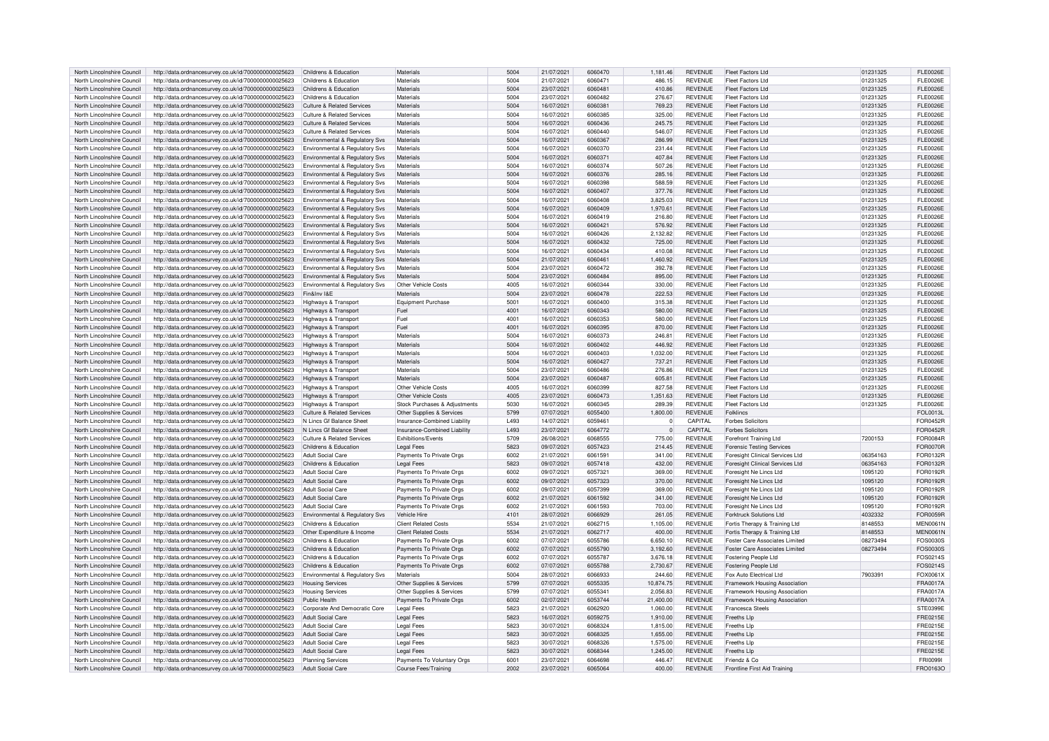| North Lincolnshire Council | http://data.ordnancesurvey.co.uk/id/7000000000025623                                                         | Childrens & Education                 | Materials                     | 5004 | 21/07/2021 | 6060470 | 1,181.46       | <b>REVENUE</b> | <b>Fleet Factors Ltd</b>              | 01231325 | <b>FLE0026E</b> |
|----------------------------|--------------------------------------------------------------------------------------------------------------|---------------------------------------|-------------------------------|------|------------|---------|----------------|----------------|---------------------------------------|----------|-----------------|
| North Lincolnshire Council | http://data.ordnancesurvey.co.uk/id/7000000000025623                                                         | Childrens & Education                 | Materials                     | 5004 | 21/07/2021 | 6060471 | 486.15         | <b>REVENUE</b> | <b>Fleet Factors Ltd</b>              | 01231325 | <b>FLE0026E</b> |
|                            |                                                                                                              |                                       |                               |      |            |         |                |                |                                       |          |                 |
| North Lincolnshire Council | http://data.ordnancesurvey.co.uk/id/7000000000025623                                                         | Childrens & Education                 | Materials                     | 5004 | 23/07/2021 | 6060481 | 410.86         | <b>REVENUE</b> | <b>Fleet Factors Ltd</b>              | 01231325 | <b>FLE0026E</b> |
| North Lincolnshire Council | http://data.ordnancesurvey.co.uk/id/7000000000025623                                                         | Childrens & Education                 | Materials                     | 5004 | 23/07/2021 | 6060482 | 276.67         | <b>REVENUE</b> | Fleet Factors Ltd                     | 01231325 | FI F0026F       |
| North Lincolnshire Council | http://data.ordnancesurvey.co.uk/id/7000000000025623                                                         | <b>Culture &amp; Related Services</b> | Materials                     | 5004 | 16/07/2021 | 606038  | 769.23         | <b>REVENUE</b> | <b>Fleet Factors Ltd</b>              | 01231325 | <b>FLE0026E</b> |
| North Lincolnshire Council | http://data.ordnancesurvey.co.uk/id/7000000000025623                                                         | Culture & Related Services            | Materials                     | 5004 | 16/07/2021 | 6060385 | 325.00         | <b>REVENUE</b> | Fleet Factors Ltd                     | 01231325 | FI F0026F       |
| North Lincolnshire Council | http://data.ordnancesurvey.co.uk/id/7000000000025623                                                         | <b>Culture &amp; Related Services</b> | Materials                     | 5004 | 16/07/2021 | 6060436 | 245.75         | <b>REVENUE</b> | Fleet Factors Ltd                     | 01231325 | FL E0026E       |
|                            |                                                                                                              |                                       |                               |      |            |         |                |                |                                       |          |                 |
| North Lincolnshire Council | http://data.ordnancesurvey.co.uk/id/7000000000025623                                                         | Culture & Related Services            | Materials                     | 5004 | 16/07/2021 | 6060440 | 546.07         | <b>REVENUE</b> | <b>Fleet Factors Ltd</b>              | 01231325 | <b>FLE0026E</b> |
| North Lincolnshire Council | http://data.ordnancesurvey.co.uk/id/7000000000025623                                                         | Environmental & Regulatory Svs        | Materials                     | 5004 | 16/07/2021 | 6060367 | 286.99         | REVENUE        | Fleet Factors Ltd                     | 01231325 | <b>FLE0026E</b> |
| North Lincolnshire Council | http://data.ordnancesurvey.co.uk/id/7000000000025623                                                         | Environmental & Regulatory Svs        | Materials                     | 5004 | 16/07/2021 | 6060370 | 231.44         | <b>REVENUE</b> | <b>Fleet Factors Ltd</b>              | 01231325 | <b>FLE0026E</b> |
| North Lincolnshire Council | http://data.ordnancesurvey.co.uk/id/7000000000025623                                                         | Environmental & Regulatory Sys        | Materials                     | 5004 | 16/07/2021 | 6060371 | 407.84         | <b>REVENUE</b> | Fleet Factors Ltd                     | 01231325 | <b>FLE0026E</b> |
|                            |                                                                                                              |                                       |                               |      |            |         |                |                |                                       |          |                 |
| North Lincolnshire Council | http://data.ordnancesurvey.co.uk/id/7000000000025623                                                         | Environmental & Regulatory Svs        | Materials                     | 5004 | 16/07/2021 | 6060374 | 507.26         | <b>REVENUE</b> | Fleet Factors Ltd                     | 01231325 | <b>FLE0026E</b> |
| North Lincolnshire Council | http://data.ordnancesurvey.co.uk/id/7000000000025623                                                         | Environmental & Regulatory Svs        | Materials                     | 5004 | 16/07/2021 | 6060376 | 285.16         | <b>REVENUE</b> | <b>Fleet Factors Ltd</b>              | 01231325 | <b>FLE0026E</b> |
| North Lincolnshire Council | http://data.ordnancesurvey.co.uk/id/7000000000025623                                                         | Environmental & Regulatory Svs        | Materials                     | 5004 | 16/07/2021 | 6060398 | 588.59         | <b>REVENUE</b> | Fleet Factors Ltd                     | 01231325 | <b>FLE0026E</b> |
| North Lincolnshire Council | http://data.ordnancesurvey.co.uk/id/7000000000025623                                                         | Environmental & Regulatory Svs        | Materials                     | 5004 | 16/07/2021 | 6060407 | 377.76         | <b>REVENUE</b> | <b>Fleet Factors Ltd</b>              | 01231325 | <b>FLE0026E</b> |
| North Lincolnshire Council | http://data.ordnancesurvey.co.uk/id/7000000000025623                                                         | Environmental & Regulatory Sys        | Materials                     | 5004 | 16/07/2021 | 6060408 | 3.825.03       | <b>REVENUE</b> | <b>Fleet Factors Ltd</b>              | 01231325 | <b>FLE0026E</b> |
|                            |                                                                                                              |                                       |                               |      |            |         |                |                |                                       |          |                 |
| North Lincolnshire Council | http://data.ordnancesurvey.co.uk/id/7000000000025623                                                         | Environmental & Regulatory Svs        | Materials                     | 5004 | 16/07/2021 | 6060409 | 1,970.61       | <b>REVENUE</b> | Fleet Factors Ltd                     | 01231325 | <b>FLE0026E</b> |
| North Lincolnshire Council | http://data.ordnancesurvey.co.uk/id/7000000000025623                                                         | Environmental & Regulatory Svs        | Materials                     | 5004 | 16/07/2021 | 6060419 | 216.80         | <b>REVENUE</b> | Fleet Factors Ltd                     | 01231325 | <b>FLE0026E</b> |
| North Lincolnshire Council | http://data.ordnancesurvey.co.uk/id/7000000000025623                                                         | Environmental & Regulatory Svs        | Materials                     | 5004 | 16/07/2021 | 6060421 | 576.92         | <b>REVENUE</b> | <b>Fleet Factors Ltd</b>              | 01231325 | <b>FLE0026E</b> |
| North Lincolnshire Council | http://data.ordnancesurvey.co.uk/id/7000000000025623                                                         | Environmental & Regulatory Svs        | Materials                     | 5004 | 16/07/2021 | 6060426 | 2,132.82       | <b>REVENUE</b> | Fleet Factors Ltd                     | 01231325 | <b>FLE0026E</b> |
|                            |                                                                                                              |                                       |                               |      |            |         |                |                |                                       |          |                 |
| North Lincolnshire Council | http://data.ordnancesurvey.co.uk/id/7000000000025623                                                         | Environmental & Regulatory Svs        | Materials                     | 5004 | 16/07/2021 | 6060432 | 725.00         | <b>REVENUE</b> | <b>Fleet Factors Ltd</b>              | 01231325 | <b>FLE0026E</b> |
| North Lincolnshire Council | http://data.ordnancesurvey.co.uk/id/7000000000025623                                                         | Environmental & Regulatory Svs        | Materials                     | 5004 | 16/07/2021 | 6060434 | 410.08         | <b>REVENUE</b> | Fleet Factors Ltd                     | 01231325 | <b>FLE0026E</b> |
| North Lincolnshire Council | http://data.ordnancesurvey.co.uk/id/7000000000025623                                                         | Environmental & Regulatory Svs        | Materials                     | 5004 | 21/07/2021 | 6060461 | 1,460.92       | <b>REVENUE</b> | Fleet Factors Ltd                     | 01231325 | <b>FLE0026E</b> |
| North Lincolnshire Council | http://data.ordnancesurvey.co.uk/id/7000000000025623                                                         | Environmental & Regulatory Svs        | Materials                     | 5004 | 23/07/2021 | 6060472 | 392.78         | <b>REVENUE</b> | <b>Fleet Factors Ltd</b>              | 01231325 | <b>FLE0026E</b> |
|                            |                                                                                                              |                                       |                               |      |            |         |                |                |                                       |          |                 |
| North Lincolnshire Council | http://data.ordnancesurvey.co.uk/id/7000000000025623                                                         | Environmental & Regulatory Svs        | Materials                     | 5004 | 23/07/2021 | 6060484 | 895.00         | <b>REVENUE</b> | Fleet Factors Ltd                     | 01231325 | FI F0026F       |
| North Lincolnshire Council | http://data.ordnancesurvey.co.uk/id/7000000000025623                                                         | Environmental & Regulatory Svs        | Other Vehicle Costs           | 4005 | 16/07/2021 | 6060344 | 330.00         | <b>REVENUE</b> | Fleet Factors Ltd                     | 01231325 | FI F0026F       |
| North Lincolnshire Council | http://data.ordnancesurvey.co.uk/id/7000000000025623                                                         | Fin&Inv I&F                           | Materials                     | 5004 | 23/07/2021 | 6060478 | 222.53         | <b>REVENUE</b> | Fleet Factors Ltd                     | 01231325 | <b>FLE0026E</b> |
| North Lincolnshire Council | http://data.ordnancesurvey.co.uk/id/7000000000025623                                                         | Highways & Transport                  | Equipment Purchase            | 5001 | 16/07/2021 | 6060400 | 315.38         | <b>REVENUE</b> | <b>Fleet Factors Ltd</b>              | 01231325 | <b>FLE0026E</b> |
|                            |                                                                                                              |                                       |                               |      |            |         |                |                |                                       |          |                 |
| North Lincolnshire Council | http://data.ordnancesurvey.co.uk/id/7000000000025623                                                         | Highways & Transport                  | Fuel                          | 4001 | 16/07/2021 | 6060343 | 580.00         | <b>REVENUE</b> | <b>Fleet Factors Ltd</b>              | 01231325 | <b>FLE0026E</b> |
| North Lincolnshire Council | http://data.ordnancesurvey.co.uk/id/7000000000025623                                                         | Highways & Transport                  | Fuel                          | 4001 | 16/07/2021 | 6060353 | 580.00         | <b>REVENUE</b> | Fleet Factors Ltd                     | 01231325 | <b>FLE0026E</b> |
| North Lincolnshire Council | http://data.ordnancesurvey.co.uk/id/7000000000025623                                                         | Highways & Transport                  | Fuel                          | 4001 | 16/07/2021 | 6060395 | 870.00         | <b>REVENUE</b> | <b>Fleet Factors Ltd</b>              | 01231325 | <b>FLE0026E</b> |
| North Lincolnshire Council | http://data.ordnancesurvey.co.uk/id/7000000000025623                                                         | <b>Highways &amp; Transport</b>       | Materials                     | 5004 | 16/07/2021 | 6060373 | 246.81         | <b>REVENUE</b> | Fleet Factors Ltd                     | 01231325 | <b>FLE0026E</b> |
|                            |                                                                                                              |                                       | Materials                     |      |            |         |                |                |                                       |          |                 |
| North Lincolnshire Council | http://data.ordnancesurvey.co.uk/id/7000000000025623                                                         | Highways & Transport                  |                               | 5004 | 16/07/2021 | 6060402 | 446.92         | <b>REVENUE</b> | <b>Fleet Factors Ltd</b>              | 01231325 | <b>FLE0026E</b> |
| North Lincolnshire Council | http://data.ordnancesurvey.co.uk/id/7000000000025623                                                         | Highways & Transport                  | Materials                     | 5004 | 16/07/2021 | 6060403 | 1,032.00       | <b>REVENUE</b> | <b>Fleet Factors Ltd</b>              | 01231325 | <b>FLE0026E</b> |
| North Lincolnshire Council | http://data.ordnancesurvey.co.uk/id/7000000000025623                                                         | Highways & Transport                  | Materials                     | 5004 | 16/07/2021 | 6060427 | 737.21         | <b>REVENUE</b> | <b>Fleet Factors Ltd</b>              | 01231325 | <b>FLE0026E</b> |
| North Lincolnshire Council | http://data.ordnancesurvey.co.uk/id/7000000000025623                                                         | Highways & Transport                  | Materials                     | 5004 | 23/07/2021 | 6060486 | 276.86         | <b>REVENUE</b> | <b>Fleet Factors Ltd</b>              | 01231325 | <b>FLE0026E</b> |
| North Lincolnshire Council | http://data.ordnancesurvey.co.uk/id/7000000000025623                                                         | Highways & Transport                  | Materials                     | 5004 | 23/07/2021 | 6060487 | 605.81         | <b>REVENUE</b> | Fleet Factors Ltd                     | 01231325 | <b>FLE0026E</b> |
|                            |                                                                                                              |                                       |                               |      |            |         |                |                |                                       |          |                 |
| North Lincolnshire Council | http://data.ordnancesurvey.co.uk/id/7000000000025623                                                         | Highways & Transport                  | Other Vehicle Costs           | 4005 | 16/07/2021 | 6060399 | 827.58         | <b>REVENUE</b> | Fleet Factors Ltd                     | 01231325 | <b>FLE0026E</b> |
| North Lincolnshire Council | http://data.ordnancesurvey.co.uk/id/7000000000025623                                                         | <b>Highways &amp; Transport</b>       | Other Vehicle Costs           | 4005 | 23/07/2021 | 6060473 | 1,351.63       | <b>REVENUE</b> | <b>Fleet Factors Ltd</b>              | 01231325 | <b>FLE0026E</b> |
| North Lincolnshire Council | http://data.ordnancesurvey.co.uk/id/7000000000025623                                                         | Highways & Transport                  | Stock Purchases & Adjustments | 5030 | 16/07/2021 | 6060345 | 289.39         | <b>REVENUE</b> | Fleet Factors Ltd                     | 01231325 | <b>FLE0026E</b> |
| North Lincolnshire Council | http://data.ordnancesurvey.co.uk/id/7000000000025623                                                         | Culture & Related Services            | Other Supplies & Services     | 5799 | 07/07/2021 | 6055400 | 1,800.00       | <b>REVENUE</b> | <b>Folklings</b>                      |          | FOL0013L        |
| North Lincolnshire Council |                                                                                                              | N Lines Gf Balance Sheet              |                               | 1493 |            | 6059461 | $\Omega$       | <b>CAPITAL</b> | <b>Enrhes Solicitors</b>              |          |                 |
|                            | http://data.ordnancesurvey.co.uk/id/7000000000025623                                                         |                                       | Insurance-Combined Liability  |      | 14/07/2021 |         |                |                |                                       |          | <b>FOR0452R</b> |
| North Lincolnshire Council | http://data.ordnancesurvey.co.uk/id/7000000000025623                                                         | N Lincs Gf Balance Sheet              | Insurance-Combined Liability  | L493 | 23/07/2021 | 6064772 | $\overline{0}$ | CAPITAL        | <b>Forbes Solicitors</b>              |          | <b>FOR0452R</b> |
| North Lincolnshire Council | http://data.ordnancesurvey.co.uk/id/7000000000025623                                                         | Culture & Related Services            | <b>Exhibitions/Events</b>     | 5709 | 26/08/2021 | 6068555 | 775.00         | <b>REVENUE</b> | Forefront Training Ltd                | 7200153  | FOR0084R        |
| North Lincolnshire Council | http://data.ordnancesurvey.co.uk/id/7000000000025623                                                         | Childrens & Education                 | <b>Legal Fees</b>             | 5823 | 09/07/2021 | 6057423 | 214.45         | <b>REVENUE</b> | <b>Forensic Testing Services</b>      |          | <b>FOR0070R</b> |
| North Lincolnshire Council | http://data.ordnancesurvey.co.uk/id/7000000000025623                                                         | <b>Adult Social Care</b>              | Payments To Private Orgs      | 6002 | 21/07/2021 | 6061591 | 341.00         | <b>REVENUE</b> | Foresight Clinical Services Ltd       | 06354163 | FOR0132R        |
|                            |                                                                                                              |                                       |                               |      |            |         |                |                |                                       |          |                 |
| North Lincolnshire Council | http://data.ordnancesurvey.co.uk/id/7000000000025623                                                         | Childrens & Education                 | <b>Legal Fees</b>             | 5823 | 09/07/2021 | 6057418 | 432.00         | <b>REVENUE</b> | Foresight Clinical Services Ltd       | 06354163 | FOR0132R        |
| North Lincolnshire Council | http://data.ordnancesurvey.co.uk/id/7000000000025623                                                         | Adult Social Care                     | Payments To Private Orgs      | 6002 | 09/07/2021 | 6057321 | 369.00         | <b>REVENUE</b> | Foresight Ne Lincs Ltd                | 1095120  | FOR0192R        |
| North Lincolnshire Council | http://data.ordnancesurvey.co.uk/id/7000000000025623                                                         | Adult Social Care                     | Payments To Private Orgs      | 6002 | 09/07/2021 | 6057323 | 370.00         | <b>REVENUE</b> | Foresight Ne Lincs Ltd                | 1095120  | FOR0192R        |
| North Lincolnshire Council | http://data.ordnancesurvey.co.uk/id/7000000000025623                                                         | Adult Social Care                     | Payments To Private Orgs      | 6002 | 09/07/2021 | 6057399 | 369.00         | <b>REVENUE</b> | Foresight Ne Lincs Ltd                | 1095120  | FOR0192R        |
| North Lincolnshire Council | http://data.ordnancesurvey.co.uk/id/7000000000025623                                                         | Adult Social Care                     |                               | 6002 | 21/07/2021 | 6061592 | 341.00         | <b>REVENUE</b> | Foresight Ne Lincs Ltd                | 1095120  | FOR0192R        |
|                            |                                                                                                              |                                       | Payments To Private Orgs      |      |            |         |                |                |                                       |          |                 |
| North Lincolnshire Council | http://data.ordnancesurvey.co.uk/id/7000000000025623                                                         | <b>Adult Social Care</b>              | Payments To Private Orgs      | 6002 | 21/07/2021 | 6061593 | 703.00         | <b>REVENUE</b> | Foresight Ne Lincs Ltd                | 1095120  | FOR0192R        |
| North Lincolnshire Council | http://data.ordnancesurvey.co.uk/id/7000000000025623                                                         | Environmental & Regulatory Svs        | Vehicle Hire                  | 4101 | 28/07/2021 | 6066929 | 261.05         | <b>REVENUE</b> | Forktruck Solutions Ltd               | 4032332  | FOR0059R        |
| North Lincolnshire Council | http://data.ordnancesurvey.co.uk/id/7000000000025623                                                         | Childrens & Education                 | <b>Client Related Costs</b>   | 5534 | 21/07/2021 | 6062715 | 1.105.00       | <b>REVENUE</b> | Fortis Therapy & Training Ltd         | 8148553  | <b>MEN0061N</b> |
| North Lincolnshire Council | http://data.ordnancesurvey.co.uk/id/7000000000025623                                                         | Other Expenditure & Income            | <b>Client Related Costs</b>   | 5534 | 21/07/2021 | 6062717 | 400.00         | <b>REVENUE</b> | Fortis Therapy & Training Ltd         | 8148553  | <b>MEN0061N</b> |
|                            |                                                                                                              |                                       |                               |      |            |         |                |                |                                       |          |                 |
| North Lincolnshire Council | http://data.ordnancesurvey.co.uk/id/7000000000025623                                                         | Childrens & Education                 | Payments To Private Orgs      | 6002 | 07/07/2021 | 6055786 | 6,650.10       | <b>REVENUE</b> | Foster Care Associates Limited        | 08273494 | FOS0030S        |
| North Lincolnshire Council | http://data.ordnancesurvey.co.uk/id/7000000000025623                                                         | Childrens & Education                 | Payments To Private Orgs      | 6002 | 07/07/2021 | 6055790 | 3,192.60       | <b>REVENUE</b> | <b>Foster Care Associates Limited</b> | 08273494 | FOS0030S        |
| North Lincolnshire Council | http://data.ordnancesurvey.co.uk/id/7000000000025623                                                         | Childrens & Education                 | Payments To Private Orgs      | 6002 | 07/07/2021 | 6055787 | 3,676.18       | <b>REVENUE</b> | Fostering People Ltd                  |          | FOS0214S        |
| North Lincolnshire Council | http://data.ordnancesurvey.co.uk/id/7000000000025623                                                         | Childrens & Education                 | Payments To Private Orgs      | 6002 | 07/07/2021 | 6055788 | 2,730.67       | <b>REVENUE</b> | <b>Fostering People Ltd</b>           |          | FOS0214S        |
| North Lincolnshire Council | http://data.ordnancesurvey.co.uk/id/7000000000025623                                                         | Environmental & Regulatory Svs        | Materials                     | 5004 | 28/07/2021 | 6066933 | 244.60         | <b>REVENUE</b> | Fox Auto Flectrical Ltd               | 7903391  | FOX0061X        |
|                            |                                                                                                              |                                       |                               |      |            |         |                |                |                                       |          |                 |
| North Lincolnshire Council | http://data.ordnancesurvey.co.uk/id/7000000000025623                                                         | <b>Housing Services</b>               | Other Supplies & Services     | 5799 | 07/07/2021 | 6055335 | 10,874.75      | <b>REVENUE</b> | Framework Housing Association         |          | <b>FRA0017A</b> |
| North Lincolnshire Council | http://data.ordnancesurvey.co.uk/id/7000000000025623                                                         | <b>Housing Services</b>               | Other Supplies & Services     | 5799 | 07/07/2021 | 605534  | 2,056.83       | <b>REVENUE</b> | Framework Housing Association         |          | <b>FRA0017A</b> |
| North Lincolnshire Council | http://data.ordnancesurvey.co.uk/id/7000000000025623                                                         | <b>Public Health</b>                  | Payments To Private Orgs      | 6002 | 02/07/2021 | 6053744 | 21,400.00      | <b>REVENUE</b> | Framework Housing Association         |          | <b>FRA0017A</b> |
| North Lincolnshire Council | http://data.ordnancesurvey.co.uk/id/7000000000025623                                                         | Corporate And Democratic Core         | Legal Fees                    | 5823 | 21/07/2021 | 6062920 | 1,060.00       | <b>REVENUE</b> | <b>Francesca Steels</b>               |          | STE0399E        |
|                            |                                                                                                              |                                       |                               |      |            |         |                |                |                                       |          |                 |
| North Lincolnshire Council | http://data.ordnancesurvey.co.uk/id/7000000000025623                                                         | <b>Adult Social Care</b>              | <b>Legal Fees</b>             | 5823 | 16/07/2021 | 6059275 | 1.910.00       | <b>REVENUE</b> | <b>Freeths Lip</b>                    |          | FRE0215E        |
| North Lincolnshire Council | http://data.ordnancesurvey.co.uk/id/7000000000025623                                                         | Adult Social Care                     | <b>Legal Fees</b>             | 5823 | 30/07/2021 | 6068324 | 1.815.00       | <b>REVENUE</b> | Freeths I In                          |          | <b>FRE0215E</b> |
| North Lincolnshire Council | http://data.ordnancesurvey.co.uk/id/7000000000025623                                                         | Adult Social Care                     | Legal Fees                    | 5823 | 30/07/2021 | 6068325 | 1,655.00       | <b>REVENUE</b> | Freeths I In                          |          | <b>FRE0215E</b> |
| North Lincolnshire Council | http://data.ordnancesurvey.co.uk/id/7000000000025623                                                         | Adult Social Care                     | <b>Legal Fees</b>             | 5823 | 30/07/2021 | 6068326 | 1,575.00       | <b>REVENUE</b> | Freeths Lin                           |          | <b>FRE0215E</b> |
| North Lincolnshire Council | http://data.ordnancesurvey.co.uk/id/7000000000025623                                                         | Adult Social Care                     | <b>Legal Fees</b>             | 5823 | 30/07/2021 | 6068344 | 1,245.00       | <b>REVENUE</b> | Freeths I In                          |          | FRF0215F        |
|                            |                                                                                                              |                                       |                               | 6001 |            | 6064698 | 446.47         |                | Friendz & Co.                         |          |                 |
| North Lincolnshire Council | http://data.ordnancesurvey.co.uk/id/7000000000025623<br>http://data.ordnancesurvey.co.uk/id/7000000000025623 | <b>Planning Services</b>              | Payments To Voluntary Orgs    |      | 23/07/2021 |         |                | <b>REVENUE</b> |                                       |          | <b>FRI00991</b> |
| North Lincolnshire Council |                                                                                                              | Adult Social Care                     | Course Fees/Training          | 2002 | 23/07/2021 | 6065064 | 400.00         | <b>REVENUE</b> | Frontline First Aid Training          |          | FRO0163O        |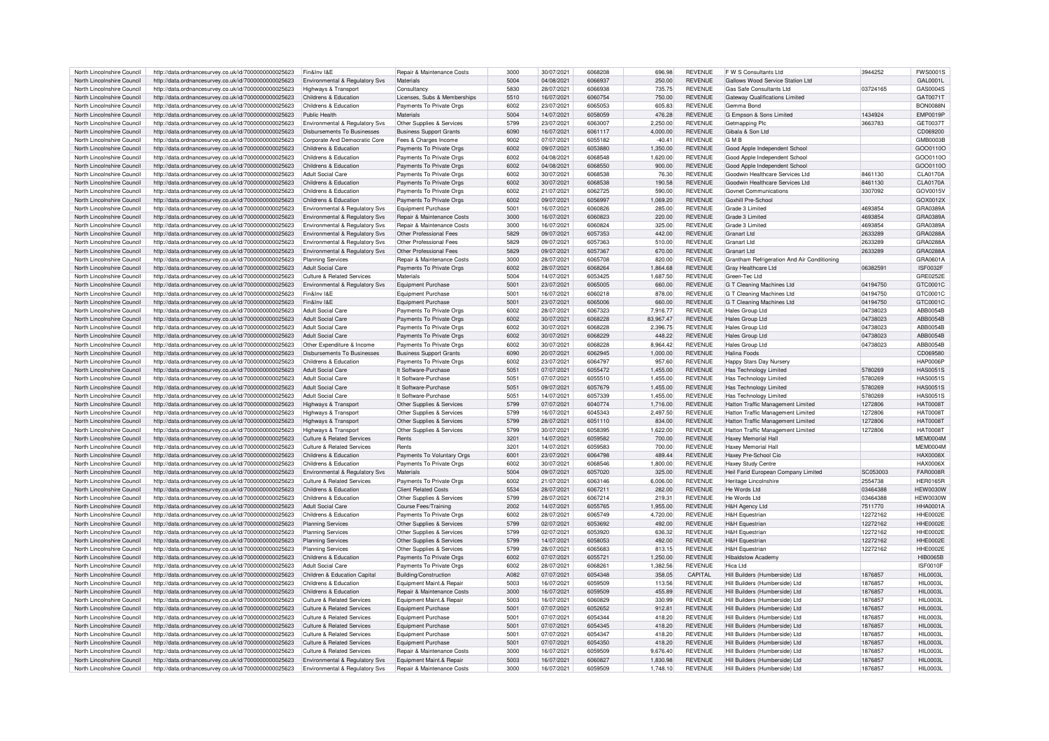| North Lincolnshire Council | http://data.ordnancesurvey.co.uk/id/7000000000025623 | Fin&Inv I&F                                | Repair & Maintenance Costs            | 3000 | 30/07/2021 | 6068208        | 696.98    | <b>REVENUE</b> | F W S Consultants Ltd                       | 3944252  | <b>EWS00019</b>  |
|----------------------------|------------------------------------------------------|--------------------------------------------|---------------------------------------|------|------------|----------------|-----------|----------------|---------------------------------------------|----------|------------------|
| North Lincolnshire Council | http://data.ordnancesurvey.co.uk/id/7000000000025623 | <b>Environmental &amp; Requiatory Sys.</b> | Materials                             | 5004 | 04/08/2021 | 6066937        | 250.00    | <b>REVENUE</b> | Gallows Wood Service Station Ltd            |          | GAL0001L         |
| North Lincolnshire Council | http://data.ordnancesurvey.co.uk/id/7000000000025623 | <b>Highways &amp; Transport</b>            | Consultancy                           | 5830 | 28/07/2021 | <b>BERBANA</b> | 735.75    | <b>REVENUE</b> | Gas Safe Consultants Ltd                    | 03724165 | GAS0004S         |
|                            |                                                      |                                            |                                       |      |            |                |           |                |                                             |          |                  |
| North Lincolnshire Council | http://data.ordnancesurvey.co.uk/id/7000000000025623 | Childrens & Education                      | Licenses, Subs & Memberships          | 5510 | 16/07/2021 | 6060754        | 750.00    | <b>REVENUE</b> | <b>Gateway Qualifications Limited</b>       |          | GAT00717         |
| North Lincolnshire Council | http://data.ordnancesurvey.co.uk/id/7000000000025623 | Childrens & Education                      | Payments To Private Orgs              | 6002 | 23/07/2021 | 6065053        | 605.83    | <b>REVENUE</b> | Gemma Bond                                  |          | <b>BON0088M</b>  |
| North Lincolnshire Council | http://data.ordnancesurvey.co.uk/id/7000000000025623 | Public Health                              | Materials                             | 5004 | 14/07/2021 | 6058059        | 476.28    | <b>REVENUE</b> | G Empson & Sons Limited                     | 1434924  | <b>EMP0019F</b>  |
|                            |                                                      |                                            |                                       |      |            |                |           |                |                                             |          |                  |
| North Lincolnshire Council | http://data.ordnancesurvey.co.uk/id/7000000000025623 | Environmental & Regulatory Svs             | Other Supplies & Services             | 5799 | 23/07/2021 | 6063007        | 2.250.00  | <b>REVENUE</b> | Getmanning Plc                              | 3663783  | GET0037T         |
| North Lincolnshire Council | http://data.ordnancesurvey.co.uk/id/7000000000025623 | Disbursements To Businesses                | <b>Business Support Grants</b>        | 6090 | 16/07/2021 | 6061117        | 4.000.00  | <b>REVENUE</b> | Gibala & Son Ltd                            |          | CD069200         |
| North Lincolnshire Council | http://data.ordnancesurvey.co.uk/id/7000000000025623 | Corporate And Democratic Core              | Fees & Charges Income                 | 9002 | 07/07/2021 | 6055182        | $-40.41$  | <b>REVENUE</b> | <b>GMB</b>                                  |          | GMB0003E         |
|                            |                                                      |                                            |                                       |      |            |                |           |                |                                             |          |                  |
| North Lincolnshire Council | http://data.ordnancesurvey.co.uk/id/7000000000025623 | Childrens & Education                      | Payments To Private Orgs              | 6002 | 09/07/2021 | 6053880        | 1,350.00  | <b>REVENUE</b> | Good Apple Independent School               |          | GOO0110C         |
| North Lincolnshire Council | http://data.ordnancesurvey.co.uk/id/7000000000025623 | Childrens & Education                      | Payments To Private Oras              | 6002 | 04/08/2021 | 6068548        | 1.620.00  | <b>REVENUE</b> | Good Apple Independent School               |          | GOO01100         |
| North Lincolnshire Council | http://data.ordnancesurvey.co.uk/id/7000000000025623 | Childrens & Education                      | Payments To Private Orgs              | 6002 | 04/08/2021 | 6068550        | 900.00    | <b>REVENUE</b> | Good Apple Independent School               |          | GOO0110C         |
|                            |                                                      |                                            |                                       |      |            |                |           |                |                                             |          |                  |
| North Lincolnshire Council | http://data.ordnancesurvey.co.uk/id/7000000000025623 | Adult Social Care                          | Payments To Private Orgs              | sons | 30/07/2021 | 6068538        | 76.30     | <b>REVENUE</b> | Goodwin Healthcare Services Ltd             | 8461130  | <b>CLA0170A</b>  |
| North Lincolnshire Council | http://data.ordnancesurvey.co.uk/id/7000000000025623 | Childrens & Education                      | Payments To Private Orgs              | 6002 | 30/07/2021 | 6068538        | 190.58    | <b>REVENUE</b> | Goodwin Healthcare Services Ltd             | 8461130  | CLA0170A         |
| North Lincolnshire Council | http://data.ordnancesurvey.co.uk/id/7000000000025623 | Childrens & Education                      | Payments To Private Orgs              | 6002 | 21/07/2021 | 6062725        | 590.00    | <b>REVENUE</b> | <b>Govnet Communications</b>                | 3307092  | GOV0015\         |
|                            |                                                      |                                            |                                       |      |            |                |           |                |                                             |          |                  |
| North Lincolnshire Council | http://data.ordnancesurvey.co.uk/id/7000000000025623 | Childrens & Education                      | Payments To Private Orgs              | 6002 | 09/07/2021 | 6056997        | 1,069.20  | <b>REVENUE</b> | Goxhill Pre-School                          |          | GOX0012>         |
| North Lincolnshire Council | http://data.ordnancesurvey.co.uk/id/7000000000025623 | Environmental & Regulatory Sys             | Equipment Purchase                    | 5001 | 16/07/2021 | 6060826        | 285.00    | <b>REVENUE</b> | Grade 3 Limited                             | 4693854  | GRA0389A         |
| North Lincolnshire Council | http://data.ordnancesurvey.co.uk/id/7000000000025623 | Environmental & Regulatory Svs             | Repair & Maintenance Costs            | 3000 | 16/07/2021 | 6060823        | 220.00    | <b>REVENUE</b> | Grade 3 Limited                             | 4693854  | GRA0389A         |
|                            |                                                      |                                            |                                       |      |            |                |           |                |                                             |          |                  |
| North Lincolnshire Council | http://data.ordnancesurvey.co.uk/id/7000000000025623 | Environmental & Regulatory Sys             | <b>Repair &amp; Maintenance Costs</b> | 3000 | 16/07/2021 | 6060824        | 325.00    | <b>REVENUE</b> | Grade 3 Limited                             | 4693854  | GRA0389A         |
| North Lincolnshire Council | http://data.ordnancesurvey.co.uk/id/7000000000025623 | Environmental & Regulatory Svs             | Other Professional Fees               | 5829 | 09/07/2021 | 6057353        | 442.00    | <b>REVENUE</b> | Granart Ltd                                 | 2633289  | GRA0288A         |
| North Lincolnshire Council | http://data.ordnancesurvey.co.uk/id/7000000000025623 | Environmental & Regulatory Svs             | Other Professional Fees               | 5829 | 09/07/2021 | 6057363        | 510.00    | REVENUE        | Granart Ltd                                 | 2633289  | GRA0288/         |
|                            |                                                      |                                            |                                       |      |            |                |           |                |                                             |          |                  |
| North Lincolnshire Council | http://data.ordnancesurvey.co.uk/id/7000000000025623 | Environmental & Regulatory Sys             | Other Professional Fees               | 5829 | 09/07/2021 | 6057367        | 670.00    | <b>REVENUE</b> | <b>Granart Ltd</b>                          | 2633289  | GRA0288A         |
| North Lincolnshire Council | http://data.ordnancesurvey.co.uk/id/7000000000025623 | <b>Planning Services</b>                   | Repair & Maintenance Costs            | 3000 | 28/07/2021 | 6065708        | 820.00    | <b>REVENUE</b> | Grantham Refrigeration And Air Conditioning |          | GRA0601A         |
| North Lincolnshire Council | http://data.ordnancesurvey.co.uk/id/7000000000025623 | <b>Adult Social Care</b>                   | Payments To Private Orgs              | 6002 | 28/07/2021 | 6068264        | 1,864.68  | <b>REVENUE</b> | Gray Healthcare Ltd                         | 06382591 | <b>ISF0032F</b>  |
|                            |                                                      |                                            |                                       |      |            |                |           |                |                                             |          |                  |
| North Lincolnshire Council | http://data.ordnancesurvey.co.uk/id/7000000000025623 | <b>Culture &amp; Related Services</b>      | Materials                             | 5004 | 14/07/2021 | 6053425        | 1,687.50  | <b>REVENUE</b> | Green-Tec Ltd                               |          | GRE0252E         |
| North Lincolnshire Council | http://data.ordnancesurvey.co.uk/id/7000000000025623 | Environmental & Regulatory Svs             | Equipment Purchase                    | 5001 | 23/07/2021 | 6065005        | 660.00    | <b>REVENUE</b> | G T Cleaning Machines Ltd                   | 04194750 | GTC0001C         |
| North Lincolnshire Council | http://data.ordnancesurvey.co.uk/id/7000000000025623 | Fin&Inv I&F                                | Equipment Purchase                    | 5001 | 16/07/2021 | 6060218        | 878.00    | <b>REVENUE</b> | G T Cleaning Machines Ltd                   | 04194750 | GTC0001C         |
|                            |                                                      |                                            |                                       |      |            |                |           |                |                                             |          |                  |
| North Lincolnshire Council | http://data.ordnancesurvey.co.uk/id/7000000000025623 | Fin&Inv I&E                                | Equipment Purchase                    | 5001 | 23/07/2021 | 6065006        | 660.00    | <b>REVENUE</b> | G T Cleaning Machines Ltd                   | 04194750 | GTC0001C         |
| North Lincolnshire Council | http://data.ordnancesurvey.co.uk/id/7000000000025623 | <b>Adult Social Care</b>                   | Payments To Private Orgs              | 6002 | 28/07/2021 | 6067323        | 7.916.77  | <b>REVENUE</b> | Hales Group Ltd                             | 04738023 | ABB0054F         |
|                            |                                                      |                                            |                                       |      |            |                |           |                |                                             |          |                  |
| North Lincolnshire Council | http://data.ordnancesurvey.co.uk/id/7000000000025623 | Adult Social Care                          | Payments To Private Orgs              | 6002 | 30/07/2021 | 6068228        | 83,967.47 | <b>REVENUE</b> | <b>Hales Group Ltd</b>                      | 04738023 | ABB0054B         |
| North Lincolnshire Council | http://data.ordnancesurvey.co.uk/id/7000000000025623 | <b>Adult Social Care</b>                   | Payments To Private Orgs              | 6002 | 30/07/2021 | 6068228        | 2.396.75  | REVENUE        | <b>Hales Group Ltd</b>                      | 04738023 | ABB0054B         |
| North Lincolnshire Council | http://data.ordnancesurvey.co.uk/id/7000000000025623 | Adult Social Care                          | Payments To Private Orgs              | 6002 | 30/07/2021 | 6068229        | 448.22    | <b>REVENUE</b> | <b>Hales Group Ltd</b>                      | 04738023 | ABB0054B         |
|                            |                                                      |                                            |                                       |      |            | 6068228        |           |                |                                             |          |                  |
| North Lincolnshire Council | http://data.ordnancesurvey.co.uk/id/7000000000025623 | Other Expenditure & Income                 | Payments To Private Orgs              | 6002 | 30/07/2021 |                | 8.964.42  | <b>REVENUE</b> | <b>Hales Group Ltd</b>                      | 04738023 | ABB0054B         |
| North Lincolnshire Council | http://data.ordnancesurvey.co.uk/id/7000000000025623 | Disbursements To Businesses                | <b>Business Support Grants</b>        | 6090 | 20/07/2021 | 6062945        | 1.000.00  | <b>REVENUE</b> | <b>Halina Foods</b>                         |          | CD069580         |
| North Lincolnshire Council | http://data.ordnancesurvey.co.uk/id/7000000000025623 | Childrens & Education                      | Payments To Private Orgs              | 6002 | 23/07/2021 | 6064797        | 957.60    | <b>REVENUE</b> | Happy Stars Day Nursery                     |          | <b>HAP0006F</b>  |
|                            |                                                      |                                            |                                       | 5051 |            |                |           |                |                                             |          |                  |
| North Lincolnshire Council | http://data.ordnancesurvey.co.uk/id/7000000000025623 | <b>Adult Social Care</b>                   | It Software-Purchase                  |      | 07/07/2021 | 6055472        | 1,455.00  | <b>REVENUE</b> | Has Technology Limited                      | 5780269  | <b>HAS0051S</b>  |
| North Lincolnshire Council | http://data.ordnancesurvey.co.uk/id/7000000000025623 | <b>Adult Social Care</b>                   | It Software-Purchase                  | 5051 | 07/07/2021 | 6055510        | 1.455.00  | <b>REVENUE</b> | <b>Has Technology Limited</b>               | 5780269  | <b>HAS0051S</b>  |
| North Lincolnshire Council | http://data.ordnancesurvey.co.uk/id/7000000000025623 | <b>Adult Social Care</b>                   | It Software-Purchase                  | 5051 | 09/07/2021 | 6057679        | 1.455.00  | <b>REVENUE</b> | <b>Has Technology Limited</b>               | 5780269  | <b>HAS0051S</b>  |
|                            |                                                      |                                            |                                       |      |            |                |           |                |                                             |          |                  |
| North Lincolnshire Council | http://data.ordnancesurvey.co.uk/id/7000000000025623 | <b>Adult Social Care</b>                   | It Software-Purchase                  | 5051 | 14/07/2021 | 6057339        | 1,455.00  | <b>REVENUE</b> | Has Technology Limited                      | 5780269  | HAS0051S         |
| North Lincolnshire Council | http://data.ordnancesurvey.co.uk/id/7000000000025623 | Highways & Transport                       | Other Supplies & Services             | 5799 | 07/07/2021 | 6040774        | 1,716.00  | <b>REVENUE</b> | Hatton Traffic Management Limited           | 1272806  | <b>HAT0008T</b>  |
| North Lincolnshire Council | http://data.ordnancesurvey.co.uk/id/7000000000025623 | Highways & Transport                       | Other Supplies & Services             | 5799 | 16/07/2021 | 6045343        | 2,497.50  | REVENUE        | Hatton Traffic Management Limited           | 1272806  | <b>HAT0008T</b>  |
|                            |                                                      |                                            |                                       |      |            |                |           |                |                                             |          |                  |
| North Lincolnshire Council | http://data.ordnancesurvey.co.uk/id/7000000000025623 | Highways & Transport                       | Other Supplies & Services             | 5799 | 28/07/2021 | 6051110        | 834.00    | <b>REVENUE</b> | Hatton Traffic Management Limited           | 1272806  | <b>HAT0008T</b>  |
| North Lincolnshire Council | http://data.ordnancesurvey.co.uk/id/7000000000025623 | Highways & Transport                       | Other Supplies & Services             | 5799 | 30/07/2021 | 6058395        | 1,622.00  | <b>REVENUE</b> | Hatton Traffic Management Limited           | 1272806  | HAT00087         |
| North Lincolnshire Council | http://data.ordnancesurvey.co.uk/id/7000000000025623 | <b>Culture &amp; Related Services</b>      | Rents                                 | 3201 | 14/07/2021 | 6059582        | 700.00    | <b>REVENUE</b> | Haxey Memorial Hall                         |          | MFM0004M         |
|                            |                                                      |                                            |                                       |      |            |                |           |                |                                             |          |                  |
| North Lincolnshire Council | http://data.ordnancesurvey.co.uk/id/7000000000025623 | Culture & Related Services                 | Rents                                 | 3201 | 14/07/2021 | 6059583        | 700.00    | <b>REVENUE</b> | Haxey Memorial Hal                          |          | MEM0004N         |
| North Lincolnshire Council | http://data.ordnancesurvey.co.uk/id/7000000000025623 | Childrens & Education                      | Payments To Voluntary Orgs            | 6001 | 23/07/2021 | 6064798        | 489.44    | <b>REVENUE</b> | Haxey Pre-School Cio                        |          | HAX0008)         |
| North Lincolnshire Council | http://data.ordnancesurvey.co.uk/id/7000000000025623 | Childrens & Education                      | Payments To Private Oras              | 6002 | 30/07/2021 | 6068546        | 1.800.00  | <b>REVENUE</b> | <b>Haxev Study Centre</b>                   |          | <b>HAX0006X</b>  |
|                            |                                                      |                                            |                                       |      |            |                |           |                |                                             |          |                  |
| North Lincolnshire Council | http://data.ordnancesurvey.co.uk/id/7000000000025623 | Environmental & Regulatory Svs             | Materials                             | 5004 | 09/07/2021 | 6057020        | 325.00    | <b>REVENUE</b> | Heil Farid European Company Limited         | SC053003 | <b>FAR0008R</b>  |
| North Lincolnshire Council | http://data.ordnancesurvey.co.uk/id/7000000000025623 | Culture & Related Services                 | Payments To Private Orgs              | 6002 | 21/07/2021 | 6063146        | 6,006.00  | <b>REVENUE</b> | Heritage Lincolnshire                       | 2554738  | <b>HER0165F</b>  |
| North Lincolnshire Council | http://data.ordnancesurvey.co.uk/id/7000000000025623 | Childrens & Education                      | <b>Client Related Costs</b>           | 5534 | 28/07/2021 | 6067211        | 282.00    | <b>REVENUE</b> | He Words Ltd                                | 03464388 | <b>HEW0030W</b>  |
| North Lincolnshire Council |                                                      | Childrens & Education                      |                                       | 5799 | 28/07/2021 | 6067214        | 219.31    | <b>REVENUE</b> | He Words I td                               |          |                  |
|                            | http://data.ordnancesurvey.co.uk/id/7000000000025623 |                                            | Other Supplies & Services             |      |            |                |           |                |                                             | 03464388 | <b>HEW0030W</b>  |
| North Lincolnshire Council | http://data.ordnancesurvey.co.uk/id/7000000000025623 | Adult Social Care                          | Course Fees/Training                  | 2002 | 14/07/2021 | 6055765        | 1,955.00  | <b>REVENUE</b> | <b>H&amp;H Agency Ltd</b>                   | 7511770  | <b>HHA0001A</b>  |
| North Lincolnshire Council | http://data.ordnancesurvey.co.uk/id/7000000000025623 | Childrens & Education                      | Payments To Private Orgs              | 6002 | 28/07/2021 | 6065749        | 4,720.00  | <b>REVENUE</b> | <b>H&amp;H</b> Equestrian                   | 12272162 | HHE0002E         |
|                            |                                                      |                                            |                                       |      |            |                |           |                |                                             |          |                  |
| North Lincolnshire Council | http://data.ordnancesurvey.co.uk/id/7000000000025623 | <b>Planning Services</b>                   | Other Supplies & Services             | 5799 | 02/07/2021 | 6053692        | 492.00    | <b>REVENUE</b> | <b>H&amp;H Equestrian</b>                   | 12272162 | HHF0002F         |
| North Lincolnshire Council | http://data.ordnancesurvey.co.uk/id/7000000000025623 | <b>Planning Services</b>                   | Other Supplies & Services             | 5799 | 02/07/2021 | 6053920        | 636.32    | <b>REVENUE</b> | <b>H&amp;H Equestrian</b>                   | 12272162 | HHE0002E         |
| North Lincolnshire Council | http://data.ordnancesurvey.co.uk/id/7000000000025623 | <b>Planning Services</b>                   | Other Supplies & Services             | 5799 | 14/07/2021 | 6058053        | 492.00    | <b>REVENUE</b> | <b>H&amp;H Fouestrian</b>                   | 12272162 | HHF0002F         |
| North Lincolnshire Council |                                                      | <b>Planning Services</b>                   |                                       | 5799 | 28/07/2021 | 6065683        | 813.15    | <b>REVENUE</b> | <b>H&amp;H Fouestrian</b>                   |          | HHE0002E         |
|                            | http://data.ordnancesurvey.co.uk/id/7000000000025623 |                                            | Other Supplies & Services             |      |            |                |           |                |                                             | 12272162 |                  |
| North Lincolnshire Council | http://data.ordnancesurvey.co.uk/id/7000000000025623 | Childrens & Education                      | Payments To Private Orgs              | 6002 | 07/07/2021 | 605572         | 1.250.00  | <b>REVENUE</b> | <b>Hihaldstow Acader</b>                    |          | <b>HIB0065B</b>  |
| North Lincolnshire Council | http://data.ordnancesurvey.co.uk/id/7000000000025623 | <b>Adult Social Care</b>                   | Payments To Private Orgs              | 6002 | 28/07/2021 | 606826         | 1,382.56  | <b>REVENUE</b> | Hica Ltd                                    |          | ISF0010F         |
| North Lincolnshire Council | http://data.ordnancesurvey.co.uk/id/7000000000025623 | Children & Education Capital               | Building/Construction                 | A082 | 07/07/2021 | 6054348        | 358.05    | CAPITAL        | Hill Builders (Humberside) Ltd              | 1876857  | <b>HIL0003I</b>  |
|                            |                                                      |                                            |                                       |      |            |                |           |                |                                             |          |                  |
| North Lincolnshire Council | http://data.ordnancesurvey.co.uk/id/7000000000025623 | Childrens & Education                      | Equipment Maint.& Repair              | 5003 | 16/07/2021 | 6059509        | 113.56    | REVENUE        | Hill Builders (Humberside) Ltd              | 1876857  | HIL 0003L        |
| North Lincolnshire Council | http://data.ordnancesurvey.co.uk/id/7000000000025623 | Childrens & Education                      | <b>Benair &amp; Maintenance Costs</b> | 3000 | 16/07/2021 | 6059509        | 455.89    | <b>REVENUE</b> | Hill Builders (Humberside) I td.            | 1876857  | <b>HIL0003L</b>  |
| North Lincolnshire Council | http://data.ordnancesurvey.co.uk/id/7000000000025623 | Culture & Related Services                 |                                       | 5003 | 16/07/2021 | 6060829        | 330.99    | <b>REVENUE</b> | Hill Builders (Humberside) I td             | 1876857  | <b>HIL0003I</b>  |
|                            |                                                      |                                            | Equipment Maint.& Repair              |      |            |                |           |                |                                             |          |                  |
| North Lincolnshire Council | http://data.ordnancesurvey.co.uk/id/7000000000025623 | Culture & Related Services                 | Equipment Purchase                    | 5001 | 07/07/2021 | 6052652        | 912.81    | <b>REVENUE</b> | Hill Builders (Humberside) Ltd              | 1876857  | HII 0003I        |
| North Lincolnshire Council | http://data.ordnancesurvey.co.uk/id/7000000000025623 | Culture & Related Services                 | Equipment Purchase                    | 5001 | 07/07/2021 | 6054344        | 418.20    | <b>REVENUE</b> | Hill Builders (Humberside) Ltd              | 187685   | <b>HIL0003I</b>  |
|                            |                                                      |                                            |                                       | 5001 | 07/07/2021 | 6054345        |           | <b>REVENUE</b> |                                             |          | <b>HII 0003I</b> |
| North Lincolnshire Council | http://data.ordnancesurvey.co.uk/id/7000000000025623 | <b>Culture &amp; Related Services</b>      | <b>Equipment Purchase</b>             |      |            |                | 418.20    |                | Hill Builders (Humberside) Ltd              | 1876857  |                  |
| North Lincolnshire Council | http://data.ordnancesurvey.co.uk/id/7000000000025623 | <b>Culture &amp; Related Services</b>      | Equipment Purchase                    | 5001 | 07/07/2021 | 6054347        | 418.20    | <b>REVENUE</b> | Hill Builders (Humberside) Ltd              | 1876857  | <b>HIL0003I</b>  |
| North Lincolnshire Council | http://data.ordnancesurvey.co.uk/id/7000000000025623 | Culture & Related Services                 | Equipment Purchase                    | 5001 | 07/07/2021 | 6054350        | 418.20    | <b>REVENUE</b> | Hill Builders (Humberside) Ltd              | 1876857  | <b>HIL0003I</b>  |
|                            |                                                      |                                            |                                       | 3000 | 16/07/2021 | 6059509        |           | <b>REVENUE</b> |                                             |          | <b>HII 0003I</b> |
| North Lincolnshire Council | http://data.ordnancesurvey.co.uk/id/7000000000025623 | Culture & Related Services                 | Repair & Maintenance Costs            |      |            |                | 9,676.40  |                | Hill Builders (Humberside) Ltd              | 1876857  |                  |
| North Lincolnshire Council | http://data.ordnancesurvey.co.uk/id/7000000000025623 | Environmental & Regulatory Svs             | Equipment Maint.& Repair              | 5003 | 16/07/2021 | 6060827        | 1.830.98  | <b>REVENUE</b> | Hill Builders (Humberside) Ltd              | 1876857  | <b>HIL0003L</b>  |
| North Lincolnshire Council | http://data.ordnancesurvey.co.uk/id/7000000000025623 | Environmental & Regulatory Svs             | <b>Benair &amp; Maintenance Costs</b> | 3000 | 16/07/2021 | 6059509        | 1.748.10  | <b>REVENUE</b> | Hill Builders (Humberside) Ltd              | 1876857  | <b>HII 0003L</b> |
|                            |                                                      |                                            |                                       |      |            |                |           |                |                                             |          |                  |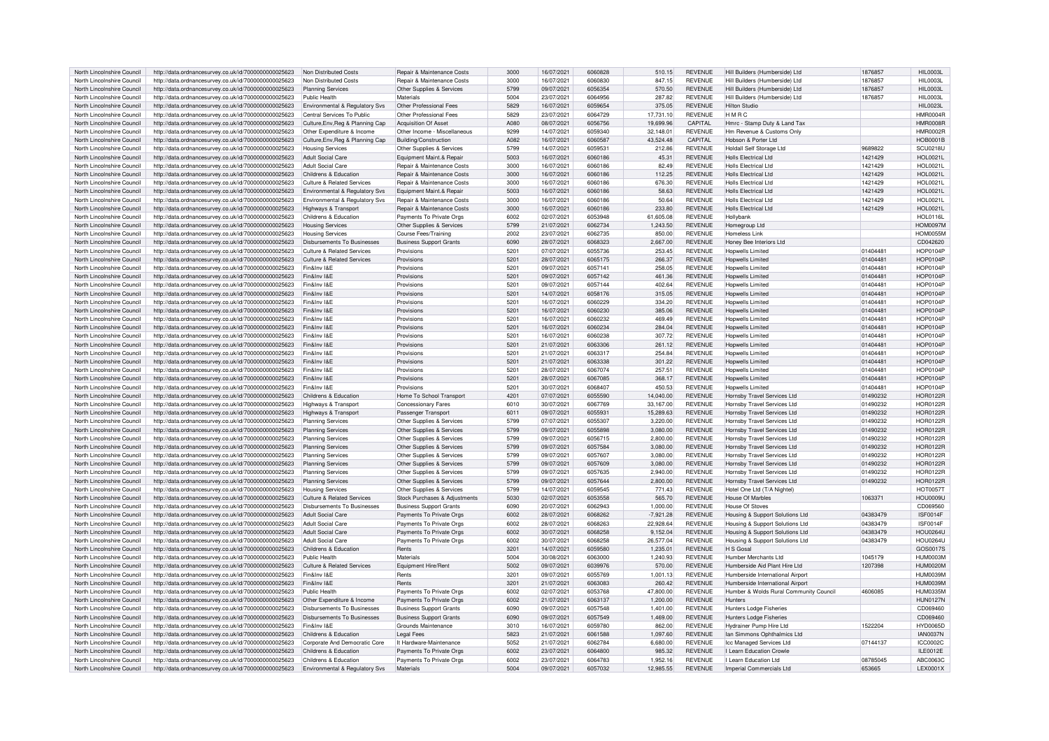| North Lincolnshire Council                               | http://data.ordnancesurvey.co.uk/id/7000000000025623                                                         | Non Distributed Costs                                   | Repair & Maintenance Costs            | 3000         | 16/07/2021               | 6060828            | 510.15                | <b>REVENUE</b>                   | Hill Builders (Humberside) Ltd                    | 1876857            | <b>HIL0003L</b>             |
|----------------------------------------------------------|--------------------------------------------------------------------------------------------------------------|---------------------------------------------------------|---------------------------------------|--------------|--------------------------|--------------------|-----------------------|----------------------------------|---------------------------------------------------|--------------------|-----------------------------|
| North Lincolnshire Council                               | http://data.ordnancesurvey.co.uk/id/7000000000025623                                                         | Non Distributed Costs                                   | Repair & Maintenance Cost:            | 3000         | 16/07/2021               | 6060830            | 847.15                | <b>REVENUE</b>                   | Hill Builders (Humberside) I to                   | 187685             | <b>HIL0003L</b>             |
|                                                          |                                                                                                              |                                                         |                                       |              |                          |                    |                       |                                  |                                                   |                    |                             |
| North Lincolnshire Council                               | http://data.ordnancesurvey.co.uk/id/7000000000025623                                                         | <b>Planning Services</b>                                | Other Supplies & Services             | 5799         | 09/07/2021               | 6056354            | 570.50                | <b>REVENUE</b>                   | Hill Builders (Humberside) Ltd                    | 1876857            | <b>HIL0003L</b>             |
| North Lincolnshire Council                               | http://data.ordnancesurvey.co.uk/id/7000000000025623                                                         | Public Health                                           | Materials                             | 5004         | 23/07/2021               | 6064956            | 287.82                | <b>REVENUE</b>                   | Hill Builders (Humberside) I td                   | 1876857            | <b>HIL0003L</b>             |
| North Lincolnshire Council                               | http://data.ordnancesurvey.co.uk/id/7000000000025623                                                         | Environmental & Regulatory Svs                          | Other Professional Fees               | 5829         | 16/07/2021               | 6059654            | 375.05                | <b>REVENUE</b>                   | Hilton Studio                                     |                    | <b>HIL0023L</b>             |
| North Lincolnshire Council                               | http://data.ordnancesurvey.co.uk/id/7000000000025623                                                         | Central Services To Public                              | Other Professional Fees               | 5829         | 23/07/2021               | 6064729            | 17,731.10             | <b>REVENUE</b>                   | HMRC                                              |                    | <b>HMR0004F</b>             |
| North Lincolnshire Council                               | http://data.ordnancesurvey.co.uk/id/7000000000025623                                                         | Culture, Env, Reg & Planning Cap                        | Acquisition Of Asset                  | <b>A080</b>  | 08/07/2021               | 6056756            | 19,699.96             | <b>CAPITAL</b>                   | Hmrc - Stamp Duty & Land Tax                      |                    | <b>HMR0008F</b>             |
|                                                          |                                                                                                              |                                                         |                                       |              |                          |                    |                       |                                  |                                                   |                    |                             |
| North Lincolnshire Council                               | http://data.ordnancesurvey.co.uk/id/7000000000025623                                                         | Other Expenditure & Income                              | Other Income - Miscellaneous          | 9299         | 14/07/2021               | 6059340            | 32.148.01             | <b>REVENUE</b>                   | Hm Revenue & Customs Only                         |                    | <b>HMR0002F</b>             |
| North Lincolnshire Council                               | http://data.ordnancesurvey.co.uk/id/7000000000025623                                                         | Culture, Env, Reg & Planning Cap                        | Building/Construction                 | A082         | 16/07/2021               | 6060587            | 43.524.48             | CAPITAL                          | Hobson & Porter Ltd                               |                    | <b>HOB0001B</b>             |
| North Lincolnshire Council                               | http://data.ordnancesurvey.co.uk/id/7000000000025623                                                         | <b>Housing Services</b>                                 | Other Supplies & Services             | 5799         | 14/07/2021               | 605953             | 212.86                | <b>REVENUE</b>                   | Holdall Self Storage Ltd                          | 9689822            | <b>SCU0218U</b>             |
| North Lincolnshire Council                               | http://data.ordnancesurvey.co.uk/id/7000000000025623                                                         | Adult Social Care                                       | Foujnment Maint & Renair              | 5003         | 16/07/2021               | 6060186            | 45.31                 | <b>REVENUE</b>                   | <b>Holls Electrical Ltd</b>                       | 1421429            | <b>HOL0021L</b>             |
|                                                          |                                                                                                              |                                                         |                                       |              |                          |                    |                       |                                  |                                                   |                    |                             |
| North Lincolnshire Council                               | http://data.ordnancesurvey.co.uk/id/7000000000025623                                                         | <b>Adult Social Care</b>                                | Repair & Maintenance Costs            | 3000         | 16/07/2021               | 6060186            | 82.49                 | <b>REVENUE</b>                   | Holls Flectrical I td                             | 1421429            | HOI 0021L                   |
| North Lincolnshire Council                               | http://data.ordnancesurvey.co.uk/id/7000000000025623                                                         | Childrens & Education                                   | Repair & Maintenance Costs            | 3000         | 16/07/2021               | 6060186            | 112.25                | <b>REVENUE</b>                   | <b>Holls Electrical Ltd</b>                       | 1421429            | <b>HOL0021L</b>             |
| North Lincolnshire Council                               | http://data.ordnancesurvey.co.uk/id/7000000000025623                                                         | Culture & Related Services                              | Repair & Maintenance Costs            | 3000         | 16/07/2021               | 6060186            | 676.30                | <b>REVENUE</b>                   | Holls Electrical Ltd                              | 1421429            | <b>HOL0021L</b>             |
| North Lincolnshire Council                               | http://data.ordnancesurvey.co.uk/id/7000000000025623                                                         | Environmental & Regulatory Svs                          | Equipment Maint.& Repair              | 5003         | 16/07/2021               | 6060186            | 58.63                 | <b>REVENUE</b>                   | Holls Flectrical I td                             | 1421429            | <b>HOL0021L</b>             |
| North Lincolnshire Council                               | http://data.ordnancesurvey.co.uk/id/7000000000025623                                                         | Environmental & Regulatory Svs                          | Repair & Maintenance Costs            | 3000         | 16/07/2021               | 6060186            | 50.64                 | <b>REVENUE</b>                   | <b>Holls Electrical Ltd</b>                       | 1421429            | <b>HOL0021L</b>             |
|                                                          |                                                                                                              |                                                         |                                       |              |                          |                    |                       |                                  |                                                   |                    |                             |
| North Lincolnshire Council                               | http://data.ordnancesurvey.co.uk/id/7000000000025623                                                         | Highways & Transport                                    | Repair & Maintenance Costs            | 3000         | 16/07/2021               | 6060186            | 233.80                | <b>REVENUE</b>                   | Holls Flectrical I td                             | 1421429            | <b>HOL0021L</b>             |
| North Lincolnshire Council                               | http://data.ordnancesurvey.co.uk/id/7000000000025623                                                         | Childrens & Education                                   | Payments To Private Orgs              | 6002         | 02/07/2021               | 6053948            | 61.605.08             | <b>REVENUE</b>                   | Hollybank                                         |                    | HOL0116L                    |
| North Lincolnshire Council                               | http://data.ordnancesurvey.co.uk/id/7000000000025623                                                         | <b>Housing Services</b>                                 | Other Supplies & Services             | 5799         | 21/07/2021               | 6062734            | 1,243.50              | <b>REVENUE</b>                   | Homegroup Ltd                                     |                    | <b>HOM0097M</b>             |
| North Lincolnshire Council                               | http://data.ordnancesurvey.co.uk/id/7000000000025623                                                         | <b>Housing Services</b>                                 | <b>Course Fees/Training</b>           | 2002         | 23/07/2021               | 6062735            | 850.00                | REVENUE                          | Homeless Link                                     |                    | <b>HOM0055M</b>             |
|                                                          |                                                                                                              |                                                         |                                       |              |                          |                    |                       |                                  |                                                   |                    |                             |
| North Lincolnshire Council                               | http://data.ordnancesurvey.co.uk/id/7000000000025623                                                         | Disbursements To Businesser                             | <b>Business Support Grants</b>        | 6090         | 28/07/2021               | 6068323            | 2,667.00              | <b>REVENUE</b>                   | Honey Bee Interiors I td                          |                    | CD042620                    |
| North Lincolnshire Council                               | http://data.ordnancesurvey.co.uk/id/7000000000025623                                                         | Culture & Related Services                              | Provisions                            | 5201         | 07/07/2021               | 6055736            | 253.45                | REVENUE                          | Honwells I imited                                 | 01404481           | <b>HOP0104P</b>             |
| North Lincolnshire Council                               | http://data.ordnancesurvey.co.uk/id/7000000000025623                                                         | Culture & Related Services                              | Provisions                            | 5201         | 28/07/2021               | 6065175            | 266.37                | <b>REVENUE</b>                   | <b>Hopwells Limited</b>                           | 01404481           | <b>HOP0104P</b>             |
| North Lincolnshire Council                               | http://data.ordnancesurvey.co.uk/id/7000000000025623                                                         | Fin&Inv I&F                                             | Provisions                            | 5201         | 09/07/2021               | 6057141            | 258.05                | <b>REVENUE</b>                   | <b>Hoowells Limited</b>                           | 01404481           | <b>HOP0104P</b>             |
| North Lincolnshire Council                               | http://data.ordnancesurvey.co.uk/id/7000000000025623                                                         | Fin&Inv I&F                                             | Provisions                            | 5201         | 09/07/2021               | 6057142            | 461.36                | <b>REVENUE</b>                   | <b>Hopwells Limited</b>                           | 01404481           | <b>HOP0104P</b>             |
|                                                          |                                                                                                              |                                                         |                                       |              |                          |                    |                       |                                  |                                                   |                    |                             |
| North Lincolnshire Council                               | http://data.ordnancesurvey.co.uk/id/7000000000025623                                                         | Fin&Inv I&E                                             | Provisions                            | 5201         | 09/07/2021               | 6057144            | 402.64                | <b>REVENUE</b>                   | <b>Hoowells Limited</b>                           | 01404481           | <b>HOP0104P</b>             |
| North Lincolnshire Council                               | http://data.ordnancesurvey.co.uk/id/7000000000025623                                                         | Fin&Inv I&F                                             | Provisions                            | 5201         | 14/07/2021               | 6058176            | 315.05                | <b>REVENUE</b>                   | Honwells I imited                                 | 01404481           | <b>HOP0104F</b>             |
| North Lincolnshire Council                               | http://data.ordnancesurvey.co.uk/id/7000000000025623                                                         | Fin&Inv I&F                                             | Provisions                            | 5201         | 16/07/2021               | 6060229            | 334.20                | <b>REVENUE</b>                   | Honwells Limited                                  | 01404481           | <b>HOP0104P</b>             |
| North Lincolnshire Council                               | http://data.ordnancesurvey.co.uk/id/7000000000025623                                                         | Fin&Inv I&F                                             | Provisions                            | 5201         | 16/07/2021               | 6060230            | 385.06                | <b>REVENUE</b>                   | Honwells I imited                                 | 01404481           | <b>HOP0104P</b>             |
|                                                          |                                                                                                              |                                                         |                                       |              |                          |                    |                       |                                  |                                                   |                    |                             |
| North Lincolnshire Council                               | http://data.ordnancesurvey.co.uk/id/7000000000025623                                                         | Fin&Inv I&F                                             | Provisions                            | 5201         | 16/07/2021               | 6060232            | 469.49                | <b>REVENUE</b>                   | Honwells I imited                                 | 01404481           | <b>HOP0104P</b>             |
| North Lincolnshire Council                               | http://data.ordnancesurvey.co.uk/id/7000000000025623                                                         | Fin&Inv I&E                                             | Provisions                            | 5201         | 16/07/2021               | 6060234            | 284.04                | <b>REVENUE</b>                   | <b>Hopwells Limited</b>                           | 01404481           | HOP0104P                    |
| North Lincolnshire Council                               | http://data.ordnancesurvey.co.uk/id/7000000000025623                                                         | Fin&Inv I&F                                             | Provisions                            | 5201         | 16/07/2021               | 6060238            | 307.72                | <b>REVENUE</b>                   | Honwells I imited                                 | 01404481           | <b>HOP0104P</b>             |
| North Lincolnshire Council                               | http://data.ordnancesurvey.co.uk/id/7000000000025623                                                         | Fin&Inv I&F                                             | Provisions                            | 5201         | 21/07/2021               | 6063306            | 261.12                | <b>REVENUE</b>                   | <b>Hopwells Limited</b>                           | 01404481           | <b>HOP0104P</b>             |
| North Lincolnshire Council                               | http://data.ordnancesurvey.co.uk/id/7000000000025623                                                         | Fin&Inv I&F                                             | Provisions                            | 5201         | 21/07/2021               | 6063317            | 254.84                | <b>REVENUE</b>                   | Honwells I imited                                 | 01404481           | <b>HOP0104P</b>             |
|                                                          |                                                                                                              |                                                         |                                       |              |                          |                    |                       |                                  |                                                   |                    |                             |
| North Lincolnshire Council                               | http://data.ordnancesurvey.co.uk/id/7000000000025623                                                         | Fin&Inv I&F                                             | Provisions                            | 5201         | 21/07/2021               | 6063338            | 301.22                | <b>REVENUE</b>                   | <b>Hopwells Limited</b>                           | 01404481           | <b>HOP0104P</b>             |
| North Lincolnshire Council                               | http://data.ordnancesurvey.co.uk/id/7000000000025623                                                         | Fin&Inv I&F                                             | Provisions                            | 5201         | 28/07/2021               | 6067074            | 257.51                | <b>REVENUE</b>                   | Honwells I imited                                 | 01404481           | <b>HOP0104F</b>             |
| North Lincolnshire Council                               | http://data.ordnancesurvey.co.uk/id/7000000000025623                                                         | Fin&Inv I&E                                             | Provisions                            | 5201         | 28/07/2021               | 6067085            | 368.17                | <b>REVENUE</b>                   | <b>Hopwells Limited</b>                           | 01404481           | <b>HOP0104P</b>             |
| North Lincolnshire Council                               | http://data.ordnancesurvey.co.uk/id/7000000000025623                                                         | Fin&Inv I&E                                             | Provisions                            | 5201         | 30/07/2021               | 6068407            | 450.53                | <b>REVENUE</b>                   | Honwells I imited                                 | 01404481           | <b>HOP0104P</b>             |
|                                                          |                                                                                                              |                                                         |                                       |              |                          | 6055590            |                       |                                  |                                                   |                    |                             |
| North Lincolnshire Council                               | http://data.ordnancesurvey.co.uk/id/7000000000025623                                                         | Childrens & Education                                   | Home To School Transport              | 4201         | 07/07/2021               |                    | 14,040.00             | <b>REVENUE</b>                   | Hornsby Travel Services Ltd                       | 01490232           | <b>HOR0122R</b>             |
| North Lincolnshire Council                               | http://data.ordnancesurvey.co.uk/id/7000000000025623                                                         | Highways & Transpor                                     | Concessionary Fares                   | 6010         | 30/07/2021               | 6067769            | 33,167.00             | <b>REVENUE</b>                   | Hornsby Travel Services Ltd                       | 01490232           | <b>HOR0122R</b>             |
| North Lincolnshire Council                               | http://data.ordnancesurvey.co.uk/id/7000000000025623                                                         | Highways & Transport                                    | Passenger Transport                   | 6011         | 09/07/2021               | 605593             | 15,289.63             | <b>REVENUE</b>                   | Hornsby Travel Services Ltd                       | 01490232           | <b>HOR0122F</b>             |
| North Lincolnshire Council                               | http://data.ordnancesurvey.co.uk/id/7000000000025623                                                         | <b>Planning Services</b>                                | Other Supplies & Services             | 5799         | 07/07/2021               | 6055307            | 3,220.00              | REVENUE                          | Hornsby Travel Services Ltd                       | 01490232           | <b>HOR0122R</b>             |
| North Lincolnshire Council                               | http://data.ordnancesurvey.co.uk/id/7000000000025623                                                         | <b>Planning Services</b>                                |                                       | 5799         | 09/07/2021               | 6055898            | 3,080.00              | <b>REVENUE</b>                   | Hornsby Travel Services Ltd                       | 01490232           | <b>HOR0122R</b>             |
|                                                          |                                                                                                              |                                                         | Other Supplies & Services             |              |                          |                    |                       |                                  |                                                   |                    |                             |
| North Lincolnshire Council                               | http://data.ordnancesurvey.co.uk/id/7000000000025623                                                         | <b>Planning Services</b>                                | Other Supplies & Services             | 5799         | 09/07/2021               | 6056715            | 2,800.00              | <b>REVENUE</b>                   | Hornsby Travel Services Ltd                       | 01490232           | HOR0122R                    |
| North Lincolnshire Council                               | http://data.ordnancesurvey.co.uk/id/7000000000025623                                                         | <b>Planning Services</b>                                | Other Supplies & Services             | 5799         | 09/07/2021               | 6057584            | 3,080.00              | <b>REVENUE</b>                   | Hornsby Travel Services Ltd                       | 01490232           | <b>HOR0122R</b>             |
| North Lincolnshire Council                               | http://data.ordnancesurvey.co.uk/id/7000000000025623                                                         | <b>Planning Services</b>                                | Other Supplies & Services             | 5799         | 09/07/2021               | 605760             | 3.080.00              | <b>REVENUE</b>                   | Hornsby Travel Services Ltd                       | 01490232           | <b>HOR0122F</b>             |
| North Lincolnshire Council                               | http://data.ordnancesurvey.co.uk/id/7000000000025623                                                         | <b>Planning Services</b>                                | Other Supplies & Services             | 5799         | 09/07/2021               | 6057609            | 3,080.00              | <b>REVENUE</b>                   | Hornsby Travel Services Ltd                       | 01490232           | <b>HOR0122R</b>             |
|                                                          |                                                                                                              |                                                         |                                       | 5799         | 09/07/2021               | 6057635            |                       |                                  |                                                   |                    | <b>HOR0122B</b>             |
| North Lincolnshire Council                               | http://data.ordnancesurvey.co.uk/id/7000000000025623                                                         | <b>Planning Services</b>                                | Other Supplies & Services             |              |                          |                    | 2.940.00              | <b>REVENUE</b>                   | Hornsby Travel Services Ltd                       | 01490232           |                             |
| North Lincolnshire Council                               | http://data.ordnancesurvey.co.uk/id/7000000000025623                                                         | <b>Planning Services</b>                                | Other Supplies & Services             | 5799         | 09/07/2021               | 6057644            | 2,800.00              | <b>REVENUE</b>                   | Hornsby Travel Services Ltd                       | 01490232           | <b>HOR0122R</b>             |
| North Lincolnshire Council                               | http://data.ordnancesurvey.co.uk/id/7000000000025623                                                         | Housing Services                                        | Other Supplies & Services             | 5799         | 14/07/2021               | 6059545            | 771.43                | REVENUE                          | Hotel One Ltd (T/A Nightel)                       |                    | <b>HOT0057T</b>             |
| North Lincolnshire Council                               | http://data.ordnancesurvey.co.uk/id/7000000000025623                                                         | Culture & Related Services                              | Stock Purchases & Adjustments         | 5030         | 02/07/2021               | 6053558            | 565.70                | <b>REVENUE</b>                   | <b>House Of Marbles</b>                           | 1063371            | HOU0009U                    |
| North Lincolnshire Council                               | http://data.ordnancesurvey.co.uk/id/7000000000025623                                                         | Disbursements To Businesses                             | <b>Business Support Grants</b>        | 6090         | 20/07/2021               | 6062943            | 1.000.00              | <b>REVENUE</b>                   | <b>House Of Stoves</b>                            |                    | CD069560                    |
|                                                          |                                                                                                              |                                                         |                                       |              |                          |                    |                       |                                  |                                                   |                    |                             |
| North Lincolnshire Council                               | http://data.ordnancesurvey.co.uk/id/7000000000025623                                                         | Adult Social Care                                       | Payments To Private Orgs              | 6002         | 28/07/2021               | 6068262            | $-7.921.28$           | <b>REVENUE</b>                   | Housing & Support Solutions Ltd                   | 04383479           | <b>ISF0014F</b>             |
| North Lincolnshire Council                               | http://data.ordnancesurvey.co.uk/id/7000000000025623                                                         | Adult Social Care                                       | Payments To Private Orgs              | 6002         | 28/07/2021               | 6068263            | 22,928.64             | REVENUE                          | Housing & Support Solutions Ltd                   | 04383479           | <b>ISF0014F</b>             |
| North Lincolnshire Council                               | http://data.ordnancesurvey.co.uk/id/7000000000025623                                                         | <b>Adult Social Care</b>                                | Payments To Private Orgs              | 6002         | 30/07/2021               | 6068258            | 9,152.04              | <b>REVENUE</b>                   | Housing & Support Solutions Ltd                   | 04383479           | <b>HOU0264U</b>             |
| North Lincolnshire Council                               | http://data.ordnancesurvey.co.uk/id/7000000000025623                                                         | Adult Social Care                                       | Payments To Private Orgs              | 6002         | 30/07/2021               | 6068258            | 26.577.04             | <b>REVENUE</b>                   | Housing & Support Solutions Ltd                   | 04383479           | <b>HOU0264L</b>             |
| North Lincolnshire Council                               |                                                                                                              | Childrens & Education                                   | Rents                                 | 3201         | 14/07/2021               | 6059580            | 1.235.01              | <b>REVENUE</b>                   | H S Gosal                                         |                    | GOS0017S                    |
|                                                          | http://data.ordnancesurvey.co.uk/id/7000000000025623                                                         |                                                         |                                       |              |                          |                    |                       |                                  |                                                   |                    |                             |
| North Lincolnshire Council                               | http://data.ordnancesurvey.co.uk/id/7000000000025623                                                         | Public Health                                           | Materials                             | 5004         | 30/08/2021               | 6063000            | 1.240.93              | <b>REVENUE</b>                   | Humber Merchants Ltd                              | 1045179            | HUM0003M                    |
| North Lincolnshire Council                               | http://data.ordnancesurvey.co.uk/id/7000000000025623                                                         | Culture & Related Services                              | Equipment Hire/Rent                   | 5002         | 09/07/2021               | 6039976            | 570.00                | <b>REVENUE</b>                   | Humberside Aid Plant Hire Ltd                     | 1207398            | <b>HUM0020M</b>             |
| North Lincolnshire Council                               | http://data.ordnancesurvey.co.uk/id/7000000000025623                                                         | Fin&Inv I&F                                             | Rents                                 | 3201         | 09/07/2021               | 6055769            | 1,001.13              | <b>REVENUE</b>                   | Humberside International Airport                  |                    | HUM0039M                    |
| North Lincolnshire Council                               | http://data.ordnancesurvey.co.uk/id/7000000000025623                                                         | Fin&Inv I&F                                             | Rents                                 | 3201         | 21/07/2021               | 6063083            | 260.42                | <b>REVENUE</b>                   | Humberside International Airport                  |                    | <b>HUM0039M</b>             |
|                                                          |                                                                                                              |                                                         |                                       |              |                          |                    |                       |                                  |                                                   |                    |                             |
| North Lincolnshire Council                               | http://data.ordnancesurvey.co.uk/id/7000000000025623                                                         | Public Health                                           | Payments To Private Orgs              | 6002         | 02/07/2021               | 6053768            | 47,800.00             | <b>REVENUE</b>                   | Humber & Wolds Rural Community Council            | 4606085            | <b>HUM0335M</b>             |
| North Lincolnshire Council                               | http://data.ordnancesurvey.co.uk/id/7000000000025623                                                         | Other Expenditure & Income                              | Payments To Private Orgs              | 6002         | 21/07/2021               | 6063137            | 1,200.00              | <b>REVENUE</b>                   | <b>Hunters</b>                                    |                    | <b>HUN0127N</b>             |
| North Lincolnshire Council                               | http://data.ordnancesurvey.co.uk/id/7000000000025623                                                         | Disbursements To Businesses                             | <b>Business Support Grants</b>        | 6090         | 09/07/2021               | 6057548            | 1,401.00              | <b>REVENUE</b>                   | <b>Hunters Lodge Fisheries</b>                    |                    | CD069460                    |
| North Lincolnshire Council                               | http://data.ordnancesurvey.co.uk/id/7000000000025623                                                         | Disbursements To Businesses                             | <b>Business Support Grants</b>        | 6090         | 09/07/2021               | 6057549            | 1.469.00              | <b>REVENUE</b>                   | <b>Hunters Lodge Fisheries</b>                    |                    | CD069460                    |
| North Lincolnshire Council                               | http://data.ordnancesurvey.co.uk/id/7000000000025623                                                         | Fin&Inv I&F                                             | Grounds Maintenance                   | 3010         | 16/07/2021               | 6059780            | 862.00                | <b>REVENUE</b>                   | Hydrainer Pump Hire Ltd                           | 1522204            | <b>HYD0065D</b>             |
|                                                          |                                                                                                              |                                                         |                                       |              |                          |                    |                       |                                  |                                                   |                    |                             |
| North Lincolnshire Council                               | http://data.ordnancesurvey.co.uk/id/7000000000025623                                                         | Childrens & Education                                   | Legal Fees                            | 5823         | 21/07/2021               | 6061588            | 1.097.60              | <b>REVENUE</b>                   | Ian Simmons Ophthalmics Ltd                       |                    | <b>IAN0037N</b>             |
| North Lincolnshire Council                               | http://data.ordnancesurvey.co.uk/id/7000000000025623                                                         | Corporate And Democratic Core                           | It Hardware-Maintenance               | 5052         | 21/07/2021               | 6062784            | 6.680.00              | <b>REVENUE</b>                   | Icc Managed Services Ltd                          | 07144137           | ICC0002C                    |
| North Lincolnshire Council                               |                                                                                                              |                                                         |                                       |              |                          | 6064800            | 985.32                | <b>REVENUE</b>                   | I Learn Education Crowle                          |                    | <b>ILE0012E</b>             |
|                                                          |                                                                                                              |                                                         |                                       | 6002         |                          |                    |                       |                                  |                                                   |                    |                             |
|                                                          | http://data.ordnancesurvey.co.uk/id/7000000000025623                                                         | Childrens & Education                                   | Payments To Private Orgs              |              | 23/07/2021               |                    |                       |                                  |                                                   |                    |                             |
| North Lincolnshire Council<br>North Lincolnshire Council | http://data.ordnancesurvey.co.uk/id/7000000000025623<br>http://data.ordnancesurvey.co.uk/id/7000000000025623 | Childrens & Education<br>Environmental & Regulatory Svs | Payments To Private Orgs<br>Materials | 6002<br>5004 | 23/07/2021<br>09/07/2021 | 6064783<br>6057032 | 1.952.16<br>12.985.55 | <b>REVENUE</b><br><b>REVENUE</b> | I Learn Education Ltd<br>Imperial Commercials Ltd | 08785045<br>653665 | ABC0063C<br><b>LEX0001X</b> |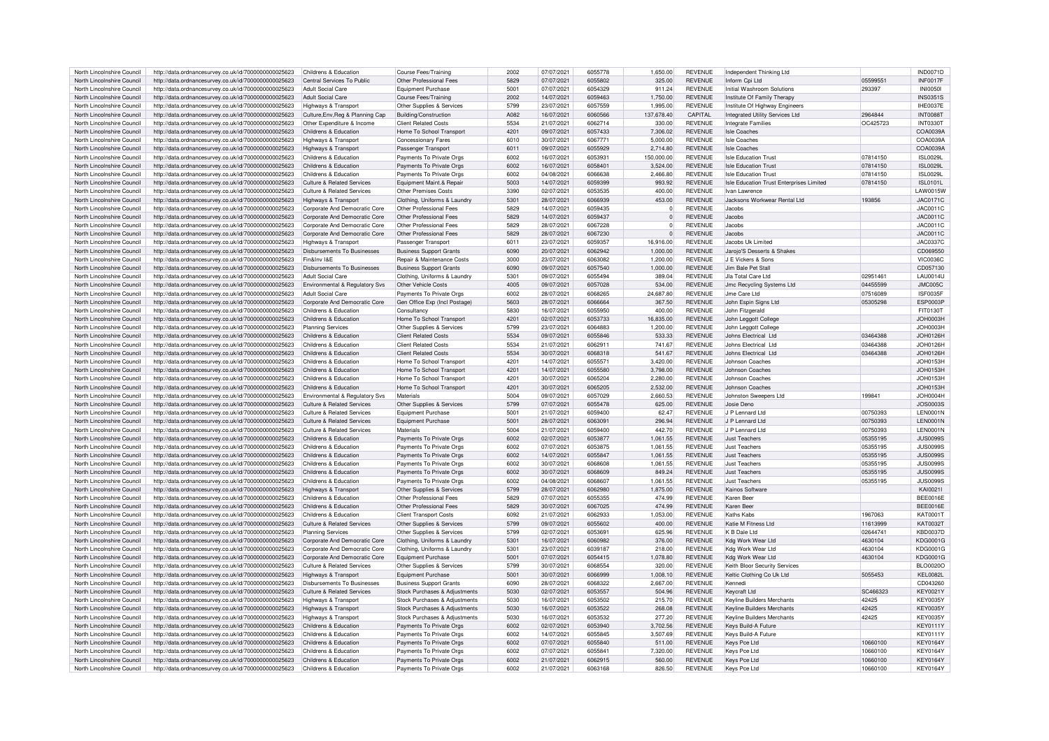| North Lincolnshire Council                               | http://data.ordnancesurvey.co.uk/id/7000000000025623                                                         | Childrens & Education                          | Course Fees/Training                                 | 2002          | 07/07/2021               | 6055778            | 1,650.00         | REVENUE                   | Independent Thinking Ltd                 |                      | <b>IND0071D</b>                    |
|----------------------------------------------------------|--------------------------------------------------------------------------------------------------------------|------------------------------------------------|------------------------------------------------------|---------------|--------------------------|--------------------|------------------|---------------------------|------------------------------------------|----------------------|------------------------------------|
|                                                          |                                                                                                              |                                                |                                                      | 5829          |                          | 6055802            |                  |                           |                                          |                      |                                    |
| North Lincolnshire Council                               | http://data.ordnancesurvey.co.uk/id/7000000000025623                                                         | Central Services To Public                     | Other Professional Fees                              |               | 07/07/2021               |                    | 325.00           | <b>REVENUE</b>            | Inform Cpi Ltd                           | 0559955              | <b>INF0017F</b>                    |
| North Lincolnshire Council                               | http://data.ordnancesurvey.co.uk/id/7000000000025623                                                         | <b>Adult Social Care</b>                       | <b>Equipment Purchase</b>                            | 5001          | 07/07/2021               | 6054329            | 911.24           | REVENUE                   | Initial Washroom Solutions               | 293397               | <b>INI0050</b>                     |
| North Lincolnshire Council                               | http://data.ordnancesurvey.co.uk/id/7000000000025623                                                         | <b>Adult Social Care</b>                       | Course Fees/Training                                 | 2002          | 14/07/2021               | 6059463            | 1,750.00         | <b>REVENUE</b>            | Institute Of Family Therapy              |                      | <b>INS0351S</b>                    |
| North Lincolnshire Council                               | http://data.ordnancesurvey.co.uk/id/7000000000025623                                                         | Highways & Transport                           | Other Supplies & Services                            | 5799          | 23/07/2021               | 6057559            | 1.995.00         | REVENUE                   | Institute Of Highway Engineers           |                      | IHE0037E                           |
| North Lincolnshire Council                               | http://data.ordnancesurvey.co.uk/id/7000000000025623                                                         | Culture, Env, Reg & Planning Cap               | Building/Construction                                | A082          | 16/07/2021               | 6060566            | 137,678.40       | CAPITAL                   | Integrated Utility Services Ltd          | 2964844              | <b>INT0088T</b>                    |
|                                                          |                                                                                                              |                                                |                                                      |               |                          |                    |                  |                           |                                          |                      |                                    |
| North Lincolnshire Council                               | http://data.ordnancesurvey.co.uk/id/7000000000025623                                                         | Other Expenditure & Income                     | <b>Client Related Costs</b>                          | 5534          | 21/07/2021               | 6062714            | 330.00           | REVENUE                   | <b>Integrate Families</b>                | OC425723             | <b>INT0330T</b>                    |
| North Lincolnshire Council                               | http://data.ordnancesurvey.co.uk/id/7000000000025623                                                         | Childrens & Education                          | Home To School Transport                             | $420^{\circ}$ | 09/07/2021               | 6057433            | 7.306.02         | <b>REVENUE</b>            | Isle Coaches                             |                      | COA0039A                           |
| North Lincolnshire Council                               | http://data.ordnancesurvey.co.uk/id/7000000000025623                                                         | Highways & Transport                           | Concessionary Fares                                  | 6010          | 30/07/2021               | 606777             | 5,000.00         | REVENUE                   | Isle Coaches                             |                      | COA0039A                           |
| North Lincolnshire Council                               | http://data.ordnancesurvey.co.uk/id/7000000000025623                                                         | Highways & Transport                           | Passenger Transport                                  | 6011          | 09/07/2021               | 6055929            | 2.714.80         | <b>REVENUE</b>            | Isle Coaches                             |                      | COA0039A                           |
|                                                          |                                                                                                              |                                                |                                                      |               |                          |                    |                  |                           |                                          |                      |                                    |
| North Lincolnshire Council                               | http://data.ordnancesurvey.co.uk/id/7000000000025623                                                         | Childrens & Education                          | Payments To Private Orgs                             | 6002          | 16/07/2021               | 605393             | 150,000.00       | REVENUE                   | <b>Isle Education Trust</b>              | 07814150             | <b>ISL0029L</b>                    |
| North Lincolnshire Council                               | http://data.ordnancesurvey.co.uk/id/7000000000025623                                                         | Childrens & Education                          | Payments To Private Orgs                             | 6002          | 16/07/2021               | 605840             | 3,524.00         | <b>REVENUE</b>            | <b>Isle Education Trust</b>              | 07814150             | <b>ISL0029L</b>                    |
| North Lincolnshire Council                               | http://data.ordnancesurvey.co.uk/id/7000000000025623                                                         | Childrens & Education                          | Payments To Private Orgs                             | 6002          | 04/08/2021               | 6066638            | 2,466.80         | REVENUE                   | <b>Isle Education Trust</b>              | 07814150             | <b>ISL0029L</b>                    |
| North Lincolnshire Council                               | http://data.ordnancesurvey.co.uk/id/7000000000025623                                                         | Culture & Related Services                     | Equipment Maint.& Repair                             | 5003          | 14/07/2021               | 6059399            | 993.92           | REVENUE                   | Isle Education Trust Enterprises Limited | 07814150             | ISI 01011                          |
| North Lincolnshire Council                               | http://data.ordnancesurvey.co.uk/id/7000000000025623                                                         | <b>Culture &amp; Related Services</b>          | <b>Other Premises Costs</b>                          | 3390          | 02/07/2021               | 6053535            | 400.00           | REVENUE                   | Ivan Lawrence                            |                      | <b>LAW0015W</b>                    |
|                                                          |                                                                                                              |                                                |                                                      |               |                          |                    |                  |                           |                                          |                      |                                    |
| North Lincolnshire Council                               | http://data.ordnancesurvey.co.uk/id/7000000000025623                                                         | Highways & Transport                           | Clothing, Uniforms & Laundry                         | 5301          | 28/07/2021               | <b>SPAR03</b>      | 453.00           | <b>REVENUE</b>            | Jacksons Workwear Rental Ltd             | 193856               | <b>JAC0171C</b>                    |
| North Lincolnshire Council                               | http://data.ordnancesurvey.co.uk/id/7000000000025623                                                         | Corporate And Democratic Core                  | Other Professional Fees                              | 5829          | 14/07/2021               | 6059435            | $\Omega$         | REVENUE                   | Jacobs                                   |                      | JAC0011C                           |
| North Lincolnshire Council                               | http://data.ordnancesurvey.co.uk/id/7000000000025623                                                         | Corporate And Democratic Core                  | Other Professional Fees                              | 5829          | 14/07/2021               | 6059437            |                  | REVENUE                   | Jacobs                                   |                      | JAC0011C                           |
| North Lincolnshire Council                               | http://data.ordnancesurvey.co.uk/id/7000000000025623                                                         | Corporate And Democratic Core                  | Other Professional Fees                              | 5829          | 28/07/2021               | 6067228            |                  | REVENUE                   | Jacobs                                   |                      | JAC0011C                           |
|                                                          |                                                                                                              |                                                |                                                      |               |                          |                    |                  |                           |                                          |                      |                                    |
| North Lincolnshire Council                               | http://data.ordnancesurvey.co.uk/id/7000000000025623                                                         | Corporate And Democratic Core                  | Other Professional Fees                              | 5829          | 28/07/2021               | 6067230            | $\Omega$         | <b>REVENUE</b>            | Jacobs                                   |                      | JAC0011C                           |
| North Lincolnshire Council                               | http://data.ordnancesurvey.co.uk/id/7000000000025623                                                         | Highways & Transport                           | Passenger Transport                                  | 6011          | 23/07/2021               | 605935             | 16,916.00        | REVENUE                   | Jacobs Uk Limited                        |                      | <b>JAC0337C</b>                    |
| North Lincolnshire Council                               | http://data.ordnancesurvey.co.uk/id/7000000000025623                                                         | <b>Disbursements To Businesses</b>             | <b>Business Support Grants</b>                       | 6090          | 20/07/2021               | 6062942            | 1,000.00         | <b>REVENUE</b>            | Jaroio'S Desserts & Shakes               |                      | CD069550                           |
| North Lincolnshire Council                               | http://data.ordnancesurvey.co.uk/id/7000000000025623                                                         | Fin&Inv I&F                                    | Repair & Maintenance Costs                           | 3000          | 23/07/2021               | 6063082            | 1,200.00         | REVENUE                   | J E Vickers & Sons                       |                      | <b>VIC0036C</b>                    |
|                                                          |                                                                                                              |                                                |                                                      |               |                          |                    |                  |                           |                                          |                      |                                    |
| North Lincolnshire Council                               | http://data.ordnancesurvey.co.uk/id/7000000000025623                                                         | Disbursements To Businesses                    | <b>Business Support Grants</b>                       | 6090          | 09/07/2021               | 6057540            | 1,000.00         | REVENUE                   | Jim Bale Pet Stal                        |                      | CD057130                           |
| North Lincolnshire Council                               | http://data.ordnancesurvey.co.uk/id/7000000000025623                                                         | <b>Adult Social Care</b>                       | Clothing, Uniforms & Laundry                         | 5301          | 09/07/2021               | 6055494            | 389.04           | REVENUE                   | Jla Total Care Ltd                       | 02951461             | <b>LAU0014U</b>                    |
| North Lincolnshire Council                               | http://data.ordnancesurvey.co.uk/id/7000000000025623                                                         | Environmental & Regulatory Svs                 | Other Vehicle Costs                                  | 4005          | 09/07/2021               | 6057028            | 534.00           | <b>REVENUE</b>            | Jmc Recycling Systems Ltd                | 04455599             | JMC005C                            |
| North Lincolnshire Council                               | http://data.ordnancesurvey.co.uk/id/7000000000025623                                                         | <b>Adult Social Care</b>                       | Payments To Private Orgs                             | 6002          | 28/07/2021               | 6068265            | 24,687.80        | REVENUE                   | Jme Care Ltd                             | 07516089             | <b>ISF0035F</b>                    |
|                                                          |                                                                                                              |                                                |                                                      |               |                          |                    |                  |                           |                                          |                      |                                    |
| North Lincolnshire Council                               | http://data.ordnancesurvey.co.uk/id/7000000000025623                                                         | Corporate And Democratic Core                  | Gen Office Exp (Incl Postage                         | 5603          | 28/07/2021               | 6066664            | 367.50           | REVENUE                   | John Espin Signs Ltd                     | 05305298             | <b>ESP0003F</b>                    |
| North Lincolnshire Council                               | http://data.ordnancesurvey.co.uk/id/7000000000025623                                                         | Childrens & Education                          | Consultancy                                          | 5830          | 16/07/2021               | 6055950            | 400.00           | REVENUE                   | John Fitzgerald                          |                      | FIT0130T                           |
| North Lincolnshire Council                               | http://data.ordnancesurvey.co.uk/id/7000000000025623                                                         | Childrens & Education                          | Home To School Transport                             | 4201          | 02/07/2021               | 6053733            | 16,835.00        | REVENUE                   | John Leggott College                     |                      | JOH0003H                           |
| North Lincolnshire Council                               | http://data.ordnancesurvey.co.uk/id/7000000000025623                                                         | <b>Planning Services</b>                       | Other Supplies & Services                            | 5799          | 23/07/2021               | 6064883            | 1.200.00         | REVENUE                   | John Leggott College                     |                      | JOH0003H                           |
|                                                          |                                                                                                              |                                                |                                                      |               |                          |                    |                  |                           |                                          |                      |                                    |
| North Lincolnshire Council                               | http://data.ordnancesurvey.co.uk/id/7000000000025623                                                         | Childrens & Education                          | <b>Client Related Costs</b>                          | 5534          | 09/07/2021               | 6055846            | 533.33           | REVENUE                   | Johns Electrical Ltd                     | 03464388             | JOH0126H                           |
| North Lincolnshire Council                               | http://data.ordnancesurvey.co.uk/id/7000000000025623                                                         | Childrens & Education                          | <b>Client Related Costs</b>                          | 5534          | 21/07/2021               | 606291             | 741.67           | REVENUE                   | Johns Flectrical Ltd.                    | 03464388             | <b>JOH0126H</b>                    |
| North Lincolnshire Council                               | http://data.ordnancesurvey.co.uk/id/7000000000025623                                                         | Childrens & Education                          | <b>Client Related Costs</b>                          | 5534          | 30/07/2021               | 6068318            | 541.67           | <b>REVENUE</b>            | Johns Electrical Ltd                     | 03464388             | JOH0126H                           |
| North Lincolnshire Council                               | http://data.ordnancesurvey.co.uk/id/7000000000025623                                                         | Childrens & Education                          | Home To School Transport                             | $420^{\circ}$ | 14/07/2021               | 605557             | 3,420.00         | REVENUE                   | Johnson Coaches                          |                      | <b>JOH0153H</b>                    |
|                                                          |                                                                                                              | Childrens & Education                          |                                                      |               |                          |                    |                  |                           |                                          |                      |                                    |
| North Lincolnshire Council                               | http://data.ordnancesurvey.co.uk/id/7000000000025623                                                         |                                                | Home To School Transport                             | 4201          | 14/07/2021               | 6055580            | 3,798.00         | REVENUE                   | Johnson Coaches                          |                      | <b>JOH0153H</b>                    |
| North Lincolnshire Council                               | http://data.ordnancesurvey.co.uk/id/7000000000025623                                                         | Childrens & Education                          | Home To School Transpor                              | $420^{\circ}$ | 30/07/2021               | 6065204            | 2.280.00         | REVENUE                   | Johnson Coaches                          |                      | <b>JOH0153H</b>                    |
| North Lincolnshire Council                               | http://data.ordnancesurvey.co.uk/id/7000000000025623                                                         | Childrens & Education                          | Home To School Transport                             | $420^{\circ}$ | 30/07/2021               | 6065205            | 2,532.00         | <b>REVENUE</b>            | Johnson Coaches                          |                      | JOH0153H                           |
| North Lincolnshire Council                               | http://data.ordnancesurvey.co.uk/id/7000000000025623                                                         | Environmental & Regulatory Svs                 | Materials                                            | 5004          | 09/07/2021               | 6057029            | 2,660.53         | REVENUE                   | Johnston Sweepers Ltd                    | 199841               | <b>JOH0004H</b>                    |
| North Lincolnshire Council                               | http://data.ordnancesurvey.co.uk/id/7000000000025623                                                         | <b>Culture &amp; Related Services</b>          | Other Supplies & Services                            | 5799          | 07/07/2021               | 6055478            | 625.00           | <b>REVENUE</b>            | Josie Deno                               |                      | <b>JOS0003S</b>                    |
|                                                          |                                                                                                              |                                                |                                                      |               |                          |                    |                  |                           |                                          |                      |                                    |
| North Lincolnshire Council                               | http://data.ordnancesurvey.co.uk/id/7000000000025623                                                         | Culture & Related Services                     | Foujoment Purchase                                   | 5001          | 21/07/2021               | 6059400            | 62.47            | REVENUE                   | J P I ennard I td                        | 00750393             | <b>LEN0001N</b>                    |
| North Lincolnshire Council                               | http://data.ordnancesurvey.co.uk/id/7000000000025623                                                         | Culture & Related Services                     | <b>Equipment Purchase</b>                            | 5001          | 28/07/2021               | 606309             | 296.94           | <b>REVENUE</b>            | J P I ennard I to                        | 00750393             | <b>LEN0001N</b>                    |
| North Lincolnshire Council                               | http://data.ordnancesurvey.co.uk/id/7000000000025623                                                         | <b>Culture &amp; Related Services</b>          | Materials                                            | 5004          | 21/07/2021               | 6059400            | 442.70           | <b>REVENUE</b>            | J P Lennard Ltd                          | 00750393             | <b>LEN0001N</b>                    |
| North Lincolnshire Council                               | http://data.ordnancesurvey.co.uk/id/7000000000025623                                                         | Childrens & Education                          | Payments To Private Orgs                             | 6002          | 02/07/2021               | 6053877            | 1,061.55         | REVENUE                   | <b>Just Teachers</b>                     | 05355195             | <b>JUS0099S</b>                    |
|                                                          |                                                                                                              |                                                |                                                      |               |                          |                    |                  |                           |                                          |                      |                                    |
| North Lincolnshire Council                               | http://data.ordnancesurvey.co.uk/id/7000000000025623                                                         | Childrens & Education                          | Payments To Private Orgs                             | 6002          | 07/07/2021               | 6053875            | 1,061.55         | REVENUE                   | <b>Just Teachers</b>                     | 05355195             | <b>JUS0099S</b>                    |
| North Lincolnshire Council                               | http://data.ordnancesurvey.co.uk/id/7000000000025623                                                         | Childrens & Education                          | Payments To Private Orgs                             | 6002          | 14/07/2021               | 6055847            | 1.061.55         | <b>REVENUE</b>            | Just Teachers                            | 05355195             | <b>JUS0099S</b>                    |
| North Lincolnshire Council                               | http://data.ordnancesurvey.co.uk/id/7000000000025623                                                         | Childrens & Education                          | Payments To Private Orgs                             | 6002          | 30/07/2021               | 6068608            | 1,061.55         | REVENUE                   | Just Teachers                            | 05355195             | <b>JUS0099S</b>                    |
| North Lincolnshire Council                               | http://data.ordnancesurvey.co.uk/id/7000000000025623                                                         | Childrens & Education                          | Payments To Private Orgs                             | 6002          | 30/07/2021               | 6068609            | 849.24           | REVENUE                   | <b>Just Teachers</b>                     | 05355195             | <b>JUS0099S</b>                    |
|                                                          |                                                                                                              |                                                |                                                      |               |                          |                    |                  |                           |                                          |                      |                                    |
| North Lincolnshire Council                               | http://data.ordnancesurvey.co.uk/id/7000000000025623                                                         | Childrens & Education                          | Payments To Private Orgs                             | 6002          | 04/08/2021               | 6068607            | 1.061.55         | REVENUE                   | <b>Just Teachers</b>                     | 05355195             | <b>JUS0099S</b>                    |
| North Lincolnshire Council                               | http://data.ordnancesurvey.co.uk/id/7000000000025623                                                         | Highways & Transport                           | Other Supplies & Services                            | 5799          | 28/07/2021               | 6062980            | 1,875.00         | REVENUE                   | Kainos Software                          |                      | KAI0021                            |
| North Lincolnshire Council                               | http://data.ordnancesurvey.co.uk/id/7000000000025623                                                         | Childrens & Education                          | Other Professional Fees                              | 5829          | 07/07/2021               | 6055355            | 474.99           | REVENUE                   | Karen Beer                               |                      | BEE0016E                           |
| North Lincolnshire Council                               | http://data.ordnancesurvey.co.uk/id/7000000000025623                                                         | Childrens & Education                          | Other Professional Fees                              | 5829          | 30/07/2021               | 6067025            | 474.99           | REVENUE                   | Karen Beer                               |                      | BEE0016E                           |
| North Lincolnshire Council                               |                                                                                                              | Childrens & Education                          |                                                      | 6092          |                          | 6062933            |                  | <b>REVENUE</b>            | Kaths Kabs                               | 1967063              | KAT00017                           |
|                                                          | http://data.ordnancesurvey.co.uk/id/7000000000025623                                                         |                                                | <b>Client Transport Costs</b>                        |               | 21/07/2021               |                    | 1,053.00         |                           |                                          |                      |                                    |
| North Lincolnshire Council                               | http://data.ordnancesurvey.co.uk/id/7000000000025623                                                         | <b>Culture &amp; Related Services</b>          | Other Supplies & Services                            | 5799          | 09/07/2021               | 6055602            | 400.00           | REVENUE                   | Katie M Fitness Ltd                      | 11613999             | <b>KAT0032T</b>                    |
| North Lincolnshire Council                               | http://data.ordnancesurvey.co.uk/id/7000000000025623                                                         | <b>Planning Services</b>                       | Other Supplies & Services                            | 5799          | 02/07/202                | 605369             | 625.96           | <b>REVENUE</b>            | K B Dale I to                            | 02644741             | KBD0037E                           |
| North Lincolnshire Council                               | http://data.ordnancesurvey.co.uk/id/7000000000025623                                                         | Corporate And Democratic Core                  | Clothing, Uniforms & Laundry                         | 5301          | 16/07/2021               | 6060982            | 376.00           | REVENUE                   | Kdg Work Wear Ltd                        | 4630104              | KDG0001G                           |
| North Lincolnshire Council                               | http://data.ordnancesurvey.co.uk/id/7000000000025623                                                         | Corporate And Democratic Core                  | Clothing, Uniforms & Laundry                         | 5301          | 23/07/2021               | 303918             | 218.00           | REVENUE                   | Kda Work Wear Ltd                        | 4630104              | <b>KDG0001G</b>                    |
|                                                          |                                                                                                              |                                                |                                                      |               |                          |                    |                  |                           |                                          |                      |                                    |
| North Lincolnshire Council                               | http://data.ordnancesurvey.co.uk/id/7000000000025623                                                         | Corporate And Democratic Core                  | <b>Equipment Purchase</b>                            | 5001          | 07/07/2021               | 6054415            | 1,078.80         | REVENUE                   | Kdg Work Wear Ltd                        | 4630104              | <b>KDG0001G</b>                    |
| North Lincolnshire Council                               | http://data.ordnancesurvey.co.uk/id/7000000000025623                                                         | <b>Culture &amp; Related Services</b>          | Other Supplies & Services                            | 5799          | 30/07/2021               | 6068554            | 320.00           | REVENUE                   | Keith Bloor Security Services            |                      | <b>BLO0020C</b>                    |
| North Lincolnshire Council                               | http://data.ordnancesurvey.co.uk/id/7000000000025623                                                         | <b>Highways &amp; Transport</b>                | <b>Equipment Purchase</b>                            | 500           | 30/07/2021               | 6066999            | 1.008.10         | REVENUE                   | Keltic Clothing Co Uk Ltd                | 5055453              | <b>KEL0082L</b>                    |
| North Lincolnshire Council                               | http://data.ordnancesurvev.co.uk/id/7000000000025623                                                         | <b>Disbursements To Businesses</b>             | <b>Business Support Grants</b>                       | 6090          | 28/07/2021               | 6068322            | 2.667.00         | REVENUE                   | Kennedi                                  |                      | CD043260                           |
|                                                          |                                                                                                              |                                                |                                                      | 5030          |                          | 6053557            |                  |                           |                                          | SC466323             | <b>KEY0021Y</b>                    |
| North Lincolnshire Council                               | http://data.ordnancesurvey.co.uk/id/7000000000025623                                                         | <b>Culture &amp; Related Services</b>          | Stock Purchases & Adjustments                        |               | 02/07/2021               |                    | 504.96           | REVENUE                   | <b>Kevcraft Ltd</b>                      |                      |                                    |
| North Lincolnshire Council                               | http://data.ordnancesurvey.co.uk/id/7000000000025623                                                         | <b>Highways &amp; Transport</b>                | Stock Purchases & Adjustments                        | 5030          | 16/07/2021               | 6053502            | 215.70           | REVENUE                   | <b>Kevline Builders Merchants</b>        | 42425                | <b>KEY0035Y</b>                    |
| North Lincolnshire Council                               | http://data.ordnancesurvey.co.uk/id/7000000000025623                                                         | Highways & Transport                           | Stock Purchases & Adjustments                        | 5030          | 16/07/2021               | 6053522            | 268.08           | <b>REVENUE</b>            | <b>Kevline Builders Merchants</b>        | 42425                | <b>KEY0035Y</b>                    |
| North Lincolnshire Council                               | http://data.ordnancesurvey.co.uk/id/7000000000025623                                                         | <b>Highways &amp; Transport</b>                | Stock Purchases & Adjustments                        | 5030          | 16/07/2021               | 6053532            | 277.20           | REVENUE                   | <b>Keyline Builders Merchants</b>        | 42425                | KFY0035)                           |
| North Lincolnshire Council                               | http://data.ordnancesurvey.co.uk/id/7000000000025623                                                         | Childrens & Education                          | Payments To Private Orgs                             | 6002          | 02/07/2021               | 6053940            | 3,702.56         | <b>REVENUE</b>            | Keys Build-A Future                      |                      | <b>KEY0111Y</b>                    |
|                                                          |                                                                                                              |                                                |                                                      |               |                          |                    |                  |                           |                                          |                      |                                    |
| North Lincolnshire Council                               | http://data.ordnancesurvey.co.uk/id/7000000000025623                                                         | Childrens & Education                          | Payments To Private Orgs                             | 6002          | 14/07/2021               | 6055845            | 3.507.69         | REVENUE                   | Keys Build-A Future                      |                      | <b>KEY0111Y</b>                    |
| North Lincolnshire Council                               | http://data.ordnancesurvey.co.uk/id/7000000000025623                                                         | Childrens & Education                          | Payments To Private Orgs                             | 6002          | 07/07/2021               | 6055840            | 511.00           | REVENUE                   | Keys Pce Ltd                             | 10660100             | <b>KEY0164Y</b>                    |
| North Lincolnshire Council                               |                                                                                                              |                                                |                                                      |               |                          |                    |                  |                           |                                          |                      |                                    |
|                                                          | http://data.ordnancesurvey.co.uk/id/7000000000025623                                                         | Childrens & Education                          | Payments To Private Orgs                             | 6002          | 07/07/2021               | 6055841            | 7,320.00         | REVENUE                   | Keys Pce Ltd                             | 10660100             | <b>KEY0164Y</b>                    |
|                                                          |                                                                                                              |                                                |                                                      |               |                          |                    |                  |                           |                                          |                      |                                    |
| North Lincolnshire Council<br>North Lincolnshire Council | http://data.ordnancesurvey.co.uk/id/7000000000025623<br>http://data.ordnancesurvey.co.uk/id/7000000000025623 | Childrens & Education<br>Childrens & Education | Payments To Private Orgs<br>Payments To Private Orgs | 6002<br>6002  | 21/07/2021<br>21/07/2021 | 6062915<br>6063168 | 560.00<br>826.50 | <b>REVENUE</b><br>REVENUE | Keys Pce Ltd<br>Keys Pce Ltd             | 10660100<br>10660100 | <b>KEY0164Y</b><br><b>KEY0164Y</b> |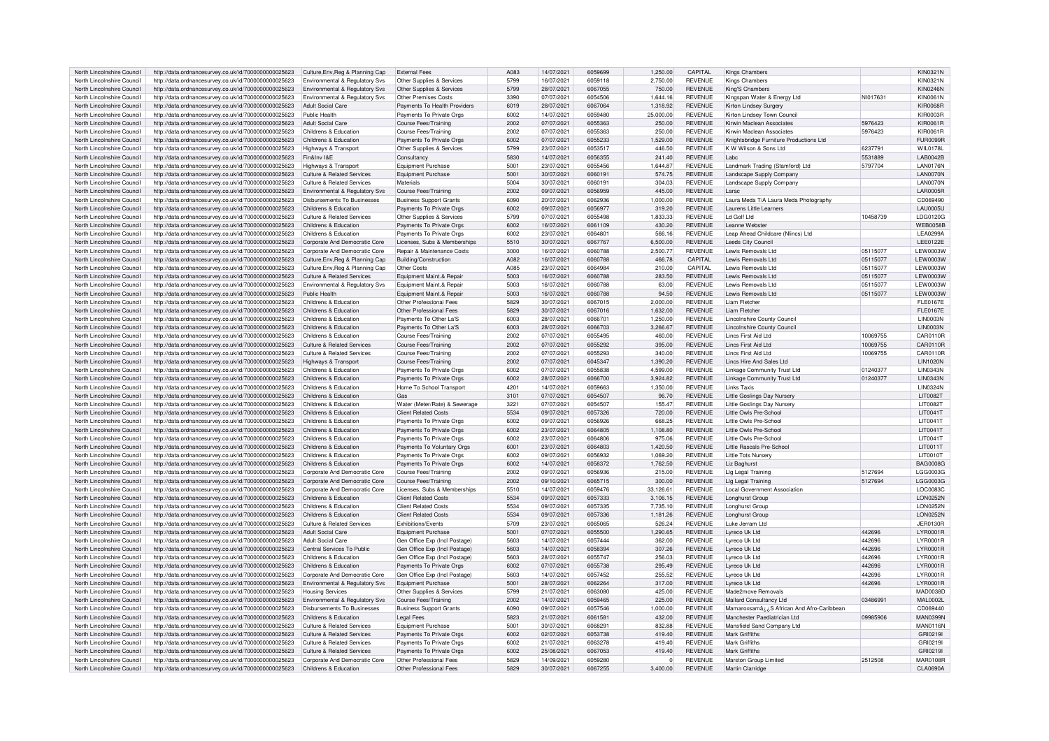| North Lincolnshire Council | http://data.ordnancesurvey.co.uk/id/7000000000025623                                                         | Culture, Env, Reg & Planning Cap                       | <b>External Fees</b>                  | A <sub>083</sub> | 14/07/2021 | 6059699 | 1.250.00  | CAPITAL                          | Kings Chambers                             |          | KIN0321N                           |
|----------------------------|--------------------------------------------------------------------------------------------------------------|--------------------------------------------------------|---------------------------------------|------------------|------------|---------|-----------|----------------------------------|--------------------------------------------|----------|------------------------------------|
| North Lincolnshire Council | http://data.ordnancesurvey.co.uk/id/7000000000025623                                                         | Environmental & Regulatory Svs                         | Other Supplies & Services             | 5799             | 16/07/2021 | 6059118 | 2,750.00  | <b>REVENUE</b>                   | Kings Chambers                             |          | KIN0321N                           |
| North Lincolnshire Council |                                                                                                              |                                                        |                                       | 5799             | 28/07/2021 | 6067055 | 750.00    | <b>REVENUE</b>                   |                                            |          | <b>KIN0246N</b>                    |
|                            | http://data.ordnancesurvey.co.uk/id/7000000000025623                                                         | Environmental & Regulatory Svs                         | Other Supplies & Services             |                  |            |         |           |                                  | King'S Chambers                            |          |                                    |
| North Lincolnshire Council | http://data.ordnancesurvey.co.uk/id/7000000000025623                                                         | Environmental & Regulatory Svs                         | Other Premises Costs                  | 3390             | 07/07/2021 | 6054506 | 1,644.16  | <b>REVENUE</b>                   | Kingspan Water & Energy Ltd                | NI017631 | <b>KIN0061N</b>                    |
| North Lincolnshire Council | http://data.ordnancesurvey.co.uk/id/7000000000025623                                                         | <b>Adult Social Care</b>                               | Payments To Health Providers          | 6019             | 28/07/2021 | 6067064 | 1.318.92  | <b>REVENUE</b>                   | Kirton Lindsey Surgery                     |          | <b>KIR0068R</b>                    |
| North Lincolnshire Council | http://data.ordnancesurvey.co.uk/id/7000000000025623                                                         | Public Health                                          | Payments To Private Orgs              | 6002             | 14/07/2021 | 6059480 | 25,000.00 | <b>REVENUE</b>                   | Kirton Lindsey Town Council                |          | <b>KIR0003R</b>                    |
| North Lincolnshire Council | http://data.ordnancesurvey.co.uk/id/7000000000025623                                                         | <b>Adult Social Care</b>                               | Course Fees/Training                  | 2002             | 07/07/2021 | 6055363 | 250.00    | <b>REVENUE</b>                   | Kirwin Maclean Associates                  | 5976423  | KIR0061R                           |
| North Lincolnshire Council | http://data.ordnancesurvey.co.uk/id/7000000000025623                                                         | Childrens & Education                                  | <b>Course Fees/Training</b>           | 2002             | 07/07/2021 | 6055363 | 250.00    | <b>REVENUE</b>                   | Kirwin Maclean Associates                  | 5976423  | KIR0061R                           |
| North Lincolnshire Council | http://data.ordnancesurvey.co.uk/id/7000000000025623                                                         | Childrens & Education                                  | Payments To Private Orgs              | 6002             | 07/07/2021 | 6055233 | 1,529.00  | <b>REVENUE</b>                   | Knightsbridge Furniture Productions Ltd    |          | <b>FUR0099R</b>                    |
| North Lincolnshire Council | http://data.ordnancesurvey.co.uk/id/7000000000025623                                                         | Highways & Transport                                   | Other Supplies & Services             | 5799             | 23/07/2021 | 6053517 | 446.50    | REVENUE                          | K W Wilson & Sons Ltd                      | 6237791  | <b>WIL0178L</b>                    |
| North Lincolnshire Council | http://data.ordnancesurvey.co.uk/id/7000000000025623                                                         | Fin&Inv I&F                                            | Consultancy                           | 5830             | 14/07/2021 | 6056355 | 241.40    | <b>REVENUE</b>                   | I abc                                      | 5531889  | LAB0042B                           |
|                            |                                                                                                              |                                                        |                                       |                  |            |         |           |                                  |                                            |          |                                    |
| North Lincolnshire Council | http://data.ordnancesurvey.co.uk/id/7000000000025623                                                         | Highways & Transport                                   | <b>Equipment Purchase</b>             | 5001             | 23/07/2021 | 6055456 | 1,644.87  | <b>REVENUE</b>                   | Landmark Trading (Stamford) Ltd            | 5797704  | <b>LAN0176N</b>                    |
| North Lincolnshire Council | http://data.ordnancesurvey.co.uk/id/7000000000025623                                                         | <b>Culture &amp; Related Services</b>                  | <b>Equipment Purchase</b>             | 5001             | 30/07/2021 | 6060191 | 574.75    | <b>REVENUE</b>                   | Landscape Supply Compan                    |          | LAN0070N                           |
| North Lincolnshire Council | http://data.ordnancesurvey.co.uk/id/7000000000025623                                                         | Culture & Related Services                             | Materials                             | 5004             | 30/07/2021 | 606019  | 304.03    | <b>REVENUE</b>                   | Landscape Supply Company                   |          | <b>LAN0070N</b>                    |
| North Lincolnshire Council | http://data.ordnancesurvey.co.uk/id/7000000000025623                                                         | Environmental & Regulatory Svs                         | Course Fees/Training                  | 2002             | 09/07/2021 | 6056959 | 445.00    | REVENUE                          | Larac                                      |          | <b>LAR0005R</b>                    |
| North Lincolnshire Council | http://data.ordnancesurvey.co.uk/id/7000000000025623                                                         | Disbursements To Businesses                            | <b>Business Support Grants</b>        | GOOO             | 20/07/2021 | 6062936 | 1.000.00  | <b>REVENUE</b>                   | Laura Meda T/A Laura Meda Photography      |          | CD069490                           |
| North Lincolnshire Council | http://data.ordnancesurvey.co.uk/id/7000000000025623                                                         | Childrens & Education                                  | Payments To Private Orgs              | 6002             | 09/07/2021 | 6056977 | 319.20    | <b>REVENUE</b>                   | Laurens Little Learners                    |          | <b>LAU0005U</b>                    |
| North Lincolnshire Council | http://data.ordnancesurvey.co.uk/id/7000000000025623                                                         | Culture & Related Services                             | Other Supplies & Services             | 5799             | 07/07/2021 | 6055498 | 1,833.33  | <b>REVENUE</b>                   | I d Golf I td                              | 10458739 | LDG0120G                           |
| North Lincolnshire Council | http://data.ordnancesurvey.co.uk/id/7000000000025623                                                         | Childrens & Education                                  | Payments To Private Orgs              | 6002             | 16/07/2021 | 6061109 | 430.20    | <b>REVENUE</b>                   | Leanne Webster                             |          | <b>WEB0058B</b>                    |
|                            |                                                                                                              |                                                        |                                       |                  |            |         |           |                                  |                                            |          |                                    |
| North Lincolnshire Council | http://data.ordnancesurvey.co.uk/id/7000000000025623                                                         | Childrens & Education                                  | Payments To Private Orgs              | 6002             | 23/07/2021 | 6064801 | 566.16    | <b>REVENUE</b>                   | Leap Ahead Childcare (Nlincs) Ltd          |          | <b>LEA0299A</b>                    |
| North Lincolnshire Council | http://data.ordnancesurvey.co.uk/id/7000000000025623                                                         | Corporate And Democratic Core                          | Licenses, Subs & Memberships          | 5510             | 30/07/2021 | 6067767 | 6.500.00  | <b>REVENUE</b>                   | Leeds City Council                         |          | <b>LEE0122E</b>                    |
| North Lincolnshire Council | http://data.ordnancesurvey.co.uk/id/7000000000025623                                                         | Corporate And Democratic Core                          | <b>Repair &amp; Maintenance Costs</b> | 3000             | 16/07/2021 | 6060788 | 2,500.77  | <b>REVENUE</b>                   | Lewis Removals Ltd                         | 05115077 | <b>LEW0003W</b>                    |
| North Lincolnshire Council | http://data.ordnancesurvey.co.uk/id/7000000000025623                                                         | Culture, Env, Reg & Planning Cap                       | <b>Building/Construction</b>          | A082             | 16/07/2021 | 6060788 | 466.78    | CAPITAL                          | Lewis Removals Ltd                         | 05115077 | <b>LEW0003W</b>                    |
| North Lincolnshire Council | http://data.ordnancesurvey.co.uk/id/7000000000025623                                                         | Culture, Env, Reg & Planning Cap                       | Other Costs                           | A085             | 23/07/2021 | 6064984 | 210.00    | CAPITAL                          | Lewis Removals Ltd                         | 05115077 | <b>LEW0003W</b>                    |
| North Lincolnshire Council | http://data.ordnancesurvey.co.uk/id/7000000000025623                                                         | <b>Culture &amp; Related Services</b>                  | Equipment Maint.& Repair              | 5003             | 16/07/2021 | 6060788 | 283.50    | REVENUE                          | Lewis Removals Ltd                         | 05115077 | <b>LEW0003W</b>                    |
| North Lincolnshire Council | http://data.ordnancesurvey.co.uk/id/7000000000025623                                                         | <b>Environmental &amp; Requlatory Sys</b>              | Equipment Maint.& Repair              | 5003             | 16/07/2021 | 6060788 | 63.00     | <b>REVENUE</b>                   | Lewis Removals Ltd                         | 05115077 | <b>LEW0003W</b>                    |
|                            |                                                                                                              |                                                        |                                       | 5003             | 16/07/2021 | 6060788 | 94.50     | <b>REVENUE</b>                   | Lewis Removals Ltd                         |          |                                    |
| North Lincolnshire Council | http://data.ordnancesurvey.co.uk/id/7000000000025623                                                         | Public Health                                          | Equipment Maint.& Repair              |                  |            |         |           |                                  |                                            | 05115077 | <b>LEW0003W</b>                    |
| North Lincolnshire Council | http://data.ordnancesurvey.co.uk/id/7000000000025623                                                         | Childrens & Education                                  | Other Professional Fees               | 5829             | 30/07/2021 | 6067015 | 2,000.00  | <b>REVENUE</b>                   | Liam Fletcher                              |          | FL F0167F                          |
| North Lincolnshire Council | http://data.ordnancesurvey.co.uk/id/7000000000025623                                                         | Childrens & Education                                  | Other Professional Fees               | 5829             | 30/07/2021 | 6067016 | 1.632.00  | <b>REVENUE</b>                   | Liam Fletcher                              |          | <b>FLE0167E</b>                    |
| North Lincolnshire Council | http://data.ordnancesurvey.co.uk/id/7000000000025623                                                         | Childrens & Education                                  | Payments To Other La'S                | 6003             | 28/07/2021 | 606670  | 1,250.00  | <b>REVENUE</b>                   | <b>Lincolnshire County Council</b>         |          | <b>I IN0003N</b>                   |
| North Lincolnshire Council | http://data.ordnancesurvey.co.uk/id/7000000000025623                                                         | Childrens & Education                                  | Payments To Other La'S                | 6003             | 28/07/2021 | 6066703 | 3,266.67  | <b>REVENUE</b>                   | <b>Lincolnshire County Council</b>         |          | <b>LIN0003N</b>                    |
| North Lincolnshire Council | http://data.ordnancesurvey.co.uk/id/7000000000025623                                                         | Childrens & Education                                  | Course Fees/Training                  | 2002             | 07/07/2021 | 6055495 | 460.00    | <b>REVENUE</b>                   | Lincs First Aid Ltd                        | 10069755 | CAR0110R                           |
| North Lincolnshire Council |                                                                                                              | <b>Culture &amp; Related Services</b>                  |                                       | 2002             | 07/07/2021 | 6055292 | 395.00    | <b>REVENUE</b>                   | <b>Lincs First Aid Ltd</b>                 | 10069755 | CAR0110R                           |
|                            | http://data.ordnancesurvey.co.uk/id/7000000000025623                                                         |                                                        | <b>Course Fees/Training</b>           |                  |            |         |           |                                  |                                            |          |                                    |
| North Lincolnshire Council | http://data.ordnancesurvey.co.uk/id/7000000000025623                                                         | <b>Culture &amp; Related Services</b>                  | Course Fees/Training                  | 2002             | 07/07/2021 | 6055293 | 340.00    | <b>REVENUE</b>                   | Lincs First Aid Ltd                        | 10069755 | CAR0110R                           |
| North Lincolnshire Council | http://data.ordnancesurvey.co.uk/id/7000000000025623                                                         | Highways & Transport                                   | Course Fees/Training                  | 2002             | 07/07/2021 | 6045347 | 1,390.20  | <b>REVENUE</b>                   | Lincs Hire And Sales Ltd                   |          | <b>I IN1020N</b>                   |
| North Lincolnshire Council | http://data.ordnancesurvey.co.uk/id/7000000000025623                                                         | Childrens & Education                                  | Payments To Private Orgs              | 6002             | 07/07/2021 | 6055838 | 4.599.00  | <b>REVENUE</b>                   | Linkage Community Trust Ltd                | 01240377 | <b>LIN0343N</b>                    |
| North Lincolnshire Council | http://data.ordnancesurvey.co.uk/id/7000000000025623                                                         | Childrens & Education                                  | Payments To Private Orgs              | 6002             | 28/07/2021 | 6066700 | 3,924.82  | <b>REVENUE</b>                   | Linkage Community Trust Ltd                | 01240377 | <b>I IN0343N</b>                   |
| North Lincolnshire Council | http://data.ordnancesurvey.co.uk/id/7000000000025623                                                         | Childrens & Education                                  | Home To School Transport              | 4201             | 14/07/2021 | 6059663 | 1,350.00  | <b>REVENUE</b>                   | <b>Links Taxis</b>                         |          | <b>LIN0324N</b>                    |
| North Lincolnshire Council | http://data.ordnancesurvey.co.uk/id/7000000000025623                                                         | Childrens & Education                                  | Gas                                   | 3101             | 07/07/2021 | 6054507 | 96.70     | <b>REVENUE</b>                   | Little Goslings Day Nursery                |          | LIT0082T                           |
| North Lincolnshire Council | http://data.ordnancesurvey.co.uk/id/7000000000025623                                                         | Childrens & Education                                  | Water (Meter/Rate) & Sewerage         | 3221             | 07/07/2021 | 6054507 | 155.47    | REVENUE                          | Little Goslings Day Nursery                |          | LIT0082T                           |
| North Lincolnshire Council | http://data.ordnancesurvey.co.uk/id/7000000000025623                                                         | Childrens & Education                                  | <b>Client Related Costs</b>           | 5534             | 09/07/2021 | 6057326 | 720.00    | <b>REVENUE</b>                   | Little Owls Pre-School                     |          | LIT0041T                           |
|                            |                                                                                                              |                                                        |                                       |                  |            |         |           |                                  |                                            |          |                                    |
| North Lincolnshire Council | http://data.ordnancesurvey.co.uk/id/7000000000025623                                                         | Childrens & Education                                  | Payments To Private Orgs              | 6002             | 09/07/2021 | 6056926 | 668.25    | <b>REVENUE</b>                   | Little Owls Pre-School                     |          | LIT0041T                           |
| North Lincolnshire Council | http://data.ordnancesurvey.co.uk/id/7000000000025623                                                         | Childrens & Education                                  | Payments To Private Orgs              | 6002             | 23/07/2021 | 6064805 | 1.108.80  | <b>REVENUE</b>                   | Little Owls Pre-School                     |          | LIT0041T                           |
| North Lincolnshire Council | http://data.ordnancesurvey.co.uk/id/7000000000025623                                                         | Childrens & Education                                  | Payments To Private Orgs              | 6002             | 23/07/2021 | 6064806 | 975.06    | <b>REVENUE</b>                   | Little Owls Pre-School                     |          | LIT0041T                           |
| North Lincolnshire Council | http://data.ordnancesurvey.co.uk/id/7000000000025623                                                         | Childrens & Education                                  | Payments To Voluntary Orgs            | 6001             | 23/07/2021 | 6064803 | 1.420.50  | <b>REVENUE</b>                   | Little Bascals Pre-Schoo                   |          | LIT0011T                           |
| North Lincolnshire Council | http://data.ordnancesurvey.co.uk/id/7000000000025623                                                         | Childrens & Education                                  | Payments To Private Orgs              | 6002             | 09/07/2021 | 6056932 | 1,069.20  | REVENUE                          | <b>Little Tots Nursery</b>                 |          | LIT0010T                           |
| North Lincolnshire Council | http://data.ordnancesurvey.co.uk/id/7000000000025623                                                         | Childrens & Education                                  | Payments To Private Orgs              | 6002             | 14/07/2021 | 6058372 | 1.762.50  | <b>REVENUE</b>                   | Liz Baghurs                                |          | <b>BAG0008G</b>                    |
| North Lincolnshire Council | http://data.ordnancesurvey.co.uk/id/7000000000025623                                                         | Corporate And Democratic Core                          | Course Fees/Training                  | 2002             | 09/07/2021 | 6056936 | 215.00    | <b>REVENUE</b>                   |                                            | 5127694  | LGG0003G                           |
|                            |                                                                                                              |                                                        |                                       |                  |            |         |           |                                  | Llg Legal Training                         |          |                                    |
| North Lincolnshire Council | http://data.ordnancesurvey.co.uk/id/7000000000025623                                                         | Corporate And Democratic Core                          | <b>Course Fees/Training</b>           | 2002             | 09/10/2021 | 6065715 | 300.00    | <b>REVENUE</b>                   | Llg Legal Training                         | 5127694  | LGG0003G                           |
| North Lincolnshire Council | http://data.ordnancesurvey.co.uk/id/7000000000025623                                                         | Corporate And Democratic Core                          | Licenses, Subs & Memberships          | 5510             | 14/07/2021 | 6059476 | 33,126.61 | <b>REVENUE</b>                   | <b>Local Government Association</b>        |          | LOC0083C                           |
| North Lincolnshire Council | http://data.ordnancesurvey.co.uk/id/7000000000025623                                                         | Childrens & Education                                  | <b>Client Related Costs</b>           | 5534             | 09/07/2021 | 6057333 | 3,106.15  | <b>REVENUE</b>                   | Longhurst Group                            |          | <b>LON0252N</b>                    |
| North Lincolnshire Council | http://data.ordnancesurvey.co.uk/id/7000000000025623                                                         | Childrens & Education                                  | <b>Client Related Costs</b>           | 5534             | 09/07/2021 | 6057335 | 7,735.10  | <b>REVENUE</b>                   | Longhurst Group                            |          | LON0252N                           |
| North Lincolnshire Council | http://data.ordnancesurvey.co.uk/id/7000000000025623                                                         | Childrens & Education                                  | <b>Client Related Costs</b>           | 5534             | 09/07/2021 | 6057336 | 1.181.26  | <b>REVENUE</b>                   | Longhurst Group                            |          | <b>LON0252N</b>                    |
| North Lincolnshire Council | http://data.ordnancesurvey.co.uk/id/7000000000025623                                                         | <b>Culture &amp; Related Services</b>                  | Exhibitions/Events                    | 5709             | 23/07/2021 | 6065065 | 526.24    | <b>REVENUE</b>                   | Luke Jerram Ltd                            |          | <b>JER0130R</b>                    |
| North Lincolnshire Council | http://data.ordnancesurvey.co.uk/id/7000000000025623                                                         | <b>Adult Social Care</b>                               | <b>Equipment Purchase</b>             | 5001             | 07/07/2021 | 6055500 | 1,290.65  | <b>REVENUE</b>                   | Lyreco Uk Ltd                              | 442696   | LYR0001R                           |
| North Lincolnshire Council |                                                                                                              | <b>Adult Social Care</b>                               | Gen Office Exp (Incl Postage)         | 5603             | 14/07/2021 | 6057444 | 362.00    | <b>REVENUE</b>                   | Lyreco Uk Ltd                              | 442696   | LYR0001R                           |
|                            |                                                                                                              |                                                        |                                       |                  |            |         |           |                                  |                                            |          |                                    |
| North Lincolnshire Council | http://data.ordnancesurvey.co.uk/id/7000000000025623                                                         |                                                        |                                       |                  |            |         |           |                                  |                                            |          |                                    |
| North Lincolnshire Council | http://data.ordnancesurvey.co.uk/id/7000000000025623                                                         | Central Services To Public                             | Gen Office Exp (Incl Postage)         | 5603             | 14/07/2021 | 6058394 | 307.26    | <b>REVENUE</b>                   | Lyreco Uk Ltd                              | 442696   | <b>LYR0001R</b>                    |
|                            | http://data.ordnancesurvey.co.uk/id/7000000000025623                                                         | Childrens & Education                                  | Gen Office Exp (Incl Postage)         | 5603             | 28/07/2021 | 6055747 | 256.03    | <b>REVENUE</b>                   | Lyreco Uk Ltd                              | 442696   | LYR0001R                           |
| North Lincolnshire Council | http://data.ordnancesurvey.co.uk/id/7000000000025623                                                         | Childrens & Education                                  | Payments To Private Orgs              | 6002             | 07/07/2021 | 6055738 | 295.49    | <b>REVENUE</b>                   | Lyreco Uk Ltd                              | 442696   | LYR0001R                           |
| North Lincolnshire Council | http://data.ordnancesurvey.co.uk/id/7000000000025623                                                         | Corporate And Democratic Core                          | Gen Office Exp (Incl Postage)         | 5603             | 14/07/2021 | 6057452 | 255.52    | <b>REVENUE</b>                   | Lyreco Uk Ltd                              | 442696   | I YR0001R                          |
| North Lincolnshire Council | http://data.ordnancesurvey.co.uk/id/7000000000025623                                                         | Environmental & Regulatory Svs                         | <b>Equipment Purchase</b>             | 5001             | 28/07/2021 | 6062264 | 317.00    | REVENUE                          | Lyreco Uk Ltd                              | 442696   | <b>LYR0001R</b>                    |
| North Lincolnshire Council |                                                                                                              | <b>Housing Services</b>                                |                                       |                  |            |         |           |                                  |                                            |          |                                    |
|                            | http://data.ordnancesurvey.co.uk/id/7000000000025623                                                         |                                                        | Other Supplies & Services             | 5799             | 21/07/2021 | 6063080 | 425.00    | REVENUE                          | Made2move Removals                         |          | MAD0038D                           |
| North Lincolnshire Council | http://data.ordnancesurvey.co.uk/id/7000000000025623                                                         | Environmental & Regulatory Svs                         | Course Fees/Training                  | 2002             | 14/07/2021 | 6059465 | 225.00    | <b>REVENUE</b>                   | Mallard Consultancy Ltd                    | 03486991 | <b>MAL0002L</b>                    |
| North Lincolnshire Council | http://data.ordnancesurvey.co.uk/id/7000000000025623                                                         | Disbursements To Businesses                            | <b>Business Support Grants</b>        | 6090             | 09/07/2021 | 6057546 | 1.000.00  | <b>REVENUE</b>                   | Mamaroxsamâ ¿¿S African And Afro-Caribbean |          | CD069440                           |
| North Lincolnshire Council | http://data.ordnancesurvey.co.uk/id/7000000000025623                                                         | Childrens & Education                                  | Legal Fees                            | 5823             | 21/07/2021 | 606158  | 432.00    | <b>REVENUE</b>                   | Manchester Paediatrician Ltd               | 09985906 | <b>MAN0399N</b>                    |
| North Lincolnshire Council | http://data.ordnancesurvey.co.uk/id/7000000000025623                                                         | Culture & Related Services                             | Foujoment Purchase                    | 5001             | 30/07/2021 | 606829  | 832.88    | <b>REVENUE</b>                   | Mansfield Sand Company Ltd                 |          | <b>MAN0116N</b>                    |
| North Lincolnshire Council | http://data.ordnancesurvey.co.uk/id/7000000000025623                                                         | <b>Culture &amp; Related Services</b>                  | Payments To Private Orgs              | 6002             | 02/07/2021 | 6053738 | 419.40    | <b>REVENUE</b>                   | Mark Griffiths                             |          | GRI0219I                           |
| North Lincolnshire Council | http://data.ordnancesurvey.co.uk/id/7000000000025623                                                         | <b>Culture &amp; Related Services</b>                  | Payments To Private Orgs              | coos             | 21/07/2021 | 6063278 | 419.40    | <b>REVENUE</b>                   | Mark Griffiths                             |          | GRI0219I                           |
| North Lincolnshire Council |                                                                                                              | Culture & Related Services                             | Payments To Private Orgs              | 6002             | 25/08/2021 | 6067053 | 419.40    | <b>REVENUE</b>                   | <b>Mark Griffiths</b>                      |          | GRI0219I                           |
| North Lincolnshire Council | http://data.ordnancesurvey.co.uk/id/7000000000025623                                                         |                                                        | Other Professional Fees               | 5829             | 14/09/2021 | 6059280 | $\Omega$  |                                  |                                            | 2512508  |                                    |
| North Lincolnshire Council | http://data.ordnancesurvey.co.uk/id/7000000000025623<br>http://data.ordnancesurvey.co.uk/id/7000000000025623 | Corporate And Democratic Core<br>Childrens & Education | Other Professional Fees               | 5829             | 30/07/2021 | 6067255 | 3,400.00  | <b>REVENUE</b><br><b>REVENUE</b> | Marston Group Limited<br>Martin Clarridge  |          | <b>MAR0108R</b><br><b>CLA0690A</b> |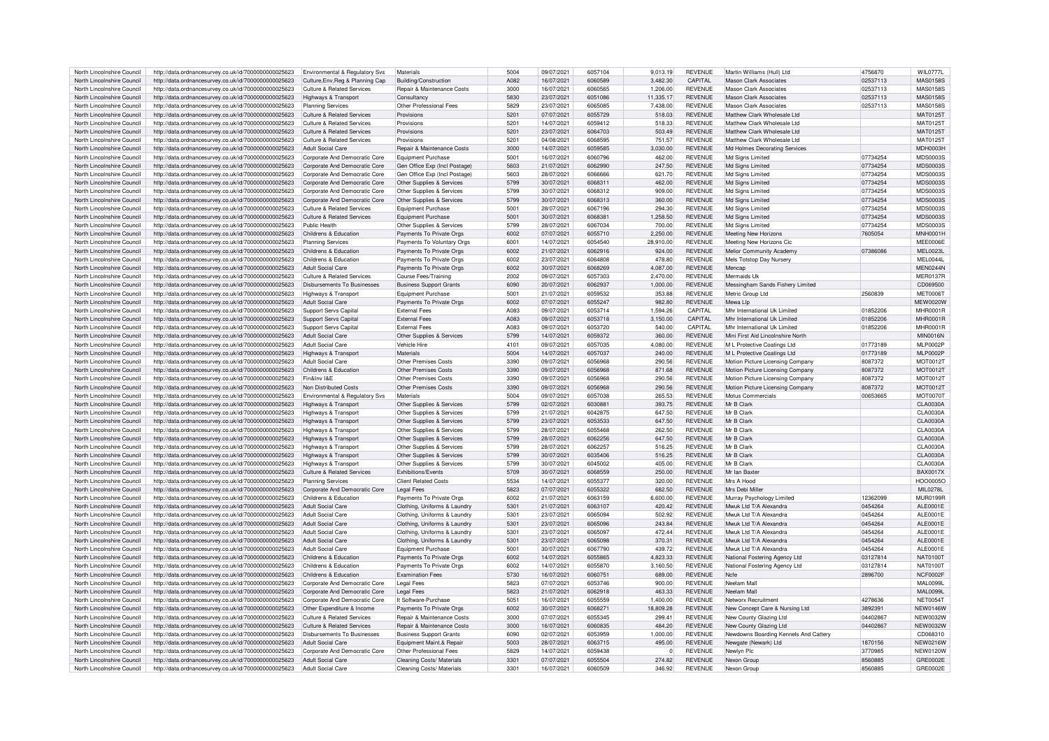| North Lincolnshire Council | http://data.ordnancesurvey.co.uk/id/7000000000025623 | Environmental & Regulatory Svs        | Materials                      | 5004 | 09/07/2021 | 6057104 | 9,013.19  | REVENUE        | Martin Williams (Hull) Ltd            | 4756870  | WII 07771       |
|----------------------------|------------------------------------------------------|---------------------------------------|--------------------------------|------|------------|---------|-----------|----------------|---------------------------------------|----------|-----------------|
| North Lincolnshire Council | http://data.ordnancesurvey.co.uk/id/7000000000025623 | Culture.Env.Reg & Planning Cap        | Building/Construction          | A082 | 16/07/2021 | 6060589 | 3.482.30  | CAPITAL        | <b>Mason Clark Associates</b>         | 02537113 | <b>MAS0158S</b> |
| North Lincolnshire Council | http://data.ordnancesurvey.co.uk/id/7000000000025623 | Culture & Related Services            | Repair & Maintenance Costs     | 3000 | 16/07/2021 | 6060565 | 1,206.00  | <b>REVENUE</b> | Mason Clark Associates                | 02537113 | <b>MAS0158S</b> |
| North Lincolnshire Council | http://data.ordnancesurvey.co.uk/id/7000000000025623 | Highways & Transport                  | Consultancy                    | 5830 | 23/07/2021 | 6051086 | 11,335.17 | <b>REVENUE</b> | Mason Clark Associates                | 02537113 | <b>MAS0158S</b> |
| North Lincolnshire Council | http://data.ordnancesurvey.co.uk/id/7000000000025623 | <b>Planning Services</b>              | Other Professional Fees        | 5829 | 23/07/2021 | 6065085 | 7,438.00  | <b>REVENUE</b> | <b>Mason Clark Associates</b>         | 02537113 | <b>MAS0158S</b> |
| North Lincolnshire Council | http://data.ordnancesurvey.co.uk/id/7000000000025623 | Culture & Related Services            | Provisions                     | 5201 | 07/07/2021 | 6055729 | 518.03    | <b>REVENUE</b> | Matthew Clark Wholesale Ltd           |          | MAT0125T        |
|                            |                                                      |                                       |                                |      |            |         |           |                |                                       |          |                 |
| North Lincolnshire Council | http://data.ordnancesurvey.co.uk/id/7000000000025623 | <b>Culture &amp; Related Services</b> | Provisions                     | 5201 | 14/07/2021 | 6059412 | 518.33    | <b>REVENUE</b> | Matthew Clark Wholesale Ltd           |          | MAT0125T        |
| North Lincolnshire Council | http://data.ordnancesurvey.co.uk/id/7000000000025623 | <b>Culture &amp; Related Services</b> | Provisions                     | 5201 | 23/07/2021 | 6064703 | 503.49    | <b>REVENUE</b> | Matthew Clark Wholesale I to          |          | MAT0125T        |
| North Lincolnshire Council | http://data.ordnancesurvey.co.uk/id/7000000000025623 | Culture & Related Services            | Provisions                     | 5201 | 04/08/2021 | 6068595 | 751.57    | <b>REVENUE</b> | Matthew Clark Wholesale Ltd           |          | MAT0125T        |
| North Lincolnshire Council | http://data.ordnancesurvey.co.uk/id/7000000000025623 | <b>Adult Social Care</b>              | Repair & Maintenance Costs     | 3000 | 14/07/2021 | 6059585 | 3,030.00  | <b>REVENUE</b> | Md Holmes Decorating Services         |          | MDH0003H        |
| North Lincolnshire Council | http://data.ordnancesurvey.co.uk/id/7000000000025623 | Corporate And Democratic Core         | Equipment Purchase             | 5001 | 16/07/2021 | 6060796 | 462.00    | REVENUE        | Md Signs Limited                      | 07734254 | <b>MDS0003S</b> |
| North Lincolnshire Council | http://data.ordnancesurvey.co.uk/id/7000000000025623 | Corporate And Democratic Core         | Gen Office Exp (Incl Postage)  | 5603 | 21/07/2021 | 6062990 | 247.50    | <b>REVENUE</b> | Md Sians Limited                      | 07734254 | MDS0003S        |
| North Lincolnshire Council | http://data.ordnancesurvey.co.uk/id/7000000000025623 | Corporate And Democratic Core         | Gen Office Exp (Incl Postage)  | 5603 | 28/07/2021 | 6066666 | 621.70    | <b>REVENUE</b> | Md Signs Limited                      | 07734254 | MDS0003S        |
|                            |                                                      |                                       |                                |      |            |         |           |                |                                       |          |                 |
| North Lincolnshire Council | http://data.ordnancesurvey.co.uk/id/7000000000025623 | Corporate And Democratic Core         | Other Supplies & Services      | 5799 | 30/07/2021 | 606831  | 462.00    | <b>REVENUE</b> | Md Signs Limited                      | 07734254 | MDS0003S        |
| North Lincolnshire Council | http://data.ordnancesurvey.co.uk/id/7000000000025623 | Corporate And Democratic Core         | Other Supplies & Services      | 5799 | 30/07/2021 | 6068312 | 909.00    | <b>REVENUE</b> | Md Signs Limited                      | 07734254 | <b>MDS0003S</b> |
| North Lincolnshire Council | http://data.ordnancesurvey.co.uk/id/7000000000025623 | Corporate And Democratic Core         | Other Supplies & Services      | 5799 | 30/07/2021 | 6068313 | 360.00    | REVENUE        | Md Signs Limited                      | 07734254 | MDS00035        |
| North Lincolnshire Council | http://data.ordnancesurvey.co.uk/id/7000000000025623 | Culture & Related Services            | Equipment Purchase             | 5001 | 28/07/2021 | 6067196 | 294.30    | <b>REVENUE</b> | Md Sians Limited                      | 07734254 | MDS0003S        |
| North Lincolnshire Council | http://data.ordnancesurvey.co.uk/id/7000000000025623 | <b>Culture &amp; Related Services</b> | Equipment Purchase             | 5001 | 30/07/2021 | 6068381 | 1,258.50  | <b>REVENUE</b> | Md Signs Limited                      | 07734254 | MDS0003S        |
| North Lincolnshire Council | http://data.ordnancesurvey.co.uk/id/7000000000025623 | Public Health                         | Other Supplies & Services      | 5799 | 28/07/2021 | 6067034 | 700.00    | <b>REVENUE</b> | Md Signs Limited                      | 07734254 | <b>MDS0003S</b> |
| North Lincolnshire Council | http://data.ordnancesurvey.co.uk/id/7000000000025623 | Childrens & Education                 | Payments To Private Orgs       | 6002 | 07/07/2021 | 6055710 | 2,250.00  | <b>REVENUE</b> | Meeting New Horizons                  | 7605054  | MNH0001H        |
|                            |                                                      |                                       |                                |      |            |         |           |                |                                       |          |                 |
| North Lincolnshire Council | http://data.ordnancesurvey.co.uk/id/7000000000025623 | <b>Planning Services</b>              | Payments To Voluntary Orgs     | 6001 | 14/07/2021 | 6054540 | 28,910.00 | REVENUE        | Meeting New Horizons Cic              |          | MEE0006E        |
| North Lincolnshire Council | http://data.ordnancesurvey.co.uk/id/7000000000025623 | Childrens & Education                 | Payments To Private Orgs       | 6002 | 21/07/2021 | 6062916 | 924.00    | <b>REVENUE</b> | Melior Community Academy              | 07386086 | <b>MEL0023L</b> |
| North Lincolnshire Council | http://data.ordnancesurvey.co.uk/id/7000000000025623 | Childrens & Education                 | Payments To Private Orgs       | 6002 | 23/07/2021 | 6064808 | 478.80    | <b>REVENUE</b> | Mels Totstop Day Nursery              |          | MEL0044L        |
| North Lincolnshire Council | http://data.ordnancesurvey.co.uk/id/7000000000025623 | <b>Adult Social Care</b>              | Payments To Private Orgs       | 6002 | 30/07/2021 | 6068269 | 4,087.00  | <b>REVENUE</b> | Mencar                                |          | <b>MEN0244N</b> |
| North Lincolnshire Council | http://data.ordnancesurvey.co.uk/id/7000000000025623 | <b>Culture &amp; Related Services</b> | Course Fees/Training           | 2002 | 09/07/2021 | 6057303 | 2,470.00  | <b>REVENUE</b> | Mermaids Uk                           |          | MER0137R        |
| North Lincolnshire Council | http://data.ordnancesurvey.co.uk/id/7000000000025623 | Disbursements To Businesses           | <b>Business Support Grants</b> | 6090 | 20/07/2021 | 6062937 | 1.000.00  | <b>REVENUE</b> | Messingham Sands Fishery Limited      |          | CD069500        |
|                            |                                                      |                                       |                                | 5001 |            | 6059532 |           | REVENUE        |                                       |          |                 |
| North Lincolnshire Council | http://data.ordnancesurvey.co.uk/id/7000000000025623 | Highways & Transport                  | Equipment Purchase             |      | 21/07/2021 |         | 353.88    |                | Metric Group Ltd                      | 2560839  | <b>MET0006T</b> |
| North Lincolnshire Council | http://data.ordnancesurvey.co.uk/id/7000000000025623 | <b>Adult Social Care</b>              | Payments To Private Orgs       | 6002 | 07/07/2021 | 605524  | 982.80    | <b>REVENUE</b> | Mewa I In                             |          | <b>MEW0020V</b> |
| North Lincolnshire Council | http://data.ordnancesurvey.co.uk/id/7000000000025623 | <b>Support Servs Capital</b>          | <b>External Fees</b>           | A083 | 09/07/2021 | 6053714 | 1.594.26  | CAPITAI        | Mhr International Uk Limited          | 01852206 | MHR0001F        |
| North Lincolnshire Council | http://data.ordnancesurvey.co.uk/id/7000000000025623 | Support Servs Capital                 | <b>External Fees</b>           | A083 | 09/07/2021 | 6053718 | 3,150.00  | CAPITAL        | Mhr International Uk Limited          | 01852206 | <b>MHR0001R</b> |
| North Lincolnshire Council | http://data.ordnancesurvey.co.uk/id/7000000000025623 | Support Servs Capital                 | <b>External Fees</b>           | A083 | 09/07/2021 | 6053720 | 540.00    | CAPITAL        | Mhr International Uk Limited          | 01852206 | <b>MHR0001R</b> |
| North Lincolnshire Council | http://data.ordnancesurvey.co.uk/id/7000000000025623 | <b>Adult Social Care</b>              | Other Supplies & Services      | 5799 | 14/07/2021 | 6059372 | 360.00    | <b>REVENUE</b> | Mini First Aid Lincolnshire North     |          | <b>MIN0016N</b> |
| North Lincolnshire Council | http://data.ordnancesurvey.co.uk/id/7000000000025623 | Adult Social Care                     | Vehicle Hire                   | 4101 | 09/07/2021 | 6057035 | 4,080.00  | <b>REVENUE</b> | M L Protective Coatings Ltd           | 01773189 | <b>MLP0002P</b> |
|                            |                                                      |                                       |                                |      |            |         |           |                |                                       |          |                 |
| North Lincolnshire Council | http://data.ordnancesurvey.co.uk/id/7000000000025623 | Highways & Transport                  | Materials                      | 5004 | 14/07/2021 | 6057037 | 240.00    | <b>REVENUE</b> | M L Protective Coatings Ltd           | 01773189 | <b>MLP0002P</b> |
| North Lincolnshire Council | http://data.ordnancesurvey.co.uk/id/7000000000025623 | Adult Social Care                     | Other Premises Costs           | 3390 | 09/07/2021 | 6056968 | 290.56    | <b>REVENUE</b> | Motion Picture Licensing Company      | 8087372  | <b>MOT0012T</b> |
| North Lincolnshire Council | http://data.ordnancesurvey.co.uk/id/7000000000025623 | Childrens & Education                 | Other Premises Costs           | 3390 | 09/07/2021 | 6056968 | 871.68    | REVENUE        | Motion Picture Licensing Company      | 8087372  | MOT0012T        |
| North Lincolnshire Council | http://data.ordnancesurvey.co.uk/id/7000000000025623 | Fin&Inv I&F                           | Other Premises Costs           | 3390 | 09/07/2021 | 6056962 | 290.56    | <b>REVENUE</b> | Motion Picture Licensing Company      | 8087372  | <b>MOT0012T</b> |
| North Lincolnshire Council | http://data.ordnancesurvey.co.uk/id/7000000000025623 | Non Distributed Costs                 | Other Premises Costs           | 3390 | 09/07/2021 | 6056968 | 290.56    | <b>REVENUE</b> | Motion Picture Licensing Company      | 8087372  | <b>MOT0012T</b> |
| North Lincolnshire Council | http://data.ordnancesurvey.co.uk/id/7000000000025623 | Environmental & Regulatory Svs        | Materials                      | 5004 | 09/07/2021 | 6057038 | 265.53    | <b>REVENUE</b> | Motus Commercials                     | 00653665 | <b>MOT0070T</b> |
|                            |                                                      |                                       |                                |      |            |         |           |                | Mr B Clark                            |          |                 |
| North Lincolnshire Council | http://data.ordnancesurvey.co.uk/id/7000000000025623 | Highways & Transport                  | Other Supplies & Services      | 5799 | 02/07/2021 | 6030881 | 393.75    | <b>REVENUE</b> |                                       |          | <b>CLA0030A</b> |
| North Lincolnshire Council | http://data.ordnancesurvey.co.uk/id/7000000000025623 | Highways & Transport                  | Other Supplies & Services      | 5799 | 21/07/2021 | 604287  | 647.50    | <b>REVENUE</b> | Mr B Clark                            |          | <b>CLA0030A</b> |
| North Lincolnshire Council | http://data.ordnancesurvey.co.uk/id/7000000000025623 | Highways & Transport                  | Other Supplies & Services      | 5799 | 23/07/2021 | 6053533 | 647.50    | REVENUE        | Mr B Clark                            |          | <b>CLA0030A</b> |
| North Lincolnshire Council | http://data.ordnancesurvey.co.uk/id/7000000000025623 | Highways & Transport                  | Other Supplies & Services      | 5799 | 28/07/2021 | 6055468 | 262.50    | <b>REVENUE</b> | Mr B Clark                            |          | <b>CLA0030A</b> |
| North Lincolnshire Council | http://data.ordnancesurvey.co.uk/id/7000000000025623 | Highways & Transport                  | Other Supplies & Services      | 5799 | 28/07/2021 | 6062256 | 647.50    | <b>REVENUE</b> | Mr R Clark                            |          | <b>CLA0030A</b> |
| North Lincolnshire Council | http://data.ordnancesurvey.co.uk/id/7000000000025623 | Highways & Transport                  | Other Supplies & Services      | 5799 | 28/07/2021 | 6062257 | 516.25    | <b>REVENUE</b> | Mr B Clark                            |          | <b>CLA0030A</b> |
| North Lincolnshire Council | http://data.ordnancesurvey.co.uk/id/7000000000025623 | Highways & Transport                  | Other Supplies & Services      | 5799 | 30/07/2021 | 6035406 | 516.25    | <b>REVENUE</b> | Mr B Clark                            |          | <b>CLA0030A</b> |
|                            |                                                      |                                       |                                | 5799 | 30/07/2021 | 6045002 |           | <b>REVENUE</b> | Mr B Clark                            |          |                 |
| North Lincolnshire Council | http://data.ordnancesurvey.co.uk/id/7000000000025623 | Highways & Transport                  | Other Supplies & Services      |      |            |         | 405.00    |                |                                       |          | <b>CLA0030A</b> |
| North Lincolnshire Council | http://data.ordnancesurvey.co.uk/id/7000000000025623 | <b>Culture &amp; Related Services</b> | Exhibitions/Events             | 5709 | 30/07/2021 | 6068559 | 250.00    | <b>REVENUE</b> | Mr Ian Bayte                          |          | <b>BAX0017X</b> |
| North Lincolnshire Council | http://data.ordnancesurvey.co.uk/id/7000000000025623 | <b>Planning Services</b>              | <b>Client Related Costs</b>    | 5534 | 14/07/2021 | 6055377 | 320.00    | <b>REVENUE</b> | Mrs A Hood                            |          | <b>HOO0005C</b> |
| North Lincolnshire Council | http://data.ordnancesurvey.co.uk/id/7000000000025623 | Corporate And Democratic Core         | <b>Legal Fees</b>              | 5823 | 07/07/2021 | 6055322 | 682.50    | <b>REVENUE</b> | Mrs Debi Miller                       |          | MII 0278I       |
| North Lincolnshire Council | http://data.ordnancesurvey.co.uk/id/7000000000025623 | Childrens & Education                 | Payments To Private Orgs       | 6002 | 21/07/2021 | 6063159 | 6,600.00  | <b>REVENUE</b> | Murray Psychology Limited             | 12362099 | <b>MUR0199F</b> |
| North Lincolnshire Council | http://data.ordnancesurvey.co.uk/id/7000000000025623 | Adult Social Care                     | Clothing, Uniforms & Laundry   | 5301 | 21/07/2021 | 6063107 | 420.42    | <b>REVENUE</b> | Mwuk Ltd T/A Alexandra                | 0454264  | <b>ALE0001E</b> |
| North Lincolnshire Council | http://data.ordnancesurvey.co.uk/id/7000000000025623 | Adult Social Care                     | Clothing, Uniforms & Laundry   | 5301 | 23/07/2021 | 6065094 | 502.92    | <b>REVENUE</b> | Mwuk Ltd T/A Alexandra                | 0454264  | <b>ALE0001E</b> |
| North Lincolnshire Council |                                                      |                                       |                                | 5301 |            | 6065096 | 243.84    | <b>REVENUE</b> | Mwuk Ltd T/A Alexandra                |          | <b>ALE0001E</b> |
|                            | http://data.ordnancesurvey.co.uk/id/7000000000025623 | <b>Adult Social Care</b>              | Clothing, Uniforms & Laundry   |      | 23/07/2021 |         |           |                |                                       | 0454264  |                 |
| North Lincolnshire Council | http://data.ordnancesurvey.co.uk/id/7000000000025623 | <b>Adult Social Care</b>              | Clothing, Uniforms & Laundry   | 5301 | 23/07/2021 | 6065097 | 472.44    | <b>REVENUE</b> | Mwuk Ltd T/A Alexandra                | 0454264  | ALE0001E        |
| North Lincolnshire Council | http://data.ordnancesurvey.co.uk/id/7000000000025623 | <b>Adult Social Care</b>              | Clothing, Uniforms & Laundry   | 5301 | 23/07/2021 | 6065098 | 370.31    | <b>REVENUE</b> | Mwuk Ltd T/A Alexandra                | 0454264  | ALE0001E        |
| North Lincolnshire Council | http://data.ordnancesurvey.co.uk/id/7000000000025623 | <b>Adult Social Care</b>              | <b>Equipment Purchase</b>      | 5001 | 30/07/2021 | 6067790 | 439.72    | <b>REVENUE</b> | Mwuk Ltd T/A Alexandra                | 0454264  | ALE0001E        |
| North Lincolnshire Council | http://data.ordnancesurvey.co.uk/id/7000000000025623 | Childrens & Education                 | Payments To Private Orgs       | 6002 | 14/07/2021 | 6055865 | 4.823.33  | <b>REVENUE</b> | National Fostering Agency Ltd         | 03127814 | <b>NAT0100T</b> |
| North Lincolnshire Council | http://data.ordnancesurvey.co.uk/id/7000000000025623 | Childrens & Education                 | Payments To Private Orgs       | coos | 14/07/2021 | 6055870 | 3.160.50  | <b>REVENUE</b> | National Fostering Agency Ltd         | 03127814 | <b>NAT0100T</b> |
| North Lincolnshire Council | http://data.ordnancesurvey.co.uk/id/7000000000025623 | Childrens & Education                 | <b>Examination Fees</b>        | 5730 | 16/07/2021 | 6060751 | 689.00    | <b>REVENUE</b> | Ncfe                                  | 2896700  | NCF0002F        |
| North Lincolnshire Council |                                                      | Corporate And Democratic Core         |                                | 5823 | 07/07/2021 | 6053746 | 900.00    | <b>REVENUE</b> | Neelam Mal                            |          | <b>MAL0099L</b> |
|                            | http://data.ordnancesurvey.co.uk/id/7000000000025623 |                                       | <b>Legal Fees</b>              |      |            |         |           |                |                                       |          |                 |
| North Lincolnshire Council | http://data.ordnancesurvey.co.uk/id/7000000000025623 | Corporate And Democratic Core         | <b>Legal Fees</b>              | 5823 | 21/07/2021 | 6062918 | 463.33    | <b>REVENUE</b> | Neelam Mal                            |          | <b>MAL0099L</b> |
| North Lincolnshire Council | http://data.ordnancesurvev.co.uk/id/7000000000025623 | Corporate And Democratic Core         | It Software-Purchase           | 5051 | 16/07/2021 | 6055559 | 1.400.00  | <b>REVENUE</b> | Networx Recruitment                   | 4278636  | <b>NET0054T</b> |
| North Lincolnshire Council | http://data.ordnancesurvey.co.uk/id/7000000000025623 | Other Expenditure & Income            | Payments To Private Orgs       | 6002 | 30/07/2021 | 6068271 | 18,809.28 | <b>REVENUE</b> | New Concept Care & Nursing Ltd        | 3892391  | <b>NEW0146W</b> |
| North Lincolnshire Council | http://data.ordnancesurvey.co.uk/id/7000000000025623 | <b>Culture &amp; Related Services</b> | Repair & Maintenance Costs     | 3000 | 07/07/2021 | 6055345 | 299.41    | REVENUE        | New County Glazing Ltd                | 04402867 | <b>NEW0032W</b> |
| North Lincolnshire Council | http://data.ordnancesurvey.co.uk/id/7000000000025623 | <b>Culture &amp; Related Services</b> | Repair & Maintenance Costs     | 3000 | 16/07/2021 | 6060835 | 484.20    | <b>REVENUE</b> | New County Glazing Ltd                | 04402867 | <b>NEW0032W</b> |
| North Lincolnshire Council | http://data.ordnancesurvey.co.uk/id/7000000000025623 | Disbursements To Businesses           | <b>Business Support Grants</b> | 6090 | 02/07/2021 | 6053959 | 1,000.00  | <b>REVENUE</b> | Newdowns Boarding Kennels And Cattery |          | CD068310        |
| North Lincolnshire Council | http://data.ordnancesurvey.co.uk/id/7000000000025623 | <b>Adult Social Care</b>              | Equipment Maint.& Repair       | 5003 | 28/07/2021 | 6063715 | 495.00    | <b>REVENUE</b> | Newgate (Newark) I td                 | 1870156  | <b>NEW0216W</b> |
|                            |                                                      |                                       |                                |      |            |         |           |                |                                       |          |                 |
| North Lincolnshire Council | http://data.ordnancesurvey.co.uk/id/7000000000025623 | Corporate And Democratic Core         | Other Professional Fees        | 5829 | 14/07/2021 | 6059438 | $\Omega$  | <b>REVENUE</b> | Newlyn Plc                            | 3770985  | <b>NEW0120W</b> |
| North Lincolnshire Council | http://data.ordnancesurvey.co.uk/id/7000000000025623 | Adult Social Care                     | Cleaning Costs/ Materials      | 3301 | 07/07/2021 | 6055504 | 274.82    | <b>REVENUE</b> | Nexon Group                           | 8560885  | GRE0002E        |
| North Lincolnshire Council | http://data.ordnancesurvey.co.uk/id/7000000000025623 | Adult Social Care                     | Cleaning Costs/ Materials      | 3301 | 16/07/2021 | 6060509 | 346.92    | <b>REVENUE</b> | Nexon Group                           | 8560885  | GRE0002E        |
|                            |                                                      |                                       |                                |      |            |         |           |                |                                       |          |                 |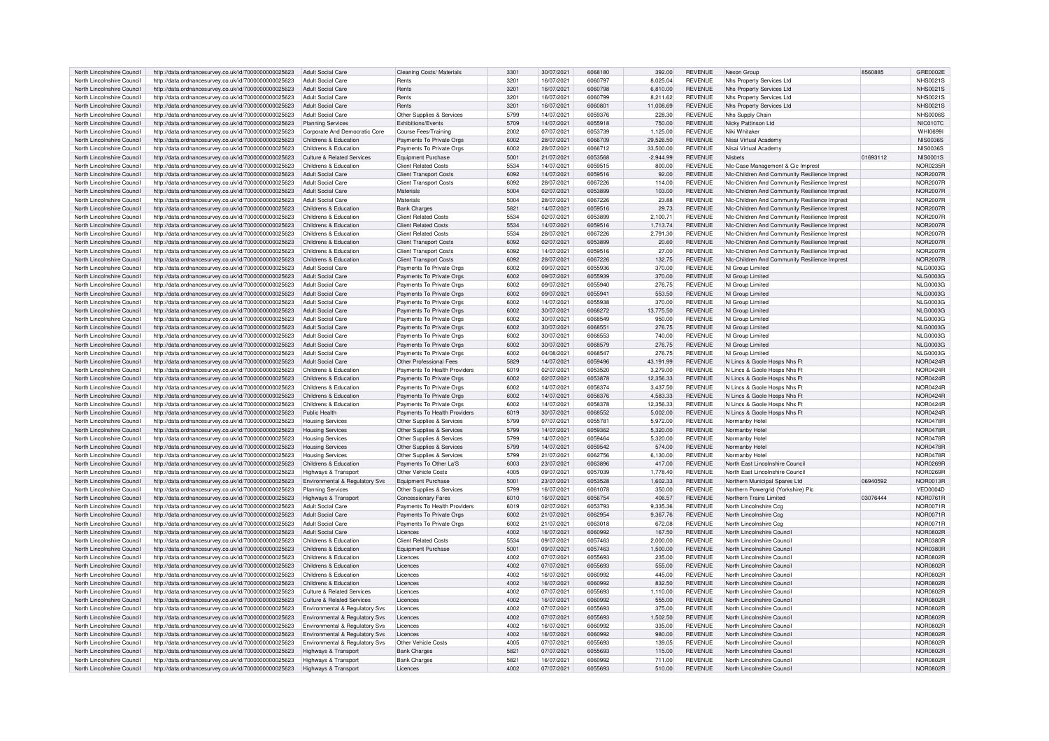| North Lincolnshire Council | http://data.ordnancesurvey.co.uk/id/7000000000025623 | Adult Social Care              | Cleaning Costs/ Materials     | 3301 | 30/07/2021 | 6068180 | 392.00      | <b>REVENUE</b> | Nexon Group                                   | 8560885  | GRE0002E        |
|----------------------------|------------------------------------------------------|--------------------------------|-------------------------------|------|------------|---------|-------------|----------------|-----------------------------------------------|----------|-----------------|
|                            |                                                      |                                |                               |      |            |         |             |                |                                               |          |                 |
| North Lincolnshire Council | http://data.ordnancesurvey.co.uk/id/7000000000025623 | Adult Social Care              | Rents                         | 3201 | 16/07/2021 | 6060797 | 8.025.04    | <b>REVENUE</b> | Nhs Property Services Ltd                     |          | <b>NHS0021S</b> |
| North Lincolnshire Council | http://data.ordnancesurvey.co.uk/id/7000000000025623 | <b>Adult Social Care</b>       | Rents                         | 3201 | 16/07/2021 | 6060798 | 6,810.00    | <b>REVENUE</b> | Nhs Property Services Ltd                     |          | <b>NHS0021S</b> |
| North Lincolnshire Council | http://data.ordnancesurvey.co.uk/id/7000000000025623 | <b>Adult Social Care</b>       | Rents                         | 3201 | 16/07/2021 | 6060799 | 8,211.62    | <b>REVENUE</b> | Nhs Property Services Ltd                     |          | <b>NHS0021S</b> |
| North Lincolnshire Council | http://data.ordnancesurvey.co.uk/id/7000000000025623 | <b>Adult Social Care</b>       | Rents                         | 3201 | 16/07/2021 | 6060801 | 11,008.69   | <b>REVENUE</b> | Nhs Property Services Ltd                     |          | <b>NHS0021S</b> |
|                            |                                                      |                                |                               |      |            |         |             |                |                                               |          |                 |
| North Lincolnshire Council | http://data.ordnancesurvey.co.uk/id/7000000000025623 | Adult Social Care              | Other Supplies & Services     | 5799 | 14/07/2021 | 6059376 | 228.30      | <b>REVENUE</b> | Nhs Supply Chain                              |          | NHS00065        |
| North Lincolnshire Council | http://data.ordnancesurvey.co.uk/id/7000000000025623 | <b>Planning Services</b>       | Exhibitions/Events            | 5709 | 14/07/2021 | 6055918 | 750.00      | <b>REVENUE</b> | Nicky Pattinson Ltd                           |          | <b>NIC0107C</b> |
| North Lincolnshire Council | http://data.ordnancesurvey.co.uk/id/7000000000025623 | Corporate And Democratic Core  | Course Fees/Training          | 2002 | 07/07/2021 | 6053739 | 1,125.00    | <b>REVENUE</b> | Niki Whitaker                                 |          | <b>WHI06991</b> |
|                            |                                                      |                                |                               |      |            |         |             |                |                                               |          |                 |
| North Lincolnshire Council | http://data.ordnancesurvey.co.uk/id/7000000000025623 | Childrens & Education          | Payments To Private Orgs      | 6002 | 28/07/2021 | 6066709 | 29,526.50   | <b>REVENUE</b> | Nisai Virtual Academy                         |          | <b>NIS0036S</b> |
| North Lincolnshire Council | http://data.ordnancesurvey.co.uk/id/7000000000025623 | Childrens & Education          | Payments To Private Orgs      | 6002 | 28/07/2021 | 6066712 | 33,500.00   | <b>REVENUE</b> | Nisai Virtual Academy                         |          | <b>NIS0036S</b> |
| North Lincolnshire Council | http://data.ordnancesurvey.co.uk/id/7000000000025623 | Culture & Related Services     | Equipment Purchase            | 5001 | 21/07/2021 | 6053568 | $-2.944.99$ | <b>REVENUE</b> | Nichets                                       | 01693112 | <b>NIS0001S</b> |
| North Lincolnshire Council |                                                      | Childrens & Education          | <b>Client Related Costs</b>   | 5534 |            | 6059515 |             |                |                                               |          |                 |
|                            | http://data.ordnancesurvey.co.uk/id/7000000000025623 |                                |                               |      | 14/07/2021 |         | 800.00      | <b>REVENUE</b> | NIc-Case Management & Cic Imprest             |          | NOR0235F        |
| North Lincolnshire Council | http://data.ordnancesurvey.co.uk/id/7000000000025623 | Adult Social Care              | <b>Client Transport Costs</b> | 6092 | 14/07/2021 | 6059516 | 92.00       | <b>REVENUE</b> | NIc-Children And Community Resilience Imprest |          | <b>NOR2007E</b> |
| North Lincolnshire Council | http://data.ordnancesurvey.co.uk/id/7000000000025623 | Adult Social Care              | <b>Client Transport Costs</b> | 6092 | 28/07/2021 | 6067226 | 114.00      | <b>REVENUE</b> | Nlc-Children And Community Resilience Imprest |          | <b>NOR2007F</b> |
| North Lincolnshire Council | http://data.ordnancesurvey.co.uk/id/7000000000025623 | <b>Adult Social Care</b>       | Materials                     | 5004 | 02/07/2021 | 6053899 | 103.00      | <b>REVENUE</b> | NIc-Children And Community Resilience Imprest |          | <b>NOR2007F</b> |
|                            |                                                      |                                |                               |      |            |         |             |                |                                               |          |                 |
| North Lincolnshire Council | http://data.ordnancesurvey.co.uk/id/7000000000025623 | <b>Adult Social Care</b>       | Materials                     | 5004 | 28/07/2021 | 6067226 | 23.88       | <b>REVENUE</b> | Nic-Children And Community Resilience Imprest |          | <b>NOR2007F</b> |
| North Lincolnshire Council | http://data.ordnancesurvey.co.uk/id/7000000000025623 | Childrens & Education          | <b>Bank Charges</b>           | 5821 | 14/07/2021 | 6059516 | 29.73       | <b>REVENUE</b> | NIc-Children And Community Resilience Imprest |          | <b>NOR2007F</b> |
| North Lincolnshire Council | http://data.ordnancesurvey.co.uk/id/7000000000025623 | Childrens & Education          | <b>Client Related Costs</b>   | 5534 | 02/07/2021 | 6053899 | 2.100.71    | <b>REVENUE</b> | NIc-Children And Community Resilience Imprest |          | <b>NOR2007F</b> |
|                            |                                                      |                                |                               | 5534 |            |         |             |                |                                               |          |                 |
| North Lincolnshire Council | http://data.ordnancesurvey.co.uk/id/7000000000025623 | Childrens & Education          | <b>Client Related Costs</b>   |      | 14/07/2021 | 6059516 | 1.713.74    | <b>REVENUE</b> | Nlc-Children And Community Resilience Imprest |          | <b>NOR2007F</b> |
| North Lincolnshire Council | http://data.ordnancesurvey.co.uk/id/7000000000025623 | Childrens & Education          | <b>Client Related Costs</b>   | 5534 | 28/07/2021 | 6067226 | 2,791.30    | <b>REVENUE</b> | NIc-Children And Community Resilience Imprest |          | NOR2007E        |
| North Lincolnshire Council | http://data.ordnancesurvey.co.uk/id/7000000000025623 | Childrens & Education          | <b>Client Transport Costs</b> | 6092 | 02/07/2021 | 6053899 | 20.60       | <b>REVENUE</b> | NIc-Children And Community Resilience Imprest |          | <b>NOR2007F</b> |
| North Lincolnshire Council | http://data.ordnancesurvey.co.uk/id/7000000000025623 | Childrens & Education          | <b>Client Transport Costs</b> | 6092 | 14/07/2021 | 6059516 | 27.00       | <b>REVENUE</b> | NIc-Children And Community Resilience Imprest |          | <b>NOR2007F</b> |
|                            |                                                      |                                |                               |      |            |         |             |                |                                               |          |                 |
| North Lincolnshire Council | http://data.ordnancesurvey.co.uk/id/7000000000025623 | Childrens & Education          | <b>Client Transport Costs</b> | 6092 | 28/07/2021 | 6067226 | 132.75      | <b>REVENUE</b> | Nic-Children And Community Resilience Imprest |          | <b>NOR2007F</b> |
| North Lincolnshire Council | http://data.ordnancesurvey.co.uk/id/7000000000025623 | <b>Adult Social Care</b>       | Payments To Private Orgs      | 6002 | 09/07/2021 | 6055936 | 370.00      | <b>REVENUE</b> | NI Group Limited                              |          | <b>NLG0003G</b> |
| North Lincolnshire Council | http://data.ordnancesurvey.co.uk/id/7000000000025623 | <b>Adult Social Care</b>       | Payments To Private Orgs      | 6002 | 09/07/2021 | 6055939 | 370.00      | <b>REVENUE</b> | NI Group Limited                              |          | NJ G0003G       |
|                            |                                                      |                                |                               |      |            |         |             |                |                                               |          |                 |
| North Lincolnshire Council | http://data.ordnancesurvey.co.uk/id/7000000000025623 | <b>Adult Social Care</b>       | Payments To Private Orgs      | 6002 | 09/07/2021 | 6055940 | 276.75      | <b>REVENUE</b> | NI Group Limited                              |          | <b>NLG0003G</b> |
| North Lincolnshire Council | http://data.ordnancesurvey.co.uk/id/7000000000025623 | <b>Adult Social Care</b>       | Payments To Private Orgs      | 6002 | 09/07/2021 | 6055941 | 553.50      | <b>REVENUE</b> | NI Group Limited                              |          | <b>NLG0003G</b> |
| North Lincolnshire Council | http://data.ordnancesurvey.co.uk/id/7000000000025623 | Adult Social Care              | Payments To Private Orgs      | 6002 | 14/07/2021 | 6055938 | 370.00      | <b>REVENUE</b> | NI Group Limited                              |          | <b>NLG0003G</b> |
|                            |                                                      |                                |                               |      |            |         |             |                |                                               |          |                 |
| North Lincolnshire Council | http://data.ordnancesurvey.co.uk/id/7000000000025623 | Adult Social Care              | Payments To Private Orgs      | 6002 | 30/07/2021 | 6068272 | 13,775.50   | <b>REVENUE</b> | NI Group Limited                              |          | <b>NLG0003G</b> |
| North Lincolnshire Council | http://data.ordnancesurvey.co.uk/id/7000000000025623 | Adult Social Care              | Payments To Private Orgs      | 6002 | 30/07/2021 | 6068549 | 950.00      | <b>REVENUE</b> | NI Group Limited                              |          | <b>NLG0003G</b> |
| North Lincolnshire Council | http://data.ordnancesurvey.co.uk/id/7000000000025623 | Adult Social Care              | Payments To Private Orgs      | 6002 | 30/07/2021 | 6068551 | 276.75      | <b>REVENUE</b> | NI Group Limited                              |          | <b>NLG0003G</b> |
| North Lincolnshire Council |                                                      | Adult Social Care              |                               | 6002 | 30/07/2021 | 6068553 | 740.00      | <b>REVENUE</b> |                                               |          | <b>NLG0003G</b> |
|                            | http://data.ordnancesurvey.co.uk/id/7000000000025623 |                                | Payments To Private Orgs      |      |            |         |             |                | NI Group Limited                              |          |                 |
| North Lincolnshire Council | http://data.ordnancesurvey.co.uk/id/7000000000025623 | Adult Social Care              | Payments To Private Orgs      | 6002 | 30/07/2021 | 6068579 | 276.75      | <b>REVENUE</b> | NI Group Limited                              |          | <b>NLG0003G</b> |
| North Lincolnshire Council | http://data.ordnancesurvey.co.uk/id/7000000000025623 | Adult Social Care              | Payments To Private Orgs      | 6002 | 04/08/2021 | 6068547 | 276.75      | <b>REVENUE</b> | NI Group Limited                              |          | <b>NLG0003G</b> |
| North Lincolnshire Council | http://data.ordnancesurvey.co.uk/id/7000000000025623 | Adult Social Care              | Other Professional Fees       | 5829 | 14/07/2021 | 6059496 | 43,191.99   | <b>REVENUE</b> | N Lincs & Goole Hosps Nhs Ft                  |          | NOR0424F        |
|                            |                                                      |                                |                               |      |            |         |             |                |                                               |          |                 |
| North Lincolnshire Council | http://data.ordnancesurvey.co.uk/id/7000000000025623 | Childrens & Education          | Payments To Health Providers  | 6019 | 02/07/2021 | 6053520 | 3.279.00    | <b>REVENUE</b> | N Lincs & Goole Hosps Nhs Ft                  |          | NOR0424F        |
| North Lincolnshire Council | http://data.ordnancesurvey.co.uk/id/7000000000025623 | Childrens & Education          | Payments To Private Orgs      | 6002 | 02/07/2021 | 6053878 | 12.356.33   | <b>REVENUE</b> | N Lincs & Goole Hosps Nhs Ft                  |          | <b>NOR0424F</b> |
| North Lincolnshire Council | http://data.ordnancesurvey.co.uk/id/7000000000025623 | Childrens & Education          | Payments To Private Orgs      | 6002 | 14/07/2021 | 6058374 | 3,437.50    | <b>REVENUE</b> | N Lincs & Goole Hosps Nhs Ff                  |          | <b>NOR0424F</b> |
|                            |                                                      |                                |                               |      |            |         |             |                |                                               |          |                 |
| North Lincolnshire Council | http://data.ordnancesurvey.co.uk/id/7000000000025623 | Childrens & Education          | Payments To Private Orgs      | 6002 | 14/07/2021 | 6058376 | 4,583.33    | <b>REVENUE</b> | N Lincs & Goole Hosps Nhs Ff                  |          | NOR0424F        |
| North Lincolnshire Council | http://data.ordnancesurvey.co.uk/id/7000000000025623 | Childrens & Education          | Payments To Private Orgs      | 6002 | 14/07/2021 | 6058378 | 12,356.33   | REVENUE        | N Lincs & Goole Hosps Nhs Ft                  |          | NOR0424F        |
| North Lincolnshire Council | http://data.ordnancesurvey.co.uk/id/7000000000025623 | Public Health                  | Payments To Health Providers  | 6019 | 30/07/2021 | 6068552 | 5.002.00    | <b>REVENUE</b> | N Lincs & Goole Hosps Nhs Ft                  |          | <b>NOR0424F</b> |
|                            |                                                      |                                |                               |      |            | 6055781 |             |                |                                               |          |                 |
| North Lincolnshire Council | http://data.ordnancesurvey.co.uk/id/7000000000025623 | <b>Housing Services</b>        | Other Supplies & Services     | 5799 | 07/07/2021 |         | 5,972.00    | <b>REVENUE</b> | Normanby Hotel                                |          | <b>NOR0478F</b> |
| North Lincolnshire Council | http://data.ordnancesurvey.co.uk/id/7000000000025623 | <b>Housing Services</b>        | Other Supplies & Services     | 5799 | 14/07/2021 | 6059362 | 5,320.00    | <b>REVENUE</b> | Normanby Hotel                                |          | <b>NOR0478F</b> |
| North Lincolnshire Council | http://data.ordnancesurvey.co.uk/id/7000000000025623 | Housing Services               | Other Supplies & Services     | 5799 | 14/07/2021 | 6059464 | 5.320.00    | <b>REVENUE</b> | Normanby Hotel                                |          | <b>NOR0478F</b> |
| North Lincolnshire Council | http://data.ordnancesurvey.co.uk/id/7000000000025623 | <b>Housing Services</b>        | Other Supplies & Services     | 5799 | 14/07/2021 | 6059542 | 574.00      | REVENUE        | Normanby Hotel                                |          | <b>NOR0478F</b> |
|                            |                                                      |                                |                               |      |            |         |             |                |                                               |          |                 |
| North Lincolnshire Council | http://data.ordnancesurvey.co.uk/id/7000000000025623 | <b>Housing Services</b>        | Other Supplies & Services     | 5799 | 21/07/2021 | 6062756 | 6.130.00    | <b>REVENUE</b> | Normanby Hotel                                |          | <b>NOR0478F</b> |
| North Lincolnshire Council | http://data.ordnancesurvey.co.uk/id/7000000000025623 | Childrens & Education          | Payments To Other La'S        | 6003 | 23/07/2021 | 6063896 | 417.00      | <b>REVENUE</b> | North East Lincolnshire Council               |          | <b>NOR0269F</b> |
| North Lincolnshire Council | http://data.ordnancesurvey.co.uk/id/7000000000025623 | Highways & Transport           | Other Vehicle Costs           | 4005 | 09/07/2021 | 6057039 | 1,778.40    | <b>REVENUE</b> | North East Lincolnshire Counci                |          | <b>NOR0269F</b> |
|                            |                                                      |                                |                               |      |            |         |             |                |                                               |          |                 |
| North Lincolnshire Council | http://data.ordnancesurvey.co.uk/id/7000000000025623 | Environmental & Regulatory Svs | Equipment Purchase            | 5001 | 23/07/2021 | 6053528 | 1,602.33    | <b>REVENUE</b> | Northern Municipal Spares Ltd                 | 06940592 | <b>NOR0013F</b> |
| North Lincolnshire Council | http://data.ordnancesurvey.co.uk/id/7000000000025623 | <b>Planning Services</b>       | Other Supplies & Services     | 5799 | 16/07/2021 | 6061078 | 350.00      | <b>REVENUE</b> | Northern Powergrid (Yorkshire) Plc            |          | YED0004D        |
| North Lincolnshire Council | http://data.ordnancesurvey.co.uk/id/7000000000025623 | Highways & Transport           | <b>Concessionary Fares</b>    | 6010 | 16/07/2021 | 6056754 | 406.57      | <b>REVENUE</b> | Northern Trains Limited                       | 03076444 | <b>NOR0761F</b> |
| North Lincolnshire Council | http://data.ordnancesurvey.co.uk/id/7000000000025623 | <b>Adult Social Care</b>       | Payments To Health Providers  | 6019 | 02/07/2021 | 6053793 | 9,335.36    | <b>REVENUE</b> | North Lincolnshire Ccg                        |          | <b>NOR0071R</b> |
|                            |                                                      |                                |                               |      |            |         |             |                |                                               |          |                 |
| North Lincolnshire Council | http://data.ordnancesurvey.co.uk/id/7000000000025623 | <b>Adult Social Care</b>       | Payments To Private Orgs      | 6002 | 21/07/2021 | 6062954 | 9,367.76    | <b>REVENUE</b> | North Lincolnshire Ccg                        |          | <b>NOR0071F</b> |
| North Lincolnshire Council | http://data.ordnancesurvey.co.uk/id/7000000000025623 | Adult Social Care              | Payments To Private Orgs      | 6002 | 21/07/2021 | 6063018 | 672.08      | <b>REVENUE</b> | North Lincolnshire Ccg                        |          | <b>NOR0071F</b> |
| North Lincolnshire Council | http://data.ordnancesurvey.co.uk/id/7000000000025623 | <b>Adult Social Care</b>       | Licences                      | 4002 | 16/07/2021 | 6060992 | 167.50      | <b>REVENUE</b> | North Lincolnshire Council                    |          | <b>NOR0802F</b> |
| North Lincolnshire Council | http://data.ordnancesurvey.co.uk/id/7000000000025623 | Childrens & Education          | <b>Client Related Costs</b>   | 5534 | 09/07/2021 | 6057463 | 2,000.00    | <b>REVENUE</b> | North Lincolnshire Council                    |          | <b>NOR0380F</b> |
|                            |                                                      |                                |                               |      |            |         |             |                |                                               |          |                 |
| North Lincolnshire Council | http://data.ordnancesurvey.co.uk/id/7000000000025623 | Childrens & Education          | Equipment Purchase            | 5001 | 09/07/2021 | 6057463 | 1,500.00    | <b>REVENUE</b> | North Lincolnshire Counci                     |          | <b>NOR0380F</b> |
| North Lincolnshire Council | http://data.ordnancesurvey.co.uk/id/7000000000025623 | Childrens & Education          | I icences                     | 4002 | 07/07/2021 | 6055693 | 235.00      | <b>REVENUE</b> | North Lincolnshire Counci                     |          | <b>NOR0802R</b> |
| North Lincolnshire Council | http://data.ordnancesurvey.co.uk/id/7000000000025623 | Childrens & Education          | Licences                      | 4002 | 07/07/2021 | 6055693 | 555.00      | <b>REVENUE</b> | North Lincolnshire Council                    |          | <b>NOR0802F</b> |
|                            |                                                      |                                |                               |      |            |         |             |                |                                               |          |                 |
| North Lincolnshire Council | http://data.ordnancesurvey.co.uk/id/7000000000025623 | Childrens & Education          | Licences                      | 4002 | 16/07/2021 | 6060992 | 445.00      | <b>REVENUE</b> | North Lincolnshire Counci                     |          | <b>NOR0802F</b> |
| North Lincolnshire Council | http://data.ordnancesurvey.co.uk/id/7000000000025623 | Childrens & Education          | Licences                      | 4002 | 16/07/2021 | 6060992 | 832.50      | <b>REVENUE</b> | North Lincolnshire Council                    |          | <b>NOR0802F</b> |
| North Lincolnshire Council | http://data.ordnancesurvey.co.uk/id/7000000000025623 | Culture & Related Services     | Licences                      | 4002 | 07/07/2021 | 6055693 | 1,110.00    | <b>REVENUE</b> | North Lincolnshire Counci                     |          | <b>NOR0802F</b> |
|                            |                                                      |                                |                               |      |            | 6060992 |             |                |                                               |          |                 |
| North Lincolnshire Council | http://data.ordnancesurvey.co.uk/id/7000000000025623 | Culture & Related Services     | Licences                      | 4002 | 16/07/2021 |         | 555.00      | <b>REVENUE</b> | North Lincolnshire Council                    |          | <b>NOR0802F</b> |
| North Lincolnshire Council | http://data.ordnancesurvey.co.uk/id/7000000000025623 | Environmental & Regulatory Svs | Licences                      | 4002 | 07/07/2021 | 6055693 | 375.00      | <b>REVENUE</b> | North Lincolnshire Council                    |          | <b>NOR0802F</b> |
| North Lincolnshire Council | http://data.ordnancesurvey.co.uk/id/7000000000025623 | Environmental & Regulatory Sys | Licences                      | 4002 | 07/07/2021 | 6055693 | 1.502.50    | <b>REVENUE</b> | North Lincolnshire Council                    |          | <b>NOR0802F</b> |
| North Lincolnshire Council | http://data.ordnancesurvey.co.uk/id/7000000000025623 | Environmental & Regulatory Svs | Licences                      | 4002 | 16/07/2021 | 6060992 | 335.00      | <b>REVENUE</b> | North Lincolnshire Counci                     |          | <b>NOR0802F</b> |
|                            |                                                      |                                |                               |      |            |         |             |                |                                               |          |                 |
| North Lincolnshire Council | http://data.ordnancesurvey.co.uk/id/7000000000025623 | Environmental & Regulatory Svs | Licences                      | 4002 | 16/07/2021 | 6060992 | 980.00      | <b>REVENUE</b> | North Lincolnshire Counci                     |          | <b>NOR0802F</b> |
| North Lincolnshire Council | http://data.ordnancesurvey.co.uk/id/7000000000025623 | Environmental & Regulatory Svs | <b>Other Vehicle Costs</b>    | 4005 | 07/07/2021 | 6055693 | 139.05      | <b>REVENUE</b> | North Lincolnshire Counci                     |          | <b>NOR0802F</b> |
| North Lincolnshire Council | http://data.ordnancesurvey.co.uk/id/7000000000025623 | Highways & Transport           | <b>Bank Charges</b>           | 5821 | 07/07/2021 | 6055693 | 115.00      | REVENUE        | North Lincolnshire Council                    |          | <b>NOR0802F</b> |
|                            |                                                      |                                |                               | 5821 |            | 6060992 |             | <b>REVENUE</b> |                                               |          |                 |
| North Lincolnshire Council | http://data.ordnancesurvey.co.uk/id/7000000000025623 | Highways & Transport           | <b>Bank Charges</b>           |      | 16/07/2021 |         | 711.00      |                | North Lincolnshire Council                    |          | <b>NOR0802R</b> |
| North Lincolnshire Council | http://data.ordnancesurvey.co.uk/id/7000000000025623 | Highways & Transport           | Licences                      | 4002 | 07/07/2021 | 6055693 | 510.00      | <b>REVENUE</b> | North Lincolnshire Council                    |          | <b>NOR0802R</b> |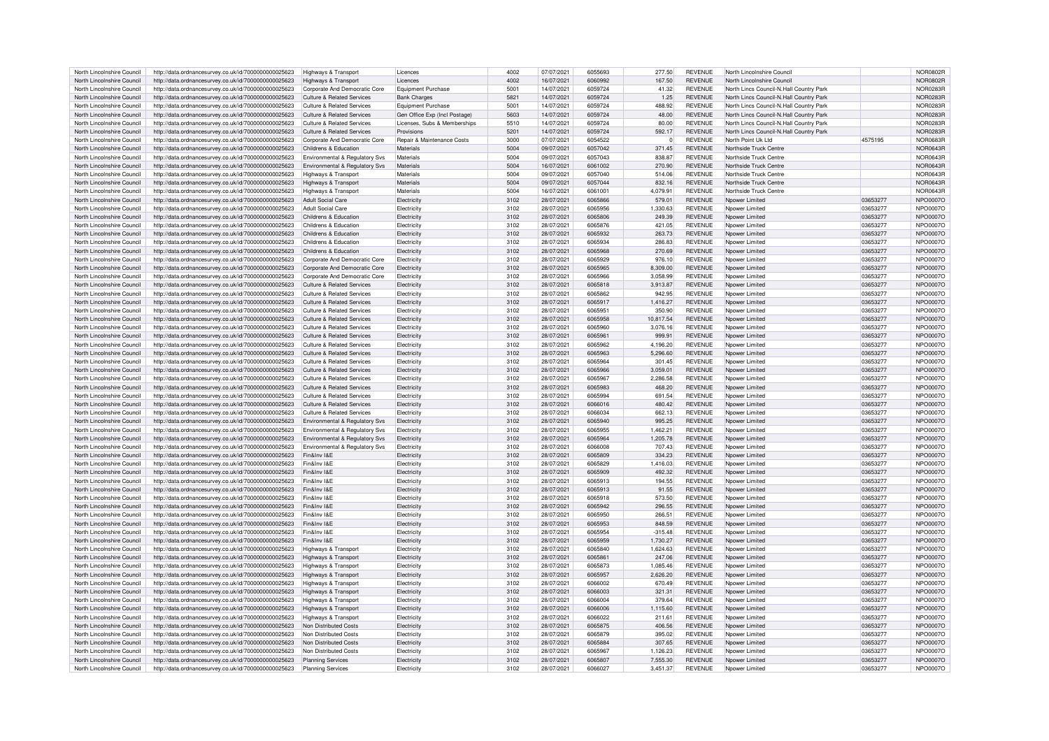| North Lincolnshire Council | http://data.ordnancesurvey.co.uk/id/7000000000025623 | Highways & Transport                      | Licences                      | 4002 | 07/07/2021 | 6055693 | 277.50    | <b>REVENUE</b> | North Lincolnshire Council              |          | <b>NOR0802F</b> |
|----------------------------|------------------------------------------------------|-------------------------------------------|-------------------------------|------|------------|---------|-----------|----------------|-----------------------------------------|----------|-----------------|
| North Lincolnshire Council | http://data.ordnancesurvey.co.uk/id/7000000000025623 | Highways & Transport                      | Licences                      | 4002 | 16/07/2021 | 6060992 | 167.50    | <b>REVENUE</b> | North Lincolnshire Counci               |          | NOR0802F        |
|                            |                                                      |                                           |                               |      |            |         |           |                |                                         |          |                 |
| North Lincolnshire Council | http://data.ordnancesurvey.co.uk/id/7000000000025623 | Corporate And Democratic Core             | Equipment Purchase            | 5001 | 14/07/2021 | 6059724 | 41.32     | <b>REVENUE</b> | North Lincs Council-N.Hall Country Park |          | <b>NOR0283R</b> |
| North Lincolnshire Council | http://data.ordnancesurvey.co.uk/id/7000000000025623 | Culture & Related Services                | <b>Bank Charges</b>           | 5821 | 14/07/2021 | 6059724 | 1.25      | <b>REVENUE</b> | North Lincs Council-N.Hall Country Park |          | NOR0283F        |
| North Lincolnshire Council | http://data.ordnancesurvey.co.uk/id/7000000000025623 | <b>Culture &amp; Related Services</b>     | <b>Equipment Purchase</b>     | 5001 | 14/07/2021 | 6059724 | 488.92    | <b>REVENUE</b> | North Lincs Council-N.Hall Country Park |          | NOR0283F        |
| North Lincolnshire Council | http://data.ordnancesurvey.co.uk/id/7000000000025623 | <b>Culture &amp; Related Services</b>     | Gen Office Exp (Incl Postage) | 5603 | 14/07/2021 | 6059724 | 48.00     | <b>REVENUE</b> | North Lincs Council-N.Hall Country Park |          | <b>NOR0283F</b> |
|                            |                                                      |                                           |                               |      |            | 6059724 |           |                |                                         |          |                 |
| North Lincolnshire Council | http://data.ordnancesurvey.co.uk/id/7000000000025623 | <b>Culture &amp; Related Services</b>     | Licenses, Subs & Memberships  | 5510 | 14/07/2021 |         | 80.00     | <b>REVENUE</b> | North Lincs Council-N.Hall Country Park |          | NOR0283F        |
| North Lincolnshire Council | http://data.ordnancesurvey.co.uk/id/7000000000025623 | Culture & Related Services                | Provisions                    | 5201 | 14/07/2021 | 6059724 | 592.17    | <b>REVENUE</b> | North Lincs Council-N.Hall Country Park |          | <b>NOR0283F</b> |
| North Lincolnshire Council | http://data.ordnancesurvey.co.uk/id/7000000000025623 | Corporate And Democratic Core             | Repair & Maintenance Costs    | 3000 | 07/07/2021 | 6054522 | $\Omega$  | <b>REVENUE</b> | North Point Llk Ltd                     | 4575195  | <b>NOR0683F</b> |
| North Lincolnshire Council | http://data.ordnancesurvey.co.uk/id/7000000000025623 | Childrens & Education                     | Materials                     | 5004 | 09/07/2021 | 6057042 | 371.45    | <b>REVENUE</b> | Northside Truck Centre                  |          | NOR0643F        |
| North Lincolnshire Council |                                                      |                                           | Materials                     | 5004 | 09/07/2021 | 6057043 | 838.87    | REVENUE        | Northside Truck Centre                  |          |                 |
|                            | http://data.ordnancesurvey.co.uk/id/7000000000025623 | Environmental & Regulatory Svs            |                               |      |            |         |           |                |                                         |          | <b>NOR0643F</b> |
| North Lincolnshire Council | http://data.ordnancesurvey.co.uk/id/7000000000025623 | Environmental & Regulatory Svs            | Materials                     | 5004 | 16/07/2021 | 6061002 | 270.90    | <b>REVENUE</b> | Northside Truck Centre                  |          | <b>NOR0643F</b> |
| North Lincolnshire Council | http://data.ordnancesurvey.co.uk/id/7000000000025623 | Highways & Transport                      | Materials                     | 5004 | 09/07/2021 | 6057040 | 514.06    | <b>REVENUE</b> | Northside Truck Centre                  |          | NOR0643F        |
| North Lincolnshire Council | http://data.ordnancesurvey.co.uk/id/7000000000025623 | Highways & Transport                      | Materials                     | 5004 | 09/07/2021 | 6057044 | 832.16    | <b>REVENUE</b> | Northside Truck Centre                  |          | <b>NOR0643F</b> |
| North Lincolnshire Council | http://data.ordnancesurvey.co.uk/id/7000000000025623 | Highways & Transport                      | Materials                     | 5004 | 16/07/2021 | 606100  | 4,079.91  | <b>REVENUE</b> | Northside Truck Centre                  |          | <b>NOR0643F</b> |
|                            |                                                      |                                           |                               |      |            |         |           |                |                                         |          |                 |
| North Lincolnshire Council | http://data.ordnancesurvey.co.uk/id/7000000000025623 | <b>Adult Social Care</b>                  | Flectricit                    | 3102 | 28/07/2021 | 6065866 | 579.01    | <b>REVENUE</b> | Nnower I imited                         | 03653277 | NPO0007C        |
| North Lincolnshire Council | http://data.ordnancesurvey.co.uk/id/7000000000025623 | <b>Adult Social Care</b>                  | Electricity                   | 3102 | 28/07/2021 | 6065956 | 1,330.63  | <b>REVENUE</b> | Npower Limited                          | 03653277 | NPO0007O        |
| North Lincolnshire Council | http://data.ordnancesurvey.co.uk/id/7000000000025623 | Childrens & Education                     | Flectricit                    | 3102 | 28/07/2021 | 6065806 | 249.39    | <b>REVENUE</b> | Nnower I imited                         | 03653277 | <b>NPO0007C</b> |
| North Lincolnshire Council | http://data.ordnancesurvey.co.uk/id/7000000000025623 | Childrens & Education                     | Electricit                    | 3102 | 28/07/2021 | 6065876 | 421.05    | <b>REVENUE</b> | Nnower Limiter                          | 03653277 | <b>NPO0007C</b> |
|                            |                                                      |                                           |                               |      |            |         |           |                |                                         |          |                 |
| North Lincolnshire Council | http://data.ordnancesurvey.co.uk/id/7000000000025623 | Childrens & Education                     | Electricit                    | 3102 | 28/07/2021 | 6065932 | 263.73    | <b>REVENUE</b> | Noower Limited                          | 03653277 | <b>NPO0007C</b> |
| North Lincolnshire Council | http://data.ordnancesurvey.co.uk/id/7000000000025623 | Childrens & Education                     | Flectricit                    | 3102 | 28/07/2021 | 6065934 | 286.83    | RFVFNUF        | Nnower I imited                         | 03653277 | NPO0007C        |
| North Lincolnshire Council | http://data.ordnancesurvey.co.uk/id/7000000000025623 | Childrens & Education                     | Electricity                   | 3102 | 28/07/2021 | 6065968 | 270.69    | REVENUE        | Noower Limited                          | 03653277 | <b>NPO0007C</b> |
| North Lincolnshire Council | http://data.ordnancesurvey.co.uk/id/7000000000025623 | Corporate And Democratic Core             | Flectricity                   | 3102 | 28/07/2021 | 6065929 | 976.10    | <b>REVENUE</b> | Nnower Limited                          | 03653277 | <b>NPO0007C</b> |
| North Lincolnshire Council |                                                      | Corporate And Democratic Core             | Electricit                    | 3102 | 28/07/2021 | 6065965 | 8,309.00  | <b>REVENUE</b> | Noower Limited                          | 03653277 | <b>NPO0007C</b> |
|                            | http://data.ordnancesurvey.co.uk/id/7000000000025623 |                                           |                               |      |            |         |           |                |                                         |          |                 |
| North Lincolnshire Council | http://data.ordnancesurvey.co.uk/id/7000000000025623 | Corporate And Democratic Core             | Electricit                    | 3102 | 28/07/2021 | 6065966 | 3,058.99  | <b>REVENUE</b> | Noower Limited                          | 03653277 | <b>NPO0007C</b> |
| North Lincolnshire Council | http://data.ordnancesurvey.co.uk/id/7000000000025623 | <b>Culture &amp; Related Services</b>     | Electricit                    | 3102 | 28/07/2021 | 6065818 | 3,913.87  | <b>REVENUE</b> | Noower Limited                          | 03653277 | <b>NPO0007C</b> |
| North Lincolnshire Council | http://data.ordnancesurvey.co.uk/id/7000000000025623 | Culture & Related Services                | Electricity                   | 3102 | 28/07/2021 | 6065862 | 942.95    | <b>REVENUE</b> | Nnower Limited                          | 03653277 | <b>NPO0007C</b> |
| North Lincolnshire Council | http://data.ordnancesurvey.co.uk/id/7000000000025623 | Culture & Related Services                | Flectricit                    | 3102 | 28/07/2021 | 6065917 | 1,416.27  | <b>REVENUE</b> | Noower Limited                          | 03653277 | <b>NPO0007C</b> |
|                            |                                                      |                                           |                               |      |            |         |           |                |                                         |          |                 |
| North Lincolnshire Council | http://data.ordnancesurvey.co.uk/id/7000000000025623 | Culture & Related Services                | Electricity                   | 3102 | 28/07/2021 | 606595  | 350.90    | <b>REVENUE</b> | Noower Limited                          | 03653277 | NPO0007C        |
| North Lincolnshire Council | http://data.ordnancesurvey.co.uk/id/7000000000025623 | <b>Culture &amp; Related Services</b>     | Electricity                   | 3102 | 28/07/2021 | 6065958 | 10,817.54 | <b>REVENUE</b> | Noower Limited                          | 03653277 | NPO0007C        |
| North Lincolnshire Council | http://data.ordnancesurvey.co.uk/id/7000000000025623 | Culture & Related Services                | Electricit                    | 3102 | 28/07/2021 | 6065960 | 3.076.16  | <b>REVENUE</b> | Noower Limited                          | 03653277 | <b>NPO0007C</b> |
| North Lincolnshire Council | http://data.ordnancesurvey.co.uk/id/7000000000025623 | Culture & Related Services                | Flectricity                   | 3102 | 28/07/2021 | 6065961 | 999.91    | <b>REVENUE</b> | Nnower Limited                          | 03653277 | NPO0007O        |
|                            |                                                      |                                           |                               |      |            | 6065962 |           |                |                                         |          |                 |
| North Lincolnshire Council | http://data.ordnancesurvey.co.uk/id/7000000000025623 | Culture & Related Services                | Electricity                   | 3102 | 28/07/2021 |         | 4,196.20  | <b>REVENUE</b> | Noower Limited                          | 03653277 | NPO0007O        |
| North Lincolnshire Council | http://data.ordnancesurvey.co.uk/id/7000000000025623 | Culture & Related Services                | Electricity                   | 3102 | 28/07/2021 | 6065963 | 5.296.60  | <b>REVENUE</b> | Noower Limited                          | 03653277 | NPO0007C        |
| North Lincolnshire Council | http://data.ordnancesurvey.co.uk/id/7000000000025623 | Culture & Related Services                | Electricity                   | 3102 | 28/07/2021 | 6065964 | 301.45    | <b>REVENUE</b> | Noower Limited                          | 03653277 | <b>NPO0007C</b> |
| North Lincolnshire Council | http://data.ordnancesurvey.co.uk/id/7000000000025623 | <b>Culture &amp; Related Services</b>     | Electricity                   | 3102 | 28/07/2021 | 6065966 | 3,059.01  | <b>REVENUE</b> | Noower Limited                          | 03653277 | <b>NPO0007C</b> |
| North Lincolnshire Council | http://data.ordnancesurvey.co.uk/id/7000000000025623 | Culture & Related Services                | Flectricit                    | 3102 | 28/07/2021 | 6065967 | 2.286.58  | <b>REVENUE</b> | Nnower Limited                          | 03653277 | <b>NPO0007C</b> |
|                            |                                                      |                                           |                               |      |            |         |           |                |                                         |          |                 |
| North Lincolnshire Council | http://data.ordnancesurvey.co.uk/id/7000000000025623 | Culture & Related Services                | Electricity                   | 3102 | 28/07/2021 | 6065983 | 468.20    | <b>REVENUE</b> | Nnower Limited                          | 03653277 | NPO0007C        |
| North Lincolnshire Council | http://data.ordnancesurvey.co.uk/id/7000000000025623 | Culture & Related Services                | Electricit                    | 3102 | 28/07/2021 | 6065994 | 691.54    | <b>REVENUE</b> | Nnower Limited                          | 03653277 | <b>NPO0007C</b> |
| North Lincolnshire Council | http://data.ordnancesurvey.co.uk/id/7000000000025623 | Culture & Related Services                | Electricit                    | 3102 | 28/07/2021 | 6066016 | 480.42    | <b>REVENUE</b> | Noower Limited                          | 03653277 | <b>NPO0007C</b> |
| North Lincolnshire Council | http://data.ordnancesurvey.co.uk/id/7000000000025623 | Culture & Related Services                | <b>Flectricit</b>             | 3102 | 28/07/2021 | 6066034 | 662.13    | REVENUE        | Nnower I imited                         | 03653277 | NPO0007C        |
|                            |                                                      |                                           |                               |      |            |         |           |                |                                         |          |                 |
| North Lincolnshire Council | http://data.ordnancesurvey.co.uk/id/7000000000025623 | <b>Environmental &amp; Regulatory Sys</b> | Flectricity                   | 3102 | 28/07/2021 | 6065940 | 995.25    | <b>REVENUE</b> | Nnower Limited                          | 03653277 | <b>NPO0007C</b> |
| North Lincolnshire Council | http://data.ordnancesurvey.co.uk/id/7000000000025623 | Environmental & Regulatory Svs            | Flectricity                   | 3102 | 28/07/2021 | 6065955 | 1,462.21  | <b>REVENUE</b> | Nnower Limited                          | 03653277 | NPO0007C        |
| North Lincolnshire Council | http://data.ordnancesurvey.co.uk/id/7000000000025623 | Environmental & Regulatory Svs            | Flectricit                    | 3102 | 28/07/2021 | 6065964 | 1,205.78  | <b>REVENUE</b> | Nnower Limited                          | 03653277 | <b>NPO0007C</b> |
| North Lincolnshire Council | http://data.ordnancesurvey.co.uk/id/7000000000025623 | Environmental & Regulatory Svs            | Electricit                    | 3102 | 28/07/2021 | 6066008 | 707.43    | <b>REVENUE</b> | Noower Limited                          | 03653277 | <b>NPO0007C</b> |
|                            |                                                      |                                           |                               |      |            |         |           |                |                                         |          |                 |
| North Lincolnshire Council | http://data.ordnancesurvey.co.uk/id/7000000000025623 | Fin&Inv I&F                               | Flectricit                    | 3102 | 28/07/2021 | 6065809 | 334.23    | <b>REVENUE</b> | Nnower I imited                         | 03653277 | NPO0007C        |
| North Lincolnshire Council | http://data.ordnancesurvey.co.uk/id/7000000000025623 | Fin&Inv I&F                               | Electricit                    | 3102 | 28/07/2021 | 6065829 | 1,416.03  | <b>REVENUE</b> | Noower Limited                          | 03653277 | <b>NPO0007C</b> |
| North Lincolnshire Council | http://data.ordnancesurvey.co.uk/id/7000000000025623 | Fin&Inv I&E                               | Electricit                    | 3102 | 28/07/2021 | 6065909 | 492.32    | <b>REVENUE</b> | Nnower I imited                         | 03653277 | <b>NPO0007C</b> |
| North Lincolnshire Council | http://data.ordnancesurvey.co.uk/id/7000000000025623 | Fin&Inv I&F                               | Electricity                   | 3102 | 28/07/2021 | 6065913 | 194.55    | <b>REVENUE</b> | Nnower Limited                          | 03653277 | NPO0007C        |
| North Lincolnshire Council | http://data.ordnancesurvey.co.uk/id/7000000000025623 | Fin&Inv I&E                               | Electricit                    | 3102 | 28/07/2021 | 6065913 | 91.55     | <b>REVENUE</b> | Noower Limited                          | 03653277 | <b>NPO0007C</b> |
|                            |                                                      |                                           |                               |      |            |         |           |                |                                         |          |                 |
| North Lincolnshire Council | http://data.ordnancesurvey.co.uk/id/7000000000025623 | Fin&Inv I&F                               | Flectricit                    | 3102 | 28/07/2021 | 606591  | 573.50    | REVENUE        | Nnower Limited                          | 03653277 | NPO0007C        |
| North Lincolnshire Council | http://data.ordnancesurvey.co.uk/id/7000000000025623 | Fin&Inv I&F                               | Flectricity                   | 3102 | 28/07/2021 | 6065942 | 296.55    | <b>REVENUE</b> | Noower Limited                          | 03653277 | NPO0007C        |
| North Lincolnshire Council | http://data.ordnancesurvey.co.uk/id/7000000000025623 | Fin&Inv I&F                               | Electricity                   | 3102 | 28/07/2021 | 6065950 | 266.51    | <b>REVENUE</b> | Nnower Limited                          | 03653277 | NPO0007C        |
| North Lincolnshire Council | http://data.ordnancesurvey.co.uk/id/7000000000025623 | Fin&Inv I&E                               | Electricity                   | 3102 | 28/07/2021 | 6065953 | 848.59    | <b>REVENUE</b> | Noower Limited                          | 03653277 | <b>NPO0007C</b> |
| North Lincolnshire Council | http://data.ordnancesurvey.co.uk/id/7000000000025623 | Fin&Inv I&E                               | Electricit                    | 3102 | 28/07/2021 | 6065954 | $-315.48$ | <b>REVENUE</b> | Noower Limited                          | 03653277 | <b>NPO0007C</b> |
|                            |                                                      |                                           |                               |      |            |         |           |                |                                         |          |                 |
| North Lincolnshire Council | http://data.ordnancesurvey.co.uk/id/7000000000025623 | Fin&Inv I&F                               | Flectricit                    | 3102 | 28/07/2021 | 6065959 | 1,730.27  | <b>REVENUE</b> | Nnower Limited                          | 03653277 | NPO0007C        |
| North Lincolnshire Council | http://data.ordnancesurvey.co.uk/id/7000000000025623 | Highways & Transport                      | Flectricit                    | 3102 | 28/07/2021 | 6065840 | 1.624.63  | <b>REVENUE</b> | Nnower Limited                          | 03653277 | NPO0007C        |
| North Lincolnshire Council | http://data.ordnancesurvey.co.uk/id/7000000000025623 | Highways & Transpor                       | Electricit                    | 3102 | 28/07/2021 | 6065861 | 247.06    | <b>REVENUE</b> | Nnower Limited                          | 03653277 | <b>NPO0007C</b> |
| North Lincolnshire Council | http://data.ordnancesurvey.co.uk/id/7000000000025623 | Highways & Transport                      | Electricit                    | 3102 | 28/07/2021 | 6065873 | 1,085.46  | <b>REVENUE</b> | Noower Limited                          | 03653277 | <b>NPO0007C</b> |
|                            |                                                      |                                           |                               |      |            |         |           |                |                                         |          |                 |
| North Lincolnshire Council | http://data.ordnancesurvey.co.uk/id/7000000000025623 | Highways & Transpor                       | Electricit                    | 3102 | 28/07/2021 | 6065957 | 2,626.20  | <b>REVENUE</b> | Noower Limited                          | 03653277 | <b>NPO0007C</b> |
| North Lincolnshire Council | http://data.ordnancesurvey.co.uk/id/7000000000025623 | Highways & Transport                      | Electricit                    | 3102 | 28/07/2021 | 6066002 | 670.49    | <b>REVENUE</b> | Noower Limited                          | 03653277 | <b>NPO0007C</b> |
| North Lincolnshire Council | http://data.ordnancesurvey.co.uk/id/7000000000025623 | Highways & Transport                      | Flectricity                   | 3102 | 28/07/2021 | 6066003 | 321.31    | <b>REVENUE</b> | Nnower Limited                          | 03653277 | <b>NPO0007C</b> |
| North Lincolnshire Council | http://data.ordnancesurvey.co.uk/id/7000000000025623 | Highways & Transport                      | Electricit                    | 3102 | 28/07/2021 | 6066004 | 379.64    | <b>REVENUE</b> | Nnower Limited                          | 03653277 | <b>NPO0007C</b> |
| North Lincolnshire Council |                                                      |                                           | Electricit                    | 3102 | 28/07/2021 | 6066006 | 1.115.60  | <b>REVENUE</b> | Noower Limited                          | 03653277 | <b>NPO0007C</b> |
|                            | http://data.ordnancesurvey.co.uk/id/7000000000025623 | Highways & Transport                      |                               |      |            |         |           |                |                                         |          |                 |
| North Lincolnshire Council | http://data.ordnancesurvey.co.uk/id/7000000000025623 | <b>Highways &amp; Transport</b>           | Flectricit                    | 3102 | 28/07/2021 | 6066022 | 211.61    | <b>REVENUE</b> | Nnower I imited                         | 03653277 | NPO0007C        |
| North Lincolnshire Council | http://data.ordnancesurvey.co.uk/id/7000000000025623 | Non Distributed Costs                     | Electricity                   | 3102 | 28/07/2021 | 6065875 | 406.56    | <b>REVENUE</b> | Noower Limited                          | 03653277 | <b>NPO0007C</b> |
| North Lincolnshire Council | http://data.ordnancesurvey.co.uk/id/7000000000025623 | Non Distributed Costs                     | Flectricity                   | 3102 | 28/07/2021 | 6065879 | 395.02    | <b>REVENUE</b> | Nnower I imited                         | 03653277 | <b>NPO0007C</b> |
| North Lincolnshire Council | http://data.ordnancesurvey.co.uk/id/7000000000025623 | Non Distributed Costs                     | Electricity                   | 3102 | 28/07/2021 | 6065884 | 307.65    | <b>REVENUE</b> | Noower Limited                          | 03653277 | <b>NPO0007C</b> |
|                            |                                                      |                                           |                               |      |            | 6065967 |           |                |                                         |          |                 |
| North Lincolnshire Council | http://data.ordnancesurvey.co.uk/id/7000000000025623 | Non Distributed Costs                     | Electricit                    | 3102 | 28/07/2021 |         | 1,126.23  | <b>REVENUE</b> | Noower Limited                          | 03653277 | <b>NPO0007C</b> |
| North Lincolnshire Council | http://data.ordnancesurvey.co.uk/id/7000000000025623 | Planning Services                         | Flectricity                   | 3102 | 28/07/2021 | 6065807 | 7.555.30  | <b>REVENUE</b> | Nnower I imited                         | 03653277 | NPO0007O        |
| North Lincolnshire Council | http://data.ordnancesurvey.co.uk/id/7000000000025623 | <b>Planning Services</b>                  | Electricity                   | 3102 | 28/07/2021 | 6066027 | 3.451.37  | <b>REVENUE</b> | Npower Limited                          | 03653277 | NPO0007O        |
|                            |                                                      |                                           |                               |      |            |         |           |                |                                         |          |                 |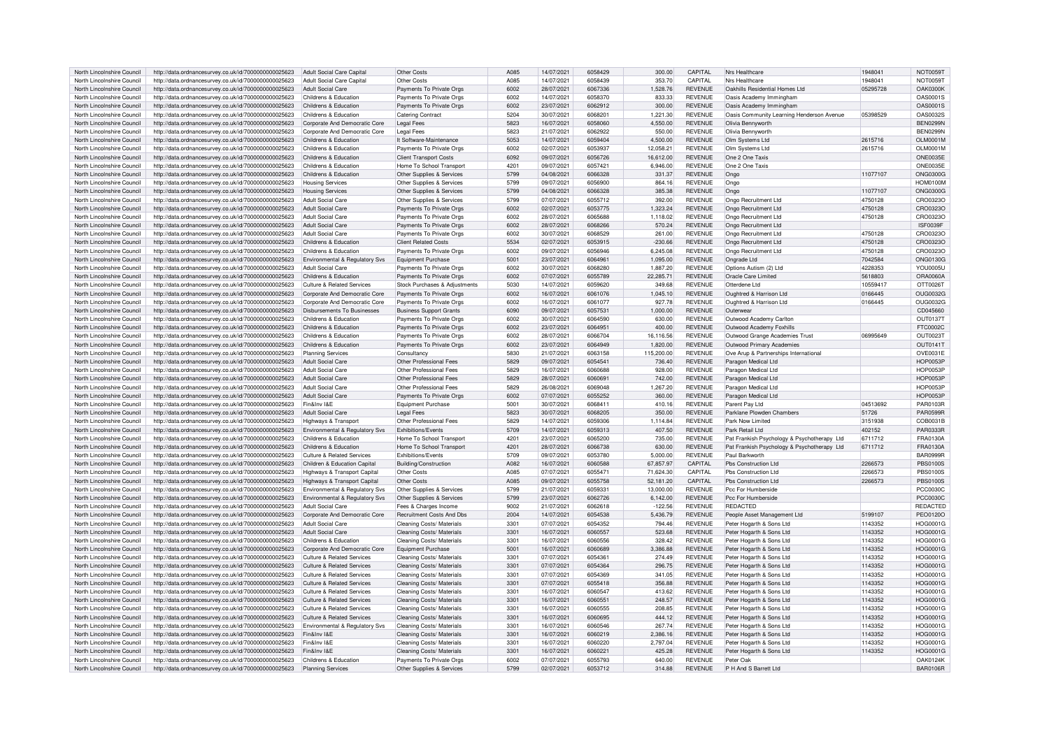| North Lincolnshire Council                               | http://data.ordnancesurvey.co.uk/id/7000000000025623 | Adult Social Care Capita              | Other Costs                    | A085 | 14/07/2021 | 6058429 | 300.00     | CAPITAL        | Nrs Healthcare                              | 1948041  | <b>NOT0059T</b> |
|----------------------------------------------------------|------------------------------------------------------|---------------------------------------|--------------------------------|------|------------|---------|------------|----------------|---------------------------------------------|----------|-----------------|
| North Lincolnshire Council                               | http://data.ordnancesurvey.co.uk/id/7000000000025623 | Adult Social Care Capital             | Other Costs                    | A085 | 14/07/2021 | 6058439 | 353.70     | CAPITAL        | Nrs Healthcare                              | 1948041  | <b>NOT0059T</b> |
|                                                          |                                                      |                                       |                                |      |            |         |            |                |                                             |          |                 |
| North Lincolnshire Council                               | http://data.ordnancesurvey.co.uk/id/7000000000025623 | <b>Adult Social Care</b>              | Payments To Private Orgs       | 6002 | 28/07/2021 | 6067336 | 1,528.76   | <b>REVENUE</b> | Oakhills Residential Homes I td             | 05295728 | <b>OAK0300K</b> |
| North Lincolnshire Council                               | http://data.ordnancesurvey.co.uk/id/7000000000025623 | Childrens & Education                 | Payments To Private Orgs       | 6002 | 14/07/2021 | 6058370 | 833.33     | <b>REVENUE</b> | Oasis Academy Immingham                     |          | OAS0001S        |
| North Lincolnshire Council                               | http://data.ordnancesurvey.co.uk/id/7000000000025623 | Childrens & Education                 | Payments To Private Orgs       | 6002 | 23/07/2021 | 6062912 | 300.00     | <b>REVENUE</b> | Oasis Academy Immingham                     |          | OAS0001S        |
| North Lincolnshire Council                               | http://data.ordnancesurvey.co.uk/id/7000000000025623 | Childrens & Education                 | <b>Catering Contract</b>       | 5204 | 30/07/2021 | 606820  | 1.221.30   | <b>REVENUE</b> | Oasis Community Learning Henderson Avenue   | 05398529 | OAS00325        |
| North Lincolnshire Council                               | http://data.ordnancesurvey.co.uk/id/7000000000025623 | Corporate And Democratic Core         | <b>Legal Fees</b>              | 5823 | 16/07/2021 | 6058060 | 4.550.00   | <b>REVENUE</b> | Olivia Bennyworth                           |          | <b>BEN0299N</b> |
|                                                          |                                                      |                                       |                                |      |            |         |            |                |                                             |          |                 |
| North Lincolnshire Council                               | http://data.ordnancesurvey.co.uk/id/7000000000025623 | Corporate And Democratic Core         | <b>Legal Fees</b>              | 5823 | 21/07/2021 | 6062922 | 550.00     | <b>REVENUE</b> | Olivia Bennyworth                           |          | <b>BEN0299N</b> |
| North Lincolnshire Council                               | http://data.ordnancesurvey.co.uk/id/7000000000025623 | Childrens & Education                 | It Software-Maintenance        | 5053 | 14/07/2021 | 6059404 | 4,500.00   | <b>REVENUE</b> | Olm Systems Ltd                             | 2615716  | <b>OLM0001M</b> |
| North Lincolnshire Council                               | http://data.ordnancesurvey.co.uk/id/7000000000025623 | Childrens & Education                 | Payments To Private Orgs       | 6002 | 02/07/2021 | 6053937 | 12,058.21  | <b>REVENUE</b> | Olm Systems Ltd                             | 2615716  | <b>OLM0001M</b> |
| North Lincolnshire Council                               | http://data.ordnancesurvey.co.uk/id/7000000000025623 | Childrens & Education                 | <b>Client Transport Costs</b>  | 6092 | 09/07/2021 | 6056726 | 16.612.00  | <b>REVENUE</b> | One 2 One Taxis                             |          | <b>ONE0035E</b> |
| North Lincolnshire Council                               | http://data.ordnancesurvey.co.uk/id/7000000000025623 | Childrens & Education                 | Home To School Transport       | 4201 | 09/07/2021 | 6057421 | 6.946.00   | <b>REVENUE</b> | One 2 One Taxis                             |          | ONE0035E        |
|                                                          |                                                      |                                       |                                |      |            |         |            |                |                                             |          |                 |
| North Lincolnshire Council                               | http://data.ordnancesurvey.co.uk/id/7000000000025623 | Childrens & Education                 | Other Supplies & Services      | 5799 | 04/08/2021 | 6066328 | 331.37     | <b>REVENUE</b> | Ongo                                        | 11077107 | ONG0300G        |
| North Lincolnshire Council                               | http://data.ordnancesurvey.co.uk/id/7000000000025623 | <b>Housing Services</b>               | Other Supplies & Services      | 5799 | 09/07/2021 | 6056900 | 864.16     | <b>REVENUE</b> | Ongo                                        |          | <b>HOM0100N</b> |
| North Lincolnshire Council                               | http://data.ordnancesurvey.co.uk/id/7000000000025623 | <b>Housing Services</b>               | Other Supplies & Services      | 5799 | 04/08/2021 | 6066328 | 385.38     | <b>REVENUE</b> | Ongo                                        | 11077107 | <b>ONG0300G</b> |
| North Lincolnshire Council                               | http://data.ordnancesurvey.co.uk/id/7000000000025623 | <b>Adult Social Care</b>              | Other Supplies & Services      | 5799 | 07/07/2021 | 6055712 | 392.00     | <b>REVENUE</b> | Ongo Recruitment Ltd                        | 4750128  | CRO0323C        |
| North Lincolnshire Council                               | http://data.ordnancesurvey.co.uk/id/7000000000025623 | <b>Adult Social Care</b>              | Payments To Private Orgs       | 6002 | 02/07/2021 | 6053775 | 1.323.24   | <b>REVENUE</b> | Ongo Recruitment Ltd                        | 4750128  | CRO0323C        |
| North Lincolnshire Council                               |                                                      | <b>Adult Social Care</b>              |                                | 6002 |            | 6065688 | 1.118.02   | <b>REVENUE</b> |                                             |          | CRO0323C        |
|                                                          | http://data.ordnancesurvey.co.uk/id/7000000000025623 |                                       | Payments To Private Orgs       |      | 28/07/2021 |         |            |                | Ongo Recruitment Ltd                        | 4750128  |                 |
| North Lincolnshire Council                               | http://data.ordnancesurvey.co.uk/id/7000000000025623 | <b>Adult Social Care</b>              | Payments To Private Orgs       | 6002 | 28/07/2021 | 6068266 | 570.24     | <b>REVENUE</b> | Ongo Recruitment Ltd                        |          | <b>ISF0039F</b> |
| North Lincolnshire Council                               | http://data.ordnancesurvey.co.uk/id/7000000000025623 | <b>Adult Social Care</b>              | Payments To Private Orgs       | 6002 | 30/07/2021 | 6068529 | 261.00     | REVENUE        | Ongo Recruitment Ltd                        | 4750128  | CRO0323C        |
| North Lincolnshire Council                               | http://data.ordnancesurvey.co.uk/id/7000000000025623 | Childrens & Education                 | <b>Client Related Costs</b>    | 5534 | 02/07/2021 | 6053915 | $-230.66$  | <b>REVENUE</b> | Ongo Recruitment Ltd                        | 4750128  | CRO0323C        |
| North Lincolnshire Council                               | http://data.ordnancesurvey.co.uk/id/7000000000025623 | Childrens & Education                 | Payments To Private Orgs       | 6002 | 09/07/2021 | 6056946 | 6.245.08   | <b>REVENUE</b> | Ongo Recruitment Ltd                        | 4750128  | CRO0323C        |
| North Lincolnshire Council                               | http://data.ordnancesurvey.co.uk/id/7000000000025623 | Environmental & Regulatory Svs        | Equipment Purchase             | 5001 | 23/07/2021 | 6064961 | 1,095.00   | <b>REVENUE</b> | Ongrade Ltd                                 | 7042584  | ONG0130G        |
|                                                          |                                                      |                                       |                                |      |            |         |            |                |                                             |          |                 |
| North Lincolnshire Council                               | http://data.ordnancesurvey.co.uk/id/7000000000025623 | <b>Adult Social Care</b>              | Payments To Private Orgs       | 6002 | 30/07/2021 | 6068280 | 1,887.20   | <b>REVENUE</b> | Options Autism (2) Ltd                      | 4228353  | YOU0005L        |
| North Lincolnshire Council                               | http://data.ordnancesurvey.co.uk/id/7000000000025623 | Childrens & Education                 | Payments To Private Orgs       | 6002 | 07/07/2021 | 6055789 | 22.285.71  | <b>REVENUE</b> | Oracle Care Limited                         | 5618803  | ORA0060A        |
| North Lincolnshire Council                               | http://data.ordnancesurvey.co.uk/id/7000000000025623 | Culture & Related Services            | Stock Purchases & Adjustments  | 5030 | 14/07/2021 | 6059620 | 349.68     | <b>REVENUE</b> | Otterdene Ltd                               | 10559417 | OTT0026T        |
| North Lincolnshire Council                               | http://data.ordnancesurvey.co.uk/id/7000000000025623 | Corporate And Democratic Core         | Payments To Private Orgs       | 6002 | 16/07/2021 | 6061076 | 1.045.10   | <b>REVENUE</b> | Oughtred & Harrison Ltd                     | 0166445  | OUG0032G        |
| North Lincolnshire Council                               |                                                      | Corporate And Democratic Core         |                                | 6002 | 16/07/2021 | 6061077 | 927.78     | <b>REVENUE</b> |                                             |          | OUG0032G        |
|                                                          | http://data.ordnancesurvey.co.uk/id/7000000000025623 |                                       | Payments To Private Orgs       |      |            |         |            |                | Oughtred & Harrison Ltd                     | 0166445  |                 |
| North Lincolnshire Council                               | http://data.ordnancesurvey.co.uk/id/7000000000025623 | <b>Disbursements To Businesses</b>    | <b>Business Support Grants</b> | 6090 | 09/07/2021 | 6057531 | 1,000.00   | <b>REVENUE</b> | Outerwear                                   |          | CD045660        |
| North Lincolnshire Council                               | http://data.ordnancesurvey.co.uk/id/7000000000025623 | Childrens & Education                 | Payments To Private Orgs       | 6002 | 30/07/2021 | 6064590 | 630.00     | <b>REVENUE</b> | Outwood Academy Carlton                     |          | <b>OUT0137T</b> |
| North Lincolnshire Council                               | http://data.ordnancesurvey.co.uk/id/7000000000025623 | Childrens & Education                 | Payments To Private Orgs       | 6002 | 23/07/2021 | 6064951 | 400.00     | <b>REVENUE</b> | Outwood Academy Foxhills                    |          | FTC0002C        |
| North Lincolnshire Council                               | http://data.ordnancesurvey.co.uk/id/7000000000025623 | Childrens & Education                 | Payments To Private Orgs       | 6002 | 28/07/2021 | 6066704 | 16,116.56  | <b>REVENUE</b> | Outwood Grange Academies Trust              | 06995649 | OUT0023T        |
| North Lincolnshire Council                               |                                                      | Childrens & Education                 |                                | 6002 | 23/07/2021 | 6064949 | 1.820.00   | <b>REVENUE</b> |                                             |          | OUT0141T        |
|                                                          | http://data.ordnancesurvey.co.uk/id/7000000000025623 |                                       | Payments To Private Orgs       |      |            |         |            |                | Outwood Primary Academies                   |          |                 |
| North Lincolnshire Council                               | http://data.ordnancesurvey.co.uk/id/7000000000025623 | <b>Planning Services</b>              | Consultancy                    | 5830 | 21/07/2021 | 6063158 | 115,200.00 | <b>REVENUE</b> | Ove Arup & Partnerships International       |          | OVE0031E        |
| North Lincolnshire Council                               | http://data.ordnancesurvey.co.uk/id/7000000000025623 | <b>Adult Social Care</b>              | Other Professional Fees        | 5829 | 09/07/2021 | 6054541 | 736.40     | <b>REVENUE</b> | Paragon Medical I td                        |          | <b>HOP0053F</b> |
| North Lincolnshire Council                               | http://data.ordnancesurvey.co.uk/id/7000000000025623 | Adult Social Care                     | Other Professional Fees        | 5829 | 16/07/2021 | 6060688 | 928.00     | <b>REVENUE</b> | Paragon Medical Ltd                         |          | <b>HOP0053F</b> |
| North Lincolnshire Council                               | http://data.ordnancesurvey.co.uk/id/7000000000025623 | Adult Social Care                     | Other Professional Fees        | 5829 | 28/07/2021 | 606069  | 742.00     | <b>REVENUE</b> | Paragon Medical Ltd                         |          | <b>HOP0053F</b> |
| North Lincolnshire Council                               | http://data.ordnancesurvey.co.uk/id/7000000000025623 | <b>Adult Social Care</b>              | Other Professional Fees        | 5829 | 26/08/2021 | 6069048 | 1,267.20   | <b>REVENUE</b> | Paragon Medical Ltd                         |          | <b>HOP0053F</b> |
|                                                          |                                                      |                                       |                                |      |            |         |            |                |                                             |          |                 |
| North Lincolnshire Council                               | http://data.ordnancesurvey.co.uk/id/7000000000025623 | <b>Adult Social Care</b>              | Payments To Private Orgs       | 6002 | 07/07/2021 | 6055252 | 360.00     | <b>REVENUE</b> | Paragon Medical Ltd                         |          | <b>HOP0053F</b> |
| North Lincolnshire Council                               | http://data.ordnancesurvey.co.uk/id/7000000000025623 | Fin&Inv I&F                           | Equipment Purchase             | 5001 | 30/07/2021 | 606841  | 410.16     | REVENUE        | Parent Pay Ltd                              | 04513692 | PAR0103F        |
| North Lincolnshire Council                               | http://data.ordnancesurvey.co.uk/id/7000000000025623 | Adult Social Care                     | <b>Legal Fees</b>              | 5823 | 30/07/2021 | 6068205 | 350.00     | <b>REVENUE</b> | Parklane Plowden Chambers                   | 51726    | <b>PAR0599F</b> |
| North Lincolnshire Council                               | http://data.ordnancesurvey.co.uk/id/7000000000025623 | Highways & Transport                  | Other Professional Fees        | 5829 | 14/07/2021 | 6059306 | 111484     | <b>REVENUE</b> | Park Now Limited                            | 3151938  | COB0031E        |
| North Lincolnshire Council                               | http://data.ordnancesurvey.co.uk/id/7000000000025623 | Environmental & Regulatory Sys        | <b>Exhibitions/Events</b>      | 5709 | 14/07/2021 | 6059313 | 407.50     | <b>REVENUE</b> | Park Retail I td                            | 402152   | PAR0333R        |
|                                                          |                                                      |                                       |                                |      |            |         |            |                |                                             |          |                 |
| North Lincolnshire Council                               | http://data.ordnancesurvey.co.uk/id/7000000000025623 | Childrens & Education                 | Home To School Transport       | 4201 | 23/07/2021 | 6065200 | 735.00     | <b>REVENUE</b> | Pat Frankish Psychology & Psychotherapy Ltd | 6711712  | <b>FRA0130A</b> |
| North Lincolnshire Council                               | http://data.ordnancesurvey.co.uk/id/7000000000025623 | Childrens & Education                 | Home To School Transport       | 4201 | 28/07/2021 | 6066738 | 630.00     | REVENUE        | Pat Frankish Psychology & Psychotherapy Ltd | 6711712  | FRA0130A        |
| North Lincolnshire Council                               | http://data.ordnancesurvev.co.uk/id/7000000000025623 | <b>Culture &amp; Related Services</b> | Exhibitions/Events             | 5709 | 09/07/2021 | 6053780 | 5.000.00   | <b>REVENUE</b> | Paul Barkworth                              |          | <b>BAR0999R</b> |
| North Lincolnshire Council                               | http://data.ordnancesurvey.co.uk/id/7000000000025623 | Children & Education Capital          | Building/Construction          | A082 | 16/07/2021 | 6060588 | 67,857.97  | CAPITAL        | Phs Construction Ltd                        | 2266573  | <b>PBS0100S</b> |
| North Lincolnshire Council                               | http://data.ordnancesurvey.co.uk/id/7000000000025623 | Highways & Transport Capital          | Other Costs                    | A085 | 07/07/2021 | 605547  | 71,624.30  | CAPITAL        | Pbs Construction Ltd                        | 2266573  | <b>PBS0100S</b> |
|                                                          |                                                      |                                       |                                |      |            |         |            |                |                                             |          |                 |
| North Lincolnshire Council                               | http://data.ordnancesurvey.co.uk/id/7000000000025623 | Highways & Transport Capital          | Other Costs                    | A085 | 09/07/2021 | 6055758 | 52,181.20  | CAPITAL        | <b>Pbs Construction Ltd</b>                 | 2266573  | <b>PBS0100S</b> |
| North Lincolnshire Council                               | http://data.ordnancesurvey.co.uk/id/7000000000025623 | Environmental & Regulatory Svs        | Other Supplies & Services      | 5799 | 21/07/2021 | 605933  | 13,000.00  | REVENUE        | Pcc For Humberside                          |          | <b>PCC0030C</b> |
| North Lincolnshire Council                               | http://data.ordnancesurvey.co.uk/id/7000000000025623 | Environmental & Regulatory Sys        | Other Supplies & Services      | 5799 | 23/07/2021 | 6062726 | 6.142.00   | <b>REVENUE</b> | Pcc For Humberside                          |          | <b>PCC0030C</b> |
| North Lincolnshire Council                               | http://data.ordnancesurvey.co.uk/id/7000000000025623 | <b>Adult Social Care</b>              | Fees & Charges Income          | 9002 | 21/07/2021 | 6062618 | $-122.56$  | <b>REVENUE</b> | <b>REDACTED</b>                             |          | <b>REDACTED</b> |
| North Lincolnshire Council                               | http://data.ordnancesurvey.co.uk/id/7000000000025623 | Corporate And Democratic Core         | Recruitment Costs And Dbs      | 2004 | 14/07/2021 | 6054538 | 5,436.79   | <b>REVENUE</b> | People Asset Management Ltd                 | 5199107  | PEO0120C        |
| North Lincolnshire Council                               |                                                      | <b>Adult Social Care</b>              | Cleaning Costs/ Materials      | 3301 | 07/07/2021 | 6054352 | 794.46     | <b>REVENUE</b> | Peter Hogarth & Sons Ltd                    | 1143352  | HOG0001G        |
|                                                          | http://data.ordnancesurvey.co.uk/id/7000000000025623 |                                       |                                |      |            |         |            |                |                                             |          |                 |
| North Lincolnshire Council                               | http://data.ordnancesurvey.co.uk/id/7000000000025623 | <b>Adult Social Care</b>              | Cleaning Costs/ Materials      | 3301 | 16/07/2021 | 6060557 | 523.68     | REVENUE        | Peter Hogarth & Sons Ltd                    | 1143352  | HOG0001G        |
| North Lincolnshire Council                               | http://data.ordnancesurvey.co.uk/id/7000000000025623 | Childrens & Education                 | Cleaning Costs/ Materials      | 3301 | 16/07/2021 | 6060556 | 328.42     | <b>REVENUE</b> | Peter Hogarth & Sons Ltd                    | 1143352  | HOG0001G        |
| North Lincolnshire Council                               | http://data.ordnancesurvey.co.uk/id/7000000000025623 | Corporate And Democratic Core         | <b>Equipment Purchase</b>      | 5001 | 16/07/2021 | 6060689 | 3.386.88   | <b>REVENUE</b> | Peter Hogarth & Sons Ltd                    | 1143352  | HOG0001G        |
| North Lincolnshire Council                               | http://data.ordnancesurvey.co.uk/id/7000000000025623 | Culture & Related Services            | Cleaning Costs/ Materials      | 3301 | 07/07/2021 | 605436  | 274.49     | <b>REVENUE</b> | Peter Hogarth & Sons Ltd                    | 1143352  | <b>HOG0001G</b> |
| North Lincolnshire Council                               | http://data.ordnancesurvey.co.uk/id/7000000000025623 | <b>Culture &amp; Related Services</b> | Cleaning Costs/ Materials      | 3301 | 07/07/2021 | 6054364 | 296.75     | <b>REVENUE</b> | Peter Hogarth & Sons Ltd                    | 1143352  | HOG0001G        |
|                                                          |                                                      |                                       |                                |      |            |         |            |                |                                             |          |                 |
| North Lincolnshire Council                               | http://data.ordnancesurvey.co.uk/id/7000000000025623 | Culture & Related Services            | Cleaning Costs/ Materials      | 3301 | 07/07/2021 | 6054369 | 341.05     | REVENUE        | Peter Hogarth & Sons Ltd                    | 1143352  | <b>HOG00010</b> |
| North Lincolnshire Council                               | http://data.ordnancesurvey.co.uk/id/7000000000025623 | Culture & Related Services            | Cleaning Costs/ Materials      | 3301 | 07/07/2021 | 6055418 | 356.88     | <b>REVENUE</b> | Peter Hogarth & Sons Ltd                    | 1143352  | <b>HOG0001G</b> |
| North Lincolnshire Council                               | http://data.ordnancesurvey.co.uk/id/7000000000025623 | Culture & Related Services            | Cleaning Costs/ Materials      | 3301 | 16/07/2021 | 6060547 | 413.62     | <b>REVENUE</b> | Peter Hogarth & Sons Ltd                    | 1143352  | HOG0001G        |
| North Lincolnshire Council                               | http://data.ordnancesurvey.co.uk/id/7000000000025623 | <b>Culture &amp; Related Services</b> | Cleaning Costs/ Materials      | 3301 | 16/07/2021 | 606055  | 248.57     | <b>REVENUE</b> | Peter Hogarth & Sons Ltd                    | 1143352  | HOG00010        |
| North Lincolnshire Council                               | http://data.ordnancesurvey.co.uk/id/7000000000025623 | <b>Culture &amp; Related Services</b> | Cleaning Costs/ Materials      | 3301 | 16/07/2021 | 6060555 | 208.85     | <b>REVENUE</b> | Peter Hogarth & Sons Ltd                    | 1143352  | HOG0001G        |
|                                                          |                                                      |                                       |                                | 3301 |            | 6060695 |            |                |                                             |          |                 |
| North Lincolnshire Council                               | http://data.ordnancesurvey.co.uk/id/7000000000025623 | <b>Culture &amp; Related Services</b> | Cleaning Costs/ Materials      |      | 16/07/2021 |         | 444.12     | <b>REVENUE</b> | Peter Hogarth & Sons Ltd                    | 1143352  | <b>HOG0001G</b> |
| North Lincolnshire Council                               | http://data.ordnancesurvey.co.uk/id/7000000000025623 | Environmental & Regulatory Svs        | Cleaning Costs/ Materials      | 3301 | 16/07/2021 | 6060546 | 267.74     | <b>REVENUE</b> | Peter Hogarth & Sons Ltd                    | 1143352  | HOG0001G        |
| North Lincolnshire Council                               | http://data.ordnancesurvey.co.uk/id/7000000000025623 | Fin&Inv I&F                           | Cleaning Costs/ Materials      | 3301 | 16/07/2021 | 6060219 | 2.386.16   | <b>REVENUE</b> | Peter Hogarth & Sons Ltd                    | 1143352  | HOG0001G        |
| North Lincolnshire Council                               | http://data.ordnancesurvey.co.uk/id/7000000000025623 | Fin&Inv I&E                           | Cleaning Costs/ Materials      | 3301 | 16/07/2021 | 6060220 | 2.797.04   | <b>REVENUE</b> | Peter Hogarth & Sons Ltd                    | 1143352  | <b>HOG0001G</b> |
| North Lincolnshire Council                               | http://data.ordnancesurvey.co.uk/id/7000000000025623 | Fin&Inv I&F                           | Cleaning Costs/ Materials      | 3301 | 16/07/2021 | 6060221 | 425.28     | REVENUE        | Peter Hogarth & Sons Ltd                    | 1143352  | HOG0001G        |
|                                                          |                                                      | Childrens & Education                 |                                | 5002 |            | 6055793 | 640.00     | <b>REVENUE</b> | Peter Oak                                   |          |                 |
| North Lincolnshire Council<br>North Lincolnshire Council | http://data.ordnancesurvey.co.uk/id/7000000000025623 |                                       | Payments To Private Orgs       |      | 07/07/2021 |         |            |                |                                             |          | OAK0124K        |
|                                                          | http://data.ordnancesurvey.co.uk/id/7000000000025623 | Planning Services                     | Other Supplies & Services      | 5799 | 02/07/2021 | 6053712 | 314.88     | <b>REVENUE</b> | P H And S Barrett Ltd                       |          | <b>BAR0106R</b> |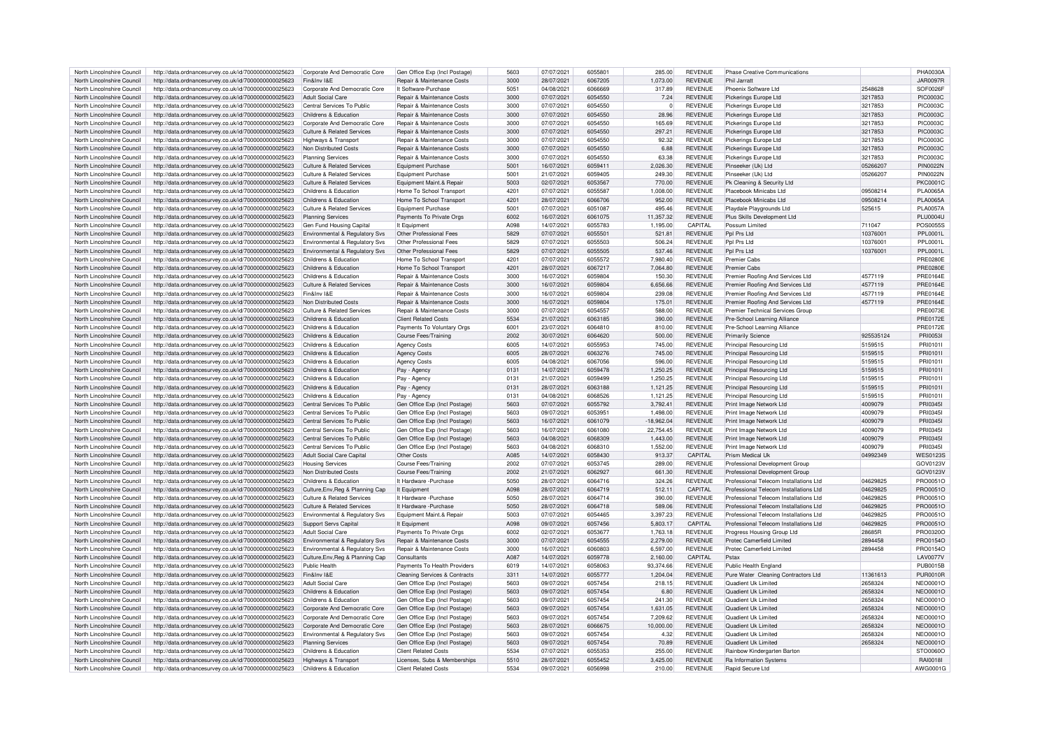| North Lincolnshire Council | http://data.ordnancesurvey.co.uk/id/7000000000025623 | Corporate And Democratic Core         | Gen Office Exp (Incl Postage)            | 5603            | 07/07/2021 | 6055801 | 285.00    | <b>REVENUE</b> | Phase Creative Communications           |           | PHA00304        |
|----------------------------|------------------------------------------------------|---------------------------------------|------------------------------------------|-----------------|------------|---------|-----------|----------------|-----------------------------------------|-----------|-----------------|
| North Lincolnshire Council | http://data.ordnancesurvey.co.uk/id/7000000000025623 | Fin&Inv I&F                           | Repair & Maintenance Costs               | 3000            | 28/07/2021 | 6067205 | 1,073.00  | <b>REVENUE</b> | Phil Jarratt                            |           | <b>JAR0097R</b> |
| North Lincolnshire Council |                                                      | Corporate And Democratic Core         | It Software-Purchase                     | 5051            | 04/08/2021 | 6066669 | 317.89    | <b>REVENUE</b> | Phoenix Software Ltd                    | 2548628   | SOF0026F        |
|                            | http://data.ordnancesurvey.co.uk/id/7000000000025623 |                                       |                                          |                 |            |         |           |                |                                         |           |                 |
| North Lincolnshire Council | http://data.ordnancesurvey.co.uk/id/7000000000025623 | <b>Adult Social Care</b>              | Repair & Maintenance Costs               | 3000            | 07/07/2021 | 6054550 | 7.24      | <b>REVENUE</b> | Pickerings Europe Ltd                   | 3217853   | <b>PIC0003C</b> |
| North Lincolnshire Council | http://data.ordnancesurvey.co.uk/id/7000000000025623 | Central Services To Public            | Repair & Maintenance Costs               | 3000            | 07/07/2021 | 6054550 | $\Omega$  | <b>REVENUE</b> | Pickerings Europe Ltd                   | 3217853   | <b>PIC0003C</b> |
| North Lincolnshire Council | http://data.ordnancesurvey.co.uk/id/7000000000025623 | Childrens & Education                 | Repair & Maintenance Costs               | 3000            | 07/07/2021 | 6054550 | 28.96     | <b>REVENUE</b> | Pickerings Europe Ltd                   | 3217853   | <b>PIC0003C</b> |
| North Lincolnshire Council | http://data.ordnancesurvey.co.uk/id/7000000000025623 | Corporate And Democratic Core         | Repair & Maintenance Costs               | 3000            | 07/07/2021 | 6054550 | 165.69    | <b>REVENUE</b> | Pickerings Europe Ltd                   | 3217853   | <b>PIC0003C</b> |
| North Lincolnshire Council | http://data.ordnancesurvey.co.uk/id/7000000000025623 | <b>Culture &amp; Related Services</b> | Repair & Maintenance Costs               | 3000            | 07/07/2021 | 6054550 | 297.21    | <b>REVENUE</b> | Pickerings Europe Ltd                   | 3217853   | <b>PIC0003C</b> |
| North Lincolnshire Council | http://data.ordnancesurvey.co.uk/id/7000000000025623 | Highways & Transport                  | Repair & Maintenance Costs               | 3000            | 07/07/2021 | 6054550 | 92.32     | <b>REVENUE</b> | Pickerings Europe Ltd                   | 3217853   | PIC0003C        |
| North Lincolnshire Council | http://data.ordnancesurvey.co.uk/id/7000000000025623 | Non Distributed Costs                 | Repair & Maintenance Costs               | 3000            | 07/07/2021 | 6054550 | 6.88      | <b>REVENUE</b> | Pickerings Europe Ltd                   | 3217853   | <b>PIC0003C</b> |
|                            |                                                      |                                       |                                          | 3000            | 07/07/2021 | 6054550 |           | <b>REVENUE</b> |                                         |           | <b>PIC0003C</b> |
| North Lincolnshire Council | http://data.ordnancesurvey.co.uk/id/7000000000025623 | <b>Planning Services</b>              | Repair & Maintenance Costs               |                 |            |         | 63.38     |                | Pickerings Europe Ltd                   | 3217853   |                 |
| North Lincolnshire Council | http://data.ordnancesurvey.co.uk/id/7000000000025623 | Culture & Related Services            | <b>Equipment Purchase</b>                | 5001            | 16/07/2021 | 6059411 | 2,026.30  | <b>REVENUE</b> | Pinseeker (Uk) Ltd                      | 05266207  | <b>PIN0022N</b> |
| North Lincolnshire Council | http://data.ordnancesurvey.co.uk/id/7000000000025623 | <b>Culture &amp; Related Services</b> | <b>Equipment Purchase</b>                | 5001            | 21/07/2021 | 6059405 | 249.30    | <b>REVENUE</b> | Pinseeker (Uk) Ltd                      | 05266207  | PIN0022N        |
| North Lincolnshire Council | http://data.ordnancesurvey.co.uk/id/7000000000025623 | Culture & Related Services            | Equipment Maint.& Repair                 | 5003            | 02/07/2021 | 6053567 | 770.00    | <b>REVENUE</b> | Pk Cleaning & Security Ltd              |           | <b>PKC0001C</b> |
| North Lincolnshire Council | http://data.ordnancesurvey.co.uk/id/7000000000025623 | Childrens & Education                 | Home To School Transport                 | 4201            | 07/07/2021 | 605558  | 1,008.00  | <b>REVENUE</b> | Placebook Minicabs Ltd                  | 09508214  | PI A0065A       |
| North Lincolnshire Council | http://data.ordnancesurvey.co.uk/id/7000000000025623 | Childrens & Education                 | Home To School Transport                 | 4201            | 28/07/2021 | 6066706 | 952.00    | <b>REVENUE</b> | Placebook Minicabs Ltd                  | 09508214  | PI A0065A       |
| North Lincolnshire Council | http://data.ordnancesurvey.co.uk/id/7000000000025623 | Culture & Related Services            | Equipment Purchase                       | 5001            | 07/07/2021 | 6051087 | 495.46    | <b>REVENUE</b> | Playdale Playgrounds Ltd                | 525615    | <b>PLA0057A</b> |
| North Lincolnshire Council | http://data.ordnancesurvey.co.uk/id/7000000000025623 | <b>Planning Services</b>              | Payments To Private Orgs                 | 6002            | 16/07/2021 | 6061075 | 11,357.32 | <b>REVENUE</b> | Plus Skills Development Ltd             |           | PI U00041       |
|                            |                                                      |                                       |                                          |                 |            |         |           |                |                                         |           |                 |
| North Lincolnshire Council | http://data.ordnancesurvey.co.uk/id/7000000000025623 | Gen Fund Housing Capital              | It Equipment                             | A098            | 14/07/2021 | 6055783 | 1,195.00  | CAPITAL        | Possum Limited                          | 711047    | <b>POS0055S</b> |
| North Lincolnshire Council | http://data.ordnancesurvey.co.uk/id/7000000000025623 | Environmental & Regulatory Sys        | Other Professional Fees                  | 5829            | 07/07/2021 | 6055501 | 521.81    | <b>REVENUE</b> | Ppl Prs Ltd                             | 10376001  | <b>PPL0001L</b> |
| North Lincolnshire Council | http://data.ordnancesurvey.co.uk/id/7000000000025623 | Environmental & Regulatory Svs        | Other Professional Fees                  | 5829            | 07/07/2021 | 6055503 | 506.24    | <b>REVENUE</b> | Pnl Prs I td                            | 10376001  | <b>PPL0001L</b> |
| North Lincolnshire Council | http://data.ordnancesurvey.co.uk/id/7000000000025623 | Environmental & Regulatory Svs        | Other Professional Fees                  | 5829            | 07/07/2021 | 6055505 | 537.46    | <b>REVENUE</b> | Pnl Prs I td                            | 10376001  | <b>PPL0001L</b> |
| North Lincolnshire Council | http://data.ordnancesurvey.co.uk/id/7000000000025623 | Childrens & Education                 | Home To School Transport                 | 4201            | 07/07/2021 | 6055572 | 7,980.40  | <b>REVENUE</b> | Premier Cabs                            |           | PRF0280F        |
| North Lincolnshire Council | http://data.ordnancesurvey.co.uk/id/7000000000025623 | Childrens & Education                 | Home To School Transport                 | 4201            | 28/07/2021 | 6067217 | 7.064.80  | REVENUE        | Premier Cabs                            |           | <b>PRE0280E</b> |
| North Lincolnshire Council | http://data.ordnancesurvey.co.uk/id/7000000000025623 | Childrens & Education                 | Repair & Maintenance Costs               | 3000            | 16/07/2021 | 6059804 | 150.30    | <b>REVENUE</b> | Premier Roofing And Services Ltd        | 4577119   | <b>PRE0164E</b> |
| North Lincolnshire Council | http://data.ordnancesurvey.co.uk/id/7000000000025623 | <b>Culture &amp; Related Services</b> | Repair & Maintenance Costs               | 3000            | 16/07/2021 | 6059804 | 6.656.66  | <b>REVENUE</b> | Premier Roofing And Services Ltd        | 4577119   | <b>PRE0164E</b> |
|                            |                                                      |                                       |                                          |                 |            |         |           |                |                                         |           |                 |
| North Lincolnshire Council | http://data.ordnancesurvey.co.uk/id/7000000000025623 | Fin&Inv I&F                           | Repair & Maintenance Costs               | 3000            | 16/07/2021 | 6059804 | 239.08    | <b>REVENUE</b> | Premier Roofing And Services Ltd        | 4577119   | <b>PRE0164E</b> |
| North Lincolnshire Council | http://data.ordnancesurvey.co.uk/id/7000000000025623 | Non Distributed Costs                 | Repair & Maintenance Costs               | 3000            | 16/07/2021 | 6059804 | 175.01    | <b>REVENUE</b> | Premier Roofing And Services Ltd        | 4577119   | <b>PRE0164E</b> |
| North Lincolnshire Council | http://data.ordnancesurvey.co.uk/id/7000000000025623 | <b>Culture &amp; Related Services</b> | Repair & Maintenance Costs               | 3000            | 07/07/2021 | 6054557 | 588.00    | <b>REVENUE</b> | Premier Technical Services Group        |           | <b>PRE0073E</b> |
| North Lincolnshire Council | http://data.ordnancesurvey.co.uk/id/7000000000025623 | Childrens & Education                 | <b>Client Related Costs</b>              | 5534            | 21/07/2021 | 6063185 | 390.00    | <b>REVENUE</b> | Pre-School Learning Alliance            |           | <b>PRE0172E</b> |
| North Lincolnshire Council | http://data.ordnancesurvey.co.uk/id/7000000000025623 | Childrens & Education                 | Payments To Voluntary Orgs               | 6001            | 23/07/2021 | 6064810 | 810.00    | <b>REVENUE</b> | Pre-School Learning Alliance            |           | PRE0172E        |
| North Lincolnshire Council | http://data.ordnancesurvey.co.uk/id/7000000000025623 | Childrens & Education                 | <b>Course Fees/Training</b>              | 2002            | 30/07/2021 | 6064620 | 500.00    | <b>REVENUE</b> | <b>Primarily Science</b>                | 925535124 | PRI00531        |
| North Lincolnshire Council |                                                      | Childrens & Education                 |                                          | 6005            | 14/07/2021 | 6055953 |           | <b>REVENUE</b> |                                         | 5159515   | PRI0101         |
|                            | http://data.ordnancesurvey.co.uk/id/7000000000025623 |                                       | <b>Agency Costs</b>                      |                 |            |         | 745.00    |                | Principal Resourcing Ltd                |           |                 |
| North Lincolnshire Council | http://data.ordnancesurvey.co.uk/id/7000000000025623 | Childrens & Education                 | <b>Agency Costs</b>                      | 6005            | 28/07/2021 | 6063276 | 745.00    | <b>REVENUE</b> | Principal Resourcing Ltd                | 5159515   | PRI01011        |
| North Lincolnshire Council | http://data.ordnancesurvey.co.uk/id/7000000000025623 | Childrens & Education                 | <b>Agency Costs</b>                      | 6005            | 04/08/2021 | 6067056 | 596.00    | <b>REVENUE</b> | <b>Principal Resourcing Ltd</b>         | 5159515   | PRI01011        |
| North Lincolnshire Council | http://data.ordnancesurvey.co.uk/id/7000000000025623 | Childrens & Education                 | Pay - Agency                             | 0131            | 14/07/2021 | 6059478 | 1.250.25  | <b>REVENUE</b> | <b>Principal Resourcing Ltd</b>         | 5159515   | PRI01011        |
| North Lincolnshire Council | http://data.ordnancesurvey.co.uk/id/7000000000025623 | Childrens & Education                 | Pay - Agency                             | 0131            | 21/07/2021 | 6059499 | 1,250.25  | <b>REVENUE</b> | Principal Resourcing Ltd                | 5159515   | PRI01011        |
| North Lincolnshire Council | http://data.ordnancesurvey.co.uk/id/7000000000025623 | Childrens & Education                 | Pay - Agency                             | 0131            | 28/07/2021 | 6063188 | 1,121.25  | <b>REVENUE</b> | Principal Resourcing Ltd                | 5159515   | PRI01011        |
| North Lincolnshire Council | http://data.ordnancesurvey.co.uk/id/7000000000025623 | Childrens & Education                 | Pay - Agency                             | 0131            | 04/08/2021 | 6068526 | 1,121.25  | <b>REVENUE</b> | Principal Resourcing Ltd                | 5159515   | PRI01011        |
| North Lincolnshire Council | http://data.ordnancesurvey.co.uk/id/7000000000025623 | Central Services To Public            | Gen Office Exp (Incl Postage)            | 5603            | 07/07/2021 | 6055792 | 3,792.41  | REVENUE        | Print Image Network Ltd                 | 4009079   | PRI03451        |
| North Lincolnshire Council | http://data.ordnancesurvey.co.uk/id/7000000000025623 | Central Services To Public            | Gen Office Exp (Incl Postage)            | 5603            | 09/07/2021 | 6053951 | 1,498.00  | <b>REVENUE</b> | Print Image Network Ltd                 | 4009079   | PRI03451        |
|                            |                                                      |                                       |                                          |                 |            |         |           |                |                                         |           |                 |
| North Lincolnshire Council | http://data.ordnancesurvey.co.uk/id/7000000000025623 | Central Services To Public            | Gen Office Exp (Incl Postage)            | 5603            | 16/07/2021 | 6061079 | 18,962.04 | <b>REVENUE</b> | Print Image Network Ltd                 | 4009079   | PRI03451        |
| North Lincolnshire Council | http://data.ordnancesurvey.co.uk/id/7000000000025623 | Central Services To Public            | Gen Office Exp (Incl Postage)            | 5603            | 16/07/2021 | 6061080 | 22,754.45 | <b>REVENUE</b> | Print Image Network Ltd                 | 4009079   | PRI0345         |
| North Lincolnshire Council | http://data.ordnancesurvey.co.uk/id/7000000000025623 | Central Services To Public            | Gen Office Exp (Incl Postage)            | 5603            | 04/08/2021 | 6068309 | 1,443.00  | <b>REVENUE</b> | Print Image Network Ltd                 | 4009079   | PRI03451        |
| North Lincolnshire Council | http://data.ordnancesurvey.co.uk/id/7000000000025623 | Central Services To Public            | Gen Office Exp (Incl Postage)            | 5603            | 04/08/2021 | 6068310 | 1.552.00  | <b>REVENUE</b> | Print Image Network Ltd                 | 4009079   | PRI03451        |
| North Lincolnshire Council | http://data.ordnancesurvey.co.uk/id/7000000000025623 | <b>Adult Social Care Capital</b>      | Other Costs                              | A085            | 14/07/2021 | 6058430 | 913.37    | CAPITAL        | Prism Medical Uk                        | 04992349  | <b>WES0123S</b> |
| North Lincolnshire Council | http://data.ordnancesurvey.co.uk/id/7000000000025623 | <b>Housing Services</b>               | Course Fees/Training                     | 2002            | 07/07/2021 | 6053745 | 289.00    | <b>REVENUE</b> | Professional Development Group          |           | GOV0123V        |
| North Lincolnshire Council |                                                      | Non Distributed Costs                 | <b>Course Fees/Training</b>              | 2002            | 21/07/2021 | 6062927 | 661.30    | <b>REVENUE</b> |                                         |           | GOV0123V        |
|                            | http://data.ordnancesurvey.co.uk/id/7000000000025623 |                                       |                                          |                 |            |         |           |                | Professional Development Group          |           |                 |
| North Lincolnshire Council | http://data.ordnancesurvey.co.uk/id/7000000000025623 | Childrens & Education                 | It Hardware - Purchase                   | 5050            | 28/07/2021 | 6064716 | 324.26    | <b>REVENUE</b> | Professional Telecom Installations Ltd  | 04629825  | PRO0051C        |
| North Lincolnshire Council | http://data.ordnancesurvey.co.uk/id/7000000000025623 | Culture, Env, Reg & Planning Cap      | It Equipment                             | A098            | 28/07/2021 | 6064719 | 512.11    | CAPITAL        | Professional Telecom Installations Ltd  | 04629825  | PRO0051C        |
| North Lincolnshire Council | http://data.ordnancesurvey.co.uk/id/7000000000025623 | Culture & Related Services            | It Hardware - Purchase                   | 5050            | 28/07/2021 | 6064714 | 390.00    | REVENUE        | Professional Telecom Installations I to | 04629825  | PRO0051C        |
| North Lincolnshire Council | http://data.ordnancesurvey.co.uk/id/7000000000025623 | Culture & Related Services            | It Hardware - Purchase                   | 5050            | 28/07/2021 | 6064718 | 589.06    | <b>REVENUE</b> | Professional Telecom Installations Ltd  | 04629825  | PRO0051O        |
| North Lincolnshire Council | http://data.ordnancesurvey.co.uk/id/7000000000025623 | Environmental & Regulatory Sys        | Equipment Maint.& Repair                 | 5003            | 07/07/2021 | 6054465 | 3.397.23  | <b>REVENUE</b> | Professional Telecom Installations I to | 04629825  | PRO0051C        |
| North Lincolnshire Council | http://data.ordnancesurvey.co.uk/id/7000000000025623 | <b>Support Servs Capital</b>          | It Equipment                             | A098            | 09/07/2021 | 6057456 | 5.803.17  | CAPITAL        | Professional Telecom Installations Ltd  | 04629825  | PRO0051C        |
| North Lincolnshire Council | http://data.ordnancesurvey.co.uk/id/7000000000025623 | <b>Adult Social Care</b>              | Payments To Private Orgs                 | 6002            | 02/07/2021 | 6053677 | 1,763.18  | <b>REVENUE</b> | Progress Housing Group Ltd              | 28685B    | PRO0320C        |
| North Lincolnshire Council | http://data.ordnancesurvey.co.uk/id/7000000000025623 | Environmental & Regulatory Svs        | Repair & Maintenance Costs               | 3000            | 07/07/2021 | 6054555 | 2,279.00  | <b>REVENUE</b> | Protec Camerfield Limited               | 2894458   | PRO0154C        |
| North Lincolnshire Council | http://data.ordnancesurvey.co.uk/id/7000000000025623 |                                       | Repair & Maintenance Costs               | 3000            | 16/07/2021 | 6060803 | 6.597.00  | <b>REVENUE</b> | Protec Camerfield Limited               | 2894458   | PRO0154C        |
|                            |                                                      | Environmental & Regulatory Svs        |                                          |                 |            |         |           |                |                                         |           |                 |
| North Lincolnshire Council | http://data.ordnancesurvey.co.uk/id/7000000000025623 | Culture, Env, Reg & Planning Cap      | Consultants                              | A <sub>08</sub> | 14/07/2021 | 6059778 | 2,160.00  | CAPITAL        | Petax                                   |           | <b>LAV0077V</b> |
| North Lincolnshire Council | http://data.ordnancesurvey.co.uk/id/7000000000025623 | Public Health                         | Payments To Health Providers             | 6019            | 14/07/2021 | 6058063 | 93.374.66 | REVENUE        | Public Health England                   |           | <b>PUB0015B</b> |
| North Lincolnshire Council | http://data.ordnancesurvey.co.uk/id/7000000000025623 | Fin&Inv I&F                           | <b>Cleaning Services &amp; Contracts</b> | 3311            | 14/07/2021 | 6055777 | 1,204.04  | <b>REVENUE</b> | Pure Water Cleaning Contractors Ltd     | 11361613  | <b>PUR0010R</b> |
| North Lincolnshire Council | http://data.ordnancesurvey.co.uk/id/7000000000025623 | <b>Adult Social Care</b>              | Gen Office Exp (Incl Postage)            | 5603            | 09/07/2021 | 6057454 | 218.15    | REVENUE        | Quadient Uk Limited                     | 2658324   | NFO00010        |
| North Lincolnshire Council | http://data.ordnancesurvey.co.uk/id/7000000000025623 | Childrens & Education                 | Gen Office Exp (Incl Postage)            | 5603            | 09/07/2021 | 6057454 | 6.80      | <b>REVENUE</b> | Quadient Uk Limited                     | 2658324   | <b>NEO0001C</b> |
| North Lincolnshire Council | http://data.ordnancesurvey.co.uk/id/7000000000025623 | Childrens & Education                 | Gen Office Exp (Incl Postage)            | 5603            | 09/07/2021 | 6057454 | 241.30    | <b>REVENUE</b> | Quadient Uk Limited                     | 2658324   | <b>NEO0001C</b> |
| North Lincolnshire Council | http://data.ordnancesurvey.co.uk/id/7000000000025623 | Corporate And Democratic Core         | Gen Office Exp (Incl Postage)            | 5603            | 09/07/2021 | 6057454 | 1,631.05  | <b>REVENUE</b> | Quadient Llk Limited                    | 2658324   | <b>NEO0001C</b> |
|                            |                                                      |                                       |                                          |                 |            |         |           |                |                                         |           |                 |
| North Lincolnshire Council | http://data.ordnancesurvey.co.uk/id/7000000000025623 | Corporate And Democratic Core         | Gen Office Exp (Incl Postage)            | 5603            | 09/07/2021 | 6057454 | 7,209.62  | <b>REVENUE</b> | Quadient Uk Limited                     | 2658324   | <b>NEO0001C</b> |
| North Lincolnshire Council | http://data.ordnancesurvey.co.uk/id/7000000000025623 | Corporate And Democratic Core         | Gen Office Exp (Incl Postage)            | 5603            | 28/07/2021 | 6066675 | 10.000.00 | <b>REVENUE</b> | Quadient Uk Limited                     | 2658324   | <b>NEO0001C</b> |
| North Lincolnshire Council | http://data.ordnancesurvey.co.uk/id/7000000000025623 | Environmental & Regulatory Svs        | Gen Office Exp (Incl Postage)            | 5603            | 09/07/2021 | 6057454 | 4.32      | <b>REVENUE</b> | Quadient Uk Limited                     | 2658324   | <b>NEO0001C</b> |
| North Lincolnshire Council | http://data.ordnancesurvey.co.uk/id/7000000000025623 | <b>Planning Services</b>              | Gen Office Exp (Incl Postage)            | 5603            | 09/07/2021 | 6057454 | 70.89     | <b>REVENUE</b> | Quadient Uk Limited                     | 2658324   | <b>NEO0001C</b> |
| North Lincolnshire Council | http://data.ordnancesurvey.co.uk/id/7000000000025623 | Childrens & Education                 | <b>Client Related Costs</b>              | 5534            | 07/07/2021 | 6055353 | 255.00    | <b>REVENUE</b> | Rainbow Kindergarten Barton             |           | STO0060O        |
| North Lincolnshire Council | http://data.ordnancesurvey.co.uk/id/7000000000025623 | Highways & Transport                  | Licenses, Subs & Memberships             | 5510            | 28/07/2021 | 6055452 | 3,425.00  | <b>REVENUE</b> | Ra Information Systems                  |           | RAI0018I        |
| North Lincolnshire Council | http://data.ordnancesurvey.co.uk/id/7000000000025623 | Childrens & Education                 | <b>Client Related Costs</b>              | 5534            | 09/07/2021 | 6056998 | 210.00    | <b>REVENUE</b> | Rapid Secure Ltd                        |           | AWG0001G        |
|                            |                                                      |                                       |                                          |                 |            |         |           |                |                                         |           |                 |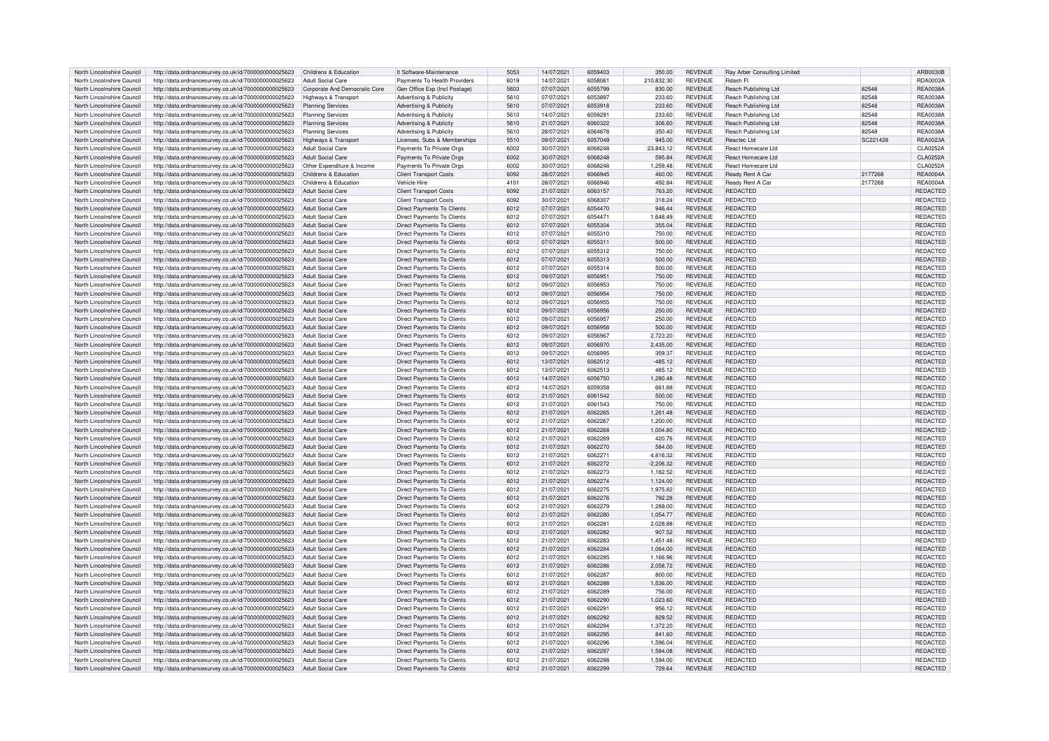| North Lincolnshire Council | http://data.ordnancesurvey.co.uk/id/7000000000025623                   | Childrens & Education         | It Software-Maintenance           | 5053 | 14/07/2021 | 6059403 | 350.00      | <b>REVENUE</b> | Ray Arber Consulting Limited |          | ARB0030B        |
|----------------------------|------------------------------------------------------------------------|-------------------------------|-----------------------------------|------|------------|---------|-------------|----------------|------------------------------|----------|-----------------|
| North Lincolnshire Council | http://data.ordnancesurvey.co.uk/id/7000000000025623                   | Adult Social Care             | Payments To Health Providers      | 6019 | 14/07/2021 | 6058061 | 210,832.30  | <b>REVENUE</b> | Rdash Ft                     |          | RDA0003A        |
| North Lincolnshire Council | http://data.ordnancesurvey.co.uk/id/7000000000025623                   | Corporate And Democratic Core | Gen Office Exp (Incl Postage)     | 5603 | 07/07/2021 | 6055799 | 830.00      | <b>REVENUE</b> | Reach Publishing Ltd         | 82548    | <b>REA0038A</b> |
| North Lincolnshire Council | http://data.ordnancesurvey.co.uk/id/7000000000025623                   | Highways & Transport          | Advertising & Publicity           | 5610 | 07/07/2021 | 6053897 | 233.60      | <b>REVENUE</b> | Reach Publishing Ltd         | 82548    | <b>REA0038A</b> |
| North Lincolnshire Council | http://data.ordnancesurvey.co.uk/id/7000000000025623                   | <b>Planning Services</b>      | Advertising & Publicity           | 5610 | 07/07/2021 | 6053918 | 233.60      | REVENUE        | Reach Publishing Ltd         | 82548    | <b>REA0038A</b> |
| North Lincolnshire Council | http://data.ordnancesurvey.co.uk/id/7000000000025623                   | <b>Planning Services</b>      | Advertising & Publicity           | 5610 | 14/07/2021 | 6059291 | 233.60      | REVENUE        | Reach Publishing Ltd         | 82548    | <b>REA0038A</b> |
| North Lincolnshire Council |                                                                        | <b>Planning Services</b>      | Advertising & Publicity           | 5610 | 21/07/2021 | 6060322 | 306.60      | <b>REVENUE</b> |                              | 82548    | <b>REA0038A</b> |
|                            | http://data.ordnancesurvey.co.uk/id/7000000000025623                   |                               |                                   |      |            |         |             |                | Reach Publishing Ltd         |          |                 |
| North Lincolnshire Council | http://data.ordnancesurvey.co.uk/id/7000000000025623                   | <b>Planning Services</b>      | Advertising & Publicity           | 5610 | 28/07/2021 | 6064878 | 350.40      | REVENUE        | Reach Publishing Ltd         | 82548    | <b>REA0038A</b> |
| North Lincolnshire Council | http://data.ordnancesurvey.co.uk/id/7000000000025623                   | Highways & Transport          | Licenses. Subs & Memberships      | 5510 | 09/07/2021 | 6057049 | 945.00      | <b>REVENUE</b> | Reactec Ltd                  | SC221428 | <b>REA0023A</b> |
| North Lincolnshire Council | http://data.ordnancesurvey.co.uk/id/7000000000025623                   | <b>Adult Social Care</b>      | Payments To Private Orgs          | 6002 | 30/07/2021 | 6068248 | 23,843.12   | REVENUE        | React Homecare Ltd           |          | <b>CLA0252A</b> |
| North Lincolnshire Council | http://data.ordnancesurvey.co.uk/id/7000000000025623                   | <b>Adult Social Care</b>      | Payments To Private Orgs          | 6002 | 30/07/2021 | 6068248 | 595.84      | <b>REVENUE</b> | React Homecare Ltd           |          | <b>CLA0252A</b> |
| North Lincolnshire Council | http://data.ordnancesurvey.co.uk/id/7000000000025623                   | Other Expenditure & Income    | Payments To Private Orgs          | 6002 | 30/07/2021 | 6068248 | 1,259.48    | <b>REVENUE</b> | React Homecare Ltd           |          | <b>CLA0252A</b> |
| North Lincolnshire Council | http://data.ordnancesurvey.co.uk/id/7000000000025623                   | Childrens & Education         | <b>Client Transport Costs</b>     | 6092 | 28/07/2021 | 6066945 | 460.00      | <b>REVENUE</b> | Ready Rent A Car             | 2177268  | <b>REA0004A</b> |
| North Lincolnshire Council | http://data.ordnancesurvey.co.uk/id/7000000000025623                   | Childrens & Education         | Vehicle Hire                      | 4101 | 28/07/2021 | 6066946 | 492.84      | <b>REVENUE</b> | Ready Rent A Car             | 2177268  | <b>REA0004A</b> |
| North Lincolnshire Council | http://data.ordnancesurvey.co.uk/id/7000000000025623                   | <b>Adult Social Care</b>      | <b>Client Transport Costs</b>     | 6092 | 21/07/2021 | 6063157 | 763.20      | <b>REVENUE</b> | <b>REDACTED</b>              |          | REDACTED        |
| North Lincolnshire Council | http://data.ordnancesurvey.co.uk/id/7000000000025623                   | <b>Adult Social Care</b>      | <b>Client Transport Costs</b>     | 6092 | 30/07/2021 | 6068307 | 318.24      | <b>REVENUE</b> | REDACTED                     |          | REDACTED        |
| North Lincolnshire Council |                                                                        | <b>Adult Social Care</b>      | Direct Payments To Clients        | 6012 | 07/07/2021 | 6054470 | 946.44      | <b>REVENUE</b> | REDACTED                     |          | REDACTED        |
|                            | http://data.ordnancesurvey.co.uk/id/7000000000025623                   |                               |                                   |      |            | 605447  |             |                | <b>REDACTED</b>              |          |                 |
| North Lincolnshire Council | http://data.ordnancesurvey.co.uk/id/7000000000025623                   | <b>Adult Social Care</b>      | Direct Payments To Clients        | 6012 | 07/07/2021 |         | 1,648.49    | <b>REVENUE</b> |                              |          | REDACTED        |
| North Lincolnshire Council | http://data.ordnancesurvey.co.uk/id/7000000000025623                   | <b>Adult Social Care</b>      | <b>Direct Payments To Clients</b> | 6012 | 07/07/2021 | 6055304 | 355.04      | <b>REVENUE</b> | <b>REDACTED</b>              |          | REDACTED        |
| North Lincolnshire Council | http://data.ordnancesurvey.co.uk/id/7000000000025623                   | <b>Adult Social Care</b>      | Direct Payments To Clients        | 6012 | 07/07/2021 | 6055310 | 750.00      | <b>REVENUE</b> | REDACTED                     |          | REDACTED        |
| North Lincolnshire Council | http://data.ordnancesurvey.co.uk/id/7000000000025623                   | <b>Adult Social Care</b>      | Direct Payments To Clients        | 6012 | 07/07/2021 | 6055311 | 500.00      | <b>REVENUE</b> | REDACTED                     |          | REDACTED        |
| North Lincolnshire Council | http://data.ordnancesurvey.co.uk/id/7000000000025623                   | <b>Adult Social Care</b>      | Direct Payments To Clients        | 6012 | 07/07/2021 | 6055312 | 750.00      | <b>REVENUE</b> | REDACTED                     |          | REDACTED        |
| North Lincolnshire Council | http://data.ordnancesurvey.co.uk/id/7000000000025623                   | Adult Social Care             | <b>Direct Payments To Clients</b> | 6012 | 07/07/2021 | 6055313 | 500.00      | <b>REVENUE</b> | REDACTED                     |          | REDACTED        |
| North Lincolnshire Council | http://data.ordnancesurvey.co.uk/id/7000000000025623                   | Adult Social Care             | Direct Payments To Clients        | 6012 | 07/07/2021 | 6055314 | 500.00      | <b>REVENUE</b> | <b>REDACTED</b>              |          | REDACTED        |
| North Lincolnshire Council | http://data.ordnancesurvey.co.uk/id/7000000000025623                   | <b>Adult Social Care</b>      | Direct Payments To Clients        | 6012 | 09/07/2021 | 605695  | 750.00      | <b>REVENUE</b> | <b>REDACTED</b>              |          | REDACTED        |
| North Lincolnshire Council | http://data.ordnancesurvey.co.uk/id/7000000000025623                   | Adult Social Care             | Direct Payments To Clients        | 6012 | 09/07/2021 | 6056953 | 750.00      | REVENUE        | <b>REDACTED</b>              |          | REDACTED        |
| North Lincolnshire Council | http://data.ordnancesurvey.co.uk/id/7000000000025623                   | <b>Adult Social Care</b>      | Direct Payments To Clients        | 6012 | 09/07/2021 | 6056954 | 750.00      | <b>REVENUE</b> | REDACTED                     |          | REDACTED        |
|                            |                                                                        |                               |                                   |      |            |         |             |                |                              |          |                 |
| North Lincolnshire Council | http://data.ordnancesurvey.co.uk/id/7000000000025623                   | <b>Adult Social Care</b>      | Direct Payments To Clients        | 6012 | 09/07/2021 | 6056955 | 750.00      | <b>REVENUE</b> | REDACTED                     |          | REDACTED        |
| North Lincolnshire Council | http://data.ordnancesurvey.co.uk/id/7000000000025623                   | Adult Social Care             | Direct Payments To Clients        | 6012 | 09/07/2021 | 6056956 | 250.00      | <b>REVENUE</b> | REDACTED                     |          | <b>REDACTED</b> |
| North Lincolnshire Council | http://data.ordnancesurvey.co.uk/id/7000000000025623                   | Adult Social Care             | Direct Payments To Clients        | 6012 | 09/07/2021 | 6056957 | 250.00      | <b>REVENUE</b> | REDACTED                     |          | REDACTED        |
| North Lincolnshire Council | http://data.ordnancesurvey.co.uk/id/7000000000025623                   | Adult Social Care             | Direct Payments To Clients        | 6012 | 09/07/2021 | 6056958 | 500.00      | <b>REVENUE</b> | <b>REDACTED</b>              |          | REDACTED        |
| North Lincolnshire Council | http://data.ordnancesurvey.co.uk/id/7000000000025623                   | Adult Social Care             | Direct Payments To Clients        | 6012 | 09/07/2021 | 6056967 | 2,723.20    | <b>REVENUE</b> | <b>REDACTED</b>              |          | REDACTED        |
| North Lincolnshire Council | http://data.ordnancesurvey.co.uk/id/7000000000025623                   | Adult Social Care             | Direct Payments To Clients        | 6012 | 09/07/2021 | 6056970 | 2,435.00    | <b>REVENUE</b> | REDACTED                     |          | REDACTED        |
| North Lincolnshire Council | http://data.ordnancesurvey.co.uk/id/7000000000025623                   | <b>Adult Social Care</b>      | Direct Payments To Clients        | 6012 | 09/07/2021 | 6056995 | 359.37      | <b>REVENUE</b> | REDACTED                     |          | REDACTED        |
| North Lincolnshire Council | http://data.ordnancesurvey.co.uk/id/7000000000025623                   | <b>Adult Social Care</b>      | Direct Payments To Clients        | 6012 | 13/07/2021 | 6062512 | $-485.12$   | <b>REVENUE</b> | <b>REDACTED</b>              |          | REDACTED        |
| North Lincolnshire Council | http://data.ordnancesurvey.co.uk/id/7000000000025623                   | <b>Adult Social Care</b>      | Direct Payments To Clients        | 6012 | 13/07/2021 | 6062513 | 485.12      | <b>REVENUE</b> | REDACTED                     |          | REDACTED        |
| North Lincolnshire Council | http://data.ordnancesurvey.co.uk/id/7000000000025623                   | <b>Adult Social Care</b>      | Direct Payments To Clients        | 6012 | 14/07/2021 | 6056750 | 1.280.48    | <b>REVENUE</b> | <b>REDACTED</b>              |          | <b>REDACTED</b> |
| North Lincolnshire Council | http://data.ordnancesurvey.co.uk/id/7000000000025623                   | <b>Adult Social Care</b>      | Direct Payments To Clients        | 6012 | 14/07/2021 | 6059358 | 661.88      | <b>REVENUE</b> | REDACTED                     |          | REDACTED        |
| North Lincolnshire Council |                                                                        | Adult Social Care             | Direct Payments To Clients        | 6012 | 21/07/2021 | 6061542 | 500.00      | <b>REVENUE</b> | <b>REDACTED</b>              |          | <b>REDACTED</b> |
|                            | http://data.ordnancesurvey.co.uk/id/7000000000025623                   |                               |                                   |      |            |         |             |                |                              |          |                 |
| North Lincolnshire Council | http://data.ordnancesurvey.co.uk/id/7000000000025623                   | <b>Adult Social Care</b>      | Direct Payments To Clients        | 6012 | 21/07/2021 | 6061543 | 750.00      | <b>REVENUE</b> | REDACTED                     |          | REDACTED        |
| North Lincolnshire Council | http://data.ordnancesurvey.co.uk/id/7000000000025623                   | <b>Adult Social Care</b>      | Direct Payments To Clients        | 6012 | 21/07/2021 | 6062265 | 1,261.48    | <b>REVENUE</b> | REDACTED                     |          | REDACTED        |
| North Lincolnshire Council | http://data.ordnancesurvey.co.uk/id/7000000000025623                   | Adult Social Care             | Direct Payments To Clients        | 6012 | 21/07/2021 | 606226  | 1,200.00    | <b>REVENUE</b> | <b>REDACTED</b>              |          | <b>REDACTED</b> |
| North Lincolnshire Council | http://data.ordnancesurvey.co.uk/id/7000000000025623                   | <b>Adult Social Care</b>      | Direct Payments To Clients        | 6012 | 21/07/2021 | 6062268 | 1,004.80    | <b>REVENUE</b> | REDACTED                     |          | REDACTED        |
| North Lincolnshire Council | http://data.ordnancesurvey.co.uk/id/7000000000025623                   | Adult Social Care             | Direct Payments To Clients        | 6012 | 21/07/2021 | 6062269 | 420.76      | <b>REVENUE</b> | REDACTED                     |          | REDACTED        |
| North Lincolnshire Council | http://data.ordnancesurvey.co.uk/id/7000000000025623                   | <b>Adult Social Care</b>      | Direct Payments To Clients        | 6012 | 21/07/2021 | 6062270 | 584.00      | <b>REVENUE</b> | <b>REDACTED</b>              |          | REDACTED        |
| North Lincolnshire Council | http://data.ordnancesurvey.co.uk/id/7000000000025623                   | <b>Adult Social Care</b>      | Direct Payments To Clients        | 6012 | 21/07/2021 | 6062271 | 4,816.32    | <b>REVENUE</b> | REDACTED                     |          | REDACTED        |
| North Lincolnshire Council | http://data.ordnancesurvey.co.uk/id/7000000000025623                   | Adult Social Care             | Direct Payments To Clients        | 6012 | 21/07/2021 | 6062272 | $-2,206.32$ | <b>REVENUE</b> | REDACTED                     |          | REDACTED        |
| North Lincolnshire Council | http://data.ordnancesurvey.co.uk/id/7000000000025623                   | Adult Social Care             | Direct Payments To Clients        | 6012 | 21/07/2021 | 6062273 | 1.182.52    | <b>REVENUE</b> | REDACTED                     |          | REDACTED        |
| North Lincolnshire Council |                                                                        | <b>Adult Social Care</b>      |                                   | 6012 | 21/07/2021 | 6062274 | 1.124.00    | <b>REVENUE</b> | <b>REDACTED</b>              |          | REDACTED        |
|                            | http://data.ordnancesurvey.co.uk/id/7000000000025623                   |                               | Direct Payments To Clients        |      |            |         |             |                |                              |          |                 |
| North Lincolnshire Council | http://data.ordnancesurvey.co.uk/id/7000000000025623                   | Adult Social Care             | Direct Payments To Clients        | 6012 | 21/07/2021 | 6062275 | 1,975.82    | <b>REVENUE</b> | REDACTED                     |          | REDACTED        |
| North Lincolnshire Council | http://data.ordnancesurvey.co.uk/id/7000000000025623                   | Adult Social Care             | Direct Payments To Clients        | 6012 | 21/07/2021 | 6062276 | 792.28      | <b>REVENUE</b> | REDACTED                     |          | REDACTED        |
| North Lincolnshire Council | http://data.ordnancesurvey.co.uk/id/7000000000025623                   | <b>Adult Social Care</b>      | Direct Payments To Clients        | 6012 | 21/07/2021 | 6062279 | 1,288.00    | <b>REVENUE</b> | REDACTED                     |          | REDACTED        |
| North Lincolnshire Council | http://data.ordnancesurvey.co.uk/id/7000000000025623                   | Adult Social Care             | Direct Payments To Clients        | 6012 | 21/07/2021 | 6062280 | 1,054.77    | <b>REVENUE</b> | <b>REDACTED</b>              |          | <b>REDACTED</b> |
| North Lincolnshire Council | http://data.ordnancesurvey.co.uk/id/7000000000025623                   | Adult Social Care             | Direct Payments To Clients        | 6012 | 21/07/2021 | 6062281 | 2,028.88    | <b>REVENUE</b> | REDACTED                     |          | REDACTED        |
| North Lincolnshire Council | http://data.ordnancesurvey.co.uk/id/7000000000025623                   | <b>Adult Social Care</b>      | Direct Payments To Clients        | 6012 | 21/07/2021 | 6062282 | 907.52      | <b>REVENUE</b> | <b>REDACTED</b>              |          | REDACTED        |
| North Lincolnshire Council | http://data.ordnancesurvey.co.uk/id/7000000000025623                   | <b>Adult Social Care</b>      | Direct Payments To Clients        | 6012 | 21/07/2021 | 6062283 | 1,451.48    | <b>REVENUE</b> | <b>REDACTED</b>              |          | REDACTED        |
| North Lincolnshire Council | http://data.ordnancesurvey.co.uk/id/7000000000025623                   | <b>Adult Social Care</b>      | Direct Payments To Clients        | 6012 | 21/07/2021 | 6062284 | 1,064.00    | <b>REVENUE</b> | <b>REDACTED</b>              |          | REDACTED        |
| North Lincolnshire Council | http://data.ordnancesurvey.co.uk/id/7000000000025623                   | Adult Social Care             | Direct Payments To Clients        | 6012 | 21/07/2021 | 6062285 | 1.166.96    | <b>REVENUE</b> | REDACTED                     |          | REDACTED        |
| North Lincolnshire Council | http://data.ordnancesurvey.co.uk/id/7000000000025623                   | <b>Adult Social Care</b>      | Direct Payments To Clients        | 6012 | 21/07/2021 | 6062286 | 2,058.72    | <b>REVENUE</b> | <b>REDACTED</b>              |          | REDACTED        |
|                            |                                                                        |                               |                                   |      |            | 6062287 |             |                | <b>REDACTED</b>              |          |                 |
| North Lincolnshire Council | http://data.ordnancesurvey.co.uk/id/7000000000025623                   | <b>Adult Social Care</b>      | Direct Payments To Clients        | 6012 | 21/07/2021 |         | 800.00      | <b>REVENUE</b> |                              |          | REDACTED        |
| North Lincolnshire Council | http://data.ordnancesurvey.co.uk/id/7000000000025623                   | <b>Adult Social Care</b>      | Direct Payments To Clients        | 6012 | 21/07/2021 | 6062288 | 1,536.00    | <b>REVENUE</b> | REDACTED                     |          | REDACTED        |
| North Lincolnshire Council | http://data.ordnancesurvey.co.uk/id/7000000000025623                   | <b>Adult Social Care</b>      | Direct Payments To Clients        | 6012 | 21/07/2021 | 6062289 | 756.00      | <b>REVENUE</b> | REDACTED                     |          | REDACTED        |
| North Lincolnshire Council | http://data.ordnancesurvey.co.uk/id/7000000000025623                   | <b>Adult Social Care</b>      | Direct Payments To Clients        | 6012 | 21/07/2021 | 6062290 | 1.023.60    | <b>REVENUE</b> | REDACTED                     |          | <b>REDACTED</b> |
| North Lincolnshire Council | http://data.ordnancesurvey.co.uk/id/7000000000025623                   | <b>Adult Social Care</b>      | Direct Payments To Clients        | 6012 | 21/07/2021 | 6062291 | 956.12      | <b>REVENUE</b> | REDACTED                     |          | REDACTED        |
| North Lincolnshire Council | http://data.ordnancesurvey.co.uk/id/7000000000025623                   | <b>Adult Social Care</b>      | Direct Payments To Clients        | 6012 | 21/07/2021 | 6062292 | 829.52      | <b>REVENUE</b> | <b>REDACTED</b>              |          | REDACTED        |
| North Lincolnshire Council | http://data.ordnancesurvey.co.uk/id/7000000000025623                   | <b>Adult Social Care</b>      | Direct Payments To Clients        | 6012 | 21/07/2021 | 6062294 | 1,372.20    | <b>REVENUE</b> | REDACTED                     |          | REDACTED        |
| North Lincolnshire Council | http://data.ordnancesurvey.co.uk/id/7000000000025623                   | <b>Adult Social Care</b>      | Direct Payments To Clients        | 6012 | 21/07/2021 | 6062295 | 841.60      | <b>REVENUE</b> | <b>REDACTED</b>              |          | REDACTED        |
| North Lincolnshire Council | http://data.ordnancesurvey.co.uk/id/7000000000025623                   | <b>Adult Social Care</b>      | Direct Payments To Clients        | 6012 | 21/07/2021 | 6062296 | 1,596.04    | <b>REVENUE</b> | REDACTED                     |          | REDACTED        |
|                            |                                                                        |                               | Direct Payments To Clients        | 6012 | 21/07/2021 | 6062297 |             | <b>REVENUE</b> | <b>REDACTED</b>              |          | <b>REDACTED</b> |
| North Lincolnshire Council | http://data.ordnancesurvey.co.uk/id/7000000000025623                   | <b>Adult Social Care</b>      |                                   |      |            |         | 1,584.08    |                |                              |          |                 |
| North Lincolnshire Council | http://data.ordnancesurvey.co.uk/id/7000000000025623                   | Adult Social Care             | Direct Payments To Clients        | 6012 | 21/07/2021 | 6062298 | 1.594.00    | REVENUE        | <b>REDACTED</b>              |          | REDACTED        |
| North Lincolnshire Council | http://data.ordnancesurvey.co.uk/id/7000000000025623 Adult Social Care |                               | Direct Payments To Clients        | 6012 | 21/07/2021 | 6062299 | 729.64      | <b>REVENUE</b> | <b>REDACTED</b>              |          | REDACTED        |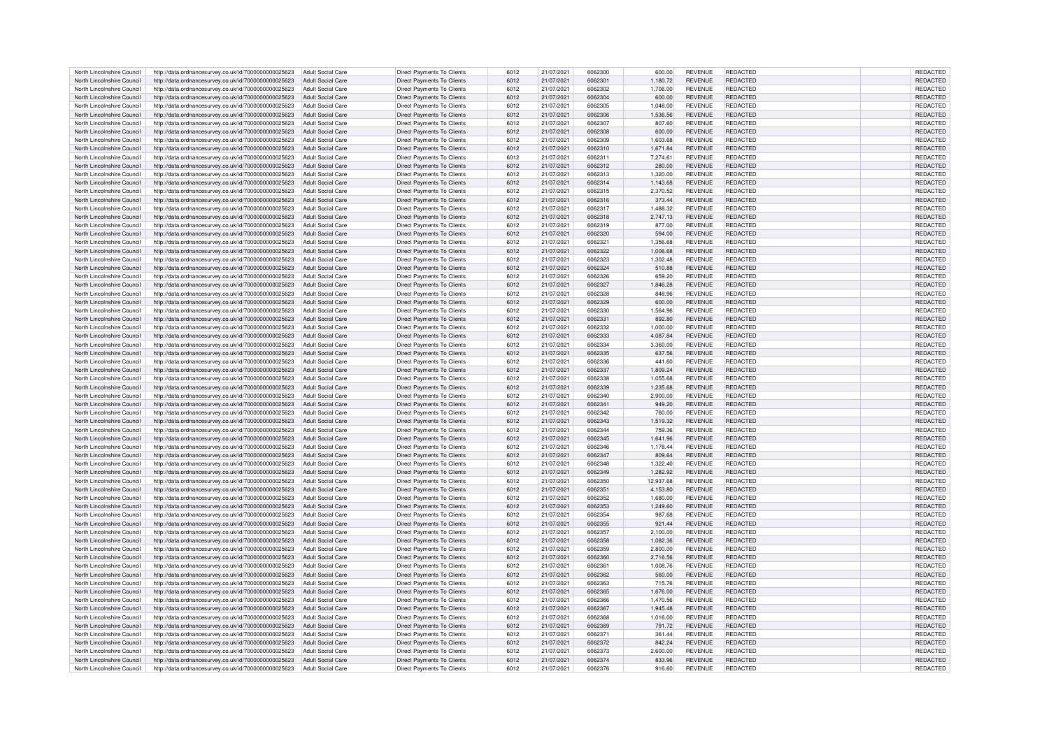| North Lincolnshire Council                               | http://data.ordnancesurvey.co.uk/id/7000000000025623                                                         | Adult Social Care                                    | Direct Payments To Clients        | 6012         | 21/07/2021               | 6062300 | 600.00             | <b>REVENUE</b>                   | REDACTED        | REDACTED                    |
|----------------------------------------------------------|--------------------------------------------------------------------------------------------------------------|------------------------------------------------------|-----------------------------------|--------------|--------------------------|---------|--------------------|----------------------------------|-----------------|-----------------------------|
| North Lincolnshire Council                               | http://data.ordnancesurvey.co.uk/id/7000000000025623                                                         | Adult Social Care                                    | <b>Direct Payments To Clients</b> | 6012         | 21/07/2021               | 6062301 | 1,180.72           | <b>REVENUE</b>                   | REDACTED        | REDACTED                    |
| North Lincolnshire Council                               | http://data.ordnancesurvey.co.uk/id/7000000000025623                                                         | Adult Social Care                                    | Direct Payments To Clients        | 6012         | 21/07/2021               | 6062302 | 1,706.00           | <b>REVENUE</b>                   | REDACTED        | REDACTED                    |
| North Lincolnshire Council                               | http://data.ordnancesurvey.co.uk/id/7000000000025623                                                         | Adult Social Care                                    | Direct Payments To Clients        | 6012         | 21/07/2021               | 6062304 | 600.00             | <b>REVENUE</b>                   | <b>REDACTED</b> | <b>REDACTED</b>             |
| North Lincolnshire Council                               | http://data.ordnancesurvey.co.uk/id/7000000000025623                                                         | Adult Social Care                                    | Direct Payments To Clients        | 6012         | 21/07/2021               | 6062305 | 1,048.00           | <b>REVENUE</b>                   | REDACTED        | <b>REDACTED</b>             |
| North Lincolnshire Council                               | http://data.ordnancesurvey.co.uk/id/7000000000025623                                                         | <b>Adult Social Care</b>                             | Direct Payments To Clients        | 6012         | 21/07/2021               | 6062306 | 1,536.56           | REVENUE                          | <b>REDACTED</b> | <b>REDACTED</b>             |
| North Lincolnshire Council                               | http://data.ordnancesurvey.co.uk/id/7000000000025623                                                         | <b>Adult Social Care</b>                             | <b>Direct Payments To Clients</b> | 6012         | 21/07/2021               | 6062307 | 807.60             | <b>REVENUE</b>                   | REDACTED        | REDACTED                    |
|                                                          |                                                                                                              | <b>Adult Social Care</b>                             | <b>Direct Payments To Clients</b> |              |                          | 6062308 |                    |                                  | <b>REDACTED</b> |                             |
| North Lincolnshire Council<br>North Lincolnshire Council | http://data.ordnancesurvey.co.uk/id/7000000000025623<br>http://data.ordnancesurvey.co.uk/id/7000000000025623 | Adult Social Care                                    | Direct Payments To Clients        | 6012<br>6012 | 21/07/2021<br>21/07/2021 | 6062309 | 600.00<br>1.603.68 | <b>REVENUE</b><br><b>REVENUE</b> | REDACTED        | REDACTED<br><b>REDACTED</b> |
|                                                          |                                                                                                              |                                                      |                                   |              |                          |         |                    |                                  |                 |                             |
| North Lincolnshire Council                               | http://data.ordnancesurvey.co.uk/id/7000000000025623                                                         | <b>Adult Social Care</b>                             | Direct Payments To Clients        | 6012         | 21/07/2021               | 6062310 | 1,671.84           | <b>REVENUE</b>                   | REDACTED        | <b>REDACTED</b>             |
| North Lincolnshire Council                               | http://data.ordnancesurvey.co.uk/id/7000000000025623                                                         | Adult Social Care                                    | Direct Payments To Clients        | 6012         | 21/07/2021               | 6062311 | 7,274.61           | <b>REVENUE</b>                   | REDACTED        | <b>REDACTED</b>             |
| North Lincolnshire Council                               | http://data.ordnancesurvey.co.uk/id/7000000000025623                                                         | Adult Social Care                                    | <b>Direct Payments To Clients</b> | 6012         | 21/07/2021               | 6062312 | 280.00             | <b>REVENUE</b>                   | REDACTED        | REDACTED                    |
| North Lincolnshire Council                               | http://data.ordnancesurvey.co.uk/id/7000000000025623                                                         | Adult Social Care                                    | Direct Payments To Clients        | 6012         | 21/07/2021               | 6062313 | 1,320.00           | <b>REVENUE</b>                   | REDACTED        | REDACTED                    |
| North Lincolnshire Council                               | http://data.ordnancesurvey.co.uk/id/7000000000025623                                                         | Adult Social Care                                    | <b>Direct Payments To Clients</b> | 6012         | 21/07/2021               | 6062314 | 1.143.68           | <b>REVENUE</b>                   | REDACTED        | REDACTED                    |
| North Lincolnshire Council                               | http://data.ordnancesurvey.co.uk/id/7000000000025623                                                         | Adult Social Care                                    | Direct Payments To Clients        | 6012         | 21/07/2021               | 6062315 | 2,370.52           | REVENUE                          | REDACTED        | REDACTED                    |
| North Lincolnshire Council                               | http://data.ordnancesurvey.co.uk/id/7000000000025623                                                         | <b>Adult Social Care</b>                             | Direct Payments To Clients        | 6012         | 21/07/2021               | 6062316 | 373.44             | <b>REVENUE</b>                   | REDACTED        | REDACTED                    |
| North Lincolnshire Council                               | http://data.ordnancesurvey.co.uk/id/7000000000025623                                                         | Adult Social Care                                    | Direct Payments To Clients        | 6012         | 21/07/2021               | 6062317 | 1,488.32           | <b>REVENUE</b>                   | REDACTED        | REDACTED                    |
| North Lincolnshire Council                               | http://data.ordnancesurvey.co.uk/id/7000000000025623                                                         | <b>Adult Social Care</b>                             | <b>Direct Payments To Clients</b> | 6012         | 21/07/2021               | 6062318 | 2,747.13           | <b>REVENUE</b>                   | <b>REDACTED</b> | REDACTED                    |
| North Lincolnshire Council                               | http://data.ordnancesurvey.co.uk/id/7000000000025623                                                         | <b>Adult Social Care</b>                             | Direct Payments To Clients        | 6012         | 21/07/2021               | 6062319 | 877.00             | <b>REVENUE</b>                   | REDACTED        | REDACTED                    |
| North Lincolnshire Council                               | http://data.ordnancesurvey.co.uk/id/7000000000025623                                                         | <b>Adult Social Care</b>                             | Direct Payments To Clients        | 6012         | 21/07/2021               | 6062320 | 594.00             | <b>REVENUE</b>                   | <b>REDACTED</b> | <b>REDACTED</b>             |
| North Lincolnshire Council                               | http://data.ordnancesurvey.co.uk/id/7000000000025623                                                         | Adult Social Care                                    | Direct Payments To Clients        | 6012         | 21/07/2021               | 6062321 | 1,356.68           | <b>REVENUE</b>                   | REDACTED        | REDACTED                    |
| North Lincolnshire Council                               | http://data.ordnancesurvey.co.uk/id/7000000000025623                                                         | Adult Social Care                                    | <b>Direct Payments To Clients</b> | 6012         | 21/07/2021               | 6062322 | 1,006.68           | <b>REVENUE</b>                   | REDACTED        | REDACTED                    |
| North Lincolnshire Council                               | http://data.ordnancesurvey.co.uk/id/7000000000025623                                                         | Adult Social Care                                    | Direct Payments To Clients        | 6012         | 21/07/2021               | 6062323 | 1,302.48           | <b>REVENUE</b>                   | <b>REDACTED</b> | REDACTED                    |
| North Lincolnshire Council                               | http://data.ordnancesurvey.co.uk/id/7000000000025623                                                         | Adult Social Care                                    | Direct Payments To Clients        | 6012         | 21/07/2021               | 6062324 |                    | <b>REVENUE</b>                   | <b>REDACTED</b> | <b>REDACTED</b>             |
| North Lincolnshire Council                               |                                                                                                              |                                                      |                                   |              |                          | 6062326 | 510.88             |                                  |                 |                             |
|                                                          | http://data.ordnancesurvey.co.uk/id/7000000000025623                                                         | <b>Adult Social Care</b>                             | Direct Payments To Clients        | 6012         | 21/07/2021               |         | 659.20             | <b>REVENUE</b>                   | REDACTED        | <b>REDACTED</b>             |
| North Lincolnshire Council                               | http://data.ordnancesurvey.co.uk/id/7000000000025623                                                         | <b>Adult Social Care</b>                             | Direct Payments To Clients        | 6012         | 21/07/2021               | 6062327 | 1,846.28           | <b>REVENUE</b>                   | <b>REDACTED</b> | REDACTED                    |
| North Lincolnshire Council                               | http://data.ordnancesurvey.co.uk/id/7000000000025623                                                         | Adult Social Care                                    | Direct Payments To Clients        | 6012         | 21/07/2021               | 6062328 | 848.96             | <b>REVENUE</b>                   | REDACTED        | REDACTED                    |
| North Lincolnshire Council                               | http://data.ordnancesurvey.co.uk/id/7000000000025623                                                         | <b>Adult Social Care</b>                             | <b>Direct Payments To Clients</b> | 6012         | 21/07/2021               | 6062329 | 600.00             | <b>REVENUE</b>                   | REDACTED        | REDACTED                    |
| North Lincolnshire Council                               | http://data.ordnancesurvey.co.uk/id/7000000000025623                                                         | <b>Adult Social Care</b>                             | Direct Payments To Clients        | 6012         | 21/07/2021               | 6062330 | 1,564.96           | <b>REVENUE</b>                   | REDACTED        | <b>REDACTED</b>             |
| North Lincolnshire Council                               | http://data.ordnancesurvey.co.uk/id/7000000000025623                                                         | Adult Social Care                                    | Direct Payments To Clients        | 6012         | 21/07/2021               | 6062331 | 892.80             | <b>REVENUE</b>                   | REDACTED        | <b>REDACTED</b>             |
| North Lincolnshire Council                               | http://data.ordnancesurvey.co.uk/id/7000000000025623                                                         | Adult Social Care                                    | Direct Payments To Clients        | 6012         | 21/07/2021               | 6062332 | 1,000.00           | <b>REVENUE</b>                   | REDACTED        | REDACTED                    |
| North Lincolnshire Council                               | http://data.ordnancesurvey.co.uk/id/7000000000025623                                                         | Adult Social Care                                    | <b>Direct Payments To Clients</b> | 6012         | 21/07/2021               | 6062333 | 4,087.84           | <b>REVENUE</b>                   | REDACTED        | REDACTED                    |
| North Lincolnshire Council                               | http://data.ordnancesurvey.co.uk/id/7000000000025623                                                         | Adult Social Care                                    | Direct Payments To Clients        | 6012         | 21/07/2021               | 6062334 | 3,360.00           | <b>REVENUE</b>                   | REDACTED        | REDACTED                    |
| North Lincolnshire Council                               | http://data.ordnancesurvey.co.uk/id/7000000000025623                                                         | Adult Social Care                                    | <b>Direct Payments To Clients</b> | 6012         | 21/07/2021               | 6062335 | 637.56             | <b>REVENUE</b>                   | REDACTED        | REDACTED                    |
| North Lincolnshire Council                               | http://data.ordnancesurvey.co.uk/id/7000000000025623                                                         | <b>Adult Social Care</b>                             | Direct Payments To Clients        | 6012         | 21/07/2021               | 6062336 | 441.60             | <b>REVENUE</b>                   | REDACTED        | REDACTED                    |
| North Lincolnshire Council                               | http://data.ordnancesurvey.co.uk/id/7000000000025623                                                         | <b>Adult Social Care</b>                             | Direct Payments To Clients        | 6012         | 21/07/2021               | 6062337 | 1,809.24           | <b>REVENUE</b>                   | REDACTED        | REDACTED                    |
| North Lincolnshire Council                               | http://data.ordnancesurvey.co.uk/id/7000000000025623                                                         | Adult Social Care                                    | Direct Payments To Clients        | 6012         | 21/07/2021               | 6062338 | 1.055.68           | <b>REVENUE</b>                   | REDACTED        | REDACTED                    |
| North Lincolnshire Council                               | http://data.ordnancesurvey.co.uk/id/7000000000025623                                                         | <b>Adult Social Care</b>                             | <b>Direct Payments To Clients</b> | 6012         | 21/07/2021               | 6062339 | 1,235.68           | <b>REVENUE</b>                   | REDACTED        | REDACTED                    |
| North Lincolnshire Council                               | http://data.ordnancesurvey.co.uk/id/7000000000025623                                                         | Adult Social Care                                    | Direct Payments To Clients        | 6012         | 21/07/2021               | 6062340 | 2,900.00           | <b>REVENUE</b>                   | REDACTED        | REDACTED                    |
|                                                          |                                                                                                              |                                                      |                                   |              |                          |         |                    |                                  |                 |                             |
| North Lincolnshire Council                               | http://data.ordnancesurvey.co.uk/id/7000000000025623                                                         | Adult Social Care                                    | Direct Payments To Clients        | 6012         | 21/07/2021               | 6062341 | 949.20             | <b>REVENUE</b>                   | REDACTED        | REDACTED                    |
| North Lincolnshire Council                               | http://data.ordnancesurvey.co.uk/id/7000000000025623                                                         | Adult Social Care                                    | Direct Payments To Clients        | 6012         | 21/07/2021               | 6062342 | 760.00             | <b>REVENUE</b>                   | REDACTED        | REDACTED                    |
| North Lincolnshire Council                               | http://data.ordnancesurvey.co.uk/id/7000000000025623                                                         | Adult Social Care                                    | Direct Payments To Clients        | 6012         | 21/07/2021               | 6062343 | 1,519.32           | <b>REVENUE</b>                   | REDACTED        | <b>REDACTED</b>             |
| North Lincolnshire Council                               | http://data.ordnancesurvey.co.uk/id/7000000000025623                                                         | Adult Social Care                                    | <b>Direct Payments To Clients</b> | 6012         | 21/07/2021               | 6062344 | 759.36             | <b>REVENUE</b>                   | REDACTED        | REDACTED                    |
| North Lincolnshire Council                               | http://data.ordnancesurvey.co.uk/id/7000000000025623                                                         | Adult Social Care                                    | Direct Payments To Clients        | 6012         | 21/07/2021               | 6062345 | 1,641.96           | <b>REVENUE</b>                   | <b>REDACTED</b> | REDACTED                    |
| North Lincolnshire Council                               | http://data.ordnancesurvey.co.uk/id/7000000000025623                                                         | <b>Adult Social Care</b>                             | Direct Payments To Clients        | 6012         | 21/07/2021               | 6062346 | 1,178.44           | <b>REVENUE</b>                   | REDACTED        | REDACTED                    |
| North Lincolnshire Council                               | http://data.ordnancesurvey.co.uk/id/7000000000025623                                                         | <b>Adult Social Care</b>                             | Direct Payments To Clients        | 6012         | 21/07/2021               | 6062347 | 809.64             | <b>REVENUE</b>                   | REDACTED        | REDACTED                    |
| North Lincolnshire Council                               | http://data.ordnancesurvey.co.uk/id/7000000000025623                                                         | <b>Adult Social Care</b>                             | Direct Payments To Clients        | 6012         | 21/07/2021               | 6062348 | 1,322.40           | <b>REVENUE</b>                   | REDACTED        | REDACTED                    |
| North Lincolnshire Council                               | http://data.ordnancesurvey.co.uk/id/7000000000025623                                                         | Adult Social Care                                    | <b>Direct Payments To Clients</b> | 6012         | 21/07/2021               | 6062349 | 1.282.92           | <b>REVENUE</b>                   | REDACTED        | <b>REDACTED</b>             |
| North Lincolnshire Council                               | http://data.ordnancesurvey.co.uk/id/7000000000025623                                                         | Adult Social Care                                    | Direct Payments To Clients        | 6012         | 21/07/2021               | 6062350 | 12.937.68          | <b>REVENUE</b>                   | <b>REDACTED</b> | <b>REDACTED</b>             |
| North Lincolnshire Council                               | http://data.ordnancesurvey.co.uk/id/7000000000025623                                                         | Adult Social Care                                    | Direct Payments To Clients        | 6012         | 21/07/2021               | 606235  | 4,153.80           | <b>REVENUE</b>                   | REDACTED        | REDACTED                    |
| North Lincolnshire Council                               | http://data.ordnancesurvey.co.uk/id/7000000000025623                                                         | Adult Social Care                                    | Direct Payments To Clients        | 6012         | 21/07/2021               | 6062352 | 1,680.00           | <b>REVENUE</b>                   | REDACTED        | REDACTED                    |
| North Lincolnshire Council                               | http://data.ordnancesurvey.co.uk/id/7000000000025623                                                         | <b>Adult Social Care</b>                             | <b>Direct Payments To Clients</b> | 6012         | 21/07/2021               | 6062353 | 1,249.60           | <b>REVENUE</b>                   | REDACTED        | REDACTED                    |
| North Lincolnshire Council                               | http://data.ordnancesurvey.co.uk/id/7000000000025623                                                         | Adult Social Care                                    | Direct Payments To Clients        | 6012         | 21/07/2021               | 6062354 | 987.68             | <b>REVENUE</b>                   | REDACTED        | <b>REDACTED</b>             |
| North Lincolnshire Council                               | http://data.ordnancesurvey.co.uk/id/7000000000025623                                                         | <b>Adult Social Care</b>                             | Direct Payments To Clients        | 6012         | 21/07/2021               | 6062355 | 921.44             | <b>REVENUE</b>                   | <b>REDACTED</b> | REDACTED                    |
| North Lincolnshire Council                               | http://data.ordnancesurvey.co.uk/id/7000000000025623                                                         | Adult Social Care                                    | Direct Payments To Clients        | 6012         | 21/07/2021               | 6062357 | 2,100.00           | <b>REVENUE</b>                   | REDACTED        | REDACTED                    |
| North Lincolnshire Council                               | http://data.ordnancesurvey.co.uk/id/7000000000025623                                                         | <b>Adult Social Care</b>                             | Direct Payments To Clients        | 6012         | 21/07/2021               | 6062358 | 1,082.36           | <b>REVENUE</b>                   | <b>REDACTED</b> | <b>REDACTED</b>             |
| North Lincolnshire Council                               | http://data.ordnancesurvey.co.uk/id/7000000000025623                                                         | <b>Adult Social Care</b>                             | Direct Payments To Clients        | 6012         | 21/07/2021               | 6062359 | 2,800.00           | <b>REVENUE</b>                   | <b>REDACTED</b> | REDACTED                    |
| North Lincolnshire Council                               | http://data.ordnancesurvey.co.uk/id/7000000000025623                                                         | Adult Social Care                                    | Direct Payments To Clients        | 6012         | 21/07/2021               | 6062360 | 2.716.56           | <b>REVENUE</b>                   | REDACTED        | <b>REDACTED</b>             |
| North Lincolnshire Council                               |                                                                                                              |                                                      | Direct Payments To Clients        |              |                          | 606236  |                    |                                  | <b>REDACTED</b> |                             |
| North Lincolnshire Council                               | http://data.ordnancesurvey.co.uk/id/7000000000025623                                                         | <b>Adult Social Care</b><br><b>Adult Social Care</b> | Direct Payments To Clients        | 6012<br>6012 | 21/07/2021               | 6062362 | 1,008.76           | <b>REVENUE</b><br><b>REVENUE</b> | REDACTED        | REDACTED<br>REDACTED        |
|                                                          | http://data.ordnancesurvey.co.uk/id/7000000000025623                                                         |                                                      |                                   |              | 21/07/2021               |         | 560.00             |                                  |                 |                             |
| North Lincolnshire Council                               | http://data.ordnancesurvey.co.uk/id/7000000000025623                                                         | Adult Social Care                                    | Direct Payments To Clients        | 6012         | 21/07/2021               | 6062363 | 715.76             | <b>REVENUE</b>                   | REDACTED        | REDACTED                    |
| North Lincolnshire Council                               | http://data.ordnancesurvey.co.uk/id/7000000000025623                                                         | Adult Social Care                                    | <b>Direct Payments To Clients</b> | 6012         | 21/07/2021               | 6062365 | 1,676.00           | <b>REVENUE</b>                   | REDACTED        | REDACTED                    |
| North Lincolnshire Council                               | http://data.ordnancesurvey.co.uk/id/7000000000025623                                                         | Adult Social Care                                    | Direct Payments To Clients        | 6012         | 21/07/2021               | 6062366 | 1,470.56           | <b>REVENUE</b>                   | REDACTED        | REDACTED                    |
| North Lincolnshire Council                               | http://data.ordnancesurvey.co.uk/id/7000000000025623                                                         | <b>Adult Social Care</b>                             | Direct Payments To Clients        | 6012         | 21/07/2021               | 6062367 | 1,945.48           | <b>REVENUE</b>                   | REDACTED        | REDACTED                    |
| North Lincolnshire Council                               | http://data.ordnancesurvey.co.uk/id/7000000000025623                                                         | <b>Adult Social Care</b>                             | Direct Payments To Clients        | 6012         | 21/07/2021               | 6062368 | 1,016.00           | <b>REVENUE</b>                   | REDACTED        | <b>REDACTED</b>             |
| North Lincolnshire Council                               | http://data.ordnancesurvey.co.uk/id/7000000000025623                                                         | <b>Adult Social Care</b>                             | <b>Direct Payments To Clients</b> | 6012         | 21/07/2021               | 6062369 | 791.72             | <b>REVENUE</b>                   | REDACTED        | REDACTED                    |
| North Lincolnshire Council                               | http://data.ordnancesurvey.co.uk/id/7000000000025623                                                         | <b>Adult Social Care</b>                             | Direct Payments To Clients        | 6012         | 21/07/2021               | 606237  | 361.44             | <b>REVENUE</b>                   | <b>REDACTED</b> | REDACTED                    |
| North Lincolnshire Council                               | http://data.ordnancesurvey.co.uk/id/7000000000025623                                                         | <b>Adult Social Care</b>                             | <b>Direct Payments To Clients</b> | 6012         | 21/07/2021               | 6062372 | 842.24             | <b>REVENUE</b>                   | REDACTED        | REDACTED                    |
| North Lincolnshire Council                               | http://data.ordnancesurvey.co.uk/id/7000000000025623                                                         | Adult Social Care                                    | Direct Payments To Clients        | 6012         | 21/07/2021               | 6062373 | 2,600.00           | <b>REVENUE</b>                   | REDACTED        | <b>REDACTED</b>             |
| North Lincolnshire Council                               | http://data.ordnancesurvey.co.uk/id/700000000025623 Adult Social Care                                        |                                                      | Direct Payments To Clients        | 6012         | 21/07/2021               | 6062374 | 833.96             | <b>REVENUE</b>                   | <b>REDACTED</b> | <b>REDACTED</b>             |
| North Lincolnshire Council                               | http://data.ordnancesurvey.co.uk/id/7000000000025623 Adult Social Care                                       |                                                      | Direct Payments To Clients        | 6012         | 21/07/2021               | 6062376 | 916.60             | <b>REVENUE</b>                   | <b>REDACTED</b> | REDACTED                    |
|                                                          |                                                                                                              |                                                      |                                   |              |                          |         |                    |                                  |                 |                             |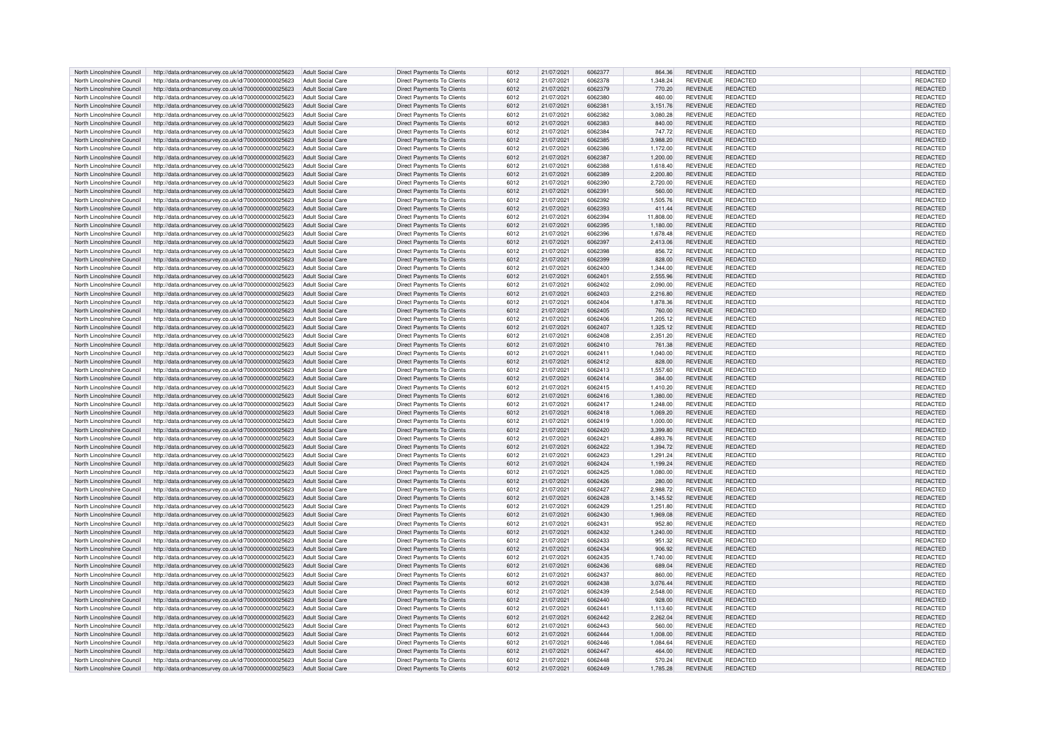| North Lincolnshire Council | http://data.ordnancesurvey.co.uk/id/7000000000025623                   | Adult Social Care        | <b>Direct Payments To Clients</b> | 6012 | 21/07/2021 | 6062377 | 864.36    | <b>REVENUE</b> | <b>REDACTED</b> | REDACTED        |
|----------------------------|------------------------------------------------------------------------|--------------------------|-----------------------------------|------|------------|---------|-----------|----------------|-----------------|-----------------|
| North Lincolnshire Council | http://data.ordnancesurvey.co.uk/id/7000000000025623                   | Adult Social Care        | Direct Payments To Clients        | 6012 | 21/07/2021 | 6062378 | 1,348.24  | <b>REVENUE</b> | REDACTED        | <b>REDACTED</b> |
| North Lincolnshire Council | http://data.ordnancesurvey.co.uk/id/7000000000025623                   | <b>Adult Social Care</b> | <b>Direct Payments To Clients</b> | 6012 | 21/07/2021 | 6062379 | 770.20    | <b>REVENUE</b> | REDACTED        | REDACTED        |
| North Lincolnshire Council | http://data.ordnancesurvey.co.uk/id/7000000000025623                   | Adult Social Care        | Direct Payments To Clients        | 6012 | 21/07/2021 | 6062380 | 460.00    | <b>REVENUE</b> | REDACTED        | <b>REDACTED</b> |
|                            |                                                                        |                          |                                   |      |            |         |           |                |                 |                 |
| North Lincolnshire Council | http://data.ordnancesurvey.co.uk/id/7000000000025623                   | <b>Adult Social Care</b> | Direct Payments To Clients        | 6012 | 21/07/2021 | 6062381 | 3,151.76  | <b>REVENUE</b> | <b>REDACTED</b> | REDACTED        |
| North Lincolnshire Council | http://data.ordnancesurvey.co.uk/id/7000000000025623                   | <b>Adult Social Care</b> | Direct Payments To Clients        | 6012 | 21/07/2021 | 6062382 | 3,080.28  | <b>REVENUE</b> | REDACTED        | <b>REDACTED</b> |
| North Lincolnshire Council | http://data.ordnancesurvey.co.uk/id/7000000000025623                   | <b>Adult Social Care</b> | Direct Payments To Clients        | 6012 | 21/07/2021 | 6062383 | 840.00    | <b>REVENUE</b> | REDACTED        | REDACTED        |
| North Lincolnshire Council | http://data.ordnancesurvey.co.uk/id/7000000000025623                   | <b>Adult Social Care</b> | Direct Payments To Clients        | 6012 | 21/07/2021 | 6062384 | 747.72    | <b>REVENUE</b> | <b>REDACTED</b> | REDACTED        |
| North Lincolnshire Council | http://data.ordnancesurvey.co.uk/id/7000000000025623                   | Adult Social Care        | Direct Payments To Clients        | 6012 | 21/07/2021 | 6062385 | 3.988.20  | <b>REVENUE</b> | REDACTED        | <b>REDACTED</b> |
| North Lincolnshire Council | http://data.ordnancesurvey.co.uk/id/7000000000025623                   | Adult Social Care        | Direct Payments To Clients        | 6012 | 21/07/2021 | 6062386 | 1,172.00  | <b>REVENUE</b> | REDACTED        | <b>REDACTED</b> |
| North Lincolnshire Council | http://data.ordnancesurvey.co.uk/id/7000000000025623                   | Adult Social Care        | Direct Payments To Clients        | 6012 | 21/07/2021 | 6062387 | 1,200.00  | <b>REVENUE</b> | REDACTED        | REDACTED        |
| North Lincolnshire Council | http://data.ordnancesurvey.co.uk/id/7000000000025623                   | Adult Social Care        | Direct Payments To Clients        | 6012 | 21/07/2021 | 6062388 | 1.618.40  | <b>REVENUE</b> | REDACTED        | REDACTED        |
| North Lincolnshire Council | http://data.ordnancesurvey.co.uk/id/7000000000025623                   | Adult Social Care        | <b>Direct Payments To Clients</b> | 6012 | 21/07/2021 | 6062389 | 2,200.80  | <b>REVENUE</b> | REDACTED        | REDACTED        |
| North Lincolnshire Council | http://data.ordnancesurvey.co.uk/id/7000000000025623                   | Adult Social Care        | Direct Payments To Clients        | 6012 | 21/07/2021 | 6062390 | 2.720.00  | <b>REVENUE</b> | REDACTED        | REDACTED        |
| North Lincolnshire Council | http://data.ordnancesurvey.co.uk/id/7000000000025623                   | Adult Social Care        | Direct Payments To Clients        | 6012 | 21/07/2021 | 6062391 | 560.00    | <b>REVENUE</b> | <b>REDACTED</b> | REDACTED        |
|                            |                                                                        |                          |                                   |      |            |         |           |                |                 |                 |
| North Lincolnshire Council | http://data.ordnancesurvey.co.uk/id/7000000000025623                   | <b>Adult Social Care</b> | Direct Payments To Clients        | 6012 | 21/07/2021 | 6062392 | 1,505.76  | <b>REVENUE</b> | REDACTED        | REDACTED        |
| North Lincolnshire Council | http://data.ordnancesurvey.co.uk/id/7000000000025623                   | <b>Adult Social Care</b> | <b>Direct Payments To Clients</b> | 6012 | 21/07/2021 | 6062393 | 411.44    | <b>REVENUE</b> | REDACTED        | REDACTED        |
| North Lincolnshire Council | http://data.ordnancesurvey.co.uk/id/7000000000025623                   | <b>Adult Social Care</b> | Direct Payments To Clients        | 6012 | 21/07/2021 | 6062394 | 11,808.00 | <b>REVENUE</b> | <b>REDACTED</b> | REDACTED        |
| North Lincolnshire Council | http://data.ordnancesurvey.co.uk/id/7000000000025623                   | <b>Adult Social Care</b> | <b>Direct Payments To Clients</b> | 6012 | 21/07/2021 | 6062395 | 1,180.00  | <b>REVENUE</b> | REDACTED        | REDACTED        |
| North Lincolnshire Council | http://data.ordnancesurvey.co.uk/id/7000000000025623                   | <b>Adult Social Care</b> | Direct Payments To Clients        | 6012 | 21/07/2021 | 6062396 | 1,678.48  | <b>REVENUE</b> | REDACTED        | REDACTED        |
| North Lincolnshire Council | http://data.ordnancesurvey.co.uk/id/7000000000025623                   | Adult Social Care        | Direct Payments To Clients        | 6012 | 21/07/2021 | 6062397 | 2,413.06  | <b>REVENUE</b> | REDACTED        | REDACTED        |
| North Lincolnshire Council | http://data.ordnancesurvey.co.uk/id/7000000000025623                   | Adult Social Care        | Direct Payments To Clients        | 6012 | 21/07/2021 | 6062398 | 856.72    | <b>REVENUE</b> | REDACTED        | REDACTED        |
| North Lincolnshire Council | http://data.ordnancesurvey.co.uk/id/7000000000025623                   | Adult Social Care        | <b>Direct Payments To Clients</b> | 6012 | 21/07/2021 | 6062399 | 828.00    | <b>REVENUE</b> | REDACTED        | REDACTED        |
| North Lincolnshire Council | http://data.ordnancesurvey.co.uk/id/7000000000025623                   | Adult Social Care        | Direct Payments To Clients        | 6012 | 21/07/2021 | 6062400 | 1,344.00  | <b>REVENUE</b> | REDACTED        | REDACTED        |
| North Lincolnshire Council | http://data.ordnancesurvey.co.uk/id/7000000000025623                   | <b>Adult Social Care</b> | Direct Payments To Clients        | 6012 | 21/07/2021 | 6062401 | 2,555.96  | <b>REVENUE</b> | <b>REDACTED</b> | REDACTED        |
| North Lincolnshire Council | http://data.ordnancesurvey.co.uk/id/7000000000025623                   | <b>Adult Social Care</b> | Direct Payments To Clients        | 6012 | 21/07/2021 | 6062402 | 2,090.00  | <b>REVENUE</b> | <b>REDACTED</b> | REDACTED        |
| North Lincolnshire Council | http://data.ordnancesurvey.co.uk/id/7000000000025623                   | <b>Adult Social Care</b> | <b>Direct Payments To Clients</b> | 6012 | 21/07/2021 | 6062403 | 2,216.80  | <b>REVENUE</b> | REDACTED        | REDACTED        |
| North Lincolnshire Council | http://data.ordnancesurvey.co.uk/id/7000000000025623                   | <b>Adult Social Care</b> | Direct Payments To Clients        | 6012 | 21/07/2021 | 6062404 | 1.878.36  | <b>REVENUE</b> | REDACTED        | REDACTED        |
| North Lincolnshire Council |                                                                        | Adult Social Care        |                                   | 6012 | 21/07/2021 | 6062405 |           | <b>REVENUE</b> | REDACTED        | <b>REDACTED</b> |
|                            | http://data.ordnancesurvey.co.uk/id/7000000000025623                   |                          | Direct Payments To Clients        |      |            |         | 760.00    |                |                 |                 |
| North Lincolnshire Council | http://data.ordnancesurvey.co.uk/id/7000000000025623                   | Adult Social Care        | Direct Payments To Clients        | 6012 | 21/07/2021 | 6062406 | 1,205.12  | <b>REVENUE</b> | REDACTED        | <b>REDACTED</b> |
| North Lincolnshire Council | http://data.ordnancesurvey.co.uk/id/7000000000025623                   | Adult Social Care        | Direct Payments To Clients        | 6012 | 21/07/2021 | 6062407 | 1,325.12  | <b>REVENUE</b> | REDACTED        | REDACTED        |
| North Lincolnshire Council | http://data.ordnancesurvey.co.uk/id/7000000000025623                   | Adult Social Care        | Direct Payments To Clients        | 6012 | 21/07/2021 | 6062408 | 2,351.20  | <b>REVENUE</b> | REDACTED        | <b>REDACTED</b> |
| North Lincolnshire Council | http://data.ordnancesurvey.co.uk/id/7000000000025623                   | Adult Social Care        | <b>Direct Payments To Clients</b> | 6012 | 21/07/2021 | 6062410 | 761.38    | <b>REVENUE</b> | REDACTED        | REDACTED        |
| North Lincolnshire Council | http://data.ordnancesurvey.co.uk/id/7000000000025623                   | Adult Social Care        | Direct Payments To Clients        | 6012 | 21/07/2021 | 6062411 | 1,040.00  | <b>REVENUE</b> | REDACTED        | <b>REDACTED</b> |
| North Lincolnshire Council | http://data.ordnancesurvey.co.uk/id/7000000000025623                   | <b>Adult Social Care</b> | Direct Payments To Clients        | 6012 | 21/07/2021 | 6062412 | 828.00    | <b>REVENUE</b> | <b>REDACTED</b> | REDACTED        |
| North Lincolnshire Council | http://data.ordnancesurvey.co.uk/id/7000000000025623                   | <b>Adult Social Care</b> | Direct Payments To Clients        | 6012 | 21/07/2021 | 6062413 | 1,557.60  | <b>REVENUE</b> | REDACTED        | REDACTED        |
| North Lincolnshire Council | http://data.ordnancesurvey.co.uk/id/7000000000025623                   | <b>Adult Social Care</b> | Direct Payments To Clients        | 6012 | 21/07/2021 | 6062414 | 384.00    | <b>REVENUE</b> | <b>REDACTED</b> | <b>REDACTED</b> |
| North Lincolnshire Council | http://data.ordnancesurvey.co.uk/id/7000000000025623                   | <b>Adult Social Care</b> | Direct Payments To Clients        | 6012 | 21/07/2021 | 6062415 | 1,410.20  | <b>REVENUE</b> | REDACTED        | REDACTED        |
| North Lincolnshire Council | http://data.ordnancesurvey.co.uk/id/7000000000025623                   | Adult Social Care        | Direct Payments To Clients        | 6012 | 21/07/2021 | 6062416 | 1,380.00  | <b>REVENUE</b> | <b>REDACTED</b> | <b>REDACTED</b> |
| North Lincolnshire Council | http://data.ordnancesurvey.co.uk/id/7000000000025623                   | Adult Social Care        | Direct Payments To Clients        | 6012 | 21/07/2021 | 6062417 | 1,248.00  | <b>REVENUE</b> | REDACTED        | REDACTED        |
| North Lincolnshire Council | http://data.ordnancesurvey.co.uk/id/7000000000025623                   | <b>Adult Social Care</b> | Direct Payments To Clients        | 6012 | 21/07/2021 | 6062418 | 1,069.20  | <b>REVENUE</b> | REDACTED        | REDACTED        |
| North Lincolnshire Council | http://data.ordnancesurvey.co.uk/id/7000000000025623                   | Adult Social Care        | Direct Payments To Clients        |      |            | 6062419 |           | <b>REVENUE</b> | REDACTED        | REDACTED        |
|                            |                                                                        |                          |                                   | 6012 | 21/07/2021 |         | 1,000.00  |                |                 |                 |
| North Lincolnshire Council | http://data.ordnancesurvey.co.uk/id/7000000000025623                   | <b>Adult Social Care</b> | <b>Direct Payments To Clients</b> | 6012 | 21/07/2021 | 6062420 | 3,399.80  | <b>REVENUE</b> | REDACTED        | REDACTED        |
| North Lincolnshire Council | http://data.ordnancesurvey.co.uk/id/7000000000025623                   | Adult Social Care        | Direct Payments To Clients        | 6012 | 21/07/2021 | 6062421 | 4,893.76  | <b>REVENUE</b> | REDACTED        | <b>REDACTED</b> |
| North Lincolnshire Council | http://data.ordnancesurvey.co.uk/id/7000000000025623                   | <b>Adult Social Care</b> | Direct Payments To Clients        | 6012 | 21/07/2021 | 6062422 | 1,394.72  | <b>REVENUE</b> | REDACTED        | REDACTED        |
| North Lincolnshire Council | http://data.ordnancesurvey.co.uk/id/7000000000025623                   | Adult Social Care        | Direct Payments To Clients        | 6012 | 21/07/2021 | 6062423 | 1,291.24  | <b>REVENUE</b> | REDACTED        | REDACTED        |
| North Lincolnshire Council | http://data.ordnancesurvey.co.uk/id/7000000000025623                   | <b>Adult Social Care</b> | Direct Payments To Clients        | 6012 | 21/07/2021 | 6062424 | 1,199.24  | <b>REVENUE</b> | REDACTED        | REDACTED        |
| North Lincolnshire Council | http://data.ordnancesurvey.co.uk/id/7000000000025623                   | Adult Social Care        | Direct Payments To Clients        | 6012 | 21/07/2021 | 6062425 | 1.080.00  | <b>REVENUE</b> | REDACTED        | <b>REDACTED</b> |
| North Lincolnshire Council | http://data.ordnancesurvey.co.uk/id/7000000000025623                   | Adult Social Care        | Direct Payments To Clients        | 6012 | 21/07/2021 | 6062426 | 280.00    | <b>REVENUE</b> | REDACTED        | <b>REDACTED</b> |
| North Lincolnshire Council | http://data.ordnancesurvey.co.uk/id/7000000000025623                   | Adult Social Care        | Direct Payments To Clients        | 6012 | 21/07/2021 | 6062427 | 2,988.72  | <b>REVENUE</b> | REDACTED        | REDACTED        |
| North Lincolnshire Council | http://data.ordnancesurvey.co.uk/id/7000000000025623                   | Adult Social Care        | Direct Payments To Clients        | 6012 | 21/07/2021 | 6062428 | 3,145.52  | <b>REVENUE</b> | REDACTED        | REDACTED        |
| North Lincolnshire Council | http://data.ordnancesurvey.co.uk/id/7000000000025623                   | Adult Social Care        | Direct Payments To Clients        | 6012 | 21/07/2021 | 6062429 | 1,251.80  | <b>REVENUE</b> | REDACTED        | REDACTED        |
| North Lincolnshire Council | http://data.ordnancesurvey.co.uk/id/7000000000025623                   | Adult Social Care        | Direct Payments To Clients        | 6012 | 21/07/2021 | 6062430 | 1.969.08  | <b>REVENUE</b> | <b>REDACTED</b> | <b>REDACTED</b> |
| North Lincolnshire Council | http://data.ordnancesurvey.co.uk/id/7000000000025623                   | Adult Social Care        | Direct Payments To Clients        | 6012 | 21/07/2021 | 6062431 | 952.80    | <b>REVENUE</b> | REDACTED        | REDACTED        |
| North Lincolnshire Council | http://data.ordnancesurvey.co.uk/id/7000000000025623                   | <b>Adult Social Care</b> | Direct Payments To Clients        | 6012 | 21/07/2021 | 6062432 | 1,240.00  | <b>REVENUE</b> | REDACTED        | REDACTED        |
| North Lincolnshire Council | http://data.ordnancesurvey.co.uk/id/7000000000025623                   | <b>Adult Social Care</b> | Direct Payments To Clients        | 6012 | 21/07/2021 | 6062433 | 951.32    | <b>REVENUE</b> | <b>REDACTED</b> | REDACTED        |
| North Lincolnshire Council | http://data.ordnancesurvey.co.uk/id/7000000000025623                   | <b>Adult Social Care</b> | Direct Payments To Clients        | 6012 | 21/07/2021 | 6062434 | 906.92    | <b>REVENUE</b> | REDACTED        | REDACTED        |
| North Lincolnshire Council |                                                                        | Adult Social Care        | Direct Payments To Clients        | 6012 | 21/07/2021 | 6062435 | 1.740.00  | <b>REVENUE</b> | REDACTED        | <b>REDACTED</b> |
|                            | http://data.ordnancesurvey.co.uk/id/7000000000025623                   |                          |                                   |      |            |         |           |                |                 |                 |
| North Lincolnshire Council | http://data.ordnancesurvey.co.uk/id/7000000000025623                   | <b>Adult Social Care</b> | Direct Payments To Clients        | 6012 | 21/07/2021 | 6062436 | 689.04    | <b>REVENUE</b> | REDACTED        | REDACTED        |
| North Lincolnshire Council | http://data.ordnancesurvey.co.uk/id/7000000000025623                   | Adult Social Care        | Direct Payments To Clients        | 6012 | 21/07/2021 | 6062437 | 860.00    | <b>REVENUE</b> | REDACTED        | REDACTED        |
| North Lincolnshire Council | http://data.ordnancesurvey.co.uk/id/7000000000025623                   | <b>Adult Social Care</b> | Direct Payments To Clients        | 6012 | 21/07/2021 | 6062438 | 3,076.44  | <b>REVENUE</b> | REDACTED        | REDACTED        |
| North Lincolnshire Council | http://data.ordnancesurvey.co.uk/id/7000000000025623                   | Adult Social Care        | <b>Direct Payments To Clients</b> | 6012 | 21/07/2021 | 6062439 | 2,548.00  | <b>REVENUE</b> | REDACTED        | REDACTED        |
| North Lincolnshire Council | http://data.ordnancesurvey.co.uk/id/7000000000025623                   | Adult Social Care        | <b>Direct Payments To Clients</b> | 6012 | 21/07/2021 | 6062440 | 928.00    | <b>REVENUE</b> | REDACTED        | <b>REDACTED</b> |
| North Lincolnshire Council | http://data.ordnancesurvey.co.uk/id/7000000000025623                   | Adult Social Care        | Direct Payments To Clients        | 6012 | 21/07/2021 | 6062441 | 1,113.60  | <b>REVENUE</b> | REDACTED        | REDACTED        |
| North Lincolnshire Council | http://data.ordnancesurvey.co.uk/id/7000000000025623                   | <b>Adult Social Care</b> | Direct Payments To Clients        | 6012 | 21/07/2021 | 6062442 | 2,262.04  | <b>REVENUE</b> | REDACTED        | REDACTED        |
| North Lincolnshire Council | http://data.ordnancesurvey.co.uk/id/7000000000025623                   | <b>Adult Social Care</b> | Direct Payments To Clients        | 6012 | 21/07/2021 | 6062443 | 560.00    | <b>REVENUE</b> | REDACTED        | REDACTED        |
| North Lincolnshire Council | http://data.ordnancesurvey.co.uk/id/7000000000025623                   | <b>Adult Social Care</b> | Direct Payments To Clients        | 6012 | 21/07/2021 | 6062444 | 1,008.00  | <b>REVENUE</b> | <b>REDACTED</b> | REDACTED        |
| North Lincolnshire Council | http://data.ordnancesurvey.co.uk/id/7000000000025623                   | <b>Adult Social Care</b> | Direct Payments To Clients        | 6012 | 21/07/2021 | 6062446 | 1,084.64  | <b>REVENUE</b> | REDACTED        | REDACTED        |
| North Lincolnshire Council | http://data.ordnancesurvey.co.uk/id/7000000000025623                   | <b>Adult Social Care</b> | Direct Payments To Clients        | 6012 | 21/07/2021 | 6062447 | 464.00    | <b>REVENUE</b> | <b>REDACTED</b> | <b>REDACTED</b> |
| North Lincolnshire Council | http://data.ordnancesurvey.co.uk/id/7000000000025623 Adult Social Care |                          | Direct Payments To Clients        | 6012 | 21/07/2021 | 6062448 | 570.24    | <b>REVENUE</b> | REDACTED        | REDACTED        |
| North Lincolnshire Council | http://data.ordnancesurvey.co.uk/id/700000000025623 Adult Social Care  |                          | <b>Direct Payments To Clients</b> | 6012 | 21/07/2021 | 6062449 | 1,785.28  | <b>REVENUE</b> | <b>REDACTED</b> | REDACTED        |
|                            |                                                                        |                          |                                   |      |            |         |           |                |                 |                 |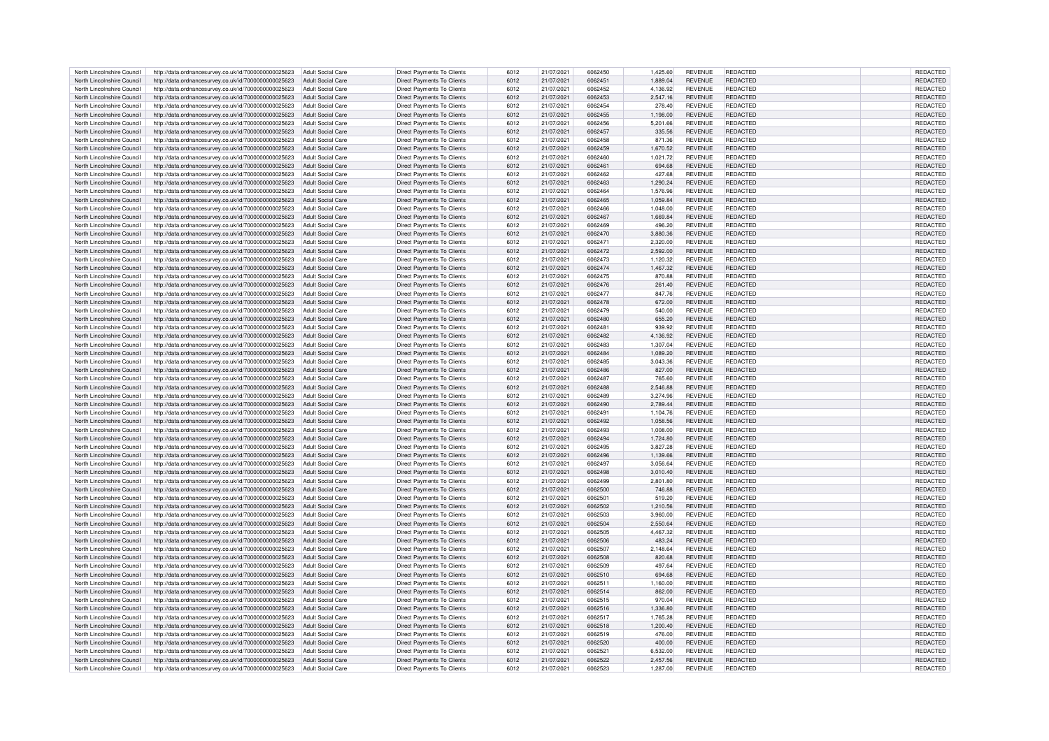| North Lincolnshire Council | http://data.ordnancesurvey.co.uk/id/7000000000025623                   | Adult Social Care        | Direct Payments To Clients        | 6012 | 21/07/2021 | 6062450 | 1.425.60 | <b>REVENUE</b> | <b>REDACTED</b> | REDACTED        |
|----------------------------|------------------------------------------------------------------------|--------------------------|-----------------------------------|------|------------|---------|----------|----------------|-----------------|-----------------|
| North Lincolnshire Council | http://data.ordnancesurvey.co.uk/id/7000000000025623                   | Adult Social Care        | <b>Direct Payments To Clients</b> | 6012 | 21/07/2021 | 6062451 | 1,889.04 | <b>REVENUE</b> | REDACTED        | REDACTED        |
| North Lincolnshire Council | http://data.ordnancesurvey.co.uk/id/7000000000025623                   | Adult Social Care        | Direct Payments To Clients        | 6012 | 21/07/2021 | 6062452 | 4,136.92 | <b>REVENUE</b> | REDACTED        | REDACTED        |
| North Lincolnshire Council | http://data.ordnancesurvey.co.uk/id/7000000000025623                   | Adult Social Care        | Direct Payments To Clients        | 6012 | 21/07/2021 | 6062453 | 2,547.16 | <b>REVENUE</b> | <b>REDACTED</b> | <b>REDACTED</b> |
| North Lincolnshire Council | http://data.ordnancesurvey.co.uk/id/7000000000025623                   | Adult Social Care        | Direct Payments To Clients        | 6012 | 21/07/2021 | 6062454 | 278.40   | <b>REVENUE</b> | REDACTED        | <b>REDACTED</b> |
| North Lincolnshire Council | http://data.ordnancesurvey.co.uk/id/7000000000025623                   | <b>Adult Social Care</b> | Direct Payments To Clients        | 6012 | 21/07/2021 | 6062455 | 1,198.00 | REVENUE        | <b>REDACTED</b> | REDACTED        |
| North Lincolnshire Council | http://data.ordnancesurvey.co.uk/id/7000000000025623                   | <b>Adult Social Care</b> | <b>Direct Payments To Clients</b> | 6012 | 21/07/2021 | 6062456 | 5,201.66 | <b>REVENUE</b> | REDACTED        | REDACTED        |
|                            |                                                                        | <b>Adult Social Care</b> | <b>Direct Payments To Clients</b> |      |            | 6062457 |          |                | <b>REDACTED</b> |                 |
| North Lincolnshire Council | http://data.ordnancesurvey.co.uk/id/7000000000025623                   |                          |                                   | 6012 | 21/07/2021 |         | 335.56   | <b>REVENUE</b> |                 | REDACTED        |
| North Lincolnshire Council | http://data.ordnancesurvey.co.uk/id/7000000000025623                   | Adult Social Care        | Direct Payments To Clients        | 6012 | 21/07/2021 | 6062458 | 871.36   | <b>REVENUE</b> | REDACTED        | REDACTED        |
| North Lincolnshire Council | http://data.ordnancesurvey.co.uk/id/7000000000025623                   | <b>Adult Social Care</b> | Direct Payments To Clients        | 6012 | 21/07/2021 | 6062459 | 1,670.52 | <b>REVENUE</b> | REDACTED        | REDACTED        |
| North Lincolnshire Council | http://data.ordnancesurvey.co.uk/id/7000000000025623                   | Adult Social Care        | Direct Payments To Clients        | 6012 | 21/07/2021 | 6062460 | 1,021.72 | <b>REVENUE</b> | REDACTED        | REDACTED        |
| North Lincolnshire Council | http://data.ordnancesurvey.co.uk/id/7000000000025623                   | Adult Social Care        | <b>Direct Payments To Clients</b> | 6012 | 21/07/2021 | 6062461 | 694.68   | <b>REVENUE</b> | REDACTED        | REDACTED        |
| North Lincolnshire Council | http://data.ordnancesurvey.co.uk/id/7000000000025623                   | Adult Social Care        | Direct Payments To Clients        | 6012 | 21/07/2021 | 6062462 | 427.68   | <b>REVENUE</b> | REDACTED        | REDACTED        |
| North Lincolnshire Council | http://data.ordnancesurvey.co.uk/id/7000000000025623                   | Adult Social Care        | Direct Payments To Clients        | 6012 | 21/07/2021 | 6062463 | 1.290.24 | <b>REVENUE</b> | <b>REDACTED</b> | <b>REDACTED</b> |
| North Lincolnshire Council | http://data.ordnancesurvey.co.uk/id/7000000000025623                   | Adult Social Care        | Direct Payments To Clients        | 6012 | 21/07/2021 | 6062464 | 1,576.96 | <b>REVENUE</b> | REDACTED        | REDACTED        |
| North Lincolnshire Council | http://data.ordnancesurvey.co.uk/id/7000000000025623                   | <b>Adult Social Care</b> | Direct Payments To Clients        | 6012 | 21/07/2021 | 6062465 | 1,059.84 | <b>REVENUE</b> | REDACTED        | REDACTED        |
| North Lincolnshire Council | http://data.ordnancesurvey.co.uk/id/7000000000025623                   | Adult Social Care        | Direct Payments To Clients        | 6012 | 21/07/2021 | 6062466 | 1,048.00 | <b>REVENUE</b> | REDACTED        | REDACTED        |
| North Lincolnshire Council | http://data.ordnancesurvey.co.uk/id/7000000000025623                   | <b>Adult Social Care</b> | <b>Direct Payments To Clients</b> | 6012 | 21/07/2021 | 6062467 | 1,669.84 | <b>REVENUE</b> | <b>REDACTED</b> | REDACTED        |
| North Lincolnshire Council | http://data.ordnancesurvey.co.uk/id/7000000000025623                   | <b>Adult Social Care</b> | Direct Payments To Clients        | 6012 | 21/07/2021 | 6062469 | 496.20   | <b>REVENUE</b> | REDACTED        | REDACTED        |
| North Lincolnshire Council | http://data.ordnancesurvey.co.uk/id/7000000000025623                   | <b>Adult Social Care</b> | Direct Payments To Clients        | 6012 | 21/07/2021 | 6062470 | 3,880.36 | <b>REVENUE</b> | <b>REDACTED</b> | REDACTED        |
| North Lincolnshire Council | http://data.ordnancesurvey.co.uk/id/7000000000025623                   | Adult Social Care        | Direct Payments To Clients        | 6012 | 21/07/2021 | 606247  | 2,320.00 | <b>REVENUE</b> | REDACTED        | REDACTED        |
| North Lincolnshire Council | http://data.ordnancesurvey.co.uk/id/7000000000025623                   | Adult Social Care        | <b>Direct Payments To Clients</b> | 6012 | 21/07/2021 | 6062472 | 2,592.00 | <b>REVENUE</b> | REDACTED        | REDACTED        |
| North Lincolnshire Council | http://data.ordnancesurvey.co.uk/id/7000000000025623                   | Adult Social Care        | Direct Payments To Clients        | 6012 | 21/07/2021 | 6062473 | 1,120.32 | <b>REVENUE</b> | <b>REDACTED</b> | REDACTED        |
| North Lincolnshire Council | http://data.ordnancesurvey.co.uk/id/7000000000025623                   | Adult Social Care        | Direct Payments To Clients        | 6012 | 21/07/2021 | 6062474 | 1,467.32 | <b>REVENUE</b> | <b>REDACTED</b> | REDACTED        |
| North Lincolnshire Council |                                                                        |                          |                                   |      |            | 6062475 |          |                |                 |                 |
|                            | http://data.ordnancesurvey.co.uk/id/7000000000025623                   | <b>Adult Social Care</b> | Direct Payments To Clients        | 6012 | 21/07/2021 |         | 870.88   | <b>REVENUE</b> | REDACTED        | REDACTED        |
| North Lincolnshire Council | http://data.ordnancesurvey.co.uk/id/7000000000025623                   | Adult Social Care        | Direct Payments To Clients        | 6012 | 21/07/2021 | 6062476 | 261.40   | <b>REVENUE</b> | <b>REDACTED</b> | REDACTED        |
| North Lincolnshire Council | http://data.ordnancesurvey.co.uk/id/7000000000025623                   | Adult Social Care        | Direct Payments To Clients        | 6012 | 21/07/2021 | 6062477 | 847.76   | <b>REVENUE</b> | REDACTED        | REDACTED        |
| North Lincolnshire Council | http://data.ordnancesurvey.co.uk/id/7000000000025623                   | <b>Adult Social Care</b> | <b>Direct Payments To Clients</b> | 6012 | 21/07/2021 | 6062478 | 672.00   | <b>REVENUE</b> | REDACTED        | <b>REDACTED</b> |
| North Lincolnshire Council | http://data.ordnancesurvey.co.uk/id/7000000000025623                   | <b>Adult Social Care</b> | Direct Payments To Clients        | 6012 | 21/07/2021 | 6062479 | 540.00   | <b>REVENUE</b> | REDACTED        | <b>REDACTED</b> |
| North Lincolnshire Council | http://data.ordnancesurvey.co.uk/id/7000000000025623                   | Adult Social Care        | Direct Payments To Clients        | 6012 | 21/07/2021 | 6062480 | 655.20   | <b>REVENUE</b> | REDACTED        | <b>REDACTED</b> |
| North Lincolnshire Council | http://data.ordnancesurvey.co.uk/id/7000000000025623                   | Adult Social Care        | Direct Payments To Clients        | 6012 | 21/07/2021 | 6062481 | 939.92   | <b>REVENUE</b> | REDACTED        | REDACTED        |
| North Lincolnshire Council | http://data.ordnancesurvey.co.uk/id/7000000000025623                   | Adult Social Care        | <b>Direct Payments To Clients</b> | 6012 | 21/07/2021 | 6062482 | 4,136.92 | <b>REVENUE</b> | REDACTED        | REDACTED        |
| North Lincolnshire Council | http://data.ordnancesurvey.co.uk/id/7000000000025623                   | Adult Social Care        | Direct Payments To Clients        | 6012 | 21/07/2021 | 6062483 | 1,307.04 | <b>REVENUE</b> | REDACTED        | REDACTED        |
| North Lincolnshire Council | http://data.ordnancesurvey.co.uk/id/7000000000025623                   | Adult Social Care        | Direct Payments To Clients        | 6012 | 21/07/2021 | 6062484 | 1,089.20 | <b>REVENUE</b> | REDACTED        | REDACTED        |
| North Lincolnshire Council | http://data.ordnancesurvey.co.uk/id/7000000000025623                   | <b>Adult Social Care</b> | Direct Payments To Clients        | 6012 | 21/07/2021 | 6062485 | 3,043.36 | <b>REVENUE</b> | REDACTED        | REDACTED        |
| North Lincolnshire Council | http://data.ordnancesurvey.co.uk/id/7000000000025623                   | <b>Adult Social Care</b> | <b>Direct Payments To Clients</b> | 6012 | 21/07/2021 | 6062486 | 827.00   | <b>REVENUE</b> | REDACTED        | REDACTED        |
| North Lincolnshire Council | http://data.ordnancesurvey.co.uk/id/7000000000025623                   | Adult Social Care        | Direct Payments To Clients        | 6012 | 21/07/2021 | 6062487 | 765.60   | <b>REVENUE</b> | REDACTED        | <b>REDACTED</b> |
| North Lincolnshire Council | http://data.ordnancesurvey.co.uk/id/7000000000025623                   | <b>Adult Social Care</b> | <b>Direct Payments To Clients</b> | 6012 | 21/07/2021 | 6062488 | 2,546.88 | <b>REVENUE</b> | REDACTED        | REDACTED        |
| North Lincolnshire Council | http://data.ordnancesurvey.co.uk/id/7000000000025623                   | Adult Social Care        | Direct Payments To Clients        | 6012 | 21/07/2021 | 6062489 | 3,274.96 | <b>REVENUE</b> | REDACTED        | <b>REDACTED</b> |
|                            |                                                                        |                          |                                   |      |            |         |          |                |                 |                 |
| North Lincolnshire Council | http://data.ordnancesurvey.co.uk/id/7000000000025623                   | Adult Social Care        | Direct Payments To Clients        | 6012 | 21/07/2021 | 6062490 | 2,789.44 | <b>REVENUE</b> | REDACTED        | REDACTED        |
| North Lincolnshire Council | http://data.ordnancesurvey.co.uk/id/7000000000025623                   | Adult Social Care        | Direct Payments To Clients        | 6012 | 21/07/2021 | 6062491 | 1,104.76 | <b>REVENUE</b> | REDACTED        | REDACTED        |
| North Lincolnshire Council | http://data.ordnancesurvey.co.uk/id/7000000000025623                   | Adult Social Care        | Direct Payments To Clients        | 6012 | 21/07/2021 | 6062492 | 1,058.56 | <b>REVENUE</b> | REDACTED        | <b>REDACTED</b> |
| North Lincolnshire Council | http://data.ordnancesurvey.co.uk/id/7000000000025623                   | Adult Social Care        | <b>Direct Payments To Clients</b> | 6012 | 21/07/2021 | 6062493 | 1,008.00 | <b>REVENUE</b> | REDACTED        | REDACTED        |
| North Lincolnshire Council | http://data.ordnancesurvey.co.uk/id/7000000000025623                   | Adult Social Care        | Direct Payments To Clients        | 6012 | 21/07/2021 | 6062494 | 1,724.80 | <b>REVENUE</b> | <b>REDACTED</b> | REDACTED        |
| North Lincolnshire Council | http://data.ordnancesurvey.co.uk/id/7000000000025623                   | <b>Adult Social Care</b> | Direct Payments To Clients        | 6012 | 21/07/2021 | 6062495 | 3,827.28 | <b>REVENUE</b> | REDACTED        | REDACTED        |
| North Lincolnshire Council | http://data.ordnancesurvey.co.uk/id/7000000000025623                   | <b>Adult Social Care</b> | <b>Direct Payments To Clients</b> | 6012 | 21/07/2021 | 6062496 | 1,139.66 | <b>REVENUE</b> | REDACTED        | REDACTED        |
| North Lincolnshire Council | http://data.ordnancesurvey.co.uk/id/7000000000025623                   | <b>Adult Social Care</b> | Direct Payments To Clients        | 6012 | 21/07/2021 | 6062497 | 3,056.64 | <b>REVENUE</b> | REDACTED        | REDACTED        |
| North Lincolnshire Council | http://data.ordnancesurvey.co.uk/id/7000000000025623                   | Adult Social Care        | <b>Direct Payments To Clients</b> | 6012 | 21/07/2021 | 6062498 | 3,010.40 | <b>REVENUE</b> | REDACTED        | <b>REDACTED</b> |
| North Lincolnshire Council | http://data.ordnancesurvey.co.uk/id/7000000000025623                   | Adult Social Care        | Direct Payments To Clients        | 6012 | 21/07/2021 | 6062499 | 2,801.80 | <b>REVENUE</b> | <b>REDACTED</b> | <b>REDACTED</b> |
| North Lincolnshire Council | http://data.ordnancesurvey.co.uk/id/7000000000025623                   | Adult Social Care        | Direct Payments To Clients        | 6012 | 21/07/2021 | 6062500 | 746.88   | <b>REVENUE</b> | REDACTED        | REDACTED        |
| North Lincolnshire Council | http://data.ordnancesurvey.co.uk/id/7000000000025623                   | Adult Social Care        | Direct Payments To Clients        | 6012 | 21/07/2021 | 6062501 | 519.20   | <b>REVENUE</b> | REDACTED        | REDACTED        |
| North Lincolnshire Council | http://data.ordnancesurvey.co.uk/id/7000000000025623                   | <b>Adult Social Care</b> | <b>Direct Payments To Clients</b> | 6012 | 21/07/2021 | 6062502 | 1,210.56 | <b>REVENUE</b> | REDACTED        | REDACTED        |
| North Lincolnshire Council | http://data.ordnancesurvey.co.uk/id/7000000000025623                   | Adult Social Care        | Direct Payments To Clients        | 6012 | 21/07/2021 | 6062503 | 3,960.00 | <b>REVENUE</b> | REDACTED        | REDACTED        |
| North Lincolnshire Council | http://data.ordnancesurvey.co.uk/id/7000000000025623                   | <b>Adult Social Care</b> | Direct Payments To Clients        | 6012 | 21/07/2021 | 6062504 | 2,550.64 | <b>REVENUE</b> | <b>REDACTED</b> | REDACTED        |
| North Lincolnshire Council | http://data.ordnancesurvey.co.uk/id/7000000000025623                   | Adult Social Care        | Direct Payments To Clients        | 6012 | 21/07/2021 | 6062505 | 4,467.32 | <b>REVENUE</b> | REDACTED        | REDACTED        |
| North Lincolnshire Council | http://data.ordnancesurvey.co.uk/id/7000000000025623                   | <b>Adult Social Care</b> | Direct Payments To Clients        | 6012 | 21/07/2021 | 6062506 | 483.24   | <b>REVENUE</b> | <b>REDACTED</b> | <b>REDACTED</b> |
| North Lincolnshire Council | http://data.ordnancesurvey.co.uk/id/7000000000025623                   | <b>Adult Social Care</b> | Direct Payments To Clients        | 6012 | 21/07/2021 | 6062507 | 2,148.64 | <b>REVENUE</b> | <b>REDACTED</b> | REDACTED        |
| North Lincolnshire Council | http://data.ordnancesurvey.co.uk/id/7000000000025623                   | Adult Social Care        | Direct Payments To Clients        | 6012 | 21/07/2021 | 6062508 | 820.68   | <b>REVENUE</b> | REDACTED        | <b>REDACTED</b> |
| North Lincolnshire Council | http://data.ordnancesurvey.co.uk/id/7000000000025623                   | <b>Adult Social Care</b> | Direct Payments To Clients        | 6012 | 21/07/2021 | 6062509 | 497.64   | <b>REVENUE</b> | <b>REDACTED</b> | REDACTED        |
|                            |                                                                        |                          |                                   |      |            |         |          |                |                 |                 |
| North Lincolnshire Council | http://data.ordnancesurvey.co.uk/id/7000000000025623                   | <b>Adult Social Care</b> | Direct Payments To Clients        | 6012 | 21/07/2021 | 6062510 | 694.68   | <b>REVENUE</b> | REDACTED        | REDACTED        |
| North Lincolnshire Council | http://data.ordnancesurvey.co.uk/id/7000000000025623                   | Adult Social Care        | Direct Payments To Clients        | 6012 | 21/07/2021 | 6062511 | 1,160.00 | <b>REVENUE</b> | REDACTED        | REDACTED        |
| North Lincolnshire Council | http://data.ordnancesurvey.co.uk/id/7000000000025623                   | Adult Social Care        | <b>Direct Payments To Clients</b> | 6012 | 21/07/2021 | 6062514 | 862.00   | <b>REVENUE</b> | REDACTED        | REDACTED        |
| North Lincolnshire Council | http://data.ordnancesurvey.co.uk/id/7000000000025623                   | Adult Social Care        | Direct Payments To Clients        | 6012 | 21/07/2021 | 6062515 | 970.04   | <b>REVENUE</b> | REDACTED        | REDACTED        |
| North Lincolnshire Council | http://data.ordnancesurvey.co.uk/id/7000000000025623                   | <b>Adult Social Care</b> | Direct Payments To Clients        | 6012 | 21/07/2021 | 6062516 | 1,336.80 | <b>REVENUE</b> | REDACTED        | REDACTED        |
| North Lincolnshire Council | http://data.ordnancesurvey.co.uk/id/7000000000025623                   | <b>Adult Social Care</b> | Direct Payments To Clients        | 6012 | 21/07/2021 | 6062517 | 1,765.28 | <b>REVENUE</b> | REDACTED        | REDACTED        |
| North Lincolnshire Council | http://data.ordnancesurvey.co.uk/id/7000000000025623                   | <b>Adult Social Care</b> | Direct Payments To Clients        | 6012 | 21/07/2021 | 6062518 | 1,200.40 | <b>REVENUE</b> | REDACTED        | REDACTED        |
| North Lincolnshire Council | http://data.ordnancesurvey.co.uk/id/7000000000025623                   | <b>Adult Social Care</b> | Direct Payments To Clients        | 6012 | 21/07/2021 | 6062519 | 476.00   | <b>REVENUE</b> | <b>REDACTED</b> | REDACTED        |
| North Lincolnshire Council | http://data.ordnancesurvey.co.uk/id/7000000000025623                   | <b>Adult Social Care</b> | <b>Direct Payments To Clients</b> | 6012 | 21/07/2021 | 6062520 | 400.00   | <b>REVENUE</b> | REDACTED        | REDACTED        |
| North Lincolnshire Council | http://data.ordnancesurvey.co.uk/id/7000000000025623                   | Adult Social Care        | Direct Payments To Clients        | 6012 | 21/07/2021 | 6062521 | 6,532.00 | <b>REVENUE</b> | REDACTED        | REDACTED        |
| North Lincolnshire Council | http://data.ordnancesurvey.co.uk/id/700000000025623 Adult Social Care  |                          | Direct Payments To Clients        | 6012 | 21/07/2021 | 6062522 | 2,457.56 | <b>REVENUE</b> | <b>REDACTED</b> | <b>REDACTED</b> |
| North Lincolnshire Council | http://data.ordnancesurvey.co.uk/id/7000000000025623 Adult Social Care |                          | Direct Payments To Clients        | 6012 | 21/07/2021 | 6062523 | 1,287.00 | <b>REVENUE</b> | <b>REDACTED</b> | REDACTED        |
|                            |                                                                        |                          |                                   |      |            |         |          |                |                 |                 |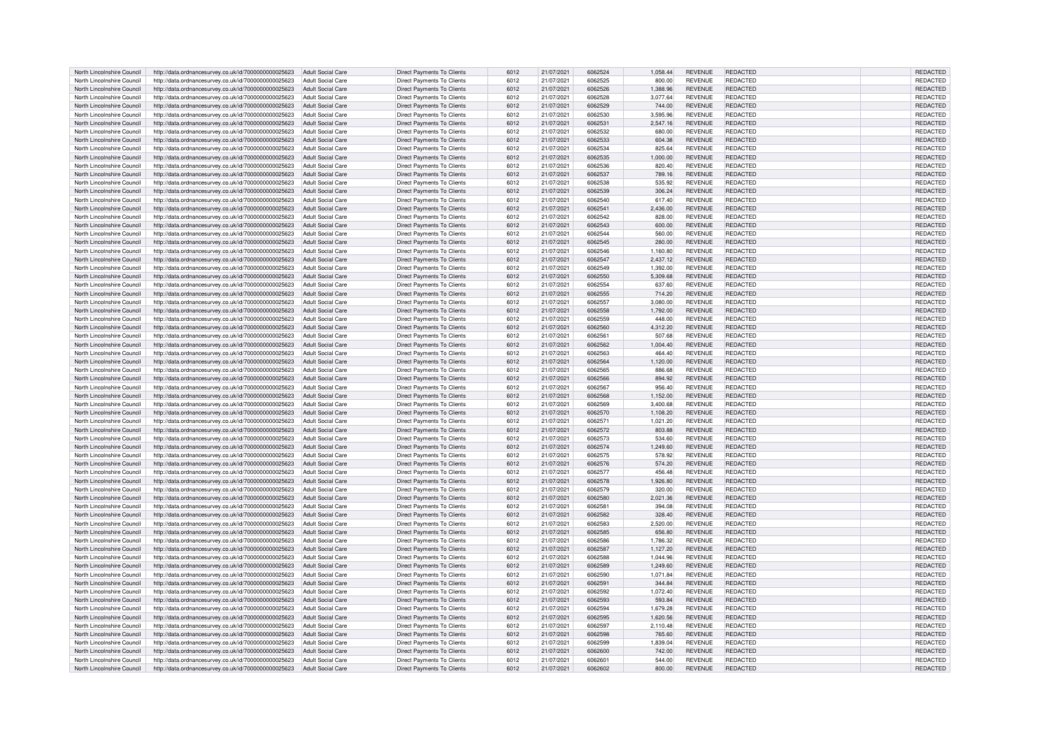| North Lincolnshire Council | http://data.ordnancesurvey.co.uk/id/7000000000025623                                                                           | Adult Social Care        | Direct Payments To Clients                               | 6012 | 21/07/2021 | 6062524 | 1.058.44 | <b>REVENUE</b> | REDACTED                    | REDACTED             |
|----------------------------|--------------------------------------------------------------------------------------------------------------------------------|--------------------------|----------------------------------------------------------|------|------------|---------|----------|----------------|-----------------------------|----------------------|
|                            |                                                                                                                                |                          |                                                          |      |            |         |          |                |                             |                      |
| North Lincolnshire Council | http://data.ordnancesurvey.co.uk/id/7000000000025623                                                                           | Adult Social Care        | Direct Payments To Clients                               | 6012 | 21/07/2021 | 6062525 | 800.00   | <b>REVENUE</b> | <b>REDACTED</b>             | REDACTED             |
| North Lincolnshire Council | http://data.ordnancesurvey.co.uk/id/7000000000025623                                                                           | <b>Adult Social Care</b> | Direct Payments To Clients                               | 6012 | 21/07/2021 | 6062526 | 1,388.96 | <b>REVENUE</b> | REDACTED                    | REDACTED             |
| North Lincolnshire Council | http://data.ordnancesurvey.co.uk/id/7000000000025623                                                                           | Adult Social Care        | Direct Payments To Clients                               | 6012 | 21/07/2021 | 6062528 | 3.077.64 | <b>REVENUE</b> | REDACTED                    | REDACTED             |
| North Lincolnshire Council | http://data.ordnancesurvey.co.uk/id/7000000000025623                                                                           | <b>Adult Social Care</b> | Direct Payments To Clients                               | 6012 | 21/07/2021 | 6062529 | 744.00   | <b>REVENUE</b> | <b>REDACTED</b>             | REDACTED             |
|                            |                                                                                                                                |                          |                                                          |      |            | 6062530 |          |                |                             |                      |
| North Lincolnshire Council | http://data.ordnancesurvey.co.uk/id/7000000000025623                                                                           | <b>Adult Social Care</b> | Direct Payments To Clients                               | 6012 | 21/07/2021 |         | 3,595.96 | <b>REVENUE</b> | REDACTED                    | REDACTED             |
| North Lincolnshire Council | http://data.ordnancesurvey.co.uk/id/7000000000025623                                                                           | <b>Adult Social Care</b> | Direct Payments To Clients                               | 6012 | 21/07/2021 | 606253  | 2.547.16 | <b>REVENUE</b> | REDACTED                    | REDACTED             |
| North Lincolnshire Council | http://data.ordnancesurvey.co.uk/id/7000000000025623                                                                           | <b>Adult Social Care</b> | Direct Payments To Clients                               | 6012 | 21/07/2021 | 6062532 | 680.00   | <b>REVENUE</b> | <b>REDACTED</b>             | REDACTED             |
| North Lincolnshire Council | http://data.ordnancesurvey.co.uk/id/7000000000025623                                                                           | Adult Social Care        | Direct Payments To Clients                               | 6012 | 21/07/2021 | 6062533 | 604.38   | <b>REVENUE</b> | <b>REDACTED</b>             | <b>REDACTED</b>      |
|                            |                                                                                                                                |                          |                                                          |      |            |         |          |                |                             |                      |
| North Lincolnshire Council | http://data.ordnancesurvey.co.uk/id/7000000000025623                                                                           | <b>Adult Social Care</b> | Direct Payments To Clients                               | 6012 | 21/07/2021 | 6062534 | 825.64   | <b>REVENUE</b> | <b>REDACTED</b>             | REDACTED             |
| North Lincolnshire Council | http://data.ordnancesurvey.co.uk/id/7000000000025623                                                                           | Adult Social Care        | Direct Payments To Clients                               | 6012 | 21/07/2021 | 6062535 | 1,000.00 | <b>REVENUE</b> | REDACTED                    | REDACTED             |
| North Lincolnshire Council | http://data.ordnancesurvey.co.uk/id/7000000000025623                                                                           | Adult Social Care        | Direct Payments To Clients                               | 6012 | 21/07/2021 | 6062536 | 820.40   | <b>REVENUE</b> | REDACTED                    | REDACTED             |
|                            |                                                                                                                                |                          |                                                          |      |            |         |          |                |                             |                      |
| North Lincolnshire Council | http://data.ordnancesurvey.co.uk/id/7000000000025623                                                                           | Adult Social Care        | <b>Direct Payments To Clients</b>                        | 6012 | 21/07/2021 | 6062537 | 789.16   | <b>REVENUE</b> | REDACTED                    | REDACTED             |
| North Lincolnshire Council | http://data.ordnancesurvey.co.uk/id/7000000000025623                                                                           | Adult Social Care        | Direct Payments To Clients                               | 6012 | 21/07/2021 | 6062538 | 535.92   | <b>REVENUE</b> | REDACTED                    | <b>REDACTED</b>      |
| North Lincolnshire Council | http://data.ordnancesurvey.co.uk/id/7000000000025623                                                                           | Adult Social Care        | Direct Payments To Clients                               | 6012 | 21/07/2021 | 6062539 | 306.24   | <b>REVENUE</b> | <b>REDACTED</b>             | REDACTED             |
| North Lincolnshire Council | http://data.ordnancesurvey.co.uk/id/7000000000025623                                                                           | <b>Adult Social Care</b> | Direct Payments To Clients                               | 6012 | 21/07/2021 | 6062540 | 617.40   | <b>REVENUE</b> | REDACTED                    | REDACTED             |
|                            |                                                                                                                                |                          |                                                          |      |            |         |          |                |                             |                      |
| North Lincolnshire Council | http://data.ordnancesurvey.co.uk/id/7000000000025623                                                                           | <b>Adult Social Care</b> | Direct Payments To Clients                               | 6012 | 21/07/2021 | 6062541 | 2.436.00 | <b>REVENUE</b> | REDACTED                    | REDACTED             |
| North Lincolnshire Council | http://data.ordnancesurvey.co.uk/id/7000000000025623                                                                           | <b>Adult Social Care</b> | Direct Payments To Clients                               | 6012 | 21/07/2021 | 6062542 | 828.00   | <b>REVENUE</b> | <b>REDACTED</b>             | REDACTED             |
| North Lincolnshire Council | http://data.ordnancesurvey.co.uk/id/7000000000025623                                                                           | <b>Adult Social Care</b> | <b>Direct Payments To Clients</b>                        | 6012 | 21/07/2021 | 6062543 | 600.00   | <b>REVENUE</b> | <b>REDACTED</b>             | REDACTED             |
| North Lincolnshire Council |                                                                                                                                |                          | Direct Payments To Clients                               |      |            | 6062544 |          |                |                             |                      |
|                            | http://data.ordnancesurvey.co.uk/id/7000000000025623                                                                           | <b>Adult Social Care</b> |                                                          | 6012 | 21/07/2021 |         | 560.00   | <b>REVENUE</b> | REDACTED                    | REDACTED             |
| North Lincolnshire Council | http://data.ordnancesurvey.co.uk/id/7000000000025623                                                                           | <b>Adult Social Care</b> | Direct Payments To Clients                               | 6012 | 21/07/2021 | 6062545 | 280.00   | <b>REVENUE</b> | REDACTED                    | REDACTED             |
| North Lincolnshire Council | http://data.ordnancesurvey.co.uk/id/7000000000025623                                                                           | <b>Adult Social Care</b> | Direct Payments To Clients                               | 6012 | 21/07/2021 | 6062546 | 1,160.80 | <b>REVENUE</b> | REDACTED                    | REDACTED             |
| North Lincolnshire Council | http://data.ordnancesurvey.co.uk/id/7000000000025623                                                                           | Adult Social Care        | <b>Direct Payments To Clients</b>                        | 6012 | 21/07/2021 | 6062547 | 2,437.12 | <b>REVENUE</b> | REDACTED                    | REDACTED             |
|                            |                                                                                                                                |                          |                                                          |      |            |         |          |                |                             |                      |
| North Lincolnshire Council | http://data.ordnancesurvey.co.uk/id/7000000000025623                                                                           | Adult Social Care        | Direct Payments To Clients                               | 6012 | 21/07/2021 | 6062549 | 1,392.00 | <b>REVENUE</b> | REDACTED                    | REDACTED             |
| North Lincolnshire Council | http://data.ordnancesurvey.co.uk/id/7000000000025623                                                                           | <b>Adult Social Care</b> | Direct Payments To Clients                               | 6012 | 21/07/2021 | 6062550 | 5,309.68 | <b>REVENUE</b> | <b>REDACTED</b>             | REDACTED             |
| North Lincolnshire Council | http://data.ordnancesurvey.co.uk/id/7000000000025623                                                                           | Adult Social Care        | Direct Payments To Clients                               | 6012 | 21/07/2021 | 6062554 | 637.60   | REVENUE        | <b>REDACTED</b>             | REDACTED             |
| North Lincolnshire Council | http://data.ordnancesurvey.co.uk/id/7000000000025623                                                                           | <b>Adult Social Care</b> | <b>Direct Payments To Clients</b>                        | 6012 | 21/07/2021 | 6062555 | 714.20   | <b>REVENUE</b> | REDACTED                    | REDACTED             |
|                            |                                                                                                                                |                          |                                                          |      |            |         |          |                |                             |                      |
| North Lincolnshire Council | http://data.ordnancesurvey.co.uk/id/7000000000025623                                                                           | Adult Social Care        | Direct Payments To Clients                               | 6012 | 21/07/2021 | 6062557 | 3.080.00 | <b>REVENUE</b> | REDACTED                    | REDACTED             |
| North Lincolnshire Council | http://data.ordnancesurvey.co.uk/id/7000000000025623                                                                           | Adult Social Care        | Direct Payments To Clients                               | 6012 | 21/07/2021 | 6062558 | 1,792.00 | <b>REVENUE</b> | REDACTED                    | <b>REDACTED</b>      |
| North Lincolnshire Council | http://data.ordnancesurvey.co.uk/id/7000000000025623                                                                           | Adult Social Care        | Direct Payments To Clients                               | 6012 | 21/07/2021 | 6062559 | 448.00   | <b>REVENUE</b> | REDACTED                    | REDACTED             |
|                            |                                                                                                                                |                          |                                                          |      |            |         |          |                |                             |                      |
| North Lincolnshire Council | http://data.ordnancesurvey.co.uk/id/7000000000025623                                                                           | Adult Social Care        | Direct Payments To Clients                               | 6012 | 21/07/2021 | 6062560 | 4,312.20 | <b>REVENUE</b> | <b>REDACTED</b>             | REDACTED             |
| North Lincolnshire Council | http://data.ordnancesurvey.co.uk/id/7000000000025623                                                                           | Adult Social Care        | Direct Payments To Clients                               | 6012 | 21/07/2021 | 606256  | 507.68   | <b>REVENUE</b> | <b>REDACTED</b>             | REDACTED             |
| North Lincolnshire Council | http://data.ordnancesurvey.co.uk/id/7000000000025623                                                                           | Adult Social Care        | <b>Direct Payments To Clients</b>                        | 6012 | 21/07/2021 | 6062562 | 1,004.40 | <b>REVENUE</b> | <b>REDACTED</b>             | REDACTED             |
| North Lincolnshire Council | http://data.ordnancesurvey.co.uk/id/7000000000025623                                                                           | <b>Adult Social Care</b> | Direct Payments To Clients                               | 6012 | 21/07/2021 | 6062563 | 464.40   | <b>REVENUE</b> | REDACTED                    | REDACTED             |
|                            |                                                                                                                                |                          |                                                          |      |            |         |          |                |                             |                      |
| North Lincolnshire Council | http://data.ordnancesurvey.co.uk/id/7000000000025623                                                                           | <b>Adult Social Care</b> | Direct Payments To Clients                               | 6012 | 21/07/2021 | 6062564 | 1,120.00 | <b>REVENUE</b> | REDACTED                    | REDACTED             |
| North Lincolnshire Council | http://data.ordnancesurvey.co.uk/id/7000000000025623                                                                           | <b>Adult Social Care</b> | Direct Payments To Clients                               | 6012 | 21/07/2021 | 6062565 | 886.68   | <b>REVENUE</b> | REDACTED                    | REDACTED             |
| North Lincolnshire Council | http://data.ordnancesurvey.co.uk/id/7000000000025623                                                                           | Adult Social Care        | Direct Payments To Clients                               | 6012 | 21/07/2021 | 6062566 | 894.92   | <b>REVENUE</b> | <b>REDACTED</b>             | <b>REDACTED</b>      |
|                            |                                                                                                                                |                          |                                                          |      |            |         |          |                |                             |                      |
| North Lincolnshire Council | http://data.ordnancesurvey.co.uk/id/7000000000025623                                                                           | <b>Adult Social Care</b> | Direct Payments To Clients                               | 6012 | 21/07/2021 | 6062567 | 956.40   | <b>REVENUE</b> | REDACTED                    | REDACTED             |
| North Lincolnshire Council | http://data.ordnancesurvey.co.uk/id/7000000000025623                                                                           | Adult Social Care        | Direct Payments To Clients                               | 6012 | 21/07/2021 | 6062568 | 1,152.00 | <b>REVENUE</b> | <b>REDACTED</b>             | <b>REDACTED</b>      |
| North Lincolnshire Council | http://data.ordnancesurvey.co.uk/id/7000000000025623                                                                           | <b>Adult Social Care</b> | Direct Payments To Clients                               | 6012 | 21/07/2021 | 6062569 | 3,400.68 | <b>REVENUE</b> | REDACTED                    | REDACTED             |
| North Lincolnshire Council | http://data.ordnancesurvey.co.uk/id/7000000000025623                                                                           | Adult Social Care        | Direct Payments To Clients                               | 6012 | 21/07/2021 | 6062570 | 1,108.20 | <b>REVENUE</b> | REDACTED                    | REDACTED             |
|                            |                                                                                                                                |                          |                                                          |      |            |         |          |                |                             |                      |
| North Lincolnshire Council | http://data.ordnancesurvey.co.uk/id/7000000000025623                                                                           | Adult Social Care        | Direct Payments To Clients                               | 6012 | 21/07/2021 | 606257  | 1,021.20 | <b>REVENUE</b> | <b>REDACTED</b>             | <b>REDACTED</b>      |
| North Lincolnshire Council | http://data.ordnancesurvey.co.uk/id/7000000000025623                                                                           | <b>Adult Social Care</b> | Direct Payments To Clients                               | 6012 | 21/07/2021 | 6062572 | 803.88   | <b>REVENUE</b> | <b>REDACTED</b>             | REDACTED             |
| North Lincolnshire Council | http://data.ordnancesurvey.co.uk/id/7000000000025623                                                                           | Adult Social Care        | Direct Payments To Clients                               | 6012 | 21/07/2021 | 6062573 | 534.60   | <b>REVENUE</b> | REDACTED                    | REDACTED             |
|                            |                                                                                                                                |                          |                                                          |      |            |         |          |                |                             |                      |
| North Lincolnshire Council | http://data.ordnancesurvey.co.uk/id/7000000000025623                                                                           | <b>Adult Social Care</b> | Direct Payments To Clients                               | 6012 | 21/07/2021 | 6062574 | 1,249.60 | <b>REVENUE</b> | <b>REDACTED</b>             | REDACTED             |
| North Lincolnshire Council | http://data.ordnancesurvey.co.uk/id/7000000000025623                                                                           | <b>Adult Social Care</b> | Direct Payments To Clients                               | 6012 | 21/07/2021 | 6062575 | 578.92   | <b>REVENUE</b> | REDACTED                    | REDACTED             |
| North Lincolnshire Council | http://data.ordnancesurvey.co.uk/id/7000000000025623                                                                           | Adult Social Care        | Direct Payments To Clients                               | 6012 | 21/07/2021 | 6062576 | 574.20   | <b>REVENUE</b> | <b>REDACTED</b>             | REDACTED             |
| North Lincolnshire Council | http://data.ordnancesurvey.co.uk/id/7000000000025623                                                                           | Adult Social Care        | Direct Payments To Clients                               | 6012 | 21/07/2021 | 6062577 | 456.48   | <b>REVENUE</b> | REDACTED                    | <b>REDACTED</b>      |
|                            |                                                                                                                                |                          |                                                          |      |            |         |          |                |                             |                      |
| North Lincolnshire Council | http://data.ordnancesurvey.co.uk/id/7000000000025623                                                                           | Adult Social Care        | Direct Payments To Clients                               | 6012 | 21/07/2021 | 6062578 | 1.926.80 | <b>REVENUE</b> | <b>REDACTED</b>             | <b>REDACTED</b>      |
| North Lincolnshire Council | http://data.ordnancesurvey.co.uk/id/7000000000025623                                                                           | Adult Social Care        | Direct Payments To Clients                               | 6012 | 21/07/2021 | 6062579 | 320.00   | <b>REVENUE</b> | REDACTED                    | REDACTED             |
| North Lincolnshire Council | http://data.ordnancesurvey.co.uk/id/7000000000025623                                                                           | Adult Social Care        | Direct Payments To Clients                               | 6012 | 21/07/2021 | 6062580 | 2,021.36 | <b>REVENUE</b> | REDACTED                    | REDACTED             |
| North Lincolnshire Council | http://data.ordnancesurvey.co.uk/id/7000000000025623                                                                           | <b>Adult Social Care</b> | Direct Payments To Clients                               | 6012 | 21/07/2021 | 6062581 | 394.08   | <b>REVENUE</b> | REDACTED                    | REDACTED             |
|                            |                                                                                                                                |                          |                                                          |      |            |         |          |                |                             |                      |
| North Lincolnshire Council | http://data.ordnancesurvey.co.uk/id/7000000000025623                                                                           | Adult Social Care        | Direct Payments To Clients                               | 6012 | 21/07/2021 | 6062582 | 328.40   | REVENUE        | <b>REDACTED</b>             | <b>REDACTED</b>      |
| North Lincolnshire Council | http://data.ordnancesurvey.co.uk/id/7000000000025623                                                                           | Adult Social Care        | Direct Payments To Clients                               | 6012 | 21/07/2021 | 6062583 | 2,520.00 | <b>REVENUE</b> | REDACTED                    | REDACTED             |
| North Lincolnshire Council | http://data.ordnancesurvey.co.uk/id/7000000000025623                                                                           | <b>Adult Social Care</b> | Direct Payments To Clients                               | 6012 | 21/07/2021 | 6062585 | 656.80   | <b>REVENUE</b> | <b>REDACTED</b>             | REDACTED             |
| North Lincolnshire Council | http://data.ordnancesurvey.co.uk/id/7000000000025623                                                                           |                          |                                                          |      | 21/07/2021 | 6062586 |          | <b>REVENUE</b> |                             |                      |
|                            |                                                                                                                                |                          |                                                          |      |            |         |          |                |                             |                      |
|                            |                                                                                                                                | <b>Adult Social Care</b> | Direct Payments To Clients                               | 6012 |            |         | 1,786.32 |                | <b>REDACTED</b>             | REDACTED             |
| North Lincolnshire Council | http://data.ordnancesurvey.co.uk/id/7000000000025623                                                                           | <b>Adult Social Care</b> | Direct Payments To Clients                               | 6012 | 21/07/2021 | 6062587 | 1,127.20 | <b>REVENUE</b> | <b>REDACTED</b>             | REDACTED             |
| North Lincolnshire Council | http://data.ordnancesurvey.co.uk/id/7000000000025623                                                                           | Adult Social Care        | Direct Payments To Clients                               | 6012 | 21/07/2021 | 6062588 | 1.044.96 | <b>REVENUE</b> | REDACTED                    | <b>REDACTED</b>      |
|                            |                                                                                                                                | <b>Adult Social Care</b> |                                                          |      |            | 6062589 |          |                |                             |                      |
| North Lincolnshire Council | http://data.ordnancesurvey.co.uk/id/7000000000025623                                                                           |                          | Direct Payments To Clients                               | 6012 | 21/07/2021 |         | 1,249.60 | <b>REVENUE</b> | <b>REDACTED</b>             | REDACTED             |
| North Lincolnshire Council | http://data.ordnancesurvey.co.uk/id/7000000000025623                                                                           | <b>Adult Social Care</b> | Direct Payments To Clients                               | 6012 | 21/07/2021 | 6062590 | 1,071.84 | <b>REVENUE</b> | REDACTED                    | REDACTED             |
| North Lincolnshire Council | http://data.ordnancesurvey.co.uk/id/7000000000025623                                                                           | <b>Adult Social Care</b> | Direct Payments To Clients                               | 6012 | 21/07/2021 | 606259  | 344.84   | <b>REVENUE</b> | REDACTED                    | REDACTED             |
| North Lincolnshire Council | http://data.ordnancesurvey.co.uk/id/7000000000025623                                                                           | Adult Social Care        | Direct Payments To Clients                               | 6012 | 21/07/2021 | 6062592 | 1,072.40 | <b>REVENUE</b> | REDACTED                    | REDACTED             |
|                            |                                                                                                                                |                          |                                                          |      |            |         |          |                |                             |                      |
| North Lincolnshire Council | http://data.ordnancesurvey.co.uk/id/7000000000025623                                                                           | Adult Social Care        | Direct Payments To Clients                               | 6012 | 21/07/2021 | 6062593 | 593.84   | <b>REVENUE</b> | <b>REDACTED</b>             | <b>REDACTED</b>      |
| North Lincolnshire Council | http://data.ordnancesurvey.co.uk/id/7000000000025623                                                                           | <b>Adult Social Care</b> | Direct Payments To Clients                               | 6012 | 21/07/2021 | 6062594 | 1,679.28 | <b>REVENUE</b> | REDACTED                    | REDACTED             |
| North Lincolnshire Council | http://data.ordnancesurvey.co.uk/id/7000000000025623                                                                           | <b>Adult Social Care</b> | Direct Payments To Clients                               | 6012 | 21/07/2021 | 6062595 | 1,620.56 | <b>REVENUE</b> | <b>REDACTED</b>             | REDACTED             |
|                            |                                                                                                                                | <b>Adult Social Care</b> |                                                          | 6012 | 21/07/2021 | 6062597 |          | <b>REVENUE</b> |                             |                      |
| North Lincolnshire Council | http://data.ordnancesurvey.co.uk/id/7000000000025623                                                                           |                          | Direct Payments To Clients                               |      |            |         | 2,110.48 |                | REDACTED                    | REDACTED             |
| North Lincolnshire Council | http://data.ordnancesurvey.co.uk/id/7000000000025623                                                                           | <b>Adult Social Care</b> | Direct Payments To Clients                               | 6012 | 21/07/2021 | 6062598 | 765.60   | <b>REVENUE</b> | <b>REDACTED</b>             | REDACTED             |
| North Lincolnshire Council | http://data.ordnancesurvey.co.uk/id/7000000000025623                                                                           | <b>Adult Social Care</b> | Direct Payments To Clients                               | 6012 | 21/07/2021 | 6062599 | 1,839.04 | <b>REVENUE</b> | REDACTED                    | REDACTED             |
| North Lincolnshire Council | http://data.ordnancesurvey.co.uk/id/7000000000025623                                                                           | <b>Adult Social Care</b> | Direct Payments To Clients                               | 6012 | 21/07/2021 | 6062600 | 742.00   | <b>REVENUE</b> | <b>REDACTED</b>             | <b>REDACTED</b>      |
| North Lincolnshire Council |                                                                                                                                | Adult Social Care        |                                                          | 6012 | 21/07/2021 | :082603 | 544.00   | REVENUE        |                             |                      |
| North Lincolnshire Council | http://data.ordnancesurvey.co.uk/id/7000000000025623<br>http://data.ordnancesurvey.co.uk/id/7000000000025623 Adult Social Care |                          | Direct Payments To Clients<br>Direct Payments To Clients | 6012 | 21/07/2021 | 6062602 | 800.00   | <b>REVENUE</b> | REDACTED<br><b>REDACTED</b> | REDACTED<br>REDACTED |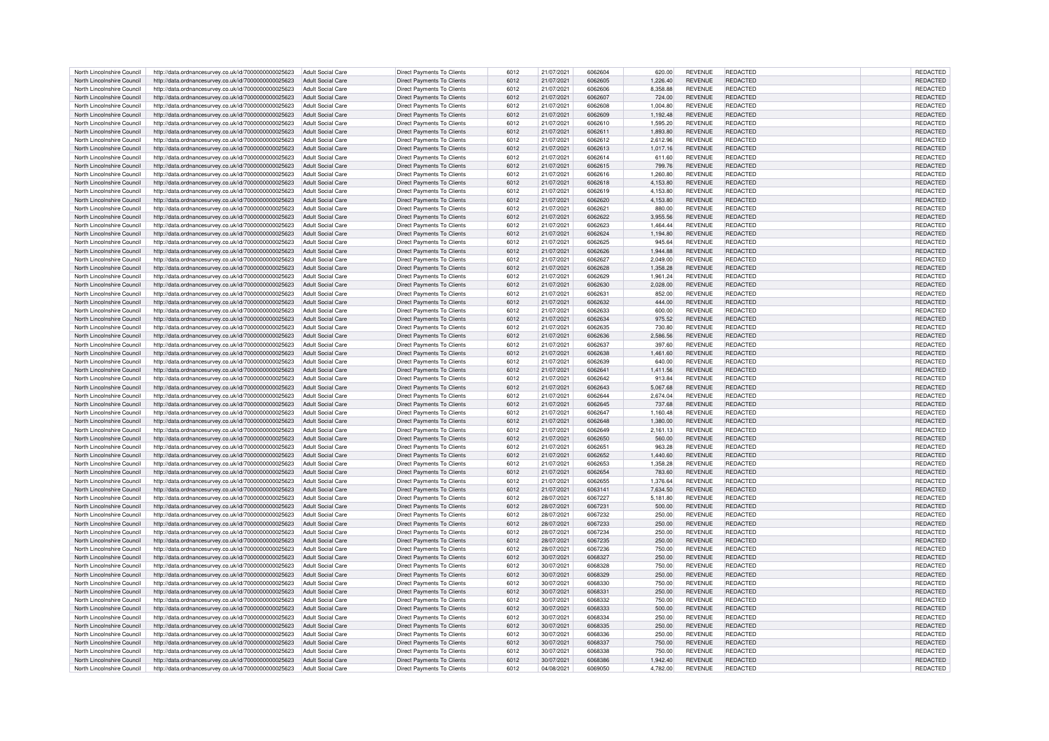| North Lincolnshire Council                               | http://data.ordnancesurvey.co.uk/id/7000000000025623                                                         | Adult Social Care        | Direct Payments To Clients        | 6012         | 21/07/2021               | 6062604 | 620.00               | <b>REVENUE</b>                   | REDACTED        | REDACTED             |
|----------------------------------------------------------|--------------------------------------------------------------------------------------------------------------|--------------------------|-----------------------------------|--------------|--------------------------|---------|----------------------|----------------------------------|-----------------|----------------------|
| North Lincolnshire Council                               | http://data.ordnancesurvey.co.uk/id/7000000000025623                                                         | Adult Social Care        | <b>Direct Payments To Clients</b> | 6012         | 21/07/2021               | 6062605 | 1,226.40             | <b>REVENUE</b>                   | REDACTED        | REDACTED             |
| North Lincolnshire Council                               | http://data.ordnancesurvey.co.uk/id/7000000000025623                                                         | Adult Social Care        | Direct Payments To Clients        | 6012         | 21/07/2021               | 6062606 | 8,358.88             | <b>REVENUE</b>                   | REDACTED        | REDACTED             |
| North Lincolnshire Council                               | http://data.ordnancesurvey.co.uk/id/7000000000025623                                                         | Adult Social Care        | Direct Payments To Clients        | 6012         | 21/07/2021               | 6062607 | 724.00               | <b>REVENUE</b>                   | <b>REDACTED</b> | <b>REDACTED</b>      |
| North Lincolnshire Council                               | http://data.ordnancesurvey.co.uk/id/7000000000025623                                                         | Adult Social Care        | Direct Payments To Clients        | 6012         | 21/07/2021               | 6062608 | 1,004.80             | <b>REVENUE</b>                   | REDACTED        | REDACTED             |
| North Lincolnshire Council                               | http://data.ordnancesurvey.co.uk/id/7000000000025623                                                         | <b>Adult Social Care</b> | Direct Payments To Clients        | 6012         | 21/07/2021               | 6062609 | 1,192.48             | <b>REVENUE</b>                   | <b>REDACTED</b> | REDACTED             |
| North Lincolnshire Council                               | http://data.ordnancesurvey.co.uk/id/7000000000025623                                                         | <b>Adult Social Care</b> | <b>Direct Payments To Clients</b> | 6012         | 21/07/2021               | 6062610 | 1,595.20             | <b>REVENUE</b>                   | REDACTED        | REDACTED             |
|                                                          |                                                                                                              | <b>Adult Social Care</b> | <b>Direct Payments To Clients</b> |              |                          | 606261  |                      |                                  | <b>REDACTED</b> |                      |
| North Lincolnshire Council<br>North Lincolnshire Council | http://data.ordnancesurvey.co.uk/id/7000000000025623<br>http://data.ordnancesurvey.co.uk/id/7000000000025623 | Adult Social Care        | Direct Payments To Clients        | 6012<br>6012 | 21/07/2021<br>21/07/2021 | 6062612 | 1,893.80<br>2.612.96 | <b>REVENUE</b><br><b>REVENUE</b> | REDACTED        | REDACTED<br>REDACTED |
|                                                          |                                                                                                              |                          |                                   |              |                          |         |                      |                                  |                 |                      |
| North Lincolnshire Council                               | http://data.ordnancesurvey.co.uk/id/7000000000025623                                                         | <b>Adult Social Care</b> | Direct Payments To Clients        | 6012         | 21/07/2021               | 6062613 | 1,017.16             | <b>REVENUE</b>                   | REDACTED        | REDACTED             |
| North Lincolnshire Council                               | http://data.ordnancesurvey.co.uk/id/7000000000025623                                                         | Adult Social Care        | Direct Payments To Clients        | 6012         | 21/07/2021               | 6062614 | 611.60               | <b>REVENUE</b>                   | REDACTED        | REDACTED             |
| North Lincolnshire Council                               | http://data.ordnancesurvey.co.uk/id/7000000000025623                                                         | Adult Social Care        | Direct Payments To Clients        | 6012         | 21/07/2021               | 6062615 | 799.76               | <b>REVENUE</b>                   | REDACTED        | REDACTED             |
| North Lincolnshire Council                               | http://data.ordnancesurvey.co.uk/id/7000000000025623                                                         | Adult Social Care        | Direct Payments To Clients        | 6012         | 21/07/2021               | 6062616 | 1,260.80             | <b>REVENUE</b>                   | REDACTED        | REDACTED             |
| North Lincolnshire Council                               | http://data.ordnancesurvey.co.uk/id/7000000000025623                                                         | Adult Social Care        | Direct Payments To Clients        | 6012         | 21/07/2021               | 6062618 | 4.153.80             | <b>REVENUE</b>                   | <b>REDACTED</b> | <b>REDACTED</b>      |
| North Lincolnshire Council                               | http://data.ordnancesurvey.co.uk/id/7000000000025623                                                         | Adult Social Care        | Direct Payments To Clients        | 6012         | 21/07/2021               | 6062619 | 4,153.80             | <b>REVENUE</b>                   | REDACTED        | REDACTED             |
| North Lincolnshire Council                               | http://data.ordnancesurvey.co.uk/id/7000000000025623                                                         | <b>Adult Social Care</b> | Direct Payments To Clients        | 6012         | 21/07/2021               | 6062620 | 4,153.80             | <b>REVENUE</b>                   | REDACTED        | REDACTED             |
| North Lincolnshire Council                               | http://data.ordnancesurvey.co.uk/id/7000000000025623                                                         | Adult Social Care        | Direct Payments To Clients        | 6012         | 21/07/2021               | 6062621 | 880.00               | <b>REVENUE</b>                   | REDACTED        | REDACTED             |
| North Lincolnshire Council                               | http://data.ordnancesurvey.co.uk/id/7000000000025623                                                         | <b>Adult Social Care</b> | <b>Direct Payments To Clients</b> | 6012         | 21/07/2021               | 6062622 | 3,955.56             | <b>REVENUE</b>                   | <b>REDACTED</b> | REDACTED             |
| North Lincolnshire Council                               | http://data.ordnancesurvey.co.uk/id/7000000000025623                                                         | <b>Adult Social Care</b> | Direct Payments To Clients        | 6012         | 21/07/2021               | 6062623 | 1,464.44             | <b>REVENUE</b>                   | REDACTED        | REDACTED             |
| North Lincolnshire Council                               | http://data.ordnancesurvey.co.uk/id/7000000000025623                                                         | <b>Adult Social Care</b> | Direct Payments To Clients        | 6012         | 21/07/2021               | 6062624 | 1,194.80             | <b>REVENUE</b>                   | <b>REDACTED</b> | REDACTED             |
| North Lincolnshire Council                               | http://data.ordnancesurvey.co.uk/id/7000000000025623                                                         | Adult Social Care        | Direct Payments To Clients        | 6012         | 21/07/2021               | 6062625 | 945.64               | <b>REVENUE</b>                   | REDACTED        | REDACTED             |
| North Lincolnshire Council                               | http://data.ordnancesurvey.co.uk/id/7000000000025623                                                         | Adult Social Care        | Direct Payments To Clients        | 6012         | 21/07/2021               | 6062626 | 1,944.88             | <b>REVENUE</b>                   | REDACTED        | REDACTED             |
| North Lincolnshire Council                               | http://data.ordnancesurvey.co.uk/id/7000000000025623                                                         | Adult Social Care        | Direct Payments To Clients        | 6012         | 21/07/2021               | 6062627 | 2,049.00             | <b>REVENUE</b>                   | <b>REDACTED</b> | REDACTED             |
| North Lincolnshire Council                               | http://data.ordnancesurvey.co.uk/id/7000000000025623                                                         |                          | Direct Payments To Clients        |              |                          | 6062628 |                      | <b>REVENUE</b>                   | <b>REDACTED</b> | REDACTED             |
| North Lincolnshire Council                               |                                                                                                              | Adult Social Care        |                                   | 6012         | 21/07/2021               |         | 1,358.28             |                                  |                 |                      |
|                                                          | http://data.ordnancesurvey.co.uk/id/7000000000025623                                                         | <b>Adult Social Care</b> | Direct Payments To Clients        | 6012         | 21/07/2021               | 6062629 | 1,961.24             | <b>REVENUE</b>                   | REDACTED        | REDACTED             |
| North Lincolnshire Council                               | http://data.ordnancesurvey.co.uk/id/7000000000025623                                                         | <b>Adult Social Care</b> | Direct Payments To Clients        | 6012         | 21/07/2021               | 6062630 | 2,028.00             | <b>REVENUE</b>                   | <b>REDACTED</b> | REDACTED             |
| North Lincolnshire Council                               | http://data.ordnancesurvey.co.uk/id/7000000000025623                                                         | Adult Social Care        | Direct Payments To Clients        | 6012         | 21/07/2021               | 6062631 | 852.00               | <b>REVENUE</b>                   | REDACTED        | REDACTED             |
| North Lincolnshire Council                               | http://data.ordnancesurvey.co.uk/id/7000000000025623                                                         | <b>Adult Social Care</b> | <b>Direct Payments To Clients</b> | 6012         | 21/07/2021               | 6062632 | 444.00               | <b>REVENUE</b>                   | REDACTED        | REDACTED             |
| North Lincolnshire Council                               | http://data.ordnancesurvey.co.uk/id/7000000000025623                                                         | <b>Adult Social Care</b> | Direct Payments To Clients        | 6012         | 21/07/2021               | 6062633 | 600.00               | <b>REVENUE</b>                   | REDACTED        | REDACTED             |
| North Lincolnshire Council                               | http://data.ordnancesurvey.co.uk/id/7000000000025623                                                         | Adult Social Care        | Direct Payments To Clients        | 6012         | 21/07/2021               | 6062634 | 975.52               | <b>REVENUE</b>                   | REDACTED        | <b>REDACTED</b>      |
| North Lincolnshire Council                               | http://data.ordnancesurvey.co.uk/id/7000000000025623                                                         | Adult Social Care        | Direct Payments To Clients        | 6012         | 21/07/2021               | 6062635 | 730.80               | REVENUE                          | REDACTED        | REDACTED             |
| North Lincolnshire Council                               | http://data.ordnancesurvey.co.uk/id/7000000000025623                                                         | Adult Social Care        | <b>Direct Payments To Clients</b> | 6012         | 21/07/2021               | 6062636 | 2,586.56             | <b>REVENUE</b>                   | REDACTED        | REDACTED             |
| North Lincolnshire Council                               | http://data.ordnancesurvey.co.uk/id/7000000000025623                                                         | Adult Social Care        | Direct Payments To Clients        | 6012         | 21/07/2021               | 6062637 | 397.60               | <b>REVENUE</b>                   | REDACTED        | REDACTED             |
| North Lincolnshire Council                               | http://data.ordnancesurvey.co.uk/id/7000000000025623                                                         | Adult Social Care        | <b>Direct Payments To Clients</b> | 6012         | 21/07/2021               | 6062638 | 1,461.60             | <b>REVENUE</b>                   | REDACTED        | REDACTED             |
| North Lincolnshire Council                               | http://data.ordnancesurvey.co.uk/id/7000000000025623                                                         | <b>Adult Social Care</b> | Direct Payments To Clients        | 6012         | 21/07/2021               | 6062639 | 640.00               | <b>REVENUE</b>                   | REDACTED        | <b>REDACTED</b>      |
| North Lincolnshire Council                               | http://data.ordnancesurvey.co.uk/id/7000000000025623                                                         | <b>Adult Social Care</b> | Direct Payments To Clients        | 6012         | 21/07/2021               | 6062641 | 1,411.56             | <b>REVENUE</b>                   | REDACTED        | REDACTED             |
| North Lincolnshire Council                               | http://data.ordnancesurvey.co.uk/id/7000000000025623                                                         | Adult Social Care        | Direct Payments To Clients        | 6012         | 21/07/2021               | 6062642 | 913.84               | <b>REVENUE</b>                   | REDACTED        | <b>REDACTED</b>      |
| North Lincolnshire Council                               | http://data.ordnancesurvey.co.uk/id/7000000000025623                                                         | <b>Adult Social Care</b> | <b>Direct Payments To Clients</b> | 6012         | 21/07/2021               | 6062643 | 5,067.68             | <b>REVENUE</b>                   | REDACTED        | REDACTED             |
| North Lincolnshire Council                               | http://data.ordnancesurvey.co.uk/id/7000000000025623                                                         | Adult Social Care        | Direct Payments To Clients        | 6012         | 21/07/2021               | 6062644 | 2.674.04             | <b>REVENUE</b>                   | REDACTED        | REDACTED             |
|                                                          |                                                                                                              |                          |                                   |              |                          |         |                      |                                  |                 |                      |
| North Lincolnshire Council                               | http://data.ordnancesurvey.co.uk/id/7000000000025623                                                         | Adult Social Care        | Direct Payments To Clients        | 6012         | 21/07/2021               | 6062645 | 737.68               | <b>REVENUE</b>                   | REDACTED        | REDACTED             |
| North Lincolnshire Council                               | http://data.ordnancesurvey.co.uk/id/7000000000025623                                                         | Adult Social Care        | Direct Payments To Clients        | 6012         | 21/07/2021               | 6062647 | 1,160.48             | <b>REVENUE</b>                   | REDACTED        | REDACTED             |
| North Lincolnshire Council                               | http://data.ordnancesurvey.co.uk/id/7000000000025623                                                         | Adult Social Care        | Direct Payments To Clients        | 6012         | 21/07/2021               | 6062648 | 1,380.00             | <b>REVENUE</b>                   | REDACTED        | <b>REDACTED</b>      |
| North Lincolnshire Council                               | http://data.ordnancesurvey.co.uk/id/7000000000025623                                                         | Adult Social Care        | <b>Direct Payments To Clients</b> | 6012         | 21/07/2021               | 6062649 | 2,161.13             | <b>REVENUE</b>                   | REDACTED        | REDACTED             |
| North Lincolnshire Council                               | http://data.ordnancesurvey.co.uk/id/7000000000025623                                                         | Adult Social Care        | Direct Payments To Clients        | 6012         | 21/07/2021               | 6062650 | 560.00               | <b>REVENUE</b>                   | <b>REDACTED</b> | REDACTED             |
| North Lincolnshire Council                               | http://data.ordnancesurvey.co.uk/id/7000000000025623                                                         | <b>Adult Social Care</b> | Direct Payments To Clients        | 6012         | 21/07/2021               | 606265  | 963.28               | <b>REVENUE</b>                   | REDACTED        | REDACTED             |
| North Lincolnshire Council                               | http://data.ordnancesurvey.co.uk/id/7000000000025623                                                         | <b>Adult Social Care</b> | <b>Direct Payments To Clients</b> | 6012         | 21/07/2021               | 6062652 | 1,440.60             | <b>REVENUE</b>                   | REDACTED        | REDACTED             |
| North Lincolnshire Council                               | http://data.ordnancesurvey.co.uk/id/7000000000025623                                                         | <b>Adult Social Care</b> | Direct Payments To Clients        | 6012         | 21/07/2021               | 6062653 | 1,358.28             | <b>REVENUE</b>                   | REDACTED        | REDACTED             |
| North Lincolnshire Council                               | http://data.ordnancesurvey.co.uk/id/7000000000025623                                                         | Adult Social Care        | <b>Direct Payments To Clients</b> | 6012         | 21/07/2021               | 6062654 | 783.60               | <b>REVENUE</b>                   | REDACTED        | <b>REDACTED</b>      |
| North Lincolnshire Council                               | http://data.ordnancesurvey.co.uk/id/7000000000025623                                                         | Adult Social Care        | Direct Payments To Clients        | 6012         | 21/07/2021               | 6062655 | 1.376.64             | <b>REVENUE</b>                   | <b>REDACTED</b> | <b>REDACTED</b>      |
| North Lincolnshire Council                               | http://data.ordnancesurvey.co.uk/id/7000000000025623                                                         | Adult Social Care        | Direct Payments To Clients        | 6012         | 21/07/2021               | 6063141 | 7,634.50             | <b>REVENUE</b>                   | REDACTED        | REDACTED             |
| North Lincolnshire Council                               | http://data.ordnancesurvey.co.uk/id/7000000000025623                                                         | Adult Social Care        | Direct Payments To Clients        | 6012         | 28/07/2021               | 6067227 | 5,181.80             | <b>REVENUE</b>                   | REDACTED        | REDACTED             |
| North Lincolnshire Council                               | http://data.ordnancesurvey.co.uk/id/7000000000025623                                                         | <b>Adult Social Care</b> | <b>Direct Payments To Clients</b> | 6012         | 28/07/2021               | 6067231 | 500.00               | <b>REVENUE</b>                   | REDACTED        | REDACTED             |
| North Lincolnshire Council                               | http://data.ordnancesurvey.co.uk/id/7000000000025623                                                         | Adult Social Care        | Direct Payments To Clients        | 6012         | 28/07/2021               | 6067232 | 250.00               | <b>REVENUE</b>                   | REDACTED        | REDACTED             |
| North Lincolnshire Council                               | http://data.ordnancesurvey.co.uk/id/7000000000025623                                                         | <b>Adult Social Care</b> | Direct Payments To Clients        | 6012         | 28/07/2021               | 6067233 | 250.00               | <b>REVENUE</b>                   | REDACTED        | REDACTED             |
| North Lincolnshire Council                               | http://data.ordnancesurvey.co.uk/id/7000000000025623                                                         | Adult Social Care        | Direct Payments To Clients        | 6012         | 28/07/2021               | 6067234 | 250.00               | <b>REVENUE</b>                   | REDACTED        | REDACTED             |
| North Lincolnshire Council                               | http://data.ordnancesurvey.co.uk/id/7000000000025623                                                         | <b>Adult Social Care</b> | Direct Payments To Clients        | 6012         | 28/07/2021               | 6067235 | 250.00               | <b>REVENUE</b>                   | <b>REDACTED</b> | <b>REDACTED</b>      |
| North Lincolnshire Council                               | http://data.ordnancesurvey.co.uk/id/7000000000025623                                                         | <b>Adult Social Care</b> | Direct Payments To Clients        | 6012         | 28/07/2021               | 6067236 | 750.00               | <b>REVENUE</b>                   | <b>REDACTED</b> | REDACTED             |
| North Lincolnshire Council                               | http://data.ordnancesurvey.co.uk/id/7000000000025623                                                         | Adult Social Care        | Direct Payments To Clients        | 6012         | 30/07/2021               | 6068327 | 250.00               | <b>REVENUE</b>                   | REDACTED        | <b>REDACTED</b>      |
| North Lincolnshire Council                               | http://data.ordnancesurvey.co.uk/id/7000000000025623                                                         | <b>Adult Social Care</b> | Direct Payments To Clients        | 6012         | 30/07/2021               | 6068328 | 750.00               | <b>REVENUE</b>                   | <b>REDACTED</b> | REDACTED             |
| North Lincolnshire Council                               |                                                                                                              | Adult Social Care        | Direct Payments To Clients        | 6012         | 30/07/2021               | 6068329 | 250.00               | <b>REVENUE</b>                   | REDACTED        | REDACTED             |
|                                                          | http://data.ordnancesurvey.co.uk/id/7000000000025623                                                         |                          |                                   |              |                          |         |                      |                                  |                 |                      |
| North Lincolnshire Council                               | http://data.ordnancesurvey.co.uk/id/7000000000025623                                                         | Adult Social Care        | Direct Payments To Clients        | 6012         | 30/07/2021               | 6068330 | 750.00               | <b>REVENUE</b>                   | REDACTED        | REDACTED             |
| North Lincolnshire Council                               | http://data.ordnancesurvey.co.uk/id/7000000000025623                                                         | Adult Social Care        | <b>Direct Payments To Clients</b> | 6012         | 30/07/2021               | 6068331 | 250.00               | <b>REVENUE</b>                   | REDACTED        | REDACTED             |
| North Lincolnshire Council                               | http://data.ordnancesurvey.co.uk/id/7000000000025623                                                         | Adult Social Care        | Direct Payments To Clients        | 6012         | 30/07/2021               | 6068332 | 750.00               | <b>REVENUE</b>                   | REDACTED        | REDACTED             |
| North Lincolnshire Council                               | http://data.ordnancesurvey.co.uk/id/7000000000025623                                                         | <b>Adult Social Care</b> | Direct Payments To Clients        | 6012         | 30/07/2021               | 6068333 | 500.00               | <b>REVENUE</b>                   | REDACTED        | REDACTED             |
| North Lincolnshire Council                               | http://data.ordnancesurvey.co.uk/id/7000000000025623                                                         | <b>Adult Social Care</b> | Direct Payments To Clients        | 6012         | 30/07/2021               | 6068334 | 250.00               | <b>REVENUE</b>                   | REDACTED        | REDACTED             |
| North Lincolnshire Council                               | http://data.ordnancesurvey.co.uk/id/7000000000025623                                                         | <b>Adult Social Care</b> | Direct Payments To Clients        | 6012         | 30/07/2021               | 6068335 | 250.00               | <b>REVENUE</b>                   | REDACTED        | REDACTED             |
| North Lincolnshire Council                               | http://data.ordnancesurvey.co.uk/id/7000000000025623                                                         | <b>Adult Social Care</b> | Direct Payments To Clients        | 6012         | 30/07/2021               | 6068336 | 250.00               | <b>REVENUE</b>                   | <b>REDACTED</b> | REDACTED             |
| North Lincolnshire Council                               | http://data.ordnancesurvey.co.uk/id/7000000000025623                                                         | <b>Adult Social Care</b> | <b>Direct Payments To Clients</b> | 6012         | 30/07/2021               | 6068337 | 750.00               | <b>REVENUE</b>                   | REDACTED        | REDACTED             |
| North Lincolnshire Council                               | http://data.ordnancesurvey.co.uk/id/7000000000025623                                                         | Adult Social Care        | Direct Payments To Clients        | 6012         | 30/07/2021               | 6068338 | 750.00               | <b>REVENUE</b>                   | REDACTED        | <b>REDACTED</b>      |
| North Lincolnshire Council                               | http://data.ordnancesurvey.co.uk/id/700000000025623 Adult Social Care                                        |                          | Direct Payments To Clients        | 6012         | 30/07/2021               | 6068386 | 1,942.40             | <b>REVENUE</b>                   | <b>REDACTED</b> | <b>REDACTED</b>      |
| North Lincolnshire Council                               | http://data.ordnancesurvey.co.uk/id/7000000000025623 Adult Social Care                                       |                          | Direct Payments To Clients        | 6012         | 04/08/2021               | 6069050 | 4,782.00             | <b>REVENUE</b>                   | REDACTED        | REDACTED             |
|                                                          |                                                                                                              |                          |                                   |              |                          |         |                      |                                  |                 |                      |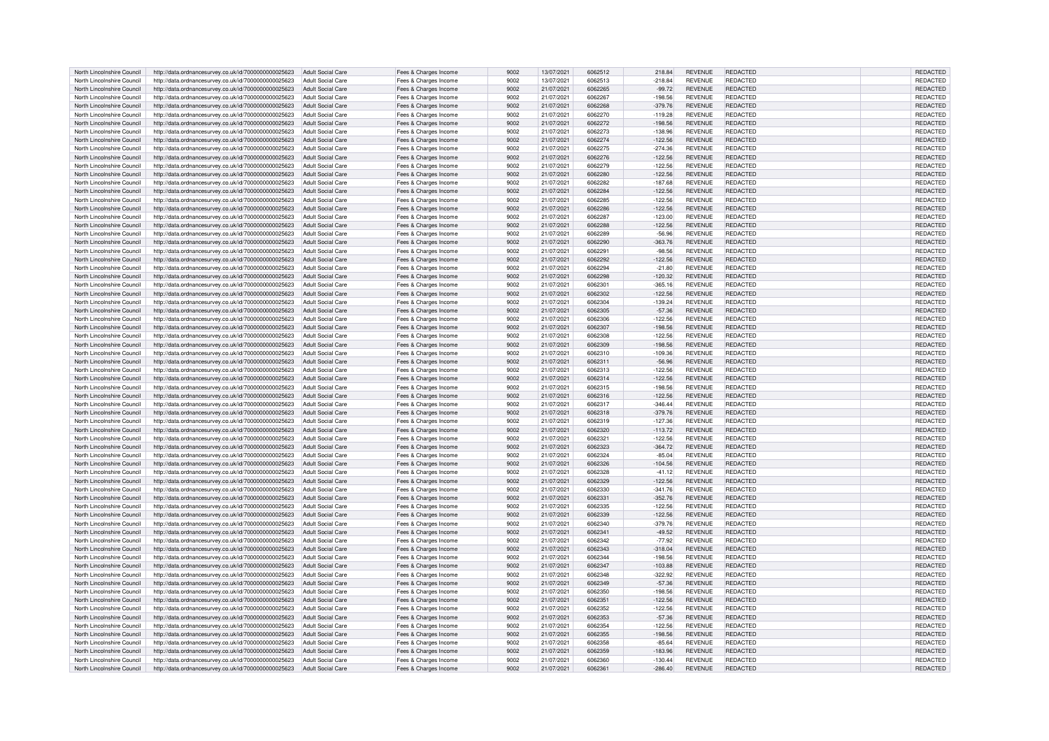| North Lincolnshire Council                               | http://data.ordnancesurvey.co.uk/id/7000000000025623                                                                           | Adult Social Care        | Fees & Charges Income                          | 9002         | 13/07/2021               | 6062512            | 218.84                 | <b>REVENUE</b>                   | <b>REDACTED</b>                    | <b>REDACTED</b>             |
|----------------------------------------------------------|--------------------------------------------------------------------------------------------------------------------------------|--------------------------|------------------------------------------------|--------------|--------------------------|--------------------|------------------------|----------------------------------|------------------------------------|-----------------------------|
| North Lincolnshire Council                               | http://data.ordnancesurvey.co.uk/id/7000000000025623                                                                           | Adult Social Care        | Fees & Charges Income                          | 9002         | 13/07/2021               | 6062513            | $-218.84$              | <b>REVENUE</b>                   | REDACTED                           | REDACTED                    |
|                                                          |                                                                                                                                |                          |                                                |              |                          | 6062265            |                        |                                  |                                    |                             |
| North Lincolnshire Council                               | http://data.ordnancesurvey.co.uk/id/7000000000025623                                                                           | <b>Adult Social Care</b> | Fees & Charges Income                          | 9002         | 21/07/2021               |                    | $-99.72$               | <b>REVENUE</b>                   | REDACTED                           | REDACTED                    |
| North Lincolnshire Council                               | http://data.ordnancesurvey.co.uk/id/7000000000025623                                                                           | Adult Social Care        | Fees & Charges Income                          | 9002         | 21/07/2021               | 6062267            | $-198.56$              | <b>REVENUE</b>                   | REDACTED                           | <b>REDACTED</b>             |
| North Lincolnshire Council                               | http://data.ordnancesurvey.co.uk/id/7000000000025623                                                                           | <b>Adult Social Care</b> | Fees & Charges Income                          | 9002         | 21/07/2021               | 6062268            | $-379.76$              | <b>REVENUE</b>                   | <b>REDACTED</b>                    | REDACTED                    |
| North Lincolnshire Council                               | http://data.ordnancesurvey.co.uk/id/7000000000025623                                                                           | <b>Adult Social Care</b> | Fees & Charges Income                          | 9002         | 21/07/2021               | 6062270            | $-119.28$              | <b>REVENUE</b>                   | REDACTED                           | REDACTED                    |
| North Lincolnshire Council                               | http://data.ordnancesurvey.co.uk/id/7000000000025623                                                                           | <b>Adult Social Care</b> | Fees & Charges Income                          | 9002         | 21/07/2021               | 6062272            | $-198.56$              | <b>REVENUE</b>                   | REDACTED                           | REDACTED                    |
| North Lincolnshire Council                               | http://data.ordnancesurvey.co.uk/id/7000000000025623                                                                           | <b>Adult Social Care</b> | Fees & Charges Income                          | 9002         | 21/07/2021               | 6062273            | $-138.96$              | <b>REVENUE</b>                   | <b>REDACTED</b>                    | REDACTED                    |
|                                                          |                                                                                                                                |                          |                                                |              |                          |                    |                        |                                  |                                    |                             |
| North Lincolnshire Council                               | http://data.ordnancesurvey.co.uk/id/7000000000025623                                                                           | <b>Adult Social Care</b> | Fees & Charges Income                          | 9002         | 21/07/2021               | 6062274            | $-122.56$              | <b>REVENUE</b>                   | REDACTED                           | <b>REDACTED</b>             |
| North Lincolnshire Council                               | http://data.ordnancesurvey.co.uk/id/7000000000025623                                                                           | <b>Adult Social Care</b> | Fees & Charges Income                          | 9002         | 21/07/2021               | 6062275            | $-274.36$              | <b>REVENUE</b>                   | REDACTED                           | REDACTED                    |
| North Lincolnshire Council                               | http://data.ordnancesurvey.co.uk/id/7000000000025623                                                                           | <b>Adult Social Care</b> | Fees & Charges Income                          | 9002         | 21/07/2021               | 6062276            | $-122.56$              | <b>REVENUE</b>                   | <b>REDACTED</b>                    | REDACTED                    |
| North Lincolnshire Council                               | http://data.ordnancesurvey.co.uk/id/7000000000025623                                                                           | Adult Social Care        | Fees & Charges Income                          | 9002         | 21/07/2021               | 6062279            | $-122.56$              | <b>REVENUE</b>                   | REDACTED                           | REDACTED                    |
| North Lincolnshire Council                               | http://data.ordnancesurvey.co.uk/id/7000000000025623                                                                           | Adult Social Care        | Fees & Charges Income                          | 9002         | 21/07/2021               | 6062280            | $-122.56$              | <b>REVENUE</b>                   | <b>REDACTED</b>                    | REDACTED                    |
|                                                          |                                                                                                                                |                          |                                                |              |                          |                    |                        |                                  |                                    |                             |
| North Lincolnshire Council                               | http://data.ordnancesurvey.co.uk/id/7000000000025623                                                                           | Adult Social Care        | Fees & Charges Income                          | 9002         | 21/07/2021               | 6062282            | $-187.68$              | <b>REVENUE</b>                   | REDACTED                           | REDACTED                    |
| North Lincolnshire Council                               | http://data.ordnancesurvey.co.uk/id/7000000000025623                                                                           | Adult Social Care        | Fees & Charges Income                          | 9002         | 21/07/2021               | 6062284            | $-122.56$              | <b>REVENUE</b>                   | <b>REDACTED</b>                    | REDACTED                    |
| North Lincolnshire Council                               | http://data.ordnancesurvey.co.uk/id/7000000000025623                                                                           | <b>Adult Social Care</b> | Fees & Charges Income                          | 9002         | 21/07/2021               | 6062285            | $-122.56$              | <b>REVENUE</b>                   | REDACTED                           | REDACTED                    |
| North Lincolnshire Council                               | http://data.ordnancesurvey.co.uk/id/7000000000025623                                                                           | <b>Adult Social Care</b> | Fees & Charges Income                          | 9002         | 21/07/2021               | 6062286            | $-122.56$              | <b>REVENUE</b>                   | REDACTED                           | REDACTED                    |
| North Lincolnshire Council                               | http://data.ordnancesurvey.co.uk/id/7000000000025623                                                                           | <b>Adult Social Care</b> | Fees & Charges Income                          | 9002         | 21/07/2021               | 6062287            | $-123.00$              | <b>REVENUE</b>                   | <b>REDACTED</b>                    | REDACTED                    |
|                                                          |                                                                                                                                |                          |                                                |              |                          |                    |                        |                                  |                                    |                             |
| North Lincolnshire Council                               | http://data.ordnancesurvey.co.uk/id/7000000000025623                                                                           | <b>Adult Social Care</b> | Fees & Charges Income                          | 9002         | 21/07/2021               | 6062288            | $-122.56$              | <b>REVENUE</b>                   | <b>REDACTED</b>                    | REDACTED                    |
| North Lincolnshire Council                               | http://data.ordnancesurvey.co.uk/id/7000000000025623                                                                           | Adult Social Care        | Fees & Charges Income                          | 9002         | 21/07/2021               | 6062289            | $-56.96$               | <b>REVENUE</b>                   | REDACTED                           | REDACTED                    |
| North Lincolnshire Council                               | http://data.ordnancesurvey.co.uk/id/7000000000025623                                                                           | <b>Adult Social Care</b> | Fees & Charges Income                          | 9002         | 21/07/2021               | 6062290            | $-363.76$              | <b>REVENUE</b>                   | REDACTED                           | REDACTED                    |
| North Lincolnshire Council                               | http://data.ordnancesurvey.co.uk/id/7000000000025623                                                                           | Adult Social Care        | Fees & Charges Income                          | 9002         | 21/07/2021               | 6062291            | $-98.56$               | <b>REVENUE</b>                   | REDACTED                           | REDACTED                    |
| North Lincolnshire Council                               | http://data.ordnancesurvey.co.uk/id/7000000000025623                                                                           | <b>Adult Social Care</b> | Fees & Charges Income                          | 9002         | 21/07/2021               | 6062292            | $-122.56$              | <b>REVENUE</b>                   | <b>REDACTED</b>                    | <b>REDACTEI</b>             |
|                                                          |                                                                                                                                |                          |                                                |              |                          |                    |                        |                                  |                                    |                             |
| North Lincolnshire Council                               | http://data.ordnancesurvey.co.uk/id/7000000000025623                                                                           | Adult Social Care        | Fees & Charges Income                          | 9002         | 21/07/2021               | 6062294            | $-21.80$               | <b>REVENUE</b>                   | <b>REDACTED</b>                    | REDACTED                    |
| North Lincolnshire Council                               | http://data.ordnancesurvey.co.uk/id/7000000000025623                                                                           | <b>Adult Social Care</b> | Fees & Charges Income                          | 9002         | 21/07/2021               | 6062298            | $-120.32$              | <b>REVENUE</b>                   | <b>REDACTED</b>                    | REDACTED                    |
| North Lincolnshire Council                               | http://data.ordnancesurvey.co.uk/id/7000000000025623                                                                           | <b>Adult Social Care</b> | Fees & Charges Income                          | 9002         | 21/07/2021               | 606230             | $-365.16$              | <b>REVENUE</b>                   | <b>REDACTED</b>                    | REDACTED                    |
| North Lincolnshire Council                               | http://data.ordnancesurvey.co.uk/id/7000000000025623                                                                           | <b>Adult Social Care</b> | Fees & Charges Income                          | 9002         | 21/07/2021               | 6062302            | $-122.56$              | <b>REVENUE</b>                   | <b>REDACTED</b>                    | REDACTED                    |
| North Lincolnshire Council                               | http://data.ordnancesurvey.co.uk/id/7000000000025623                                                                           | <b>Adult Social Care</b> | Fees & Charges Income                          | 9002         | 21/07/2021               | 6062304            | $-139.24$              | <b>REVENUE</b>                   | <b>REDACTED</b>                    | REDACTED                    |
| North Lincolnshire Council                               |                                                                                                                                | <b>Adult Social Care</b> |                                                | 9002         | 21/07/2021               | 6062305            | $-57.36$               | <b>REVENUE</b>                   | <b>REDACTED</b>                    | <b>REDACTED</b>             |
|                                                          | http://data.ordnancesurvey.co.uk/id/7000000000025623                                                                           |                          | Fees & Charges Income                          |              |                          |                    |                        |                                  |                                    |                             |
| North Lincolnshire Council                               | http://data.ordnancesurvey.co.uk/id/7000000000025623                                                                           | <b>Adult Social Care</b> | Fees & Charges Income                          | 9002         | 21/07/2021               | 6062306            | $-122.56$              | <b>REVENUE</b>                   | <b>REDACTED</b>                    | REDACTED                    |
| North Lincolnshire Council                               | http://data.ordnancesurvey.co.uk/id/7000000000025623                                                                           | Adult Social Care        | Fees & Charges Income                          | 9002         | 21/07/2021               | 6062307            | $-198.56$              | <b>REVENUE</b>                   | <b>REDACTED</b>                    | REDACTED                    |
| North Lincolnshire Council                               | http://data.ordnancesurvey.co.uk/id/7000000000025623                                                                           | Adult Social Care        | Fees & Charges Income                          | 9002         | 21/07/2021               | 6062308            | $-122.56$              | <b>REVENUE</b>                   | REDACTED                           | <b>REDACTED</b>             |
| North Lincolnshire Council                               | http://data.ordnancesurvey.co.uk/id/7000000000025623                                                                           | Adult Social Care        | Fees & Charges Income                          | 9002         | 21/07/2021               | 6062309            | $-198.56$              | <b>REVENUE</b>                   | <b>REDACTED</b>                    | REDACTED                    |
| North Lincolnshire Council                               |                                                                                                                                | Adult Social Care        |                                                | 9002         | 21/07/2021               | 6062310            |                        | <b>REVENUE</b>                   | <b>REDACTED</b>                    | REDACTED                    |
|                                                          | http://data.ordnancesurvey.co.uk/id/7000000000025623                                                                           |                          | Fees & Charges Income                          |              |                          |                    | $-109.36$              |                                  |                                    |                             |
| North Lincolnshire Council                               | http://data.ordnancesurvey.co.uk/id/7000000000025623                                                                           | <b>Adult Social Care</b> | Fees & Charges Income                          | 9002         | 21/07/2021               | 6062311            | $-56.96$               | <b>REVENUE</b>                   | <b>REDACTED</b>                    | <b>REDACTED</b>             |
| North Lincolnshire Council                               | http://data.ordnancesurvey.co.uk/id/7000000000025623                                                                           | <b>Adult Social Care</b> | Fees & Charges Income                          | 9002         | 21/07/2021               | 6062313            | $-122.56$              | <b>REVENUE</b>                   | REDACTED                           | REDACTED                    |
| North Lincolnshire Council                               | http://data.ordnancesurvey.co.uk/id/7000000000025623                                                                           | <b>Adult Social Care</b> | Fees & Charges Income                          | 9002         | 21/07/2021               | 6062314            | $-122.56$              | <b>REVENUE</b>                   | <b>REDACTED</b>                    | <b>REDACTED</b>             |
| North Lincolnshire Council                               | http://data.ordnancesurvey.co.uk/id/7000000000025623                                                                           | <b>Adult Social Care</b> | Fees & Charges Income                          | 9002         | 21/07/2021               | 6062315            | $-198.56$              | <b>REVENUE</b>                   | <b>REDACTED</b>                    | REDACTED                    |
| North Lincolnshire Council                               | http://data.ordnancesurvey.co.uk/id/7000000000025623                                                                           | <b>Adult Social Care</b> | Fees & Charges Income                          | 9002         | 21/07/2021               | 6062316            | $-122.56$              | <b>REVENUE</b>                   | <b>REDACTED</b>                    | <b>REDACTED</b>             |
|                                                          |                                                                                                                                |                          |                                                |              |                          |                    |                        |                                  |                                    |                             |
| North Lincolnshire Council                               | http://data.ordnancesurvey.co.uk/id/7000000000025623                                                                           | <b>Adult Social Care</b> | Fees & Charges Income                          | 9002         | 21/07/2021               | 6062317            | $-346.44$              | <b>REVENUE</b>                   | REDACTED                           | REDACTED                    |
| North Lincolnshire Council                               | http://data.ordnancesurvey.co.uk/id/7000000000025623                                                                           | Adult Social Care        | Fees & Charges Income                          | 9002         | 21/07/2021               | 6062318            | $-379.76$              | <b>REVENUE</b>                   | REDACTED                           | REDACTED                    |
| North Lincolnshire Council                               | http://data.ordnancesurvey.co.uk/id/7000000000025623                                                                           | <b>Adult Social Care</b> | Fees & Charges Income                          | 9002         | 21/07/2021               | 6062319            | $-127.36$              | RFVFNUF                          | <b>REDACTED</b>                    | <b>REDACTED</b>             |
| North Lincolnshire Council                               | http://data.ordnancesurvey.co.uk/id/7000000000025623                                                                           | Adult Social Care        | Fees & Charges Income                          | 9002         | 21/07/2021               | 6062320            | $-113.72$              | <b>REVENUE</b>                   | REDACTED                           | REDACTED                    |
| North Lincolnshire Council                               |                                                                                                                                | Adult Social Care        |                                                | 9002         | 21/07/2021               | 6062321            |                        | <b>REVENUE</b>                   | <b>REDACTED</b>                    | REDACTED                    |
|                                                          | http://data.ordnancesurvey.co.uk/id/7000000000025623                                                                           |                          | Fees & Charges Income                          |              |                          |                    | $-122.56$              |                                  |                                    |                             |
| North Lincolnshire Council                               | http://data.ordnancesurvey.co.uk/id/7000000000025623                                                                           | <b>Adult Social Care</b> | Fees & Charges Income                          | 9002         | 21/07/2021               | 6062323            | $-364.72$              | <b>REVENUE</b>                   | <b>REDACTED</b>                    | REDACTED                    |
| North Lincolnshire Council                               | http://data.ordnancesurvey.co.uk/id/7000000000025623                                                                           | <b>Adult Social Care</b> | Fees & Charges Income                          | 9002         | 21/07/2021               | 6062324            | $-85.04$               | <b>REVENUE</b>                   | <b>REDACTED</b>                    | REDACTED                    |
| North Lincolnshire Council                               | http://data.ordnancesurvey.co.uk/id/7000000000025623                                                                           | <b>Adult Social Care</b> | Fees & Charges Income                          | 9002         | 21/07/2021               | 6062326            | $-104.56$              | <b>REVENUE</b>                   | REDACTED                           | <b>REDACTED</b>             |
| North Lincolnshire Council                               | http://data.ordnancesurvey.co.uk/id/7000000000025623                                                                           | Adult Social Care        | Fees & Charges Income                          | 9002         | 21/07/2021               | 6062328            | $-41.12$               | <b>REVENUE</b>                   | REDACTED                           | REDACTED                    |
| North Lincolnshire Council                               |                                                                                                                                | <b>Adult Social Care</b> |                                                | 9002         | 21/07/2021               | 6062329            | $-122.56$              | <b>REVENUE</b>                   | <b>REDACTED</b>                    | REDACTED                    |
|                                                          | http://data.ordnancesurvey.co.uk/id/7000000000025623                                                                           |                          | Fees & Charges Income                          |              |                          |                    |                        |                                  |                                    |                             |
| North Lincolnshire Council                               | http://data.ordnancesurvey.co.uk/id/7000000000025623                                                                           | Adult Social Care        | Fees & Charges Income                          | 9002         | 21/07/2021               | 6062330            | $-341.76$              | <b>REVENUE</b>                   | <b>REDACTED</b>                    | REDACTED                    |
| North Lincolnshire Council                               | http://data.ordnancesurvey.co.uk/id/7000000000025623                                                                           | Adult Social Care        | Fees & Charges Income                          | 9002         | 21/07/2021               | 6062331            | $-352.76$              | <b>REVENUE</b>                   | <b>REDACTED</b>                    | REDACTED                    |
| North Lincolnshire Council                               | http://data.ordnancesurvey.co.uk/id/7000000000025623                                                                           | Adult Social Care        | Fees & Charges Income                          | 9002         | 21/07/2021               | 6062335            | $-122.56$              | <b>REVENUE</b>                   | <b>REDACTED</b>                    | REDACTED                    |
| North Lincolnshire Council                               | http://data.ordnancesurvey.co.uk/id/7000000000025623                                                                           | Adult Social Care        | Fees & Charges Income                          | 9002         | 21/07/2021               | 6062339            | $-122.56$              | <b>REVENUE</b>                   | <b>REDACTED</b>                    | <b>REDACTED</b>             |
| North Lincolnshire Council                               | http://data.ordnancesurvey.co.uk/id/7000000000025623                                                                           | Adult Social Care        | Fees & Charges Income                          | 9002         | 21/07/2021               | B062340            | $-379.76$              | <b>REVENUE</b>                   | <b>REDACTED</b>                    | REDACTED                    |
|                                                          |                                                                                                                                |                          |                                                |              |                          | 6062341            |                        |                                  |                                    |                             |
| North Lincolnshire Council                               | http://data.ordnancesurvey.co.uk/id/7000000000025623                                                                           | Adult Social Care        | Fees & Charges Income                          | 9002         | 21/07/2021               |                    | $-49.52$               | <b>REVENUE</b>                   | <b>REDACTED</b>                    | REDACTED                    |
| North Lincolnshire Council                               | http://data.ordnancesurvey.co.uk/id/7000000000025623                                                                           | Adult Social Care        | Fees & Charges Income                          | 9002         | 21/07/2021               | 6062342            | $-77.92$               | <b>REVENUE</b>                   | <b>REDACTED</b>                    | REDACTED                    |
| North Lincolnshire Council                               | http://data.ordnancesurvey.co.uk/id/7000000000025623                                                                           | <b>Adult Social Care</b> | Fees & Charges Income                          | 9002         | 21/07/2021               | 6062343            | $-318.04$              | <b>REVENUE</b>                   | <b>REDACTED</b>                    | REDACTED                    |
| North Lincolnshire Council                               | http://data.ordnancesurvey.co.uk/id/7000000000025623                                                                           | Adult Social Care        | Fees & Charges Income                          | 9002         | 21/07/2021               | 6062344            | $-198.56$              | <b>REVENUE</b>                   | <b>REDACTED</b>                    | <b>REDACTED</b>             |
| North Lincolnshire Council                               | http://data.ordnancesurvey.co.uk/id/7000000000025623                                                                           | <b>Adult Social Care</b> | Fees & Charges Income                          | 9002         | 21/07/2021               | 6062347            | $-103.88$              | <b>REVENUE</b>                   | <b>REDACTED</b>                    | REDACTED                    |
| North Lincolnshire Council                               | http://data.ordnancesurvey.co.uk/id/7000000000025623                                                                           | <b>Adult Social Care</b> |                                                | 9002         | 21/07/2021               | 6062348            | $-322.92$              | <b>REVENUE</b>                   | <b>REDACTED</b>                    | REDACTED                    |
|                                                          |                                                                                                                                |                          | Fees & Charges Income                          |              |                          |                    |                        |                                  |                                    |                             |
| North Lincolnshire Council                               | http://data.ordnancesurvey.co.uk/id/7000000000025623                                                                           | Adult Social Care        | Fees & Charges Income                          | 9002         | 21/07/2021               | 6062349            | $-57.36$               | <b>REVENUE</b>                   | REDACTED                           | REDACTED                    |
| North Lincolnshire Council                               | http://data.ordnancesurvey.co.uk/id/7000000000025623                                                                           | <b>Adult Social Care</b> | Fees & Charges Income                          | 9002         | 21/07/2021               | 6062350            | $-198.56$              | REVENUE                          | REDACTED                           | REDACTED                    |
| North Lincolnshire Council                               | http://data.ordnancesurvey.co.uk/id/7000000000025623                                                                           | Adult Social Care        | Fees & Charges Income                          | 9002         | 21/07/2021               | 6062351            | $-122.56$              | <b>REVENUE</b>                   | <b>REDACTED</b>                    | <b>REDACTED</b>             |
| North Lincolnshire Council                               | http://data.ordnancesurvey.co.uk/id/7000000000025623                                                                           | Adult Social Care        | Fees & Charges Income                          | 9002         | 21/07/2021               | 6062352            | $-122.56$              | <b>REVENUE</b>                   | <b>REDACTED</b>                    | REDACTED                    |
| North Lincolnshire Council                               | http://data.ordnancesurvey.co.uk/id/7000000000025623                                                                           | <b>Adult Social Care</b> | Fees & Charges Income                          | 9002         | 21/07/2021               | 6062353            | $-57.36$               | <b>REVENUE</b>                   | <b>REDACTED</b>                    | REDACTED                    |
|                                                          |                                                                                                                                |                          |                                                |              |                          |                    |                        |                                  |                                    |                             |
| North Lincolnshire Council                               | http://data.ordnancesurvey.co.uk/id/7000000000025623                                                                           | <b>Adult Social Care</b> | Fees & Charges Income                          | 9002         | 21/07/2021               | 6062354            | $-122.56$              | <b>REVENUE</b>                   | REDACTED                           | <b>REDACTED</b>             |
| North Lincolnshire Council                               | http://data.ordnancesurvey.co.uk/id/7000000000025623                                                                           | <b>Adult Social Care</b> | Fees & Charges Income                          | 9002         | 21/07/2021               | 6062355            | $-198.56$              | <b>REVENUE</b>                   | <b>REDACTED</b>                    | REDACTED                    |
|                                                          |                                                                                                                                |                          |                                                |              |                          |                    |                        |                                  |                                    |                             |
| North Lincolnshire Council                               | http://data.ordnancesurvey.co.uk/id/7000000000025623                                                                           | <b>Adult Social Care</b> | Fees & Charges Income                          | 9002         | 21/07/2021               | 6062358            | $-85.64$               | <b>REVENUE</b>                   | <b>REDACTED</b>                    | REDACTED                    |
|                                                          |                                                                                                                                |                          |                                                |              | 21/07/2021               | 6062359            | $-183.96$              |                                  |                                    |                             |
| North Lincolnshire Council                               | http://data.ordnancesurvey.co.uk/id/7000000000025623                                                                           | <b>Adult Social Care</b> | Fees & Charges Income                          | 9002         |                          |                    |                        | <b>REVENUE</b>                   | <b>REDACTED</b>                    | REDACTED                    |
| North Lincolnshire Council<br>North Lincolnshire Council | http://data.ordnancesurvey.co.uk/id/7000000000025623<br>http://data.ordnancesurvey.co.uk/id/7000000000025623 Adult Social Care | Adult Social Care        | Fees & Charges Income<br>Fees & Charges Income | 9002<br>9002 | 21/07/2021<br>21/07/2021 | 6062360<br>6062361 | $-130.44$<br>$-286.40$ | <b>REVENUE</b><br><b>REVENUE</b> | <b>REDACTED</b><br><b>REDACTED</b> | <b>REDACTED</b><br>REDACTED |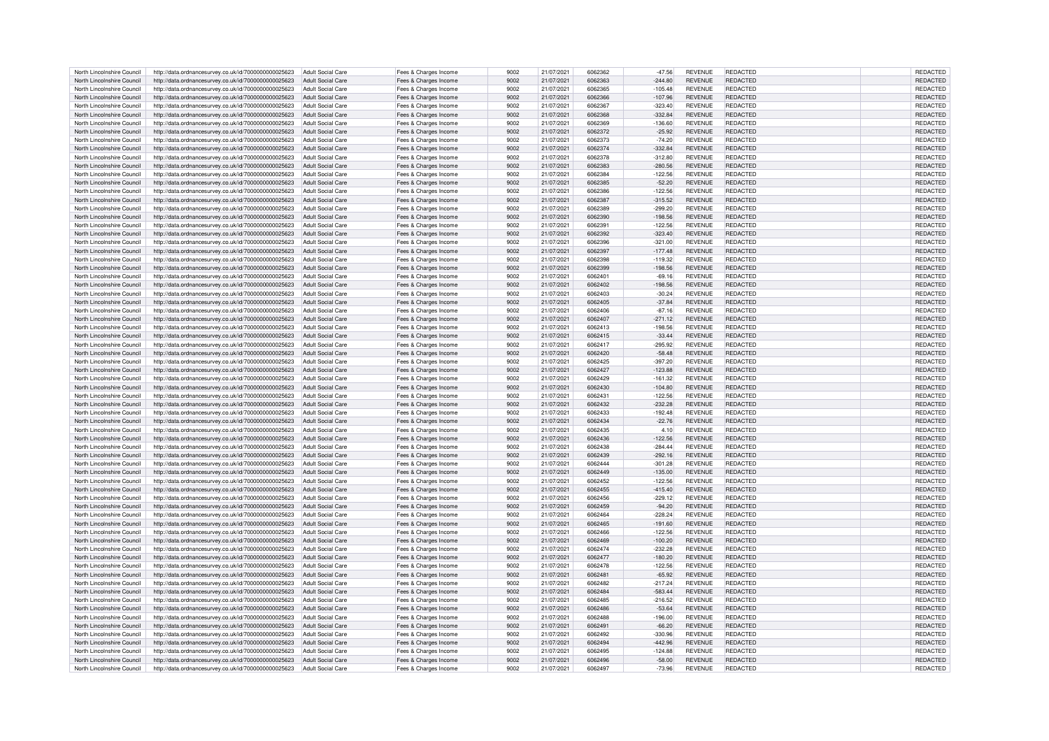| North Lincolnshire Council | http://data.ordnancesurvey.co.uk/id/7000000000025623                   | Adult Social Care        | Fees & Charges Income | 9002 | 21/07/2021 | 6062362 | $-47.56$               | <b>REVENUE</b> | REDACTED        | REDACTED        |
|----------------------------|------------------------------------------------------------------------|--------------------------|-----------------------|------|------------|---------|------------------------|----------------|-----------------|-----------------|
| North Lincolnshire Council | http://data.ordnancesurvey.co.uk/id/7000000000025623                   | Adult Social Care        | Fees & Charges Income | 9002 | 21/07/2021 | 6062363 | $-244.80$              | <b>REVENUE</b> | REDACTED        | REDACTED        |
| North Lincolnshire Council | http://data.ordnancesurvey.co.uk/id/7000000000025623                   | Adult Social Care        | Fees & Charges Income | 9002 | 21/07/2021 | 6062365 | $-105.48$              | <b>REVENUE</b> | REDACTED        | REDACTED        |
| North Lincolnshire Council | http://data.ordnancesurvey.co.uk/id/7000000000025623                   | Adult Social Care        | Fees & Charges Income | 9002 | 21/07/2021 | 6062366 | $-107.96$              | <b>REVENUE</b> | <b>REDACTED</b> | <b>REDACTED</b> |
| North Lincolnshire Council |                                                                        | <b>Adult Social Care</b> |                       | 9002 | 21/07/2021 | 382303  |                        | <b>REVENUE</b> | <b>REDACTED</b> | REDACTED        |
| North Lincolnshire Council | http://data.ordnancesurvey.co.uk/id/7000000000025623                   | <b>Adult Social Care</b> | Fees & Charges Income | 9002 | 21/07/2021 | 6062368 | $-323.40$<br>$-332.84$ | <b>REVENUE</b> | <b>REDACTED</b> | REDACTED        |
|                            | http://data.ordnancesurvey.co.uk/id/7000000000025623                   |                          | Fees & Charges Income |      |            |         |                        |                |                 |                 |
| North Lincolnshire Council | http://data.ordnancesurvey.co.uk/id/7000000000025623                   | <b>Adult Social Care</b> | Fees & Charges Income | 9002 | 21/07/2021 | 6062369 | $-136.60$              | <b>REVENUE</b> | REDACTED        | REDACTED        |
| North Lincolnshire Council | http://data.ordnancesurvey.co.uk/id/7000000000025623                   | <b>Adult Social Care</b> | Fees & Charges Income | 9002 | 21/07/2021 | 6062372 | $-25.92$               | <b>REVENUE</b> | <b>REDACTED</b> | REDACTED        |
| North Lincolnshire Council | http://data.ordnancesurvey.co.uk/id/7000000000025623                   | <b>Adult Social Care</b> | Fees & Charges Income | 9002 | 21/07/2021 | 6062373 | $-74.20$               | <b>REVENUE</b> | REDACTED        | REDACTED        |
| North Lincolnshire Council | http://data.ordnancesurvey.co.uk/id/7000000000025623                   | <b>Adult Social Care</b> | Fees & Charges Income | 9002 | 21/07/2021 | 6062374 | $-332.84$              | <b>REVENUE</b> | REDACTED        | REDACTED        |
| North Lincolnshire Council | http://data.ordnancesurvey.co.uk/id/7000000000025623                   | Adult Social Care        | Fees & Charges Income | 9002 | 21/07/2021 | 6062378 | $-312.80$              | <b>REVENUE</b> | REDACTED        | REDACTED        |
| North Lincolnshire Council | http://data.ordnancesurvey.co.uk/id/7000000000025623                   | Adult Social Care        | Fees & Charges Income | 9002 | 21/07/2021 | 6062383 | $-280.56$              | <b>REVENUE</b> | REDACTED        | REDACTED        |
| North Lincolnshire Council | http://data.ordnancesurvey.co.uk/id/7000000000025623                   | Adult Social Care        | Fees & Charges Income | 9002 | 21/07/2021 | 6062384 | $-122.56$              | <b>REVENUE</b> | <b>REDACTED</b> | REDACTED        |
| North Lincolnshire Council | http://data.ordnancesurvey.co.uk/id/7000000000025623                   | Adult Social Care        | Fees & Charges Income | 9002 | 21/07/2021 | 6062385 | $-52.20$               | <b>REVENUE</b> | <b>REDACTED</b> | <b>REDACTED</b> |
| North Lincolnshire Council | http://data.ordnancesurvey.co.uk/id/7000000000025623                   | Adult Social Care        | Fees & Charges Income | 9002 | 21/07/2021 | 6062386 | $-122.56$              | <b>REVENUE</b> | <b>REDACTED</b> | REDACTED        |
|                            |                                                                        |                          |                       |      |            | 6062387 |                        |                |                 |                 |
| North Lincolnshire Council | http://data.ordnancesurvey.co.uk/id/7000000000025623                   | <b>Adult Social Care</b> | Fees & Charges Income | 9002 | 21/07/2021 |         | $-315.52$              | <b>REVENUE</b> | REDACTED        | REDACTED        |
| North Lincolnshire Council | http://data.ordnancesurvey.co.uk/id/7000000000025623                   | <b>Adult Social Care</b> | Fees & Charges Income | 9002 | 21/07/2021 | 6062389 | $-299.20$              | <b>REVENUE</b> | REDACTED        | REDACTED        |
| North Lincolnshire Council | http://data.ordnancesurvey.co.uk/id/7000000000025623                   | <b>Adult Social Care</b> | Fees & Charges Income | 9002 | 21/07/2021 | 6062390 | $-198.56$              | <b>REVENUE</b> | <b>REDACTED</b> | REDACTED        |
| North Lincolnshire Council | http://data.ordnancesurvey.co.uk/id/7000000000025623                   | <b>Adult Social Care</b> | Fees & Charges Income | 9002 | 21/07/2021 | 6062391 | $-122.56$              | <b>REVENUE</b> | <b>REDACTED</b> | REDACTED        |
| North Lincolnshire Council | http://data.ordnancesurvey.co.uk/id/7000000000025623                   | <b>Adult Social Care</b> | Fees & Charges Income | 9002 | 21/07/2021 | 383392  | $-323.40$              | <b>REVENUE</b> | REDACTED        | REDACTED        |
| North Lincolnshire Council | http://data.ordnancesurvey.co.uk/id/7000000000025623                   | Adult Social Care        | Fees & Charges Income | 9002 | 21/07/2021 | 6062396 | $-321.00$              | <b>REVENUE</b> | <b>REDACTED</b> | REDACTED        |
| North Lincolnshire Council | http://data.ordnancesurvey.co.uk/id/7000000000025623                   | Adult Social Care        | Fees & Charges Income | 9002 | 21/07/2021 | 6062397 | $-177.48$              | <b>REVENUE</b> | REDACTED        | REDACTED        |
| North Lincolnshire Council | http://data.ordnancesurvey.co.uk/id/7000000000025623                   | Adult Social Care        | Fees & Charges Income | 9002 | 21/07/2021 | 6062398 | $-119.32$              | <b>REVENUE</b> | REDACTED        | <b>REDACTEI</b> |
| North Lincolnshire Council | http://data.ordnancesurvey.co.uk/id/7000000000025623                   | Adult Social Care        | Fees & Charges Income | 9002 | 21/07/2021 | 6062399 | $-198.56$              | <b>REVENUE</b> | <b>REDACTED</b> | REDACTED        |
| North Lincolnshire Council | http://data.ordnancesurvey.co.uk/id/7000000000025623                   | <b>Adult Social Care</b> | Fees & Charges Income | 9002 | 21/07/2021 | 606240  | $-69.16$               | <b>REVENUE</b> | <b>REDACTED</b> | REDACTED        |
|                            |                                                                        | <b>Adult Social Care</b> |                       | 9002 |            | 6062402 |                        | <b>REVENUE</b> | <b>REDACTED</b> |                 |
| North Lincolnshire Council | http://data.ordnancesurvey.co.uk/id/7000000000025623                   |                          | Fees & Charges Income |      | 21/07/2021 |         | $-198.56$              |                |                 | REDACTED        |
| North Lincolnshire Council | http://data.ordnancesurvey.co.uk/id/7000000000025623                   | Adult Social Care        | Fees & Charges Income | 9002 | 21/07/2021 | 6062403 | $-30.24$               | <b>REVENUE</b> | <b>REDACTED</b> | REDACTED        |
| North Lincolnshire Council | http://data.ordnancesurvey.co.uk/id/7000000000025623                   | <b>Adult Social Care</b> | Fees & Charges Income | 9002 | 21/07/2021 | 6062405 | $-37.84$               | <b>REVENUE</b> | REDACTED        | REDACTED        |
| North Lincolnshire Council | http://data.ordnancesurvey.co.uk/id/7000000000025623                   | Adult Social Care        | Fees & Charges Income | 9002 | 21/07/2021 | 6062406 | $-87.16$               | <b>REVENUE</b> | REDACTED        | REDACTED        |
| North Lincolnshire Council | http://data.ordnancesurvey.co.uk/id/7000000000025623                   | Adult Social Care        | Fees & Charges Income | 9002 | 21/07/2021 | 6062407 | $-271.12$              | <b>REVENUE</b> | <b>REDACTED</b> | <b>REDACTED</b> |
| North Lincolnshire Council | http://data.ordnancesurvey.co.uk/id/7000000000025623                   | Adult Social Care        | Fees & Charges Income | 9002 | 21/07/2021 | 6062413 | $-198.56$              | <b>REVENUE</b> | <b>REDACTED</b> | REDACTED        |
| North Lincolnshire Council | http://data.ordnancesurvey.co.uk/id/7000000000025623                   | Adult Social Care        | Fees & Charges Income | 9002 | 21/07/2021 | 6062415 | $-33.44$               | <b>REVENUE</b> | <b>REDACTED</b> | REDACTED        |
| North Lincolnshire Council | http://data.ordnancesurvey.co.uk/id/7000000000025623                   | <b>Adult Social Care</b> | Fees & Charges Income | 9002 | 21/07/2021 | 6062417 | $-295.92$              | <b>REVENUE</b> | REDACTED        | REDACTED        |
| North Lincolnshire Council | http://data.ordnancesurvey.co.uk/id/7000000000025623                   | Adult Social Care        | Fees & Charges Income | 9002 | 21/07/2021 | 6062420 | $-58.48$               | <b>REVENUE</b> | <b>REDACTED</b> | REDACTED        |
| North Lincolnshire Council | http://data.ordnancesurvey.co.uk/id/7000000000025623                   | Adult Social Care        | Fees & Charges Income | 9002 | 21/07/2021 | 6062425 | $-397.20$              | <b>REVENUE</b> | <b>REDACTED</b> | REDACTED        |
|                            |                                                                        |                          |                       |      |            |         |                        |                |                 |                 |
| North Lincolnshire Council | http://data.ordnancesurvey.co.uk/id/7000000000025623                   | <b>Adult Social Care</b> | Fees & Charges Income | 9002 | 21/07/2021 | 6062427 | $-123.88$              | <b>REVENUE</b> | REDACTED        | REDACTED        |
| North Lincolnshire Council | http://data.ordnancesurvey.co.uk/id/7000000000025623                   | <b>Adult Social Care</b> | Fees & Charges Income | 9002 | 21/07/2021 | 6062429 | $-161.32$              | <b>REVENUE</b> | <b>REDACTED</b> | <b>REDACTED</b> |
| North Lincolnshire Council | http://data.ordnancesurvey.co.uk/id/7000000000025623                   | <b>Adult Social Care</b> | Fees & Charges Income | 9002 | 21/07/2021 | 6062430 | $-104.80$              | <b>REVENUE</b> | <b>REDACTED</b> | REDACTED        |
| North Lincolnshire Council | http://data.ordnancesurvey.co.uk/id/7000000000025623                   | Adult Social Care        | Fees & Charges Income | 9002 | 21/07/2021 | 6062431 | $-122.56$              | <b>REVENUE</b> | <b>REDACTED</b> | <b>REDACTED</b> |
| North Lincolnshire Council | http://data.ordnancesurvey.co.uk/id/7000000000025623                   | <b>Adult Social Care</b> | Fees & Charges Income | 9002 | 21/07/2021 | 6062432 | $-232.28$              | <b>REVENUE</b> | <b>REDACTED</b> | REDACTED        |
| North Lincolnshire Council | http://data.ordnancesurvey.co.uk/id/7000000000025623                   | Adult Social Care        | Fees & Charges Income | 9002 | 21/07/2021 | 6062433 | $-192.48$              | <b>REVENUE</b> | REDACTED        | REDACTED        |
| North Lincolnshire Council | http://data.ordnancesurvey.co.uk/id/7000000000025623                   | Adult Social Care        | Fees & Charges Income | 9002 | 21/07/2021 | 6062434 | $-22.76$               | <b>REVENUE</b> | <b>REDACTED</b> | <b>REDACTEI</b> |
| North Lincolnshire Council | http://data.ordnancesurvey.co.uk/id/7000000000025623                   | <b>Adult Social Care</b> | Fees & Charges Income | 9002 | 21/07/2021 | 6062435 | 4.10                   | <b>REVENUE</b> | REDACTED        | REDACTED        |
| North Lincolnshire Council | http://data.ordnancesurvey.co.uk/id/7000000000025623                   | <b>Adult Social Care</b> | Fees & Charges Income | 9002 | 21/07/2021 | 6062436 | $-122.56$              | <b>REVENUE</b> | <b>REDACTED</b> | REDACTED        |
| North Lincolnshire Council | http://data.ordnancesurvey.co.uk/id/7000000000025623                   | <b>Adult Social Care</b> | Fees & Charges Income | 9002 | 21/07/2021 | 6062438 | $-284.44$              | <b>REVENUE</b> | <b>REDACTED</b> | REDACTED        |
| North Lincolnshire Council | http://data.ordnancesurvey.co.uk/id/7000000000025623                   | <b>Adult Social Care</b> | Fees & Charges Income | 9002 | 21/07/2021 | 6062439 | $-292.16$              | <b>REVENUE</b> | <b>REDACTED</b> | REDACTED        |
|                            |                                                                        |                          |                       |      |            |         |                        |                |                 |                 |
| North Lincolnshire Council | http://data.ordnancesurvey.co.uk/id/7000000000025623                   | <b>Adult Social Care</b> | Fees & Charges Income | 9002 | 21/07/2021 | 6062444 | $-301.28$              | <b>REVENUE</b> | REDACTED        | REDACTED        |
| North Lincolnshire Council | http://data.ordnancesurvey.co.uk/id/7000000000025623                   | <b>Adult Social Care</b> | Fees & Charges Income | 9002 | 21/07/2021 | 6062449 | $-135.00$              | <b>REVENUE</b> | REDACTED        | <b>REDACTED</b> |
| North Lincolnshire Council | http://data.ordnancesurvey.co.uk/id/7000000000025623                   | <b>Adult Social Care</b> | Fees & Charges Income | 9002 | 21/07/2021 | 6062452 | $-122.56$              | <b>REVENUE</b> | <b>REDACTED</b> | REDACTED        |
| North Lincolnshire Council | http://data.ordnancesurvey.co.uk/id/7000000000025623                   | Adult Social Care        | Fees & Charges Income | 9002 | 21/07/2021 | 6062455 | $-415.40$              | <b>REVENUE</b> | <b>REDACTED</b> | REDACTED        |
| North Lincolnshire Council | http://data.ordnancesurvey.co.uk/id/7000000000025623                   | Adult Social Care        | Fees & Charges Income | 9002 | 21/07/2021 | 6062456 | $-229.12$              | <b>REVENUE</b> | <b>REDACTED</b> | REDACTED        |
| North Lincolnshire Council | http://data.ordnancesurvey.co.uk/id/7000000000025623                   | Adult Social Care        | Fees & Charges Income | 9002 | 21/07/2021 | 6062459 | $-94.20$               | <b>REVENUE</b> | <b>REDACTED</b> | REDACTED        |
| North Lincolnshire Council | http://data.ordnancesurvey.co.uk/id/7000000000025623                   | Adult Social Care        | Fees & Charges Income | 9002 | 21/07/2021 | 6062464 | $-228.24$              | <b>REVENUE</b> | <b>REDACTED</b> | <b>REDACTED</b> |
| North Lincolnshire Council | http://data.ordnancesurvey.co.uk/id/7000000000025623                   | Adult Social Care        | Fees & Charges Income | 9002 | 21/07/2021 | 6062465 | $-191.60$              | <b>REVENUE</b> | <b>REDACTED</b> | REDACTED        |
| North Lincolnshire Council | http://data.ordnancesurvey.co.uk/id/7000000000025623                   | <b>Adult Social Care</b> | Fees & Charges Income | 9002 | 21/07/2021 | 6062466 | $-122.56$              | <b>REVENUE</b> | <b>REDACTED</b> | REDACTED        |
| North Lincolnshire Council | http://data.ordnancesurvey.co.uk/id/7000000000025623                   | <b>Adult Social Care</b> | Fees & Charges Income | 9002 | 21/07/2021 | 6062469 | $-100.20$              | <b>REVENUE</b> | <b>REDACTED</b> | <b>REDACTED</b> |
|                            |                                                                        |                          |                       |      |            |         |                        |                |                 |                 |
| North Lincolnshire Council | http://data.ordnancesurvey.co.uk/id/7000000000025623                   | <b>Adult Social Care</b> | Fees & Charges Income | 9002 | 21/07/2021 | 6062474 | $-232.28$              | <b>REVENUE</b> | <b>REDACTED</b> | REDACTED        |
| North Lincolnshire Council | http://data.ordnancesurvey.co.uk/id/7000000000025623                   | Adult Social Care        | Fees & Charges Income | 9002 | 21/07/2021 | 6062477 | $-180.20$              | <b>REVENUE</b> | <b>REDACTED</b> | <b>REDACTED</b> |
| North Lincolnshire Council | http://data.ordnancesurvey.co.uk/id/7000000000025623                   | <b>Adult Social Care</b> | Fees & Charges Income | 9002 | 21/07/2021 | 6062478 | $-122.56$              | <b>REVENUE</b> | <b>REDACTED</b> | REDACTED        |
| North Lincolnshire Council | http://data.ordnancesurvey.co.uk/id/7000000000025623                   | Adult Social Care        | Fees & Charges Income | 9002 | 21/07/2021 | 606248  | $-65.92$               | <b>REVENUE</b> | <b>REDACTED</b> | REDACTED        |
| North Lincolnshire Council | http://data.ordnancesurvey.co.uk/id/7000000000025623                   | Adult Social Care        | Fees & Charges Income | 9002 | 21/07/2021 | 6062482 | $-217.24$              | <b>REVENUE</b> | REDACTED        | REDACTED        |
| North Lincolnshire Council | http://data.ordnancesurvey.co.uk/id/7000000000025623                   | <b>Adult Social Care</b> | Fees & Charges Income | 9002 | 21/07/2021 | 6062484 | $-583.44$              | <b>REVENUE</b> | REDACTED        | REDACTED        |
| North Lincolnshire Council | http://data.ordnancesurvey.co.uk/id/7000000000025623                   | Adult Social Care        | Fees & Charges Income | 9002 | 21/07/2021 | 6062485 | $-216.52$              | <b>REVENUE</b> | REDACTED        | REDACTED        |
| North Lincolnshire Council | http://data.ordnancesurvey.co.uk/id/7000000000025623                   | Adult Social Care        | Fees & Charges Income | 9002 | 21/07/2021 | 6062486 | $-53.64$               | <b>REVENUE</b> | <b>REDACTED</b> | REDACTED        |
| North Lincolnshire Council | http://data.ordnancesurvey.co.uk/id/7000000000025623                   | <b>Adult Social Care</b> | Fees & Charges Income | 9002 | 21/07/2021 | 6062488 | $-196.00$              | <b>REVENUE</b> | <b>REDACTED</b> | REDACTED        |
|                            |                                                                        |                          |                       |      |            |         |                        |                |                 |                 |
| North Lincolnshire Council | http://data.ordnancesurvey.co.uk/id/7000000000025623                   | <b>Adult Social Care</b> | Fees & Charges Income | 9002 | 21/07/2021 | 6062491 | $-66.20$               | <b>REVENUE</b> | REDACTED        | REDACTED        |
| North Lincolnshire Council | http://data.ordnancesurvey.co.uk/id/7000000000025623                   | <b>Adult Social Care</b> | Fees & Charges Income | 9002 | 21/07/2021 | 6062492 | -330.96                | <b>REVENUE</b> | <b>REDACTED</b> | REDACTED        |
| North Lincolnshire Council | http://data.ordnancesurvey.co.uk/id/7000000000025623                   | <b>Adult Social Care</b> | Fees & Charges Income | 9002 | 21/07/2021 | 6062494 | $-442.96$              | <b>REVENUE</b> | <b>REDACTED</b> | REDACTED        |
| North Lincolnshire Council | http://data.ordnancesurvey.co.uk/id/7000000000025623                   | Adult Social Care        | Fees & Charges Income | 9002 | 21/07/2021 | 6062495 | $-124.88$              | <b>REVENUE</b> | REDACTED        | <b>REDACTED</b> |
| North Lincolnshire Council | http://data.ordnancesurvey.co.uk/id/7000000000025623                   | Adult Social Care        | Fees & Charges Income | 9002 | 21/07/2021 | 6062496 | $-58.00$               | <b>REVENUE</b> | <b>REDACTED</b> | REDACTED        |
| North Lincolnshire Council | http://data.ordnancesurvey.co.uk/id/7000000000025623 Adult Social Care |                          | Fees & Charges Income | 9002 | 21/07/2021 | 6062497 | $-73.96$               | <b>REVENUE</b> | <b>REDACTED</b> | REDACTED        |
|                            |                                                                        |                          |                       |      |            |         |                        |                |                 |                 |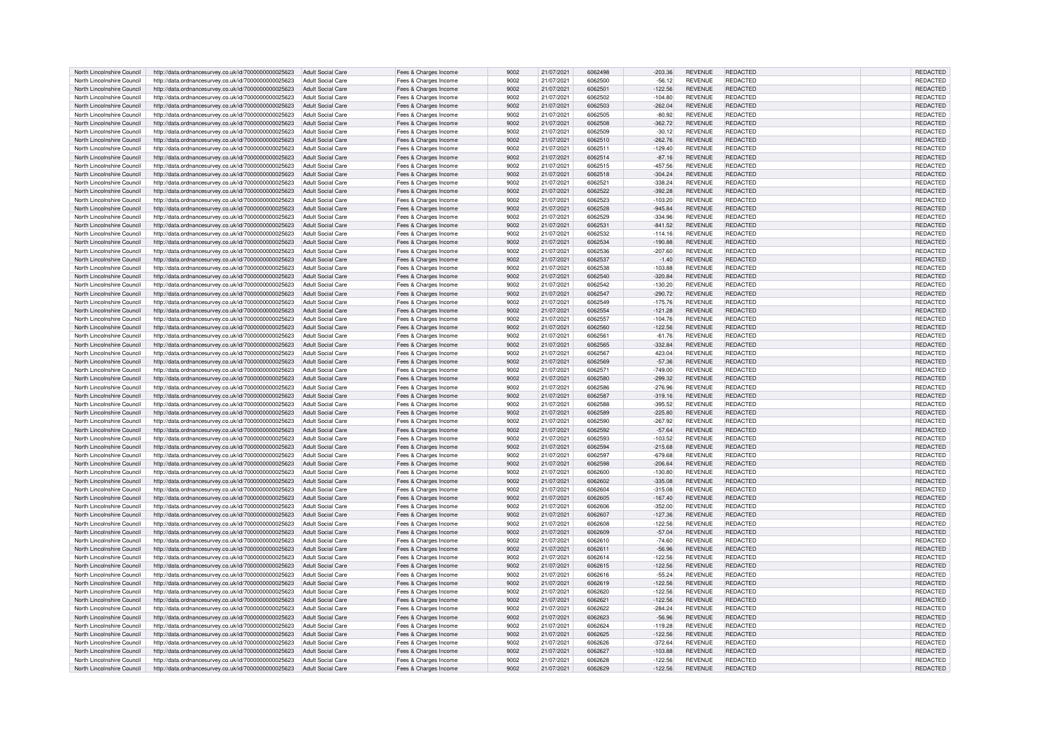| North Lincolnshire Council | http://data.ordnancesurvey.co.uk/id/7000000000025623                   | Adult Social Care        | Fees & Charges Income | 9002 | 21/07/2021 | 6062498 | $-203.36$ | <b>REVENUE</b> | REDACTED        | REDACTED        |
|----------------------------|------------------------------------------------------------------------|--------------------------|-----------------------|------|------------|---------|-----------|----------------|-----------------|-----------------|
| North Lincolnshire Council | http://data.ordnancesurvey.co.uk/id/7000000000025623                   | Adult Social Care        | Fees & Charges Income | 9002 | 21/07/2021 | 6062500 | $-56.12$  | <b>REVENUE</b> | REDACTED        | REDACTED        |
|                            |                                                                        |                          |                       |      |            | 6062501 |           |                |                 |                 |
| North Lincolnshire Council | http://data.ordnancesurvey.co.uk/id/7000000000025623                   | <b>Adult Social Care</b> | Fees & Charges Income | 9002 | 21/07/2021 |         | $-122.56$ | <b>REVENUE</b> | REDACTED        | REDACTED        |
| North Lincolnshire Council | http://data.ordnancesurvey.co.uk/id/7000000000025623                   | Adult Social Care        | Fees & Charges Income | 9002 | 21/07/2021 | 6062502 | $-104.80$ | <b>REVENUE</b> | REDACTED        | REDACTED        |
| North Lincolnshire Council | http://data.ordnancesurvey.co.uk/id/7000000000025623                   | <b>Adult Social Care</b> | Fees & Charges Income | 9002 | 21/07/2021 | 6062503 | $-262.04$ | <b>REVENUE</b> | <b>REDACTED</b> | REDACTED        |
| North Lincolnshire Council | http://data.ordnancesurvey.co.uk/id/7000000000025623                   | <b>Adult Social Care</b> | Fees & Charges Income | 9002 | 21/07/2021 | 6062505 | $-80.92$  | <b>REVENUE</b> | REDACTED        | REDACTED        |
| North Lincolnshire Council | http://data.ordnancesurvey.co.uk/id/7000000000025623                   | <b>Adult Social Care</b> | Fees & Charges Income | 9002 | 21/07/2021 | 6062508 | 362.72    | <b>REVENUE</b> | REDACTED        | REDACTED        |
| North Lincolnshire Council | http://data.ordnancesurvey.co.uk/id/7000000000025623                   | <b>Adult Social Care</b> | Fees & Charges Income | 9002 | 21/07/2021 | 6062509 | $-30.12$  | <b>REVENUE</b> | <b>REDACTED</b> | REDACTED        |
| North Lincolnshire Council | http://data.ordnancesurvey.co.uk/id/7000000000025623                   | <b>Adult Social Care</b> | Fees & Charges Income | 9002 | 21/07/2021 | 6062510 | $-262.76$ | <b>REVENUE</b> | REDACTED        | <b>REDACTED</b> |
| North Lincolnshire Council | http://data.ordnancesurvey.co.uk/id/7000000000025623                   | <b>Adult Social Care</b> | Fees & Charges Income | 9002 | 21/07/2021 | 606251  | $-129.40$ | <b>REVENUE</b> | REDACTED        | REDACTED        |
|                            |                                                                        |                          |                       |      |            |         |           |                | <b>REDACTED</b> |                 |
| North Lincolnshire Council | http://data.ordnancesurvey.co.uk/id/7000000000025623                   | <b>Adult Social Care</b> | Fees & Charges Income | 9002 | 21/07/2021 | 6062514 | $-87.16$  | <b>REVENUE</b> |                 | REDACTED        |
| North Lincolnshire Council | http://data.ordnancesurvey.co.uk/id/7000000000025623                   | Adult Social Care        | Fees & Charges Income | 9002 | 21/07/2021 | 6062515 | $-457.56$ | <b>REVENUE</b> | REDACTED        | REDACTED        |
| North Lincolnshire Council | http://data.ordnancesurvey.co.uk/id/7000000000025623                   | Adult Social Care        | Fees & Charges Income | 9002 | 21/07/2021 | 6062518 | $-304.24$ | <b>REVENUE</b> | <b>REDACTED</b> | REDACTED        |
| North Lincolnshire Council | http://data.ordnancesurvey.co.uk/id/7000000000025623                   | Adult Social Care        | Fees & Charges Income | 9002 | 21/07/2021 | 6062521 | $-338.24$ | <b>REVENUE</b> | REDACTED        | <b>REDACTED</b> |
| North Lincolnshire Council | http://data.ordnancesurvey.co.uk/id/7000000000025623                   | Adult Social Care        | Fees & Charges Income | 9002 | 21/07/2021 | 6062522 | $-392.28$ | <b>REVENUE</b> | <b>REDACTED</b> | REDACTED        |
| North Lincolnshire Council | http://data.ordnancesurvey.co.uk/id/7000000000025623                   | <b>Adult Social Care</b> | Fees & Charges Income | 9002 | 21/07/2021 | 6062523 | $-103.20$ | <b>REVENUE</b> | REDACTED        | REDACTED        |
| North Lincolnshire Council | http://data.ordnancesurvey.co.uk/id/7000000000025623                   | <b>Adult Social Care</b> | Fees & Charges Income | 9002 | 21/07/2021 | 6062528 | $-945.84$ | <b>REVENUE</b> | <b>REDACTED</b> | REDACTED        |
| North Lincolnshire Council | http://data.ordnancesurvey.co.uk/id/7000000000025623                   | <b>Adult Social Care</b> | Fees & Charges Income | 9002 | 21/07/2021 | 6062529 | $-334.96$ | <b>REVENUE</b> | <b>REDACTED</b> | REDACTED        |
|                            |                                                                        |                          |                       |      |            |         |           |                |                 |                 |
| North Lincolnshire Council | http://data.ordnancesurvey.co.uk/id/7000000000025623                   | <b>Adult Social Care</b> | Fees & Charges Income | 9002 | 21/07/2021 | 6062531 | $-841.52$ | <b>REVENUE</b> | <b>REDACTED</b> | REDACTED        |
| North Lincolnshire Council | http://data.ordnancesurvey.co.uk/id/7000000000025623                   | <b>Adult Social Care</b> | Fees & Charges Income | 9002 | 21/07/2021 | 6062532 | $-114.16$ | <b>REVENUE</b> | REDACTED        | REDACTED        |
| North Lincolnshire Council | http://data.ordnancesurvey.co.uk/id/7000000000025623                   | Adult Social Care        | Fees & Charges Income | 9002 | 21/07/2021 | 6062534 | $-190.88$ | <b>REVENUE</b> | REDACTED        | REDACTED        |
| North Lincolnshire Council | http://data.ordnancesurvey.co.uk/id/7000000000025623                   | Adult Social Care        | Fees & Charges Income | 9002 | 21/07/2021 | 6062536 | $-207.60$ | <b>REVENUE</b> | REDACTED        | REDACTED        |
| North Lincolnshire Council | http://data.ordnancesurvey.co.uk/id/7000000000025623                   | <b>Adult Social Care</b> | Fees & Charges Income | 9002 | 21/07/2021 | 6062537 | $-1.40$   | <b>REVENUE</b> | <b>REDACTED</b> | <b>REDACTEI</b> |
| North Lincolnshire Council | http://data.ordnancesurvey.co.uk/id/7000000000025623                   | Adult Social Care        | Fees & Charges Income | 9002 | 21/07/2021 | 6062538 | $-103.88$ | <b>REVENUE</b> | <b>REDACTED</b> | REDACTED        |
| North Lincolnshire Council | http://data.ordnancesurvey.co.uk/id/7000000000025623                   | <b>Adult Social Care</b> | Fees & Charges Income | 9002 | 21/07/2021 | 6062540 | $-320.84$ | <b>REVENUE</b> | <b>REDACTED</b> | REDACTED        |
|                            |                                                                        |                          |                       |      |            |         |           |                |                 |                 |
| North Lincolnshire Council | http://data.ordnancesurvey.co.uk/id/7000000000025623                   | <b>Adult Social Care</b> | Fees & Charges Income | 9002 | 21/07/2021 | 6062542 | $-130.20$ | <b>REVENUE</b> | <b>REDACTED</b> | REDACTED        |
| North Lincolnshire Council | http://data.ordnancesurvey.co.uk/id/7000000000025623                   | <b>Adult Social Care</b> | Fees & Charges Income | 9002 | 21/07/2021 | 6062547 | $-290.72$ | <b>REVENUE</b> | REDACTED        | REDACTED        |
| North Lincolnshire Council | http://data.ordnancesurvey.co.uk/id/7000000000025623                   | <b>Adult Social Care</b> | Fees & Charges Income | 9002 | 21/07/2021 | 6062549 | $-175.76$ | <b>REVENUE</b> | <b>REDACTED</b> | REDACTED        |
| North Lincolnshire Council | http://data.ordnancesurvey.co.uk/id/7000000000025623                   | <b>Adult Social Care</b> | Fees & Charges Income | 9002 | 21/07/2021 | 6062554 | $-121.28$ | <b>REVENUE</b> | <b>REDACTED</b> | <b>REDACTED</b> |
| North Lincolnshire Council | http://data.ordnancesurvey.co.uk/id/7000000000025623                   | <b>Adult Social Care</b> | Fees & Charges Income | 9002 | 21/07/2021 | 6062557 | $-104.76$ | <b>REVENUE</b> | <b>REDACTED</b> | <b>REDACTED</b> |
| North Lincolnshire Council | http://data.ordnancesurvey.co.uk/id/7000000000025623                   | Adult Social Care        | Fees & Charges Income | 9002 | 21/07/2021 | 6062560 | $-122.56$ | <b>REVENUE</b> | <b>REDACTED</b> | REDACTED        |
| North Lincolnshire Council | http://data.ordnancesurvey.co.uk/id/7000000000025623                   | Adult Social Care        | Fees & Charges Income | 9002 | 21/07/2021 | 606256  | $-61.76$  | <b>REVENUE</b> | REDACTED        | <b>REDACTED</b> |
|                            |                                                                        |                          |                       |      |            |         |           |                |                 |                 |
| North Lincolnshire Council | http://data.ordnancesurvey.co.uk/id/7000000000025623                   | Adult Social Care        | Fees & Charges Income | 9002 | 21/07/2021 | 6062565 | $-332.84$ | <b>REVENUE</b> | <b>REDACTED</b> | REDACTED        |
| North Lincolnshire Council | http://data.ordnancesurvey.co.uk/id/7000000000025623                   | Adult Social Care        | Fees & Charges Income | 9002 | 21/07/2021 | 6062567 | 423.04    | <b>REVENUE</b> | <b>REDACTED</b> | <b>REDACTED</b> |
| North Lincolnshire Council | http://data.ordnancesurvey.co.uk/id/7000000000025623                   | <b>Adult Social Care</b> | Fees & Charges Income | 9002 | 21/07/2021 | 6062569 | $-57.36$  | <b>REVENUE</b> | <b>REDACTED</b> | <b>REDACTED</b> |
| North Lincolnshire Council | http://data.ordnancesurvey.co.uk/id/7000000000025623                   | <b>Adult Social Care</b> | Fees & Charges Income | 9002 | 21/07/2021 | 6062571 | $-749.00$ | <b>REVENUE</b> | REDACTED        | REDACTED        |
| North Lincolnshire Council | http://data.ordnancesurvey.co.uk/id/7000000000025623                   | <b>Adult Social Care</b> | Fees & Charges Income | 9002 | 21/07/2021 | 6062580 | $-299.32$ | <b>REVENUE</b> | <b>REDACTED</b> | <b>REDACTED</b> |
| North Lincolnshire Council | http://data.ordnancesurvey.co.uk/id/7000000000025623                   | <b>Adult Social Care</b> | Fees & Charges Income | 9002 | 21/07/2021 | 6062586 | $-276.96$ | <b>REVENUE</b> | <b>REDACTED</b> | REDACTED        |
| North Lincolnshire Council | http://data.ordnancesurvey.co.uk/id/7000000000025623                   | <b>Adult Social Care</b> | Fees & Charges Income | 9002 | 21/07/2021 | 6062587 | $-319.16$ | <b>REVENUE</b> | <b>REDACTED</b> | <b>REDACTED</b> |
| North Lincolnshire Council |                                                                        | <b>Adult Social Care</b> |                       | 9002 |            | 6062588 | $-395.52$ | <b>REVENUE</b> | REDACTED        | REDACTED        |
|                            | http://data.ordnancesurvey.co.uk/id/7000000000025623                   |                          | Fees & Charges Income |      | 21/07/2021 |         |           |                |                 |                 |
| North Lincolnshire Council | http://data.ordnancesurvey.co.uk/id/7000000000025623                   | Adult Social Care        | Fees & Charges Income | 9002 | 21/07/2021 | 6062589 | $-225.80$ | <b>REVENUE</b> | REDACTED        | REDACTED        |
| North Lincolnshire Council | http://data.ordnancesurvey.co.uk/id/7000000000025623                   | <b>Adult Social Care</b> | Fees & Charges Income | 9002 | 21/07/2021 | 6062590 | $-267.92$ | RFVFNUF        | <b>REDACTED</b> | <b>REDACTED</b> |
| North Lincolnshire Council | http://data.ordnancesurvey.co.uk/id/7000000000025623                   | Adult Social Care        | Fees & Charges Income | 9002 | 21/07/2021 | 6062592 | $-57.64$  | <b>REVENUE</b> | REDACTED        | REDACTED        |
| North Lincolnshire Council | http://data.ordnancesurvey.co.uk/id/7000000000025623                   | <b>Adult Social Care</b> | Fees & Charges Income | 9002 | 21/07/2021 | 6062593 | $-103.52$ | <b>REVENUE</b> | <b>REDACTED</b> | REDACTED        |
| North Lincolnshire Council | http://data.ordnancesurvey.co.uk/id/7000000000025623                   | <b>Adult Social Care</b> | Fees & Charges Income | 9002 | 21/07/2021 | 6062594 | $-215.68$ | <b>REVENUE</b> | <b>REDACTED</b> | REDACTED        |
| North Lincolnshire Council | http://data.ordnancesurvey.co.uk/id/7000000000025623                   | <b>Adult Social Care</b> | Fees & Charges Income | 9002 | 21/07/2021 | 6062597 | $-679.68$ | <b>REVENUE</b> | <b>REDACTED</b> | REDACTED        |
| North Lincolnshire Council | http://data.ordnancesurvey.co.uk/id/7000000000025623                   | <b>Adult Social Care</b> | Fees & Charges Income | 9002 | 21/07/2021 | 6062598 | $-206.64$ | <b>REVENUE</b> | REDACTED        | <b>REDACTED</b> |
| North Lincolnshire Council | http://data.ordnancesurvey.co.uk/id/7000000000025623                   | <b>Adult Social Care</b> | Fees & Charges Income | 9002 | 21/07/2021 | 6062600 | $-130.80$ | <b>REVENUE</b> | REDACTED        | <b>REDACTED</b> |
|                            |                                                                        |                          |                       |      |            |         |           |                |                 |                 |
| North Lincolnshire Council | http://data.ordnancesurvey.co.uk/id/7000000000025623                   | <b>Adult Social Care</b> | Fees & Charges Income | 9002 | 21/07/2021 | 3082603 | $-335.08$ | <b>REVENUE</b> | <b>REDACTED</b> | <b>REDACTED</b> |
| North Lincolnshire Council | http://data.ordnancesurvey.co.uk/id/7000000000025623                   | Adult Social Care        | Fees & Charges Income | 9002 | 21/07/2021 | 6062604 | $-315.08$ | <b>REVENUE</b> | <b>REDACTED</b> | REDACTED        |
| North Lincolnshire Council | http://data.ordnancesurvey.co.uk/id/7000000000025623                   | Adult Social Care        | Fees & Charges Income | 9002 | 21/07/2021 | 6062605 | $-167.40$ | <b>REVENUE</b> | <b>REDACTED</b> | REDACTED        |
| North Lincolnshire Council | http://data.ordnancesurvey.co.uk/id/7000000000025623                   | Adult Social Care        | Fees & Charges Income | 9002 | 21/07/2021 | 6062606 | $-352.00$ | <b>REVENUE</b> | <b>REDACTED</b> | REDACTED        |
| North Lincolnshire Council | http://data.ordnancesurvey.co.uk/id/7000000000025623                   | Adult Social Care        | Fees & Charges Income | 9002 | 21/07/2021 | 6062607 | $-127.36$ | <b>REVENUE</b> | <b>REDACTED</b> | <b>REDACTED</b> |
| North Lincolnshire Council | http://data.ordnancesurvey.co.uk/id/7000000000025623                   | Adult Social Care        | Fees & Charges Income | 9002 | 21/07/2021 | 5062608 | $-122.56$ | <b>REVENUE</b> | <b>REDACTED</b> | REDACTED        |
| North Lincolnshire Council | http://data.ordnancesurvey.co.uk/id/7000000000025623                   | Adult Social Care        | Fees & Charges Income | 9002 | 21/07/2021 | 6062609 | $-57.04$  | <b>REVENUE</b> | <b>REDACTED</b> | REDACTED        |
| North Lincolnshire Council | http://data.ordnancesurvey.co.uk/id/7000000000025623                   | Adult Social Care        | Fees & Charges Income | 9002 | 21/07/2021 | 6062610 | $-74.60$  | <b>REVENUE</b> | <b>REDACTED</b> | REDACTED        |
| North Lincolnshire Council | http://data.ordnancesurvey.co.uk/id/7000000000025623                   | Adult Social Care        | Fees & Charges Income | 9002 | 21/07/2021 | 606261  | $-56.96$  | <b>REVENUE</b> | <b>REDACTED</b> | REDACTED        |
| North Lincolnshire Council |                                                                        | Adult Social Care        |                       | 9002 | 21/07/2021 | 6062614 | $-122.56$ | <b>REVENUE</b> | <b>REDACTED</b> | <b>REDACTED</b> |
|                            | http://data.ordnancesurvey.co.uk/id/7000000000025623                   |                          | Fees & Charges Income |      |            |         |           |                |                 |                 |
| North Lincolnshire Council | http://data.ordnancesurvey.co.uk/id/7000000000025623                   | <b>Adult Social Care</b> | Fees & Charges Income | 9002 | 21/07/2021 | 6062615 | $-122.56$ | <b>REVENUE</b> | <b>REDACTED</b> | REDACTED        |
| North Lincolnshire Council | http://data.ordnancesurvey.co.uk/id/7000000000025623                   | <b>Adult Social Care</b> | Fees & Charges Income | 9002 | 21/07/2021 | 6062616 | $-55.24$  | <b>REVENUE</b> | <b>REDACTED</b> | REDACTED        |
| North Lincolnshire Council | http://data.ordnancesurvey.co.uk/id/7000000000025623                   | Adult Social Care        | Fees & Charges Income | 9002 | 21/07/2021 | 6062619 | $-122.56$ | <b>REVENUE</b> | REDACTED        | REDACTED        |
| North Lincolnshire Council | http://data.ordnancesurvey.co.uk/id/7000000000025623                   | <b>Adult Social Care</b> | Fees & Charges Income | 9002 | 21/07/2021 | 6062620 | $-122.56$ | REVENUE        | REDACTED        | REDACTED        |
| North Lincolnshire Council | http://data.ordnancesurvey.co.uk/id/7000000000025623                   | Adult Social Care        | Fees & Charges Income | 9002 | 21/07/2021 | 6062621 | $-122.56$ | <b>REVENUE</b> | <b>REDACTED</b> | <b>REDACTED</b> |
| North Lincolnshire Council | http://data.ordnancesurvey.co.uk/id/7000000000025623                   | Adult Social Care        | Fees & Charges Income | 9002 | 21/07/2021 | 6062622 | $-284.24$ | <b>REVENUE</b> | <b>REDACTED</b> | REDACTED        |
| North Lincolnshire Council | http://data.ordnancesurvey.co.uk/id/7000000000025623                   | <b>Adult Social Care</b> | Fees & Charges Income | 9002 | 21/07/2021 | 6062623 | $-56.96$  | <b>REVENUE</b> | <b>REDACTED</b> | REDACTED        |
|                            |                                                                        |                          |                       |      |            |         |           |                |                 |                 |
| North Lincolnshire Council | http://data.ordnancesurvey.co.uk/id/7000000000025623                   | <b>Adult Social Care</b> | Fees & Charges Income | 9002 | 21/07/2021 | 6062624 | $-119.28$ | <b>REVENUE</b> | REDACTED        | <b>REDACTED</b> |
| North Lincolnshire Council | http://data.ordnancesurvey.co.uk/id/7000000000025623                   | <b>Adult Social Care</b> | Fees & Charges Income | 9002 | 21/07/2021 | 6062625 | $-122.56$ | <b>REVENUE</b> | <b>REDACTED</b> | REDACTED        |
| North Lincolnshire Council | http://data.ordnancesurvey.co.uk/id/7000000000025623                   | <b>Adult Social Care</b> | Fees & Charges Income | 9002 | 21/07/2021 | 6062626 | $-372.64$ | <b>REVENUE</b> | <b>REDACTED</b> | REDACTED        |
| North Lincolnshire Council | http://data.ordnancesurvey.co.uk/id/7000000000025623                   | <b>Adult Social Care</b> | Fees & Charges Income | 9002 | 21/07/2021 | 6062627 | $-103.88$ | <b>REVENUE</b> | <b>REDACTED</b> | REDACTED        |
| North Lincolnshire Council | http://data.ordnancesurvey.co.uk/id/7000000000025623                   | Adult Social Care        | Fees & Charges Income | 9002 | 21/07/2021 | 6062628 | $-122.56$ | <b>REVENUE</b> | <b>REDACTED</b> | <b>REDACTED</b> |
| North Lincolnshire Council | http://data.ordnancesurvey.co.uk/id/7000000000025623 Adult Social Care |                          | Fees & Charges Income | 9002 | 21/07/2021 | 6062629 | $-122.56$ | <b>REVENUE</b> | <b>REDACTED</b> | REDACTED        |
|                            |                                                                        |                          |                       |      |            |         |           |                |                 |                 |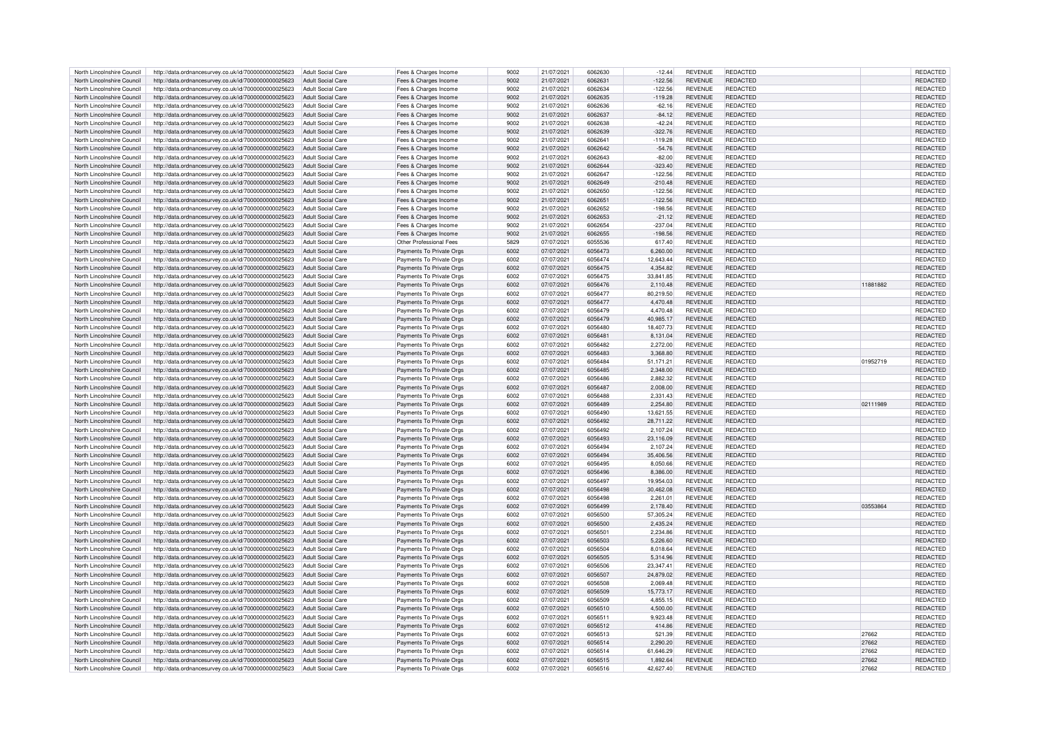| North Lincolnshire Council | http://data.ordnancesurvey.co.uk/id/7000000000025623                   | <b>Adult Social Care</b> | Fees & Charges Income    | 9002 | 21/07/2021 | 6062630 | $-12.44$  | <b>REVENUE</b> | <b>REDACTED</b> |          | <b>REDACTED</b> |
|----------------------------|------------------------------------------------------------------------|--------------------------|--------------------------|------|------------|---------|-----------|----------------|-----------------|----------|-----------------|
|                            |                                                                        |                          |                          |      |            |         |           |                |                 |          |                 |
| North Lincolnshire Council | http://data.ordnancesurvey.co.uk/id/7000000000025623                   | <b>Adult Social Care</b> | Fees & Charges Income    | 9002 | 21/07/2021 | 606263  | $-122.56$ | <b>REVENUE</b> | REDACTED        |          | REDACTED        |
| North Lincolnshire Council | http://data.ordnancesurvey.co.uk/id/7000000000025623                   | Adult Social Care        | Fees & Charges Income    | 9002 | 21/07/2021 | 6062634 | $-122.56$ | REVENUE        | <b>REDACTED</b> |          | REDACTED        |
| North Lincolnshire Council | http://data.ordnancesurvey.co.uk/id/7000000000025623                   | Adult Social Care        |                          | 9002 | 21/07/2021 | 6062635 | $-119.28$ | <b>REVENUE</b> | <b>REDACTED</b> |          | REDACTED        |
|                            |                                                                        |                          | Fees & Charges Income    |      |            |         |           |                |                 |          |                 |
| North Lincolnshire Council | http://data.ordnancesurvey.co.uk/id/7000000000025623                   | Adult Social Care        | Fees & Charges Income    | 9002 | 21/07/2021 | 6062636 | $-62.16$  | <b>REVENUE</b> | <b>REDACTED</b> |          | REDACTED        |
| North Lincolnshire Council | http://data.ordnancesurvey.co.uk/id/7000000000025623                   | <b>Adult Social Care</b> | Fees & Charges Income    | 9002 | 21/07/2021 | 6062637 | $-84.12$  | <b>REVENUE</b> | <b>REDACTED</b> |          | REDACTED        |
|                            |                                                                        |                          |                          |      |            |         |           |                |                 |          |                 |
| North Lincolnshire Council | http://data.ordnancesurvey.co.uk/id/7000000000025623                   | <b>Adult Social Care</b> | Fees & Charges Income    | 9002 | 21/07/2021 | 6062638 | $-42.24$  | <b>REVENUE</b> | REDACTED        |          | <b>REDACTED</b> |
| North Lincolnshire Council | http://data.ordnancesurvey.co.uk/id/7000000000025623                   | <b>Adult Social Care</b> | Fees & Charges Income    | 9002 | 21/07/2021 | 6062639 | $-322.76$ | REVENUE        | <b>REDACTED</b> |          | REDACTED        |
| North Lincolnshire Council | http://data.ordnancesurvey.co.uk/id/7000000000025623                   | <b>Adult Social Care</b> | Fees & Charges Income    | 9002 | 21/07/2021 | 6062641 | $-119.28$ | <b>REVENUE</b> | REDACTED        |          | REDACTED        |
|                            |                                                                        |                          |                          |      |            |         |           |                |                 |          |                 |
| North Lincolnshire Council | http://data.ordnancesurvey.co.uk/id/7000000000025623                   | <b>Adult Social Care</b> | Fees & Charges Income    | 9002 | 21/07/2021 | 6062642 | $-54.76$  | <b>REVENUE</b> | REDACTED        |          | REDACTED        |
| North Lincolnshire Council | http://data.ordnancesurvey.co.uk/id/7000000000025623                   | <b>Adult Social Care</b> | Fees & Charges Income    | 9002 | 21/07/2021 | 6062643 | $-82.00$  | <b>REVENUE</b> | <b>REDACTED</b> |          | <b>REDACTED</b> |
|                            |                                                                        |                          |                          |      |            |         |           |                |                 |          |                 |
| North Lincolnshire Council | http://data.ordnancesurvey.co.uk/id/7000000000025623                   | Adult Social Care        | Fees & Charges Income    | 9002 | 21/07/2021 | 6062644 | $-323.40$ | <b>REVENUE</b> | REDACTED        |          | REDACTED        |
| North Lincolnshire Council | http://data.ordnancesurvey.co.uk/id/7000000000025623                   | <b>Adult Social Care</b> | Fees & Charges Income    | 9002 | 21/07/2021 | 6062647 | $-122.56$ | <b>REVENUE</b> | <b>REDACTED</b> |          | REDACTED        |
| North Lincolnshire Council | http://data.ordnancesurvey.co.uk/id/7000000000025623                   | Adult Social Care        | Fees & Charges Income    | 9002 | 21/07/2021 | 6062649 | $-210.48$ | <b>REVENUE</b> | <b>REDACTED</b> |          | REDACTED        |
|                            |                                                                        |                          |                          |      |            |         |           |                |                 |          |                 |
| North Lincolnshire Council | http://data.ordnancesurvey.co.uk/id/7000000000025623                   | Adult Social Care        | Fees & Charges Income    | 9002 | 21/07/2021 | 6062650 | $-122.56$ | <b>REVENUE</b> | <b>REDACTED</b> |          | REDACTED        |
| North Lincolnshire Council | http://data.ordnancesurvey.co.uk/id/7000000000025623                   | <b>Adult Social Care</b> | Fees & Charges Income    | 9002 | 21/07/2021 | 606265  | $-122.56$ | REVENUE        | <b>REDACTED</b> |          | REDACTED        |
|                            |                                                                        |                          |                          |      |            |         |           |                |                 |          |                 |
| North Lincolnshire Council | http://data.ordnancesurvey.co.uk/id/7000000000025623                   | <b>Adult Social Care</b> | Fees & Charges Income    | 9002 | 21/07/2021 | 6062652 | $-198.56$ | <b>REVENUE</b> | REDACTED        |          | REDACTED        |
| North Lincolnshire Council | http://data.ordnancesurvey.co.uk/id/7000000000025623                   | <b>Adult Social Care</b> | Fees & Charges Income    | 9002 | 21/07/2021 | 6062653 | $-21.12$  | REVENUE        | <b>REDACTED</b> |          | <b>REDACTED</b> |
|                            |                                                                        |                          |                          | 9002 |            |         |           |                |                 |          |                 |
| North Lincolnshire Council | http://data.ordnancesurvey.co.uk/id/7000000000025623                   | <b>Adult Social Care</b> | Fees & Charges Income    |      | 21/07/2021 | 6062654 | $-237.04$ | <b>REVENUE</b> | REDACTED        |          | REDACTED        |
| North Lincolnshire Council | http://data.ordnancesurvey.co.uk/id/7000000000025623                   | <b>Adult Social Care</b> | Fees & Charges Income    | 9002 | 21/07/2021 | 6062654 | $-198.56$ | <b>REVENUE</b> | <b>REDACTED</b> |          | REDACTED        |
| North Lincolnshire Council |                                                                        | Adult Social Care        |                          | 5829 |            | 6055536 | 617.40    | <b>REVENUE</b> | REDACTED        |          | <b>REDACTED</b> |
|                            | http://data.ordnancesurvey.co.uk/id/7000000000025623                   |                          | Other Professional Fees  |      | 07/07/2021 |         |           |                |                 |          |                 |
| North Lincolnshire Council | http://data.ordnancesurvey.co.uk/id/7000000000025623                   | <b>Adult Social Care</b> | Payments To Private Orgs | 6002 | 07/07/2021 | 6056473 | 6,260.00  | <b>REVENUE</b> | REDACTED        |          | REDACTED        |
| North Lincolnshire Council | http://data.ordnancesurvey.co.uk/id/7000000000025623                   | <b>Adult Social Care</b> | Payments To Private Orgs | 6002 | 07/07/2021 | 6056474 | 12.643.44 | REVENUE        | <b>REDACTED</b> |          | <b>REDACTE</b>  |
|                            |                                                                        |                          |                          |      |            |         |           |                |                 |          |                 |
| North Lincolnshire Council | http://data.ordnancesurvey.co.uk/id/7000000000025623                   | Adult Social Care        | Payments To Private Orgs | 6002 | 07/07/2021 | 6056475 | 4.354.82  | <b>REVENUE</b> | <b>REDACTED</b> |          | REDACTED        |
| North Lincolnshire Council | http://data.ordnancesurvey.co.uk/id/7000000000025623                   | <b>Adult Social Care</b> | Payments To Private Orgs | 6002 | 07/07/2021 | 605647  | 33,841.85 | <b>REVENUE</b> | REDACTED        |          | REDACTED        |
| North Lincolnshire Council |                                                                        | <b>Adult Social Care</b> |                          |      |            | 6056476 |           |                | <b>REDACTED</b> | 11881882 |                 |
|                            | http://data.ordnancesurvey.co.uk/id/7000000000025623                   |                          | Payments To Private Orgs | 6002 | 07/07/2021 |         | 2,110.48  | <b>REVENUE</b> |                 |          | REDACTED        |
| North Lincolnshire Council | http://data.ordnancesurvey.co.uk/id/7000000000025623                   | <b>Adult Social Care</b> | Payments To Private Orgs | 6002 | 07/07/2021 | 6056477 | 80,219.50 | <b>REVENUE</b> | REDACTED        |          | REDACTED        |
| North Lincolnshire Council | http://data.ordnancesurvey.co.uk/id/7000000000025623                   | <b>Adult Social Care</b> | Payments To Private Oras | 6002 | 07/07/2021 | 6056477 | 4.470.48  | <b>REVENUE</b> | <b>REDACTED</b> |          | REDACTED        |
|                            |                                                                        |                          |                          |      |            |         |           |                |                 |          |                 |
| North Lincolnshire Council | http://data.ordnancesurvey.co.uk/id/7000000000025623                   | Adult Social Care        | Payments To Private Orgs | 6002 | 07/07/2021 | 6056479 | 4.470.48  | <b>REVENUE</b> | REDACTED        |          | REDACTED        |
| North Lincolnshire Council | http://data.ordnancesurvey.co.uk/id/7000000000025623                   | Adult Social Care        | Payments To Private Orgs | 6002 | 07/07/2021 | 6056479 | 40.985.17 | <b>REVENUE</b> | <b>REDACTED</b> |          | REDACTED        |
|                            |                                                                        |                          |                          |      |            |         |           |                |                 |          |                 |
| North Lincolnshire Council | http://data.ordnancesurvey.co.uk/id/7000000000025623                   | Adult Social Care        | Payments To Private Orgs | 6002 | 07/07/2021 | 6056480 | 18,407.73 | <b>REVENUE</b> | REDACTED        |          | REDACTED        |
| North Lincolnshire Council | http://data.ordnancesurvey.co.uk/id/7000000000025623                   | <b>Adult Social Care</b> | Payments To Private Orgs | 6002 | 07/07/2021 | 605648  | 8,131.04  | <b>REVENUE</b> | <b>REDACTED</b> |          | REDACTED        |
|                            |                                                                        |                          |                          |      |            | 6056483 |           |                |                 |          |                 |
| North Lincolnshire Council | http://data.ordnancesurvey.co.uk/id/7000000000025623                   | <b>Adult Social Care</b> | Payments To Private Orgs | 6002 | 07/07/2021 |         | 2,272.00  | <b>REVENUE</b> | REDACTED        |          | REDACTED        |
| North Lincolnshire Council | http://data.ordnancesurvey.co.uk/id/7000000000025623                   | Adult Social Care        | Payments To Private Orgs | 6002 | 07/07/2021 | 6056483 | 3.368.80  | <b>REVENUE</b> | <b>REDACTED</b> |          | REDACTED        |
| North Lincolnshire Council | http://data.ordnancesurvey.co.uk/id/7000000000025623                   | Adult Social Care        | Payments To Private Orgs | 6002 | 07/07/2021 | 6056484 | 51,171.21 | <b>REVENUE</b> | REDACTED        | 01952719 | REDACTED        |
|                            |                                                                        |                          |                          |      |            |         |           |                |                 |          |                 |
| North Lincolnshire Council | http://data.ordnancesurvey.co.uk/id/7000000000025623                   | <b>Adult Social Care</b> | Payments To Private Orgs | 6002 | 07/07/2021 | 6056485 | 2,348.00  | <b>REVENUE</b> | REDACTED        |          | REDACTED        |
| North Lincolnshire Council | http://data.ordnancesurvey.co.uk/id/7000000000025623                   | <b>Adult Social Care</b> | Payments To Private Orgs | 6002 | 07/07/2021 | 6056486 | 2.882.32  | <b>REVENUE</b> | REDACTED        |          | <b>REDACTED</b> |
|                            |                                                                        |                          |                          | 6002 |            | 6056487 |           | REVENUE        | <b>REDACTED</b> |          |                 |
| North Lincolnshire Council | http://data.ordnancesurvey.co.uk/id/7000000000025623                   | <b>Adult Social Care</b> | Payments To Private Orgs |      | 07/07/2021 |         | 2,008.00  |                |                 |          | REDACTED        |
| North Lincolnshire Council | http://data.ordnancesurvey.co.uk/id/7000000000025623                   | Adult Social Care        | Payments To Private Orgs | 6002 | 07/07/2021 | 6056488 | 2.331.43  | <b>REVENUE</b> | REDACTED        |          | REDACTED        |
| North Lincolnshire Council |                                                                        | <b>Adult Social Care</b> |                          | 6002 | 07/07/2021 | 6056489 | 2,254.80  | <b>REVENUE</b> | REDACTED        | 02111989 | REDACTED        |
|                            | http://data.ordnancesurvey.co.uk/id/7000000000025623                   |                          | Payments To Private Orgs |      |            |         |           |                |                 |          |                 |
| North Lincolnshire Council | http://data.ordnancesurvey.co.uk/id/7000000000025623                   | <b>Adult Social Care</b> | Payments To Private Orgs | 6002 | 07/07/2021 | 6056490 | 13,621.55 | <b>REVENUE</b> | REDACTED        |          | REDACTED        |
| North Lincolnshire Council | http://data.ordnancesurvey.co.uk/id/7000000000025623                   | <b>Adult Social Care</b> | Payments To Private Orgs | 6002 | 07/07/2021 | 6056492 | 28.711.22 | <b>REVENUE</b> | <b>REDACTED</b> |          | REDACTED        |
|                            |                                                                        |                          |                          |      |            |         |           |                |                 |          |                 |
| North Lincolnshire Council | http://data.ordnancesurvey.co.uk/id/7000000000025623                   | <b>Adult Social Care</b> | Payments To Private Orgs | 6002 | 07/07/2021 | 6056492 | 2,107.24  | REVENUE        | <b>REDACTED</b> |          | REDACTED        |
| North Lincolnshire Council | http://data.ordnancesurvey.co.uk/id/7000000000025623                   | Adult Social Care        | Payments To Private Orgs | 6002 | 07/07/2021 | 6056493 | 23,116.09 | <b>REVENUE</b> | <b>REDACTED</b> |          | REDACTED        |
|                            |                                                                        |                          |                          |      |            | 6056494 |           |                |                 |          |                 |
| North Lincolnshire Council | http://data.ordnancesurvey.co.uk/id/7000000000025623                   | <b>Adult Social Care</b> | Payments To Private Orgs | 6002 | 07/07/2021 |         | 2.107.24  | <b>REVENUE</b> | REDACTED        |          | REDACTED        |
| North Lincolnshire Council | http://data.ordnancesurvey.co.uk/id/7000000000025623                   | <b>Adult Social Care</b> | Payments To Private Orgs | 6002 | 07/07/2021 | 6056494 | 35,406.56 | <b>REVENUE</b> | REDACTED        |          | REDACTED        |
| North Lincolnshire Council | http://data.ordnancesurvey.co.uk/id/7000000000025623                   | <b>Adult Social Care</b> | Payments To Private Orgs | 6002 | 07/07/2021 | 605649  | 8,050.66  | <b>REVENUE</b> | REDACTED        |          | REDACTED        |
|                            |                                                                        |                          |                          |      |            |         |           |                |                 |          |                 |
| North Lincolnshire Council | http://data.ordnancesurvey.co.uk/id/7000000000025623                   | <b>Adult Social Care</b> | Payments To Private Orgs | 6002 | 07/07/2021 | 6056496 | 8.386.00  | <b>REVENUE</b> | <b>REDACTED</b> |          | REDACTED        |
| North Lincolnshire Council | http://data.ordnancesurvey.co.uk/id/7000000000025623                   | Adult Social Care        | Payments To Private Orgs | 6002 | 07/07/2021 | 6056497 | 19.954.03 | <b>REVENUE</b> | <b>REDACTED</b> |          | <b>REDACTED</b> |
|                            |                                                                        |                          |                          | 6002 |            | 6056498 |           | <b>REVENUE</b> | <b>REDACTED</b> |          | REDACTED        |
| North Lincolnshire Council | http://data.ordnancesurvey.co.uk/id/7000000000025623                   | <b>Adult Social Care</b> | Payments To Private Orgs |      | 07/07/2021 |         | 30,462.08 |                |                 |          |                 |
| North Lincolnshire Council | http://data.ordnancesurvey.co.uk/id/7000000000025623                   | Adult Social Care        | Payments To Private Orgs | 6002 | 07/07/2021 | 6056498 | 2,261.01  | <b>REVENUE</b> | REDACTED        |          | REDACTED        |
| North Lincolnshire Council | http://data.ordnancesurvey.co.uk/id/7000000000025623                   | <b>Adult Social Care</b> | Payments To Private Orgs | 6002 | 07/07/2021 | 6056499 | 2,178.40  | <b>REVENUE</b> | <b>REDACTED</b> | 03553864 | REDACTED        |
|                            |                                                                        |                          |                          |      |            |         |           |                |                 |          |                 |
| North Lincolnshire Council | http://data.ordnancesurvey.co.uk/id/7000000000025623                   | Adult Social Care        | Payments To Private Orgs | 6002 | 07/07/2021 | 6056500 | 57.305.24 | <b>REVENUE</b> | <b>REDACTED</b> |          | REDACTED        |
| North Lincolnshire Council | http://data.ordnancesurvey.co.uk/id/7000000000025623                   | <b>Adult Social Care</b> | Payments To Private Orgs | 6002 | 07/07/2021 | 6056500 | 2,435.24  | <b>REVENUE</b> | <b>REDACTED</b> |          | <b>REDACTED</b> |
| North Lincolnshire Council | http://data.ordnancesurvey.co.uk/id/7000000000025623                   | <b>Adult Social Care</b> | Payments To Private Orgs | 6002 | 07/07/2021 | 605650  | 2,234.86  | <b>REVENUE</b> | <b>REDACTED</b> |          | REDACTED        |
|                            |                                                                        |                          |                          |      |            |         |           |                |                 |          |                 |
| North Lincolnshire Council | http://data.ordnancesurvey.co.uk/id/7000000000025623                   | <b>Adult Social Care</b> | Payments To Private Orgs | 6002 | 07/07/2021 | 6056503 | 5.226.60  | <b>REVENUE</b> | <b>REDACTED</b> |          | <b>REDACTED</b> |
| North Lincolnshire Council | http://data.ordnancesurvey.co.uk/id/7000000000025623                   | <b>Adult Social Care</b> | Payments To Private Orgs | 6002 | 07/07/2021 | 6056504 | 8.018.64  | <b>REVENUE</b> | <b>REDACTED</b> |          | <b>REDACTED</b> |
|                            |                                                                        |                          |                          |      |            |         |           |                |                 |          |                 |
| North Lincolnshire Council | http://data.ordnancesurvey.co.uk/id/7000000000025623                   | <b>Adult Social Care</b> | Payments To Private Oras | 6002 | 07/07/2021 | 6056505 | 5.314.96  | <b>REVENUE</b> | <b>REDACTED</b> |          | REDACTED        |
| North Lincolnshire Council | http://data.ordnancesurvey.co.uk/id/7000000000025623                   | Adult Social Care        | Payments To Private Orgs | 6002 | 07/07/2021 | 6056506 | 23.347.41 | <b>REVENUE</b> | REDACTED        |          | <b>REDACTED</b> |
| North Lincolnshire Council | http://data.ordnancesurvey.co.uk/id/7000000000025623                   | <b>Adult Social Care</b> | Payments To Private Orgs | 6002 | 07/07/2021 | 6056507 | 24,879.02 | <b>REVENUE</b> | <b>REDACTED</b> |          | REDACTED        |
|                            |                                                                        |                          |                          |      |            |         |           |                |                 |          |                 |
| North Lincolnshire Council | http://data.ordnancesurvey.co.uk/id/7000000000025623                   | <b>Adult Social Care</b> | Payments To Private Orgs | 6002 | 07/07/2021 | 6056508 | 2,069.48  | <b>REVENUE</b> | REDACTED        |          | REDACTED        |
| North Lincolnshire Council | http://data.ordnancesurvey.co.uk/id/7000000000025623                   | <b>Adult Social Care</b> | Payments To Private Orgs | 6002 | 07/07/2021 | 6056509 | 15,773.17 | REVENUE        | <b>REDACTED</b> |          | REDACTED        |
|                            |                                                                        |                          |                          |      |            |         |           |                |                 |          |                 |
| North Lincolnshire Council | http://data.ordnancesurvey.co.uk/id/7000000000025623                   | Adult Social Care        | Payments To Private Oras | 6002 | 07/07/2021 | 6056509 | 4.855.15  | <b>REVENUE</b> | REDACTED        |          | REDACTED        |
| North Lincolnshire Council | http://data.ordnancesurvey.co.uk/id/7000000000025623                   | Adult Social Care        | Payments To Private Orgs | 6002 | 07/07/2021 | 6056510 | 4.500.00  | <b>REVENUE</b> | <b>REDACTED</b> |          | REDACTED        |
|                            |                                                                        |                          |                          |      |            |         |           |                |                 |          |                 |
| North Lincolnshire Council | http://data.ordnancesurvey.co.uk/id/7000000000025623                   | <b>Adult Social Care</b> | Payments To Private Orgs | 6002 | 07/07/2021 | 605651  | 9,923.48  | <b>REVENUE</b> | <b>REDACTED</b> |          | <b>REDACTED</b> |
| North Lincolnshire Council | http://data.ordnancesurvey.co.uk/id/7000000000025623                   | <b>Adult Social Care</b> | Payments To Private Orgs | 6002 | 07/07/2021 | 6056512 | 414.86    | <b>REVENUE</b> | REDACTED        |          | REDACTED        |
| North Lincolnshire Council | http://data.ordnancesurvey.co.uk/id/7000000000025623                   | <b>Adult Social Care</b> | Payments To Private Orgs | 6002 | 07/07/2021 | 6056513 | 521.39    | <b>REVENUE</b> | <b>REDACTED</b> | 27662    | <b>REDACTED</b> |
|                            |                                                                        |                          |                          |      |            |         |           |                |                 |          |                 |
| North Lincolnshire Council | http://data.ordnancesurvey.co.uk/id/7000000000025623                   | <b>Adult Social Care</b> | Payments To Private Orgs | 6002 | 07/07/2021 | 6056514 | 2,290.20  | <b>REVENUE</b> | REDACTED        | 27662    | REDACTED        |
| North Lincolnshire Council | http://data.ordnancesurvey.co.uk/id/7000000000025623                   | <b>Adult Social Care</b> | Payments To Private Orgs | 6002 | 07/07/2021 | 6056514 | 61.646.29 | <b>REVENUE</b> | <b>REDACTED</b> | 27662    | REDACTED        |
|                            |                                                                        |                          |                          |      |            |         |           |                |                 |          |                 |
| North Lincolnshire Council | http://data.ordnancesurvey.co.uk/id/7000000000025623                   | Adult Social Care        | Payments To Private Orgs | 6002 | 07/07/2021 | 6056515 | 1.892.64  | <b>REVENUE</b> | <b>REDACTED</b> | 27662    | REDACTED        |
| North Lincolnshire Council | http://data.ordnancesurvey.co.uk/id/7000000000025623 Adult Social Care |                          | Payments To Private Orgs | 6002 | 07/07/2021 | 6056516 | 42,627.40 | <b>REVENUE</b> | REDACTED        | 27662    | REDACTED        |
|                            |                                                                        |                          |                          |      |            |         |           |                |                 |          |                 |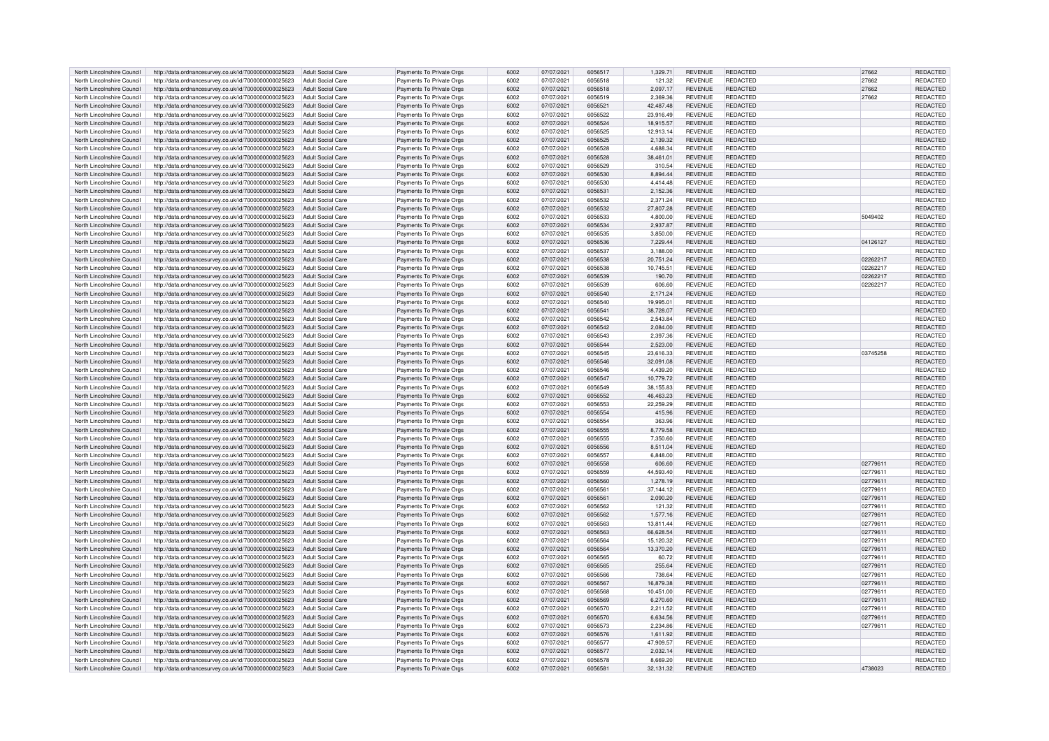| North Lincolnshire Council | http://data.ordnancesurvey.co.uk/id/7000000000025623                   | Adult Social Care        | Payments To Private Orgs | 6002 | 07/07/2021 | 6056517 | 1.329.71  | <b>REVENUE</b> | REDACTED        | 27662    | <b>REDACTED</b> |
|----------------------------|------------------------------------------------------------------------|--------------------------|--------------------------|------|------------|---------|-----------|----------------|-----------------|----------|-----------------|
| North Lincolnshire Council | http://data.ordnancesurvey.co.uk/id/7000000000025623                   | Adult Social Care        | Payments To Private Orgs | 6002 | 07/07/2021 | 6056518 | 121.32    | <b>REVENUE</b> | REDACTED        | 27662    | REDACTED        |
|                            |                                                                        |                          |                          | 6002 |            |         |           |                |                 |          |                 |
| North Lincolnshire Council | http://data.ordnancesurvey.co.uk/id/7000000000025623                   | Adult Social Care        | Payments To Private Orgs |      | 07/07/2021 | 6056518 | 2,097.17  | <b>REVENUE</b> | REDACTED        | 27662    | REDACTED        |
| North Lincolnshire Council | http://data.ordnancesurvey.co.uk/id/7000000000025623                   | Adult Social Care        | Payments To Private Oras | 6002 | 07/07/2021 | 6056519 | 2.369.36  | <b>REVENUE</b> | REDACTED        | 27662    | REDACTED        |
| North Lincolnshire Council | http://data.ordnancesurvey.co.uk/id/7000000000025623                   | Adult Social Care        | Payments To Private Orgs | 6002 | 07/07/2021 | 6056521 | 42,487.48 | <b>REVENUE</b> | <b>REDACTED</b> |          | REDACTED        |
| North Lincolnshire Council | http://data.ordnancesurvey.co.uk/id/7000000000025623                   | <b>Adult Social Care</b> | Payments To Private Orgs | 6002 | 07/07/2021 | 6056522 | 23,916.49 | <b>REVENUE</b> | REDACTED        |          | REDACTED        |
| North Lincolnshire Council | http://data.ordnancesurvey.co.uk/id/7000000000025623                   | <b>Adult Social Care</b> | Payments To Private Orgs | 6002 | 07/07/2021 | 6056524 | 18.915.57 | <b>REVENUE</b> | <b>REDACTED</b> |          | REDACTED        |
| North Lincolnshire Council | http://data.ordnancesurvey.co.uk/id/7000000000025623                   | <b>Adult Social Care</b> | Payments To Private Orgs | 6002 | 07/07/2021 | 6056525 | 12.913.14 | <b>REVENUE</b> | <b>REDACTED</b> |          | REDACTED        |
| North Lincolnshire Council | http://data.ordnancesurvey.co.uk/id/7000000000025623                   | <b>Adult Social Care</b> | Payments To Private Orgs | 6002 | 07/07/2021 | 6056525 | 2.139.32  | <b>REVENUE</b> | <b>REDACTED</b> |          | <b>REDACTED</b> |
| North Lincolnshire Council | http://data.ordnancesurvey.co.uk/id/7000000000025623                   | Adult Social Care        | Payments To Private Orgs | 6002 | 07/07/2021 | 6056528 | 4.688.34  | <b>REVENUE</b> | REDACTED        |          | <b>REDACTED</b> |
|                            |                                                                        |                          |                          | 6002 |            |         |           |                | <b>REDACTED</b> |          |                 |
| North Lincolnshire Council | http://data.ordnancesurvey.co.uk/id/7000000000025623                   | Adult Social Care        | Payments To Private Orgs |      | 07/07/2021 | 6056528 | 38,461.01 | <b>REVENUE</b> |                 |          | REDACTED        |
| North Lincolnshire Council | http://data.ordnancesurvey.co.uk/id/7000000000025623                   | Adult Social Care        | Payments To Private Orgs | 6002 | 07/07/2021 | 6056529 | 310.54    | <b>REVENUE</b> | REDACTED        |          | REDACTED        |
| North Lincolnshire Council | http://data.ordnancesurvey.co.uk/id/7000000000025623                   | Adult Social Care        | Payments To Private Orgs | 6002 | 07/07/2021 | 6056530 | 8.894.44  | <b>REVENUE</b> | <b>REDACTED</b> |          | REDACTED        |
| North Lincolnshire Council | http://data.ordnancesurvey.co.uk/id/7000000000025623                   | Adult Social Care        | Payments To Private Oras | 6002 | 07/07/2021 | 6056530 | 4.414.48  | REVENUE        | <b>REDACTED</b> |          | REDACTED        |
| North Lincolnshire Council | http://data.ordnancesurvey.co.uk/id/7000000000025623                   | Adult Social Care        | Payments To Private Orgs | 6002 | 07/07/2021 | 6056531 | 2,152.36  | <b>REVENUE</b> | <b>REDACTED</b> |          | REDACTED        |
| North Lincolnshire Council | http://data.ordnancesurvey.co.uk/id/7000000000025623                   | <b>Adult Social Care</b> | Payments To Private Orgs | 6002 | 07/07/2021 | 6056532 | 2,371.24  | <b>REVENUE</b> | REDACTED        |          | REDACTED        |
| North Lincolnshire Council | http://data.ordnancesurvey.co.uk/id/7000000000025623                   | <b>Adult Social Care</b> | Payments To Private Orgs | 6002 | 07/07/2021 | 6056532 | 27,807.28 | <b>REVENUE</b> | REDACTED        |          | REDACTED        |
| North Lincolnshire Council | http://data.ordnancesurvey.co.uk/id/7000000000025623                   | <b>Adult Social Care</b> | Payments To Private Orgs | 6002 | 07/07/2021 | 6056533 | 4.800.00  | <b>REVENUE</b> | <b>REDACTED</b> | 5049402  | REDACTED        |
|                            |                                                                        |                          |                          |      |            |         |           |                |                 |          |                 |
| North Lincolnshire Council | http://data.ordnancesurvey.co.uk/id/7000000000025623                   | <b>Adult Social Care</b> | Payments To Private Orgs | 6002 | 07/07/2021 | 6056534 | 2,937.87  | <b>REVENUE</b> | REDACTED        |          | REDACTED        |
| North Lincolnshire Council | http://data.ordnancesurvey.co.uk/id/7000000000025623                   | Adult Social Care        | Payments To Private Orgs | 6002 | 07/07/2021 | 6056535 | 3.850.00  | <b>REVENUE</b> | <b>REDACTED</b> |          | <b>REDACTED</b> |
| North Lincolnshire Council | http://data.ordnancesurvey.co.uk/id/7000000000025623                   | Adult Social Care        | Payments To Private Orgs | 6002 | 07/07/2021 | 6056536 | 7,229.44  | <b>REVENUE</b> | <b>REDACTED</b> | 04126127 | <b>REDACTED</b> |
| North Lincolnshire Council | http://data.ordnancesurvey.co.uk/id/7000000000025623                   | Adult Social Care        | Payments To Private Orgs | 6002 | 07/07/2021 | 6056537 | 3,188.00  | REVENUE        | REDACTED        |          | REDACTED        |
| North Lincolnshire Council | http://data.ordnancesurvey.co.uk/id/7000000000025623                   | Adult Social Care        | Payments To Private Orgs | 6002 | 07/07/2021 | 6056538 | 20,751.24 | <b>REVENUE</b> | <b>REDACTED</b> | 02262217 | <b>REDACTED</b> |
| North Lincolnshire Council | http://data.ordnancesurvey.co.uk/id/7000000000025623                   | Adult Social Care        | Payments To Private Orgs | 6002 | 07/07/2021 | 6056538 | 10,745.51 | <b>REVENUE</b> | <b>REDACTED</b> | 02262217 | REDACTED        |
| North Lincolnshire Council | http://data.ordnancesurvey.co.uk/id/7000000000025623                   | <b>Adult Social Care</b> | Payments To Private Orgs | 6002 | 07/07/2021 | 6056539 | 190.70    | <b>REVENUE</b> | <b>REDACTED</b> | 02262217 | <b>REDACTED</b> |
| North Lincolnshire Council |                                                                        | <b>Adult Social Care</b> |                          | 6002 |            | 6056539 | 606.60    | <b>REVENUE</b> | <b>REDACTED</b> | 02262217 |                 |
|                            | http://data.ordnancesurvey.co.uk/id/7000000000025623                   |                          | Payments To Private Orgs |      | 07/07/2021 |         |           |                |                 |          | REDACTED        |
| North Lincolnshire Council | http://data.ordnancesurvey.co.uk/id/7000000000025623                   | <b>Adult Social Care</b> | Payments To Private Orgs | 6002 | 07/07/2021 | 6056540 | 2,171.24  | <b>REVENUE</b> | REDACTED        |          | REDACTED        |
| North Lincolnshire Council | http://data.ordnancesurvey.co.uk/id/7000000000025623                   | <b>Adult Social Care</b> | Payments To Private Orgs | 6002 | 07/07/2021 | 6056540 | 19.995.01 | <b>REVENUE</b> | <b>REDACTED</b> |          | REDACTED        |
| North Lincolnshire Council | http://data.ordnancesurvey.co.uk/id/7000000000025623                   | Adult Social Care        | Payments To Private Orgs | 6002 | 07/07/2021 | 605654  | 38,728.07 | <b>REVENUE</b> | <b>REDACTED</b> |          | <b>REDACTED</b> |
| North Lincolnshire Council | http://data.ordnancesurvey.co.uk/id/7000000000025623                   | Adult Social Care        | Payments To Private Orgs | 5002 | 07/07/2021 | 6056542 | 2.543.84  | <b>REVENUE</b> | <b>REDACTED</b> |          | REDACTED        |
| North Lincolnshire Council | http://data.ordnancesurvey.co.uk/id/7000000000025623                   | Adult Social Care        | Payments To Private Orgs | 6002 | 07/07/2021 | 6056542 | 2,084.00  | <b>REVENUE</b> | REDACTED        |          | REDACTED        |
| North Lincolnshire Council | http://data.ordnancesurvey.co.uk/id/7000000000025623                   | Adult Social Care        | Payments To Private Orgs | 6002 | 07/07/2021 | 6056543 | 2,397.36  | REVENUE        | REDACTED        |          | REDACTED        |
| North Lincolnshire Council | http://data.ordnancesurvey.co.uk/id/7000000000025623                   | Adult Social Care        | Payments To Private Orgs | 6002 | 07/07/2021 | 6056544 | 2,523.00  | <b>REVENUE</b> | REDACTED        |          | REDACTED        |
| North Lincolnshire Council | http://data.ordnancesurvey.co.uk/id/7000000000025623                   | Adult Social Care        |                          | 6002 | 07/07/2021 | 6056545 | 23.616.33 | <b>REVENUE</b> | <b>REDACTED</b> | 03745258 | <b>REDACTED</b> |
|                            |                                                                        |                          | Payments To Private Orgs |      |            |         |           |                |                 |          |                 |
| North Lincolnshire Council | http://data.ordnancesurvey.co.uk/id/7000000000025623                   | Adult Social Care        | Payments To Private Orgs | 6002 | 07/07/2021 | 6056546 | 32.091.08 | <b>REVENUE</b> | <b>REDACTED</b> |          | <b>REDACTED</b> |
| North Lincolnshire Council | http://data.ordnancesurvey.co.uk/id/7000000000025623                   | <b>Adult Social Care</b> | Payments To Private Orgs | 6002 | 07/07/2021 | 6056546 | 4,439.20  | REVENUE        | REDACTED        |          | REDACTED        |
| North Lincolnshire Council | http://data.ordnancesurvey.co.uk/id/7000000000025623                   | <b>Adult Social Care</b> | Payments To Private Orgs | 6002 | 07/07/2021 | 6056547 | 10.779.72 | <b>REVENUE</b> | <b>REDACTED</b> |          | <b>REDACTED</b> |
| North Lincolnshire Council | http://data.ordnancesurvey.co.uk/id/7000000000025623                   | <b>Adult Social Care</b> | Payments To Private Orgs | 6002 | 07/07/2021 | 6056549 | 38,155.83 | <b>REVENUE</b> | <b>REDACTED</b> |          | REDACTED        |
| North Lincolnshire Council | http://data.ordnancesurvey.co.uk/id/7000000000025623                   | Adult Social Care        | Payments To Private Orgs | 6002 | 07/07/2021 | 6056552 | 46.463.23 | <b>REVENUE</b> | <b>REDACTED</b> |          | <b>REDACTED</b> |
| North Lincolnshire Council | http://data.ordnancesurvey.co.uk/id/7000000000025623                   | Adult Social Care        | Payments To Private Orgs | 6002 | 07/07/2021 | 6056553 | 22,259.29 | <b>REVENUE</b> | <b>REDACTED</b> |          | REDACTED        |
| North Lincolnshire Council | http://data.ordnancesurvey.co.uk/id/7000000000025623                   | <b>Adult Social Care</b> | Payments To Private Orgs | 6002 | 07/07/2021 | 6056554 | 415.96    | <b>REVENUE</b> | REDACTED        |          | REDACTED        |
|                            |                                                                        |                          |                          |      |            |         |           |                |                 |          |                 |
| North Lincolnshire Council | http://data.ordnancesurvey.co.uk/id/7000000000025623                   | Adult Social Care        | Payments To Private Orgs | 6002 | 07/07/2021 | 6056554 | 363.96    | RFVFNUF        | REDACTED        |          | <b>REDACTED</b> |
| North Lincolnshire Council | http://data.ordnancesurvey.co.uk/id/7000000000025623                   | <b>Adult Social Care</b> | Payments To Private Orgs | 6002 | 07/07/2021 | 6056555 | 8,779.58  | <b>REVENUE</b> | REDACTED        |          | REDACTED        |
| North Lincolnshire Council | http://data.ordnancesurvey.co.uk/id/7000000000025623                   | Adult Social Care        | Payments To Private Orgs | 6002 | 07/07/2021 | 6056555 | 7,350.60  | <b>REVENUE</b> | <b>REDACTED</b> |          | <b>REDACTED</b> |
| North Lincolnshire Council | http://data.ordnancesurvey.co.uk/id/7000000000025623                   | <b>Adult Social Care</b> | Payments To Private Orgs | 6002 | 07/07/2021 | 6056556 | 8,511.04  | <b>REVENUE</b> | <b>REDACTED</b> |          | REDACTED        |
| North Lincolnshire Council | http://data.ordnancesurvey.co.uk/id/7000000000025623                   | <b>Adult Social Care</b> | Payments To Private Orgs | 6002 | 07/07/2021 | 6056557 | 6,848.00  | <b>REVENUE</b> | REDACTED        |          | REDACTED        |
| North Lincolnshire Council | http://data.ordnancesurvey.co.uk/id/7000000000025623                   | <b>Adult Social Care</b> | Payments To Private Orgs | 6002 | 07/07/2021 | 6056558 | 606.60    | <b>REVENUE</b> | <b>REDACTED</b> | 02779611 | REDACTED        |
| North Lincolnshire Council | http://data.ordnancesurvey.co.uk/id/7000000000025623                   | Adult Social Care        | Payments To Private Orgs | 6002 | 07/07/2021 | 6056559 | 44.593.40 | <b>REVENUE</b> | REDACTED        | 0277961  | <b>REDACTED</b> |
| North Lincolnshire Council |                                                                        | <b>Adult Social Care</b> |                          | 6002 | 07/07/2021 | 6056560 | 1.278.19  | <b>REVENUE</b> | <b>REDACTED</b> | 02779611 | <b>REDACTED</b> |
|                            | http://data.ordnancesurvey.co.uk/id/7000000000025623                   |                          | Payments To Private Orgs |      |            |         |           |                |                 |          |                 |
| North Lincolnshire Council | http://data.ordnancesurvey.co.uk/id/7000000000025623                   | Adult Social Care        | Payments To Private Orgs | 6002 | 07/07/2021 | 6056561 | 37.144.12 | <b>REVENUE</b> | <b>REDACTED</b> | 02779611 | <b>REDACTED</b> |
| North Lincolnshire Council | http://data.ordnancesurvey.co.uk/id/7000000000025623                   | Adult Social Care        | Payments To Private Orgs | 6002 | 07/07/2021 | 6056561 | 2,090.20  | <b>REVENUE</b> | REDACTED        | 02779611 | REDACTED        |
| North Lincolnshire Council | http://data.ordnancesurvey.co.uk/id/7000000000025623                   | Adult Social Care        | Payments To Private Orgs | 6002 | 07/07/2021 | 6056562 | 121.32    | REVENUE        | <b>REDACTED</b> | 02779611 | <b>REDACTED</b> |
| North Lincolnshire Council | http://data.ordnancesurvey.co.uk/id/7000000000025623                   | Adult Social Care        | Payments To Private Orgs | 6002 | 07/07/2021 | 6056562 | 1,577.16  | <b>REVENUE</b> | <b>REDACTED</b> | 02779611 | <b>REDACTED</b> |
| North Lincolnshire Council | http://data.ordnancesurvey.co.uk/id/7000000000025623                   | Adult Social Care        | Payments To Private Orgs | 6002 | 07/07/2021 | 6056563 | 13 811 44 | <b>REVENUE</b> | <b>REDACTED</b> | 02779611 | <b>REDACTED</b> |
| North Lincolnshire Council | http://data.ordnancesurvey.co.uk/id/7000000000025623                   | <b>Adult Social Care</b> | Payments To Private Orgs | 6002 | 07/07/2021 | 6056563 | 66,628.54 | <b>REVENUE</b> | <b>REDACTED</b> | 02779611 | <b>REDACTED</b> |
| North Lincolnshire Council | http://data.ordnancesurvey.co.uk/id/7000000000025623                   | <b>Adult Social Care</b> | Payments To Private Orgs | 6002 | 07/07/2021 | 6056564 | 15,120.32 | <b>REVENUE</b> | <b>REDACTED</b> | 02779611 | <b>REDACTED</b> |
| North Lincolnshire Council | http://data.ordnancesurvey.co.uk/id/7000000000025623                   | Adult Social Care        | Payments To Private Orgs | 6002 | 07/07/2021 | 6056564 | 13,370.20 | <b>REVENUE</b> | <b>REDACTED</b> | 02779611 | <b>REDACTED</b> |
| North Lincolnshire Council | http://data.ordnancesurvey.co.uk/id/7000000000025623                   | Adult Social Care        | Payments To Private Oras | 6002 | 07/07/2021 | 6056565 | 60.72     | <b>REVENUE</b> | REDACTED        | 02779611 | <b>REDACTED</b> |
|                            |                                                                        |                          |                          |      |            |         |           |                |                 |          |                 |
| North Lincolnshire Council | http://data.ordnancesurvey.co.uk/id/7000000000025623                   | Adult Social Care        | Payments To Private Orgs | 6002 | 07/07/2021 | 6056565 | 255.64    | <b>REVENUE</b> | <b>REDACTED</b> | 0277961  | <b>REDACTED</b> |
| North Lincolnshire Council | http://data.ordnancesurvey.co.uk/id/7000000000025623                   | Adult Social Care        | Payments To Private Orgs | 6002 | 07/07/2021 | 6056566 | 738.64    | <b>REVENUE</b> | REDACTED        | 0277961  | <b>REDACTED</b> |
| North Lincolnshire Council | http://data.ordnancesurvey.co.uk/id/7000000000025623                   | <b>Adult Social Care</b> | Payments To Private Orgs | 6002 | 07/07/2021 | 6056567 | 16,879.38 | <b>REVENUE</b> | REDACTED        | 02779611 | REDACTED        |
| North Lincolnshire Council | http://data.ordnancesurvey.co.uk/id/7000000000025623                   | <b>Adult Social Care</b> | Payments To Private Orgs | 6002 | 07/07/2021 | 6056568 | 10,451.00 | REVENUE        | <b>REDACTED</b> | 0277961  | REDACTED        |
| North Lincolnshire Council | http://data.ordnancesurvey.co.uk/id/7000000000025623                   | <b>Adult Social Care</b> | Payments To Private Orgs | 6002 | 07/07/2021 | 6056569 | 6,270.60  | <b>REVENUE</b> | <b>REDACTED</b> | 02779611 | <b>REDACTED</b> |
| North Lincolnshire Council | http://data.ordnancesurvey.co.uk/id/7000000000025623                   | Adult Social Care        | Payments To Private Orgs | 6002 | 07/07/2021 | 6056570 | 2,211.52  | <b>REVENUE</b> | <b>REDACTED</b> | 02779611 | <b>REDACTED</b> |
| North Lincolnshire Council | http://data.ordnancesurvey.co.uk/id/7000000000025623                   | <b>Adult Social Care</b> | Payments To Private Orgs | 6002 | 07/07/2021 | 6056570 | 6,634.56  | <b>REVENUE</b> | <b>REDACTED</b> | 02779611 | REDACTED        |
| North Lincolnshire Council | http://data.ordnancesurvey.co.uk/id/7000000000025623                   | Adult Social Care        | Payments To Private Orgs | 6002 | 07/07/2021 | 6056573 | 2,234.86  | <b>REVENUE</b> | REDACTED        | 02779611 | REDACTED        |
|                            |                                                                        |                          |                          |      |            |         |           |                |                 |          |                 |
| North Lincolnshire Council | http://data.ordnancesurvey.co.uk/id/7000000000025623                   | <b>Adult Social Care</b> | Payments To Private Orgs | 6002 | 07/07/2021 | 6056576 | 1.611.92  | <b>REVENUE</b> | <b>REDACTED</b> |          | <b>REDACTED</b> |
| North Lincolnshire Council | http://data.ordnancesurvey.co.uk/id/7000000000025623                   | <b>Adult Social Care</b> | Payments To Private Orgs | 6002 | 07/07/2021 | 605657  | 47,909.57 | <b>REVENUE</b> | REDACTED        |          | REDACTED        |
| North Lincolnshire Council | http://data.ordnancesurvey.co.uk/id/7000000000025623                   | <b>Adult Social Care</b> | Payments To Private Orgs | 6002 | 07/07/2021 | 6056577 | 2.032.14  | <b>REVENUE</b> | REDACTED        |          | <b>REDACTED</b> |
| North Lincolnshire Council | http://data.ordnancesurvey.co.uk/id/7000000000025623                   | Adult Social Care        | Payments To Private Orgs | 6002 | 07/07/2021 | 6056578 | 8.669.20  | <b>REVENUE</b> | <b>REDACTED</b> |          | REDACTED        |
| North Lincolnshire Council | http://data.ordnancesurvey.co.uk/id/7000000000025623 Adult Social Care |                          | Payments To Private Orgs | 6002 | 07/07/2021 | 6056581 | 32,131.32 | <b>REVENUE</b> | <b>REDACTED</b> | 4738023  | REDACTED        |
|                            |                                                                        |                          |                          |      |            |         |           |                |                 |          |                 |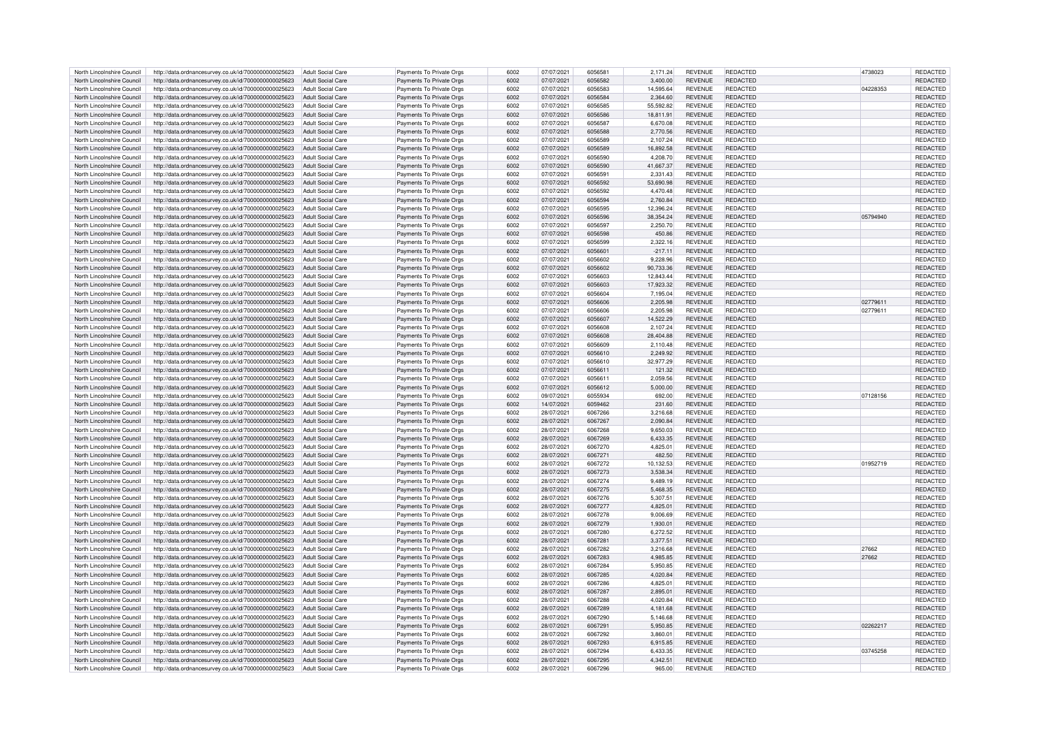| North Lincolnshire Council                               | http://data.ordnancesurvey.co.uk/id/7000000000025623                                                         | Adult Social Care                      | Payments To Private Orgs                             | 6002         | 07/07/2021               | 605658             | 2.171.24           | <b>REVENUE</b>                   | <b>REDACTED</b>             | 4738023  | REDACTED             |
|----------------------------------------------------------|--------------------------------------------------------------------------------------------------------------|----------------------------------------|------------------------------------------------------|--------------|--------------------------|--------------------|--------------------|----------------------------------|-----------------------------|----------|----------------------|
| North Lincolnshire Council                               | http://data.ordnancesurvey.co.uk/id/7000000000025623                                                         | Adult Social Care                      | Payments To Private Orgs                             | 6002         | 07/07/2021               | 6056582            | 3,400.00           | <b>REVENUE</b>                   | <b>REDACTED</b>             |          | REDACTED             |
| North Lincolnshire Council                               | http://data.ordnancesurvey.co.uk/id/7000000000025623                                                         | <b>Adult Social Care</b>               | Payments To Private Orgs                             | 6002         | 07/07/2021               | 6056583            | 14,595.64          | REVENUE                          | <b>REDACTED</b>             | 04228353 | REDACTED             |
| North Lincolnshire Council                               | http://data.ordnancesurvey.co.uk/id/7000000000025623                                                         | Adult Social Care                      | Payments To Private Oras                             | 6002         | 07/07/2021               | 6056584            | 2.364.60           | <b>REVENUE</b>                   | <b>REDACTED</b>             |          | <b>REDACTED</b>      |
| North Lincolnshire Council                               |                                                                                                              |                                        |                                                      | 6002         |                          | 6056585            |                    | <b>REVENUE</b>                   | <b>REDACTED</b>             |          |                      |
|                                                          | http://data.ordnancesurvey.co.uk/id/7000000000025623                                                         | <b>Adult Social Care</b>               | Payments To Private Orgs                             |              | 07/07/2021               |                    | 55,592.82          |                                  |                             |          | <b>REDACTED</b>      |
| North Lincolnshire Council                               | http://data.ordnancesurvey.co.uk/id/7000000000025623                                                         | <b>Adult Social Care</b>               | Payments To Private Orgs                             | 6002         | 07/07/2021               | 6056586            | 18,811.91          | <b>REVENUE</b>                   | <b>REDACTED</b>             |          | REDACTED             |
| North Lincolnshire Council                               | http://data.ordnancesurvey.co.uk/id/7000000000025623                                                         | <b>Adult Social Care</b>               | Payments To Private Orgs                             | 6002         | 07/07/2021               | 6056587            | 6.670.08           | <b>REVENUE</b>                   | <b>REDACTED</b>             |          | <b>REDACTED</b>      |
| North Lincolnshire Council                               | http://data.ordnancesurvey.co.uk/id/7000000000025623                                                         | <b>Adult Social Care</b>               | Payments To Private Orgs                             | 6002         | 07/07/2021               | 6056588            | 2,770.56           | <b>REVENUE</b>                   | <b>REDACTED</b>             |          | <b>REDACTED</b>      |
| North Lincolnshire Council                               | http://data.ordnancesurvey.co.uk/id/7000000000025623                                                         | <b>Adult Social Care</b>               | Payments To Private Orgs                             | 6002         | 07/07/2021               | 6056589            | 2.107.24           | <b>REVENUE</b>                   | REDACTED                    |          | <b>REDACTED</b>      |
| North Lincolnshire Council                               |                                                                                                              | <b>Adult Social Care</b>               |                                                      | 6002         | 07/07/2021               | 6056589            | 16.892.58          | <b>REVENUE</b>                   | <b>REDACTED</b>             |          | REDACTED             |
|                                                          | http://data.ordnancesurvey.co.uk/id/7000000000025623                                                         |                                        | Payments To Private Orgs                             |              |                          |                    |                    |                                  |                             |          |                      |
| North Lincolnshire Council                               | http://data.ordnancesurvey.co.uk/id/7000000000025623                                                         | <b>Adult Social Care</b>               | Payments To Private Orgs                             | 6002         | 07/07/2021               | 6056590            | 4,208.70           | <b>REVENUE</b>                   | <b>REDACTED</b>             |          | REDACTED             |
| North Lincolnshire Council                               | http://data.ordnancesurvey.co.uk/id/7000000000025623                                                         | <b>Adult Social Care</b>               | Payments To Private Orgs                             | 6002         | 07/07/2021               | 6056590            | 41,667.37          | <b>REVENUE</b>                   | <b>REDACTED</b>             |          | <b>REDACTED</b>      |
| North Lincolnshire Council                               | http://data.ordnancesurvey.co.uk/id/7000000000025623                                                         | <b>Adult Social Care</b>               | Payments To Private Orgs                             | 6002         | 07/07/2021               | 605659             | 2,331.43           | REVENUE                          | <b>REDACTED</b>             |          | REDACTED             |
| North Lincolnshire Council                               | http://data.ordnancesurvey.co.uk/id/7000000000025623                                                         | Adult Social Care                      | Payments To Private Orgs                             | 6002         | 07/07/2021               | 6056592            | 53,690.98          | <b>REVENUE</b>                   | <b>REDACTED</b>             |          | <b>REDACTED</b>      |
| North Lincolnshire Council                               | http://data.ordnancesurvey.co.uk/id/7000000000025623                                                         | Adult Social Care                      | Payments To Private Orgs                             | 6002         | 07/07/2021               | 6056592            | 4.470.48           | <b>REVENUE</b>                   | <b>REDACTED</b>             |          | REDACTED             |
|                                                          |                                                                                                              |                                        |                                                      |              |                          |                    |                    |                                  |                             |          |                      |
| North Lincolnshire Council                               | http://data.ordnancesurvey.co.uk/id/7000000000025623                                                         | <b>Adult Social Care</b>               | Payments To Private Orgs                             | 6002         | 07/07/2021               | 6056594            | 2,760.84           | <b>REVENUE</b>                   | <b>REDACTED</b>             |          | REDACTED             |
| North Lincolnshire Council                               | http://data.ordnancesurvey.co.uk/id/7000000000025623                                                         | <b>Adult Social Care</b>               | Payments To Private Orgs                             | 6002         | 07/07/2021               | 6056595            | 12,396.24          | <b>REVENUE</b>                   | REDACTED                    |          | REDACTED             |
| North Lincolnshire Council                               | http://data.ordnancesurvey.co.uk/id/7000000000025623                                                         | <b>Adult Social Care</b>               | Payments To Private Orgs                             | 6002         | 07/07/2021               | 6056596            | 38.354.24          | <b>REVENUE</b>                   | <b>REDACTED</b>             | 05794940 | REDACTED             |
| North Lincolnshire Council                               | http://data.ordnancesurvey.co.uk/id/7000000000025623                                                         | <b>Adult Social Care</b>               | Payments To Private Orgs                             | 6002         | 07/07/2021               | 6056597            | 2,250.70           | <b>REVENUE</b>                   | <b>REDACTED</b>             |          | REDACTED             |
| North Lincolnshire Council                               | http://data.ordnancesurvey.co.uk/id/7000000000025623                                                         | <b>Adult Social Care</b>               |                                                      | 6002         | 07/07/2021               | 6056598            | 450.86             | <b>REVENUE</b>                   | <b>REDACTED</b>             |          | REDACTED             |
|                                                          |                                                                                                              |                                        | Payments To Private Orgs                             |              |                          |                    |                    |                                  |                             |          |                      |
| North Lincolnshire Council                               | http://data.ordnancesurvey.co.uk/id/7000000000025623                                                         | <b>Adult Social Care</b>               | Payments To Private Orgs                             | 6002         | 07/07/2021               | 6056599            | 2.322.16           | <b>REVENUE</b>                   | <b>REDACTED</b>             |          | REDACTED             |
| North Lincolnshire Council                               | http://data.ordnancesurvey.co.uk/id/7000000000025623                                                         | <b>Adult Social Care</b>               | Payments To Private Orgs                             | 6002         | 07/07/2021               | 605660             | $-217.11$          | <b>REVENUE</b>                   | <b>REDACTED</b>             |          | REDACTED             |
| North Lincolnshire Council                               | http://data.ordnancesurvey.co.uk/id/7000000000025623                                                         | <b>Adult Social Care</b>               | Payments To Private Orgs                             | 6002         | 07/07/2021               | 6056602            | 9.228.96           | REVENUE                          | <b>REDACTED</b>             |          | REDACTED             |
| North Lincolnshire Council                               | http://data.ordnancesurvey.co.uk/id/7000000000025623                                                         | Adult Social Care                      | Payments To Private Orgs                             | 6002         | 07/07/2021               | 6056602            | 90,733.36          | <b>REVENUE</b>                   | <b>REDACTED</b>             |          | REDACTED             |
| North Lincolnshire Council                               | http://data.ordnancesurvey.co.uk/id/7000000000025623                                                         | <b>Adult Social Care</b>               | Payments To Private Orgs                             | 6002         | 07/07/2021               | 6056603            | 12.843.44          | <b>REVENUE</b>                   | <b>REDACTED</b>             |          | REDACTED             |
|                                                          |                                                                                                              |                                        |                                                      |              |                          |                    |                    |                                  |                             |          |                      |
| North Lincolnshire Council                               | http://data.ordnancesurvey.co.uk/id/7000000000025623                                                         | <b>Adult Social Care</b>               | Payments To Private Orgs                             | 6002         | 07/07/2021               | 6056603            | 17.923.32          | <b>REVENUE</b>                   | <b>REDACTED</b>             |          | REDACTED             |
| North Lincolnshire Council                               | http://data.ordnancesurvey.co.uk/id/7000000000025623                                                         | <b>Adult Social Care</b>               | Payments To Private Orgs                             | 6002         | 07/07/2021               | 6056604            | 7,195.04           | <b>REVENUE</b>                   | <b>REDACTED</b>             |          | REDACTED             |
| North Lincolnshire Council                               | http://data.ordnancesurvey.co.uk/id/7000000000025623                                                         | <b>Adult Social Care</b>               | Payments To Private Orgs                             | 6002         | 07/07/2021               | 6056606            | 2.205.98           | <b>REVENUE</b>                   | <b>REDACTED</b>             | 02779611 | REDACTED             |
| North Lincolnshire Council                               | http://data.ordnancesurvey.co.uk/id/7000000000025623                                                         | Adult Social Care                      | Payments To Private Orgs                             | 6002         | 07/07/2021               | 6056606            | 2.205.98           | <b>REVENUE</b>                   | <b>REDACTED</b>             | 02779611 | <b>REDACTED</b>      |
| North Lincolnshire Council                               | http://data.ordnancesurvey.co.uk/id/7000000000025623                                                         | <b>Adult Social Care</b>               | Payments To Private Orgs                             | <b>GOOS</b>  | 07/07/2021               | 6056603            | 14.522.29          | <b>REVENUE</b>                   | <b>REDACTED</b>             |          | <b>REDACTED</b>      |
| North Lincolnshire Council                               |                                                                                                              | <b>Adult Social Care</b>               |                                                      | 6002         | 07/07/2021               | 6056608            | 2.107.24           | <b>REVENUE</b>                   | <b>REDACTED</b>             |          | REDACTED             |
|                                                          | http://data.ordnancesurvey.co.uk/id/7000000000025623                                                         |                                        | Payments To Private Orgs                             |              |                          |                    |                    |                                  |                             |          |                      |
| North Lincolnshire Council                               | http://data.ordnancesurvey.co.uk/id/7000000000025623                                                         | <b>Adult Social Care</b>               | Payments To Private Orgs                             | 6002         | 07/07/2021               | 6056608            | 28.404.88          | REVENUE                          | <b>REDACTED</b>             |          | REDACTED             |
| North Lincolnshire Council                               | http://data.ordnancesurvey.co.uk/id/7000000000025623                                                         | <b>Adult Social Care</b>               | Payments To Private Orgs                             | 6002         | 07/07/2021               | 6056609            | 2,110.48           | <b>REVENUE</b>                   | REDACTED                    |          | REDACTED             |
| North Lincolnshire Council                               | http://data.ordnancesurvey.co.uk/id/7000000000025623                                                         | Adult Social Care                      | Payments To Private Orgs                             | 6002         | 07/07/2021               | 6056610            | 2.249.92           | <b>REVENUE</b>                   | <b>REDACTED</b>             |          | REDACTED             |
| North Lincolnshire Council                               | http://data.ordnancesurvey.co.uk/id/7000000000025623                                                         | <b>Adult Social Care</b>               | Payments To Private Orgs                             | 6002         | 07/07/2021               | 6056610            | 32.977.29          | <b>REVENUE</b>                   | <b>REDACTED</b>             |          | REDACTED             |
| North Lincolnshire Council                               | http://data.ordnancesurvey.co.uk/id/7000000000025623                                                         | <b>Adult Social Care</b>               | Payments To Private Orgs                             | 6002         | 07/07/2021               | 605661             | 121.32             | <b>REVENUE</b>                   | <b>REDACTED</b>             |          | <b>REDACTED</b>      |
|                                                          |                                                                                                              |                                        |                                                      |              |                          |                    |                    |                                  |                             |          |                      |
| North Lincolnshire Council                               | http://data.ordnancesurvey.co.uk/id/7000000000025623                                                         | <b>Adult Social Care</b>               | Payments To Private Orgs                             | 6002         | 07/07/2021               | 605661             | 2.059.56           | <b>REVENUE</b>                   | <b>REDACTED</b>             |          | REDACTED             |
| North Lincolnshire Council                               | http://data.ordnancesurvey.co.uk/id/7000000000025623                                                         | <b>Adult Social Care</b>               | Payments To Private Orgs                             | 6002         | 07/07/2021               | 6056612            | 5,000.00           | <b>REVENUE</b>                   | <b>REDACTED</b>             |          | REDACTED             |
| North Lincolnshire Council                               | http://data.ordnancesurvey.co.uk/id/7000000000025623                                                         | Adult Social Care                      | Payments To Private Orgs                             | 6002         | 09/07/2021               | 6055934            | 692.00             | <b>REVENUE</b>                   | <b>REDACTED</b>             | 07128156 | REDACTED             |
| North Lincolnshire Council                               | http://data.ordnancesurvey.co.uk/id/7000000000025623                                                         | <b>Adult Social Care</b>               | Payments To Private Orgs                             | 6002         | 14/07/2021               | 6059463            | 231.60             | <b>REVENUE</b>                   | <b>REDACTED</b>             |          | REDACTED             |
| North Lincolnshire Council                               | http://data.ordnancesurvey.co.uk/id/7000000000025623                                                         | <b>Adult Social Care</b>               | Payments To Private Orgs                             | 6002         | 28/07/2021               | 6067266            | 3,216.68           | <b>REVENUE</b>                   | <b>REDACTED</b>             |          | REDACTED             |
|                                                          |                                                                                                              |                                        |                                                      |              |                          |                    |                    |                                  |                             |          |                      |
| North Lincolnshire Council                               | http://data.ordnancesurvey.co.uk/id/7000000000025623                                                         | <b>Adult Social Care</b>               | Payments To Private Orgs                             | 6002         | 28/07/2021               | 606726             | 2.090.84           | <b>REVENUE</b>                   | <b>REDACTED</b>             |          | <b>REDACTED</b>      |
| North Lincolnshire Council                               | http://data.ordnancesurvey.co.uk/id/7000000000025623                                                         | <b>Adult Social Care</b>               | Payments To Private Orgs                             | 6002         | 28/07/2021               | 6067268            | 9,650.03           | REVENUE                          | <b>REDACTED</b>             |          | REDACTED             |
| North Lincolnshire Council                               | http://data.ordnancesurvey.co.uk/id/7000000000025623                                                         | <b>Adult Social Care</b>               | Payments To Private Orgs                             | 6002         | 28/07/2021               | 6067269            | 6.433.35           | <b>REVENUE</b>                   | <b>REDACTED</b>             |          | REDACTED             |
| North Lincolnshire Council                               | http://data.ordnancesurvey.co.uk/id/7000000000025623                                                         | <b>Adult Social Care</b>               | Payments To Private Orgs                             | 6002         | 28/07/2021               | 6067270            | 4,825.01           | <b>REVENUE</b>                   | <b>REDACTED</b>             |          | REDACTED             |
| North Lincolnshire Council                               | http://data.ordnancesurvey.co.uk/id/7000000000025623                                                         | <b>Adult Social Care</b>               | Payments To Private Orgs                             | 6002         | 28/07/2021               | 606727             | 482.50             | <b>REVENUE</b>                   | <b>REDACTED</b>             |          | <b>REDACTED</b>      |
|                                                          |                                                                                                              |                                        |                                                      |              |                          |                    |                    |                                  |                             |          |                      |
| North Lincolnshire Council                               | http://data.ordnancesurvey.co.uk/id/7000000000025623                                                         | <b>Adult Social Care</b>               | Payments To Private Orgs                             | 6002         | 28/07/2021               | 6067272            | 10,132.53          | <b>REVENUE</b>                   | <b>REDACTED</b>             | 01952719 | REDACTED             |
| North Lincolnshire Council                               | http://data.ordnancesurvey.co.uk/id/7000000000025623                                                         | <b>Adult Social Care</b>               | Payments To Private Orgs                             | 6002         | 28/07/2021               | 6067273            | 3.538.34           | <b>REVENUE</b>                   | <b>REDACTED</b>             |          | <b>REDACTED</b>      |
| North Lincolnshire Council                               | http://data.ordnancesurvey.co.uk/id/7000000000025623                                                         | <b>Adult Social Care</b>               | Payments To Private Orgs                             | 6002         | 28/07/2021               | 6067274            | 9 489 19           | <b>REVENUE</b>                   | <b>REDACTED</b>             |          | <b>REDACTED</b>      |
| North Lincolnshire Council                               | http://data.ordnancesurvey.co.uk/id/7000000000025623                                                         | <b>Adult Social Care</b>               | Payments To Private Orgs                             | 6002         | 28/07/2021               | 6067275            | 5,468.35           | <b>REVENUE</b>                   | <b>REDACTED</b>             |          | REDACTED             |
| North Lincolnshire Council                               | http://data.ordnancesurvey.co.uk/id/7000000000025623                                                         | Adult Social Care                      | Payments To Private Orgs                             | 6002         | 28/07/2021               | 6067276            | 5,307.51           | <b>REVENUE</b>                   | <b>REDACTED</b>             |          | REDACTED             |
|                                                          |                                                                                                              |                                        |                                                      |              |                          |                    |                    |                                  | <b>REDACTED</b>             |          |                      |
| North Lincolnshire Council                               | http://data.ordnancesurvey.co.uk/id/7000000000025623                                                         | Adult Social Care                      | Payments To Private Orgs                             | 6002         | 28/07/2021               | 6067277            | 4,825.01           | <b>REVENUE</b>                   |                             |          | REDACTED             |
| North Lincolnshire Council                               | http://data.ordnancesurvev.co.uk/id/7000000000025623                                                         | Adult Social Care                      | Payments To Private Orgs                             | 6002         | 28/07/2021               | 6067278            | 9.006.69           | <b>REVENUE</b>                   | <b>REDACTED</b>             |          | <b>REDACTED</b>      |
| North Lincolnshire Council                               | http://data.ordnancesurvey.co.uk/id/7000000000025623                                                         | Adult Social Care                      | Payments To Private Orgs                             | 6002         | 28/07/2021               | 6067279            | 1,930.01           | <b>REVENUE</b>                   | <b>REDACTED</b>             |          | REDACTED             |
| North Lincolnshire Council                               | http://data.ordnancesurvey.co.uk/id/7000000000025623                                                         | <b>Adult Social Care</b>               | Payments To Private Orgs                             | 6002         | 28/07/2021               | 6067280            | 6,272.52           | <b>REVENUE</b>                   | <b>REDACTED</b>             |          | REDACTED             |
| North Lincolnshire Council                               | http://data.ordnancesurvey.co.uk/id/7000000000025623                                                         | <b>Adult Social Care</b>               | Payments To Private Orgs                             | 6002         | 28/07/2021               | 606728             | 3,377.51           | <b>REVENUE</b>                   | <b>REDACTED</b>             |          | REDACTED             |
| North Lincolnshire Council                               | http://data.ordnancesurvey.co.uk/id/7000000000025623                                                         | Adult Social Care                      | Payments To Private Orgs                             | 6002         | 28/07/2021               | 6067282            | 3,216.68           | <b>REVENUE</b>                   | <b>REDACTED</b>             | 27662    | REDACTED             |
| North Lincolnshire Council                               | http://data.ordnancesurvey.co.uk/id/7000000000025623                                                         | <b>Adult Social Care</b>               | Payments To Private Orgs                             | 6002         | 28/07/2021               | 6067283            | 4.985.85           | <b>REVENUE</b>                   | <b>REDACTED</b>             | 27662    | REDACTED             |
|                                                          |                                                                                                              |                                        |                                                      |              |                          |                    |                    |                                  |                             |          |                      |
| North Lincolnshire Council                               | http://data.ordnancesurvey.co.uk/id/7000000000025623                                                         | Adult Social Care                      | Payments To Private Orgs                             | 6002         | 28/07/2021               | 6067284            | 5.950.85           | <b>REVENUE</b>                   | <b>REDACTED</b>             |          | <b>REDACTEI</b>      |
| North Lincolnshire Council                               | http://data.ordnancesurvey.co.uk/id/7000000000025623                                                         | <b>Adult Social Care</b>               | Payments To Private Orgs                             | 6002         | 28/07/2021               | 6067285            | 4,020.84           | <b>REVENUE</b>                   | <b>REDACTED</b>             |          | REDACTED             |
| North Lincolnshire Council                               | http://data.ordnancesurvey.co.uk/id/7000000000025623                                                         | <b>Adult Social Care</b>               | Payments To Private Orgs                             | 6002         | 28/07/2021               | 6067286            | 4,825.01           | REVENUE                          | REDACTED                    |          | REDACTED             |
| North Lincolnshire Council                               | http://data.ordnancesurvey.co.uk/id/7000000000025623                                                         | <b>Adult Social Care</b>               | Payments To Private Orgs                             | 6002         | 28/07/2021               | 6067287            | 2,895.01           | REVENUE                          | <b>REDACTED</b>             |          | <b>REDACTED</b>      |
| North Lincolnshire Council                               | http://data.ordnancesurvev.co.uk/id/7000000000025623                                                         | <b>Adult Social Care</b>               | Payments To Private Oras                             | 6002         | 28/07/2021               | 6067288            | 4.020.84           | REVENUE                          | <b>REDACTED</b>             |          | <b>REDACTED</b>      |
|                                                          | http://data.ordnancesurvey.co.uk/id/7000000000025623                                                         |                                        |                                                      | 6002         | 28/07/2021               | 6067289            |                    | <b>REVENUE</b>                   | <b>REDACTED</b>             |          |                      |
|                                                          |                                                                                                              | Adult Social Care                      | Payments To Private Orgs                             |              |                          |                    | 4,181.68           |                                  |                             |          | REDACTED             |
| North Lincolnshire Council                               |                                                                                                              |                                        |                                                      |              | 28/07/2021               | 6067290            | 5,146.68           | <b>REVENUE</b>                   | <b>REDACTED</b>             |          | REDACTED             |
| North Lincolnshire Council                               | http://data.ordnancesurvey.co.uk/id/7000000000025623                                                         | <b>Adult Social Care</b>               | Payments To Private Orgs                             | 6002         |                          |                    |                    |                                  |                             |          |                      |
| North Lincolnshire Council                               | http://data.ordnancesurvey.co.uk/id/7000000000025623                                                         | <b>Adult Social Care</b>               | Payments To Private Orgs                             | 6002         | 28/07/2021               | 606729             | 5,950.85           | <b>REVENUE</b>                   | <b>REDACTED</b>             | 02262217 | <b>REDACTED</b>      |
| North Lincolnshire Council                               | http://data.ordnancesurvey.co.uk/id/7000000000025623                                                         | <b>Adult Social Care</b>               | Payments To Private Orgs                             | 6002         | 28/07/2021               | 6067292            | 3.860.01           | <b>REVENUE</b>                   | <b>REDACTED</b>             |          | <b>REDACTEI</b>      |
|                                                          |                                                                                                              |                                        |                                                      | 6002         |                          | 6067293            |                    |                                  |                             |          |                      |
| North Lincolnshire Council                               | http://data.ordnancesurvey.co.uk/id/7000000000025623                                                         | <b>Adult Social Care</b>               | Payments To Private Orgs                             |              | 28/07/2021               |                    | 6,915.85           | <b>REVENUE</b>                   | <b>REDACTED</b>             |          | REDACTED             |
| North Lincolnshire Council                               | http://data.ordnancesurvey.co.uk/id/7000000000025623                                                         | Adult Social Care                      | Payments To Private Orgs                             | coos         | 28/07/2021               | 6067294            | 6.433.35           | <b>REVENUE</b>                   | <b>REDACTED</b>             | 03745258 | <b>REDACTED</b>      |
| North Lincolnshire Council<br>North Lincolnshire Council | http://data.ordnancesurvey.co.uk/id/7000000000025623<br>http://data.ordnancesurvey.co.uk/id/7000000000025623 | Adult Social Care<br>Adult Social Care | Payments To Private Orgs<br>Payments To Private Orgs | 6002<br>6002 | 28/07/2021<br>28/07/2021 | 6067295<br>6067296 | 4.342.51<br>965.00 | <b>REVENUE</b><br><b>REVENUE</b> | <b>REDACTED</b><br>REDACTED |          | REDACTED<br>REDACTED |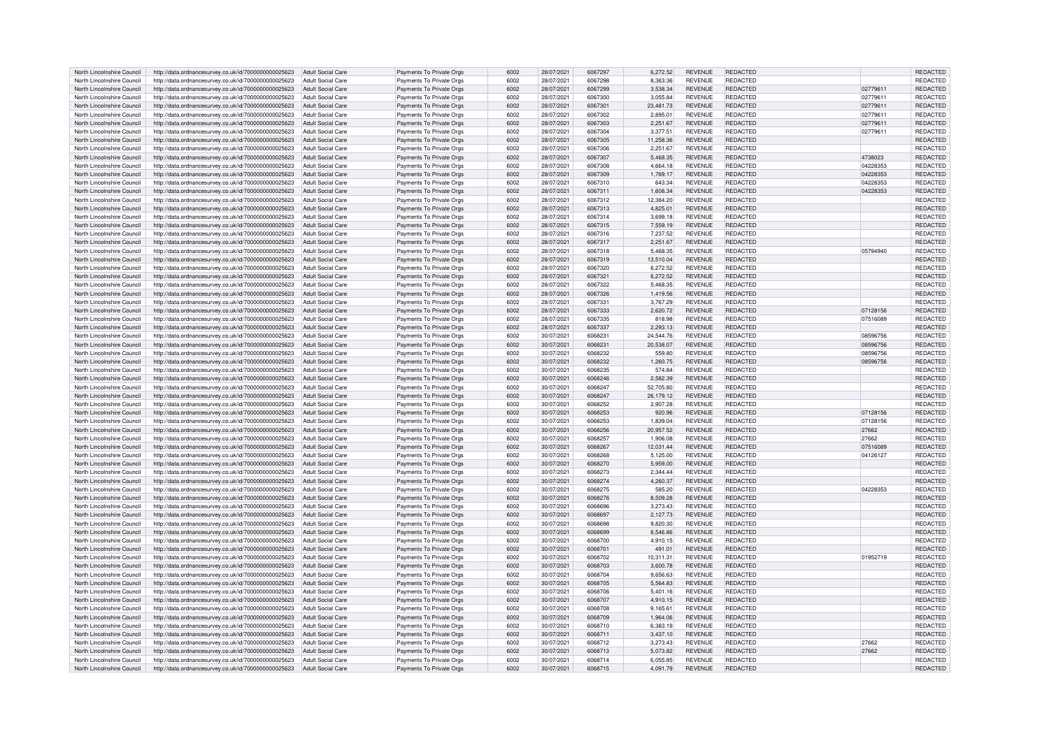| North Lincolnshire Council | http://data.ordnancesurvey.co.uk/id/7000000000025623                   | Adult Social Care        | Payments To Private Orgs | 6002 | 28/07/2021 | 6067297 | 6,272.52  | <b>REVENUE</b> | REDACTED        |          | <b>REDACTED</b> |
|----------------------------|------------------------------------------------------------------------|--------------------------|--------------------------|------|------------|---------|-----------|----------------|-----------------|----------|-----------------|
| North Lincolnshire Council | http://data.ordnancesurvey.co.uk/id/7000000000025623                   | Adult Social Care        | Payments To Private Orgs | 6002 | 28/07/2021 | 6067298 | 8,363.36  | <b>REVENUE</b> | REDACTED        |          | REDACTED        |
| North Lincolnshire Council | http://data.ordnancesurvey.co.uk/id/7000000000025623                   | <b>Adult Social Care</b> | Payments To Private Orgs | 6002 | 28/07/2021 | 6067299 | 3,538.34  | <b>REVENUE</b> | REDACTED        | 02779611 | REDACTED        |
| North Lincolnshire Council | http://data.ordnancesurvey.co.uk/id/7000000000025623                   | Adult Social Care        | Payments To Private Orgs | 6002 | 28/07/2021 | 6067300 | 3.055.84  | <b>REVENUE</b> | REDACTED        | 02779611 | <b>REDACTED</b> |
|                            |                                                                        |                          |                          |      |            |         |           |                |                 |          |                 |
| North Lincolnshire Council | http://data.ordnancesurvey.co.uk/id/7000000000025623                   | Adult Social Care        | Payments To Private Orgs | 6002 | 28/07/2021 | 6067301 | 23,481.73 | <b>REVENUE</b> | <b>REDACTED</b> | 02779611 | REDACTED        |
| North Lincolnshire Council | http://data.ordnancesurvey.co.uk/id/7000000000025623                   | <b>Adult Social Care</b> | Payments To Private Orgs | 6002 | 28/07/2021 | 6067302 | 2,895.01  | <b>REVENUE</b> | REDACTED        | 02779611 | REDACTED        |
| North Lincolnshire Council | http://data.ordnancesurvey.co.uk/id/7000000000025623                   | <b>Adult Social Care</b> | Payments To Private Orgs | 6002 | 28/07/2021 | 6067303 | 2.251.67  | <b>REVENUE</b> | <b>REDACTED</b> | 02779611 | REDACTED        |
| North Lincolnshire Council | http://data.ordnancesurvey.co.uk/id/7000000000025623                   | <b>Adult Social Care</b> | Payments To Private Orgs | 6002 | 28/07/2021 | 6067304 | 3.377.51  | <b>REVENUE</b> | <b>REDACTED</b> | 02779611 | REDACTED        |
| North Lincolnshire Council | http://data.ordnancesurvey.co.uk/id/7000000000025623                   | <b>Adult Social Care</b> | Payments To Private Orgs | 6002 | 28/07/2021 | 6067305 | 11.258.36 | <b>REVENUE</b> | <b>REDACTED</b> |          | REDACTED        |
| North Lincolnshire Council | http://data.ordnancesurvey.co.uk/id/7000000000025623                   | Adult Social Care        | Payments To Private Orgs | 6002 | 28/07/2021 | 6067306 | 2.251.67  | <b>REVENUE</b> | <b>REDACTED</b> |          | <b>REDACTED</b> |
| North Lincolnshire Council | http://data.ordnancesurvey.co.uk/id/7000000000025623                   | Adult Social Care        | Payments To Private Orgs | 6002 | 28/07/2021 | 6067307 | 5,468.35  | <b>REVENUE</b> | REDACTED        | 4738023  | <b>REDACTED</b> |
| North Lincolnshire Council | http://data.ordnancesurvey.co.uk/id/7000000000025623                   | Adult Social Care        |                          | 6002 | 28/07/2021 | 6067308 | 4.664.18  | <b>REVENUE</b> | REDACTED        | 04228353 | REDACTED        |
|                            |                                                                        |                          | Payments To Private Orgs |      |            |         |           |                |                 |          |                 |
| North Lincolnshire Council | http://data.ordnancesurvey.co.uk/id/7000000000025623                   | Adult Social Care        | Payments To Private Orgs | 6002 | 28/07/2021 | 6067309 | 1,769.17  | <b>REVENUE</b> | <b>REDACTED</b> | 04228353 | <b>REDACTED</b> |
| North Lincolnshire Council | http://data.ordnancesurvey.co.uk/id/7000000000025623                   | Adult Social Care        | Payments To Private Oras | 6002 | 28/07/2021 | 6067310 | 643.34    | <b>REVENUE</b> | <b>REDACTED</b> | 04228353 | <b>REDACTED</b> |
| North Lincolnshire Council | http://data.ordnancesurvey.co.uk/id/7000000000025623                   | Adult Social Care        | Payments To Private Orgs | 6002 | 28/07/2021 | 6067311 | 1,608.34  | <b>REVENUE</b> | <b>REDACTED</b> | 04228353 | REDACTED        |
| North Lincolnshire Council | http://data.ordnancesurvey.co.uk/id/7000000000025623                   | <b>Adult Social Care</b> | Payments To Private Orgs | 6002 | 28/07/2021 | 6067312 | 12,384.20 | REVENUE        | REDACTED        |          | REDACTED        |
| North Lincolnshire Council | http://data.ordnancesurvey.co.uk/id/7000000000025623                   | <b>Adult Social Care</b> | Payments To Private Orgs | 6002 | 28/07/2021 | 6067313 | 4,825.01  | <b>REVENUE</b> | REDACTED        |          | REDACTED        |
| North Lincolnshire Council | http://data.ordnancesurvey.co.uk/id/7000000000025623                   | <b>Adult Social Care</b> | Payments To Private Orgs | 6002 | 28/07/2021 | 6067314 | 3.699.18  | <b>REVENUE</b> | <b>REDACTED</b> |          | REDACTED        |
| North Lincolnshire Council | http://data.ordnancesurvey.co.uk/id/7000000000025623                   | <b>Adult Social Care</b> | Payments To Private Orgs | 6002 | 28/07/2021 | 6067315 | 7,559.19  | <b>REVENUE</b> | REDACTED        |          | REDACTED        |
| North Lincolnshire Council | http://data.ordnancesurvey.co.uk/id/7000000000025623                   | Adult Social Care        | Payments To Private Orgs | 6002 | 28/07/2021 | 6067316 | 7.237.52  | <b>REVENUE</b> | <b>REDACTED</b> |          | <b>REDACTED</b> |
| North Lincolnshire Council |                                                                        | Adult Social Care        |                          | 6002 |            | 6067317 |           | <b>REVENUE</b> | <b>REDACTED</b> |          |                 |
|                            | http://data.ordnancesurvey.co.uk/id/7000000000025623                   |                          | Payments To Private Orgs |      | 28/07/2021 |         | 2,251.67  |                |                 |          | REDACTED        |
| North Lincolnshire Council | http://data.ordnancesurvey.co.uk/id/7000000000025623                   | Adult Social Care        | Payments To Private Orgs | 6002 | 28/07/2021 | 6067318 | 5,468.35  | REVENUE        | REDACTED        | 05794940 | REDACTED        |
| North Lincolnshire Council | http://data.ordnancesurvey.co.uk/id/7000000000025623                   | Adult Social Care        | Payments To Private Orgs | 6002 | 28/07/2021 | 6067319 | 13.510.04 | <b>REVENUE</b> | <b>REDACTED</b> |          | <b>REDACTEI</b> |
| North Lincolnshire Council | http://data.ordnancesurvey.co.uk/id/7000000000025623                   | Adult Social Care        | Payments To Private Orgs | 6002 | 28/07/2021 | 6067320 | 6,272.52  | <b>REVENUE</b> | <b>REDACTED</b> |          | <b>REDACTED</b> |
| North Lincolnshire Council | http://data.ordnancesurvey.co.uk/id/7000000000025623                   | <b>Adult Social Care</b> | Payments To Private Orgs | 6002 | 28/07/2021 | 6067321 | 6,272.52  | <b>REVENUE</b> | <b>REDACTED</b> |          | <b>REDACTED</b> |
| North Lincolnshire Council | http://data.ordnancesurvey.co.uk/id/7000000000025623                   | <b>Adult Social Care</b> | Payments To Private Orgs | 6002 | 28/07/2021 | 6067322 | 5,468.35  | <b>REVENUE</b> | <b>REDACTED</b> |          | REDACTED        |
| North Lincolnshire Council | http://data.ordnancesurvey.co.uk/id/7000000000025623                   | <b>Adult Social Care</b> | Payments To Private Orgs | 6002 | 28/07/2021 | 6067326 | 1,419.56  | <b>REVENUE</b> | REDACTED        |          | REDACTED        |
| North Lincolnshire Council | http://data.ordnancesurvey.co.uk/id/7000000000025623                   | <b>Adult Social Care</b> | Payments To Private Orgs | 6002 | 28/07/2021 | 6067331 | 3.767.29  | <b>REVENUE</b> | <b>REDACTED</b> |          | REDACTED        |
| North Lincolnshire Council | http://data.ordnancesurvey.co.uk/id/7000000000025623                   | Adult Social Care        | Payments To Private Orgs | 6002 | 28/07/2021 | 6067333 | 2.620.72  | <b>REVENUE</b> | <b>REDACTED</b> | 07128156 | <b>REDACTED</b> |
| North Lincolnshire Council | http://data.ordnancesurvey.co.uk/id/7000000000025623                   | Adult Social Care        | Payments To Private Orgs | 5002 | 28/07/2021 | 6067335 | 818.98    | <b>REVENUE</b> | <b>REDACTED</b> | 07516089 | <b>REDACTED</b> |
|                            |                                                                        |                          |                          | 6002 |            |         |           |                |                 |          |                 |
| North Lincolnshire Council | http://data.ordnancesurvey.co.uk/id/7000000000025623                   | Adult Social Care        | Payments To Private Orgs |      | 28/07/2021 | 6067337 | 2.293.13  | <b>REVENUE</b> | <b>REDACTED</b> |          | REDACTED        |
| North Lincolnshire Council | http://data.ordnancesurvey.co.uk/id/7000000000025623                   | Adult Social Care        | Payments To Private Orgs | 6002 | 30/07/2021 | 606823  | 24.544.76 | REVENUE        | REDACTED        | 08596756 | <b>REDACTED</b> |
| North Lincolnshire Council | http://data.ordnancesurvey.co.uk/id/7000000000025623                   | Adult Social Care        | Payments To Private Orgs | 6002 | 30/07/2021 | 6068231 | 20,538.07 | <b>REVENUE</b> | REDACTED        | 08596756 | REDACTED        |
| North Lincolnshire Council | http://data.ordnancesurvey.co.uk/id/7000000000025623                   | Adult Social Care        | Payments To Private Orgs | 6002 | 30/07/2021 | 6068232 | 559.80    | <b>REVENUE</b> | <b>REDACTED</b> | 08596756 | <b>REDACTED</b> |
| North Lincolnshire Council | http://data.ordnancesurvey.co.uk/id/7000000000025623                   | Adult Social Care        | Payments To Private Orgs | 6002 | 30/07/2021 | 6068232 | 1.260.75  | <b>REVENUE</b> | <b>REDACTED</b> | 08596756 | REDACTED        |
| North Lincolnshire Council | http://data.ordnancesurvey.co.uk/id/7000000000025623                   | <b>Adult Social Care</b> | Payments To Private Orgs | 6002 | 30/07/2021 | 6068235 | 574.84    | REVENUE        | REDACTED        |          | REDACTED        |
| North Lincolnshire Council | http://data.ordnancesurvey.co.uk/id/7000000000025623                   | <b>Adult Social Care</b> | Payments To Private Orgs | 6002 | 30/07/2021 | 6068246 | 2.582.39  | REVENUE        | <b>REDACTED</b> |          | <b>REDACTED</b> |
| North Lincolnshire Council | http://data.ordnancesurvey.co.uk/id/7000000000025623                   | <b>Adult Social Care</b> | Payments To Private Orgs | 6002 | 30/07/2021 | 6068247 | 52,705.80 | REVENUE        | <b>REDACTED</b> |          | REDACTED        |
| North Lincolnshire Council | http://data.ordnancesurvey.co.uk/id/7000000000025623                   | Adult Social Care        | Payments To Private Orgs | 6002 | 30/07/2021 | 6068247 | 26.179.12 | <b>REVENUE</b> | <b>REDACTED</b> |          | <b>REDACTED</b> |
| North Lincolnshire Council | http://data.ordnancesurvey.co.uk/id/7000000000025623                   | Adult Social Care        | Payments To Private Orgs | 6002 | 30/07/2021 | 6068252 | 2,907.28  | <b>REVENUE</b> | <b>REDACTED</b> |          | REDACTED        |
| North Lincolnshire Council | http://data.ordnancesurvey.co.uk/id/7000000000025623                   | <b>Adult Social Care</b> | Payments To Private Orgs | 6002 | 30/07/2021 | 6068253 | 920.96    | <b>REVENUE</b> | REDACTED        | 07128156 | REDACTED        |
| North Lincolnshire Council | http://data.ordnancesurvey.co.uk/id/7000000000025623                   | Adult Social Care        | Payments To Private Orgs | 6002 | 30/07/2021 | 6068253 | 1.839.04  | RFVFNUF        | REDACTED        | 07128156 | REDACTED        |
| North Lincolnshire Council | http://data.ordnancesurvey.co.uk/id/7000000000025623                   | <b>Adult Social Care</b> | Payments To Private Orgs | 6002 | 30/07/2021 | 6068256 | 20,957.52 | <b>REVENUE</b> | REDACTED        | 27662    | REDACTED        |
|                            |                                                                        |                          |                          |      |            |         |           |                |                 |          |                 |
| North Lincolnshire Council | http://data.ordnancesurvey.co.uk/id/7000000000025623                   | Adult Social Care        | Payments To Private Orgs | 5002 | 30/07/2021 | 6068257 | 1.906.08  | <b>REVENUE</b> | <b>REDACTED</b> | 27662    | <b>REDACTED</b> |
| North Lincolnshire Council | http://data.ordnancesurvey.co.uk/id/7000000000025623                   | <b>Adult Social Care</b> | Payments To Private Orgs | 6002 | 30/07/2021 | 6068267 | 12,031.44 | <b>REVENUE</b> | <b>REDACTED</b> | 07516089 | REDACTED        |
| North Lincolnshire Council | http://data.ordnancesurvey.co.uk/id/7000000000025623                   | <b>Adult Social Care</b> | Payments To Private Orgs | 6002 | 30/07/2021 | 6068268 | 5,125.00  | <b>REVENUE</b> | <b>REDACTED</b> | 04126127 | REDACTED        |
| North Lincolnshire Council | http://data.ordnancesurvey.co.uk/id/7000000000025623                   | <b>Adult Social Care</b> | Payments To Private Orgs | 6002 | 30/07/2021 | 6068270 | 5,959.00  | <b>REVENUE</b> | <b>REDACTED</b> |          | REDACTED        |
| North Lincolnshire Council | http://data.ordnancesurvey.co.uk/id/7000000000025623                   | <b>Adult Social Care</b> | Payments To Private Orgs | 6002 | 30/07/2021 | 6068273 | 2.344.44  | <b>REVENUE</b> | REDACTED        |          | <b>REDACTED</b> |
| North Lincolnshire Council | http://data.ordnancesurvey.co.uk/id/7000000000025623                   | <b>Adult Social Care</b> | Payments To Private Orgs | 6002 | 30/07/2021 | 6068274 | 4.260.37  | <b>REVENUE</b> | <b>REDACTED</b> |          | <b>REDACTED</b> |
| North Lincolnshire Council | http://data.ordnancesurvey.co.uk/id/7000000000025623                   | Adult Social Care        | Payments To Private Orgs | 6002 | 30/07/2021 | 6068275 | 585.20    | <b>REVENUE</b> | <b>REDACTED</b> | 04228353 | <b>REDACTED</b> |
| North Lincolnshire Council | http://data.ordnancesurvey.co.uk/id/7000000000025623                   | Adult Social Care        | Payments To Private Orgs | 6002 | 30/07/2021 | 6068276 | 8,509.28  | <b>REVENUE</b> | REDACTED        |          | REDACTED        |
| North Lincolnshire Council | http://data.ordnancesurvey.co.uk/id/7000000000025623                   | Adult Social Care        | Payments To Private Orgs | 6002 | 30/07/2021 | 6068696 | 3,273.43  | REVENUE        | <b>REDACTED</b> |          | REDACTED        |
|                            |                                                                        |                          |                          |      |            |         |           |                |                 |          |                 |
| North Lincolnshire Council | http://data.ordnancesurvey.co.uk/id/7000000000025623                   | Adult Social Care        | Payments To Private Orgs | 6002 | 30/07/2021 | 6068697 | 2.127.73  | <b>REVENUE</b> | <b>REDACTED</b> |          | <b>REDACTED</b> |
| North Lincolnshire Council | http://data.ordnancesurvey.co.uk/id/7000000000025623                   | Adult Social Care        | Payments To Private Orgs | 6002 | 30/07/2021 | 6068698 | 9.820.30  | <b>REVENUE</b> | <b>REDACTED</b> |          | REDACTED        |
| North Lincolnshire Council | http://data.ordnancesurvey.co.uk/id/7000000000025623                   | <b>Adult Social Care</b> | Payments To Private Orgs | 6002 | 30/07/2021 | 6068699 | 6,546.86  | <b>REVENUE</b> | <b>REDACTED</b> |          | REDACTED        |
| North Lincolnshire Council | http://data.ordnancesurvey.co.uk/id/7000000000025623                   | <b>Adult Social Care</b> | Payments To Private Orgs | 6002 | 30/07/2021 | 6068700 | 4,910.15  | <b>REVENUE</b> | <b>REDACTED</b> |          | REDACTED        |
| North Lincolnshire Council | http://data.ordnancesurvey.co.uk/id/7000000000025623                   | Adult Social Care        | Payments To Private Orgs | 6002 | 30/07/2021 | 6068701 | 491.01    | <b>REVENUE</b> | <b>REDACTED</b> |          | REDACTED        |
| North Lincolnshire Council | http://data.ordnancesurvey.co.uk/id/7000000000025623                   | Adult Social Care        | Payments To Private Orgs | 6002 | 30/07/2021 | 6068702 | 10.311.31 | <b>REVENUE</b> | REDACTED        | 01952719 | <b>REDACTED</b> |
| North Lincolnshire Council | http://data.ordnancesurvey.co.uk/id/7000000000025623                   | Adult Social Care        | Payments To Private Orgs | 6002 | 30/07/2021 | 6068703 | 3,600.78  | <b>REVENUE</b> | <b>REDACTED</b> |          | <b>REDACTED</b> |
| North Lincolnshire Council | http://data.ordnancesurvey.co.uk/id/7000000000025623                   | Adult Social Care        | Payments To Private Orgs | 6002 | 30/07/2021 | 6068704 | 9.656.63  | <b>REVENUE</b> | REDACTED        |          | <b>REDACTED</b> |
| North Lincolnshire Council | http://data.ordnancesurvey.co.uk/id/7000000000025623                   | <b>Adult Social Care</b> | Payments To Private Orgs | 6002 | 30/07/2021 | 6068705 | 5,564.83  | <b>REVENUE</b> | REDACTED        |          | REDACTED        |
| North Lincolnshire Council | http://data.ordnancesurvey.co.uk/id/7000000000025623                   | <b>Adult Social Care</b> | Payments To Private Orgs | 6002 | 30/07/2021 | 6068706 | 5,401.16  | REVENUE        | <b>REDACTED</b> |          | REDACTED        |
| North Lincolnshire Council | http://data.ordnancesurvey.co.uk/id/7000000000025623                   | Adult Social Care        | Payments To Private Orgs | 6002 | 30/07/2021 | 6068707 | 4.910.15  | <b>REVENUE</b> | <b>REDACTED</b> |          | <b>REDACTED</b> |
| North Lincolnshire Council | http://data.ordnancesurvey.co.uk/id/7000000000025623                   | Adult Social Care        | Payments To Private Orgs | 6002 | 30/07/2021 | 6068708 | 9,165.61  | <b>REVENUE</b> | <b>REDACTED</b> |          | REDACTED        |
|                            |                                                                        |                          |                          | 6002 |            | 6068709 |           | <b>REVENUE</b> | <b>REDACTED</b> |          |                 |
| North Lincolnshire Council | http://data.ordnancesurvey.co.uk/id/7000000000025623                   | <b>Adult Social Care</b> | Payments To Private Orgs |      | 30/07/2021 |         | 1,964.06  |                |                 |          | REDACTED        |
| North Lincolnshire Council | http://data.ordnancesurvey.co.uk/id/7000000000025623                   | Adult Social Care        | Payments To Private Orgs | 6002 | 30/07/2021 | 6068710 | 6,383.19  | <b>REVENUE</b> | REDACTED        |          | REDACTED        |
| North Lincolnshire Council | http://data.ordnancesurvey.co.uk/id/7000000000025623                   | <b>Adult Social Care</b> | Payments To Private Orgs | 6002 | 30/07/2021 | 606871  | 3.437.10  | <b>REVENUE</b> | <b>REDACTED</b> |          | <b>REDACTED</b> |
| North Lincolnshire Council | http://data.ordnancesurvey.co.uk/id/7000000000025623                   | <b>Adult Social Care</b> | Payments To Private Orgs | 6002 | 30/07/2021 | 6068712 | 3,273.43  | <b>REVENUE</b> | REDACTED        | 27662    | REDACTED        |
| North Lincolnshire Council | http://data.ordnancesurvey.co.uk/id/7000000000025623                   | <b>Adult Social Care</b> | Payments To Private Orgs | 6002 | 30/07/2021 | 6068713 | 5,073.82  | <b>REVENUE</b> | REDACTED        | 27662    | <b>REDACTED</b> |
| North Lincolnshire Council | http://data.ordnancesurvey.co.uk/id/7000000000025623                   | Adult Social Care        | Payments To Private Orgs | 6002 | 30/07/2021 | 6068714 | 6.055.85  | <b>REVENUE</b> | <b>REDACTED</b> |          | REDACTED        |
| North Lincolnshire Council | http://data.ordnancesurvey.co.uk/id/7000000000025623 Adult Social Care |                          | Payments To Private Orgs | 6002 | 30/07/2021 | 6068715 | 4,091.79  | <b>REVENUE</b> | <b>REDACTED</b> |          | REDACTED        |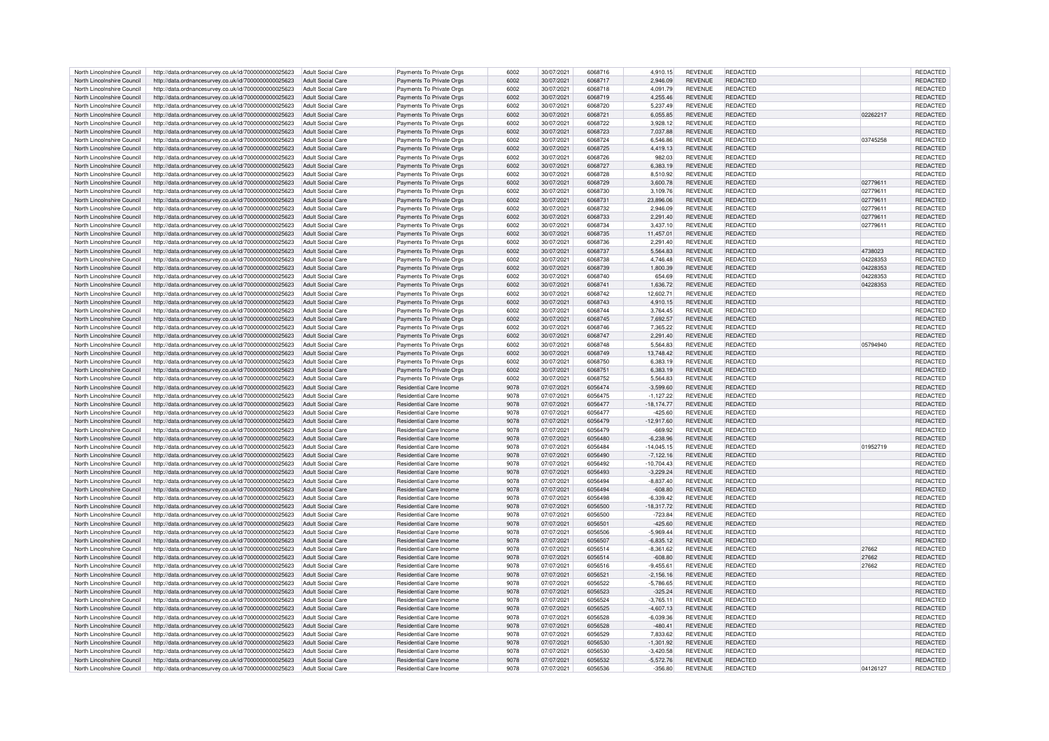| North Lincolnshire Council                               | http://data.ordnancesurvey.co.uk/id/7000000000025623                                                                           | Adult Social Care        | Payments To Private Orgs                           | 6002         | 30/07/2021               | 6068716            | 4.910.15                 | <b>REVENUE</b>                   | <b>REDACTED</b>                    |          | <b>REDACTED</b>             |
|----------------------------------------------------------|--------------------------------------------------------------------------------------------------------------------------------|--------------------------|----------------------------------------------------|--------------|--------------------------|--------------------|--------------------------|----------------------------------|------------------------------------|----------|-----------------------------|
| North Lincolnshire Council                               | http://data.ordnancesurvey.co.uk/id/7000000000025623                                                                           | Adult Social Care        | Payments To Private Orgs                           | 6002         | 30/07/2021               | 6068717            | 2,946.09                 | <b>REVENUE</b>                   | REDACTED                           |          | REDACTED                    |
| North Lincolnshire Council                               | http://data.ordnancesurvey.co.uk/id/7000000000025623                                                                           | Adult Social Care        | Payments To Private Orgs                           | 6002         | 30/07/2021               | 6068718            | 4,091.79                 | REVENUE                          | REDACTED                           |          | REDACTED                    |
|                                                          |                                                                                                                                |                          |                                                    |              |                          |                    |                          |                                  |                                    |          |                             |
| North Lincolnshire Council                               | http://data.ordnancesurvey.co.uk/id/7000000000025623                                                                           | Adult Social Care        | Payments To Private Orgs                           | 6002         | 30/07/2021               | 6068719            | 4.255.46                 | <b>REVENUE</b>                   | <b>REDACTED</b>                    |          | <b>REDACTED</b>             |
| North Lincolnshire Council                               | http://data.ordnancesurvey.co.uk/id/7000000000025623                                                                           | Adult Social Care        | Payments To Private Orgs                           | 6002         | 30/07/2021               | 6068720            | 5,237.49                 | <b>REVENUE</b>                   | <b>REDACTED</b>                    |          | REDACTED                    |
| North Lincolnshire Council                               | http://data.ordnancesurvey.co.uk/id/7000000000025623                                                                           | <b>Adult Social Care</b> | Payments To Private Orgs                           | 6002         | 30/07/2021               | 6068721            | 6,055.85                 | <b>REVENUE</b>                   | <b>REDACTED</b>                    | 02262217 | REDACTED                    |
| North Lincolnshire Council                               | http://data.ordnancesurvey.co.uk/id/7000000000025623                                                                           | <b>Adult Social Care</b> | Payments To Private Orgs                           | 6002         | 30/07/2021               | 6068722            | 3.928.12                 | <b>REVENUE</b>                   | <b>REDACTED</b>                    |          | REDACTED                    |
| North Lincolnshire Council                               | http://data.ordnancesurvey.co.uk/id/7000000000025623                                                                           | <b>Adult Social Care</b> | Payments To Private Orgs                           | 6002         | 30/07/2021               | 6068723            | 7,037.88                 | <b>REVENUE</b>                   | <b>REDACTED</b>                    |          | REDACTED                    |
| North Lincolnshire Council                               | http://data.ordnancesurvey.co.uk/id/7000000000025623                                                                           | <b>Adult Social Care</b> | Payments To Private Orgs                           | 6002         | 30/07/2021               | 6068724            | 6,546.86                 | <b>REVENUE</b>                   | REDACTED                           | 03745258 | <b>REDACTED</b>             |
| North Lincolnshire Council                               | http://data.ordnancesurvey.co.uk/id/7000000000025623                                                                           | Adult Social Care        | Payments To Private Orgs                           | 6002         | 30/07/2021               | 6068725            | 4.419.13                 | <b>REVENUE</b>                   | <b>REDACTED</b>                    |          | <b>REDACTED</b>             |
|                                                          |                                                                                                                                |                          |                                                    |              |                          |                    |                          |                                  |                                    |          |                             |
| North Lincolnshire Council                               | http://data.ordnancesurvey.co.uk/id/7000000000025623                                                                           | Adult Social Care        | Payments To Private Orgs                           | 6002         | 30/07/2021               | 6068726            | 982.03                   | <b>REVENUE</b>                   | <b>REDACTED</b>                    |          | <b>REDACTED</b>             |
| North Lincolnshire Council                               | http://data.ordnancesurvey.co.uk/id/7000000000025623                                                                           | Adult Social Care        | Payments To Private Orgs                           | 6002         | 30/07/2021               | 6068727            | 6,383.19                 | <b>REVENUE</b>                   | <b>REDACTED</b>                    |          | REDACTED                    |
| North Lincolnshire Council                               | http://data.ordnancesurvey.co.uk/id/7000000000025623                                                                           | Adult Social Care        | Payments To Private Orgs                           | 6002         | 30/07/2021               | 6068728            | 8,510.92                 | <b>REVENUE</b>                   | <b>REDACTED</b>                    |          | <b>REDACTED</b>             |
| North Lincolnshire Council                               | http://data.ordnancesurvey.co.uk/id/7000000000025623                                                                           | Adult Social Care        | Payments To Private Orgs                           | 6002         | 30/07/2021               | 6068729            | 3.600.78                 | <b>REVENUE</b>                   | <b>REDACTED</b>                    | 02779611 | <b>REDACTED</b>             |
| North Lincolnshire Council                               | http://data.ordnancesurvey.co.uk/id/7000000000025623                                                                           | Adult Social Care        | Payments To Private Orgs                           | 6002         | 30/07/2021               | 6068730            | 3,109.76                 | <b>REVENUE</b>                   | <b>REDACTED</b>                    | 02779611 | <b>REDACTED</b>             |
| North Lincolnshire Council                               | http://data.ordnancesurvey.co.uk/id/7000000000025623                                                                           | <b>Adult Social Care</b> | Payments To Private Orgs                           | 6002         | 30/07/2021               | 6068731            | 23,896.06                | <b>REVENUE</b>                   | REDACTED                           | 02779611 | <b>REDACTED</b>             |
| North Lincolnshire Council                               | http://data.ordnancesurvey.co.uk/id/7000000000025623                                                                           | Adult Social Care        | Payments To Private Orgs                           | 6002         | 30/07/2021               | 6068732            | 2,946.09                 | <b>REVENUE</b>                   | REDACTED                           | 02779611 | REDACTED                    |
| North Lincolnshire Council                               |                                                                                                                                | <b>Adult Social Care</b> |                                                    | 6002         | 30/07/2021               | 6068733            |                          | <b>REVENUE</b>                   | <b>REDACTED</b>                    |          | <b>REDACTED</b>             |
|                                                          | http://data.ordnancesurvey.co.uk/id/7000000000025623                                                                           |                          | Payments To Private Orgs                           |              |                          |                    | 2,291.40                 |                                  |                                    | 02779611 |                             |
| North Lincolnshire Council                               | http://data.ordnancesurvey.co.uk/id/7000000000025623                                                                           | <b>Adult Social Care</b> | Payments To Private Orgs                           | 6002         | 30/07/2021               | 6068734            | 3,437.10                 | <b>REVENUE</b>                   | REDACTED                           | 02779611 | REDACTED                    |
| North Lincolnshire Council                               | http://data.ordnancesurvey.co.uk/id/7000000000025623                                                                           | Adult Social Care        | Payments To Private Orgs                           | 6002         | 30/07/2021               | 6068735            | 11,457.01                | <b>REVENUE</b>                   | <b>REDACTED</b>                    |          | <b>REDACTED</b>             |
| North Lincolnshire Council                               | http://data.ordnancesurvey.co.uk/id/7000000000025623                                                                           | Adult Social Care        | Payments To Private Orgs                           | 6002         | 30/07/2021               | 6068736            | 2,291.40                 | <b>REVENUE</b>                   | <b>REDACTED</b>                    |          | <b>REDACTED</b>             |
| North Lincolnshire Council                               | http://data.ordnancesurvey.co.uk/id/7000000000025623                                                                           | Adult Social Care        | Payments To Private Orgs                           | 6002         | 30/07/2021               | 6068737            | 5,564.83                 | <b>REVENUE</b>                   | REDACTED                           | 4738023  | REDACTED                    |
| North Lincolnshire Council                               | http://data.ordnancesurvey.co.uk/id/7000000000025623                                                                           | Adult Social Care        | Payments To Private Orgs                           | 6002         | 30/07/2021               | 6068738            | 4,746.48                 | REVENUE                          | <b>REDACTED</b>                    | 04228353 | <b>REDACTED</b>             |
| North Lincolnshire Council                               | http://data.ordnancesurvey.co.uk/id/7000000000025623                                                                           | Adult Social Care        | Payments To Private Orgs                           | 6002         | 30/07/2021               | 6068739            | 1,800.39                 | <b>REVENUE</b>                   | <b>REDACTED</b>                    | 04228353 | <b>REDACTED</b>             |
| North Lincolnshire Council                               |                                                                                                                                |                          |                                                    | 6002         |                          | 6068740            |                          | <b>REVENUE</b>                   | <b>REDACTED</b>                    | 04228353 | REDACTED                    |
|                                                          | http://data.ordnancesurvey.co.uk/id/7000000000025623                                                                           | Adult Social Care        | Payments To Private Orgs                           |              | 30/07/2021               |                    | 654.69                   |                                  |                                    |          |                             |
| North Lincolnshire Council                               | http://data.ordnancesurvey.co.uk/id/7000000000025623                                                                           | <b>Adult Social Care</b> | Payments To Private Orgs                           | 6002         | 30/07/2021               | 6068741            | 1,636.72                 | <b>REVENUE</b>                   | <b>REDACTED</b>                    | 04228353 | REDACTED                    |
| North Lincolnshire Council                               | http://data.ordnancesurvey.co.uk/id/7000000000025623                                                                           | Adult Social Care        | Payments To Private Orgs                           | 6002         | 30/07/2021               | 6068742            | 12,602.71                | <b>REVENUE</b>                   | <b>REDACTED</b>                    |          | REDACTED                    |
| North Lincolnshire Council                               | http://data.ordnancesurvey.co.uk/id/7000000000025623                                                                           | <b>Adult Social Care</b> | Payments To Private Orgs                           | 6002         | 30/07/2021               | 6068743            | 4.910.15                 | <b>REVENUE</b>                   | <b>REDACTED</b>                    |          | <b>REDACTED</b>             |
| North Lincolnshire Council                               | http://data.ordnancesurvey.co.uk/id/7000000000025623                                                                           | Adult Social Care        | Payments To Private Orgs                           | 6002         | 30/07/2021               | 6068744            | 3.764.45                 | <b>REVENUE</b>                   | REDACTED                           |          | <b>REDACTED</b>             |
| North Lincolnshire Council                               | http://data.ordnancesurvey.co.uk/id/7000000000025623                                                                           | Adult Social Care        | Payments To Private Orgs                           | 6002         | 30/07/2021               | 606874             | 7.692.57                 | <b>REVENUE</b>                   | <b>REDACTED</b>                    |          | <b>REDACTED</b>             |
| North Lincolnshire Council                               | http://data.ordnancesurvey.co.uk/id/7000000000025623                                                                           | Adult Social Care        | Payments To Private Orgs                           | 6002         | 30/07/2021               | 6068746            | 7.365.22                 | <b>REVENUE</b>                   | <b>REDACTED</b>                    |          | REDACTED                    |
|                                                          |                                                                                                                                | Adult Social Care        |                                                    | 6002         |                          | 6068747            |                          | <b>REVENUE</b>                   | <b>REDACTED</b>                    |          | <b>REDACTED</b>             |
| North Lincolnshire Council                               | http://data.ordnancesurvey.co.uk/id/7000000000025623                                                                           |                          | Payments To Private Orgs                           |              | 30/07/2021               |                    | 2,291.40                 |                                  |                                    |          |                             |
| North Lincolnshire Council                               | http://data.ordnancesurvey.co.uk/id/7000000000025623                                                                           | <b>Adult Social Care</b> | Payments To Private Orgs                           | 6002         | 30/07/2021               | 6068748            | 5,564.83                 | REVENUE                          | REDACTED                           | 05794940 | REDACTED                    |
| North Lincolnshire Council                               | http://data.ordnancesurvey.co.uk/id/7000000000025623                                                                           | Adult Social Care        | Payments To Private Orgs                           | 6002         | 30/07/2021               | 6068749            | 13,748.42                | <b>REVENUE</b>                   | <b>REDACTED</b>                    |          | <b>REDACTED</b>             |
| North Lincolnshire Council                               | http://data.ordnancesurvey.co.uk/id/7000000000025623                                                                           | Adult Social Care        | Payments To Private Orgs                           | 6002         | 30/07/2021               | 6068750            | 6.383.19                 | <b>REVENUE</b>                   | <b>REDACTED</b>                    |          | <b>REDACTED</b>             |
| North Lincolnshire Council                               | http://data.ordnancesurvey.co.uk/id/7000000000025623                                                                           | <b>Adult Social Care</b> | Payments To Private Orgs                           | 6002         | 30/07/2021               | 6068751            | 6,383.19                 | REVENUE                          | REDACTED                           |          | REDACTED                    |
| North Lincolnshire Council                               | http://data.ordnancesurvey.co.uk/id/7000000000025623                                                                           | <b>Adult Social Care</b> | Payments To Private Orgs                           | 6002         | 30/07/2021               | 6068752            | 5.564.83                 | <b>REVENUE</b>                   | <b>REDACTED</b>                    |          | <b>REDACTED</b>             |
| North Lincolnshire Council                               | http://data.ordnancesurvey.co.uk/id/7000000000025623                                                                           | <b>Adult Social Care</b> | Residential Care Income                            | 9078         | 07/07/2021               | 6056474            | $-3,599.60$              | <b>REVENUE</b>                   | <b>REDACTED</b>                    |          | REDACTED                    |
| North Lincolnshire Council                               | http://data.ordnancesurvey.co.uk/id/7000000000025623                                                                           | Adult Social Care        | Residential Care Income                            | 9078         | 07/07/2021               | 6056475            | $-1.127.22$              | <b>REVENUE</b>                   | REDACTED                           |          | <b>REDACTED</b>             |
|                                                          |                                                                                                                                |                          |                                                    |              |                          |                    |                          |                                  |                                    |          |                             |
| North Lincolnshire Council                               | http://data.ordnancesurvey.co.uk/id/7000000000025623                                                                           | <b>Adult Social Care</b> | Residential Care Income                            | 9078         | 07/07/2021               | 6056477            | $-18, 174.77$            | <b>REVENUE</b>                   | <b>REDACTED</b>                    |          | REDACTED                    |
| North Lincolnshire Council                               | http://data.ordnancesurvey.co.uk/id/7000000000025623                                                                           | <b>Adult Social Care</b> | Residential Care Income                            | 9078         | 07/07/2021               | 6056477            | $-425.60$                | <b>REVENUE</b>                   | REDACTED                           |          | REDACTED                    |
| North Lincolnshire Council                               | http://data.ordnancesurvey.co.uk/id/7000000000025623                                                                           | <b>Adult Social Care</b> | Residential Care Income                            | 9078         | 07/07/2021               | 6056479            | $-12,917.60$             | REVENUE                          | <b>REDACTED</b>                    |          | <b>REDACTED</b>             |
| North Lincolnshire Council                               | http://data.ordnancesurvey.co.uk/id/7000000000025623                                                                           | Adult Social Care        | Residential Care Income                            | 9078         | 07/07/2021               | 6056479            | $-669.92$                | REVENUE                          | REDACTED                           |          | REDACTED                    |
| North Lincolnshire Council                               | http://data.ordnancesurvey.co.uk/id/7000000000025623                                                                           | Adult Social Care        | Residential Care Income                            | 9078         | 07/07/2021               | 6056480            | $-6.238.96$              | <b>REVENUE</b>                   | <b>REDACTED</b>                    |          | <b>REDACTED</b>             |
| North Lincolnshire Council                               | http://data.ordnancesurvey.co.uk/id/7000000000025623                                                                           | <b>Adult Social Care</b> | Residential Care Income                            | 9078         | 07/07/2021               | 6056484            | $-14.045.15$             | <b>REVENUE</b>                   | <b>REDACTED</b>                    | 01952719 | REDACTED                    |
| North Lincolnshire Council                               | http://data.ordnancesurvey.co.uk/id/7000000000025623                                                                           | <b>Adult Social Care</b> | Residential Care Income                            | 9078         | 07/07/2021               | 6056490            | $-7,122.16$              | <b>REVENUE</b>                   | REDACTED                           |          | REDACTED                    |
|                                                          |                                                                                                                                |                          |                                                    |              |                          |                    |                          |                                  |                                    |          |                             |
| North Lincolnshire Council                               | http://data.ordnancesurvey.co.uk/id/7000000000025623                                                                           | Adult Social Care        | Residential Care Income                            | 9078         | 07/07/2021               | 6056492            | $-10,704.43$             | <b>REVENUE</b>                   | REDACTED                           |          | REDACTED                    |
| North Lincolnshire Council                               | http://data.ordnancesurvey.co.uk/id/7000000000025623                                                                           | Adult Social Care        | Residential Care Income                            | 9078         | 07/07/2021               | 6056493            | $-3.229.24$              | <b>REVENUE</b>                   | <b>REDACTED</b>                    |          | <b>REDACTED</b>             |
| North Lincolnshire Council                               | http://data.ordnancesurvey.co.uk/id/7000000000025623                                                                           | Adult Social Care        | Residential Care Income                            | 9078         | 07/07/2021               | 6056494            | $-8.837.40$              | <b>REVENUE</b>                   | <b>REDACTED</b>                    |          | <b>REDACTED</b>             |
| North Lincolnshire Council                               | http://data.ordnancesurvey.co.uk/id/7000000000025623                                                                           | Adult Social Care        | Residential Care Income                            | 9078         | 07/07/2021               | 6056494            | $-608.80$                | <b>REVENUE</b>                   | <b>REDACTED</b>                    |          | <b>REDACTED</b>             |
| North Lincolnshire Council                               | http://data.ordnancesurvey.co.uk/id/7000000000025623                                                                           | Adult Social Care        | Residential Care Income                            | 9078         | 07/07/2021               | 6056498            | $-6,339.42$              | <b>REVENUE</b>                   | <b>REDACTED</b>                    |          | REDACTED                    |
| North Lincolnshire Council                               | http://data.ordnancesurvey.co.uk/id/7000000000025623                                                                           | <b>Adult Social Care</b> | Residential Care Income                            | 9078         | 07/07/2021               | 6056500            | $-18,317.72$             | <b>REVENUE</b>                   | <b>REDACTED</b>                    |          | REDACTED                    |
| North Lincolnshire Council                               | http://data.ordnancesurvey.co.uk/id/7000000000025623                                                                           | Adult Social Care        | Residential Care Income                            | 9078         | 07/07/2021               | 6056500            | $-723.84$                | <b>REVENUE</b>                   | <b>REDACTED</b>                    |          | REDACTED                    |
| North Lincolnshire Council                               |                                                                                                                                |                          | Residential Care Income                            | 9078         |                          | 6056501            |                          |                                  | <b>REDACTED</b>                    |          |                             |
|                                                          | http://data.ordnancesurvey.co.uk/id/7000000000025623                                                                           | Adult Social Care        |                                                    |              | 07/07/2021               |                    | $-425.60$                | <b>REVENUE</b>                   |                                    |          | REDACTED                    |
| North Lincolnshire Council                               | http://data.ordnancesurvey.co.uk/id/7000000000025623                                                                           | Adult Social Care        | Residential Care Income                            | 9078         | 07/07/2021               | 6056506            | $-5,969.44$              | <b>REVENUE</b>                   | REDACTED                           |          | REDACTED                    |
| North Lincolnshire Council                               | http://data.ordnancesurvey.co.uk/id/7000000000025623                                                                           | <b>Adult Social Care</b> | Residential Care Income                            | 9078         | 07/07/2021               | 6056507            | $-6,835.12$              | <b>REVENUE</b>                   | <b>REDACTED</b>                    |          | <b>REDACTED</b>             |
| North Lincolnshire Council                               | http://data.ordnancesurvey.co.uk/id/7000000000025623                                                                           | <b>Adult Social Care</b> | Residential Care Income                            | 9078         | 07/07/2021               | 605651             | $-8.361.62$              | <b>REVENUE</b>                   | <b>REDACTED</b>                    | 27662    | <b>REDACTED</b>             |
| North Lincolnshire Council                               | http://data.ordnancesurvey.co.uk/id/7000000000025623                                                                           | Adult Social Care        | Residential Care Income                            | 9078         | 07/07/2021               | 6056514            | $-608.80$                | <b>REVENUE</b>                   | <b>REDACTED</b>                    | 27662    | <b>REDACTED</b>             |
| North Lincolnshire Council                               | http://data.ordnancesurvey.co.uk/id/7000000000025623                                                                           | Adult Social Care        | Residential Care Income                            | 9078         | 07/07/2021               | 6056516            | $-9.455.61$              | REVENUE                          | REDACTED                           | 27662    | <b>REDACTED</b>             |
| North Lincolnshire Council                               | http://data.ordnancesurvey.co.uk/id/7000000000025623                                                                           | Adult Social Care        | Residential Care Income                            | 9078         | 07/07/2021               | 6056521            | $-2,156.16$              | <b>REVENUE</b>                   | <b>REDACTED</b>                    |          | REDACTED                    |
| North Lincolnshire Council                               | http://data.ordnancesurvey.co.uk/id/7000000000025623                                                                           | Adult Social Care        | Residential Care Income                            | 9078         | 07/07/2021               | 6056522            | $-5,786.65$              | REVENUE                          | REDACTED                           |          | REDACTED                    |
|                                                          |                                                                                                                                |                          |                                                    |              |                          |                    |                          |                                  |                                    |          |                             |
| North Lincolnshire Council                               | http://data.ordnancesurvey.co.uk/id/7000000000025623                                                                           | Adult Social Care        | Residential Care Income                            | 9078         | 07/07/2021               | 6056523            | $-325.24$                | REVENUE                          | <b>REDACTED</b>                    |          | REDACTED                    |
| North Lincolnshire Council                               | http://data.ordnancesurvey.co.uk/id/7000000000025623                                                                           | Adult Social Care        | Residential Care Income                            | 9078         | 07/07/2021               | 6056524            | $-3.765.11$              | REVENUE                          | REDACTED                           |          | <b>REDACTED</b>             |
| North Lincolnshire Council                               | http://data.ordnancesurvey.co.uk/id/7000000000025623                                                                           | <b>Adult Social Care</b> | Residential Care Income                            | 9078         | 07/07/2021               | 6056525            | $-4,607.13$              | <b>REVENUE</b>                   | <b>REDACTED</b>                    |          | REDACTED                    |
| North Lincolnshire Council                               | http://data.ordnancesurvey.co.uk/id/7000000000025623                                                                           | <b>Adult Social Care</b> | Residential Care Income                            | 9078         | 07/07/2021               | 6056528            | $-6,039.36$              | <b>REVENUE</b>                   | <b>REDACTED</b>                    |          | REDACTED                    |
| North Lincolnshire Council                               | http://data.ordnancesurvey.co.uk/id/7000000000025623                                                                           | <b>Adult Social Care</b> | Residential Care Income                            | 9078         | 07/07/2021               | 6056528            | $-480.41$                | <b>REVENUE</b>                   | REDACTED                           |          | REDACTED                    |
| North Lincolnshire Council                               | http://data.ordnancesurvey.co.uk/id/7000000000025623                                                                           | <b>Adult Social Care</b> | Residential Care Income                            | 9078         | 07/07/2021               | 6056529            | 7.833.62                 | <b>REVENUE</b>                   | <b>REDACTED</b>                    |          | <b>REDACTED</b>             |
| North Lincolnshire Council                               |                                                                                                                                | <b>Adult Social Care</b> | Residential Care Income                            | 9078         | 07/07/2021               | 6056530            | $-1,301.92$              | <b>REVENUE</b>                   | REDACTED                           |          | REDACTED                    |
|                                                          |                                                                                                                                |                          |                                                    |              |                          |                    |                          |                                  |                                    |          |                             |
|                                                          | http://data.ordnancesurvey.co.uk/id/7000000000025623                                                                           |                          |                                                    |              |                          |                    |                          |                                  |                                    |          |                             |
| North Lincolnshire Council                               | http://data.ordnancesurvey.co.uk/id/7000000000025623                                                                           | Adult Social Care        | Residential Care Income                            | 9078         | 07/07/2021               | 6056530            | $-3,420.58$              | <b>REVENUE</b>                   | REDACTED                           |          | <b>REDACTED</b>             |
| North Lincolnshire Council<br>North Lincolnshire Council | http://data.ordnancesurvey.co.uk/id/7000000000025623<br>http://data.ordnancesurvey.co.uk/id/7000000000025623 Adult Social Care | Adult Social Care        | Residential Care Income<br>Residential Care Income | 9078<br>9078 | 07/07/2021<br>07/07/2021 | 6056532<br>6056536 | $-5.572.76$<br>$-356.80$ | <b>REVENUE</b><br><b>REVENUE</b> | <b>REDACTED</b><br><b>REDACTED</b> | 04126127 | <b>REDACTED</b><br>REDACTED |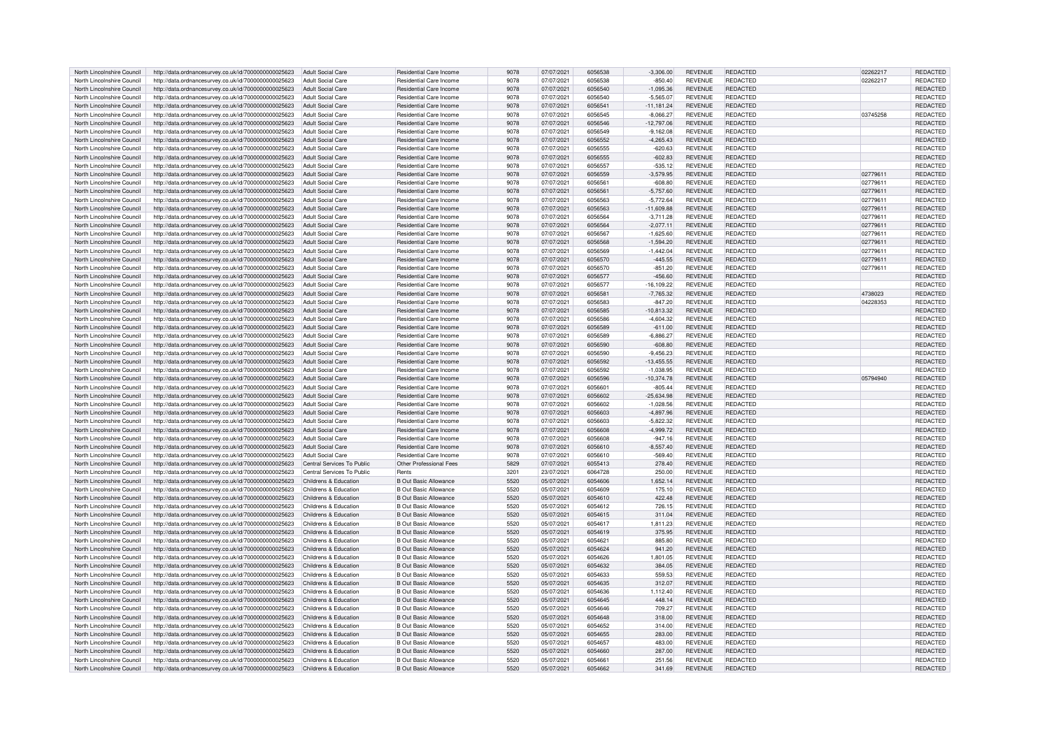| North Lincolnshire Council                               | http://data.ordnancesurvey.co.uk/id/7000000000025623                                                                               | Adult Social Care          | Residential Care Income                               | 9078         | 07/07/2021               | 6056538            | $-3.306.00$      | <b>REVENUE</b>                   | <b>REDACTED</b>                    | 02262217 | <b>REDACTED</b>             |
|----------------------------------------------------------|------------------------------------------------------------------------------------------------------------------------------------|----------------------------|-------------------------------------------------------|--------------|--------------------------|--------------------|------------------|----------------------------------|------------------------------------|----------|-----------------------------|
| North Lincolnshire Council                               | http://data.ordnancesurvey.co.uk/id/7000000000025623                                                                               | Adult Social Care          | Residential Care Income                               | 9078         | 07/07/2021               | 6056538            | $-850.40$        | <b>REVENUE</b>                   | REDACTED                           | 02262217 | REDACTED                    |
| North Lincolnshire Council                               | http://data.ordnancesurvey.co.uk/id/7000000000025623                                                                               | <b>Adult Social Care</b>   | Residential Care Income                               | 9078         | 07/07/2021               | 6056540            | $-1,095.36$      | <b>REVENUE</b>                   | REDACTED                           |          | REDACTED                    |
| North Lincolnshire Council                               | http://data.ordnancesurvey.co.uk/id/7000000000025623                                                                               | Adult Social Care          | Residential Care Income                               | 9078         | 07/07/2021               | 6056540            | $-5.565.07$      | <b>REVENUE</b>                   | <b>REDACTED</b>                    |          | <b>REDACTED</b>             |
| North Lincolnshire Council                               |                                                                                                                                    | <b>Adult Social Care</b>   | Residential Care Income                               | 9078         | 07/07/2021               | 605654             | $-11,181.24$     | <b>REVENUE</b>                   | <b>REDACTED</b>                    |          | REDACTED                    |
| North Lincolnshire Council                               | http://data.ordnancesurvey.co.uk/id/7000000000025623                                                                               | <b>Adult Social Care</b>   | Residential Care Income                               | 9078         | 07/07/2021               | 6056545            |                  | <b>REVENUE</b>                   | REDACTED                           | 03745258 | REDACTED                    |
|                                                          | http://data.ordnancesurvey.co.uk/id/7000000000025623                                                                               |                            |                                                       |              |                          |                    | $-8,066.27$      |                                  |                                    |          |                             |
| North Lincolnshire Council                               | http://data.ordnancesurvey.co.uk/id/7000000000025623                                                                               | <b>Adult Social Care</b>   | Residential Care Income                               | 9078         | 07/07/2021               | 6056546            | 12,797.06        | <b>REVENUE</b>                   | <b>REDACTED</b>                    |          | REDACTED                    |
| North Lincolnshire Council                               | http://data.ordnancesurvey.co.uk/id/7000000000025623                                                                               | <b>Adult Social Care</b>   | Residential Care Income                               | 9078         | 07/07/2021               | 6056549            | $-9,162.08$      | <b>REVENUE</b>                   | <b>REDACTED</b>                    |          | REDACTED                    |
| North Lincolnshire Council                               | http://data.ordnancesurvey.co.uk/id/7000000000025623                                                                               | <b>Adult Social Care</b>   | Residential Care Income                               | 9078         | 07/07/2021               | 6056552            | $-4.265.43$      | <b>REVENUE</b>                   | REDACTED                           |          | <b>REDACTED</b>             |
| North Lincolnshire Council                               | http://data.ordnancesurvey.co.uk/id/7000000000025623                                                                               | Adult Social Care          | Residential Care Income                               | 9078         | 07/07/2021               | 6056555            | $-620.63$        | <b>REVENUE</b>                   | <b>REDACTED</b>                    |          | <b>REDACTED</b>             |
| North Lincolnshire Council                               | http://data.ordnancesurvey.co.uk/id/7000000000025623                                                                               | Adult Social Care          | Residential Care Income                               | 9078         | 07/07/2021               | 6056555            | $-602.83$        | <b>REVENUE</b>                   | REDACTED                           |          | REDACTED                    |
| North Lincolnshire Council                               | http://data.ordnancesurvey.co.uk/id/7000000000025623                                                                               | Adult Social Care          | Residential Care Income                               | 9078         | 07/07/2021               | 6056557            | $-535.12$        | <b>REVENUE</b>                   | REDACTED                           |          | REDACTED                    |
| North Lincolnshire Council                               | http://data.ordnancesurvey.co.uk/id/7000000000025623                                                                               | Adult Social Care          | Residential Care Income                               | 9078         | 07/07/2021               | 6056559            | $-3,579.95$      | <b>REVENUE</b>                   | <b>REDACTED</b>                    | 02779611 | REDACTED                    |
| North Lincolnshire Council                               | http://data.ordnancesurvey.co.uk/id/7000000000025623                                                                               | Adult Social Care          | Residential Care Income                               | 9078         | 07/07/2021               | 6056561            | $-608.80$        | <b>REVENUE</b>                   | REDACTED                           | 02779611 | REDACTED                    |
| North Lincolnshire Council                               | http://data.ordnancesurvey.co.uk/id/7000000000025623                                                                               | Adult Social Care          | Residential Care Income                               | 9078         | 07/07/2021               | 6056561            | $-5,757.60$      | <b>REVENUE</b>                   | <b>REDACTED</b>                    | 02779611 | REDACTED                    |
| North Lincolnshire Council                               |                                                                                                                                    |                            | Residential Care Income                               | 9078         |                          | 6056563            |                  |                                  |                                    |          |                             |
|                                                          | http://data.ordnancesurvey.co.uk/id/7000000000025623                                                                               | <b>Adult Social Care</b>   |                                                       |              | 07/07/2021               |                    | $-5,772.64$      | <b>REVENUE</b>                   | REDACTED                           | 02779611 | REDACTED                    |
| North Lincolnshire Council                               | http://data.ordnancesurvey.co.uk/id/7000000000025623                                                                               | <b>Adult Social Care</b>   | Residential Care Income                               | 9078         | 07/07/2021               | 6056563            | $-11,609.88$     | <b>REVENUE</b>                   | REDACTED                           | 02779611 | REDACTED                    |
| North Lincolnshire Council                               | http://data.ordnancesurvey.co.uk/id/7000000000025623                                                                               | <b>Adult Social Care</b>   | Residential Care Income                               | 9078         | 07/07/2021               | 6056564            | $-3,711.28$      | <b>REVENUE</b>                   | <b>REDACTED</b>                    | 02779611 | REDACTED                    |
| North Lincolnshire Council                               | http://data.ordnancesurvey.co.uk/id/7000000000025623                                                                               | Adult Social Care          | Residential Care Income                               | 9078         | 07/07/2021               | 6056564            | $-2,077.11$      | <b>REVENUE</b>                   | REDACTED                           | 02779611 | REDACTED                    |
| North Lincolnshire Council                               | http://data.ordnancesurvey.co.uk/id/7000000000025623                                                                               | Adult Social Care          | Residential Care Income                               | 9078         | 07/07/2021               | 6056567            | $-1,625.60$      | <b>REVENUE</b>                   | <b>REDACTED</b>                    | 0277961  | <b>REDACTED</b>             |
| North Lincolnshire Council                               | http://data.ordnancesurvey.co.uk/id/7000000000025623                                                                               | <b>Adult Social Care</b>   | Residential Care Income                               | 9078         | 07/07/2021               | 6056568            | $-1,594.20$      | <b>REVENUE</b>                   | REDACTED                           | 02779611 | REDACTED                    |
| North Lincolnshire Council                               | http://data.ordnancesurvey.co.uk/id/7000000000025623                                                                               | Adult Social Care          | Residential Care Income                               | 9078         | 07/07/2021               | 6056569            | $-1,442.04$      | <b>REVENUE</b>                   | REDACTED                           | 02779611 | REDACTED                    |
| North Lincolnshire Council                               | http://data.ordnancesurvey.co.uk/id/7000000000025623                                                                               | <b>Adult Social Care</b>   | Residential Care Income                               | 9078         | 07/07/2021               | 6056570            | $-445.55$        | <b>REVENUE</b>                   | <b>REDACTED</b>                    | 02779611 | <b>REDACTED</b>             |
| North Lincolnshire Council                               | http://data.ordnancesurvey.co.uk/id/7000000000025623                                                                               | Adult Social Care          | Residential Care Income                               | 9078         | 07/07/2021               | 6056570            | $-851.20$        | <b>REVENUE</b>                   | <b>REDACTED</b>                    | 02779611 | REDACTED                    |
| North Lincolnshire Council                               | http://data.ordnancesurvey.co.uk/id/7000000000025623                                                                               | <b>Adult Social Care</b>   | Residential Care Income                               | 9078         | 07/07/2021               | 6056577            | $-456.60$        | <b>REVENUE</b>                   | <b>REDACTED</b>                    |          | REDACTED                    |
| North Lincolnshire Council                               | http://data.ordnancesurvey.co.uk/id/7000000000025623                                                                               | <b>Adult Social Care</b>   | Residential Care Income                               | 9078         | 07/07/2021               | 6056577            | 16,109.22        | <b>REVENUE</b>                   | REDACTED                           |          | REDACTED                    |
|                                                          |                                                                                                                                    |                            |                                                       |              |                          |                    |                  |                                  |                                    |          |                             |
| North Lincolnshire Council                               | http://data.ordnancesurvey.co.uk/id/7000000000025623                                                                               | <b>Adult Social Care</b>   | Residential Care Income                               | 9078         | 07/07/2021               | 6056581            | $-7,765.32$      | <b>REVENUE</b>                   | <b>REDACTED</b>                    | 4738023  | REDACTED                    |
| North Lincolnshire Council                               | http://data.ordnancesurvey.co.uk/id/7000000000025623                                                                               | <b>Adult Social Care</b>   | Residential Care Income                               | 9078         | 07/07/2021               | 6056583            | $-847.20$        | <b>REVENUE</b>                   | <b>REDACTED</b>                    | 04228353 | REDACTED                    |
| North Lincolnshire Council                               | http://data.ordnancesurvey.co.uk/id/7000000000025623                                                                               | Adult Social Care          | Residential Care Income                               | 9078         | 07/07/2021               | 6056585            | $-10.813.32$     | <b>REVENUE</b>                   | <b>REDACTED</b>                    |          | <b>REDACTED</b>             |
| North Lincolnshire Council                               | http://data.ordnancesurvey.co.uk/id/7000000000025623                                                                               | Adult Social Care          | Residential Care Income                               | 9078         | 07/07/2021               | 6056586            | $-4,604.32$      | <b>REVENUE</b>                   | <b>REDACTED</b>                    |          | <b>REDACTED</b>             |
| North Lincolnshire Council                               | http://data.ordnancesurvey.co.uk/id/7000000000025623                                                                               | Adult Social Care          | Residential Care Income                               | 9078         | 07/07/2021               | 6056589            | $-611.00$        | <b>REVENUE</b>                   | REDACTED                           |          | <b>REDACTED</b>             |
| North Lincolnshire Council                               | http://data.ordnancesurvey.co.uk/id/7000000000025623                                                                               | Adult Social Care          | Residential Care Income                               | 9078         | 07/07/2021               | 6056589            | $-6,886.27$      | <b>REVENUE</b>                   | <b>REDACTED</b>                    |          | <b>REDACTED</b>             |
| North Lincolnshire Council                               | http://data.ordnancesurvey.co.uk/id/7000000000025623                                                                               | Adult Social Care          | Residential Care Income                               | 9078         | 07/07/2021               | 6056590            | $-608.80$        | <b>REVENUE</b>                   | <b>REDACTED</b>                    |          | REDACTED                    |
| North Lincolnshire Council                               | http://data.ordnancesurvey.co.uk/id/7000000000025623                                                                               | Adult Social Care          | Residential Care Income                               | 9078         | 07/07/2021               | 6056590            | $-9.456.23$      | <b>REVENUE</b>                   | <b>REDACTED</b>                    |          | <b>REDACTED</b>             |
| North Lincolnshire Council                               | http://data.ordnancesurvey.co.uk/id/7000000000025623                                                                               | <b>Adult Social Care</b>   | Residential Care Income                               | 9078         | 07/07/2021               | 6056592            | $-13,455.55$     | <b>REVENUE</b>                   | <b>REDACTED</b>                    |          | REDACTED                    |
| North Lincolnshire Council                               | http://data.ordnancesurvey.co.uk/id/7000000000025623                                                                               | <b>Adult Social Care</b>   | Residential Care Income                               | 9078         | 07/07/2021               | 6056592            | $-1,038.95$      | <b>REVENUE</b>                   | REDACTED                           |          | REDACTED                    |
| North Lincolnshire Council                               |                                                                                                                                    | <b>Adult Social Care</b>   | Residential Care Income                               | 9078         | 07/07/2021               | 6056596            |                  | <b>REVENUE</b>                   | <b>REDACTED</b>                    | 05794940 | <b>REDACTED</b>             |
|                                                          | http://data.ordnancesurvey.co.uk/id/7000000000025623                                                                               |                            |                                                       |              |                          |                    | $-10,374.78$     |                                  | <b>REDACTED</b>                    |          |                             |
|                                                          |                                                                                                                                    |                            |                                                       |              |                          |                    |                  |                                  |                                    |          |                             |
| North Lincolnshire Council                               | http://data.ordnancesurvey.co.uk/id/7000000000025623                                                                               | <b>Adult Social Care</b>   | Residential Care Income                               | 9078         | 07/07/2021               | 605660             | $-805.44$        | <b>REVENUE</b>                   |                                    |          | REDACTED                    |
| North Lincolnshire Council                               | http://data.ordnancesurvey.co.uk/id/7000000000025623                                                                               | Adult Social Care          | Residential Care Income                               | 9078         | 07/07/2021               | 6056602            | $-25.634.98$     | <b>REVENUE</b>                   | <b>REDACTED</b>                    |          | <b>REDACTED</b>             |
| North Lincolnshire Council                               | http://data.ordnancesurvey.co.uk/id/7000000000025623                                                                               | Adult Social Care          | Residential Care Income                               | 9078         | 07/07/2021               | 6056602            | $-1,028.56$      | <b>REVENUE</b>                   | REDACTED                           |          | REDACTED                    |
| North Lincolnshire Council                               | http://data.ordnancesurvey.co.uk/id/7000000000025623                                                                               | Adult Social Care          | Residential Care Income                               | 9078         | 07/07/2021               | 6056603            | $-4,897.96$      | <b>REVENUE</b>                   | REDACTED                           |          | REDACTED                    |
| North Lincolnshire Council                               | http://data.ordnancesurvey.co.uk/id/7000000000025623                                                                               | Adult Social Care          | Residential Care Income                               | 9078         | 07/07/2021               | 6056603            | $-5,822.32$      | <b>REVENUE</b>                   | <b>REDACTED</b>                    |          | <b>REDACTED</b>             |
| North Lincolnshire Council                               | http://data.ordnancesurvey.co.uk/id/7000000000025623                                                                               | Adult Social Care          | Residential Care Income                               | 9078         | 07/07/2021               | 6056608            | $-4,999.72$      | <b>REVENUE</b>                   | <b>REDACTED</b>                    |          | REDACTED                    |
|                                                          |                                                                                                                                    |                            |                                                       |              |                          | 6056608            |                  |                                  |                                    |          |                             |
| North Lincolnshire Council                               | http://data.ordnancesurvey.co.uk/id/7000000000025623                                                                               | Adult Social Care          | Residential Care Income                               | 9078         | 07/07/2021               |                    | $-947.16$        | <b>REVENUE</b>                   | <b>REDACTED</b>                    |          | REDACTED                    |
| North Lincolnshire Council                               | http://data.ordnancesurvey.co.uk/id/7000000000025623                                                                               | <b>Adult Social Care</b>   | Residential Care Income                               | 9078         | 07/07/2021               | 6056610            | $-8,557.40$      | <b>REVENUE</b>                   | <b>REDACTED</b>                    |          | REDACTED                    |
| North Lincolnshire Council                               | http://data.ordnancesurvey.co.uk/id/7000000000025623                                                                               | Adult Social Care          | Residential Care Income                               | 9078         | 07/07/2021               | 6056610            | $-569.40$        | <b>REVENUE</b>                   | <b>REDACTED</b>                    |          | REDACTED                    |
| North Lincolnshire Council                               | http://data.ordnancesurvey.co.uk/id/7000000000025623                                                                               | Central Services To Public | Other Professional Fees                               | 5829         | 07/07/2021               | 6055413            | 278.40           | <b>REVENUE</b>                   | <b>REDACTED</b>                    |          | <b>REDACTED</b>             |
| North Lincolnshire Council                               | http://data.ordnancesurvey.co.uk/id/7000000000025623                                                                               | Central Services To Public | Rents                                                 | 3201         | 23/07/2021               | 6064728            | 250.00           | <b>REVENUE</b>                   | <b>REDACTED</b>                    |          | <b>REDACTED</b>             |
| North Lincolnshire Council                               | http://data.ordnancesurvey.co.uk/id/7000000000025623                                                                               | Childrens & Education      | <b>B Out Basic Allowance</b>                          | 5520         | 05/07/2021               | 6054606            | 1.652.14         | <b>REVENUE</b>                   | <b>REDACTED</b>                    |          | REDACTED                    |
| North Lincolnshire Council                               | http://data.ordnancesurvey.co.uk/id/7000000000025623                                                                               | Childrens & Education      | <b>B Out Basic Allowance</b>                          | 5520         | 05/07/2021               | 6054609            | 175.10           | <b>REVENUE</b>                   | <b>REDACTED</b>                    |          | REDACTED                    |
| North Lincolnshire Council                               | http://data.ordnancesurvey.co.uk/id/7000000000025623                                                                               | Childrens & Education      | <b>B Out Basic Allowance</b>                          | 5520         | 05/07/2021               | 6054610            | 422.48           | <b>REVENUE</b>                   | <b>REDACTED</b>                    |          | REDACTED                    |
| North Lincolnshire Council                               | http://data.ordnancesurvey.co.uk/id/7000000000025623                                                                               | Childrens & Education      | <b>B Out Basic Allowance</b>                          | 5520         | 05/07/2021               | 6054612            | 726.15           | <b>REVENUE</b>                   | <b>REDACTED</b>                    |          | REDACTED                    |
| North Lincolnshire Council                               | http://data.ordnancesurvey.co.uk/id/7000000000025623                                                                               | Childrens & Education      | <b>B Out Basic Allowance</b>                          | 5520         | 05/07/2021               | 6054615            | 311.04           | <b>REVENUE</b>                   | <b>REDACTED</b>                    |          | <b>REDACTED</b>             |
| North Lincolnshire Council                               |                                                                                                                                    | Childrens & Education      | <b>B Out Basic Allowance</b>                          | 5520         | 05/07/2021               | 6054617            | 1.811.23         | <b>REVENUE</b>                   | <b>REDACTED</b>                    |          | REDACTED                    |
|                                                          | http://data.ordnancesurvey.co.uk/id/7000000000025623                                                                               |                            |                                                       |              |                          |                    |                  |                                  |                                    |          |                             |
| North Lincolnshire Council                               | http://data.ordnancesurvey.co.uk/id/7000000000025623                                                                               | Childrens & Education      | <b>B Out Basic Allowance</b>                          | 5520         | 05/07/2021               | 6054619            | 375.95           | <b>REVENUE</b>                   | <b>REDACTED</b>                    |          | REDACTED                    |
| North Lincolnshire Council                               | http://data.ordnancesurvey.co.uk/id/7000000000025623                                                                               | Childrens & Education      | <b>B Out Basic Allowance</b>                          | 5520         | 05/07/2021               | 6054621            | 885.80           | <b>REVENUE</b>                   | <b>REDACTED</b>                    |          | REDACTED                    |
| North Lincolnshire Council                               | http://data.ordnancesurvey.co.uk/id/7000000000025623                                                                               | Childrens & Education      | <b>B Out Basic Allowance</b>                          | 5520         | 05/07/2021               | 6054624            | 941.20           | <b>REVENUE</b>                   | <b>REDACTED</b>                    |          | REDACTED                    |
| North Lincolnshire Council                               | http://data.ordnancesurvey.co.uk/id/7000000000025623                                                                               | Childrens & Education      | B Out Basic Allowance                                 | 5520         | 05/07/2021               | 6054626            | 1.801.05         | <b>REVENUE</b>                   | <b>REDACTED</b>                    |          | <b>REDACTED</b>             |
| North Lincolnshire Council                               | http://data.ordnancesurvey.co.uk/id/7000000000025623                                                                               | Childrens & Education      | B Out Basic Allowance                                 | 5520         | 05/07/2021               | 6054632            | 384.05           | <b>REVENUE</b>                   | <b>REDACTED</b>                    |          | REDACTED                    |
| North Lincolnshire Council                               | http://data.ordnancesurvey.co.uk/id/7000000000025623                                                                               | Childrens & Education      | B Out Basic Allowance                                 | 5520         | 05/07/2021               | 6054633            | 559.53           | <b>REVENUE</b>                   | <b>REDACTED</b>                    |          | REDACTED                    |
| North Lincolnshire Council                               | http://data.ordnancesurvey.co.uk/id/7000000000025623                                                                               | Childrens & Education      | <b>B Out Basic Allowance</b>                          | 5520         | 05/07/2021               | 6054635            | 312.07           | <b>REVENUE</b>                   | <b>REDACTED</b>                    |          | REDACTED                    |
| North Lincolnshire Council                               | http://data.ordnancesurvey.co.uk/id/7000000000025623                                                                               | Childrens & Education      | <b>B Out Basic Allowance</b>                          | 5520         | 05/07/2021               | 6054636            | 1,112.40         | REVENUE                          | REDACTED                           |          | REDACTED                    |
| North Lincolnshire Council                               | http://data.ordnancesurvey.co.uk/id/7000000000025623                                                                               | Childrens & Education      | <b>B Out Basic Allowance</b>                          | 5520         | 05/07/2021               | 6054645            | 448.14           | <b>REVENUE</b>                   | <b>REDACTED</b>                    |          | <b>REDACTED</b>             |
| North Lincolnshire Council                               | http://data.ordnancesurvey.co.uk/id/7000000000025623                                                                               | Childrens & Education      | <b>B Out Basic Allowance</b>                          | 5520         | 05/07/2021               | 6054646            |                  | <b>REVENUE</b>                   | <b>REDACTED</b>                    |          | REDACTED                    |
|                                                          |                                                                                                                                    |                            |                                                       |              |                          | 6054648            | 709.27           |                                  |                                    |          |                             |
| North Lincolnshire Council                               | http://data.ordnancesurvey.co.uk/id/7000000000025623                                                                               | Childrens & Education      | <b>B Out Basic Allowance</b>                          | 5520         | 05/07/2021               |                    | 318.00           | <b>REVENUE</b>                   | <b>REDACTED</b>                    |          | REDACTED                    |
| North Lincolnshire Council                               | http://data.ordnancesurvey.co.uk/id/7000000000025623                                                                               | Childrens & Education      | B Out Basic Allowance                                 | 5520         | 05/07/2021               | 6054652            | 314.00           | <b>REVENUE</b>                   | <b>REDACTED</b>                    |          | REDACTED                    |
| North Lincolnshire Council                               | http://data.ordnancesurvey.co.uk/id/7000000000025623                                                                               | Childrens & Education      | <b>B Out Basic Allowance</b>                          | 5520         | 05/07/2021               | 6054655            | 283.00           | <b>REVENUE</b>                   | <b>REDACTED</b>                    |          | REDACTED                    |
| North Lincolnshire Council                               | http://data.ordnancesurvey.co.uk/id/7000000000025623                                                                               | Childrens & Education      | <b>B Out Basic Allowance</b>                          | 5520         | 05/07/2021               | 6054657            | 483.00           | <b>REVENUE</b>                   | <b>REDACTED</b>                    |          | REDACTED                    |
| North Lincolnshire Council                               | http://data.ordnancesurvey.co.uk/id/7000000000025623                                                                               | Childrens & Education      | B Out Basic Allowance                                 | 5520         | 05/07/2021               | 6054660            | 287.00           | <b>REVENUE</b>                   | <b>REDACTED</b>                    |          | REDACTED                    |
| North Lincolnshire Council<br>North Lincolnshire Council | http://data.ordnancesurvey.co.uk/id/7000000000025623<br>http://data.ordnancesurvey.co.uk/id/7000000000025623 Childrens & Education | Childrens & Education      | B Out Basic Allowance<br><b>B Out Basic Allowance</b> | 5520<br>5520 | 05/07/2021<br>05/07/2021 | 6054661<br>6054662 | 251.56<br>341.69 | <b>REVENUE</b><br><b>REVENUE</b> | <b>REDACTED</b><br><b>REDACTED</b> |          | <b>REDACTED</b><br>REDACTED |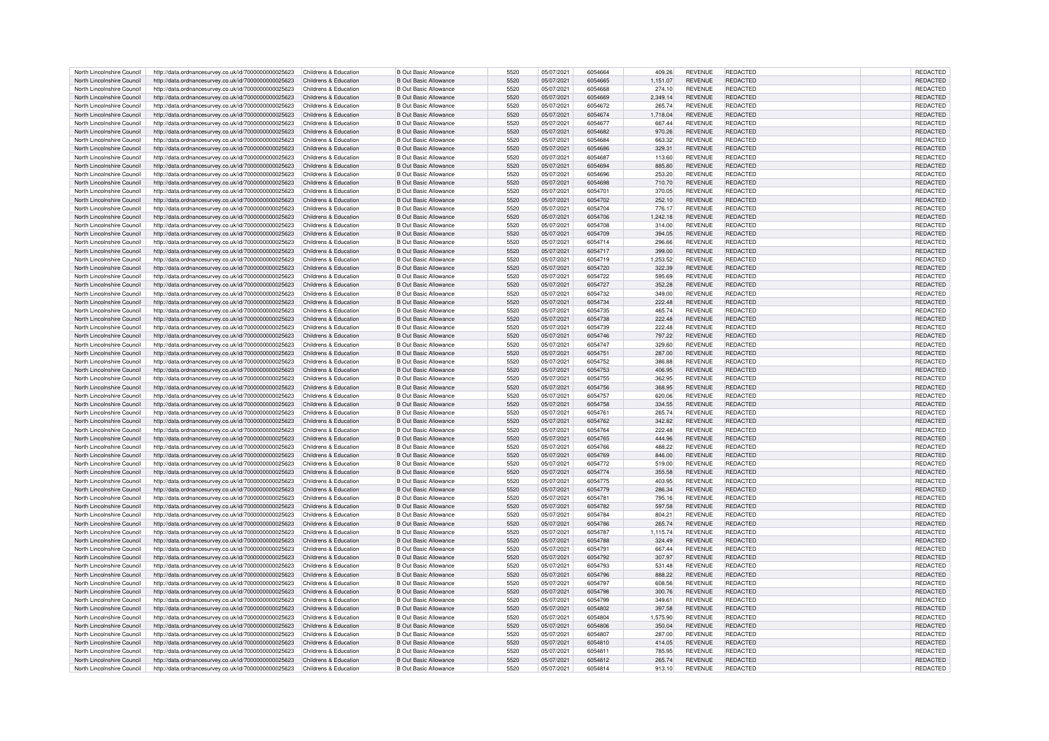| North Lincolnshire Council | http://data.ordnancesurvey.co.uk/id/7000000000025623                      | Childrens & Education | B Out Basic Allowance        | 5520 | 05/07/2021 | 6054664 | 409.26   | <b>REVENUE</b> | REDACTED        | <b>REDACTED</b> |
|----------------------------|---------------------------------------------------------------------------|-----------------------|------------------------------|------|------------|---------|----------|----------------|-----------------|-----------------|
| North Lincolnshire Council | http://data.ordnancesurvey.co.uk/id/7000000000025623                      | Childrens & Education | <b>B Out Basic Allowance</b> | 5520 | 05/07/2021 | 6054665 | 1,151.07 | <b>REVENUE</b> | REDACTED        | REDACTED        |
|                            |                                                                           |                       |                              |      |            |         |          |                |                 |                 |
| North Lincolnshire Council | http://data.ordnancesurvey.co.uk/id/7000000000025623                      | Childrens & Education | <b>B Out Basic Allowance</b> | 5520 | 05/07/2021 | 6054668 | 274.10   | REVENUE        | REDACTED        | REDACTED        |
| North Lincolnshire Council | http://data.ordnancesurvey.co.uk/id/7000000000025623                      | Childrens & Education | <b>B</b> Out Basic Allowance | 5520 | 05/07/2021 | 6054669 | 2.349.14 | <b>REVENUE</b> | <b>REDACTED</b> | <b>REDACTED</b> |
| North Lincolnshire Council | http://data.ordnancesurvey.co.uk/id/7000000000025623                      | Childrens & Education | <b>R</b> Out Basic Allowance | 5520 | 05/07/2021 | 6054672 | 265.74   | <b>REVENUE</b> | <b>REDACTED</b> | REDACTED        |
| North Lincolnshire Council | http://data.ordnancesurvey.co.uk/id/7000000000025623                      | Childrens & Education | <b>B Out Basic Allowance</b> | 5520 | 05/07/2021 | 6054674 | 1,718.04 | <b>REVENUE</b> | <b>REDACTED</b> | REDACTED        |
| North Lincolnshire Council | http://data.ordnancesurvey.co.uk/id/7000000000025623                      | Childrens & Education | <b>B Out Basic Allowance</b> | 5520 | 05/07/2021 | 6054677 | 667.44   | RFVFNUF        | REDACTED        | REDACTED        |
| North Lincolnshire Council | http://data.ordnancesurvey.co.uk/id/7000000000025623                      | Childrens & Education | <b>B Out Basic Allowance</b> | 5520 | 05/07/2021 | 6054682 | 970.26   | <b>REVENUE</b> | <b>REDACTED</b> | REDACTED        |
| North Lincolnshire Council | http://data.ordnancesurvey.co.uk/id/7000000000025623                      | Childrens & Education | B Out Basic Allowance        | 5520 | 05/07/2021 | 6054684 | 663.32   | <b>REVENUE</b> | <b>REDACTED</b> | <b>REDACTED</b> |
|                            |                                                                           |                       |                              |      |            |         |          |                |                 |                 |
| North Lincolnshire Council | http://data.ordnancesurvey.co.uk/id/7000000000025623                      | Childrens & Education | B Out Basic Allowance        | 5520 | 05/07/2021 | 6054686 | 329.31   | <b>REVENUE</b> | <b>REDACTED</b> | REDACTED        |
| North Lincolnshire Council | http://data.ordnancesurvey.co.uk/id/7000000000025623                      | Childrens & Education | <b>B Out Basic Allowance</b> | 5520 | 05/07/2021 | 6054687 | 113.60   | <b>REVENUE</b> | <b>REDACTED</b> | REDACTED        |
| North Lincolnshire Council | http://data.ordnancesurvey.co.uk/id/7000000000025623                      | Childrens & Education | <b>B Out Basic Allowance</b> | 5520 | 05/07/2021 | 6054694 | 885.80   | <b>REVENUE</b> | REDACTED        | REDACTED        |
| North Lincolnshire Council | http://data.ordnancesurvey.co.uk/id/7000000000025623                      | Childrens & Education | <b>B Out Basic Allowance</b> | 5520 | 05/07/2021 | 6054696 | 253.20   | <b>REVENUE</b> | <b>REDACTED</b> | REDACTED        |
| North Lincolnshire Council | http://data.ordnancesurvey.co.uk/id/7000000000025623                      | Childrens & Education | <b>B Out Basic Allowance</b> | 5520 | 05/07/2021 | 6054698 | 710.70   | <b>REVENUE</b> | <b>REDACTED</b> | <b>REDACTED</b> |
| North Lincolnshire Council |                                                                           | Childrens & Education | <b>B Out Basic Allowance</b> | 5520 | 05/07/2021 | 6054701 | 370.05   | <b>REVENUE</b> | <b>REDACTED</b> | REDACTED        |
|                            | http://data.ordnancesurvey.co.uk/id/7000000000025623                      |                       |                              |      |            |         |          |                |                 |                 |
| North Lincolnshire Council | http://data.ordnancesurvey.co.uk/id/7000000000025623                      | Childrens & Education | <b>B Out Basic Allowance</b> | 5520 | 05/07/2021 | 6054702 | 252.10   | <b>REVENUE</b> | REDACTED        | REDACTED        |
| North Lincolnshire Council | http://data.ordnancesurvey.co.uk/id/7000000000025623                      | Childrens & Education | <b>B Out Basic Allowance</b> | 5520 | 05/07/2021 | 6054704 | 776.17   | <b>REVENUE</b> | REDACTED        | REDACTED        |
| North Lincolnshire Council | http://data.ordnancesurvey.co.uk/id/7000000000025623                      | Childrens & Education | <b>B Out Basic Allowance</b> | 5520 | 05/07/2021 | 6054706 | 1,242.18 | <b>REVENUE</b> | <b>REDACTED</b> | REDACTED        |
| North Lincolnshire Council | http://data.ordnancesurvey.co.uk/id/7000000000025623                      | Childrens & Education | <b>B Out Basic Allowance</b> | 5520 | 05/07/2021 | 6054708 | 314.00   | <b>REVENUE</b> | REDACTED        | REDACTED        |
| North Lincolnshire Council | http://data.ordnancesurvey.co.uk/id/7000000000025623                      | Childrens & Education | B Out Basic Allowance        | 5520 | 05/07/2021 | 6054709 | 394.05   | <b>REVENUE</b> | REDACTED        | <b>REDACTED</b> |
| North Lincolnshire Council |                                                                           | Childrens & Education | B Out Basic Allowance        | 5520 |            | 6054714 |          | <b>REVENUE</b> | <b>REDACTED</b> |                 |
|                            | http://data.ordnancesurvey.co.uk/id/7000000000025623                      |                       |                              |      | 05/07/2021 |         | 296.66   |                |                 | REDACTED        |
| North Lincolnshire Council | http://data.ordnancesurvey.co.uk/id/7000000000025623                      | Childrens & Education | <b>B Out Basic Allowance</b> | 5520 | 05/07/2021 | 6054717 | 399.00   | <b>REVENUE</b> | REDACTED        | REDACTED        |
| North Lincolnshire Council | http://data.ordnancesurvey.co.uk/id/7000000000025623                      | Childrens & Education | B Out Basic Allowance        | 5520 | 05/07/2021 | 6054719 | 1,253.52 | REVENUE        | <b>REDACTED</b> | <b>REDACTEI</b> |
| North Lincolnshire Council | http://data.ordnancesurvey.co.uk/id/7000000000025623                      | Childrens & Education | B Out Basic Allowance        | 5520 | 05/07/2021 | 6054720 | 322.39   | <b>REVENUE</b> | <b>REDACTED</b> | REDACTED        |
| North Lincolnshire Council | http://data.ordnancesurvey.co.uk/id/7000000000025623                      | Childrens & Education | B Out Basic Allowance        | 5520 | 05/07/2021 | 6054722 | 595.69   | <b>REVENUE</b> | <b>REDACTED</b> | REDACTED        |
| North Lincolnshire Council | http://data.ordnancesurvey.co.uk/id/7000000000025623                      | Childrens & Education | B Out Basic Allowance        | 5520 | 05/07/2021 | 6054727 | 352.28   | REVENUE        | <b>REDACTED</b> | REDACTED        |
|                            |                                                                           |                       |                              |      |            |         |          |                |                 |                 |
| North Lincolnshire Council | http://data.ordnancesurvey.co.uk/id/7000000000025623                      | Childrens & Education | <b>B Out Basic Allowance</b> | 5520 | 05/07/2021 | 6054732 | 349.00   | <b>REVENUE</b> | <b>REDACTED</b> | REDACTED        |
| North Lincolnshire Council | http://data.ordnancesurvey.co.uk/id/7000000000025623                      | Childrens & Education | <b>B Out Basic Allowance</b> | 5520 | 05/07/2021 | 6054734 | 222.48   | <b>REVENUE</b> | <b>REDACTED</b> | REDACTED        |
| North Lincolnshire Council | http://data.ordnancesurvey.co.uk/id/7000000000025623                      | Childrens & Education | B Out Basic Allowance        | 5520 | 05/07/2021 | 6054735 | 465.74   | <b>REVENUE</b> | REDACTED        | <b>REDACTED</b> |
| North Lincolnshire Council | http://data.ordnancesurvey.co.uk/id/7000000000025623                      | Childrens & Education | <b>B Out Basic Allowance</b> | 5520 | 05/07/2021 | 6054738 | 222.48   | <b>REVENUE</b> | <b>REDACTED</b> | <b>REDACTED</b> |
| North Lincolnshire Council | http://data.ordnancesurvey.co.uk/id/7000000000025623                      | Childrens & Education | B Out Basic Allowance        | 5520 | 05/07/2021 | 6054739 | 222.48   | <b>REVENUE</b> | <b>REDACTED</b> | REDACTED        |
| North Lincolnshire Council | http://data.ordnancesurvey.co.uk/id/7000000000025623                      | Childrens & Education | <b>B Out Basic Allowance</b> | 5520 | 05/07/2021 | 6054746 | 797.22   | <b>REVENUE</b> | <b>REDACTED</b> | REDACTED        |
|                            |                                                                           |                       |                              |      |            |         |          |                |                 |                 |
| North Lincolnshire Council | http://data.ordnancesurvey.co.uk/id/7000000000025623                      | Childrens & Education | <b>B Out Basic Allowance</b> | 5520 | 05/07/2021 | 6054747 | 329.60   | <b>REVENUE</b> | <b>REDACTED</b> | REDACTED        |
| North Lincolnshire Council | http://data.ordnancesurvey.co.uk/id/7000000000025623                      | Childrens & Education | B Out Basic Allowance        | 5520 | 05/07/2021 | 6054751 | 287.00   | <b>REVENUE</b> | <b>REDACTED</b> | <b>REDACTED</b> |
| North Lincolnshire Council | http://data.ordnancesurvey.co.uk/id/7000000000025623                      | Childrens & Education | B Out Basic Allowance        | 5520 | 05/07/2021 | 6054752 | 386.88   | <b>REVENUE</b> | <b>REDACTED</b> | REDACTED        |
| North Lincolnshire Council | http://data.ordnancesurvey.co.uk/id/7000000000025623                      | Childrens & Education | <b>B Out Basic Allowance</b> | 5520 | 05/07/2021 | 6054753 | 406.95   | <b>REVENUE</b> | REDACTED        | REDACTED        |
| North Lincolnshire Council | http://data.ordnancesurvey.co.uk/id/7000000000025623                      | Childrens & Education | B Out Basic Allowance        | 5520 | 05/07/2021 | 6054755 | 362.95   | <b>REVENUE</b> | <b>REDACTED</b> | <b>REDACTED</b> |
| North Lincolnshire Council | http://data.ordnancesurvey.co.uk/id/7000000000025623                      | Childrens & Education | <b>B Out Basic Allowance</b> | 5520 | 05/07/2021 | 6054756 | 368.95   | <b>REVENUE</b> | REDACTED        | REDACTED        |
|                            |                                                                           |                       |                              |      |            |         |          |                |                 |                 |
| North Lincolnshire Council | http://data.ordnancesurvey.co.uk/id/7000000000025623                      | Childrens & Education | B Out Basic Allowance        | 5520 | 05/07/2021 | 6054757 | 620.06   | <b>REVENUE</b> | <b>REDACTED</b> | <b>REDACTED</b> |
| North Lincolnshire Council | http://data.ordnancesurvey.co.uk/id/7000000000025623                      | Childrens & Education | B Out Basic Allowance        | 5520 | 05/07/2021 | 6054758 | 334.55   | <b>REVENUE</b> | <b>REDACTED</b> | REDACTED        |
| North Lincolnshire Council | http://data.ordnancesurvey.co.uk/id/7000000000025623                      | Childrens & Education | <b>B Out Basic Allowance</b> | 5520 | 05/07/2021 | 6054761 | 265.74   | <b>REVENUE</b> | REDACTED        | REDACTED        |
| North Lincolnshire Council | http://data.ordnancesurvey.co.uk/id/7000000000025623                      | Childrens & Education | <b>B Out Basic Allowance</b> | 5520 | 05/07/2021 | 6054762 | 342.82   | <b>REVENUE</b> | <b>REDACTED</b> | <b>REDACTED</b> |
| North Lincolnshire Council | http://data.ordnancesurvey.co.uk/id/7000000000025623                      | Childrens & Education | <b>B Out Basic Allowance</b> | 5520 | 05/07/2021 | 6054764 | 222.48   | REVENUE        | REDACTED        | REDACTED        |
| North Lincolnshire Council |                                                                           | Childrens & Education | B Out Basic Allowance        | 5520 |            | 6054765 |          | <b>REVENUE</b> | <b>REDACTED</b> | <b>REDACTED</b> |
|                            | http://data.ordnancesurvey.co.uk/id/7000000000025623                      |                       |                              |      | 05/07/2021 |         | 444.96   |                |                 |                 |
| North Lincolnshire Council | http://data.ordnancesurvey.co.uk/id/7000000000025623                      | Childrens & Education | B Out Basic Allowance        | 5520 | 05/07/2021 | 6054766 | 488.22   | <b>REVENUE</b> | <b>REDACTED</b> | REDACTED        |
| North Lincolnshire Council | http://data.ordnancesurvey.co.uk/id/7000000000025623                      | Childrens & Education | <b>B Out Basic Allowance</b> | 5520 | 05/07/2021 | 6054769 | 846.00   | <b>REVENUE</b> | <b>REDACTED</b> | REDACTED        |
| North Lincolnshire Council | http://data.ordnancesurvey.co.uk/id/7000000000025623                      | Childrens & Education | B Out Basic Allowance        | 5520 | 05/07/2021 | 6054772 | 519.00   | <b>REVENUE</b> | REDACTED        | REDACTED        |
| North Lincolnshire Council | http://data.ordnancesurvey.co.uk/id/7000000000025623                      | Childrens & Education | <b>B Out Basic Allowance</b> | 5520 | 05/07/2021 | 6054774 | 355.58   | <b>REVENUE</b> | <b>REDACTED</b> | <b>REDACTED</b> |
| North Lincolnshire Council | http://data.ordnancesurvey.co.uk/id/7000000000025623                      | Childrens & Education | B Out Basic Allowance        | 5520 | 05/07/2021 | 6054775 | 403.95   | <b>REVENUE</b> | <b>REDACTED</b> | REDACTED        |
| North Lincolnshire Council | http://data.ordnancesurvey.co.uk/id/7000000000025623                      | Childrens & Education | <b>B Out Basic Allowance</b> | 5520 | 05/07/2021 | 6054779 | 286.34   | <b>REVENUE</b> | <b>REDACTED</b> | REDACTED        |
|                            |                                                                           |                       |                              |      |            |         |          |                |                 |                 |
| North Lincolnshire Council | http://data.ordnancesurvey.co.uk/id/7000000000025623                      | Childrens & Education | <b>B Out Basic Allowance</b> | 5520 | 05/07/2021 | 6054781 | 795.16   | <b>REVENUE</b> | <b>REDACTED</b> | REDACTED        |
| North Lincolnshire Council | http://data.ordnancesurvey.co.uk/id/7000000000025623                      | Childrens & Education | <b>B Out Basic Allowance</b> | 5520 | 05/07/2021 | 6054782 | 597.58   | <b>REVENUE</b> | REDACTED        | REDACTED        |
| North Lincolnshire Council | http://data.ordnancesurvey.co.uk/id/7000000000025623                      | Childrens & Education | B Out Basic Allowance        | 5520 | 05/07/2021 | 6054784 | 804.21   | <b>REVENUE</b> | <b>REDACTED</b> | REDACTED        |
| North Lincolnshire Council | http://data.ordnancesurvey.co.uk/id/7000000000025623                      | Childrens & Education | <b>B Out Basic Allowance</b> | 5520 | 05/07/2021 | 6054786 | 265.74   | <b>REVENUE</b> | <b>REDACTED</b> | REDACTED        |
| North Lincolnshire Council | http://data.ordnancesurvey.co.uk/id/7000000000025623                      | Childrens & Education | B Out Basic Allowance        | 5520 | 05/07/2021 | 6054787 | 1,115.74 | <b>REVENUE</b> | REDACTED        | REDACTED        |
| North Lincolnshire Council | http://data.ordnancesurvey.co.uk/id/7000000000025623                      | Childrens & Education | <b>B Out Basic Allowance</b> | 5520 | 05/07/2021 | 6054788 | 324.49   | <b>REVENUE</b> | <b>REDACTED</b> | <b>REDACTED</b> |
|                            |                                                                           | Childrens & Education |                              | 5520 | 05/07/2021 | 6054791 | 667.44   | <b>REVENUE</b> | <b>REDACTED</b> |                 |
| North Lincolnshire Council | http://data.ordnancesurvey.co.uk/id/7000000000025623                      |                       | <b>B Out Basic Allowance</b> |      |            |         |          |                |                 | REDACTED        |
| North Lincolnshire Council | http://data.ordnancesurvey.co.uk/id/7000000000025623                      | Childrens & Education | <b>B Out Basic Allowance</b> | 5520 | 05/07/2021 | 6054792 | 307.97   | <b>REVENUE</b> | <b>REDACTED</b> | <b>REDACTED</b> |
| North Lincolnshire Council | http://data.ordnancesurvey.co.uk/id/7000000000025623                      | Childrens & Education | B Out Basic Allowance        | 5520 | 05/07/2021 | 6054793 | 531.48   | <b>REVENUE</b> | <b>REDACTED</b> | REDACTED        |
| North Lincolnshire Council | http://data.ordnancesurvey.co.uk/id/7000000000025623                      | Childrens & Education | B Out Basic Allowance        | 5520 | 05/07/2021 | 6054796 | 888.22   | <b>REVENUE</b> | <b>REDACTED</b> | REDACTED        |
| North Lincolnshire Council | http://data.ordnancesurvey.co.uk/id/7000000000025623                      | Childrens & Education | <b>B Out Basic Allowance</b> | 5520 | 05/07/2021 | 6054797 | 608.56   | REVENUE        | REDACTED        | REDACTED        |
| North Lincolnshire Council | http://data.ordnancesurvey.co.uk/id/7000000000025623                      | Childrens & Education | <b>B Out Basic Allowance</b> | 5520 | 05/07/2021 | 6054798 | 300.76   | REVENUE        | REDACTED        | REDACTED        |
| North Lincolnshire Council | http://data.ordnancesurvey.co.uk/id/7000000000025623                      | Childrens & Education | B Out Basic Allowance        | 5520 | 05/07/2021 | 6054799 | 349.61   | REVENUE        | REDACTED        | REDACTED        |
|                            |                                                                           |                       |                              |      |            |         |          |                |                 |                 |
| North Lincolnshire Council | http://data.ordnancesurvey.co.uk/id/7000000000025623                      | Childrens & Education | <b>B Out Basic Allowance</b> | 5520 | 05/07/2021 | 6054802 | 397.58   | <b>REVENUE</b> | <b>REDACTED</b> | REDACTED        |
| North Lincolnshire Council | http://data.ordnancesurvey.co.uk/id/7000000000025623                      | Childrens & Education | <b>B Out Basic Allowance</b> | 5520 | 05/07/2021 | 6054804 | 1,575.90 | <b>REVENUE</b> | <b>REDACTED</b> | REDACTED        |
| North Lincolnshire Council | http://data.ordnancesurvey.co.uk/id/7000000000025623                      | Childrens & Education | B Out Basic Allowance        | 5520 | 05/07/2021 | 6054806 | 350.04   | <b>REVENUE</b> | REDACTED        | REDACTED        |
| North Lincolnshire Council | http://data.ordnancesurvey.co.uk/id/7000000000025623                      | Childrens & Education | B Out Basic Allowance        | 5520 | 05/07/2021 | 6054807 | 287.00   | <b>REVENUE</b> | <b>REDACTED</b> | <b>REDACTED</b> |
| North Lincolnshire Council | http://data.ordnancesurvey.co.uk/id/7000000000025623                      | Childrens & Education | <b>B Out Basic Allowance</b> | 5520 | 05/07/2021 | 6054810 | 414.05   | <b>REVENUE</b> | REDACTED        | REDACTED        |
| North Lincolnshire Council | http://data.ordnancesurvey.co.uk/id/7000000000025623                      | Childrens & Education | B Out Basic Allowance        | 5520 | 05/07/2021 | 605481  | 785.95   | <b>REVENUE</b> | REDACTED        | REDACTED        |
|                            |                                                                           |                       |                              | 5520 |            |         |          |                |                 |                 |
| North Lincolnshire Council | http://data.ordnancesurvey.co.uk/id/700000000025623 Childrens & Education |                       | <b>B Out Basic Allowance</b> |      | 05/07/2021 | 6054812 | 265.74   | <b>REVENUE</b> | <b>REDACTED</b> | <b>REDACTED</b> |
| North Lincolnshire Council | http://data.ordnancesurvey.co.uk/id/700000000025623 Childrens & Education |                       | <b>B</b> Out Basic Allowance | 5520 | 05/07/2021 | 6054814 | 913.10   | <b>REVENUE</b> | <b>REDACTED</b> | REDACTED        |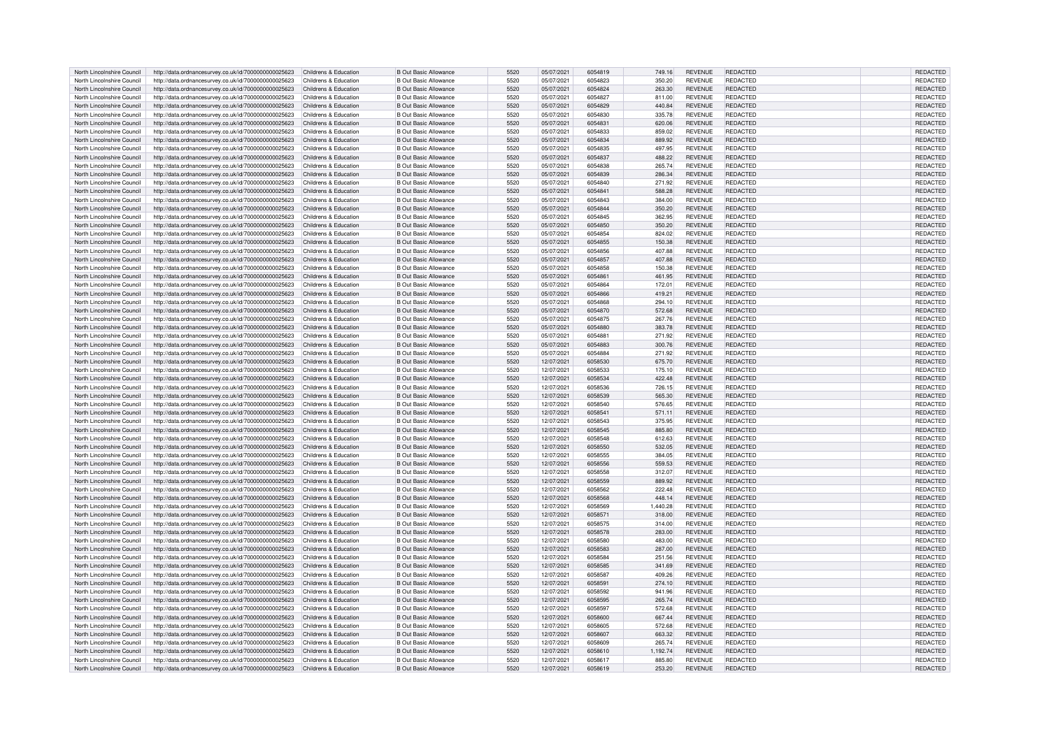| North Lincolnshire Council | http://data.ordnancesurvey.co.uk/id/7000000000025623                      | Childrens & Education | <b>B Out Basic Allowance</b>  | 5520 | 05/07/2021 | 6054819 | 749.16   | <b>REVENUE</b> | REDACTED        | REDACTED        |
|----------------------------|---------------------------------------------------------------------------|-----------------------|-------------------------------|------|------------|---------|----------|----------------|-----------------|-----------------|
|                            |                                                                           |                       |                               |      |            | 6054823 |          |                |                 |                 |
| North Lincolnshire Council | http://data.ordnancesurvey.co.uk/id/7000000000025623                      | Childrens & Education | <b>B</b> Out Basic Allowance  | 5520 | 05/07/2021 |         | 350.20   | <b>REVENUE</b> | REDACTED        | REDACTED        |
| North Lincolnshire Council | http://data.ordnancesurvey.co.uk/id/7000000000025623                      | Childrens & Education | <b>B Out Basic Allowance</b>  | 5520 | 05/07/2021 | 6054824 | 263.30   | <b>REVENUE</b> | REDACTED        | REDACTED        |
| North Lincolnshire Council | http://data.ordnancesurvey.co.uk/id/7000000000025623                      | Childrens & Education | <b>B Out Basic Allowance</b>  | 5520 | 05/07/2021 | 6054827 | 811.00   | <b>REVENUE</b> | REDACTED        | REDACTED        |
| North Lincolnshire Council | http://data.ordnancesurvey.co.uk/id/7000000000025623                      | Childrens & Education | <b>B. Out Basic Allowance</b> | 5520 | 05/07/2021 | 6054829 | 440.84   | <b>REVENUE</b> | <b>REDACTED</b> | REDACTED        |
|                            |                                                                           |                       |                               |      |            |         |          |                |                 |                 |
| North Lincolnshire Council | http://data.ordnancesurvey.co.uk/id/7000000000025623                      | Childrens & Education | B Out Basic Allowance         | 5520 | 05/07/2021 | 6054830 | 335.78   | <b>REVENUE</b> | <b>REDACTED</b> | REDACTED        |
| North Lincolnshire Council | http://data.ordnancesurvey.co.uk/id/7000000000025623                      | Childrens & Education | B Out Basic Allowance         | 5520 | 05/07/2021 | 605483  | 620.06   | <b>REVENUE</b> | <b>REDACTED</b> | <b>REDACTED</b> |
| North Lincolnshire Council | http://data.ordnancesurvey.co.uk/id/7000000000025623                      | Childrens & Education | <b>B Out Basic Allowance</b>  | 5520 | 05/07/2021 | 6054833 | 859.02   | <b>REVENUE</b> | <b>REDACTED</b> | REDACTED        |
| North Lincolnshire Council | http://data.ordnancesurvey.co.uk/id/7000000000025623                      | Childrens & Education | <b>B Out Basic Allowance</b>  | 5520 | 05/07/2021 | 6054834 | 889.92   | <b>REVENUE</b> | <b>REDACTED</b> | REDACTED        |
|                            |                                                                           |                       |                               |      |            |         |          |                |                 |                 |
| North Lincolnshire Council | http://data.ordnancesurvey.co.uk/id/7000000000025623                      | Childrens & Education | B Out Basic Allowance         | 5520 | 05/07/2021 | 6054835 | 497.95   | <b>REVENUE</b> | <b>REDACTED</b> | <b>REDACTED</b> |
| North Lincolnshire Council | http://data.ordnancesurvey.co.uk/id/7000000000025623                      | Childrens & Education | <b>B Out Basic Allowance</b>  | 5520 | 05/07/2021 | 6054837 | 488.22   | <b>REVENUE</b> | <b>REDACTED</b> | REDACTED        |
| North Lincolnshire Council | http://data.ordnancesurvey.co.uk/id/7000000000025623                      | Childrens & Education | <b>B Out Basic Allowance</b>  | 5520 | 05/07/2021 | 6054838 | 265.74   | <b>REVENUE</b> | REDACTED        | REDACTED        |
|                            |                                                                           |                       |                               |      |            |         |          |                |                 |                 |
| North Lincolnshire Council | http://data.ordnancesurvey.co.uk/id/7000000000025623                      | Childrens & Education | <b>B Out Basic Allowance</b>  | 5520 | 05/07/2021 | 6054839 | 286.34   | <b>REVENUE</b> | <b>REDACTED</b> | REDACTED        |
| North Lincolnshire Council | http://data.ordnancesurvey.co.uk/id/7000000000025623                      | Childrens & Education | <b>B Out Basic Allowance</b>  | 5520 | 05/07/2021 | 6054840 | 271.92   | <b>REVENUE</b> | <b>REDACTED</b> | REDACTED        |
| North Lincolnshire Council | http://data.ordnancesurvey.co.uk/id/7000000000025623                      | Childrens & Education | <b>B Out Basic Allowance</b>  | 5520 | 05/07/2021 | 605484  | 588.28   | <b>REVENUE</b> | <b>REDACTED</b> | REDACTED        |
| North Lincolnshire Council | http://data.ordnancesurvey.co.uk/id/7000000000025623                      | Childrens & Education | <b>B Out Basic Allowance</b>  | 5520 | 05/07/2021 | 6054843 | 384.00   | <b>REVENUE</b> | REDACTED        | REDACTED        |
|                            |                                                                           |                       |                               |      |            |         |          |                |                 |                 |
| North Lincolnshire Council | http://data.ordnancesurvey.co.uk/id/7000000000025623                      | Childrens & Education | <b>B Out Basic Allowance</b>  | 5520 | 05/07/2021 | 6054844 | 350.20   | <b>REVENUE</b> | REDACTED        | REDACTED        |
| North Lincolnshire Council | http://data.ordnancesurvey.co.uk/id/7000000000025623                      | Childrens & Education | <b>B Out Basic Allowance</b>  | 5520 | 05/07/2021 | 6054845 | 362.95   | <b>REVENUE</b> | <b>REDACTED</b> | REDACTED        |
| North Lincolnshire Council | http://data.ordnancesurvey.co.uk/id/7000000000025623                      | Childrens & Education | <b>B Out Basic Allowance</b>  | 5520 | 05/07/2021 | 6054850 | 350.20   | <b>REVENUE</b> | REDACTED        | REDACTED        |
|                            |                                                                           |                       |                               |      |            |         |          |                |                 |                 |
| North Lincolnshire Council | http://data.ordnancesurvey.co.uk/id/7000000000025623                      | Childrens & Education | <b>B Out Basic Allowance</b>  | 5520 | 05/07/2021 | 6054854 | 824.02   | <b>REVENUE</b> | REDACTED        | <b>REDACTED</b> |
| North Lincolnshire Council | http://data.ordnancesurvey.co.uk/id/7000000000025623                      | Childrens & Education | B Out Basic Allowance         | 5520 | 05/07/2021 | 6054855 | 150.38   | <b>REVENUE</b> | REDACTED        | REDACTED        |
| North Lincolnshire Council | http://data.ordnancesurvey.co.uk/id/7000000000025623                      | Childrens & Education | <b>B Out Basic Allowance</b>  | 5520 | 05/07/2021 | 6054856 | 407.88   | <b>REVENUE</b> | REDACTED        | REDACTED        |
| North Lincolnshire Council | http://data.ordnancesurvey.co.uk/id/7000000000025623                      | Childrens & Education | B Out Basic Allowance         | 5520 | 05/07/2021 | 6054857 | 407.88   | <b>REVENUE</b> | <b>REDACTED</b> | <b>REDACTED</b> |
|                            |                                                                           |                       |                               |      |            |         |          |                |                 |                 |
| North Lincolnshire Council | http://data.ordnancesurvey.co.uk/id/7000000000025623                      | Childrens & Education | B Out Basic Allowance         | 5520 | 05/07/2021 | 6054858 | 150.38   | <b>REVENUE</b> | <b>REDACTED</b> | <b>REDACTED</b> |
| North Lincolnshire Council | http://data.ordnancesurvey.co.uk/id/7000000000025623                      | Childrens & Education | B Out Basic Allowance         | 5520 | 05/07/2021 | 605486  | 461.95   | <b>REVENUE</b> | <b>REDACTED</b> | REDACTED        |
| North Lincolnshire Council | http://data.ordnancesurvey.co.uk/id/7000000000025623                      | Childrens & Education | B Out Basic Allowance         | 5520 | 05/07/2021 | 6054864 | 172.01   | <b>REVENUE</b> | <b>REDACTED</b> | REDACTED        |
|                            |                                                                           |                       |                               |      |            |         |          |                |                 |                 |
| North Lincolnshire Council | http://data.ordnancesurvey.co.uk/id/7000000000025623                      | Childrens & Education | <b>B Out Basic Allowance</b>  | 5520 | 05/07/2021 | 6054866 | 419.21   | <b>REVENUE</b> | REDACTED        | REDACTED        |
| North Lincolnshire Council | http://data.ordnancesurvey.co.uk/id/7000000000025623                      | Childrens & Education | <b>B Out Basic Allowance</b>  | 5520 | 05/07/2021 | 605486  | 294.10   | <b>REVENUE</b> | REDACTED        | REDACTED        |
| North Lincolnshire Council | http://data.ordnancesurvey.co.uk/id/7000000000025623                      | Childrens & Education | B Out Basic Allowance         | 5520 | 05/07/2021 | 6054870 | 572.68   | <b>REVENUE</b> | <b>REDACTED</b> | REDACTED        |
| North Lincolnshire Council | http://data.ordnancesurvey.co.uk/id/7000000000025623                      | Childrens & Education | <b>B Out Basic Allowance</b>  | 5520 | 05/07/2021 | 605487  | 267.76   | <b>REVENUE</b> | <b>REDACTED</b> | REDACTED        |
|                            |                                                                           |                       |                               |      |            |         |          |                |                 |                 |
| North Lincolnshire Council | http://data.ordnancesurvey.co.uk/id/7000000000025623                      | Childrens & Education | <b>B Out Basic Allowance</b>  | 5520 | 05/07/2021 | 6054880 | 383.78   | <b>REVENUE</b> | REDACTED        | REDACTED        |
| North Lincolnshire Council | http://data.ordnancesurvey.co.uk/id/7000000000025623                      | Childrens & Education | B Out Basic Allowance         | 5520 | 05/07/2021 | 605488  | 271.92   | <b>REVENUE</b> | REDACTED        | <b>REDACTED</b> |
| North Lincolnshire Council | http://data.ordnancesurvey.co.uk/id/7000000000025623                      | Childrens & Education | <b>B Out Basic Allowance</b>  | 5520 | 05/07/2021 | 6054883 | 300.76   | <b>REVENUE</b> | REDACTED        | REDACTED        |
|                            |                                                                           |                       |                               |      |            |         |          |                |                 |                 |
| North Lincolnshire Council | http://data.ordnancesurvey.co.uk/id/7000000000025623                      | Childrens & Education | B Out Basic Allowance         | 5520 | 05/07/2021 | 6054884 | 271.92   | <b>REVENUE</b> | <b>REDACTED</b> | REDACTED        |
| North Lincolnshire Council | http://data.ordnancesurvey.co.uk/id/7000000000025623                      | Childrens & Education | B Out Basic Allowance         | 5520 | 12/07/2021 | 6058530 | 675.70   | <b>REVENUE</b> | <b>REDACTED</b> | <b>REDACTED</b> |
| North Lincolnshire Council | http://data.ordnancesurvey.co.uk/id/7000000000025623                      | Childrens & Education | <b>B Out Basic Allowance</b>  | 5520 | 12/07/2021 | 6058533 | 175.10   | <b>REVENUE</b> | REDACTED        | REDACTED        |
| North Lincolnshire Council | http://data.ordnancesurvey.co.uk/id/7000000000025623                      | Childrens & Education | B Out Basic Allowance         | 5520 | 12/07/2021 | 6058534 | 422.48   | REVENUE        | <b>REDACTED</b> | <b>REDACTED</b> |
|                            |                                                                           |                       |                               |      |            |         |          |                |                 |                 |
| North Lincolnshire Council | http://data.ordnancesurvey.co.uk/id/7000000000025623                      | Childrens & Education | <b>B Out Basic Allowance</b>  | 5520 | 12/07/2021 | 6058536 | 726.15   | <b>REVENUE</b> | REDACTED        | REDACTED        |
| North Lincolnshire Council | http://data.ordnancesurvey.co.uk/id/7000000000025623                      | Childrens & Education | <b>B Out Basic Allowance</b>  | 5520 | 12/07/2021 | 6058539 | 565.30   | <b>REVENUE</b> | <b>REDACTED</b> | REDACTED        |
| North Lincolnshire Council |                                                                           | Childrens & Education | <b>B Out Basic Allowance</b>  | 5520 |            | 6058540 | 576.65   | <b>REVENUE</b> | REDACTED        | REDACTED        |
|                            | http://data.ordnancesurvey.co.uk/id/7000000000025623                      |                       |                               |      | 12/07/2021 |         |          |                |                 |                 |
| North Lincolnshire Council | http://data.ordnancesurvey.co.uk/id/7000000000025623                      | Childrens & Education | <b>B Out Basic Allowance</b>  | 5520 | 12/07/2021 | 6058541 | 571.11   | <b>REVENUE</b> | REDACTED        | REDACTED        |
| North Lincolnshire Council | http://data.ordnancesurvey.co.uk/id/7000000000025623                      | Childrens & Education | B Out Basic Allowance         | 5520 | 12/07/2021 | 6058543 | 375.95   | REVENUE        | REDACTED        | <b>REDACTE</b>  |
| North Lincolnshire Council | http://data.ordnancesurvey.co.uk/id/7000000000025623                      | Childrens & Education | <b>B Out Basic Allowance</b>  | 5520 | 12/07/2021 | 6058545 | 885.80   | <b>REVENUE</b> | REDACTED        | REDACTED        |
| North Lincolnshire Council |                                                                           | Childrens & Education | B Out Basic Allowance         | 5520 |            | 6058548 |          | <b>REVENUE</b> | <b>REDACTED</b> | REDACTED        |
|                            | http://data.ordnancesurvey.co.uk/id/7000000000025623                      |                       |                               |      | 12/07/2021 |         | 612.63   |                |                 |                 |
| North Lincolnshire Council | http://data.ordnancesurvey.co.uk/id/7000000000025623                      | Childrens & Education | <b>B Out Basic Allowance</b>  | 5520 | 12/07/2021 | 6058550 | 532.05   | <b>REVENUE</b> | REDACTED        | REDACTED        |
| North Lincolnshire Council | http://data.ordnancesurvey.co.uk/id/7000000000025623                      | Childrens & Education | <b>B Out Basic Allowance</b>  | 5520 | 12/07/2021 | 6058555 | 384.05   | <b>REVENUE</b> | REDACTED        | REDACTED        |
| North Lincolnshire Council | http://data.ordnancesurvey.co.uk/id/7000000000025623                      | Childrens & Education | B Out Basic Allowance         | 5520 | 12/07/2021 | 6058556 | 559.53   | <b>REVENUE</b> | <b>REDACTED</b> | REDACTED        |
|                            |                                                                           |                       |                               |      |            |         |          |                |                 |                 |
| North Lincolnshire Council | http://data.ordnancesurvey.co.uk/id/7000000000025623                      | Childrens & Education | <b>B Out Basic Allowance</b>  | 5520 | 12/07/2021 | 6058558 | 312.07   | <b>REVENUE</b> | <b>REDACTED</b> | REDACTED        |
| North Lincolnshire Council | http://data.ordnancesurvey.co.uk/id/7000000000025623                      | Childrens & Education | <b>B Out Basic Allowance</b>  | 5520 | 12/07/2021 | 6058559 | 889.92   | <b>REVENUE</b> | <b>REDACTED</b> | REDACTED        |
| North Lincolnshire Council | http://data.ordnancesurvey.co.uk/id/7000000000025623                      | Childrens & Education | B Out Basic Allowance         | 5520 | 12/07/2021 | 6058562 | 222.48   | <b>REVENUE</b> | <b>REDACTED</b> | REDACTED        |
| North Lincolnshire Council | http://data.ordnancesurvey.co.uk/id/7000000000025623                      | Childrens & Education | <b>B Out Basic Allowance</b>  | 5520 | 12/07/2021 | 6058568 | 448.14   | <b>REVENUE</b> | REDACTED        | REDACTED        |
|                            |                                                                           |                       |                               |      |            |         |          |                |                 |                 |
| North Lincolnshire Council | http://data.ordnancesurvey.co.uk/id/7000000000025623                      | Childrens & Education | <b>B Out Basic Allowance</b>  | 5520 | 12/07/2021 | 6058569 | 1,440.28 | <b>REVENUE</b> | <b>REDACTED</b> | REDACTED        |
| North Lincolnshire Council | http://data.ordnancesurvey.co.uk/id/7000000000025623                      | Childrens & Education | <b>B Out Basic Allowance</b>  | 5520 | 12/07/2021 | 6058571 | 318.00   | <b>REVENUE</b> | <b>REDACTED</b> | REDACTED        |
| North Lincolnshire Council | http://data.ordnancesurvey.co.uk/id/7000000000025623                      | Childrens & Education | <b>B.Out Basic Allowance</b>  | 5520 | 12/07/2021 | 605857  | 314.00   | <b>REVENUE</b> | <b>REDACTED</b> | REDACTED        |
| North Lincolnshire Council |                                                                           |                       | <b>B Out Basic Allowance</b>  | 5520 | 12/07/2021 | 6058578 | 283.00   | <b>REVENUE</b> | <b>REDACTED</b> | REDACTED        |
|                            | http://data.ordnancesurvey.co.uk/id/7000000000025623                      | Childrens & Education |                               |      |            |         |          |                |                 |                 |
| North Lincolnshire Council | http://data.ordnancesurvey.co.uk/id/7000000000025623                      | Childrens & Education | <b>B Out Basic Allowance</b>  | 5520 | 12/07/2021 | 6058580 | 483.00   | <b>REVENUE</b> | <b>REDACTED</b> | REDACTED        |
| North Lincolnshire Council | http://data.ordnancesurvey.co.uk/id/7000000000025623                      | Childrens & Education | <b>B Out Basic Allowance</b>  | 5520 | 12/07/2021 | 6058583 | 287.00   | <b>REVENUE</b> | <b>REDACTED</b> | REDACTED        |
| North Lincolnshire Council | http://data.ordnancesurvey.co.uk/id/7000000000025623                      | Childrens & Education | B Out Basic Allowance         | 5520 | 12/07/2021 | 6058584 | 251.56   | <b>REVENUE</b> | REDACTED        | REDACTED        |
| North Lincolnshire Council |                                                                           | Childrens & Education | B Out Basic Allowance         | 5520 |            | 6058585 |          | <b>REVENUE</b> | <b>REDACTED</b> |                 |
|                            | http://data.ordnancesurvey.co.uk/id/7000000000025623                      |                       |                               |      | 12/07/2021 |         | 341.69   |                |                 | REDACTED        |
| North Lincolnshire Council | http://data.ordnancesurvey.co.uk/id/7000000000025623                      | Childrens & Education | B Out Basic Allowance         | 5520 | 12/07/2021 | 6058587 | 409.26   | <b>REVENUE</b> | REDACTED        | REDACTED        |
| North Lincolnshire Council | http://data.ordnancesurvey.co.uk/id/7000000000025623                      | Childrens & Education | <b>B Out Basic Allowance</b>  | 5520 | 12/07/2021 | 605859  | 274.10   | <b>REVENUE</b> | REDACTED        | REDACTED        |
| North Lincolnshire Council | http://data.ordnancesurvey.co.uk/id/7000000000025623                      | Childrens & Education | <b>B Out Basic Allowance</b>  | 5520 | 12/07/2021 | 6058592 | 941.96   | REVENUE        | <b>REDACTED</b> | REDACTED        |
|                            |                                                                           |                       |                               |      |            |         |          |                |                 |                 |
| North Lincolnshire Council | http://data.ordnancesurvey.co.uk/id/7000000000025623                      | Childrens & Education | <b>B Out Basic Allowance</b>  | 5520 | 12/07/2021 | 6058595 | 265.74   | <b>REVENUE</b> | <b>REDACTED</b> | REDACTED        |
| North Lincolnshire Council | http://data.ordnancesurvey.co.uk/id/7000000000025623                      | Childrens & Education | B Out Basic Allowance         | 5520 | 12/07/2021 | 6058597 | 572.68   | <b>REVENUE</b> | REDACTED        | REDACTED        |
| North Lincolnshire Council | http://data.ordnancesurvey.co.uk/id/7000000000025623                      | Childrens & Education | <b>B Out Basic Allowance</b>  | 5520 | 12/07/2021 | 6058600 | 667.44   | <b>REVENUE</b> | REDACTED        | REDACTED        |
|                            |                                                                           |                       |                               |      |            |         |          |                |                 |                 |
| North Lincolnshire Council | http://data.ordnancesurvey.co.uk/id/7000000000025623                      | Childrens & Education | B Out Basic Allowance         | 5520 | 12/07/2021 | 605860  | 572.68   | <b>REVENUE</b> | REDACTED        | REDACTED        |
| North Lincolnshire Council | http://data.ordnancesurvey.co.uk/id/7000000000025623                      | Childrens & Education | B Out Basic Allowance         | 5520 | 12/07/2021 | 6058607 | 663.32   | <b>REVENUE</b> | <b>REDACTED</b> | <b>REDACTED</b> |
| North Lincolnshire Council | http://data.ordnancesurvey.co.uk/id/7000000000025623                      | Childrens & Education | <b>B</b> Out Basic Allowance  | 5520 | 12/07/2021 | 6058609 | 265.74   | <b>REVENUE</b> | REDACTED        | REDACTED        |
| North Lincolnshire Council | http://data.ordnancesurvey.co.uk/id/7000000000025623                      | Childrens & Education | <b>B Out Basic Allowance</b>  | 5520 | 12/07/2021 | 6058610 | 1,192.74 | <b>REVENUE</b> | REDACTED        | REDACTED        |
|                            |                                                                           |                       |                               |      |            |         |          |                |                 |                 |
| North Lincolnshire Council | http://data.ordnancesurvey.co.uk/id/7000000000025623                      | Childrens & Education | B Out Basic Allowance         | 5520 | 12/07/2021 | 6058617 | 885.80   | REVENUE        | <b>REDACTED</b> | <b>REDACTED</b> |
| North Lincolnshire Council | http://data.ordnancesurvey.co.uk/id/700000000025623 Childrens & Education |                       | <b>B Out Basic Allowance</b>  | 5520 | 12/07/2021 | 6058619 | 253.20   | <b>REVENUE</b> | REDACTED        | REDACTED        |
|                            |                                                                           |                       |                               |      |            |         |          |                |                 |                 |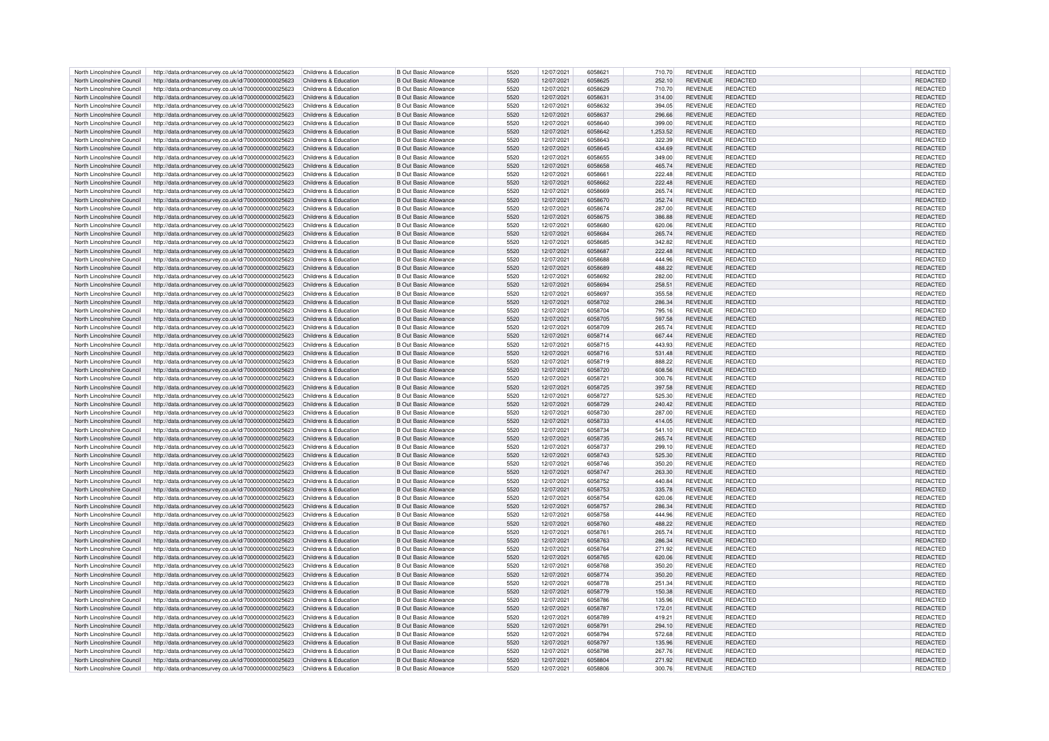| North Lincolnshire Council | http://data.ordnancesurvey.co.uk/id/7000000000025623                      | Childrens & Education | B Out Basic Allowance        | 5520 | 12/07/2021 | 6058621 | 710.70   | <b>REVENUE</b> | REDACTED        | <b>REDACTED</b> |
|----------------------------|---------------------------------------------------------------------------|-----------------------|------------------------------|------|------------|---------|----------|----------------|-----------------|-----------------|
|                            |                                                                           |                       |                              | 5520 |            | 6058625 |          |                |                 |                 |
| North Lincolnshire Council | http://data.ordnancesurvey.co.uk/id/7000000000025623                      | Childrens & Education | <b>B</b> Out Basic Allowance |      | 12/07/2021 |         | 252.10   | <b>REVENUE</b> | REDACTED        | REDACTED        |
| North Lincolnshire Council | http://data.ordnancesurvey.co.uk/id/7000000000025623                      | Childrens & Education | <b>B</b> Out Basic Allowance | 5520 | 12/07/2021 | 6058629 | 710.70   | <b>REVENUE</b> | REDACTED        | REDACTED        |
| North Lincolnshire Council | http://data.ordnancesurvey.co.uk/id/7000000000025623                      | Childrens & Education | <b>B</b> Out Basic Allowance | 5520 | 12/07/2021 | 6058631 | 314.00   | <b>REVENUE</b> | <b>REDACTED</b> | <b>REDACTED</b> |
| North Lincolnshire Council | http://data.ordnancesurvey.co.uk/id/7000000000025623                      | Childrens & Education | R Out Basic Allowance        | 5520 | 12/07/2021 | 6058632 | 394.05   | <b>REVENUE</b> | <b>REDACTED</b> | REDACTED        |
| North Lincolnshire Council | http://data.ordnancesurvey.co.uk/id/7000000000025623                      | Childrens & Education | <b>B Out Basic Allowance</b> | 5520 | 12/07/2021 | 6058637 | 296.66   | <b>REVENUE</b> | REDACTED        | REDACTED        |
|                            |                                                                           |                       |                              |      |            |         |          |                |                 |                 |
| North Lincolnshire Council | http://data.ordnancesurvey.co.uk/id/7000000000025623                      | Childrens & Education | <b>B Out Basic Allowance</b> | 5520 | 12/07/2021 | 6058640 | 399.00   | <b>REVENUE</b> | <b>REDACTED</b> | REDACTED        |
| North Lincolnshire Council | http://data.ordnancesurvey.co.uk/id/7000000000025623                      | Childrens & Education | <b>B Out Basic Allowance</b> | 5520 | 12/07/2021 | 6058642 | 1,253.52 | <b>REVENUE</b> | <b>REDACTED</b> | REDACTED        |
| North Lincolnshire Council | http://data.ordnancesurvey.co.uk/id/7000000000025623                      | Childrens & Education | B Out Basic Allowance        | 5520 | 12/07/2021 | 6058643 | 322.39   | <b>REVENUE</b> | REDACTED        | <b>REDACTED</b> |
|                            |                                                                           |                       |                              |      |            |         |          |                |                 |                 |
| North Lincolnshire Council | http://data.ordnancesurvey.co.uk/id/7000000000025623                      | Childrens & Education | B Out Basic Allowance        | 5520 | 12/07/2021 | 6058645 | 434.69   | <b>REVENUE</b> | <b>REDACTED</b> | REDACTED        |
| North Lincolnshire Council | http://data.ordnancesurvey.co.uk/id/7000000000025623                      | Childrens & Education | <b>B Out Basic Allowance</b> | 5520 | 12/07/2021 | 6058655 | 349.00   | <b>REVENUE</b> | <b>REDACTED</b> | REDACTED        |
| North Lincolnshire Council | http://data.ordnancesurvey.co.uk/id/7000000000025623                      | Childrens & Education | <b>B Out Basic Allowance</b> | 5520 | 12/07/2021 | 6058658 | 465.74   | <b>REVENUE</b> | <b>REDACTED</b> | REDACTED        |
| North Lincolnshire Council | http://data.ordnancesurvey.co.uk/id/7000000000025623                      | Childrens & Education | <b>B Out Basic Allowance</b> | 5520 | 12/07/2021 | 605866  | 222.48   | <b>REVENUE</b> | <b>REDACTED</b> | REDACTED        |
|                            |                                                                           |                       |                              |      |            |         |          |                |                 |                 |
| North Lincolnshire Council | http://data.ordnancesurvey.co.uk/id/7000000000025623                      | Childrens & Education | <b>B Out Basic Allowance</b> | 5520 | 12/07/2021 | 6058662 | 222.48   | <b>REVENUE</b> | <b>REDACTED</b> | <b>REDACTED</b> |
| North Lincolnshire Council | http://data.ordnancesurvey.co.uk/id/7000000000025623                      | Childrens & Education | <b>B Out Basic Allowance</b> | 5520 | 12/07/2021 | 6058669 | 265.74   | <b>REVENUE</b> | <b>REDACTED</b> | REDACTED        |
| North Lincolnshire Council | http://data.ordnancesurvey.co.uk/id/7000000000025623                      | Childrens & Education | <b>B Out Basic Allowance</b> | 5520 | 12/07/2021 | 6058670 | 352.74   | <b>REVENUE</b> | <b>REDACTED</b> | REDACTED        |
|                            |                                                                           |                       |                              |      |            |         |          |                |                 |                 |
| North Lincolnshire Council | http://data.ordnancesurvey.co.uk/id/7000000000025623                      | Childrens & Education | <b>B Out Basic Allowance</b> | 5520 | 12/07/2021 | 6058674 | 287.00   | <b>REVENUE</b> | REDACTED        | REDACTED        |
| North Lincolnshire Council | http://data.ordnancesurvey.co.uk/id/7000000000025623                      | Childrens & Education | <b>B Out Basic Allowance</b> | 5520 | 12/07/2021 | 6058675 | 386.88   | <b>REVENUE</b> | <b>REDACTED</b> | REDACTED        |
| North Lincolnshire Council | http://data.ordnancesurvey.co.uk/id/7000000000025623                      | Childrens & Education | <b>B Out Basic Allowance</b> | 5520 | 12/07/2021 | 6058680 | 620.06   | <b>REVENUE</b> | REDACTED        | REDACTED        |
| North Lincolnshire Council | http://data.ordnancesurvey.co.uk/id/7000000000025623                      | Childrens & Education | B Out Basic Allowance        | 5520 | 12/07/2021 | 6058684 | 265.74   | <b>REVENUE</b> | REDACTED        | <b>REDACTED</b> |
|                            |                                                                           |                       |                              |      |            |         |          |                |                 |                 |
| North Lincolnshire Council | http://data.ordnancesurvey.co.uk/id/7000000000025623                      | Childrens & Education | B Out Basic Allowance        | 5520 | 12/07/2021 | 6058685 | 342.82   | <b>REVENUE</b> | <b>REDACTED</b> | REDACTED        |
| North Lincolnshire Council | http://data.ordnancesurvey.co.uk/id/7000000000025623                      | Childrens & Education | <b>B Out Basic Allowance</b> | 5520 | 12/07/2021 | 6058687 | 222.48   | <b>REVENUE</b> | REDACTED        | REDACTED        |
| North Lincolnshire Council | http://data.ordnancesurvey.co.uk/id/7000000000025623                      | Childrens & Education | B Out Basic Allowance        | 5520 | 12/07/2021 | 6058688 | 444.96   | REVENUE        | <b>REDACTED</b> | <b>REDACTEI</b> |
| North Lincolnshire Council | http://data.ordnancesurvey.co.uk/id/7000000000025623                      | Childrens & Education | B Out Basic Allowance        | 5520 | 12/07/2021 | 6058689 | 488.22   | <b>REVENUE</b> | <b>REDACTED</b> | REDACTED        |
|                            |                                                                           |                       |                              |      |            |         |          |                |                 |                 |
| North Lincolnshire Council | http://data.ordnancesurvey.co.uk/id/7000000000025623                      | Childrens & Education | B Out Basic Allowance        | 5520 | 12/07/2021 | 6058692 | 282.00   | <b>REVENUE</b> | <b>REDACTED</b> | REDACTED        |
| North Lincolnshire Council | http://data.ordnancesurvey.co.uk/id/7000000000025623                      | Childrens & Education | B Out Basic Allowance        | 5520 | 12/07/2021 | 6058694 | 258.51   | REVENUE        | <b>REDACTED</b> | REDACTED        |
| North Lincolnshire Council | http://data.ordnancesurvey.co.uk/id/7000000000025623                      | Childrens & Education | <b>B Out Basic Allowance</b> | 5520 | 12/07/2021 | 6058697 | 355.58   | <b>REVENUE</b> | <b>REDACTED</b> | REDACTED        |
|                            |                                                                           |                       |                              | 5520 |            |         |          |                |                 |                 |
| North Lincolnshire Council | http://data.ordnancesurvey.co.uk/id/7000000000025623                      | Childrens & Education | <b>B Out Basic Allowance</b> |      | 12/07/2021 | 6058702 | 286.34   | <b>REVENUE</b> | <b>REDACTED</b> | REDACTED        |
| North Lincolnshire Council | http://data.ordnancesurvey.co.uk/id/7000000000025623                      | Childrens & Education | B Out Basic Allowance        | 5520 | 12/07/2021 | 6058704 | 795.16   | <b>REVENUE</b> | <b>REDACTED</b> | REDACTED        |
| North Lincolnshire Council | http://data.ordnancesurvey.co.uk/id/7000000000025623                      | Childrens & Education | <b>B Out Basic Allowance</b> | 5520 | 12/07/2021 | 6058705 | 597.58   | <b>REVENUE</b> | <b>REDACTED</b> | <b>REDACTED</b> |
| North Lincolnshire Council | http://data.ordnancesurvey.co.uk/id/7000000000025623                      | Childrens & Education | B Out Basic Allowance        | 5520 | 12/07/2021 | 6058709 | 265.74   | <b>REVENUE</b> | <b>REDACTED</b> | REDACTED        |
|                            |                                                                           |                       |                              |      |            |         |          |                |                 |                 |
| North Lincolnshire Council | http://data.ordnancesurvey.co.uk/id/7000000000025623                      | Childrens & Education | <b>B Out Basic Allowance</b> | 5520 | 12/07/2021 | 6058714 | 667.44   | <b>REVENUE</b> | <b>REDACTED</b> | REDACTED        |
| North Lincolnshire Council | http://data.ordnancesurvey.co.uk/id/7000000000025623                      | Childrens & Education | <b>B Out Basic Allowance</b> | 5520 | 12/07/2021 | 6058715 | 443.93   | <b>REVENUE</b> | <b>REDACTED</b> | REDACTED        |
| North Lincolnshire Council | http://data.ordnancesurvey.co.uk/id/7000000000025623                      | Childrens & Education | B Out Basic Allowance        | 5520 | 12/07/2021 | 6058716 | 531.48   | <b>REVENUE</b> | <b>REDACTED</b> | <b>REDACTED</b> |
| North Lincolnshire Council | http://data.ordnancesurvey.co.uk/id/7000000000025623                      | Childrens & Education | B Out Basic Allowance        | 5520 | 12/07/2021 | 6058719 | 888.22   | <b>REVENUE</b> | <b>REDACTED</b> | REDACTED        |
|                            |                                                                           |                       |                              |      |            |         |          |                |                 |                 |
| North Lincolnshire Council | http://data.ordnancesurvey.co.uk/id/7000000000025623                      | Childrens & Education | <b>B Out Basic Allowance</b> | 5520 | 12/07/2021 | 6058720 | 608.56   | <b>REVENUE</b> | REDACTED        | REDACTED        |
| North Lincolnshire Council | http://data.ordnancesurvey.co.uk/id/7000000000025623                      | Childrens & Education | B Out Basic Allowance        | 5520 | 12/07/2021 | 6058721 | 300.76   | <b>REVENUE</b> | <b>REDACTED</b> | <b>REDACTED</b> |
| North Lincolnshire Council | http://data.ordnancesurvey.co.uk/id/7000000000025623                      | Childrens & Education | <b>B Out Basic Allowance</b> | 5520 | 12/07/2021 | 6058725 | 397.58   | <b>REVENUE</b> | REDACTED        | REDACTED        |
| North Lincolnshire Council | http://data.ordnancesurvey.co.uk/id/7000000000025623                      | Childrens & Education | B Out Basic Allowance        | 5520 | 12/07/2021 | 6058727 | 525.30   | <b>REVENUE</b> | <b>REDACTED</b> | <b>REDACTED</b> |
|                            |                                                                           |                       |                              |      |            |         |          |                |                 |                 |
| North Lincolnshire Council | http://data.ordnancesurvey.co.uk/id/7000000000025623                      | Childrens & Education | B Out Basic Allowance        | 5520 | 12/07/2021 | 6058729 | 240.42   | <b>REVENUE</b> | <b>REDACTED</b> | REDACTED        |
| North Lincolnshire Council | http://data.ordnancesurvey.co.uk/id/7000000000025623                      | Childrens & Education | <b>B Out Basic Allowance</b> | 5520 | 12/07/2021 | 6058730 | 287.00   | <b>REVENUE</b> | REDACTED        | REDACTED        |
| North Lincolnshire Council | http://data.ordnancesurvey.co.uk/id/7000000000025623                      | Childrens & Education | <b>B Out Basic Allowance</b> | 5520 | 12/07/2021 | 6058733 | 414.05   | <b>REVENUE</b> | <b>REDACTED</b> | <b>REDACTED</b> |
|                            |                                                                           |                       |                              | 5520 |            | 6058734 |          |                |                 |                 |
| North Lincolnshire Council | http://data.ordnancesurvey.co.uk/id/7000000000025623                      | Childrens & Education | <b>B Out Basic Allowance</b> |      | 12/07/2021 |         | 541.10   | REVENUE        | REDACTED        | REDACTED        |
| North Lincolnshire Council | http://data.ordnancesurvey.co.uk/id/7000000000025623                      | Childrens & Education | B Out Basic Allowance        | 5520 | 12/07/2021 | 6058735 | 265.74   | <b>REVENUE</b> | <b>REDACTED</b> | <b>REDACTED</b> |
| North Lincolnshire Council | http://data.ordnancesurvey.co.uk/id/7000000000025623                      | Childrens & Education | B Out Basic Allowance        | 5520 | 12/07/2021 | 6058737 | 299.10   | <b>REVENUE</b> | <b>REDACTED</b> | REDACTED        |
| North Lincolnshire Council | http://data.ordnancesurvey.co.uk/id/7000000000025623                      | Childrens & Education | <b>B Out Basic Allowance</b> | 5520 | 12/07/2021 | 6058743 | 525.30   | <b>REVENUE</b> | <b>REDACTED</b> | REDACTED        |
|                            |                                                                           |                       |                              |      |            |         |          |                |                 |                 |
| North Lincolnshire Council | http://data.ordnancesurvey.co.uk/id/7000000000025623                      | Childrens & Education | B Out Basic Allowance        | 5520 | 12/07/2021 | 6058746 | 350.20   | <b>REVENUE</b> | REDACTED        | REDACTED        |
| North Lincolnshire Council | http://data.ordnancesurvey.co.uk/id/7000000000025623                      | Childrens & Education | <b>B Out Basic Allowance</b> | 5520 | 12/07/2021 | 6058747 | 263.30   | <b>REVENUE</b> | <b>REDACTED</b> | <b>REDACTED</b> |
| North Lincolnshire Council | http://data.ordnancesurvey.co.uk/id/7000000000025623                      | Childrens & Education | B Out Basic Allowance        | 5520 | 12/07/2021 | 6058752 | 440.84   | <b>REVENUE</b> | <b>REDACTED</b> | REDACTED        |
| North Lincolnshire Council | http://data.ordnancesurvey.co.uk/id/7000000000025623                      | Childrens & Education | <b>B Out Basic Allowance</b> | 5520 | 12/07/2021 | 6058753 | 335.78   | <b>REVENUE</b> | <b>REDACTED</b> | REDACTED        |
|                            |                                                                           |                       |                              | 5520 |            | 6058754 |          |                |                 |                 |
| North Lincolnshire Council | http://data.ordnancesurvey.co.uk/id/7000000000025623                      | Childrens & Education | <b>B Out Basic Allowance</b> |      | 12/07/2021 |         | 620.06   | <b>REVENUE</b> | <b>REDACTED</b> | REDACTED        |
| North Lincolnshire Council | http://data.ordnancesurvey.co.uk/id/7000000000025623                      | Childrens & Education | <b>B Out Basic Allowance</b> | 5520 | 12/07/2021 | 6058757 | 286.34   | <b>REVENUE</b> | REDACTED        | REDACTED        |
| North Lincolnshire Council | http://data.ordnancesurvey.co.uk/id/7000000000025623                      | Childrens & Education | B Out Basic Allowance        | 5520 | 12/07/2021 | 6058758 | 444.96   | <b>REVENUE</b> | <b>REDACTED</b> | <b>REDACTED</b> |
| North Lincolnshire Council | http://data.ordnancesurvey.co.uk/id/7000000000025623                      | Childrens & Education | <b>B Out Basic Allowance</b> | 5520 | 12/07/2021 | 6058760 | 488.22   | <b>REVENUE</b> | <b>REDACTED</b> | REDACTED        |
|                            |                                                                           |                       |                              |      |            |         |          |                |                 |                 |
| North Lincolnshire Council | http://data.ordnancesurvey.co.uk/id/7000000000025623                      | Childrens & Education | B Out Basic Allowance        | 5520 | 12/07/2021 | 6058761 | 265.74   | <b>REVENUE</b> | REDACTED        | REDACTED        |
| North Lincolnshire Council | http://data.ordnancesurvey.co.uk/id/7000000000025623                      | Childrens & Education | <b>B Out Basic Allowance</b> | 5520 | 12/07/2021 | 6058763 | 286.34   | <b>REVENUE</b> | <b>REDACTED</b> | <b>REDACTED</b> |
| North Lincolnshire Council | http://data.ordnancesurvey.co.uk/id/7000000000025623                      | Childrens & Education | <b>B Out Basic Allowance</b> | 5520 | 12/07/2021 | 6058764 | 271.92   | <b>REVENUE</b> | <b>REDACTED</b> | REDACTED        |
| North Lincolnshire Council | http://data.ordnancesurvey.co.uk/id/7000000000025623                      | Childrens & Education | <b>B Out Basic Allowance</b> | 5520 | 12/07/2021 | 6058765 | 620.06   | <b>REVENUE</b> | <b>REDACTED</b> | <b>REDACTED</b> |
|                            |                                                                           |                       |                              |      |            |         |          |                |                 |                 |
| North Lincolnshire Council | http://data.ordnancesurvey.co.uk/id/7000000000025623                      | Childrens & Education | B Out Basic Allowance        | 5520 | 12/07/2021 | 6058768 | 350.20   | <b>REVENUE</b> | <b>REDACTED</b> | REDACTED        |
| North Lincolnshire Council | http://data.ordnancesurvey.co.uk/id/7000000000025623                      | Childrens & Education | B Out Basic Allowance        | 5520 | 12/07/2021 | 6058774 | 350.20   | <b>REVENUE</b> | <b>REDACTED</b> | REDACTED        |
| North Lincolnshire Council | http://data.ordnancesurvey.co.uk/id/7000000000025623                      | Childrens & Education | <b>B Out Basic Allowance</b> | 5520 | 12/07/2021 | 6058778 | 251.34   | <b>REVENUE</b> | REDACTED        | REDACTED        |
| North Lincolnshire Council | http://data.ordnancesurvey.co.uk/id/7000000000025623                      | Childrens & Education | <b>B Out Basic Allowance</b> | 5520 | 12/07/2021 | 6058779 | 150.38   | REVENUE        | REDACTED        | REDACTED        |
|                            |                                                                           |                       |                              |      |            |         |          |                |                 |                 |
| North Lincolnshire Council | http://data.ordnancesurvey.co.uk/id/7000000000025623                      | Childrens & Education | <b>B Out Basic Allowance</b> | 5520 | 12/07/2021 | 6058786 | 135.96   | REVENUE        | <b>REDACTED</b> | REDACTED        |
| North Lincolnshire Council | http://data.ordnancesurvey.co.uk/id/7000000000025623                      | Childrens & Education | <b>B Out Basic Allowance</b> | 5520 | 12/07/2021 | 6058787 | 172.01   | <b>REVENUE</b> | <b>REDACTED</b> | REDACTED        |
| North Lincolnshire Council | http://data.ordnancesurvey.co.uk/id/7000000000025623                      | Childrens & Education | <b>B Out Basic Allowance</b> | 5520 | 12/07/2021 | 6058789 | 419.21   | <b>REVENUE</b> | <b>REDACTED</b> | REDACTED        |
| North Lincolnshire Council | http://data.ordnancesurvey.co.uk/id/7000000000025623                      | Childrens & Education | B Out Basic Allowance        | 5520 | 12/07/2021 | 6058791 | 294.10   | <b>REVENUE</b> | REDACTED        | REDACTED        |
|                            |                                                                           |                       |                              |      |            |         |          |                |                 |                 |
| North Lincolnshire Council | http://data.ordnancesurvey.co.uk/id/7000000000025623                      | Childrens & Education | B Out Basic Allowance        | 5520 | 12/07/2021 | 6058794 | 572.68   | <b>REVENUE</b> | <b>REDACTED</b> | <b>REDACTED</b> |
| North Lincolnshire Council | http://data.ordnancesurvey.co.uk/id/7000000000025623                      | Childrens & Education | <b>B Out Basic Allowance</b> | 5520 | 12/07/2021 | 6058797 | 135.96   | <b>REVENUE</b> | REDACTED        | REDACTED        |
| North Lincolnshire Council | http://data.ordnancesurvey.co.uk/id/7000000000025623                      | Childrens & Education | B Out Basic Allowance        | 5520 | 12/07/2021 | 6058798 | 267.76   | <b>REVENUE</b> | REDACTED        | <b>REDACTED</b> |
|                            |                                                                           |                       |                              | 5520 |            | 6058804 |          |                |                 |                 |
| North Lincolnshire Council | http://data.ordnancesurvey.co.uk/id/700000000025623 Childrens & Education |                       | <b>B Out Basic Allowance</b> |      | 12/07/2021 |         | 271.92   | <b>REVENUE</b> | <b>REDACTED</b> | <b>REDACTED</b> |
| North Lincolnshire Council | http://data.ordnancesurvey.co.uk/id/700000000025623 Childrens & Education |                       | <b>B Out Basic Allowance</b> | 5520 | 12/07/2021 | 6058806 | 300.76   | <b>REVENUE</b> | <b>REDACTED</b> | REDACTED        |
|                            |                                                                           |                       |                              |      |            |         |          |                |                 |                 |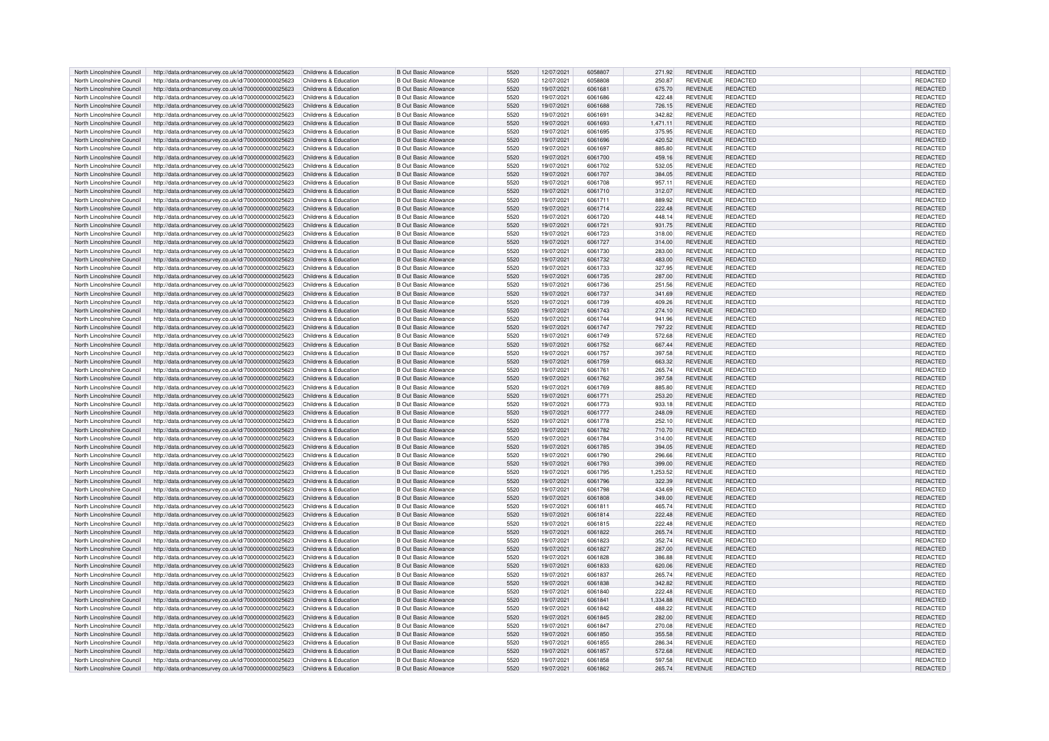| North Lincolnshire Council                               | http://data.ordnancesurvey.co.uk/id/7000000000025623                                                                              | Childrens & Education | <b>B Out Basic Allowance</b>                          | 5520         | 12/07/2021               | 6058807            | 271.92           | <b>REVENUE</b>                   | REDACTED                           | REDACTED                    |
|----------------------------------------------------------|-----------------------------------------------------------------------------------------------------------------------------------|-----------------------|-------------------------------------------------------|--------------|--------------------------|--------------------|------------------|----------------------------------|------------------------------------|-----------------------------|
| North Lincolnshire Council                               | http://data.ordnancesurvey.co.uk/id/7000000000025623                                                                              | Childrens & Education | <b>B</b> Out Basic Allowance                          | 5520         | 12/07/2021               | 6058808            | 250.87           | <b>REVENUE</b>                   | <b>REDACTED</b>                    | REDACTED                    |
| North Lincolnshire Council                               | http://data.ordnancesurvey.co.uk/id/7000000000025623                                                                              | Childrens & Education | <b>B</b> Out Basic Allowance                          | 5520         | 19/07/2021               | 6061681            | 675.70           | <b>REVENUE</b>                   | REDACTED                           | REDACTED                    |
| North Lincolnshire Council                               | http://data.ordnancesurvey.co.uk/id/7000000000025623                                                                              | Childrens & Education | B Out Basic Allowance                                 | 5520         | 19/07/2021               | 6061686            | 422.48           | <b>REVENUE</b>                   | REDACTED                           | REDACTED                    |
|                                                          |                                                                                                                                   |                       |                                                       |              |                          |                    |                  |                                  |                                    |                             |
| North Lincolnshire Council                               | http://data.ordnancesurvey.co.uk/id/7000000000025623                                                                              | Childrens & Education | B Out Basic Allowance                                 | 5520         | 19/07/2021               | <b>6061688</b>     | 726.15           | <b>REVENUE</b>                   | <b>REDACTED</b>                    | REDACTED                    |
| North Lincolnshire Council                               | http://data.ordnancesurvey.co.uk/id/7000000000025623                                                                              | Childrens & Education | <b>B Out Basic Allowance</b>                          | 5520         | 19/07/2021               | 6061691            | 342.82           | <b>REVENUE</b>                   | <b>REDACTED</b>                    | REDACTED                    |
| North Lincolnshire Council                               | http://data.ordnancesurvey.co.uk/id/7000000000025623                                                                              | Childrens & Education | <b>B Out Basic Allowance</b>                          | 5520         | 19/07/2021               | 6061693            | 1.471.11         | <b>REVENUE</b>                   | <b>REDACTED</b>                    | REDACTED                    |
| North Lincolnshire Council                               | http://data.ordnancesurvey.co.uk/id/7000000000025623                                                                              | Childrens & Education | <b>B Out Basic Allowance</b>                          | 5520         | 19/07/2021               | 6061695            | 375.95           | <b>REVENUE</b>                   | <b>REDACTED</b>                    | REDACTED                    |
| North Lincolnshire Council                               | http://data.ordnancesurvey.co.uk/id/7000000000025623                                                                              | Childrens & Education | <b>B Out Basic Allowance</b>                          | 5520         | 19/07/2021               | 6061696            | 420.52           | <b>REVENUE</b>                   | REDACTED                           | <b>REDACTED</b>             |
| North Lincolnshire Council                               | http://data.ordnancesurvey.co.uk/id/7000000000025623                                                                              | Childrens & Education | B Out Basic Allowance                                 | 5520         | 19/07/2021               | 6061697            | 885.80           | <b>REVENUE</b>                   | <b>REDACTED</b>                    | REDACTED                    |
| North Lincolnshire Council                               | http://data.ordnancesurvey.co.uk/id/7000000000025623                                                                              | Childrens & Education | <b>B Out Basic Allowance</b>                          | 5520         | 19/07/2021               | 6061700            | 459.16           | <b>REVENUE</b>                   | <b>REDACTED</b>                    | REDACTED                    |
|                                                          |                                                                                                                                   |                       |                                                       |              |                          |                    |                  |                                  |                                    |                             |
| North Lincolnshire Council                               | http://data.ordnancesurvey.co.uk/id/7000000000025623                                                                              | Childrens & Education | <b>B Out Basic Allowance</b>                          | 5520         | 19/07/2021               | 6061702            | 532.05           | <b>REVENUE</b>                   | REDACTED                           | REDACTED                    |
| North Lincolnshire Council                               | http://data.ordnancesurvey.co.uk/id/7000000000025623                                                                              | Childrens & Education | <b>B Out Basic Allowance</b>                          | 5520         | 19/07/2021               | 6061707            | 384.05           | <b>REVENUE</b>                   | <b>REDACTED</b>                    | REDACTED                    |
| North Lincolnshire Council                               | http://data.ordnancesurvey.co.uk/id/7000000000025623                                                                              | Childrens & Education | B Out Basic Allowance                                 | 5520         | 19/07/2021               | 6061708            | 957.11           | <b>REVENUE</b>                   | REDACTED                           | REDACTED                    |
| North Lincolnshire Council                               | http://data.ordnancesurvey.co.uk/id/7000000000025623                                                                              | Childrens & Education | <b>B Out Basic Allowance</b>                          | 5520         | 19/07/2021               | 6061710            | 312.07           | <b>REVENUE</b>                   | <b>REDACTED</b>                    | REDACTED                    |
| North Lincolnshire Council                               | http://data.ordnancesurvey.co.uk/id/7000000000025623                                                                              | Childrens & Education | <b>B Out Basic Allowance</b>                          | 5520         | 19/07/2021               | 6061711            | 889.92           | <b>REVENUE</b>                   | REDACTED                           | REDACTED                    |
| North Lincolnshire Council                               | http://data.ordnancesurvey.co.uk/id/7000000000025623                                                                              | Childrens & Education | <b>B Out Basic Allowance</b>                          | 5520         | 19/07/2021               | 6061714            | 222.48           | <b>REVENUE</b>                   | REDACTED                           | REDACTED                    |
| North Lincolnshire Council                               | http://data.ordnancesurvey.co.uk/id/7000000000025623                                                                              | Childrens & Education | <b>B Out Basic Allowance</b>                          | 5520         | 19/07/2021               | 6061720            | 448.14           | <b>REVENUE</b>                   | <b>REDACTED</b>                    | REDACTED                    |
| North Lincolnshire Council                               | http://data.ordnancesurvey.co.uk/id/7000000000025623                                                                              | Childrens & Education | <b>B Out Basic Allowance</b>                          | 5520         | 19/07/2021               | 6061721            | 931.75           | <b>REVENUE</b>                   | REDACTED                           | REDACTED                    |
| North Lincolnshire Council                               | http://data.ordnancesurvey.co.uk/id/7000000000025623                                                                              | Childrens & Education | B Out Basic Allowance                                 | 5520         | 19/07/2021               | 6061723            | 318.00           | <b>REVENUE</b>                   | <b>REDACTED</b>                    | REDACTED                    |
|                                                          |                                                                                                                                   |                       |                                                       |              |                          |                    |                  |                                  |                                    |                             |
| North Lincolnshire Council                               | http://data.ordnancesurvey.co.uk/id/7000000000025623                                                                              | Childrens & Education | <b>B Out Basic Allowance</b>                          | 5520         | 19/07/2021               | 6061727            | 314.00           | <b>REVENUE</b>                   | <b>REDACTED</b>                    | REDACTED                    |
| North Lincolnshire Council                               | http://data.ordnancesurvey.co.uk/id/7000000000025623                                                                              | Childrens & Education | B Out Basic Allowance                                 | 5520         | 19/07/2021               | 6061730            | 283.00           | <b>REVENUE</b>                   | <b>REDACTED</b>                    | REDACTED                    |
| North Lincolnshire Council                               | http://data.ordnancesurvey.co.uk/id/7000000000025623                                                                              | Childrens & Education | <b>B Out Basic Allowance</b>                          | 5520         | 19/07/2021               | 6061732            | 483.00           | <b>REVENUE</b>                   | <b>REDACTED</b>                    | <b>REDACTED</b>             |
| North Lincolnshire Council                               | http://data.ordnancesurvey.co.uk/id/7000000000025623                                                                              | Childrens & Education | <b>B Out Basic Allowance</b>                          | 5520         | 19/07/2021               | 6061733            | 327.95           | <b>REVENUE</b>                   | <b>REDACTED</b>                    | REDACTED                    |
| North Lincolnshire Council                               | http://data.ordnancesurvey.co.uk/id/7000000000025623                                                                              | Childrens & Education | <b>B Out Basic Allowance</b>                          | 5520         | 19/07/2021               | 6061735            | 287.00           | <b>REVENUE</b>                   | <b>REDACTED</b>                    | REDACTED                    |
| North Lincolnshire Council                               | http://data.ordnancesurvey.co.uk/id/7000000000025623                                                                              | Childrens & Education | <b>B Out Basic Allowance</b>                          | 5520         | 19/07/2021               | 6061736            | 251.56           | <b>REVENUE</b>                   | <b>REDACTED</b>                    | REDACTED                    |
| North Lincolnshire Council                               | http://data.ordnancesurvey.co.uk/id/7000000000025623                                                                              | Childrens & Education | <b>B Out Basic Allowance</b>                          | 5520         | 19/07/2021               | 6061737            | 341.69           | <b>REVENUE</b>                   | <b>REDACTED</b>                    | REDACTED                    |
| North Lincolnshire Council                               | http://data.ordnancesurvey.co.uk/id/7000000000025623                                                                              | Childrens & Education | <b>B Out Basic Allowance</b>                          | 5520         | 19/07/2021               | 6061739            | 409.26           | <b>REVENUE</b>                   | <b>REDACTED</b>                    | REDACTED                    |
| North Lincolnshire Council                               |                                                                                                                                   | Childrens & Education | B Out Basic Allowance                                 | 5520         | 19/07/2021               | 6061743            |                  | <b>REVENUE</b>                   | <b>REDACTED</b>                    | <b>REDACTED</b>             |
|                                                          | http://data.ordnancesurvey.co.uk/id/7000000000025623                                                                              |                       |                                                       |              |                          |                    | 274.10           |                                  |                                    |                             |
| North Lincolnshire Council                               | http://data.ordnancesurvey.co.uk/id/7000000000025623                                                                              | Childrens & Education | B Out Basic Allowance                                 | 5520         | 19/07/2021               | 6061744            | 941.96           | <b>REVENUE</b>                   | <b>REDACTED</b>                    | REDACTED                    |
| North Lincolnshire Council                               | http://data.ordnancesurvey.co.uk/id/7000000000025623                                                                              | Childrens & Education | <b>B Out Basic Allowance</b>                          | 5520         | 19/07/2021               | 6061747            | 797.22           | <b>REVENUE</b>                   | <b>REDACTED</b>                    | REDACTED                    |
| North Lincolnshire Council                               | http://data.ordnancesurvey.co.uk/id/7000000000025623                                                                              | Childrens & Education | <b>B Out Basic Allowance</b>                          | 5520         | 19/07/2021               | 6061749            | 572.68           | <b>REVENUE</b>                   | <b>REDACTED</b>                    | <b>REDACTED</b>             |
| North Lincolnshire Council                               | http://data.ordnancesurvey.co.uk/id/7000000000025623                                                                              | Childrens & Education | <b>B Out Basic Allowance</b>                          | 5520         | 19/07/2021               | 6061752            | 667.44           | <b>REVENUE</b>                   | <b>REDACTED</b>                    | REDACTED                    |
| North Lincolnshire Council                               | http://data.ordnancesurvey.co.uk/id/7000000000025623                                                                              | Childrens & Education | B Out Basic Allowance                                 | 5520         | 19/07/2021               | 6061757            | 397.58           | <b>REVENUE</b>                   | <b>REDACTED</b>                    | REDACTED                    |
| North Lincolnshire Council                               | http://data.ordnancesurvey.co.uk/id/7000000000025623                                                                              | Childrens & Education | <b>B Out Basic Allowance</b>                          | 5520         | 19/07/2021               | 6061759            | 663.32           | <b>REVENUE</b>                   | <b>REDACTED</b>                    | <b>REDACTED</b>             |
| North Lincolnshire Council                               | http://data.ordnancesurvey.co.uk/id/7000000000025623                                                                              | Childrens & Education | <b>B Out Basic Allowance</b>                          | 5520         | 19/07/2021               | 6061761            | 265.74           | <b>REVENUE</b>                   | REDACTED                           | REDACTED                    |
| North Lincolnshire Council                               | http://data.ordnancesurvey.co.uk/id/7000000000025623                                                                              | Childrens & Education | B Out Basic Allowance                                 | 5520         | 19/07/2021               | 6061762            | 397.58           | <b>REVENUE</b>                   | <b>REDACTED</b>                    | <b>REDACTED</b>             |
| North Lincolnshire Council                               | http://data.ordnancesurvey.co.uk/id/7000000000025623                                                                              | Childrens & Education | <b>B Out Basic Allowance</b>                          | 5520         | 19/07/2021               | 6061769            | 885.80           | <b>REVENUE</b>                   | <b>REDACTED</b>                    | REDACTED                    |
| North Lincolnshire Council                               | http://data.ordnancesurvey.co.uk/id/7000000000025623                                                                              | Childrens & Education | <b>B Out Basic Allowance</b>                          | 5520         | 19/07/2021               | 6061771            | 253.20           | <b>REVENUE</b>                   | <b>REDACTED</b>                    | <b>REDACTED</b>             |
|                                                          |                                                                                                                                   |                       |                                                       |              |                          |                    |                  |                                  |                                    |                             |
| North Lincolnshire Council                               | http://data.ordnancesurvey.co.uk/id/7000000000025623                                                                              | Childrens & Education | B Out Basic Allowance                                 | 5520         | 19/07/2021               | 6061773            | 933.18           | <b>REVENUE</b>                   | REDACTED                           | REDACTED                    |
| North Lincolnshire Council                               | http://data.ordnancesurvey.co.uk/id/7000000000025623                                                                              | Childrens & Education | <b>B Out Basic Allowance</b>                          | 5520         | 19/07/2021               | 6061777            | 248.09           | <b>REVENUE</b>                   | REDACTED                           | REDACTED                    |
| North Lincolnshire Council                               | http://data.ordnancesurvey.co.uk/id/7000000000025623                                                                              | Childrens & Education | B Out Basic Allowance                                 | 5520         | 19/07/2021               | 6061778            | 252.10           | <b>REVENUE</b>                   | <b>REDACTED</b>                    | <b>REDACTED</b>             |
| North Lincolnshire Council                               | http://data.ordnancesurvey.co.uk/id/7000000000025623                                                                              | Childrens & Education | <b>B Out Basic Allowance</b>                          | 5520         | 19/07/2021               | 6061782            | 710.70           | <b>REVENUE</b>                   | <b>REDACTED</b>                    | REDACTED                    |
| North Lincolnshire Council                               | http://data.ordnancesurvey.co.uk/id/7000000000025623                                                                              | Childrens & Education | <b>B Out Basic Allowance</b>                          | 5520         | 19/07/2021               | 6061784            | 314.00           | <b>REVENUE</b>                   | <b>REDACTED</b>                    | REDACTED                    |
| North Lincolnshire Council                               | http://data.ordnancesurvey.co.uk/id/7000000000025623                                                                              | Childrens & Education | <b>B Out Basic Allowance</b>                          | 5520         | 19/07/2021               | 6061785            | 394.05           | <b>REVENUE</b>                   | <b>REDACTED</b>                    | REDACTED                    |
| North Lincolnshire Council                               | http://data.ordnancesurvey.co.uk/id/7000000000025623                                                                              | Childrens & Education | <b>B Out Basic Allowance</b>                          | 5520         | 19/07/2021               | 6061790            | 296.66           | <b>REVENUE</b>                   | <b>REDACTED</b>                    | REDACTED                    |
| North Lincolnshire Council                               | http://data.ordnancesurvey.co.uk/id/7000000000025623                                                                              | Childrens & Education | B Out Basic Allowance                                 | 5520         | 19/07/2021               | 6061793            | 399.00           | <b>REVENUE</b>                   | <b>REDACTED</b>                    | REDACTED                    |
| North Lincolnshire Council                               | http://data.ordnancesurvey.co.uk/id/7000000000025623                                                                              | Childrens & Education | B Out Basic Allowance                                 | 5520         | 19/07/2021               | 6061795            | 1.253.52         | <b>REVENUE</b>                   | <b>REDACTED</b>                    | REDACTED                    |
|                                                          |                                                                                                                                   |                       |                                                       |              |                          |                    |                  |                                  |                                    |                             |
| North Lincolnshire Council                               | http://data.ordnancesurvey.co.uk/id/7000000000025623                                                                              | Childrens & Education | <b>B Out Basic Allowance</b>                          | 5520         | 19/07/2021               | 6061796            | 322.39           | <b>REVENUE</b>                   | <b>REDACTED</b>                    | REDACTED                    |
| North Lincolnshire Council                               | http://data.ordnancesurvey.co.uk/id/7000000000025623                                                                              | Childrens & Education | <b>B Out Basic Allowance</b>                          | 5520         | 19/07/2021               | 6061798            | 434.69           | <b>REVENUE</b>                   | <b>REDACTED</b>                    | REDACTED                    |
| North Lincolnshire Council                               | http://data.ordnancesurvey.co.uk/id/7000000000025623                                                                              | Childrens & Education | <b>B Out Basic Allowance</b>                          | 5520         | 19/07/2021               | 6061808            | 349.00           | <b>REVENUE</b>                   | <b>REDACTED</b>                    | REDACTED                    |
| North Lincolnshire Council                               | http://data.ordnancesurvey.co.uk/id/7000000000025623                                                                              | Childrens & Education | <b>B Out Basic Allowance</b>                          | 5520         | 19/07/2021               | 6061811            | 465.74           | <b>REVENUE</b>                   | <b>REDACTED</b>                    | REDACTED                    |
| North Lincolnshire Council                               | http://data.ordnancesurvey.co.uk/id/7000000000025623                                                                              | Childrens & Education | B Out Basic Allowance                                 | 5520         | 19/07/2021               | 6061814            | 222.48           | <b>REVENUE</b>                   | <b>REDACTED</b>                    | <b>REDACTED</b>             |
| North Lincolnshire Council                               | http://data.ordnancesurvey.co.uk/id/7000000000025623                                                                              | Childrens & Education | <b>B Out Basic Allowance</b>                          | 5520         | 19/07/2021               | 6061815            | 222.48           | <b>REVENUE</b>                   | <b>REDACTED</b>                    | REDACTED                    |
| North Lincolnshire Council                               | http://data.ordnancesurvey.co.uk/id/7000000000025623                                                                              | Childrens & Education | <b>B Out Basic Allowance</b>                          | 5520         | 19/07/2021               | 6061822            | 265.74           | <b>REVENUE</b>                   | <b>REDACTED</b>                    | REDACTED                    |
| North Lincolnshire Council                               | http://data.ordnancesurvey.co.uk/id/7000000000025623                                                                              | Childrens & Education | <b>B Out Basic Allowance</b>                          | 5520         | 19/07/2021               | 6061823            | 352.74           | <b>REVENUE</b>                   | <b>REDACTED</b>                    | REDACTED                    |
| North Lincolnshire Council                               | http://data.ordnancesurvey.co.uk/id/7000000000025623                                                                              | Childrens & Education | <b>B Out Basic Allowance</b>                          | 5520         | 19/07/2021               | 6061827            | 287.00           | <b>REVENUE</b>                   | <b>REDACTED</b>                    | REDACTED                    |
| North Lincolnshire Council                               | http://data.ordnancesurvey.co.uk/id/7000000000025623                                                                              | Childrens & Education | <b>B Out Basic Allowance</b>                          | 5520         | 19/07/2021               | 6061828            | 386.88           | <b>REVENUE</b>                   | <b>REDACTED</b>                    | <b>REDACTED</b>             |
| North Lincolnshire Council                               |                                                                                                                                   |                       | B Out Basic Allowance                                 |              |                          | 6061833            |                  |                                  | <b>REDACTED</b>                    |                             |
|                                                          | http://data.ordnancesurvey.co.uk/id/7000000000025623                                                                              | Childrens & Education |                                                       | 5520         | 19/07/2021               |                    | 620.06           | <b>REVENUE</b>                   |                                    | REDACTED                    |
| North Lincolnshire Council                               | http://data.ordnancesurvey.co.uk/id/7000000000025623                                                                              | Childrens & Education | B Out Basic Allowance                                 | 5520         | 19/07/2021               | 6061837            | 265.74           | <b>REVENUE</b>                   | <b>REDACTED</b>                    | REDACTED                    |
| North Lincolnshire Council                               | http://data.ordnancesurvey.co.uk/id/7000000000025623                                                                              | Childrens & Education | <b>B Out Basic Allowance</b>                          | 5520         | 19/07/2021               | 6061838            | 342.82           | <b>REVENUE</b>                   | <b>REDACTED</b>                    | REDACTED                    |
| North Lincolnshire Council                               | http://data.ordnancesurvey.co.uk/id/7000000000025623                                                                              | Childrens & Education | <b>B</b> Out Basic Allowance                          | 5520         | 19/07/2021               | 6061840            | 222.48           | REVENUE                          | REDACTED                           | REDACTED                    |
| North Lincolnshire Council                               | http://data.ordnancesurvey.co.uk/id/7000000000025623                                                                              | Childrens & Education | <b>B</b> Out Basic Allowance                          | 5520         | 19/07/2021               | 6061841            | 1.334.88         | <b>REVENUE</b>                   | <b>REDACTED</b>                    | <b>REDACTED</b>             |
| North Lincolnshire Council                               | http://data.ordnancesurvey.co.uk/id/7000000000025623                                                                              | Childrens & Education | <b>B Out Basic Allowance</b>                          | 5520         | 19/07/2021               | 6061842            | 488.22           | <b>REVENUE</b>                   | <b>REDACTED</b>                    | REDACTED                    |
| North Lincolnshire Council                               | http://data.ordnancesurvey.co.uk/id/7000000000025623                                                                              | Childrens & Education | <b>B Out Basic Allowance</b>                          | 5520         | 19/07/2021               | 6061845            | 282.00           | <b>REVENUE</b>                   | <b>REDACTED</b>                    | REDACTED                    |
| North Lincolnshire Council                               | http://data.ordnancesurvey.co.uk/id/7000000000025623                                                                              | Childrens & Education | <b>B Out Basic Allowance</b>                          | 5520         | 19/07/2021               | 6061847            | 270.08           | <b>REVENUE</b>                   | <b>REDACTED</b>                    | REDACTED                    |
| North Lincolnshire Council                               | http://data.ordnancesurvey.co.uk/id/7000000000025623                                                                              | Childrens & Education | <b>B Out Basic Allowance</b>                          | 5520         | 19/07/2021               | 6061850            | 355.58           | <b>REVENUE</b>                   | <b>REDACTED</b>                    | REDACTED                    |
| North Lincolnshire Council                               | http://data.ordnancesurvey.co.uk/id/7000000000025623                                                                              | Childrens & Education | <b>B</b> Out Basic Allowance                          | 5520         | 19/07/2021               | 6061855            | 286.34           | <b>REVENUE</b>                   | <b>REDACTED</b>                    | REDACTED                    |
|                                                          |                                                                                                                                   |                       |                                                       | 5520         |                          | 6061857            |                  |                                  | <b>REDACTED</b>                    | <b>REDACTED</b>             |
| North Lincolnshire Council                               | http://data.ordnancesurvey.co.uk/id/7000000000025623                                                                              | Childrens & Education | <b>B Out Basic Allowance</b>                          |              | 19/07/2021               |                    | 572.68           | <b>REVENUE</b>                   |                                    |                             |
|                                                          |                                                                                                                                   |                       |                                                       |              |                          |                    |                  |                                  |                                    |                             |
| North Lincolnshire Council<br>North Lincolnshire Council | http://data.ordnancesurvey.co.uk/id/7000000000025623<br>http://data.ordnancesurvey.co.uk/id/700000000025623 Childrens & Education | Childrens & Education | B Out Basic Allowance<br><b>B Out Basic Allowance</b> | 5520<br>5520 | 19/07/2021<br>19/07/2021 | 6061858<br>6061862 | 597.58<br>265.74 | <b>REVENUE</b><br><b>REVENUE</b> | <b>REDACTED</b><br><b>REDACTED</b> | <b>REDACTED</b><br>REDACTED |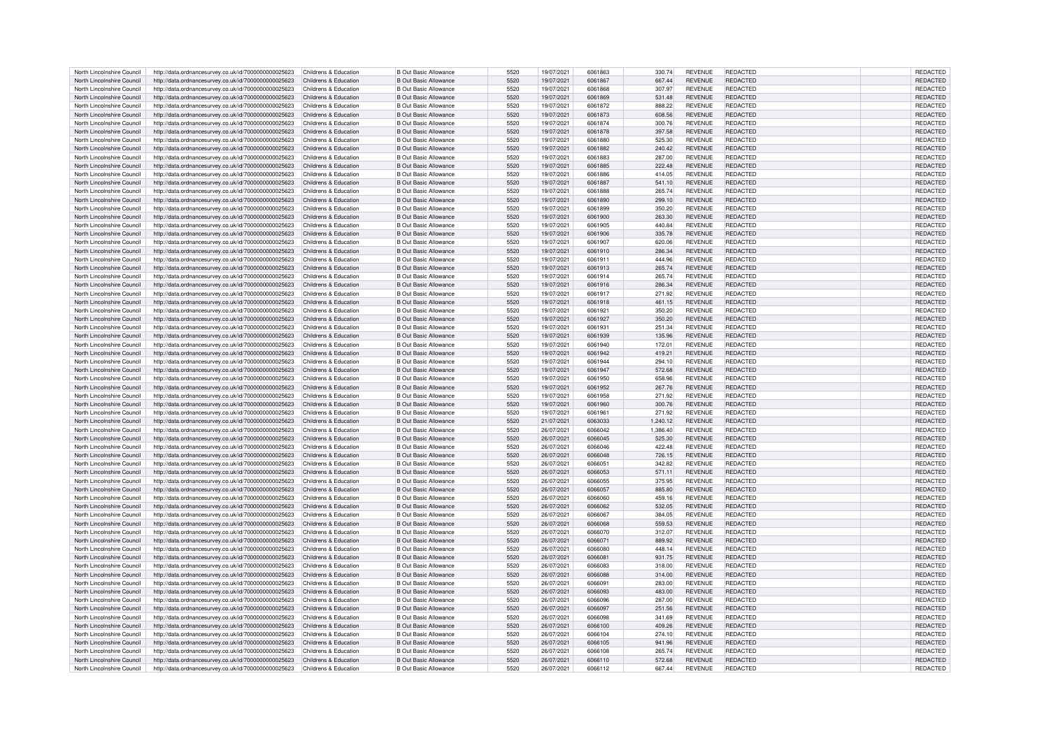| North Lincolnshire Council                               | http://data.ordnancesurvey.co.uk/id/7000000000025623                                                                                                   | Childrens & Education | B Out Basic Allowance                                        | 5520 | 19/07/2021               | 6061863            | 330.74           | <b>REVENUE</b>                   | REDACTED                           | <b>REDACTED</b>             |
|----------------------------------------------------------|--------------------------------------------------------------------------------------------------------------------------------------------------------|-----------------------|--------------------------------------------------------------|------|--------------------------|--------------------|------------------|----------------------------------|------------------------------------|-----------------------------|
|                                                          |                                                                                                                                                        |                       |                                                              | 5520 |                          | 6061867            |                  |                                  |                                    |                             |
| North Lincolnshire Council                               | http://data.ordnancesurvey.co.uk/id/7000000000025623                                                                                                   | Childrens & Education | <b>B Out Basic Allowance</b>                                 |      | 19/07/2021               |                    | 667.44           | <b>REVENUE</b>                   | REDACTED                           | REDACTED                    |
| North Lincolnshire Council                               | http://data.ordnancesurvey.co.uk/id/7000000000025623                                                                                                   | Childrens & Education | <b>B Out Basic Allowance</b>                                 | 5520 | 19/07/2021               | 6061868            | 307.97           | REVENUE                          | REDACTED                           | REDACTED                    |
| North Lincolnshire Council                               | http://data.ordnancesurvey.co.uk/id/7000000000025623                                                                                                   | Childrens & Education | <b>B</b> Out Basic Allowance                                 | 5520 | 19/07/2021               | 6061869            | 531.48           | <b>REVENUE</b>                   | <b>REDACTED</b>                    | <b>REDACTED</b>             |
| North Lincolnshire Council                               | http://data.ordnancesurvey.co.uk/id/7000000000025623                                                                                                   | Childrens & Education | <b>R</b> Out Basic Allowance                                 | 5520 | 19/07/2021               | 6061872            | 888.22           | <b>REVENUE</b>                   | <b>REDACTED</b>                    | REDACTED                    |
|                                                          |                                                                                                                                                        |                       |                                                              |      |                          |                    |                  |                                  |                                    |                             |
| North Lincolnshire Council                               | http://data.ordnancesurvey.co.uk/id/7000000000025623                                                                                                   | Childrens & Education | <b>B Out Basic Allowance</b>                                 | 5520 | 19/07/2021               | 6061873            | 608.56           | <b>REVENUE</b>                   | REDACTED                           | REDACTED                    |
| North Lincolnshire Council                               | http://data.ordnancesurvey.co.uk/id/7000000000025623                                                                                                   | Childrens & Education | <b>B Out Basic Allowance</b>                                 | 5520 | 19/07/2021               | 6061874            | 300.76           | <b>REVENUE</b>                   | <b>REDACTED</b>                    | REDACTED                    |
| North Lincolnshire Council                               | http://data.ordnancesurvey.co.uk/id/7000000000025623                                                                                                   | Childrens & Education | <b>B Out Basic Allowance</b>                                 | 5520 | 19/07/2021               | 6061878            | 397.58           | <b>REVENUE</b>                   | <b>REDACTED</b>                    | REDACTED                    |
| North Lincolnshire Council                               | http://data.ordnancesurvey.co.uk/id/7000000000025623                                                                                                   | Childrens & Education | B Out Basic Allowance                                        | 5520 | 19/07/2021               | 6061880            | 525.30           | <b>REVENUE</b>                   | REDACTED                           | <b>REDACTED</b>             |
|                                                          |                                                                                                                                                        |                       |                                                              |      |                          |                    |                  |                                  |                                    |                             |
| North Lincolnshire Council                               | http://data.ordnancesurvey.co.uk/id/7000000000025623                                                                                                   | Childrens & Education | B Out Basic Allowance                                        | 5520 | 19/07/2021               | 6061882            | 240.42           | <b>REVENUE</b>                   | <b>REDACTED</b>                    | REDACTED                    |
| North Lincolnshire Council                               | http://data.ordnancesurvey.co.uk/id/7000000000025623                                                                                                   | Childrens & Education | <b>B Out Basic Allowance</b>                                 | 5520 | 19/07/2021               | 6061883            | 287.00           | <b>REVENUE</b>                   | <b>REDACTED</b>                    | REDACTED                    |
| North Lincolnshire Council                               | http://data.ordnancesurvey.co.uk/id/7000000000025623                                                                                                   | Childrens & Education | <b>B Out Basic Allowance</b>                                 | 5520 | 19/07/2021               | 6061885            | 222.48           | <b>REVENUE</b>                   | <b>REDACTED</b>                    | REDACTED                    |
|                                                          |                                                                                                                                                        |                       |                                                              |      |                          |                    |                  |                                  |                                    |                             |
| North Lincolnshire Council                               | http://data.ordnancesurvey.co.uk/id/7000000000025623                                                                                                   | Childrens & Education | <b>B Out Basic Allowance</b>                                 | 5520 | 19/07/2021               | 6061886            | 414.05           | <b>REVENUE</b>                   | <b>REDACTED</b>                    | REDACTED                    |
| North Lincolnshire Council                               | http://data.ordnancesurvey.co.uk/id/7000000000025623                                                                                                   | Childrens & Education | <b>B Out Basic Allowance</b>                                 | 5520 | 19/07/2021               | 6061887            | 541.10           | <b>REVENUE</b>                   | <b>REDACTED</b>                    | REDACTED                    |
| North Lincolnshire Council                               | http://data.ordnancesurvey.co.uk/id/7000000000025623                                                                                                   | Childrens & Education | <b>B Out Basic Allowance</b>                                 | 5520 | 19/07/2021               | 6061888            | 265.74           | <b>REVENUE</b>                   | <b>REDACTED</b>                    | REDACTED                    |
| North Lincolnshire Council                               | http://data.ordnancesurvey.co.uk/id/7000000000025623                                                                                                   | Childrens & Education | <b>B Out Basic Allowance</b>                                 | 5520 | 19/07/2021               | 6061890            | 299.10           | <b>REVENUE</b>                   | <b>REDACTED</b>                    | REDACTED                    |
|                                                          |                                                                                                                                                        |                       |                                                              |      |                          |                    |                  |                                  |                                    |                             |
| North Lincolnshire Council                               | http://data.ordnancesurvey.co.uk/id/7000000000025623                                                                                                   | Childrens & Education | <b>B Out Basic Allowance</b>                                 | 5520 | 19/07/2021               | 6061899            | 350.20           | <b>REVENUE</b>                   | REDACTED                           | REDACTED                    |
| North Lincolnshire Council                               | http://data.ordnancesurvey.co.uk/id/7000000000025623                                                                                                   | Childrens & Education | <b>B Out Basic Allowance</b>                                 | 5520 | 19/07/2021               | 6061900            | 263.30           | <b>REVENUE</b>                   | <b>REDACTED</b>                    | REDACTED                    |
| North Lincolnshire Council                               | http://data.ordnancesurvey.co.uk/id/7000000000025623                                                                                                   | Childrens & Education | <b>B Out Basic Allowance</b>                                 | 5520 | 19/07/2021               | 6061905            | 440.84           | <b>REVENUE</b>                   | REDACTED                           | REDACTED                    |
| North Lincolnshire Council                               | http://data.ordnancesurvey.co.uk/id/7000000000025623                                                                                                   | Childrens & Education | B Out Basic Allowance                                        | 5520 | 19/07/2021               | 6061906            | 335.78           | <b>REVENUE</b>                   | <b>REDACTED</b>                    | <b>REDACTED</b>             |
|                                                          |                                                                                                                                                        |                       |                                                              |      |                          |                    |                  |                                  |                                    |                             |
| North Lincolnshire Council                               | http://data.ordnancesurvey.co.uk/id/7000000000025623                                                                                                   | Childrens & Education | B Out Basic Allowance                                        | 5520 | 19/07/2021               | 6061907            | 620.06           | <b>REVENUE</b>                   | <b>REDACTED</b>                    | REDACTED                    |
| North Lincolnshire Council                               | http://data.ordnancesurvey.co.uk/id/7000000000025623                                                                                                   | Childrens & Education | <b>B Out Basic Allowance</b>                                 | 5520 | 19/07/2021               | 6061910            | 286.34           | <b>REVENUE</b>                   | REDACTED                           | REDACTED                    |
| North Lincolnshire Council                               | http://data.ordnancesurvey.co.uk/id/7000000000025623                                                                                                   | Childrens & Education | B Out Basic Allowance                                        | 5520 | 19/07/2021               | 6061911            | 444.96           | REVENUE                          | <b>REDACTED</b>                    | <b>REDACTEI</b>             |
| North Lincolnshire Council                               |                                                                                                                                                        | Childrens & Education | B Out Basic Allowance                                        | 5520 |                          | 6061913            |                  | <b>REVENUE</b>                   | <b>REDACTED</b>                    |                             |
|                                                          | http://data.ordnancesurvey.co.uk/id/7000000000025623                                                                                                   |                       |                                                              |      | 19/07/2021               |                    | 265.74           |                                  |                                    | REDACTED                    |
| North Lincolnshire Council                               | http://data.ordnancesurvey.co.uk/id/7000000000025623                                                                                                   | Childrens & Education | B Out Basic Allowance                                        | 5520 | 19/07/2021               | 6061914            | 265.74           | <b>REVENUE</b>                   | <b>REDACTED</b>                    | REDACTED                    |
| North Lincolnshire Council                               | http://data.ordnancesurvey.co.uk/id/7000000000025623                                                                                                   | Childrens & Education | B Out Basic Allowance                                        | 5520 | 19/07/2021               | 6061916            | 286.34           | REVENUE                          | <b>REDACTED</b>                    | REDACTED                    |
| North Lincolnshire Council                               | http://data.ordnancesurvey.co.uk/id/7000000000025623                                                                                                   | Childrens & Education | <b>B Out Basic Allowance</b>                                 | 5520 | 19/07/2021               | 6061917            | 271.92           | <b>REVENUE</b>                   | <b>REDACTED</b>                    | REDACTED                    |
|                                                          |                                                                                                                                                        |                       |                                                              |      |                          |                    |                  |                                  |                                    |                             |
| North Lincolnshire Council                               | http://data.ordnancesurvey.co.uk/id/7000000000025623                                                                                                   | Childrens & Education | <b>B Out Basic Allowance</b>                                 | 5520 | 19/07/2021               | 6061918            | 461.15           | <b>REVENUE</b>                   | <b>REDACTED</b>                    | REDACTED                    |
| North Lincolnshire Council                               | http://data.ordnancesurvey.co.uk/id/7000000000025623                                                                                                   | Childrens & Education | B Out Basic Allowance                                        | 5520 | 19/07/2021               | 6061921            | 350.20           | <b>REVENUE</b>                   | <b>REDACTED</b>                    | <b>REDACTED</b>             |
| North Lincolnshire Council                               | http://data.ordnancesurvey.co.uk/id/7000000000025623                                                                                                   | Childrens & Education | <b>B Out Basic Allowance</b>                                 | 5520 | 19/07/2021               | 6061927            | 350.20           | <b>REVENUE</b>                   | <b>REDACTED</b>                    | REDACTED                    |
| North Lincolnshire Council                               | http://data.ordnancesurvey.co.uk/id/7000000000025623                                                                                                   | Childrens & Education | B Out Basic Allowance                                        | 5520 | 19/07/2021               | 6061931            | 251.34           | <b>REVENUE</b>                   | <b>REDACTED</b>                    | REDACTED                    |
|                                                          |                                                                                                                                                        |                       |                                                              |      |                          |                    |                  |                                  |                                    |                             |
| North Lincolnshire Council                               | http://data.ordnancesurvey.co.uk/id/7000000000025623                                                                                                   | Childrens & Education | <b>B Out Basic Allowance</b>                                 | 5520 | 19/07/2021               | 6061939            | 135.96           | <b>REVENUE</b>                   | <b>REDACTED</b>                    | <b>REDACTED</b>             |
| North Lincolnshire Council                               | http://data.ordnancesurvey.co.uk/id/7000000000025623                                                                                                   | Childrens & Education | <b>B Out Basic Allowance</b>                                 | 5520 | 19/07/2021               | 6061940            | 172.01           | <b>REVENUE</b>                   | REDACTED                           | REDACTED                    |
| North Lincolnshire Council                               | http://data.ordnancesurvey.co.uk/id/7000000000025623                                                                                                   | Childrens & Education | B Out Basic Allowance                                        | 5520 | 19/07/2021               | 6061942            | 419.21           | <b>REVENUE</b>                   | <b>REDACTED</b>                    | <b>REDACTED</b>             |
| North Lincolnshire Council                               | http://data.ordnancesurvey.co.uk/id/7000000000025623                                                                                                   | Childrens & Education | B Out Basic Allowance                                        | 5520 | 19/07/2021               | 6061944            | 294.10           | <b>REVENUE</b>                   | <b>REDACTED</b>                    | REDACTED                    |
|                                                          |                                                                                                                                                        |                       |                                                              |      |                          |                    |                  |                                  |                                    |                             |
| North Lincolnshire Council                               | http://data.ordnancesurvey.co.uk/id/7000000000025623                                                                                                   | Childrens & Education | <b>B Out Basic Allowance</b>                                 | 5520 | 19/07/2021               | 6061947            | 572.68           | <b>REVENUE</b>                   | REDACTED                           | REDACTED                    |
| North Lincolnshire Council                               | http://data.ordnancesurvey.co.uk/id/7000000000025623                                                                                                   | Childrens & Education | B Out Basic Allowance                                        | 5520 | 19/07/2021               | 6061950            | 658.96           | <b>REVENUE</b>                   | <b>REDACTED</b>                    | <b>REDACTED</b>             |
| North Lincolnshire Council                               | http://data.ordnancesurvey.co.uk/id/7000000000025623                                                                                                   | Childrens & Education | <b>B Out Basic Allowance</b>                                 | 5520 | 19/07/2021               | 6061952            | 267.76           | <b>REVENUE</b>                   | <b>REDACTED</b>                    | REDACTED                    |
| North Lincolnshire Council                               | http://data.ordnancesurvey.co.uk/id/7000000000025623                                                                                                   | Childrens & Education | B Out Basic Allowance                                        | 5520 | 19/07/2021               | 6061958            | 271.92           | <b>REVENUE</b>                   | <b>REDACTED</b>                    | REDACTED                    |
|                                                          |                                                                                                                                                        |                       |                                                              |      |                          |                    |                  |                                  |                                    |                             |
| North Lincolnshire Council                               | http://data.ordnancesurvey.co.uk/id/7000000000025623                                                                                                   | Childrens & Education | B Out Basic Allowance                                        | 5520 | 19/07/2021               | 6061960            | 300.76           | <b>REVENUE</b>                   | <b>REDACTED</b>                    | <b>REDACTED</b>             |
| North Lincolnshire Council                               | http://data.ordnancesurvey.co.uk/id/7000000000025623                                                                                                   | Childrens & Education | <b>B Out Basic Allowance</b>                                 | 5520 | 19/07/2021               | 6061961            | 271.92           | <b>REVENUE</b>                   | REDACTED                           | REDACTED                    |
| North Lincolnshire Council                               | http://data.ordnancesurvey.co.uk/id/7000000000025623                                                                                                   | Childrens & Education | <b>B Out Basic Allowance</b>                                 | 5520 | 21/07/2021               | 6063033            | 1,240.12         | <b>REVENUE</b>                   | <b>REDACTED</b>                    | <b>REDACTED</b>             |
| North Lincolnshire Council                               |                                                                                                                                                        |                       |                                                              |      | 26/07/2021               | 6066042            |                  | REVENUE                          | REDACTED                           |                             |
|                                                          |                                                                                                                                                        |                       |                                                              |      |                          |                    |                  |                                  |                                    |                             |
|                                                          | http://data.ordnancesurvey.co.uk/id/7000000000025623                                                                                                   | Childrens & Education | <b>B Out Basic Allowance</b>                                 | 5520 |                          |                    | 1,386.40         |                                  |                                    | REDACTED                    |
| North Lincolnshire Council                               | http://data.ordnancesurvey.co.uk/id/7000000000025623                                                                                                   | Childrens & Education | B Out Basic Allowance                                        | 5520 | 26/07/2021               | 6066045            | 525.30           | <b>REVENUE</b>                   | <b>REDACTED</b>                    | <b>REDACTED</b>             |
| North Lincolnshire Council                               | http://data.ordnancesurvey.co.uk/id/7000000000025623                                                                                                   | Childrens & Education | B Out Basic Allowance                                        | 5520 | 26/07/2021               | 6066046            | 422.48           | <b>REVENUE</b>                   | <b>REDACTED</b>                    | REDACTED                    |
|                                                          |                                                                                                                                                        |                       |                                                              |      |                          |                    |                  |                                  |                                    |                             |
| North Lincolnshire Council                               | http://data.ordnancesurvey.co.uk/id/7000000000025623                                                                                                   | Childrens & Education | <b>B Out Basic Allowance</b>                                 | 5520 | 26/07/2021               | 6066048            | 726.15           | <b>REVENUE</b>                   | <b>REDACTED</b>                    | REDACTED                    |
| North Lincolnshire Council                               | http://data.ordnancesurvey.co.uk/id/7000000000025623                                                                                                   | Childrens & Education | B Out Basic Allowance                                        | 5520 | 26/07/2021               | 606605             | 342.82           | <b>REVENUE</b>                   | REDACTED                           | REDACTED                    |
| North Lincolnshire Council                               | http://data.ordnancesurvey.co.uk/id/7000000000025623                                                                                                   | Childrens & Education | <b>B Out Basic Allowance</b>                                 | 5520 | 26/07/2021               | 6066053            | 571.11           | <b>REVENUE</b>                   | <b>REDACTED</b>                    | <b>REDACTED</b>             |
| North Lincolnshire Council                               | http://data.ordnancesurvey.co.uk/id/7000000000025623                                                                                                   | Childrens & Education | B Out Basic Allowance                                        | 5520 | 26/07/2021               | 6066055            | 375.95           | <b>REVENUE</b>                   | <b>REDACTED</b>                    | REDACTED                    |
| North Lincolnshire Council                               |                                                                                                                                                        | Childrens & Education |                                                              | 5520 | 26/07/2021               | 6066057            |                  |                                  | <b>REDACTED</b>                    |                             |
|                                                          | http://data.ordnancesurvey.co.uk/id/7000000000025623                                                                                                   |                       | <b>B Out Basic Allowance</b>                                 |      |                          |                    | 885.80           | <b>REVENUE</b>                   |                                    | REDACTED                    |
| North Lincolnshire Council                               | http://data.ordnancesurvey.co.uk/id/7000000000025623                                                                                                   | Childrens & Education | <b>B Out Basic Allowance</b>                                 | 5520 | 26/07/2021               | 6066060            | 459.16           | <b>REVENUE</b>                   | <b>REDACTED</b>                    | REDACTED                    |
| North Lincolnshire Council                               | http://data.ordnancesurvey.co.uk/id/7000000000025623                                                                                                   | Childrens & Education | <b>B Out Basic Allowance</b>                                 | 5520 | 26/07/2021               | 6066062            | 532.05           | <b>REVENUE</b>                   | REDACTED                           | REDACTED                    |
| North Lincolnshire Council                               | http://data.ordnancesurvey.co.uk/id/7000000000025623                                                                                                   | Childrens & Education | B Out Basic Allowance                                        | 5520 | 26/07/2021               | 6066067            | 384.05           | <b>REVENUE</b>                   | <b>REDACTED</b>                    | REDACTED                    |
| North Lincolnshire Council                               |                                                                                                                                                        |                       | <b>B Out Basic Allowance</b>                                 | 5520 | 26/07/2021               | <b>BOGGOGS</b>     |                  |                                  | <b>REDACTED</b>                    |                             |
|                                                          | http://data.ordnancesurvey.co.uk/id/7000000000025623                                                                                                   | Childrens & Education |                                                              |      |                          |                    | 559.53           | <b>REVENUE</b>                   |                                    | REDACTED                    |
| North Lincolnshire Council                               | http://data.ordnancesurvey.co.uk/id/7000000000025623                                                                                                   | Childrens & Education | B Out Basic Allowance                                        | 5520 | 26/07/2021               | 6066070            | 312.07           | <b>REVENUE</b>                   | REDACTED                           | REDACTED                    |
| North Lincolnshire Council                               | http://data.ordnancesurvey.co.uk/id/7000000000025623                                                                                                   | Childrens & Education | <b>B Out Basic Allowance</b>                                 | 5520 | 26/07/2021               | 6066071            | 889.92           | <b>REVENUE</b>                   | <b>REDACTED</b>                    | <b>REDACTED</b>             |
| North Lincolnshire Council                               | http://data.ordnancesurvey.co.uk/id/7000000000025623                                                                                                   | Childrens & Education | <b>B Out Basic Allowance</b>                                 | 5520 | 26/07/2021               | 6066080            | 448.14           | <b>REVENUE</b>                   | <b>REDACTED</b>                    | REDACTED                    |
| North Lincolnshire Council                               | http://data.ordnancesurvey.co.uk/id/7000000000025623                                                                                                   | Childrens & Education | <b>B Out Basic Allowance</b>                                 | 5520 | 26/07/2021               | 6066081            | 931.75           | <b>REVENUE</b>                   | <b>REDACTED</b>                    | <b>REDACTED</b>             |
|                                                          |                                                                                                                                                        |                       |                                                              |      |                          |                    |                  |                                  |                                    |                             |
| North Lincolnshire Council                               | http://data.ordnancesurvey.co.uk/id/7000000000025623                                                                                                   | Childrens & Education | B Out Basic Allowance                                        | 5520 | 26/07/2021               | 6066083            | 318.00           | <b>REVENUE</b>                   | <b>REDACTED</b>                    | REDACTED                    |
| North Lincolnshire Council                               | http://data.ordnancesurvey.co.uk/id/7000000000025623                                                                                                   | Childrens & Education | B Out Basic Allowance                                        | 5520 | 26/07/2021               | 6066088            | 314.00           | <b>REVENUE</b>                   | <b>REDACTED</b>                    | REDACTED                    |
| North Lincolnshire Council                               | http://data.ordnancesurvey.co.uk/id/7000000000025623                                                                                                   | Childrens & Education | <b>B Out Basic Allowance</b>                                 | 5520 | 26/07/2021               | 6066091            | 283.00           | REVENUE                          | REDACTED                           | REDACTED                    |
|                                                          |                                                                                                                                                        |                       |                                                              | 5520 |                          | 6066093            |                  |                                  |                                    |                             |
| North Lincolnshire Council                               | http://data.ordnancesurvey.co.uk/id/7000000000025623                                                                                                   | Childrens & Education | <b>B Out Basic Allowance</b>                                 |      | 26/07/2021               |                    | 483.00           | REVENUE                          | REDACTED                           | REDACTED                    |
| North Lincolnshire Council                               | http://data.ordnancesurvey.co.uk/id/7000000000025623                                                                                                   | Childrens & Education | <b>B Out Basic Allowance</b>                                 | 5520 | 26/07/2021               | 6066096            | 287.00           | <b>REVENUE</b>                   | <b>REDACTED</b>                    | <b>REDACTED</b>             |
| North Lincolnshire Council                               | http://data.ordnancesurvey.co.uk/id/7000000000025623                                                                                                   | Childrens & Education | <b>B Out Basic Allowance</b>                                 | 5520 | 26/07/2021               | 6066097            | 251.56           | <b>REVENUE</b>                   | <b>REDACTED</b>                    | REDACTED                    |
| North Lincolnshire Council                               | http://data.ordnancesurvey.co.uk/id/7000000000025623                                                                                                   | Childrens & Education | <b>B Out Basic Allowance</b>                                 | 5520 | 26/07/2021               | 6066098            | 341.69           | <b>REVENUE</b>                   | <b>REDACTED</b>                    | REDACTED                    |
|                                                          |                                                                                                                                                        |                       |                                                              |      |                          |                    |                  |                                  |                                    |                             |
| North Lincolnshire Council                               | http://data.ordnancesurvey.co.uk/id/7000000000025623                                                                                                   | Childrens & Education | B Out Basic Allowance                                        | 5520 | 26/07/2021               | 6066100            | 409.26           | <b>REVENUE</b>                   | REDACTED                           | REDACTED                    |
| North Lincolnshire Council                               | http://data.ordnancesurvey.co.uk/id/7000000000025623                                                                                                   | Childrens & Education | B Out Basic Allowance                                        | 5520 | 26/07/2021               | 6066104            | 274.10           | <b>REVENUE</b>                   | <b>REDACTED</b>                    | <b>REDACTED</b>             |
| North Lincolnshire Council                               | http://data.ordnancesurvey.co.uk/id/7000000000025623                                                                                                   | Childrens & Education | <b>B Out Basic Allowance</b>                                 | 5520 | 26/07/2021               | 6066105            | 941.96           | <b>REVENUE</b>                   | REDACTED                           | REDACTED                    |
| North Lincolnshire Council                               | http://data.ordnancesurvey.co.uk/id/7000000000025623                                                                                                   | Childrens & Education | B Out Basic Allowance                                        | 5520 | 26/07/2021               | 6066108            | 265.74           | <b>REVENUE</b>                   | REDACTED                           | <b>REDACTED</b>             |
|                                                          |                                                                                                                                                        |                       |                                                              | 5520 |                          |                    |                  |                                  |                                    |                             |
| North Lincolnshire Council<br>North Lincolnshire Council | http://data.ordnancesurvey.co.uk/id/700000000025623 Childrens & Education<br>http://data.ordnancesurvey.co.uk/id/700000000025623 Childrens & Education |                       | <b>B Out Basic Allowance</b><br><b>B Out Basic Allowance</b> | 5520 | 26/07/2021<br>26/07/2021 | 6066110<br>6066112 | 572.68<br>667.44 | <b>REVENUE</b><br><b>REVENUE</b> | <b>REDACTED</b><br><b>REDACTED</b> | <b>REDACTED</b><br>REDACTED |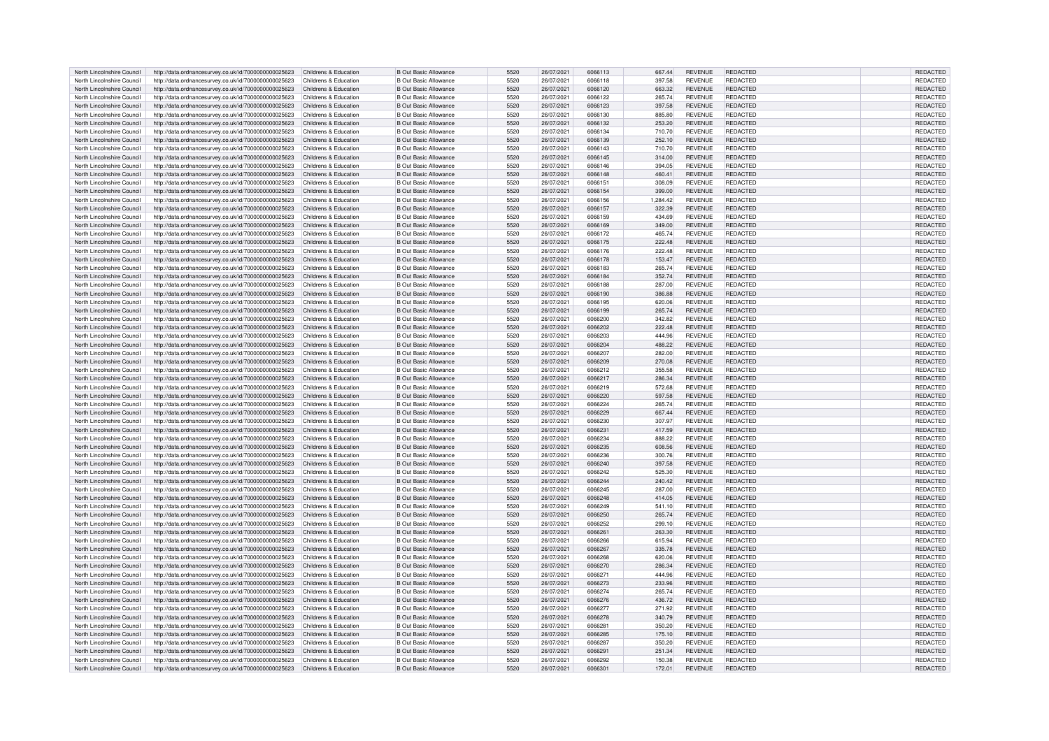| North Lincolnshire Council | http://data.ordnancesurvey.co.uk/id/7000000000025623                      | Childrens & Education | <b>B Out Basic Allowance</b> | 5520 | 26/07/2021 | 6066113 | 667.44   | <b>REVENUE</b> | <b>REDACTED</b> | <b>REDACTED</b> |
|----------------------------|---------------------------------------------------------------------------|-----------------------|------------------------------|------|------------|---------|----------|----------------|-----------------|-----------------|
| North Lincolnshire Council | http://data.ordnancesurvey.co.uk/id/7000000000025623                      | Childrens & Education | <b>B</b> Out Basic Allowance | 5520 | 26/07/2021 | 6066118 | 397.58   | <b>REVENUE</b> | REDACTED        | REDACTED        |
|                            |                                                                           |                       |                              | 5520 |            |         |          |                |                 |                 |
| North Lincolnshire Council | http://data.ordnancesurvey.co.uk/id/7000000000025623                      | Childrens & Education | <b>B</b> Out Basic Allowance |      | 26/07/2021 | 6066120 | 663.32   | <b>REVENUE</b> | REDACTED        | REDACTED        |
| North Lincolnshire Council | http://data.ordnancesurvey.co.uk/id/7000000000025623                      | Childrens & Education | B Out Basic Allowance        | 5520 | 26/07/2021 | 6066122 | 265.74   | <b>REVENUE</b> | REDACTED        | <b>REDACTED</b> |
| North Lincolnshire Council | http://data.ordnancesurvey.co.uk/id/7000000000025623                      | Childrens & Education | B Out Basic Allowance        | 5520 | 26/07/2021 | 6066123 | 397.58   | <b>REVENUE</b> | <b>REDACTED</b> | REDACTED        |
| North Lincolnshire Council | http://data.ordnancesurvey.co.uk/id/7000000000025623                      | Childrens & Education | B Out Basic Allowance        | 5520 | 26/07/2021 | 6066130 | 885.80   | <b>REVENUE</b> | REDACTED        | REDACTED        |
| North Lincolnshire Council | http://data.ordnancesurvey.co.uk/id/7000000000025623                      | Childrens & Education | <b>B Out Basic Allowance</b> | 5520 | 26/07/2021 | 6066132 | 253.20   | <b>REVENUE</b> | <b>REDACTED</b> | REDACTED        |
| North Lincolnshire Council | http://data.ordnancesurvey.co.uk/id/7000000000025623                      | Childrens & Education | <b>B Out Basic Allowance</b> | 5520 | 26/07/2021 | 6066134 | 710.70   | <b>REVENUE</b> | <b>REDACTED</b> | REDACTED        |
|                            |                                                                           |                       |                              |      |            |         |          |                |                 |                 |
| North Lincolnshire Council | http://data.ordnancesurvey.co.uk/id/7000000000025623                      | Childrens & Education | <b>B Out Basic Allowance</b> | 5520 | 26/07/2021 | 6066139 | 252.10   | <b>REVENUE</b> | <b>REDACTED</b> | <b>REDACTED</b> |
| North Lincolnshire Council | http://data.ordnancesurvey.co.uk/id/7000000000025623                      | Childrens & Education | B Out Basic Allowance        | 5520 | 26/07/2021 | 6066143 | 710.70   | <b>REVENUE</b> | <b>REDACTED</b> | <b>REDACTED</b> |
| North Lincolnshire Council | http://data.ordnancesurvey.co.uk/id/7000000000025623                      | Childrens & Education | <b>B Out Basic Allowance</b> | 5520 | 26/07/2021 | 6066145 | 314.00   | <b>REVENUE</b> | <b>REDACTED</b> | REDACTED        |
| North Lincolnshire Council | http://data.ordnancesurvey.co.uk/id/7000000000025623                      | Childrens & Education | <b>B Out Basic Allowance</b> | 5520 | 26/07/2021 | 6066146 | 394.05   | <b>REVENUE</b> | REDACTED        | REDACTED        |
| North Lincolnshire Council | http://data.ordnancesurvey.co.uk/id/7000000000025623                      | Childrens & Education | <b>B Out Basic Allowance</b> | 5520 | 26/07/2021 | 6066148 | 460.41   | <b>REVENUE</b> | <b>REDACTED</b> | REDACTED        |
|                            |                                                                           |                       |                              |      |            |         |          |                |                 |                 |
| North Lincolnshire Council | http://data.ordnancesurvey.co.uk/id/7000000000025623                      | Childrens & Education | B Out Basic Allowance        | 5520 | 26/07/2021 | 6066151 | 308.09   | <b>REVENUE</b> | <b>REDACTED</b> | <b>REDACTED</b> |
| North Lincolnshire Council | http://data.ordnancesurvey.co.uk/id/7000000000025623                      | Childrens & Education | <b>B Out Basic Allowance</b> | 5520 | 26/07/2021 | 6066154 | 399.00   | <b>REVENUE</b> | <b>REDACTED</b> | REDACTED        |
| North Lincolnshire Council | http://data.ordnancesurvey.co.uk/id/7000000000025623                      | Childrens & Education | <b>B Out Basic Allowance</b> | 5520 | 26/07/2021 | 6066156 | 1,284.42 | REVENUE        | REDACTED        | REDACTED        |
| North Lincolnshire Council | http://data.ordnancesurvey.co.uk/id/7000000000025623                      | Childrens & Education | <b>B Out Basic Allowance</b> | 5520 | 26/07/2021 | 6066157 | 322.39   | <b>REVENUE</b> | <b>REDACTED</b> | <b>REDACTED</b> |
| North Lincolnshire Council | http://data.ordnancesurvey.co.uk/id/7000000000025623                      | Childrens & Education | <b>B Out Basic Allowance</b> | 5520 | 26/07/2021 | 6066159 | 434.69   | <b>REVENUE</b> | <b>REDACTED</b> | REDACTED        |
| North Lincolnshire Council | http://data.ordnancesurvey.co.uk/id/7000000000025623                      | Childrens & Education | <b>B Out Basic Allowance</b> | 5520 | 26/07/2021 | 6066169 | 349.00   | <b>REVENUE</b> | <b>REDACTED</b> | REDACTED        |
|                            |                                                                           |                       |                              |      |            |         |          |                |                 |                 |
| North Lincolnshire Council | http://data.ordnancesurvey.co.uk/id/7000000000025623                      | Childrens & Education | B Out Basic Allowance        | 5520 | 26/07/2021 | 6066172 | 465.74   | <b>REVENUE</b> | REDACTED        | <b>REDACTED</b> |
| North Lincolnshire Council | http://data.ordnancesurvey.co.uk/id/7000000000025623                      | Childrens & Education | <b>B Out Basic Allowance</b> | 5520 | 26/07/2021 | 6066175 | 222.48   | <b>REVENUE</b> | REDACTED        | REDACTED        |
| North Lincolnshire Council | http://data.ordnancesurvey.co.uk/id/7000000000025623                      | Childrens & Education | <b>B Out Basic Allowance</b> | 5520 | 26/07/2021 | 6066176 | 222.48   | <b>REVENUE</b> | REDACTED        | REDACTED        |
| North Lincolnshire Council | http://data.ordnancesurvey.co.uk/id/7000000000025623                      | Childrens & Education | <b>B Out Basic Allowance</b> | 5520 | 26/07/2021 | 6066178 | 153.47   | <b>REVENUE</b> | <b>REDACTED</b> | <b>REDACTED</b> |
| North Lincolnshire Council |                                                                           | Childrens & Education | B Out Basic Allowance        | 5520 |            | 6066183 |          |                | <b>REDACTED</b> | <b>REDACTED</b> |
|                            | http://data.ordnancesurvey.co.uk/id/7000000000025623                      |                       |                              |      | 26/07/2021 |         | 265.74   | <b>REVENUE</b> |                 |                 |
| North Lincolnshire Council | http://data.ordnancesurvey.co.uk/id/7000000000025623                      | Childrens & Education | B Out Basic Allowance        | 5520 | 26/07/2021 | 6066184 | 352.74   | <b>REVENUE</b> | <b>REDACTED</b> | REDACTED        |
| North Lincolnshire Council | http://data.ordnancesurvey.co.uk/id/7000000000025623                      | Childrens & Education | B Out Basic Allowance        | 5520 | 26/07/2021 | 6066188 | 287.00   | REVENUE        | <b>REDACTED</b> | REDACTED        |
| North Lincolnshire Council | http://data.ordnancesurvey.co.uk/id/7000000000025623                      | Childrens & Education | <b>B Out Basic Allowance</b> | 5520 | 26/07/2021 | 6066190 | 386.88   | <b>REVENUE</b> | REDACTED        | REDACTED        |
| North Lincolnshire Council | http://data.ordnancesurvey.co.uk/id/7000000000025623                      | Childrens & Education | <b>B Out Basic Allowance</b> | 5520 | 26/07/2021 | 6066195 | 620.06   | <b>REVENUE</b> | <b>REDACTED</b> | REDACTED        |
| North Lincolnshire Council | http://data.ordnancesurvey.co.uk/id/7000000000025623                      | Childrens & Education | <b>B Out Basic Allowance</b> | 5520 | 26/07/2021 | 6066199 | 265.74   | <b>REVENUE</b> | <b>REDACTED</b> | <b>REDACTED</b> |
|                            |                                                                           |                       |                              |      |            |         |          |                |                 |                 |
| North Lincolnshire Council | http://data.ordnancesurvey.co.uk/id/7000000000025623                      | Childrens & Education | <b>B</b> Out Basic Allowance | 5520 | 26/07/2021 | 6066200 | 342.82   | <b>REVENUE</b> | <b>REDACTED</b> | REDACTED        |
| North Lincolnshire Council | http://data.ordnancesurvey.co.uk/id/7000000000025623                      | Childrens & Education | <b>B Out Basic Allowance</b> | 5520 | 26/07/2021 | 6066202 | 222.48   | <b>REVENUE</b> | <b>REDACTED</b> | REDACTED        |
| North Lincolnshire Council | http://data.ordnancesurvey.co.uk/id/7000000000025623                      | Childrens & Education | B Out Basic Allowance        | 5520 | 26/07/2021 | 6066203 | 444.96   | REVENUE        | <b>REDACTED</b> | REDACTED        |
| North Lincolnshire Council | http://data.ordnancesurvey.co.uk/id/7000000000025623                      | Childrens & Education | <b>B Out Basic Allowance</b> | 5520 | 26/07/2021 | 6066204 | 488.22   | <b>REVENUE</b> | <b>REDACTED</b> | REDACTED        |
| North Lincolnshire Council | http://data.ordnancesurvey.co.uk/id/7000000000025623                      | Childrens & Education | B Out Basic Allowance        | 5520 | 26/07/2021 | 6066207 | 282.00   | <b>REVENUE</b> | <b>REDACTED</b> | REDACTED        |
|                            |                                                                           |                       |                              |      |            |         |          |                |                 |                 |
| North Lincolnshire Council | http://data.ordnancesurvey.co.uk/id/7000000000025623                      | Childrens & Education | B Out Basic Allowance        | 5520 | 26/07/2021 | 6066209 | 270.08   | <b>REVENUE</b> | <b>REDACTED</b> | REDACTED        |
| North Lincolnshire Council | http://data.ordnancesurvey.co.uk/id/7000000000025623                      | Childrens & Education | <b>B Out Basic Allowance</b> | 5520 | 26/07/2021 | 6066212 | 355.58   | REVENUE        | REDACTED        | REDACTED        |
| North Lincolnshire Council | http://data.ordnancesurvey.co.uk/id/7000000000025623                      | Childrens & Education | B Out Basic Allowance        | 5520 | 26/07/2021 | 6066217 | 286.34   | <b>REVENUE</b> | <b>REDACTED</b> | <b>REDACTED</b> |
| North Lincolnshire Council | http://data.ordnancesurvey.co.uk/id/7000000000025623                      | Childrens & Education | <b>B Out Basic Allowance</b> | 5520 | 26/07/2021 | 6066219 | 572.68   | <b>REVENUE</b> | REDACTED        | REDACTED        |
| North Lincolnshire Council | http://data.ordnancesurvey.co.uk/id/7000000000025623                      | Childrens & Education | <b>B Out Basic Allowance</b> | 5520 | 26/07/2021 | 6066220 | 597.58   | <b>REVENUE</b> | <b>REDACTED</b> | <b>REDACTED</b> |
|                            |                                                                           |                       |                              |      |            |         |          |                |                 |                 |
| North Lincolnshire Council | http://data.ordnancesurvey.co.uk/id/7000000000025623                      | Childrens & Education | B Out Basic Allowance        | 5520 | 26/07/2021 | 6066224 | 265.74   | <b>REVENUE</b> | <b>REDACTED</b> | REDACTED        |
| North Lincolnshire Council | http://data.ordnancesurvey.co.uk/id/7000000000025623                      | Childrens & Education | <b>B Out Basic Allowance</b> | 5520 | 26/07/2021 | 6066229 | 667.44   | <b>REVENUE</b> | REDACTED        | REDACTED        |
| North Lincolnshire Council | http://data.ordnancesurvey.co.uk/id/7000000000025623                      | Childrens & Education | B Out Basic Allowance        | 5520 | 26/07/2021 | 6066230 | 307.97   | RFVFNUF        | <b>REDACTED</b> | <b>REDACTED</b> |
| North Lincolnshire Council | http://data.ordnancesurvey.co.uk/id/7000000000025623                      | Childrens & Education | <b>B Out Basic Allowance</b> | 5520 | 26/07/2021 | 6066231 | 417.59   | <b>REVENUE</b> | <b>REDACTED</b> | REDACTED        |
| North Lincolnshire Council | http://data.ordnancesurvey.co.uk/id/7000000000025623                      | Childrens & Education | B Out Basic Allowance        | 5520 | 26/07/2021 | 6066234 | 888.22   | <b>REVENUE</b> | <b>REDACTED</b> | REDACTED        |
|                            |                                                                           |                       |                              |      |            |         |          |                |                 |                 |
| North Lincolnshire Council | http://data.ordnancesurvey.co.uk/id/7000000000025623                      | Childrens & Education | <b>B Out Basic Allowance</b> | 5520 | 26/07/2021 | 6066235 | 608.56   | <b>REVENUE</b> | <b>REDACTED</b> | REDACTED        |
| North Lincolnshire Council | http://data.ordnancesurvey.co.uk/id/7000000000025623                      | Childrens & Education | <b>B Out Basic Allowance</b> | 5520 | 26/07/2021 | 6066236 | 300.76   | <b>REVENUE</b> | <b>REDACTED</b> | REDACTED        |
| North Lincolnshire Council | http://data.ordnancesurvey.co.uk/id/7000000000025623                      | Childrens & Education | <b>B Out Basic Allowance</b> | 5520 | 26/07/2021 | 6066240 | 397.58   | <b>REVENUE</b> | <b>REDACTED</b> | REDACTED        |
| North Lincolnshire Council | http://data.ordnancesurvey.co.uk/id/7000000000025623                      | Childrens & Education | <b>B Out Basic Allowance</b> | 5520 | 26/07/2021 | 6066242 | 525.30   | <b>REVENUE</b> | <b>REDACTED</b> | <b>REDACTED</b> |
| North Lincolnshire Council | http://data.ordnancesurvey.co.uk/id/7000000000025623                      | Childrens & Education | <b>B Out Basic Allowance</b> | 5520 | 26/07/2021 | 6066244 | 240.42   | <b>REVENUE</b> | <b>REDACTED</b> | <b>REDACTED</b> |
|                            |                                                                           |                       |                              |      |            |         |          |                |                 |                 |
| North Lincolnshire Council | http://data.ordnancesurvey.co.uk/id/7000000000025623                      | Childrens & Education | B Out Basic Allowance        | 5520 | 26/07/2021 | 6066245 | 287.00   | <b>REVENUE</b> | <b>REDACTED</b> | REDACTED        |
| North Lincolnshire Council | http://data.ordnancesurvey.co.uk/id/7000000000025623                      | Childrens & Education | <b>B Out Basic Allowance</b> | 5520 | 26/07/2021 | 6066248 | 414.05   | <b>REVENUE</b> | <b>REDACTED</b> | REDACTED        |
| North Lincolnshire Council | http://data.ordnancesurvey.co.uk/id/7000000000025623                      | Childrens & Education | <b>B Out Basic Allowance</b> | 5520 | 26/07/2021 | 6066249 | 541.10   | <b>REVENUE</b> | <b>REDACTED</b> | REDACTED        |
| North Lincolnshire Council | http://data.ordnancesurvey.co.uk/id/7000000000025623                      | Childrens & Education | <b>B Out Basic Allowance</b> | 5520 | 26/07/2021 | 6066250 | 265.74   | <b>REVENUE</b> | <b>REDACTED</b> | <b>REDACTED</b> |
| North Lincolnshire Council | http://data.ordnancesurvey.co.uk/id/7000000000025623                      | Childrens & Education | <b>B Out Basic Allowance</b> | 5520 | 26/07/2021 | 6066252 | 299.10   | <b>REVENUE</b> | <b>REDACTED</b> | REDACTED        |
| North Lincolnshire Council | http://data.ordnancesurvey.co.uk/id/7000000000025623                      | Childrens & Education | <b>B Out Basic Allowance</b> | 5520 | 26/07/2021 | 6066261 | 263.30   | <b>REVENUE</b> | <b>REDACTED</b> | REDACTED        |
|                            |                                                                           |                       |                              |      |            |         |          |                |                 |                 |
| North Lincolnshire Council | http://data.ordnancesurvey.co.uk/id/7000000000025623                      | Childrens & Education | <b>B Out Basic Allowance</b> | 5520 | 26/07/2021 | 6066266 | 615.94   | <b>REVENUE</b> | <b>REDACTED</b> | REDACTED        |
| North Lincolnshire Council | http://data.ordnancesurvey.co.uk/id/7000000000025623                      | Childrens & Education | <b>B Out Basic Allowance</b> | 5520 | 26/07/2021 | 6066267 | 335.78   | <b>REVENUE</b> | <b>REDACTED</b> | REDACTED        |
| North Lincolnshire Council | http://data.ordnancesurvey.co.uk/id/7000000000025623                      | Childrens & Education | B Out Basic Allowance        | 5520 | 26/07/2021 | 6066268 | 620.06   | <b>REVENUE</b> | <b>REDACTED</b> | <b>REDACTED</b> |
| North Lincolnshire Council | http://data.ordnancesurvey.co.uk/id/7000000000025623                      | Childrens & Education | B Out Basic Allowance        | 5520 | 26/07/2021 | 6066270 | 286.34   | <b>REVENUE</b> | <b>REDACTED</b> | REDACTED        |
| North Lincolnshire Council | http://data.ordnancesurvey.co.uk/id/7000000000025623                      | Childrens & Education | B Out Basic Allowance        | 5520 | 26/07/2021 | 6066271 | 444.96   | <b>REVENUE</b> | <b>REDACTED</b> | REDACTED        |
|                            |                                                                           |                       |                              |      |            |         |          |                |                 |                 |
| North Lincolnshire Council | http://data.ordnancesurvey.co.uk/id/7000000000025623                      | Childrens & Education | <b>B Out Basic Allowance</b> | 5520 | 26/07/2021 | 6066273 | 233.96   | <b>REVENUE</b> | REDACTED        | REDACTED        |
| North Lincolnshire Council | http://data.ordnancesurvey.co.uk/id/7000000000025623                      | Childrens & Education | <b>B</b> Out Basic Allowance | 5520 | 26/07/2021 | 6066274 | 265.74   | REVENUE        | REDACTED        | REDACTED        |
| North Lincolnshire Council | http://data.ordnancesurvey.co.uk/id/7000000000025623                      | Childrens & Education | <b>B</b> Out Basic Allowance | 5520 | 26/07/2021 | 6066276 | 436.72   | <b>REVENUE</b> | <b>REDACTED</b> | <b>REDACTED</b> |
| North Lincolnshire Council | http://data.ordnancesurvey.co.uk/id/7000000000025623                      | Childrens & Education | B Out Basic Allowance        | 5520 | 26/07/2021 | 6066277 | 271.92   | <b>REVENUE</b> | <b>REDACTED</b> | REDACTED        |
| North Lincolnshire Council | http://data.ordnancesurvey.co.uk/id/7000000000025623                      | Childrens & Education | <b>B Out Basic Allowance</b> | 5520 | 26/07/2021 | 6066278 | 340.79   | <b>REVENUE</b> | <b>REDACTED</b> | REDACTED        |
|                            |                                                                           |                       |                              |      |            |         |          |                |                 |                 |
| North Lincolnshire Council | http://data.ordnancesurvey.co.uk/id/7000000000025623                      | Childrens & Education | B Out Basic Allowance        | 5520 | 26/07/2021 | 606628  | 350.20   | <b>REVENUE</b> | REDACTED        | REDACTED        |
| North Lincolnshire Council | http://data.ordnancesurvey.co.uk/id/7000000000025623                      | Childrens & Education | <b>B Out Basic Allowance</b> | 5520 | 26/07/2021 | 6066285 | 175.10   | <b>REVENUE</b> | <b>REDACTED</b> | <b>REDACTED</b> |
| North Lincolnshire Council | http://data.ordnancesurvey.co.uk/id/7000000000025623                      | Childrens & Education | <b>B Out Basic Allowance</b> | 5520 | 26/07/2021 | E066287 | 350.20   | <b>REVENUE</b> | REDACTED        | REDACTED        |
| North Lincolnshire Council | http://data.ordnancesurvey.co.uk/id/7000000000025623                      | Childrens & Education | B Out Basic Allowance        | 5520 | 26/07/2021 | 6066291 | 251.34   | <b>REVENUE</b> | <b>REDACTED</b> | REDACTED        |
| North Lincolnshire Council | http://data.ordnancesurvey.co.uk/id/7000000000025623                      | Childrens & Education | B Out Basic Allowance        | 5520 | 26/07/2021 | 6066292 | 150.38   | <b>REVENUE</b> | <b>REDACTED</b> | REDACTED        |
|                            |                                                                           |                       |                              |      |            |         |          |                |                 |                 |
| North Lincolnshire Council | http://data.ordnancesurvey.co.uk/id/700000000025623 Childrens & Education |                       | <b>B Out Basic Allowance</b> | 5520 | 26/07/2021 | 6066301 | 172.01   | <b>REVENUE</b> | <b>REDACTED</b> | REDACTED        |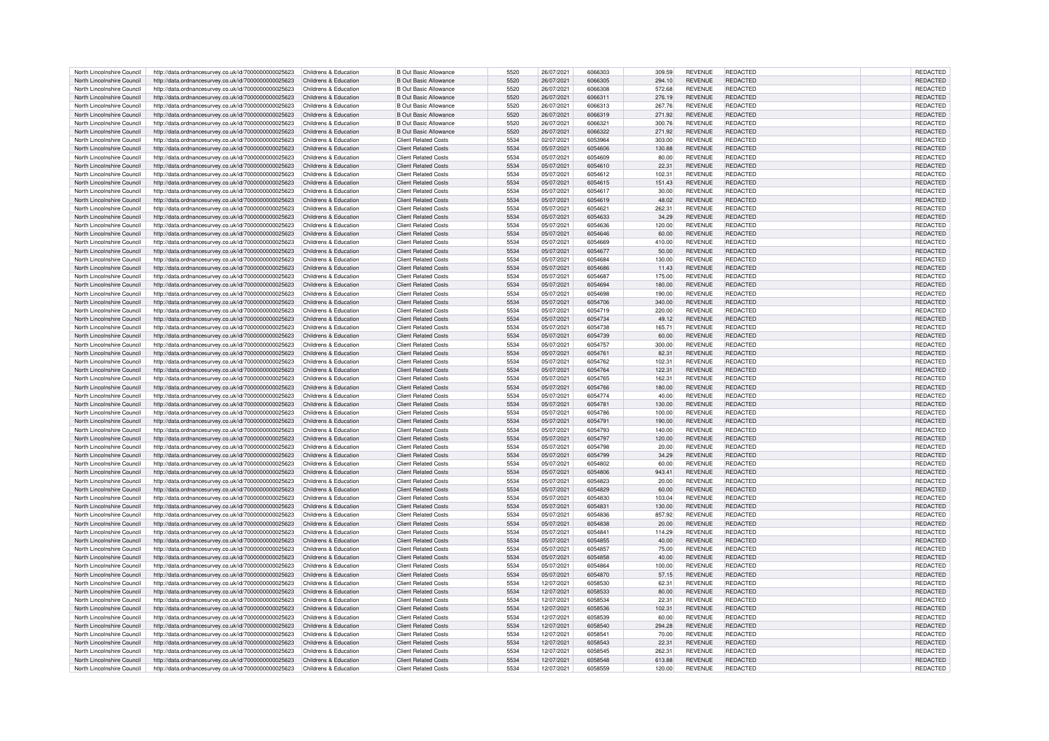| North Lincolnshire Council                               | http://data.ordnancesurvey.co.uk/id/7000000000025623                                                                                                   | Childrens & Education | B Out Basic Allowance                                      | 5520         | 26/07/2021               | 6066303            | 309.59           | <b>REVENUE</b>                   | REDACTED                           | <b>REDACTED</b>             |
|----------------------------------------------------------|--------------------------------------------------------------------------------------------------------------------------------------------------------|-----------------------|------------------------------------------------------------|--------------|--------------------------|--------------------|------------------|----------------------------------|------------------------------------|-----------------------------|
|                                                          |                                                                                                                                                        |                       |                                                            | 5520         |                          | 6066305            |                  |                                  |                                    |                             |
| North Lincolnshire Council                               | http://data.ordnancesurvey.co.uk/id/7000000000025623                                                                                                   | Childrens & Education | <b>B Out Basic Allowance</b>                               |              | 26/07/2021               |                    | 294.10           | <b>REVENUE</b>                   | REDACTED                           | REDACTED                    |
| North Lincolnshire Council                               | http://data.ordnancesurvey.co.uk/id/7000000000025623                                                                                                   | Childrens & Education | <b>B</b> Out Basic Allowance                               | 5520         | 26/07/2021               | 6066308            | 572.68           | <b>REVENUE</b>                   | REDACTED                           | REDACTED                    |
| North Lincolnshire Council                               | http://data.ordnancesurvey.co.uk/id/7000000000025623                                                                                                   | Childrens & Education | <b>B</b> Out Basic Allowance                               | 5520         | 26/07/2021               | 6066311            | 276.19           | <b>REVENUE</b>                   | <b>REDACTED</b>                    | REDACTED                    |
| North Lincolnshire Council                               | http://data.ordnancesurvey.co.uk/id/7000000000025623                                                                                                   | Childrens & Education | <b>R</b> Out Basic Allowance                               | 5520         | 26/07/2021               | 6066313            | 267.76           | <b>REVENUE</b>                   | <b>REDACTED</b>                    | REDACTED                    |
|                                                          |                                                                                                                                                        |                       |                                                            |              |                          |                    |                  |                                  |                                    |                             |
| North Lincolnshire Council                               | http://data.ordnancesurvey.co.uk/id/7000000000025623                                                                                                   | Childrens & Education | B Out Basic Allowance                                      | 5520         | 26/07/2021               | 6066319            | 271.92           | <b>REVENUE</b>                   | REDACTED                           | REDACTED                    |
| North Lincolnshire Council                               | http://data.ordnancesurvey.co.uk/id/7000000000025623                                                                                                   | Childrens & Education | <b>B Out Basic Allowance</b>                               | 5520         | 26/07/2021               | 606632             | 300.76           | <b>REVENUE</b>                   | <b>REDACTED</b>                    | <b>REDACTED</b>             |
| North Lincolnshire Council                               | http://data.ordnancesurvey.co.uk/id/7000000000025623                                                                                                   | Childrens & Education | <b>B Out Basic Allowance</b>                               | 5520         | 26/07/2021               | 6066322            | 271.92           | <b>REVENUE</b>                   | <b>REDACTED</b>                    | REDACTED                    |
| North Lincolnshire Council                               | http://data.ordnancesurvey.co.uk/id/7000000000025623                                                                                                   | Childrens & Education | <b>Client Related Costs</b>                                | 5534         | 02/07/2021               | 6053964            | 303.00           | <b>REVENUE</b>                   | REDACTED                           | <b>REDACTED</b>             |
|                                                          |                                                                                                                                                        |                       |                                                            |              |                          |                    |                  |                                  |                                    |                             |
| North Lincolnshire Council                               | http://data.ordnancesurvey.co.uk/id/7000000000025623                                                                                                   | Childrens & Education | <b>Client Related Costs</b>                                | 5534         | 05/07/2021               | 6054606            | 130.88           | <b>REVENUE</b>                   | <b>REDACTED</b>                    | <b>REDACTED</b>             |
| North Lincolnshire Council                               | http://data.ordnancesurvey.co.uk/id/7000000000025623                                                                                                   | Childrens & Education | <b>Client Related Costs</b>                                | 5534         | 05/07/2021               | 6054609            | 80.00            | <b>REVENUE</b>                   | <b>REDACTED</b>                    | <b>REDACTED</b>             |
| North Lincolnshire Council                               | http://data.ordnancesurvey.co.uk/id/7000000000025623                                                                                                   | Childrens & Education | <b>Client Related Costs</b>                                | 5534         | 05/07/2021               | 6054610            | 22.31            | <b>REVENUE</b>                   | REDACTED                           | REDACTED                    |
|                                                          |                                                                                                                                                        |                       |                                                            |              |                          |                    |                  |                                  |                                    |                             |
| North Lincolnshire Council                               | http://data.ordnancesurvey.co.uk/id/7000000000025623                                                                                                   | Childrens & Education | <b>Client Related Costs</b>                                | 5534         | 05/07/2021               | 6054612            | 102.31           | <b>REVENUE</b>                   | <b>REDACTED</b>                    | REDACTED                    |
| North Lincolnshire Council                               | http://data.ordnancesurvey.co.uk/id/7000000000025623                                                                                                   | Childrens & Education | <b>Client Related Costs</b>                                | 5534         | 05/07/2021               | 6054615            | 151.43           | <b>REVENUE</b>                   | <b>REDACTED</b>                    | REDACTED                    |
| North Lincolnshire Council                               | http://data.ordnancesurvey.co.uk/id/7000000000025623                                                                                                   | Childrens & Education | <b>Client Related Costs</b>                                | 5534         | 05/07/2021               | 6054617            | 30.00            | <b>REVENUE</b>                   | <b>REDACTED</b>                    | REDACTED                    |
|                                                          |                                                                                                                                                        |                       |                                                            | 5534         |                          | 6054619            |                  |                                  |                                    |                             |
| North Lincolnshire Council                               | http://data.ordnancesurvey.co.uk/id/7000000000025623                                                                                                   | Childrens & Education | <b>Client Related Costs</b>                                |              | 05/07/2021               |                    | 48.02            | <b>REVENUE</b>                   | REDACTED                           | REDACTED                    |
| North Lincolnshire Council                               | http://data.ordnancesurvey.co.uk/id/7000000000025623                                                                                                   | Childrens & Education | <b>Client Related Costs</b>                                | 5534         | 05/07/2021               | 6054621            | 262.31           | <b>REVENUE</b>                   | REDACTED                           | REDACTED                    |
| North Lincolnshire Council                               | http://data.ordnancesurvey.co.uk/id/7000000000025623                                                                                                   | Childrens & Education | <b>Client Related Costs</b>                                | 5534         | 05/07/2021               | 6054633            | 34.29            | <b>REVENUE</b>                   | <b>REDACTED</b>                    | REDACTED                    |
| North Lincolnshire Council                               | http://data.ordnancesurvey.co.uk/id/7000000000025623                                                                                                   | Childrens & Education | <b>Client Related Costs</b>                                | 5534         | 05/07/2021               | 6054636            | 120.00           | <b>REVENUE</b>                   | REDACTED                           | REDACTED                    |
|                                                          |                                                                                                                                                        |                       |                                                            |              |                          |                    |                  |                                  |                                    |                             |
| North Lincolnshire Council                               | http://data.ordnancesurvey.co.uk/id/7000000000025623                                                                                                   | Childrens & Education | <b>Client Related Costs</b>                                | 5534         | 05/07/2021               | 6054646            | 60.00            | <b>REVENUE</b>                   | <b>REDACTED</b>                    | <b>REDACTED</b>             |
| North Lincolnshire Council                               | http://data.ordnancesurvey.co.uk/id/7000000000025623                                                                                                   | Childrens & Education | <b>Client Related Costs</b>                                | 5534         | 05/07/2021               | 6054669            | 410.00           | <b>REVENUE</b>                   | REDACTED                           | REDACTED                    |
| North Lincolnshire Council                               | http://data.ordnancesurvey.co.uk/id/7000000000025623                                                                                                   | Childrens & Education | <b>Client Related Costs</b>                                | 5534         | 05/07/2021               | 6054677            | 50.00            | <b>REVENUE</b>                   | REDACTED                           | REDACTED                    |
| North Lincolnshire Council                               |                                                                                                                                                        | Childrens & Education | <b>Client Related Costs</b>                                | 5534         |                          | 6054684            |                  | REVENUE                          | <b>REDACTED</b>                    | <b>REDACTEI</b>             |
|                                                          | http://data.ordnancesurvey.co.uk/id/7000000000025623                                                                                                   |                       |                                                            |              | 05/07/2021               |                    | 130.00           |                                  |                                    |                             |
| North Lincolnshire Council                               | http://data.ordnancesurvey.co.uk/id/7000000000025623                                                                                                   | Childrens & Education | <b>Client Related Costs</b>                                | 5534         | 05/07/2021               | 6054686            | 11.43            | <b>REVENUE</b>                   | <b>REDACTED</b>                    | REDACTED                    |
| North Lincolnshire Council                               | http://data.ordnancesurvey.co.uk/id/7000000000025623                                                                                                   | Childrens & Education | <b>Client Related Costs</b>                                | 5534         | 05/07/2021               | 6054687            | 175.00           | <b>REVENUE</b>                   | <b>REDACTED</b>                    | REDACTED                    |
| North Lincolnshire Council                               |                                                                                                                                                        | Childrens & Education | <b>Client Related Costs</b>                                | 5534         |                          | 6054694            |                  | <b>REVENUE</b>                   | <b>REDACTED</b>                    |                             |
|                                                          | http://data.ordnancesurvey.co.uk/id/7000000000025623                                                                                                   |                       |                                                            |              | 05/07/2021               |                    | 180.00           |                                  |                                    | REDACTED                    |
| North Lincolnshire Council                               | http://data.ordnancesurvey.co.uk/id/7000000000025623                                                                                                   | Childrens & Education | <b>Client Related Costs</b>                                | 5534         | 05/07/2021               | 6054698            | 190.00           | <b>REVENUE</b>                   | REDACTED                           | REDACTED                    |
| North Lincolnshire Council                               | http://data.ordnancesurvey.co.uk/id/7000000000025623                                                                                                   | Childrens & Education | <b>Client Related Costs</b>                                | 5534         | 05/07/2021               | 6054706            | 340.00           | <b>REVENUE</b>                   | <b>REDACTED</b>                    | REDACTED                    |
| North Lincolnshire Council                               | http://data.ordnancesurvey.co.uk/id/7000000000025623                                                                                                   | Childrens & Education | <b>Client Related Costs</b>                                | 5534         | 05/07/2021               | 6054719            | 220.00           | <b>REVENUE</b>                   | REDACTED                           | <b>REDACTED</b>             |
|                                                          |                                                                                                                                                        |                       |                                                            |              |                          |                    |                  |                                  |                                    |                             |
| North Lincolnshire Council                               | http://data.ordnancesurvey.co.uk/id/7000000000025623                                                                                                   | Childrens & Education | <b>Client Related Costs</b>                                | 5534         | 05/07/2021               | 6054734            | 49.12            | <b>REVENUE</b>                   | <b>REDACTED</b>                    | REDACTED                    |
| North Lincolnshire Council                               | http://data.ordnancesurvey.co.uk/id/7000000000025623                                                                                                   | Childrens & Education | <b>Client Related Costs</b>                                | 5534         | 05/07/2021               | 6054738            | 165.71           | <b>REVENUE</b>                   | REDACTED                           | REDACTED                    |
| North Lincolnshire Council                               | http://data.ordnancesurvey.co.uk/id/7000000000025623                                                                                                   | Childrens & Education | <b>Client Related Costs</b>                                | 5534         | 05/07/2021               | 6054739            | 60.00            | <b>REVENUE</b>                   | <b>REDACTED</b>                    | <b>REDACTED</b>             |
|                                                          |                                                                                                                                                        |                       |                                                            |              |                          |                    |                  |                                  |                                    |                             |
| North Lincolnshire Council                               | http://data.ordnancesurvey.co.uk/id/7000000000025623                                                                                                   | Childrens & Education | <b>Client Related Costs</b>                                | 5534         | 05/07/2021               | 6054757            | 300.00           | <b>REVENUE</b>                   | REDACTED                           | REDACTED                    |
| North Lincolnshire Council                               | http://data.ordnancesurvey.co.uk/id/7000000000025623                                                                                                   | Childrens & Education | <b>Client Related Costs</b>                                | 5534         | 05/07/2021               | 6054761            | 82.31            | <b>REVENUE</b>                   | <b>REDACTED</b>                    | REDACTED                    |
| North Lincolnshire Council                               | http://data.ordnancesurvey.co.uk/id/7000000000025623                                                                                                   | Childrens & Education | <b>Client Related Costs</b>                                | 5534         | 05/07/2021               | 6054762            | 102.31           | <b>REVENUE</b>                   | REDACTED                           | REDACTED                    |
|                                                          |                                                                                                                                                        |                       |                                                            |              |                          |                    |                  |                                  |                                    |                             |
| North Lincolnshire Council                               | http://data.ordnancesurvey.co.uk/id/7000000000025623                                                                                                   | Childrens & Education | <b>Client Related Costs</b>                                | 5534         | 05/07/2021               | 6054764            | 122.31           | <b>REVENUE</b>                   | REDACTED                           | REDACTED                    |
| North Lincolnshire Council                               | http://data.ordnancesurvey.co.uk/id/7000000000025623                                                                                                   | Childrens & Education | <b>Client Related Costs</b>                                | 5534         | 05/07/2021               | 6054765            | 162.31           | <b>REVENUE</b>                   | <b>REDACTED</b>                    | <b>REDACTED</b>             |
| North Lincolnshire Council                               | http://data.ordnancesurvey.co.uk/id/7000000000025623                                                                                                   | Childrens & Education | <b>Client Related Costs</b>                                | 5534         | 05/07/2021               | 6054766            | 180.00           | <b>REVENUE</b>                   | <b>REDACTED</b>                    | REDACTED                    |
| North Lincolnshire Council                               | http://data.ordnancesurvey.co.uk/id/7000000000025623                                                                                                   | Childrens & Education | <b>Client Related Costs</b>                                | 5534         | 05/07/2021               | 6054774            | 40.00            | <b>REVENUE</b>                   | REDACTED                           | <b>REDACTED</b>             |
|                                                          |                                                                                                                                                        |                       |                                                            |              |                          |                    |                  |                                  |                                    |                             |
| North Lincolnshire Council                               | http://data.ordnancesurvey.co.uk/id/7000000000025623                                                                                                   | Childrens & Education | <b>Client Related Costs</b>                                | 5534         | 05/07/2021               | 6054781            | 130.00           | <b>REVENUE</b>                   | REDACTED                           | <b>REDACTED</b>             |
| North Lincolnshire Council                               | http://data.ordnancesurvey.co.uk/id/7000000000025623                                                                                                   | Childrens & Education | <b>Client Related Costs</b>                                | 5534         | 05/07/2021               | 6054786            | 100.00           | <b>REVENUE</b>                   | REDACTED                           | REDACTED                    |
| North Lincolnshire Council                               | http://data.ordnancesurvey.co.uk/id/7000000000025623                                                                                                   | Childrens & Education | <b>Client Related Costs</b>                                | 5534         | 05/07/2021               | 6054791            | 190.00           | <b>REVENUE</b>                   | <b>REDACTED</b>                    | <b>REDACTED</b>             |
|                                                          |                                                                                                                                                        | Childrens & Education |                                                            | 5534         |                          | 6054793            |                  |                                  |                                    |                             |
| North Lincolnshire Council                               | http://data.ordnancesurvey.co.uk/id/7000000000025623                                                                                                   |                       | <b>Client Related Costs</b>                                |              | 05/07/2021               |                    | 140.00           | REVENUE                          | REDACTED                           | REDACTED                    |
| North Lincolnshire Council                               | http://data.ordnancesurvey.co.uk/id/7000000000025623                                                                                                   | Childrens & Education | <b>Client Related Costs</b>                                | 5534         | 05/07/2021               | 6054797            | 120.00           | <b>REVENUE</b>                   | <b>REDACTED</b>                    | <b>REDACTED</b>             |
| North Lincolnshire Council                               | http://data.ordnancesurvey.co.uk/id/7000000000025623                                                                                                   | Childrens & Education | <b>Client Related Costs</b>                                | 5534         | 05/07/2021               | 6054798            | 20.00            | <b>REVENUE</b>                   | REDACTED                           | REDACTED                    |
| North Lincolnshire Council                               | http://data.ordnancesurvey.co.uk/id/7000000000025623                                                                                                   | Childrens & Education | <b>Client Related Costs</b>                                | 5534         | 05/07/2021               | 6054799            | 34.29            | <b>REVENUE</b>                   | REDACTED                           | REDACTED                    |
|                                                          |                                                                                                                                                        |                       |                                                            |              |                          |                    |                  |                                  |                                    |                             |
| North Lincolnshire Council                               | http://data.ordnancesurvey.co.uk/id/7000000000025623                                                                                                   | Childrens & Education | <b>Client Related Costs</b>                                | 5534         | 05/07/2021               | 6054802            | 60.00            | <b>REVENUE</b>                   | REDACTED                           | REDACTED                    |
| North Lincolnshire Council                               | http://data.ordnancesurvey.co.uk/id/7000000000025623                                                                                                   | Childrens & Education | <b>Client Related Costs</b>                                | 5534         | 05/07/2021               | 6054806            | 943.41           | <b>REVENUE</b>                   | <b>REDACTED</b>                    | <b>REDACTED</b>             |
| North Lincolnshire Council                               | http://data.ordnancesurvey.co.uk/id/7000000000025623                                                                                                   | Childrens & Education | <b>Client Related Costs</b>                                | 5534         | 05/07/2021               | 6054823            | 20.00            | <b>REVENUE</b>                   | <b>REDACTED</b>                    | REDACTED                    |
|                                                          |                                                                                                                                                        |                       |                                                            | 5534         |                          | 6054829            |                  |                                  | <b>REDACTED</b>                    |                             |
| North Lincolnshire Council                               | http://data.ordnancesurvey.co.uk/id/7000000000025623                                                                                                   | Childrens & Education | <b>Client Related Costs</b>                                |              | 05/07/2021               |                    | 60.00            | <b>REVENUE</b>                   |                                    | REDACTED                    |
| North Lincolnshire Council                               | http://data.ordnancesurvey.co.uk/id/7000000000025623                                                                                                   | Childrens & Education | <b>Client Related Costs</b>                                | 5534         | 05/07/2021               | 6054830            | 103.04           | <b>REVENUE</b>                   | REDACTED                           | REDACTED                    |
| North Lincolnshire Council                               | http://data.ordnancesurvey.co.uk/id/7000000000025623                                                                                                   | Childrens & Education | <b>Client Related Costs</b>                                | 5534         | 05/07/2021               | 6054831            | 130.00           | <b>REVENUE</b>                   | REDACTED                           | REDACTED                    |
| North Lincolnshire Council                               | http://data.ordnancesurvey.co.uk/id/7000000000025623                                                                                                   | Childrens & Education | <b>Client Related Costs</b>                                | 5534         | 05/07/2021               | 6054836            | 857.92           | <b>REVENUE</b>                   | REDACTED                           | REDACTED                    |
|                                                          |                                                                                                                                                        |                       |                                                            |              |                          |                    |                  |                                  |                                    |                             |
| North Lincolnshire Council                               | http://data.ordnancesurvey.co.uk/id/7000000000025623                                                                                                   | Childrens & Education | Client Related Costs                                       | 5534         | 05/07/2021               | 6054838            | 20.00            | <b>REVENUE</b>                   | <b>REDACTED</b>                    | REDACTED                    |
| North Lincolnshire Council                               | http://data.ordnancesurvey.co.uk/id/7000000000025623                                                                                                   | Childrens & Education | <b>Client Related Costs</b>                                | 5534         | 05/07/2021               | 6054841            | 114.29           | <b>REVENUE</b>                   | REDACTED                           | REDACTED                    |
| North Lincolnshire Council                               | http://data.ordnancesurvey.co.uk/id/7000000000025623                                                                                                   | Childrens & Education | <b>Client Related Costs</b>                                | 5534         | 05/07/2021               | 6054855            | 40.00            | <b>REVENUE</b>                   | <b>REDACTED</b>                    | <b>REDACTED</b>             |
|                                                          |                                                                                                                                                        |                       |                                                            |              |                          |                    |                  |                                  |                                    |                             |
| North Lincolnshire Council                               | http://data.ordnancesurvey.co.uk/id/7000000000025623                                                                                                   | Childrens & Education | <b>Client Related Costs</b>                                | 5534         | 05/07/2021               | 6054857            | 75.00            | <b>REVENUE</b>                   | <b>REDACTED</b>                    | REDACTED                    |
| North Lincolnshire Council                               | http://data.ordnancesurvey.co.uk/id/7000000000025623                                                                                                   | Childrens & Education | <b>Client Related Costs</b>                                | 5534         | 05/07/2021               | 6054858            | 40.00            | <b>REVENUE</b>                   | <b>REDACTED</b>                    | <b>REDACTED</b>             |
| North Lincolnshire Council                               | http://data.ordnancesurvey.co.uk/id/7000000000025623                                                                                                   | Childrens & Education | <b>Client Related Costs</b>                                | 5534         | 05/07/2021               | 6054864            | 100.00           | <b>REVENUE</b>                   | <b>REDACTED</b>                    | REDACTED                    |
| North Lincolnshire Council                               | http://data.ordnancesurvey.co.uk/id/7000000000025623                                                                                                   | Childrens & Education | <b>Client Related Costs</b>                                | 5534         | 05/07/2021               | 6054870            | 57.15            | <b>REVENUE</b>                   | <b>REDACTED</b>                    | REDACTED                    |
|                                                          |                                                                                                                                                        |                       |                                                            |              |                          |                    |                  |                                  |                                    |                             |
| North Lincolnshire Council                               | http://data.ordnancesurvey.co.uk/id/7000000000025623                                                                                                   | Childrens & Education | <b>Client Related Costs</b>                                | 5534         | 12/07/2021               | 6058530            | 62.31            | <b>REVENUE</b>                   | REDACTED                           | REDACTED                    |
| North Lincolnshire Council                               |                                                                                                                                                        |                       |                                                            |              | 12/07/2021               | 6058533            |                  | REVENUE                          | <b>REDACTED</b>                    |                             |
|                                                          | http://data.ordnancesurvey.co.uk/id/7000000000025623                                                                                                   | Childrens & Education | <b>Client Related Costs</b>                                | 5534         |                          |                    | 80.00            |                                  |                                    | REDACTED                    |
|                                                          |                                                                                                                                                        |                       |                                                            |              |                          |                    |                  |                                  |                                    |                             |
| North Lincolnshire Council                               | http://data.ordnancesurvey.co.uk/id/7000000000025623                                                                                                   | Childrens & Education | <b>Client Related Costs</b>                                | 5534         | 12/07/2021               | 6058534            | 22.31            | <b>REVENUE</b>                   | <b>REDACTED</b>                    | <b>REDACTED</b>             |
| North Lincolnshire Council                               | http://data.ordnancesurvey.co.uk/id/7000000000025623                                                                                                   | Childrens & Education | <b>Client Related Costs</b>                                | 5534         | 12/07/2021               | 6058536            | 102.31           | <b>REVENUE</b>                   | <b>REDACTED</b>                    | REDACTED                    |
| North Lincolnshire Council                               | http://data.ordnancesurvey.co.uk/id/7000000000025623                                                                                                   | Childrens & Education | <b>Client Related Costs</b>                                | 5534         | 12/07/2021               | 6058539            | 60.00            | <b>REVENUE</b>                   | REDACTED                           | REDACTED                    |
|                                                          | http://data.ordnancesurvey.co.uk/id/7000000000025623                                                                                                   | Childrens & Education | <b>Client Related Costs</b>                                |              | 12/07/2021               |                    |                  | <b>REVENUE</b>                   |                                    |                             |
| North Lincolnshire Council                               |                                                                                                                                                        |                       |                                                            | 5534         |                          | 6058540            | 294.28           |                                  | <b>REDACTED</b>                    | REDACTED                    |
| North Lincolnshire Council                               | http://data.ordnancesurvey.co.uk/id/7000000000025623                                                                                                   | Childrens & Education | <b>Client Related Costs</b>                                | 5534         | 12/07/2021               | 605854             | 70.00            | <b>REVENUE</b>                   | <b>REDACTED</b>                    | <b>REDACTED</b>             |
| North Lincolnshire Council                               | http://data.ordnancesurvey.co.uk/id/7000000000025623                                                                                                   | Childrens & Education | <b>Client Related Costs</b>                                | 5534         | 12/07/2021               | 6058543            | 22.31            | <b>REVENUE</b>                   | <b>REDACTED</b>                    | REDACTED                    |
| North Lincolnshire Council                               | http://data.ordnancesurvey.co.uk/id/7000000000025623                                                                                                   | Childrens & Education | <b>Client Related Costs</b>                                | 5534         | 12/07/2021               | 6058545            | 262.31           | <b>REVENUE</b>                   | REDACTED                           | <b>REDACTED</b>             |
|                                                          |                                                                                                                                                        |                       |                                                            |              |                          |                    |                  |                                  |                                    |                             |
| North Lincolnshire Council<br>North Lincolnshire Council | http://data.ordnancesurvey.co.uk/id/700000000025623 Childrens & Education<br>http://data.ordnancesurvey.co.uk/id/700000000025623 Childrens & Education |                       | <b>Client Related Costs</b><br><b>Client Related Costs</b> | 5534<br>5534 | 12/07/2021<br>12/07/2021 | 6058548<br>6058559 | 613.88<br>120.00 | <b>REVENUE</b><br><b>REVENUE</b> | <b>REDACTED</b><br><b>REDACTED</b> | <b>REDACTED</b><br>REDACTED |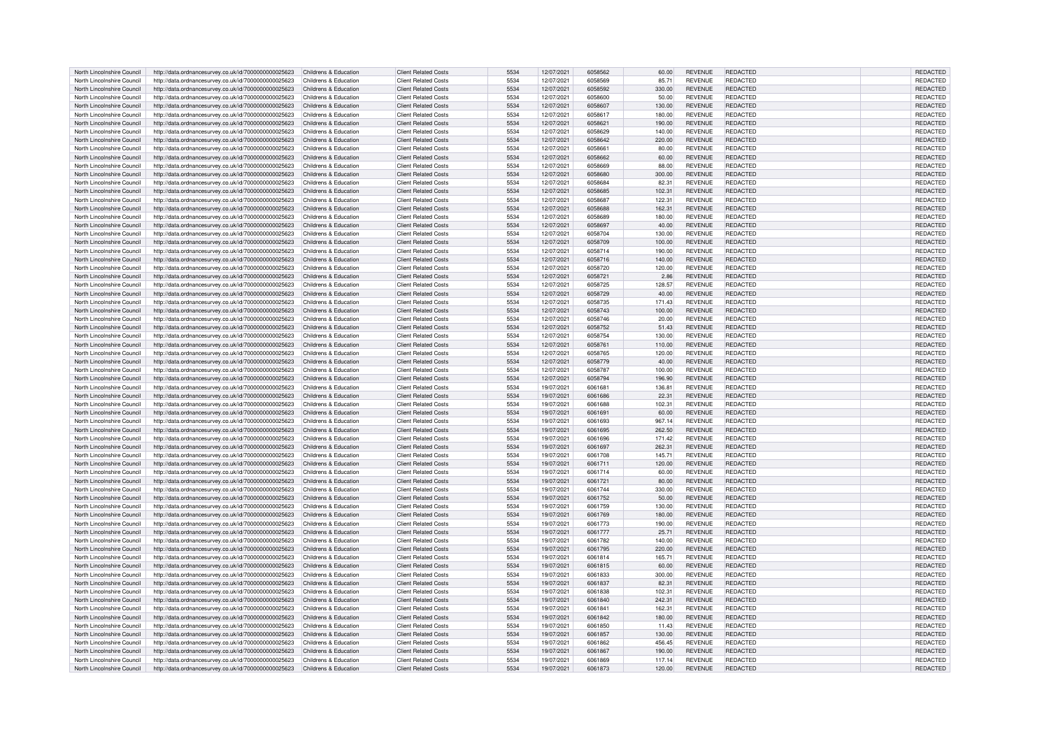| North Lincolnshire Council | http://data.ordnancesurvey.co.uk/id/7000000000025623                      | Childrens & Education | <b>Client Related Costs</b> | 5534 | 12/07/2021 | 6058562 | 60.00  | <b>REVENUE</b> | <b>REDACTED</b> | <b>REDACTED</b> |
|----------------------------|---------------------------------------------------------------------------|-----------------------|-----------------------------|------|------------|---------|--------|----------------|-----------------|-----------------|
| North Lincolnshire Council | http://data.ordnancesurvey.co.uk/id/7000000000025623                      | Childrens & Education | <b>Client Related Costs</b> | 5534 | 12/07/2021 | 6058569 | 85.71  | <b>REVENUE</b> | REDACTED        | REDACTED        |
|                            |                                                                           |                       |                             | 5534 |            |         |        |                |                 |                 |
| North Lincolnshire Council | http://data.ordnancesurvey.co.uk/id/7000000000025623                      | Childrens & Education | <b>Client Related Costs</b> |      | 12/07/2021 | 6058592 | 330.00 | <b>REVENUE</b> | REDACTED        | REDACTED        |
| North Lincolnshire Council | http://data.ordnancesurvey.co.uk/id/7000000000025623                      | Childrens & Education | <b>Client Related Costs</b> | 5534 | 12/07/2021 | 6058600 | 50.00  | <b>REVENUE</b> | REDACTED        | <b>REDACTED</b> |
| North Lincolnshire Council | http://data.ordnancesurvey.co.uk/id/7000000000025623                      | Childrens & Education | Client Related Costs        | 5534 | 12/07/2021 | 6058607 | 130.00 | <b>REVENUE</b> | <b>REDACTED</b> | REDACTED        |
| North Lincolnshire Council | http://data.ordnancesurvey.co.uk/id/7000000000025623                      | Childrens & Education | <b>Client Related Costs</b> | 5534 | 12/07/2021 | 6058617 | 180.00 | <b>REVENUE</b> | REDACTED        | REDACTED        |
| North Lincolnshire Council | http://data.ordnancesurvey.co.uk/id/7000000000025623                      | Childrens & Education | <b>Client Related Costs</b> | 5534 | 12/07/2021 | 6058621 | 190.00 | <b>REVENUE</b> | <b>REDACTED</b> | REDACTED        |
| North Lincolnshire Council | http://data.ordnancesurvey.co.uk/id/7000000000025623                      | Childrens & Education | <b>Client Related Costs</b> | 5534 | 12/07/2021 | 6058629 | 140.00 | <b>REVENUE</b> | <b>REDACTED</b> | REDACTED        |
| North Lincolnshire Council | http://data.ordnancesurvey.co.uk/id/7000000000025623                      | Childrens & Education | <b>Client Related Costs</b> | 5534 | 12/07/2021 | 6058642 | 220.00 | <b>REVENUE</b> | <b>REDACTED</b> | <b>REDACTED</b> |
|                            |                                                                           |                       |                             |      |            |         |        |                |                 |                 |
| North Lincolnshire Council | http://data.ordnancesurvey.co.uk/id/7000000000025623                      | Childrens & Education | <b>Client Related Costs</b> | 5534 | 12/07/2021 | 6058661 | 80.00  | <b>REVENUE</b> | <b>REDACTED</b> | <b>REDACTED</b> |
| North Lincolnshire Council | http://data.ordnancesurvey.co.uk/id/7000000000025623                      | Childrens & Education | <b>Client Related Costs</b> | 5534 | 12/07/2021 | 6058662 | 60.00  | <b>REVENUE</b> | REDACTED        | REDACTED        |
| North Lincolnshire Council | http://data.ordnancesurvey.co.uk/id/7000000000025623                      | Childrens & Education | <b>Client Related Costs</b> | 5534 | 12/07/2021 | 6058669 | 88.00  | <b>REVENUE</b> | REDACTED        | REDACTED        |
| North Lincolnshire Council | http://data.ordnancesurvey.co.uk/id/7000000000025623                      | Childrens & Education | <b>Client Related Costs</b> | 5534 | 12/07/2021 | 6058680 | 300.00 | <b>REVENUE</b> | <b>REDACTED</b> | REDACTED        |
| North Lincolnshire Council | http://data.ordnancesurvey.co.uk/id/7000000000025623                      | Childrens & Education | <b>Client Related Costs</b> | 5534 | 12/07/2021 | 6058684 | 82.31  | <b>REVENUE</b> | REDACTED        | <b>REDACTED</b> |
| North Lincolnshire Council | http://data.ordnancesurvey.co.uk/id/7000000000025623                      | Childrens & Education | <b>Client Related Costs</b> | 5534 | 12/07/2021 | 6058685 | 102.31 | <b>REVENUE</b> | <b>REDACTED</b> | REDACTED        |
|                            |                                                                           |                       |                             |      |            |         |        |                |                 |                 |
| North Lincolnshire Council | http://data.ordnancesurvey.co.uk/id/7000000000025623                      | Childrens & Education | <b>Client Related Costs</b> | 5534 | 12/07/2021 | 6058687 | 122.31 | <b>REVENUE</b> | REDACTED        | REDACTED        |
| North Lincolnshire Council | http://data.ordnancesurvey.co.uk/id/7000000000025623                      | Childrens & Education | <b>Client Related Costs</b> | 5534 | 12/07/2021 | 6058688 | 162.31 | <b>REVENUE</b> | <b>REDACTED</b> | <b>REDACTED</b> |
| North Lincolnshire Council | http://data.ordnancesurvey.co.uk/id/7000000000025623                      | Childrens & Education | <b>Client Related Costs</b> | 5534 | 12/07/2021 | 6058689 | 180.00 | <b>REVENUE</b> | <b>REDACTED</b> | REDACTED        |
| North Lincolnshire Council | http://data.ordnancesurvey.co.uk/id/7000000000025623                      | Childrens & Education | <b>Client Related Costs</b> | 5534 | 12/07/2021 | 6058697 | 40.00  | <b>REVENUE</b> | REDACTED        | REDACTED        |
| North Lincolnshire Council | http://data.ordnancesurvey.co.uk/id/7000000000025623                      | Childrens & Education | <b>Client Related Costs</b> | 5534 | 12/07/2021 | 6058704 | 130.00 | <b>REVENUE</b> | <b>REDACTED</b> | <b>REDACTED</b> |
| North Lincolnshire Council | http://data.ordnancesurvey.co.uk/id/7000000000025623                      | Childrens & Education | <b>Client Related Costs</b> | 5534 | 12/07/2021 | 6058709 | 100.00 | <b>REVENUE</b> | REDACTED        | REDACTED        |
|                            |                                                                           |                       |                             |      |            |         |        |                |                 |                 |
| North Lincolnshire Council | http://data.ordnancesurvey.co.uk/id/7000000000025623                      | Childrens & Education | <b>Client Related Costs</b> | 5534 | 12/07/2021 | 6058714 | 190.00 | <b>REVENUE</b> | REDACTED        | REDACTED        |
| North Lincolnshire Council | http://data.ordnancesurvey.co.uk/id/7000000000025623                      | Childrens & Education | <b>Client Related Costs</b> | 5534 | 12/07/2021 | 6058716 | 140.00 | <b>REVENUE</b> | <b>REDACTED</b> | <b>REDACTED</b> |
| North Lincolnshire Council | http://data.ordnancesurvey.co.uk/id/7000000000025623                      | Childrens & Education | <b>Client Related Costs</b> | 5534 | 12/07/2021 | 6058720 | 120.00 | <b>REVENUE</b> | <b>REDACTED</b> | <b>REDACTED</b> |
| North Lincolnshire Council | http://data.ordnancesurvey.co.uk/id/7000000000025623                      | Childrens & Education | <b>Client Related Costs</b> | 5534 | 12/07/2021 | 6058721 | 2.86   | <b>REVENUE</b> | <b>REDACTED</b> | <b>REDACTED</b> |
| North Lincolnshire Council | http://data.ordnancesurvey.co.uk/id/7000000000025623                      | Childrens & Education | <b>Client Related Costs</b> | 5534 | 12/07/2021 | 6058725 | 128.57 | REVENUE        | REDACTED        | REDACTED        |
| North Lincolnshire Council | http://data.ordnancesurvey.co.uk/id/7000000000025623                      | Childrens & Education | <b>Client Related Costs</b> | 5534 | 12/07/2021 | 6058729 | 40.00  | <b>REVENUE</b> | REDACTED        | REDACTED        |
|                            |                                                                           |                       |                             | 5534 |            | 6058735 |        |                |                 |                 |
| North Lincolnshire Council | http://data.ordnancesurvey.co.uk/id/7000000000025623                      | Childrens & Education | <b>Client Related Costs</b> |      | 12/07/2021 |         | 171.43 | <b>REVENUE</b> | <b>REDACTED</b> | REDACTED        |
| North Lincolnshire Council | http://data.ordnancesurvey.co.uk/id/7000000000025623                      | Childrens & Education | <b>Client Related Costs</b> | 5534 | 12/07/2021 | 6058743 | 100.00 | <b>REVENUE</b> | <b>REDACTED</b> | <b>REDACTED</b> |
| North Lincolnshire Council | http://data.ordnancesurvey.co.uk/id/7000000000025623                      | Childrens & Education | <b>Client Related Costs</b> | 5534 | 12/07/2021 | 6058746 | 20.00  | <b>REVENUE</b> | <b>REDACTED</b> | <b>REDACTED</b> |
| North Lincolnshire Council | http://data.ordnancesurvey.co.uk/id/7000000000025623                      | Childrens & Education | <b>Client Related Costs</b> | 5534 | 12/07/2021 | 6058752 | 51.43  | <b>REVENUE</b> | REDACTED        | <b>REDACTED</b> |
| North Lincolnshire Council | http://data.ordnancesurvey.co.uk/id/7000000000025623                      | Childrens & Education | <b>Client Related Costs</b> | 5534 | 12/07/2021 | 6058754 | 130.00 | REVENUE        | <b>REDACTED</b> | <b>REDACTED</b> |
| North Lincolnshire Council | http://data.ordnancesurvey.co.uk/id/7000000000025623                      | Childrens & Education | <b>Client Related Costs</b> | 5534 | 12/07/2021 | 6058761 | 110.00 | <b>REVENUE</b> | REDACTED        | REDACTED        |
| North Lincolnshire Council |                                                                           | Childrens & Education | <b>Client Related Costs</b> | 5534 | 12/07/2021 | 6058765 | 120.00 | <b>REVENUE</b> | REDACTED        | <b>REDACTED</b> |
|                            | http://data.ordnancesurvey.co.uk/id/7000000000025623                      |                       |                             |      |            |         |        |                |                 |                 |
| North Lincolnshire Council | http://data.ordnancesurvey.co.uk/id/7000000000025623                      | Childrens & Education | <b>Client Related Costs</b> | 5534 | 12/07/2021 | 6058779 | 40.00  | <b>REVENUE</b> | <b>REDACTED</b> | <b>REDACTED</b> |
| North Lincolnshire Council | http://data.ordnancesurvey.co.uk/id/7000000000025623                      | Childrens & Education | <b>Client Related Costs</b> | 5534 | 12/07/2021 | 6058787 | 100.00 | REVENUE        | REDACTED        | REDACTED        |
| North Lincolnshire Council | http://data.ordnancesurvey.co.uk/id/7000000000025623                      | Childrens & Education | <b>Client Related Costs</b> | 5534 | 12/07/2021 | 6058794 | 196.90 | <b>REVENUE</b> | <b>REDACTED</b> | <b>REDACTED</b> |
| North Lincolnshire Council | http://data.ordnancesurvey.co.uk/id/7000000000025623                      | Childrens & Education | <b>Client Related Costs</b> | 5534 | 19/07/2021 | 6061681 | 136.81 | <b>REVENUE</b> | REDACTED        | REDACTED        |
| North Lincolnshire Council | http://data.ordnancesurvey.co.uk/id/7000000000025623                      | Childrens & Education | <b>Client Related Costs</b> | 5534 | 19/07/2021 | 6061686 | 22.31  | <b>REVENUE</b> | <b>REDACTED</b> | <b>REDACTED</b> |
|                            |                                                                           |                       |                             |      |            | 6061688 |        |                |                 |                 |
| North Lincolnshire Council | http://data.ordnancesurvey.co.uk/id/7000000000025623                      | Childrens & Education | <b>Client Related Costs</b> | 5534 | 19/07/2021 |         | 102.31 | <b>REVENUE</b> | REDACTED        | REDACTED        |
| North Lincolnshire Council | http://data.ordnancesurvey.co.uk/id/7000000000025623                      | Childrens & Education | <b>Client Related Costs</b> | 5534 | 19/07/2021 | 6061691 | 60.00  | <b>REVENUE</b> | REDACTED        | REDACTED        |
| North Lincolnshire Council | http://data.ordnancesurvey.co.uk/id/7000000000025623                      | Childrens & Education | <b>Client Related Costs</b> | 5534 | 19/07/2021 | 6061693 | 967.14 | RFVFNUF        | <b>REDACTED</b> | <b>REDACTED</b> |
| North Lincolnshire Council | http://data.ordnancesurvey.co.uk/id/7000000000025623                      | Childrens & Education | <b>Client Related Costs</b> | 5534 | 19/07/2021 | 6061695 | 262.50 | <b>REVENUE</b> | REDACTED        | REDACTED        |
| North Lincolnshire Council | http://data.ordnancesurvey.co.uk/id/7000000000025623                      | Childrens & Education | Client Related Costs        | 5534 | 19/07/2021 | 6061696 | 171.42 | <b>REVENUE</b> | REDACTED        | REDACTED        |
| North Lincolnshire Council | http://data.ordnancesurvey.co.uk/id/7000000000025623                      | Childrens & Education | <b>Client Related Costs</b> | 5534 | 19/07/2021 | 6061697 | 262.31 | <b>REVENUE</b> | REDACTED        | REDACTED        |
| North Lincolnshire Council | http://data.ordnancesurvey.co.uk/id/7000000000025623                      | Childrens & Education | <b>Client Related Costs</b> | 5534 | 19/07/2021 | 6061708 | 145.71 | <b>REVENUE</b> | REDACTED        | REDACTED        |
|                            |                                                                           |                       |                             |      |            |         |        |                |                 |                 |
| North Lincolnshire Council | http://data.ordnancesurvey.co.uk/id/7000000000025623                      | Childrens & Education | <b>Client Related Costs</b> | 5534 | 19/07/2021 | 6061711 | 120.00 | <b>REVENUE</b> | <b>REDACTED</b> | REDACTED        |
| North Lincolnshire Council | http://data.ordnancesurvey.co.uk/id/7000000000025623                      | Childrens & Education | <b>Client Related Costs</b> | 5534 | 19/07/2021 | 6061714 | 60.00  | <b>REVENUE</b> | REDACTED        | REDACTED        |
| North Lincolnshire Council | http://data.ordnancesurvey.co.uk/id/7000000000025623                      | Childrens & Education | Client Related Costs        | 5534 | 19/07/2021 | 6061721 | 80.00  | <b>REVENUE</b> | <b>REDACTED</b> | REDACTED        |
| North Lincolnshire Council | http://data.ordnancesurvey.co.uk/id/7000000000025623                      | Childrens & Education | <b>Client Related Costs</b> | 5534 | 19/07/2021 | 6061744 | 330.00 | <b>REVENUE</b> | <b>REDACTED</b> | REDACTED        |
| North Lincolnshire Council | http://data.ordnancesurvey.co.uk/id/7000000000025623                      | Childrens & Education | <b>Client Related Costs</b> | 5534 | 19/07/2021 | 6061752 | 50.00  | <b>REVENUE</b> | REDACTED        | REDACTED        |
| North Lincolnshire Council | http://data.ordnancesurvey.co.uk/id/7000000000025623                      | Childrens & Education | <b>Client Related Costs</b> | 5534 | 19/07/2021 | 6061759 | 130.00 | <b>REVENUE</b> | <b>REDACTED</b> | REDACTED        |
|                            |                                                                           |                       |                             |      |            |         |        |                |                 |                 |
| North Lincolnshire Council | http://data.ordnancesurvey.co.uk/id/7000000000025623                      | Childrens & Education | <b>Client Related Costs</b> | 5534 | 19/07/2021 | 6061769 | 180.00 | <b>REVENUE</b> | <b>REDACTED</b> | <b>REDACTED</b> |
| North Lincolnshire Council | http://data.ordnancesurvey.co.uk/id/7000000000025623                      | Childrens & Education | Client Related Costs        | 5534 | 19/07/2021 | 6061773 | 190.00 | <b>REVENUE</b> | <b>REDACTED</b> | REDACTED        |
| North Lincolnshire Council | http://data.ordnancesurvey.co.uk/id/7000000000025623                      | Childrens & Education | <b>Client Related Costs</b> | 5534 | 19/07/2021 | 6061777 | 25.71  | <b>REVENUE</b> | REDACTED        | REDACTED        |
| North Lincolnshire Council | http://data.ordnancesurvey.co.uk/id/7000000000025623                      | Childrens & Education | <b>Client Related Costs</b> | 5534 | 19/07/2021 | 6061782 | 140.00 | <b>REVENUE</b> | <b>REDACTED</b> | REDACTED        |
| North Lincolnshire Council | http://data.ordnancesurvey.co.uk/id/7000000000025623                      | Childrens & Education | <b>Client Related Costs</b> | 5534 | 19/07/2021 | 6061795 | 220.00 | <b>REVENUE</b> | <b>REDACTED</b> | REDACTED        |
| North Lincolnshire Council | http://data.ordnancesurvey.co.uk/id/7000000000025623                      | Childrens & Education | <b>Client Related Costs</b> | 5534 | 19/07/2021 | 6061814 | 165.71 | <b>REVENUE</b> | REDACTED        | REDACTED        |
| North Lincolnshire Council | http://data.ordnancesurvey.co.uk/id/7000000000025623                      | Childrens & Education | <b>Client Related Costs</b> | 5534 | 19/07/2021 | 6061815 | 60.00  | <b>REVENUE</b> | <b>REDACTED</b> | REDACTED        |
|                            |                                                                           | Childrens & Education | <b>Client Related Costs</b> | 5534 |            | 6061833 |        | <b>REVENUE</b> | <b>REDACTED</b> |                 |
| North Lincolnshire Council | http://data.ordnancesurvey.co.uk/id/7000000000025623                      |                       |                             |      | 19/07/2021 |         | 300.00 |                |                 | REDACTED        |
| North Lincolnshire Council | http://data.ordnancesurvey.co.uk/id/7000000000025623                      | Childrens & Education | <b>Client Related Costs</b> | 5534 | 19/07/2021 | 6061837 | 82.31  | <b>REVENUE</b> | REDACTED        | REDACTED        |
| North Lincolnshire Council | http://data.ordnancesurvey.co.uk/id/7000000000025623                      | Childrens & Education | <b>Client Related Costs</b> | 5534 | 19/07/2021 | 6061838 | 102.31 | REVENUE        | REDACTED        | REDACTED        |
| North Lincolnshire Council | http://data.ordnancesurvey.co.uk/id/7000000000025623                      | Childrens & Education | <b>Client Related Costs</b> | 5534 | 19/07/2021 | 6061840 | 242.31 | <b>REVENUE</b> | <b>REDACTED</b> | REDACTED        |
| North Lincolnshire Council | http://data.ordnancesurvey.co.uk/id/7000000000025623                      | Childrens & Education | <b>Client Related Costs</b> | 5534 | 19/07/2021 | 6061841 | 162.31 | <b>REVENUE</b> | REDACTED        | REDACTED        |
| North Lincolnshire Council | http://data.ordnancesurvey.co.uk/id/7000000000025623                      | Childrens & Education | <b>Client Related Costs</b> | 5534 | 19/07/2021 | 6061842 | 180.00 | <b>REVENUE</b> | REDACTED        | REDACTED        |
|                            |                                                                           |                       |                             |      |            |         |        |                |                 |                 |
| North Lincolnshire Council | http://data.ordnancesurvey.co.uk/id/7000000000025623                      | Childrens & Education | <b>Client Related Costs</b> | 5534 | 19/07/2021 | 6061850 | 11.43  | <b>REVENUE</b> | REDACTED        | REDACTED        |
| North Lincolnshire Council | http://data.ordnancesurvey.co.uk/id/7000000000025623                      | Childrens & Education | <b>Client Related Costs</b> | 5534 | 19/07/2021 | 6061857 | 130.00 | <b>REVENUE</b> | <b>REDACTED</b> | <b>REDACTED</b> |
| North Lincolnshire Council | http://data.ordnancesurvey.co.uk/id/7000000000025623                      | Childrens & Education | <b>Client Related Costs</b> | 5534 | 19/07/2021 | 6061862 | 456.45 | <b>REVENUE</b> | REDACTED        | REDACTED        |
| North Lincolnshire Council | http://data.ordnancesurvey.co.uk/id/7000000000025623                      | Childrens & Education | <b>Client Related Costs</b> | 5534 | 19/07/2021 | 6061867 | 190.00 | <b>REVENUE</b> | <b>REDACTED</b> | REDACTED        |
| North Lincolnshire Council | http://data.ordnancesurvey.co.uk/id/7000000000025623                      | Childrens & Education | <b>Client Related Costs</b> | 5534 | 19/07/2021 | 6061869 | 117.14 | <b>REVENUE</b> | <b>REDACTED</b> | <b>REDACTED</b> |
| North Lincolnshire Council | http://data.ordnancesurvey.co.uk/id/700000000025623 Childrens & Education |                       | <b>Client Related Costs</b> | 5534 | 19/07/2021 | 6061873 | 120.00 | <b>REVENUE</b> | <b>REDACTED</b> | REDACTED        |
|                            |                                                                           |                       |                             |      |            |         |        |                |                 |                 |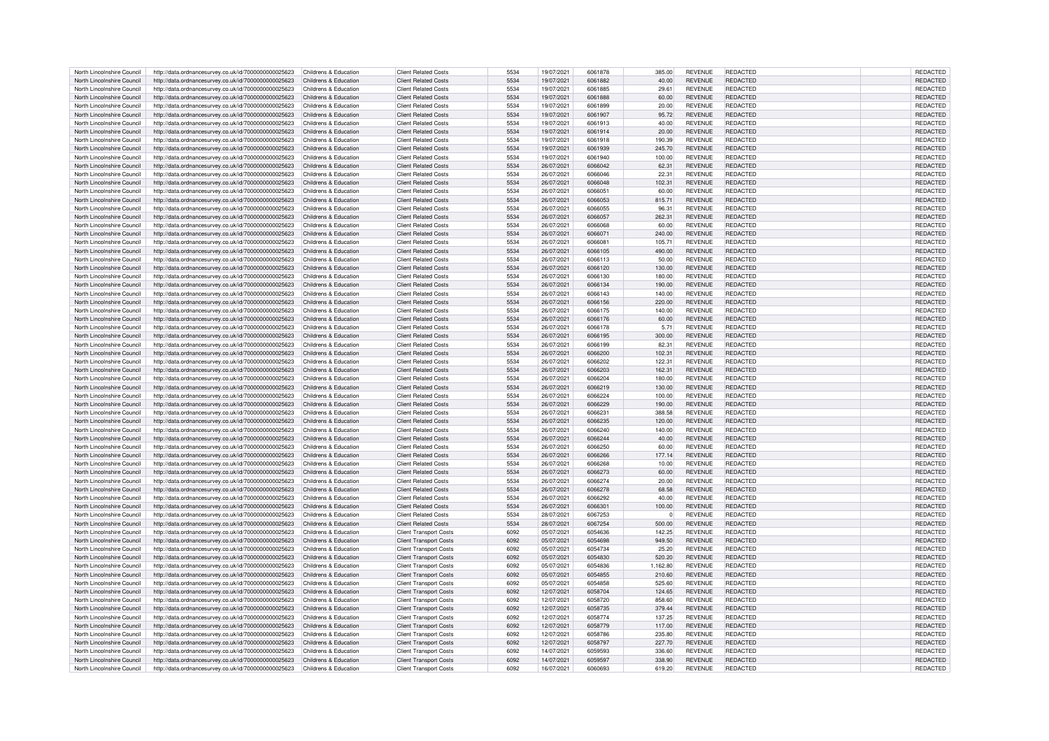| North Lincolnshire Council | http://data.ordnancesurvey.co.uk/id/7000000000025623                      | Childrens & Education | <b>Client Related Costs</b>   | 5534 | 19/07/2021 | 6061878        | 385.00   | <b>REVENUE</b> | REDACTED        | <b>REDACTED</b> |
|----------------------------|---------------------------------------------------------------------------|-----------------------|-------------------------------|------|------------|----------------|----------|----------------|-----------------|-----------------|
| North Lincolnshire Council | http://data.ordnancesurvey.co.uk/id/7000000000025623                      | Childrens & Education | <b>Client Related Costs</b>   | 5534 | 19/07/2021 | 6061882        | 40.00    | <b>REVENUE</b> | REDACTED        | REDACTED        |
|                            |                                                                           |                       |                               |      |            |                |          |                |                 |                 |
| North Lincolnshire Council | http://data.ordnancesurvey.co.uk/id/7000000000025623                      | Childrens & Education | <b>Client Related Costs</b>   | 5534 | 19/07/2021 | 6061885        | 29.61    | <b>REVENUE</b> | REDACTED        | REDACTED        |
| North Lincolnshire Council | http://data.ordnancesurvey.co.uk/id/7000000000025623                      | Childrens & Education | <b>Client Related Costs</b>   | 5534 | 19/07/2021 | 6061888        | 60.00    | <b>REVENUE</b> | <b>REDACTED</b> | REDACTED        |
| North Lincolnshire Council | http://data.ordnancesurvey.co.uk/id/7000000000025623                      | Childrens & Education | <b>Client Related Costs</b>   | 5534 | 19/07/2021 | <b>PPR1809</b> | 20.00    | <b>REVENUE</b> | REDACTED        | REDACTED        |
| North Lincolnshire Council | http://data.ordnancesurvey.co.uk/id/7000000000025623                      | Childrens & Education | <b>Client Related Costs</b>   | 5534 | 19/07/2021 | 6061907        | 95.72    | <b>REVENUE</b> | REDACTED        | REDACTED        |
| North Lincolnshire Council | http://data.ordnancesurvey.co.uk/id/7000000000025623                      | Childrens & Education | <b>Client Related Costs</b>   | 5534 | 19/07/2021 | 6061913        | 40.00    | <b>REVENUE</b> | <b>REDACTED</b> | REDACTED        |
| North Lincolnshire Council | http://data.ordnancesurvey.co.uk/id/7000000000025623                      | Childrens & Education | <b>Client Related Costs</b>   | 5534 | 19/07/2021 | 6061914        | 20.00    | <b>REVENUE</b> | <b>REDACTED</b> | REDACTED        |
|                            |                                                                           |                       |                               |      |            |                |          |                |                 |                 |
| North Lincolnshire Council | http://data.ordnancesurvey.co.uk/id/7000000000025623                      | Childrens & Education | <b>Client Related Costs</b>   | 5534 | 19/07/2021 | 6061918        | 190.39   | <b>REVENUE</b> | REDACTED        | <b>REDACTED</b> |
| North Lincolnshire Council | http://data.ordnancesurvey.co.uk/id/7000000000025623                      | Childrens & Education | <b>Client Related Costs</b>   | 5534 | 19/07/2021 | 6061939        | 245.70   | <b>REVENUE</b> | <b>REDACTED</b> | <b>REDACTED</b> |
| North Lincolnshire Council | http://data.ordnancesurvey.co.uk/id/7000000000025623                      | Childrens & Education | <b>Client Related Costs</b>   | 5534 | 19/07/2021 | 6061940        | 100.00   | <b>REVENUE</b> | REDACTED        | REDACTED        |
| North Lincolnshire Council | http://data.ordnancesurvey.co.uk/id/7000000000025623                      | Childrens & Education | <b>Client Related Costs</b>   | 5534 | 26/07/2021 | 6066042        | 62.31    | <b>REVENUE</b> | REDACTED        | REDACTED        |
| North Lincolnshire Council | http://data.ordnancesurvey.co.uk/id/7000000000025623                      | Childrens & Education | <b>Client Related Costs</b>   | 5534 | 26/07/2021 | 6066046        | 22.31    | <b>REVENUE</b> | <b>REDACTED</b> | REDACTED        |
|                            |                                                                           |                       |                               |      |            |                |          |                |                 |                 |
| North Lincolnshire Council | http://data.ordnancesurvey.co.uk/id/7000000000025623                      | Childrens & Education | <b>Client Related Costs</b>   | 5534 | 26/07/2021 | 6066048        | 102.31   | <b>REVENUE</b> | <b>REDACTED</b> | REDACTED        |
| North Lincolnshire Council | http://data.ordnancesurvey.co.uk/id/7000000000025623                      | Childrens & Education | <b>Client Related Costs</b>   | 5534 | 26/07/2021 | 6066051        | 60.00    | <b>REVENUE</b> | REDACTED        | REDACTED        |
| North Lincolnshire Council | http://data.ordnancesurvey.co.uk/id/7000000000025623                      | Childrens & Education | <b>Client Related Costs</b>   | 5534 | 26/07/2021 | 6066053        | 815.71   | <b>REVENUE</b> | REDACTED        | REDACTED        |
| North Lincolnshire Council | http://data.ordnancesurvey.co.uk/id/7000000000025623                      | Childrens & Education | <b>Client Related Costs</b>   | 5534 | 26/07/2021 | 6066055        | 96.31    | <b>REVENUE</b> | REDACTED        | REDACTED        |
| North Lincolnshire Council | http://data.ordnancesurvey.co.uk/id/7000000000025623                      | Childrens & Education | <b>Client Related Costs</b>   | 5534 | 26/07/2021 | 6066057        | 262.31   | <b>REVENUE</b> | <b>REDACTED</b> | REDACTED        |
| North Lincolnshire Council | http://data.ordnancesurvey.co.uk/id/7000000000025623                      | Childrens & Education | <b>Client Related Costs</b>   | 5534 | 26/07/2021 | 6066068        | 60.00    | <b>REVENUE</b> | REDACTED        | REDACTED        |
|                            |                                                                           |                       |                               |      |            |                |          |                |                 |                 |
| North Lincolnshire Council | http://data.ordnancesurvey.co.uk/id/7000000000025623                      | Childrens & Education | <b>Client Related Costs</b>   | 5534 | 26/07/2021 | 606607         | 240.00   | <b>REVENUE</b> | <b>REDACTED</b> | <b>REDACTED</b> |
| North Lincolnshire Council | http://data.ordnancesurvey.co.uk/id/7000000000025623                      | Childrens & Education | <b>Client Related Costs</b>   | 5534 | 26/07/2021 | 6066081        | 105.71   | <b>REVENUE</b> | REDACTED        | REDACTED        |
| North Lincolnshire Council | http://data.ordnancesurvey.co.uk/id/7000000000025623                      | Childrens & Education | <b>Client Related Costs</b>   | 5534 | 26/07/2021 | 6066105        | 490.00   | <b>REVENUE</b> | REDACTED        | REDACTED        |
| North Lincolnshire Council | http://data.ordnancesurvey.co.uk/id/7000000000025623                      | Childrens & Education | <b>Client Related Costs</b>   | 5534 | 26/07/2021 | 6066113        | 50.00    | REVENUE        | <b>REDACTED</b> | <b>REDACTEI</b> |
| North Lincolnshire Council |                                                                           |                       | <b>Client Related Costs</b>   | 5534 |            | 6066120        |          | <b>REVENUE</b> | <b>REDACTED</b> |                 |
|                            | http://data.ordnancesurvey.co.uk/id/7000000000025623                      | Childrens & Education |                               |      | 26/07/2021 |                | 130.00   |                |                 | REDACTED        |
| North Lincolnshire Council | http://data.ordnancesurvey.co.uk/id/7000000000025623                      | Childrens & Education | <b>Client Related Costs</b>   | 5534 | 26/07/2021 | 6066130        | 180.00   | <b>REVENUE</b> | <b>REDACTED</b> | REDACTED        |
| North Lincolnshire Council | http://data.ordnancesurvey.co.uk/id/7000000000025623                      | Childrens & Education | <b>Client Related Costs</b>   | 5534 | 26/07/2021 | 6066134        | 190.00   | <b>REVENUE</b> | REDACTED        | REDACTED        |
| North Lincolnshire Council | http://data.ordnancesurvey.co.uk/id/7000000000025623                      | Childrens & Education | <b>Client Related Costs</b>   | 5534 | 26/07/2021 | 6066143        | 140.00   | <b>REVENUE</b> | REDACTED        | REDACTED        |
| North Lincolnshire Council | http://data.ordnancesurvey.co.uk/id/7000000000025623                      | Childrens & Education | <b>Client Related Costs</b>   | 5534 | 26/07/2021 | 6066156        | 220.00   | <b>REVENUE</b> | <b>REDACTED</b> | REDACTED        |
| North Lincolnshire Council | http://data.ordnancesurvey.co.uk/id/7000000000025623                      | Childrens & Education | <b>Client Related Costs</b>   | 5534 | 26/07/2021 | 6066175        | 140.00   | <b>REVENUE</b> | REDACTED        | <b>REDACTED</b> |
|                            |                                                                           |                       |                               |      |            |                |          |                |                 |                 |
| North Lincolnshire Council | http://data.ordnancesurvey.co.uk/id/7000000000025623                      | Childrens & Education | <b>Client Related Costs</b>   | 5534 | 26/07/2021 | 6066176        | 60.00    | <b>REVENUE</b> | <b>REDACTED</b> | REDACTED        |
| North Lincolnshire Council | http://data.ordnancesurvey.co.uk/id/7000000000025623                      | Childrens & Education | <b>Client Related Costs</b>   | 5534 | 26/07/2021 | 6066178        | 5.71     | <b>REVENUE</b> | REDACTED        | REDACTED        |
| North Lincolnshire Council | http://data.ordnancesurvey.co.uk/id/7000000000025623                      | Childrens & Education | <b>Client Related Costs</b>   | 5534 | 26/07/2021 | 6066195        | 300.00   | <b>REVENUE</b> | <b>REDACTED</b> | <b>REDACTED</b> |
| North Lincolnshire Council | http://data.ordnancesurvey.co.uk/id/7000000000025623                      | Childrens & Education | <b>Client Related Costs</b>   | 5534 | 26/07/2021 | 6066199        | 82.31    | <b>REVENUE</b> | REDACTED        | REDACTED        |
| North Lincolnshire Council | http://data.ordnancesurvey.co.uk/id/7000000000025623                      | Childrens & Education | <b>Client Related Costs</b>   | 5534 | 26/07/2021 | 6066200        | 102.31   | <b>REVENUE</b> | <b>REDACTED</b> | <b>REDACTED</b> |
|                            |                                                                           |                       |                               |      |            |                |          |                |                 |                 |
| North Lincolnshire Council | http://data.ordnancesurvey.co.uk/id/7000000000025623                      | Childrens & Education | <b>Client Related Costs</b>   | 5534 | 26/07/2021 | 6066202        | 122.31   | <b>REVENUE</b> | REDACTED        | REDACTED        |
| North Lincolnshire Council | http://data.ordnancesurvey.co.uk/id/7000000000025623                      | Childrens & Education | <b>Client Related Costs</b>   | 5534 | 26/07/2021 | 6066203        | 162.31   | <b>REVENUE</b> | REDACTED        | REDACTED        |
| North Lincolnshire Council | http://data.ordnancesurvey.co.uk/id/7000000000025623                      | Childrens & Education | <b>Client Related Costs</b>   | 5534 | 26/07/2021 | 6066204        | 180.00   | <b>REVENUE</b> | <b>REDACTED</b> | <b>REDACTED</b> |
| North Lincolnshire Council | http://data.ordnancesurvey.co.uk/id/7000000000025623                      | Childrens & Education | <b>Client Related Costs</b>   | 5534 | 26/07/2021 | 6066219        | 130.00   | <b>REVENUE</b> | REDACTED        | REDACTED        |
| North Lincolnshire Council | http://data.ordnancesurvey.co.uk/id/7000000000025623                      | Childrens & Education | <b>Client Related Costs</b>   | 5534 | 26/07/2021 | 6066224        | 100.00   | <b>REVENUE</b> | REDACTED        | <b>REDACTED</b> |
|                            |                                                                           |                       |                               |      |            |                |          |                |                 |                 |
| North Lincolnshire Council | http://data.ordnancesurvey.co.uk/id/7000000000025623                      | Childrens & Education | <b>Client Related Costs</b>   | 5534 | 26/07/2021 | 6066229        | 190.00   | <b>REVENUE</b> | REDACTED        | <b>REDACTED</b> |
| North Lincolnshire Council | http://data.ordnancesurvey.co.uk/id/7000000000025623                      | Childrens & Education | <b>Client Related Costs</b>   | 5534 | 26/07/2021 | 6066231        | 388.58   | <b>REVENUE</b> | REDACTED        | REDACTED        |
| North Lincolnshire Council | http://data.ordnancesurvey.co.uk/id/7000000000025623                      | Childrens & Education | <b>Client Related Costs</b>   | 5534 | 26/07/2021 | 6066235        | 120.00   | <b>REVENUE</b> | <b>REDACTED</b> | <b>REDACTED</b> |
| North Lincolnshire Council | http://data.ordnancesurvey.co.uk/id/7000000000025623                      | Childrens & Education | <b>Client Related Costs</b>   | 5534 | 26/07/2021 | 6066240        | 140.00   | REVENUE        | REDACTED        | REDACTED        |
| North Lincolnshire Council | http://data.ordnancesurvey.co.uk/id/7000000000025623                      | Childrens & Education | <b>Client Related Costs</b>   | 5534 | 26/07/2021 | 6066244        | 40.00    | <b>REVENUE</b> | <b>REDACTED</b> | REDACTED        |
|                            |                                                                           |                       |                               |      |            | 6066250        |          |                |                 |                 |
| North Lincolnshire Council | http://data.ordnancesurvey.co.uk/id/7000000000025623                      | Childrens & Education | <b>Client Related Costs</b>   | 5534 | 26/07/2021 |                | 60.00    | <b>REVENUE</b> | REDACTED        | REDACTED        |
| North Lincolnshire Council | http://data.ordnancesurvey.co.uk/id/7000000000025623                      | Childrens & Education | <b>Client Related Costs</b>   | 5534 | 26/07/2021 | 6066266        | 177.14   | <b>REVENUE</b> | REDACTED        | REDACTED        |
| North Lincolnshire Council | http://data.ordnancesurvey.co.uk/id/7000000000025623                      | Childrens & Education | <b>Client Related Costs</b>   | 5534 | 26/07/2021 | 6066268        | 10.00    | <b>REVENUE</b> | REDACTED        | REDACTED        |
| North Lincolnshire Council | http://data.ordnancesurvey.co.uk/id/7000000000025623                      | Childrens & Education | <b>Client Related Costs</b>   | 5534 | 26/07/2021 | 6066273        | 60.00    | <b>REVENUE</b> | <b>REDACTED</b> | REDACTED        |
| North Lincolnshire Council | http://data.ordnancesurvey.co.uk/id/7000000000025623                      | Childrens & Education | <b>Client Related Costs</b>   | 5534 | 26/07/2021 | 6066274        | 20.00    | <b>REVENUE</b> | <b>REDACTED</b> | REDACTED        |
|                            |                                                                           |                       |                               | 5534 |            | 6066278        |          |                |                 |                 |
| North Lincolnshire Council | http://data.ordnancesurvey.co.uk/id/7000000000025623                      | Childrens & Education | <b>Client Related Costs</b>   |      | 26/07/2021 |                | 68.58    | <b>REVENUE</b> | REDACTED        | REDACTED        |
| North Lincolnshire Council | http://data.ordnancesurvey.co.uk/id/7000000000025623                      | Childrens & Education | <b>Client Related Costs</b>   | 5534 | 26/07/2021 | 6066292        | 40.00    | <b>REVENUE</b> | REDACTED        | REDACTED        |
| North Lincolnshire Council | http://data.ordnancesurvey.co.uk/id/7000000000025623                      | Childrens & Education | <b>Client Related Costs</b>   | 5534 | 26/07/2021 | 6066301        | 100.00   | <b>REVENUE</b> | REDACTED        | REDACTED        |
| North Lincolnshire Council | http://data.ordnancesurvey.co.uk/id/7000000000025623                      | Childrens & Education | <b>Client Related Costs</b>   | 5534 | 28/07/2021 | 6067253        | $\Omega$ | <b>REVENUE</b> | REDACTED        | <b>REDACTED</b> |
| North Lincolnshire Council | http://data.ordnancesurvey.co.uk/id/7000000000025623                      | Childrens & Education | <b>Client Related Costs</b>   | 5534 | 28/07/2021 | 6067254        | 500.00   | <b>REVENUE</b> | <b>REDACTED</b> | REDACTED        |
| North Lincolnshire Council | http://data.ordnancesurvey.co.uk/id/7000000000025623                      | Childrens & Education | <b>Client Transport Costs</b> | 6092 | 05/07/2021 | 6054636        | 142.25   | <b>REVENUE</b> | REDACTED        | REDACTED        |
|                            |                                                                           |                       |                               |      |            |                |          |                |                 |                 |
| North Lincolnshire Council | http://data.ordnancesurvey.co.uk/id/7000000000025623                      | Childrens & Education | <b>Client Transport Costs</b> | 6092 | 05/07/2021 | 6054698        | 949.50   | <b>REVENUE</b> | <b>REDACTED</b> | <b>REDACTED</b> |
| North Lincolnshire Council | http://data.ordnancesurvey.co.uk/id/7000000000025623                      | Childrens & Education | <b>Client Transport Costs</b> | 6092 | 05/07/2021 | 6054734        | 25.20    | <b>REVENUE</b> | <b>REDACTED</b> | REDACTED        |
| North Lincolnshire Council | http://data.ordnancesurvey.co.uk/id/7000000000025623                      | Childrens & Education | <b>Client Transport Costs</b> | 6092 | 05/07/2021 | 6054830        | 520.20   | <b>REVENUE</b> | <b>REDACTED</b> | REDACTED        |
| North Lincolnshire Council | http://data.ordnancesurvey.co.uk/id/7000000000025623                      | Childrens & Education | <b>Client Transport Costs</b> | 6092 | 05/07/2021 | 6054836        | 1,162.80 | <b>REVENUE</b> | <b>REDACTED</b> | REDACTED        |
| North Lincolnshire Council | http://data.ordnancesurvey.co.uk/id/7000000000025623                      | Childrens & Education | <b>Client Transport Costs</b> | 6092 | 05/07/2021 | 6054855        | 210.60   | <b>REVENUE</b> | REDACTED        | REDACTED        |
| North Lincolnshire Council | http://data.ordnancesurvey.co.uk/id/7000000000025623                      | Childrens & Education |                               | 6092 | 05/07/2021 | 6054858        | 525.60   | <b>REVENUE</b> | REDACTED        | REDACTED        |
|                            |                                                                           |                       | Client Transport Costs        |      |            |                |          |                |                 |                 |
| North Lincolnshire Council | http://data.ordnancesurvey.co.uk/id/7000000000025623                      | Childrens & Education | <b>Client Transport Costs</b> | 6092 | 12/07/2021 | 6058704        | 124.65   | REVENUE        | REDACTED        | REDACTED        |
| North Lincolnshire Council | http://data.ordnancesurvey.co.uk/id/7000000000025623                      | Childrens & Education | <b>Client Transport Costs</b> | 6092 | 12/07/2021 | 6058720        | 858.60   | REVENUE        | REDACTED        | <b>REDACTED</b> |
| North Lincolnshire Council | http://data.ordnancesurvey.co.uk/id/7000000000025623                      | Childrens & Education | <b>Client Transport Costs</b> | 6092 | 12/07/2021 | 6058735        | 379.44   | <b>REVENUE</b> | <b>REDACTED</b> | REDACTED        |
| North Lincolnshire Council | http://data.ordnancesurvey.co.uk/id/7000000000025623                      | Childrens & Education | <b>Client Transport Costs</b> | 6092 | 12/07/2021 | 6058774        | 137.25   | <b>REVENUE</b> | REDACTED        | REDACTED        |
| North Lincolnshire Council | http://data.ordnancesurvey.co.uk/id/7000000000025623                      | Childrens & Education | <b>Client Transport Costs</b> | 6092 | 12/07/2021 | 6058779        | 117.00   | <b>REVENUE</b> | REDACTED        | REDACTED        |
|                            |                                                                           |                       |                               |      |            |                |          |                |                 |                 |
| North Lincolnshire Council | http://data.ordnancesurvey.co.uk/id/7000000000025623                      | Childrens & Education | <b>Client Transport Costs</b> | 6092 | 12/07/2021 | 6058786        | 235.80   | <b>REVENUE</b> | <b>REDACTED</b> | <b>REDACTED</b> |
| North Lincolnshire Council | http://data.ordnancesurvey.co.uk/id/7000000000025623                      | Childrens & Education | <b>Client Transport Costs</b> | 6092 | 12/07/2021 | 6058797        | 227.70   | <b>REVENUE</b> | REDACTED        | REDACTED        |
| North Lincolnshire Council | http://data.ordnancesurvey.co.uk/id/7000000000025623                      | Childrens & Education | <b>Client Transport Costs</b> | 6092 | 14/07/2021 | 6059593        | 336.60   | <b>REVENUE</b> | REDACTED        | <b>REDACTED</b> |
| North Lincolnshire Council | http://data.ordnancesurvey.co.uk/id/700000000025623 Childrens & Education |                       | <b>Client Transport Costs</b> | 6092 | 14/07/2021 | 6059597        | 338.90   | <b>REVENUE</b> | <b>REDACTED</b> | <b>REDACTED</b> |
| North Lincolnshire Council | http://data.ordnancesurvey.co.uk/id/700000000025623 Childrens & Education |                       | <b>Client Transport Costs</b> | 6092 | 16/07/2021 | 6060693        | 619.20   | <b>REVENUE</b> | <b>REDACTED</b> | REDACTED        |
|                            |                                                                           |                       |                               |      |            |                |          |                |                 |                 |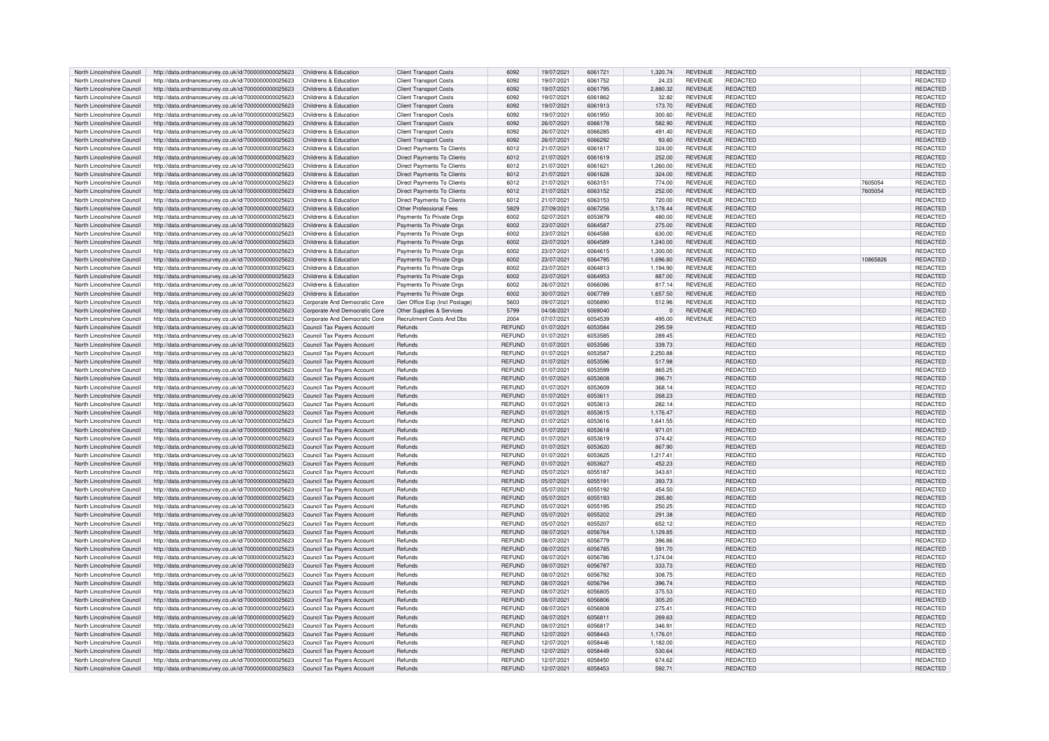| North Lincolnshire Council<br>North Lincolnshire Council | http://data.ordnancesurvey.co.uk/id/7000000000025623                                                         | Childrens & Education                                    | <b>Client Transport Costs</b>     | 6092                            | 19/07/2021               | 6061721            | 1,320.74         | <b>REVENUE</b> | REDACTED                    |         |          | REDACTED             |
|----------------------------------------------------------|--------------------------------------------------------------------------------------------------------------|----------------------------------------------------------|-----------------------------------|---------------------------------|--------------------------|--------------------|------------------|----------------|-----------------------------|---------|----------|----------------------|
|                                                          |                                                                                                              |                                                          |                                   |                                 |                          |                    |                  |                |                             |         |          |                      |
|                                                          | http://data.ordnancesurvey.co.uk/id/7000000000025623                                                         | Childrens & Education                                    | <b>Client Transport Costs</b>     | 6092                            | 19/07/2021               | 6061752            | 24.23            | <b>REVENUE</b> | REDACTED                    |         |          | REDACTED             |
| North Lincolnshire Council                               | http://data.ordnancesurvey.co.uk/id/7000000000025623                                                         | Childrens & Education                                    | <b>Client Transport Costs</b>     | 6092                            | 19/07/2021               | 6061795            | 2,880.32         | <b>REVENUE</b> | <b>REDACTED</b>             |         |          | REDACTED             |
| North Lincolnshire Council                               | http://data.ordnancesurvey.co.uk/id/7000000000025623                                                         | Childrens & Education                                    | <b>Client Transport Costs</b>     | 6092                            | 19/07/2021               | 6061862            | 32.82            | REVENUE        | REDACTED                    |         |          | REDACTED             |
| North Lincolnshire Council                               | http://data.ordnancesurvey.co.uk/id/7000000000025623                                                         | Childrens & Education                                    | <b>Client Transport Costs</b>     | 6092                            | 19/07/2021               | 6061913            | 173.70           | <b>REVENUE</b> | REDACTED                    |         |          | REDACTED             |
|                                                          |                                                                                                              |                                                          |                                   |                                 |                          |                    |                  |                |                             |         |          |                      |
| North Lincolnshire Council                               | http://data.ordnancesurvey.co.uk/id/7000000000025623                                                         | Childrens & Education                                    | <b>Client Transport Costs</b>     | 6092                            | 19/07/2021               | 6061950            | 300.60           | <b>REVENUE</b> | REDACTED                    |         |          | REDACTED             |
| North Lincolnshire Council                               | http://data.ordnancesurvey.co.uk/id/7000000000025623                                                         | Childrens & Education                                    | <b>Client Transport Costs</b>     | 6092                            | 26/07/2021               | 6066178            | 582.90           | <b>REVENUE</b> | REDACTED                    |         |          | REDACTED             |
| North Lincolnshire Council                               | http://data.ordnancesurvey.co.uk/id/7000000000025623                                                         | Childrens & Education                                    | <b>Client Transport Costs</b>     | 6092                            | 26/07/2021               | 6066285            | 491.40           | <b>REVENUE</b> | <b>REDACTED</b>             |         |          | REDACTED             |
| North Lincolnshire Council                               | http://data.ordnancesurvey.co.uk/id/7000000000025623                                                         | Childrens & Education                                    | <b>Client Transport Costs</b>     | 6092                            | 26/07/2021               | SPS6292            | 93.60            | <b>REVENUE</b> | <b>REDACTED</b>             |         |          | REDACTED             |
|                                                          |                                                                                                              |                                                          |                                   |                                 |                          |                    |                  |                |                             |         |          |                      |
| North Lincolnshire Council                               | http://data.ordnancesurvey.co.uk/id/7000000000025623                                                         | Childrens & Education                                    | Direct Payments To Clients        | 6012                            | 21/07/2021               | 6061617            | 324.00           | <b>REVENUE</b> | REDACTED                    |         |          | REDACTED             |
| North Lincolnshire Council                               | http://data.ordnancesurvey.co.uk/id/7000000000025623                                                         | Childrens & Education                                    | Direct Payments To Clients        | 6012                            | 21/07/2021               | 6061619            | 252.00           | <b>REVENUE</b> | REDACTED                    |         |          | REDACTED             |
| North Lincolnshire Council                               | http://data.ordnancesurvey.co.uk/id/7000000000025623                                                         | Childrens & Education                                    | Direct Payments To Clients        | 6012                            | 21/07/2021               | 6061621            | 1,260.00         | <b>REVENUE</b> | <b>REDACTED</b>             |         |          | REDACTED             |
| North Lincolnshire Council                               | http://data.ordnancesurvey.co.uk/id/7000000000025623                                                         |                                                          | Direct Payments To Clients        | 6012                            | 21/07/2021               | 6061628            | 324.00           | <b>REVENUE</b> | <b>REDACTED</b>             |         |          | REDACTED             |
|                                                          |                                                                                                              | Childrens & Education                                    |                                   |                                 |                          |                    |                  |                |                             |         |          |                      |
| North Lincolnshire Council                               | http://data.ordnancesurvey.co.uk/id/7000000000025623                                                         | Childrens & Education                                    | Direct Payments To Clients        | 6012                            | 21/07/2021               | 606315             | 774.00           | <b>REVENUE</b> | <b>REDACTED</b>             | 7605054 |          | REDACTED             |
| North Lincolnshire Council                               | http://data.ordnancesurvey.co.uk/id/7000000000025623                                                         | Childrens & Education                                    | <b>Direct Payments To Clients</b> | 6012                            | 21/07/2021               | 6063152            | 252.00           | <b>REVENUE</b> | <b>REDACTED</b>             | 7605054 |          | REDACTED             |
| North Lincolnshire Council                               | http://data.ordnancesurvey.co.uk/id/7000000000025623                                                         | Childrens & Education                                    | Direct Payments To Clients        | 6012                            | 21/07/2021               | 6063153            | 720.00           | <b>REVENUE</b> | REDACTED                    |         |          | REDACTED             |
|                                                          |                                                                                                              |                                                          |                                   |                                 |                          |                    |                  |                |                             |         |          |                      |
| North Lincolnshire Council                               | http://data.ordnancesurvey.co.uk/id/7000000000025623                                                         | Childrens & Education                                    | Other Professional Fees           | 5829                            | 27/09/2021               | 6067256            | 3,178.44         | <b>REVENUE</b> | <b>REDACTED</b>             |         |          | REDACTED             |
| North Lincolnshire Council                               | http://data.ordnancesurvey.co.uk/id/7000000000025623                                                         | Childrens & Education                                    | Payments To Private Orgs          | 6002                            | 02/07/2021               | 6053879            | 480.00           | <b>REVENUE</b> | REDACTED                    |         |          | REDACTED             |
| North Lincolnshire Council                               | http://data.ordnancesurvey.co.uk/id/7000000000025623                                                         | Childrens & Education                                    | Payments To Private Orgs          | 6002                            | 23/07/2021               | 6064587            | 275.00           | <b>REVENUE</b> | <b>REDACTED</b>             |         |          | REDACTED             |
|                                                          |                                                                                                              |                                                          |                                   |                                 |                          | 6064588            |                  |                |                             |         |          |                      |
| North Lincolnshire Council                               | http://data.ordnancesurvey.co.uk/id/7000000000025623                                                         | Childrens & Education                                    | Payments To Private Orgs          | 6002                            | 23/07/2021               |                    | 630.00           | <b>REVENUE</b> | <b>REDACTED</b>             |         |          | REDACTED             |
| North Lincolnshire Council                               | http://data.ordnancesurvey.co.uk/id/7000000000025623                                                         | Childrens & Education                                    | Payments To Private Orgs          | 6002                            | 23/07/2021               | 6064589            | 1,240.00         | <b>REVENUE</b> | REDACTED                    |         |          | REDACTED             |
| North Lincolnshire Council                               | http://data.ordnancesurvey.co.uk/id/7000000000025623                                                         | Childrens & Education                                    | Payments To Private Orgs          | 6002                            | 23/07/2021               | 6064615            | 1,300.00         | <b>REVENUE</b> | <b>REDACTED</b>             |         |          | REDACTED             |
| North Lincolnshire Council                               | http://data.ordnancesurvey.co.uk/id/7000000000025623                                                         | Childrens & Education                                    | Payments To Private Orgs          | 6002                            | 23/07/2021               | 6064795            | 1,696.80         | <b>REVENUE</b> | REDACTED                    |         | 10865826 | REDACTED             |
|                                                          |                                                                                                              |                                                          |                                   |                                 |                          |                    |                  |                |                             |         |          |                      |
| North Lincolnshire Council                               | http://data.ordnancesurvey.co.uk/id/7000000000025623                                                         | Childrens & Education                                    | Payments To Private Orgs          | 6002                            | 23/07/2021               | 6064813            | 1,194.90         | <b>REVENUE</b> | <b>REDACTED</b>             |         |          | <b>REDACTED</b>      |
| North Lincolnshire Council                               | http://data.ordnancesurvey.co.uk/id/7000000000025623                                                         | Childrens & Education                                    | Payments To Private Orgs          | 6002                            | 23/07/2021               | 6064953            | 887.00           | <b>REVENUE</b> | <b>REDACTED</b>             |         |          | REDACTED             |
| North Lincolnshire Council                               | http://data.ordnancesurvey.co.uk/id/7000000000025623                                                         | Childrens & Education                                    | Payments To Private Orgs          | 6002                            | 26/07/2021               | 6066086            | 817.14           | <b>REVENUE</b> | <b>REDACTED</b>             |         |          | REDACTED             |
|                                                          |                                                                                                              |                                                          |                                   |                                 |                          |                    |                  |                |                             |         |          |                      |
| North Lincolnshire Council                               | http://data.ordnancesurvey.co.uk/id/7000000000025623                                                         | Childrens & Education                                    | Payments To Private Orgs          | 6002                            | 30/07/2021               | 6067789            | 1,657.50         | <b>REVENUE</b> | <b>REDACTED</b>             |         |          | REDACTED             |
| North Lincolnshire Council                               | http://data.ordnancesurvey.co.uk/id/7000000000025623                                                         | Corporate And Democratic Core                            | Gen Office Exp (Incl Postage)     | 5603                            | 09/07/2021               | 6056890            | 512.96           | <b>REVENUE</b> | <b>REDACTED</b>             |         |          | REDACTED             |
| North Lincolnshire Council                               | http://data.ordnancesurvey.co.uk/id/7000000000025623                                                         | Corporate And Democratic Core                            | Other Supplies & Services         | 5799                            | 04/08/2021               | 6069040            | $\mathbf{0}$     | <b>REVENUE</b> | <b>REDACTED</b>             |         |          | <b>REDACTED</b>      |
|                                                          |                                                                                                              |                                                          |                                   | 2004                            |                          | 6054539            |                  | <b>REVENUE</b> |                             |         |          |                      |
| North Lincolnshire Council                               | http://data.ordnancesurvey.co.uk/id/7000000000025623                                                         | Corporate And Democratic Core                            | Recruitment Costs And Dbs         |                                 | 07/07/2021               |                    | 495.00           |                | REDACTED                    |         |          | REDACTED             |
| North Lincolnshire Council                               | http://data.ordnancesurvey.co.uk/id/7000000000025623                                                         | Council Tax Payers Account                               | Refunds                           | <b>REFUND</b>                   | 01/07/2021               | 6053584            | 295.59           |                | REDACTED                    |         |          | REDACTED             |
| North Lincolnshire Council                               | http://data.ordnancesurvey.co.uk/id/7000000000025623                                                         | Council Tax Payers Account                               | Refunds                           | <b>REFUND</b>                   | 01/07/2021               | 605358             | 289.45           |                | <b>REDACTED</b>             |         |          | REDACTED             |
| North Lincolnshire Council                               | http://data.ordnancesurvey.co.uk/id/7000000000025623                                                         | Council Tax Payers Account                               | Refunds                           | <b>REFUND</b>                   | 01/07/2021               | 6053586            | 339.73           |                | REDACTED                    |         |          | REDACTED             |
|                                                          |                                                                                                              |                                                          |                                   |                                 |                          |                    |                  |                |                             |         |          |                      |
| North Lincolnshire Council                               | http://data.ordnancesurvey.co.uk/id/7000000000025623                                                         | Council Tax Payers Account                               | Refunds                           | <b>REFUND</b>                   | 01/07/2021               | 6053587            | 2.250.88         |                | REDACTED                    |         |          | REDACTED             |
| North Lincolnshire Council                               | http://data.ordnancesurvey.co.uk/id/7000000000025623                                                         | Council Tax Payers Account                               | Refunds                           | REFUND                          | 01/07/2021               | 6053596            | 517.98           |                | <b>REDACTED</b>             |         |          | REDACTED             |
| North Lincolnshire Council                               | http://data.ordnancesurvey.co.uk/id/7000000000025623                                                         | <b>Council Tax Payers Account</b>                        | Refunds                           | <b>REFUND</b>                   | 01/07/2021               | 6053599            | 865.25           |                | REDACTED                    |         |          | REDACTED             |
|                                                          |                                                                                                              |                                                          | Refunds                           | <b>REFUND</b>                   | 01/07/2021               | 6053608            | 396.71           |                | <b>REDACTED</b>             |         |          | <b>REDACTED</b>      |
| North Lincolnshire Council                               | http://data.ordnancesurvey.co.uk/id/7000000000025623                                                         | <b>Council Tax Payers Account</b>                        |                                   |                                 |                          |                    |                  |                |                             |         |          |                      |
| North Lincolnshire Council                               | http://data.ordnancesurvey.co.uk/id/7000000000025623                                                         | Council Tax Payers Account                               | Refunds                           | <b>REFUND</b>                   | 01/07/2021               | 6053609            | 368.14           |                | REDACTED                    |         |          | REDACTED             |
| North Lincolnshire Council                               | http://data.ordnancesurvey.co.uk/id/7000000000025623                                                         | Council Tax Payers Account                               | Refunds                           | <b>REFUND</b>                   | 01/07/2021               | 6053611            | 268.23           |                | <b>REDACTED</b>             |         |          | REDACTED             |
| North Lincolnshire Council                               | http://data.ordnancesurvey.co.uk/id/7000000000025623                                                         | Council Tax Payers Account                               | Refunds                           | <b>REFUND</b>                   | 01/07/2021               | 6053613            | 282.14           |                | REDACTED                    |         |          | REDACTED             |
|                                                          |                                                                                                              |                                                          |                                   |                                 |                          |                    |                  |                |                             |         |          |                      |
| North Lincolnshire Council                               | http://data.ordnancesurvey.co.uk/id/7000000000025623                                                         | Council Tax Payers Account                               | Refunds                           | <b>REFUND</b>                   | 01/07/2021               | 6053615            | 1,176.47         |                | REDACTED                    |         |          | REDACTED             |
| North Lincolnshire Council                               | http://data.ordnancesurvey.co.uk/id/7000000000025623                                                         | Council Tax Payers Account                               | Refunds                           | <b>REFUND</b>                   | 01/07/2021               | 6053616            | 1,641.55         |                | REDACTED                    |         |          | REDACTED             |
| North Lincolnshire Council                               | http://data.ordnancesurvey.co.uk/id/7000000000025623                                                         | Council Tax Payers Account                               | Refunds                           | <b>REFUND</b>                   | 01/07/2021               | 6053618            | 971.01           |                | REDACTED                    |         |          | REDACTED             |
|                                                          |                                                                                                              |                                                          |                                   |                                 |                          |                    |                  |                |                             |         |          |                      |
| North Lincolnshire Council                               | http://data.ordnancesurvey.co.uk/id/7000000000025623                                                         | Council Tax Payers Account                               | Refunds                           | <b>REFUND</b>                   | 01/07/2021               | 6053619            | 374.42           |                | REDACTED                    |         |          | REDACTED             |
| North Lincolnshire Council                               | http://data.ordnancesurvey.co.uk/id/7000000000025623                                                         | Council Tax Payers Account                               | Refunds                           | <b>REFUND</b>                   | 01/07/2021               | 6053620            |                  |                | <b>REDACTED</b>             |         |          | REDACTED             |
| North Lincolnshire Council                               | http://data.ordnancesurvey.co.uk/id/7000000000025623                                                         | Council Tax Payers Account                               |                                   |                                 |                          |                    | 867.90           |                |                             |         |          |                      |
| North Lincolnshire Council                               |                                                                                                              |                                                          | Refunds                           | <b>REFUND</b>                   | 01/07/2021               | 6053625            | 1,217.41         |                | <b>REDACTED</b>             |         |          | REDACTED             |
|                                                          |                                                                                                              |                                                          |                                   |                                 |                          |                    |                  |                |                             |         |          |                      |
|                                                          | http://data.ordnancesurvey.co.uk/id/7000000000025623                                                         | <b>Council Tax Payers Account</b>                        | Refunds                           | <b>REFUND</b>                   | 01/07/2021               | 6053627            | 452.23           |                | REDACTED                    |         |          | REDACTED             |
| North Lincolnshire Council                               | http://data.ordnancesurvey.co.uk/id/7000000000025623                                                         | Council Tax Pavers Account                               | Refunds                           | <b>REFUND</b>                   | 05/07/2021               | 6055187            | 343.61           |                | <b>REDACTED</b>             |         |          | REDACTED             |
| North Lincolnshire Council                               | http://data.ordnancesurvey.co.uk/id/7000000000025623                                                         | Council Tax Payers Account                               | Refunds                           | <b>REFUND</b>                   | 05/07/2021               | 605519             | 393.73           |                | <b>REDACTED</b>             |         |          | <b>REDACTED</b>      |
|                                                          |                                                                                                              |                                                          | Refunds                           | <b>REFUND</b>                   | 05/07/2021               | 6055192            | 454.50           |                | REDACTED                    |         |          | <b>REDACTED</b>      |
| North Lincolnshire Council                               | http://data.ordnancesurvey.co.uk/id/7000000000025623                                                         | Council Tax Payers Account                               |                                   |                                 |                          |                    |                  |                |                             |         |          |                      |
| North Lincolnshire Council                               | http://data.ordnancesurvey.co.uk/id/7000000000025623                                                         | Council Tax Payers Account                               | Refunds                           | <b>REFUND</b>                   | 05/07/2021               | 6055193            | 265.80           |                | <b>REDACTED</b>             |         |          | REDACTED             |
| North Lincolnshire Council                               | http://data.ordnancesurvey.co.uk/id/7000000000025623                                                         | Council Tax Payers Account                               | Refunds                           | <b>REFUND</b>                   | 05/07/2021               | 6055195            | 250.25           |                | <b>REDACTED</b>             |         |          | REDACTED             |
| North Lincolnshire Council                               | http://data.ordnancesurvey.co.uk/id/7000000000025623                                                         | Council Tax Payers Account                               | Refunds                           | <b>REFUND</b>                   | 05/07/2021               | 6055202            | 291.38           |                | REDACTED                    |         |          | REDACTED             |
| North Lincolnshire Council                               |                                                                                                              |                                                          | Refunds                           |                                 | 05/07/2021               | 6055207            | 652.12           |                | <b>REDACTED</b>             |         |          |                      |
|                                                          | http://data.ordnancesurvey.co.uk/id/7000000000025623                                                         | Council Tax Payers Account                               |                                   | <b>REFUND</b>                   |                          |                    |                  |                |                             |         |          | REDACTED             |
| North Lincolnshire Council                               | http://data.ordnancesurvey.co.uk/id/7000000000025623                                                         | Council Tax Payers Account                               | Refunds                           | <b>REFUND</b>                   | 08/07/2021               | 6056764            | 1,129.85         |                | <b>REDACTED</b>             |         |          | REDACTED             |
| North Lincolnshire Council                               | http://data.ordnancesurvey.co.uk/id/7000000000025623                                                         | Council Tax Payers Account                               | Refunds                           | <b>REFUND</b>                   | 08/07/2021               | 6056779            | 396.86           |                | REDACTED                    |         |          | REDACTED             |
| North Lincolnshire Council                               | http://data.ordnancesurvey.co.uk/id/7000000000025623                                                         | Council Tax Payers Account                               | Refunds                           | <b>REFUND</b>                   | 08/07/2021               | 6056785            | 591.70           |                | <b>REDACTED</b>             |         |          | <b>REDACTED</b>      |
|                                                          |                                                                                                              |                                                          | Refunds                           |                                 |                          | 6056786            |                  |                |                             |         |          |                      |
| North Lincolnshire Council                               | http://data.ordnancesurvey.co.uk/id/7000000000025623                                                         | Council Tax Payers Account                               |                                   | <b>REFUND</b>                   | 08/07/2021               |                    | 1,374.04         |                | REDACTED                    |         |          | REDACTED             |
| North Lincolnshire Council                               | http://data.ordnancesurvey.co.uk/id/7000000000025623                                                         | Council Tax Payers Account                               | Refunds                           | <b>REFUND</b>                   | 08/07/2021               | 6056787            | 333.73           |                | <b>REDACTED</b>             |         |          | REDACTED             |
| North Lincolnshire Council                               | http://data.ordnancesurvey.co.uk/id/7000000000025623                                                         | Council Tax Payers Account                               | Refunds                           | <b>REFUND</b>                   | 08/07/2021               | 6056792            | 308.75           |                | REDACTED                    |         |          | REDACTED             |
| North Lincolnshire Council                               | http://data.ordnancesurvey.co.uk/id/7000000000025623                                                         | Council Tax Payers Account                               | Refunds                           | <b>REFUND</b>                   | 08/07/2021               | 6056794            | 396.74           |                | <b>REDACTED</b>             |         |          | REDACTED             |
|                                                          |                                                                                                              |                                                          |                                   |                                 |                          |                    |                  |                |                             |         |          |                      |
| North Lincolnshire Council                               | http://data.ordnancesurvey.co.uk/id/7000000000025623                                                         | Council Tax Pavers Account                               | Refunds                           | <b>REFUND</b>                   | 08/07/2021               | 605680             | 375.53           |                | REDACTED                    |         |          | REDACTED             |
| North Lincolnshire Council                               | http://data.ordnancesurvey.co.uk/id/7000000000025623                                                         | Council Tax Payers Account                               | Refunds                           | <b>REFUND</b>                   | 08/07/2021               | 6056806            | 305.20           |                | REDACTED                    |         |          | REDACTED             |
| North Lincolnshire Council                               | http://data.ordnancesurvey.co.uk/id/7000000000025623                                                         | Council Tax Payers Account                               | Refunds                           | <b>REFUND</b>                   | 08/07/2021               | 6056808            | 275.41           |                | REDACTED                    |         |          | REDACTED             |
| North Lincolnshire Council                               |                                                                                                              |                                                          | Refunds                           |                                 |                          | 605681             | 269.63           |                | <b>REDACTED</b>             |         |          | REDACTED             |
|                                                          | http://data.ordnancesurvey.co.uk/id/7000000000025623                                                         | Council Tax Payers Account                               |                                   | REFUND                          | 08/07/2021               |                    |                  |                |                             |         |          |                      |
| North Lincolnshire Council                               | http://data.ordnancesurvey.co.uk/id/7000000000025623                                                         | Council Tax Payers Account                               | Refunds                           | <b>REFUND</b>                   | 08/07/2021               | 6056817            | 346.91           |                | <b>REDACTED</b>             |         |          | REDACTED             |
| North Lincolnshire Council                               | http://data.ordnancesurvey.co.uk/id/7000000000025623                                                         | <b>Council Tax Payers Account</b>                        | Refunds                           | <b>REFUND</b>                   | 12/07/2021               | 6058443            | 1,176.01         |                | REDACTED                    |         |          | REDACTED             |
| North Lincolnshire Council                               | http://data.ordnancesurvey.co.uk/id/7000000000025623                                                         | Council Tax Payers Account                               | Refunds                           | <b>REFUND</b>                   | 12/07/2021               | 6058446            | 1.182.00         |                | <b>REDACTED</b>             |         |          | <b>REDACTED</b>      |
| North Lincolnshire Council                               |                                                                                                              |                                                          | Refunds                           | <b>REFUND</b>                   | 12/07/2021               | 6058449            | 530.64           |                | <b>REDACTED</b>             |         |          | REDACTED             |
|                                                          | http://data.ordnancesurvey.co.uk/id/7000000000025623                                                         | Council Tax Payers Account                               |                                   |                                 |                          |                    |                  |                |                             |         |          |                      |
| North Lincolnshire Council<br>North Lincolnshire Council | http://data.ordnancesurvey.co.uk/id/7000000000025623<br>http://data.ordnancesurvey.co.uk/id/7000000000025623 | Council Tax Payers Account<br>Council Tax Payers Account | Refunds<br>Refunds                | <b>REELIND</b><br><b>REFUND</b> | 12/07/2021<br>12/07/2021 | 6058450<br>6058453 | 674.62<br>592.71 |                | REDACTED<br><b>REDACTED</b> |         |          | REDACTED<br>REDACTED |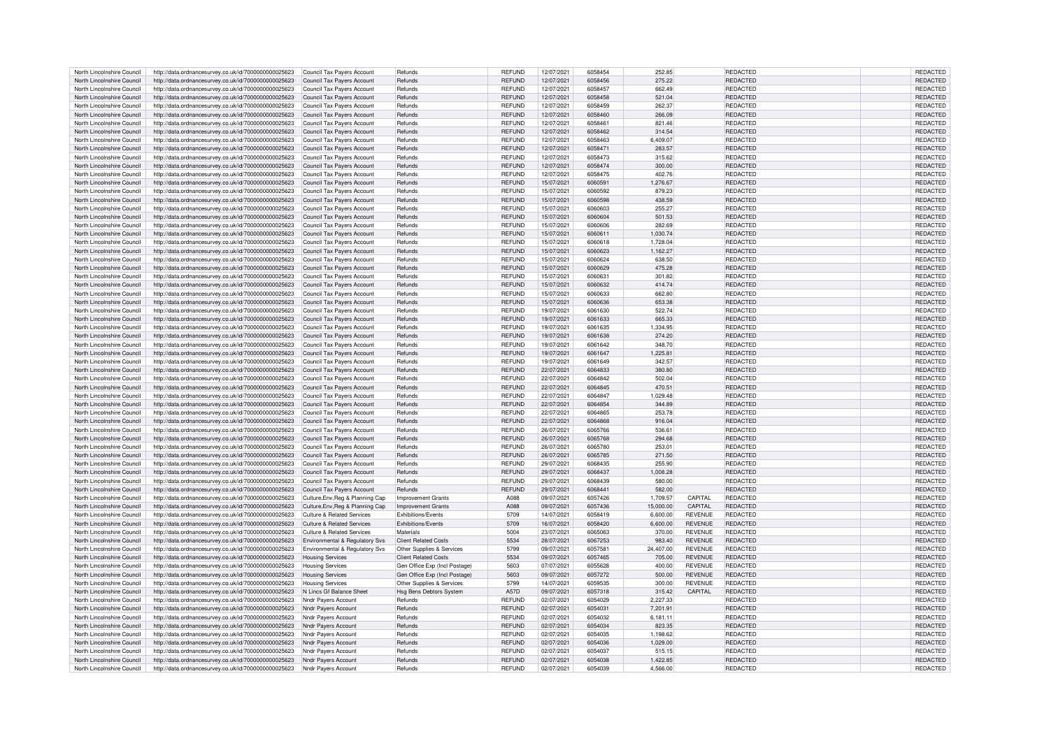| North Lincolnshire Council                               | http://data.ordnancesurvey.co.uk/id/7000000000025623                                                                             | Council Tax Pavers Account            | Refunds                        | <b>REFUND</b> | 12/07/2021               | 6058454 | 252.85               |                | REDACTED                    | REDACTED        |
|----------------------------------------------------------|----------------------------------------------------------------------------------------------------------------------------------|---------------------------------------|--------------------------------|---------------|--------------------------|---------|----------------------|----------------|-----------------------------|-----------------|
|                                                          |                                                                                                                                  |                                       |                                |               |                          |         |                      |                |                             |                 |
| North Lincolnshire Council                               | http://data.ordnancesurvey.co.uk/id/7000000000025623                                                                             | Council Tax Payers Account            | Refunds                        | <b>REFUND</b> | 12/07/2021               | 6058456 | 275.22               |                | REDACTED                    | REDACTED        |
| North Lincolnshire Council                               | http://data.ordnancesurvey.co.uk/id/7000000000025623                                                                             | Council Tax Pavers Account            | Refunds                        | <b>REFUND</b> | 12/07/2021               | 6058457 | 662.49               |                | REDACTED                    | REDACTED        |
|                                                          |                                                                                                                                  |                                       |                                |               |                          |         |                      |                |                             |                 |
| North Lincolnshire Council                               | http://data.ordnancesurvey.co.uk/id/7000000000025623                                                                             | <b>Council Tax Pavers Account</b>     | Refunds                        | <b>REFUND</b> | 12/07/2021               | 6058458 | 521.04               |                | REDACTED                    | REDACTED        |
| North Lincolnshire Council                               | http://data.ordnancesurvey.co.uk/id/7000000000025623                                                                             | Council Tax Payers Account            | Refunds                        | <b>REFUND</b> | 12/07/2021               | 6058459 | 262.37               |                | REDACTED                    | REDACTED        |
| North Lincolnshire Council                               | http://data.ordnancesurvey.co.uk/id/7000000000025623                                                                             | <b>Council Tax Payers Account</b>     | Refunds                        | <b>REFUND</b> | 12/07/2021               | 6058460 | 266.09               |                | REDACTED                    | REDACTED        |
|                                                          |                                                                                                                                  |                                       |                                |               |                          |         |                      |                |                             |                 |
| North Lincolnshire Council                               | http://data.ordnancesurvey.co.uk/id/7000000000025623                                                                             | Council Tax Payers Account            | Refunds                        | <b>REFUND</b> | 12/07/2021               | 6058461 | 821.46               |                | REDACTED                    | REDACTED        |
| North Lincolnshire Council                               | http://data.ordnancesurvey.co.uk/id/7000000000025623                                                                             | Council Tax Payers Account            | Refunds                        | <b>REFUND</b> | 12/07/2021               | 6058462 | 314.54               |                | <b>REDACTED</b>             | REDACTED        |
|                                                          |                                                                                                                                  |                                       |                                |               |                          |         |                      |                |                             |                 |
| North Lincolnshire Council                               | http://data.ordnancesurvey.co.uk/id/7000000000025623                                                                             | Council Tax Payers Account            | Refunds                        | REFUND        | 12/07/2021               | 6058463 | 6.409.07             |                | REDACTED                    | REDACTED        |
| North Lincolnshire Council                               | http://data.ordnancesurvey.co.uk/id/7000000000025623                                                                             | Council Tax Payers Account            | Refunds                        | <b>REFUND</b> | 12/07/2021               | 6058471 | 283.57               |                | REDACTED                    | REDACTED        |
|                                                          |                                                                                                                                  |                                       |                                |               |                          |         |                      |                |                             |                 |
| North Lincolnshire Council                               | http://data.ordnancesurvey.co.uk/id/7000000000025623                                                                             | Council Tax Payers Account            | Refunds                        | <b>REFUND</b> | 12/07/2021               | 6058473 | 315.62               |                | <b>REDACTED</b>             | <b>REDACTED</b> |
| North Lincolnshire Council                               | http://data.ordnancesurvey.co.uk/id/7000000000025623                                                                             | Council Tax Payers Account            | Refunds                        | <b>REFUND</b> | 12/07/2021               | 6058474 | 300.00               |                | <b>REDACTED</b>             | REDACTED        |
| North Lincolnshire Council                               | http://data.ordnancesurvey.co.uk/id/7000000000025623                                                                             | Council Tax Payers Account            | Refunds                        | <b>REFUND</b> | 12/07/2021               | 6058475 | 402.76               |                | <b>REDACTED</b>             | REDACTED        |
|                                                          |                                                                                                                                  |                                       |                                |               |                          |         |                      |                |                             |                 |
| North Lincolnshire Council                               | http://data.ordnancesurvey.co.uk/id/7000000000025623                                                                             | Council Tax Payers Account            | Refunds                        | <b>REFUND</b> | 15/07/2021               | 606059  | 1,276.67             |                | <b>REDACTED</b>             | REDACTED        |
| North Lincolnshire Council                               | http://data.ordnancesurvey.co.uk/id/7000000000025623                                                                             | Council Tax Payers Account            | Refunds                        | <b>REFUND</b> | 15/07/2021               | 6060592 | 879.23               |                | <b>REDACTED</b>             | REDACTED        |
|                                                          |                                                                                                                                  |                                       |                                |               |                          |         |                      |                |                             |                 |
| North Lincolnshire Council                               | http://data.ordnancesurvey.co.uk/id/7000000000025623                                                                             | Council Tax Payers Account            | Refunds                        | <b>REFUND</b> | 15/07/2021               | 6060598 | 438.59               |                | <b>REDACTED</b>             | REDACTED        |
| North Lincolnshire Council                               | http://data.ordnancesurvey.co.uk/id/7000000000025623                                                                             | Council Tax Payers Account            | Refunds                        | <b>REFUND</b> | 15/07/2021               | 6060603 | 255.27               |                | <b>REDACTED</b>             | REDACTED        |
|                                                          |                                                                                                                                  |                                       |                                |               |                          |         |                      |                |                             |                 |
| North Lincolnshire Council                               | http://data.ordnancesurvey.co.uk/id/7000000000025623                                                                             | Council Tax Payers Account            | Refunds                        | <b>REFUND</b> | 15/07/2021               | 6060604 | 501.53               |                | <b>REDACTED</b>             | REDACTED        |
| North Lincolnshire Council                               | http://data.ordnancesurvey.co.uk/id/7000000000025623                                                                             | Council Tax Payers Account            | Refunds                        | <b>REFUND</b> | 15/07/2021               | 6060606 | 282.69               |                | REDACTED                    | REDACTED        |
|                                                          |                                                                                                                                  |                                       |                                | <b>REFUND</b> |                          |         |                      |                |                             |                 |
| North Lincolnshire Council                               | http://data.ordnancesurvey.co.uk/id/7000000000025623                                                                             | Council Tax Payers Account            | Refunds                        |               | 15/07/2021               | 606061  | 1,030.74             |                | <b>REDACTED</b>             | REDACTED        |
| North Lincolnshire Council                               | http://data.ordnancesurvey.co.uk/id/7000000000025623                                                                             | Council Tax Pavers Account            | Refunds                        | <b>REFUND</b> | 15/07/2021               | 6060618 | 1,728.04             |                | REDACTED                    | REDACTED        |
| North Lincolnshire Council                               | http://data.ordnancesurvey.co.uk/id/7000000000025623                                                                             | Council Tax Payers Account            | Refunds                        | <b>REFUND</b> | 15/07/2021               | 6060623 | 1,162.27             |                | <b>REDACTED</b>             | REDACTED        |
|                                                          |                                                                                                                                  |                                       |                                |               |                          |         |                      |                |                             |                 |
| North Lincolnshire Council                               | http://data.ordnancesurvey.co.uk/id/7000000000025623                                                                             | Council Tax Payers Account            | Refunds                        | <b>REFUND</b> | 15/07/2021               | 6060624 | 638.50               |                | REDACTED                    | REDACTED        |
| North Lincolnshire Council                               | http://data.ordnancesurvey.co.uk/id/7000000000025623                                                                             | Council Tax Payers Account            | Refunds                        | <b>REFUND</b> | 15/07/2021               | 6060629 | 475.28               |                | <b>REDACTED</b>             | REDACTED        |
|                                                          |                                                                                                                                  |                                       |                                |               |                          |         |                      |                |                             |                 |
| North Lincolnshire Council                               | http://data.ordnancesurvey.co.uk/id/7000000000025623                                                                             | Council Tax Payers Account            | Refunds                        | <b>REFUND</b> | 15/07/2021               | 606063  | 301.82               |                | REDACTED                    | REDACTED        |
| North Lincolnshire Council                               | http://data.ordnancesurvey.co.uk/id/7000000000025623                                                                             | <b>Council Tax Payers Account</b>     | Refunds                        | <b>REFUND</b> | 15/07/2021               | 6060632 | 414.74               |                | REDACTED                    | REDACTED        |
|                                                          |                                                                                                                                  |                                       | Refunds                        | <b>REFUND</b> | 15/07/2021               | 6060633 | 662.80               |                |                             | <b>REDACTED</b> |
| North Lincolnshire Council                               | http://data.ordnancesurvey.co.uk/id/7000000000025623                                                                             | Council Tax Payers Account            |                                |               |                          |         |                      |                | <b>REDACTED</b>             |                 |
| North Lincolnshire Council                               | http://data.ordnancesurvey.co.uk/id/7000000000025623                                                                             | Council Tax Payers Account            | Refunds                        | <b>REFUND</b> | 15/07/2021               | 6060636 | 653.38               |                | <b>REDACTED</b>             | <b>REDACTED</b> |
| North Lincolnshire Council                               | http://data.ordnancesurvey.co.uk/id/7000000000025623                                                                             | Council Tax Payers Account            | Refunds                        | <b>REFUND</b> | 19/07/2021               | 6061630 | 522.74               |                | REDACTED                    | <b>REDACTED</b> |
|                                                          |                                                                                                                                  |                                       |                                |               |                          |         |                      |                |                             |                 |
| North Lincolnshire Council                               | http://data.ordnancesurvey.co.uk/id/7000000000025623                                                                             | Council Tax Payers Account            | Refunds                        | <b>REFUND</b> | 19/07/2021               | 6061633 | 665.33               |                | <b>REDACTED</b>             | REDACTED        |
| North Lincolnshire Council                               | http://data.ordnancesurvey.co.uk/id/7000000000025623                                                                             | Council Tax Payers Account            | Refunds                        | <b>REFUND</b> | 19/07/2021               | 6061635 | 1,334.95             |                | REDACTED                    | REDACTED        |
|                                                          |                                                                                                                                  |                                       |                                |               |                          |         |                      |                |                             |                 |
| North Lincolnshire Council                               | http://data.ordnancesurvey.co.uk/id/7000000000025623                                                                             | Council Tax Payers Account            | Refunds                        | <b>REFUND</b> | 19/07/2021               | 6061638 | 274.20               |                | REDACTED                    | REDACTED        |
| North Lincolnshire Council                               | http://data.ordnancesurvey.co.uk/id/7000000000025623                                                                             | Council Tax Payers Account            | Refunds                        | <b>REFUND</b> | 19/07/2021               | 6061642 | 348.70               |                | <b>REDACTED</b>             | REDACTED        |
| North Lincolnshire Council                               |                                                                                                                                  |                                       |                                |               |                          |         |                      |                | <b>REDACTED</b>             | REDACTED        |
|                                                          | http://data.ordnancesurvey.co.uk/id/7000000000025623                                                                             | Council Tax Payers Account            | Refunds                        | <b>REFUND</b> | 19/07/2021               | 6061647 | 1,225.81             |                |                             |                 |
| North Lincolnshire Council                               | http://data.ordnancesurvey.co.uk/id/7000000000025623                                                                             | Council Tax Payers Account            | Refunds                        | REFUND        | 19/07/2021               | 6061649 | 342.57               |                | REDACTED                    | REDACTED        |
|                                                          |                                                                                                                                  |                                       | Refunds                        | <b>REFUND</b> | 22/07/2021               | 6064833 |                      |                | <b>REDACTED</b>             |                 |
| North Lincolnshire Council                               | http://data.ordnancesurvey.co.uk/id/7000000000025623                                                                             | Council Tax Payers Account            |                                |               |                          |         | 380.80               |                |                             | REDACTED        |
| North Lincolnshire Council                               | http://data.ordnancesurvey.co.uk/id/7000000000025623                                                                             | Council Tax Payers Account            | Refunds                        | <b>REFUND</b> | 22/07/2021               | 6064842 | 502.04               |                | REDACTED                    | REDACTED        |
| North Lincolnshire Council                               | http://data.ordnancesurvey.co.uk/id/7000000000025623                                                                             | Council Tax Payers Account            | Refunds                        | <b>REFUND</b> | 22/07/2021               | 6064845 | 470.51               |                | <b>REDACTED</b>             | REDACTED        |
|                                                          |                                                                                                                                  |                                       |                                |               |                          |         |                      |                |                             |                 |
| North Lincolnshire Council                               | http://data.ordnancesurvey.co.uk/id/7000000000025623                                                                             | Council Tax Payers Account            | Refunds                        | <b>REFUND</b> | 22/07/2021               | 6064847 | 1,029.48             |                | REDACTED                    | REDACTED        |
| North Lincolnshire Council                               | http://data.ordnancesurvey.co.uk/id/7000000000025623                                                                             | Council Tax Payers Accoun             | Refunds                        | <b>REFUND</b> | 22/07/2021               | 6064854 | 344.89               |                | REDACTED                    | REDACTED        |
|                                                          |                                                                                                                                  |                                       |                                |               |                          |         |                      |                |                             |                 |
| North Lincolnshire Council                               | http://data.ordnancesurvey.co.uk/id/7000000000025623                                                                             | Council Tax Payers Account            | Refunds                        | <b>REFUND</b> | 22/07/2021               | 606486  | 253.78               |                | REDACTED                    | REDACTED        |
| North Lincolnshire Council                               | http://data.ordnancesurvey.co.uk/id/7000000000025623                                                                             | Council Tax Payers Account            | Refunds                        | <b>REFUND</b> | 22/07/2021               | 6064868 | 916.04               |                | REDACTED                    | REDACTED        |
| North Lincolnshire Council                               | http://data.ordnancesurvey.co.uk/id/7000000000025623                                                                             | Council Tax Pavers Account            | Refunds                        | <b>REFUND</b> | 26/07/2021               | 6065766 | 536.61               |                | <b>REDACTED</b>             | REDACTED        |
|                                                          |                                                                                                                                  |                                       |                                |               |                          |         |                      |                |                             |                 |
| North Lincolnshire Council                               | http://data.ordnancesurvey.co.uk/id/7000000000025623                                                                             | Council Tax Payers Account            | Refunds                        | <b>REFUND</b> | 26/07/2021               | 6065768 | 294.68               |                | <b>REDACTED</b>             | REDACTED        |
| North Lincolnshire Council                               | http://data.ordnancesurvey.co.uk/id/7000000000025623                                                                             | Council Tax Payers Account            | Refunds                        | <b>REFUND</b> | 26/07/2021               | 6065780 | 253.01               |                | <b>REDACTED</b>             | REDACTED        |
|                                                          |                                                                                                                                  |                                       |                                |               |                          |         |                      |                |                             |                 |
| North Lincolnshire Council                               | http://data.ordnancesurvey.co.uk/id/7000000000025623                                                                             | Council Tax Payers Account            | Refunds                        | <b>REFUND</b> | 26/07/2021               | 6065785 | 271.50               |                | REDACTED                    | REDACTED        |
| North Lincolnshire Council                               | http://data.ordnancesurvey.co.uk/id/7000000000025623                                                                             | Council Tax Payers Account            | Refunds                        | <b>REFUND</b> | 29/07/2021               | 6068435 | 255.90               |                | REDACTED                    | REDACTED        |
|                                                          |                                                                                                                                  |                                       |                                |               |                          |         |                      |                |                             |                 |
| North Lincolnshire Council                               | http://data.ordnancesurvey.co.uk/id/7000000000025623                                                                             | Council Tax Payers Account            | Refunds                        | <b>REFUND</b> | 29/07/2021               | 6068437 | 1,008.28             |                | <b>REDACTED</b>             | <b>REDACTED</b> |
| North Lincolnshire Council                               | http://data.ordnancesurvey.co.uk/id/7000000000025623                                                                             | Council Tax Payers Account            | Refunds                        | <b>REFUND</b> | 29/07/2021               | 6068439 | 580.00               |                | <b>REDACTED</b>             | REDACTED        |
|                                                          |                                                                                                                                  |                                       | Refunds                        | <b>REFUND</b> |                          | 606844  | 582.00               |                |                             |                 |
| North Lincolnshire Council                               | http://data.ordnancesurvey.co.uk/id/7000000000025623                                                                             | Council Tax Payers Account            |                                |               | 29/07/2021               |         |                      |                | REDACTED                    | REDACTED        |
| North Lincolnshire Council                               | http://data.ordnancesurvey.co.uk/id/7000000000025623                                                                             | Culture, Env, Reg & Planning Cap      | Improvement Grants             | A088          | 09/07/2021               | 6057426 | 1,709.57             | CAPITAL        | REDACTED                    | REDACTED        |
| North Lincolnshire Council                               | http://data.ordnancesurvey.co.uk/id/7000000000025623                                                                             | Culture Env. Reg & Planning Cap       | Improvement Grants             | A088          | 09/07/2021               | 6057436 | 15,000.00            | CAPITAL        | REDACTED                    | REDACTED        |
|                                                          |                                                                                                                                  |                                       |                                |               |                          |         |                      |                |                             |                 |
| North Lincolnshire Council                               | http://data.ordnancesurvey.co.uk/id/7000000000025623                                                                             | Culture & Related Services            | <b>Exhibitions/Events</b>      | 5709          | 14/07/2021               | 6058419 | 6.600.00             | <b>REVENUE</b> | <b>REDACTED</b>             | REDACTED        |
| North Lincolnshire Council                               | http://data.ordnancesurvey.co.uk/id/7000000000025623                                                                             | Culture & Related Services            | <b>Exhibitions/Events</b>      | 5709          | 16/07/2021               | 6058420 | 6.600.00             | <b>REVENUE</b> | <b>REDACTED</b>             | REDACTED        |
| North Lincolnshire Council                               |                                                                                                                                  | <b>Culture &amp; Related Services</b> | Materials                      | 5004          |                          | 6065063 |                      | <b>REVENUE</b> | REDACTED                    |                 |
|                                                          | http://data.ordnancesurvey.co.uk/id/7000000000025623                                                                             |                                       |                                |               | 23/07/2021               |         | 370.00               |                |                             | REDACTED        |
| North Lincolnshire Council                               | http://data.ordnancesurvey.co.uk/id/7000000000025623                                                                             | Environmental & Regulatory Svs        | <b>Client Related Costs</b>    | 5534          | 28/07/2021               | 6067253 | 983.40               | <b>REVENUE</b> | REDACTED                    | REDACTED        |
| North Lincolnshire Council                               | http://data.ordnancesurvey.co.uk/id/7000000000025623                                                                             | Environmental & Regulatory Svs        | Other Supplies & Services      | 5799          | 09/07/2021               | 6057581 | 24,407.00            | <b>REVENUE</b> | REDACTED                    | REDACTED        |
|                                                          |                                                                                                                                  |                                       |                                |               |                          |         |                      |                |                             |                 |
| North Lincolnshire Council                               | http://data.ordnancesurvey.co.uk/id/7000000000025623                                                                             | <b>Housing Services</b>               | <b>Client Related Costs</b>    | 5534          | 09/07/2021               | 6057465 | 705.00               | <b>REVENUE</b> | <b>REDACTED</b>             | REDACTED        |
| North Lincolnshire Council                               | http://data.ordnancesurvey.co.uk/id/7000000000025623                                                                             | <b>Housing Services</b>               | Gen Office Exp (Incl Postage)  | 5603          | 07/07/2021               | 6055628 | 400.00               | <b>REVENUE</b> | <b>REDACTED</b>             | <b>REDACTED</b> |
|                                                          |                                                                                                                                  |                                       |                                |               |                          |         |                      |                |                             |                 |
| North Lincolnshire Council                               | http://data.ordnancesurvey.co.uk/id/7000000000025623                                                                             | <b>Housing Services</b>               | Gen Office Exp (Incl Postage)  | 5603          | 09/07/2021               | 6057272 | 500.00               | <b>REVENUE</b> | REDACTED                    | REDACTED        |
| North Lincolnshire Council                               | http://data.ordnancesurvey.co.uk/id/7000000000025623                                                                             | <b>Housing Services</b>               | Other Supplies & Services      | 5799          | 14/07/2021               | 6059535 | 300.00               | <b>REVENUE</b> | REDACTED                    | REDACTED        |
|                                                          |                                                                                                                                  |                                       |                                |               |                          |         |                      | CAPITAL        |                             |                 |
| North Lincolnshire Council                               | http://data.ordnancesurvey.co.uk/id/7000000000025623                                                                             | N Lincs Gf Balance Sheet              | <b>Hsg Bens Debtors System</b> | A57D          | 09/07/2021               | 6057318 | 315.42               |                | REDACTED                    | REDACTED        |
| North Lincolnshire Council                               | http://data.ordnancesurvey.co.uk/id/7000000000025623                                                                             | Nndr Payers Account                   | Refunds                        | <b>REFUND</b> | 02/07/2021               | 6054029 | 2.227.33             |                | REDACTED                    | REDACTED        |
| North Lincolnshire Council                               | http://data.ordnancesurvey.co.uk/id/7000000000025623                                                                             | Nndr Payers Account                   | Refunds                        | <b>REFUND</b> | 02/07/2021               | 605403  | 7,201.91             |                | REDACTED                    | REDACTED        |
|                                                          |                                                                                                                                  |                                       |                                |               |                          |         |                      |                |                             |                 |
| North Lincolnshire Council                               | http://data.ordnancesurvey.co.uk/id/7000000000025623                                                                             | Nndr Payers Account                   | Refunds                        | <b>REFUND</b> | 02/07/2021               | 6054032 | 6,181.11             |                | REDACTED                    | REDACTED        |
|                                                          |                                                                                                                                  | <b>Nndr Pavers Account</b>            | Refunds                        | <b>REFUND</b> | 02/07/2021               | 6054034 | 823.35               |                | <b>REDACTED</b>             | REDACTED        |
|                                                          |                                                                                                                                  |                                       |                                |               |                          |         |                      |                |                             |                 |
| North Lincolnshire Council                               | http://data.ordnancesurvey.co.uk/id/7000000000025623                                                                             |                                       |                                |               |                          |         |                      |                |                             |                 |
| North Lincolnshire Council                               | http://data.ordnancesurvey.co.uk/id/7000000000025623                                                                             | Nndr Payers Account                   | Refunds                        | <b>REFUND</b> | 02/07/2021               | 6054035 | 1,198.62             |                | REDACTED                    | REDACTED        |
| North Lincolnshire Council                               | http://data.ordnancesurvey.co.uk/id/7000000000025623                                                                             | Nndr Pavers Account                   | Refunds                        | <b>REFUND</b> | 02/07/2021               | 6054036 | 1,029.00             |                | REDACTED                    | REDACTED        |
|                                                          |                                                                                                                                  |                                       |                                |               |                          |         |                      |                |                             |                 |
| North Lincolnshire Council                               | http://data.ordnancesurvey.co.uk/id/7000000000025623                                                                             | Nndr Pavers Account                   | Refunds                        | <b>REFUND</b> | 02/07/2021               | 6054037 | 515.15               |                | REDACTED                    | <b>REDACTED</b> |
|                                                          |                                                                                                                                  |                                       | Refunds                        | <b>REFUND</b> |                          | 6054038 |                      |                |                             | REDACTED        |
| North Lincolnshire Council<br>North Lincolnshire Council | http://data.ordnancesurvey.co.uk/id/7000000000025623<br>http://data.ordnancesurvey.co.uk/id/7000000000025623 Nndr Payers Account | Nndr Payers Account                   | Refunds                        | <b>REFUND</b> | 02/07/2021<br>02/07/2021 | 6054039 | 1,422.85<br>4.566.00 |                | <b>REDACTED</b><br>REDACTED | REDACTED        |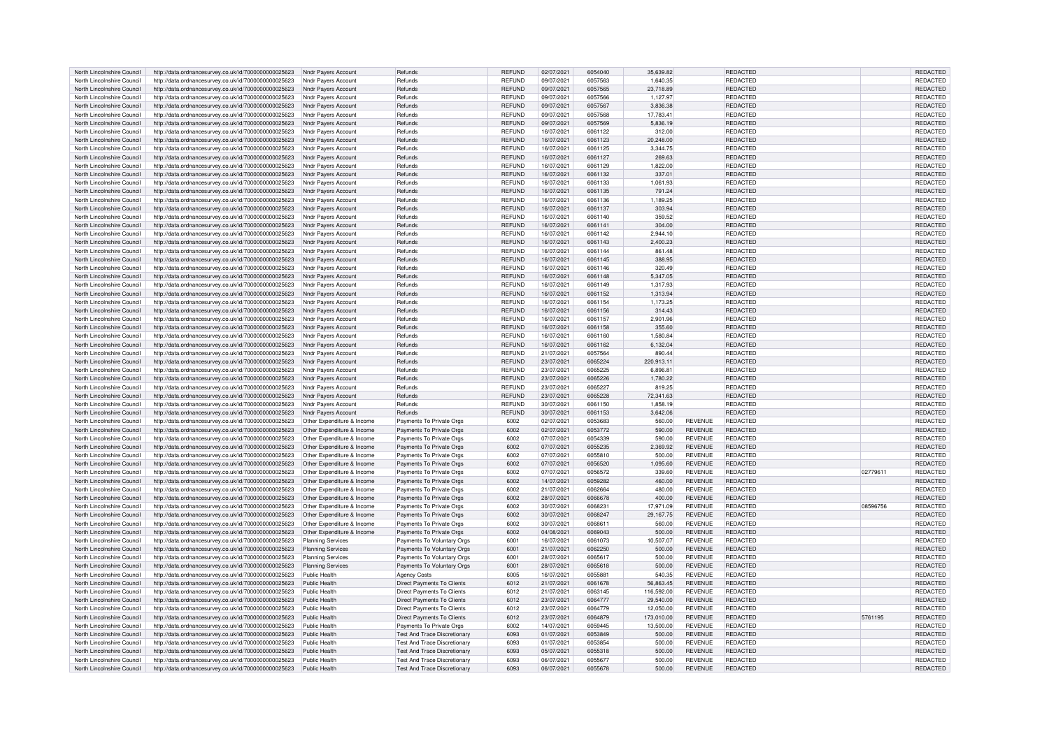| North Lincolnshire Council | http://data.ordnancesurvey.co.uk/id/7000000000025623              | Nndr Pavers Account        | Refunds                             | <b>REFUND</b> | 02/07/2021 | 6054040 | 35,639.82  |                | <b>REDACTED</b> |          | REDACTED        |
|----------------------------|-------------------------------------------------------------------|----------------------------|-------------------------------------|---------------|------------|---------|------------|----------------|-----------------|----------|-----------------|
| North Lincolnshire Council | http://data.ordnancesurvey.co.uk/id/7000000000025623              | Nndr Pavers Account        | Refunds                             | <b>REFUND</b> | 09/07/2021 | 6057563 | 1,640.35   |                | <b>REDACTED</b> |          | <b>REDACTED</b> |
| North Lincolnshire Council | http://data.ordnancesurvey.co.uk/id/7000000000025623              | Nndr Pavers Account        | Refunds                             | <b>REFUND</b> | 09/07/2021 | 6057565 | 23,718.89  |                | <b>REDACTED</b> |          | REDACTED        |
| North Lincolnshire Council | http://data.ordnancesurvey.co.uk/id/7000000000025623              | Nndr Payers Account        | Refunds                             | <b>REFUND</b> | 09/07/2021 | 6057566 | 1,127.97   |                | <b>REDACTED</b> |          | REDACTED        |
| North Lincolnshire Council | http://data.ordnancesurvey.co.uk/id/7000000000025623              | Nndr Pavers Account        | Refunds                             | <b>REFUND</b> | 09/07/2021 | 6057567 | 3.836.38   |                | <b>REDACTED</b> |          | <b>REDACTED</b> |
| North Lincolnshire Council | http://data.ordnancesurvey.co.uk/id/7000000000025623              | Nndr Payers Account        | Refunds                             | REFUND        | 09/07/2021 | 6057568 | 17,783.41  |                | <b>REDACTED</b> |          | REDACTED        |
| North Lincolnshire Council | http://data.ordnancesurvey.co.uk/id/7000000000025623              | <b>Nndr Pavers Account</b> | Refunds                             | <b>REFUND</b> | 09/07/2021 | 6057569 | 5,836.19   |                | <b>REDACTED</b> |          | REDACTED        |
| North Lincolnshire Council | http://data.ordnancesurvey.co.uk/id/7000000000025623              | <b>Nndr Pavers Account</b> | Refunds                             | <b>REFUND</b> | 16/07/2021 | 6061122 | 312.00     |                | <b>REDACTED</b> |          | REDACTED        |
|                            |                                                                   |                            | Refunds                             | <b>REFUND</b> | 16/07/2021 | 6061123 | 20,248.00  |                | <b>REDACTED</b> |          |                 |
| North Lincolnshire Council | http://data.ordnancesurvey.co.uk/id/7000000000025623              | Nndr Payers Account        |                                     |               |            |         |            |                |                 |          | REDACTED        |
| North Lincolnshire Council | http://data.ordnancesurvey.co.uk/id/7000000000025623              | Nndr Pavers Account        | Refunds                             | <b>REFUND</b> | 16/07/2021 | 6061125 | 3.344.75   |                | <b>REDACTED</b> |          | REDACTED        |
| North Lincolnshire Council | http://data.ordnancesurvey.co.uk/id/7000000000025623              | Nndr Payers Account        | Refunds                             | <b>REFUND</b> | 16/07/2021 | 6061127 | 269.63     |                | <b>REDACTED</b> |          | REDACTED        |
| North Lincolnshire Council | http://data.ordnancesurvey.co.uk/id/7000000000025623              | Nndr Payers Account        | Refunds                             | <b>REFUND</b> | 16/07/2021 | 6061129 | 1,822.00   |                | <b>REDACTED</b> |          | REDACTED        |
| North Lincolnshire Council | http://data.ordnancesurvey.co.uk/id/7000000000025623              | Nndr Pavers Account        | Refunds                             | <b>REFUND</b> | 16/07/2021 | 6061132 | 337.01     |                | <b>REDACTED</b> |          | REDACTED        |
| North Lincolnshire Council | http://data.ordnancesurvey.co.uk/id/7000000000025623              | Nndr Payers Account        | Refunds                             | <b>REFUND</b> | 16/07/2021 | 6061133 | 1,061.93   |                | <b>REDACTED</b> |          | REDACTED        |
| North Lincolnshire Council | http://data.ordnancesurvey.co.uk/id/7000000000025623              | Nndr Payers Account        | Refunds                             | <b>REFUND</b> | 16/07/2021 | 6061135 | 791.24     |                | <b>REDACTED</b> |          | REDACTED        |
| North Lincolnshire Council | http://data.ordnancesurvey.co.uk/id/7000000000025623              | Nndr Payers Account        | Refunds                             | <b>REFUND</b> | 16/07/2021 | 6061136 | 1,189.25   |                | <b>REDACTED</b> |          | REDACTED        |
| North Lincolnshire Council | http://data.ordnancesurvey.co.uk/id/7000000000025623              | Nndr Payers Account        | Refunds                             | <b>REFUND</b> | 16/07/2021 | 6061137 | 303.94     |                | <b>REDACTED</b> |          | <b>REDACTED</b> |
| North Lincolnshire Council | http://data.ordnancesurvey.co.uk/id/7000000000025623              | Nndr Payers Account        | Refunds                             | <b>REFUND</b> | 16/07/2021 | 6061140 | 359.52     |                | <b>REDACTED</b> |          | REDACTED        |
| North Lincolnshire Council | http://data.ordnancesurvey.co.uk/id/7000000000025623              | Nndr Payers Account        | Refunds                             | <b>REFUND</b> | 16/07/2021 | 6061141 | 304.00     |                | <b>REDACTED</b> |          | REDACTED        |
| North Lincolnshire Council | http://data.ordnancesurvey.co.uk/id/7000000000025623              | Nndr Payers Account        | Refunds                             | <b>REFUND</b> | 16/07/2021 | 6061142 | 2.944.10   |                | <b>REDACTED</b> |          | <b>REDACTED</b> |
| North Lincolnshire Council | http://data.ordnancesurvey.co.uk/id/7000000000025623              | Nndr Payers Account        | Refunds                             | <b>REFUND</b> | 16/07/2021 | 6061143 | 2,400.23   |                | REDACTED        |          | REDACTED        |
|                            |                                                                   |                            |                                     | <b>REFUND</b> |            | 6061144 |            |                |                 |          |                 |
| North Lincolnshire Council | http://data.ordnancesurvey.co.uk/id/7000000000025623              | Nndr Payers Account        | Refunds                             |               | 16/07/2021 |         | 861.48     |                | <b>REDACTED</b> |          | REDACTED        |
| North Lincolnshire Council | http://data.ordnancesurvey.co.uk/id/7000000000025623              | Nndr Pavers Account        | Refunds                             | <b>REFUND</b> | 16/07/2021 | 6061145 | 388.95     |                | REDACTED        |          | REDACTED        |
| North Lincolnshire Council | http://data.ordnancesurvey.co.uk/id/7000000000025623              | Nndr Pavers Account        | Refunds                             | <b>REFUND</b> | 16/07/2021 | 6061146 | 320.49     |                | REDACTED        |          | REDACTED        |
| North Lincolnshire Council | http://data.ordnancesurvey.co.uk/id/7000000000025623              | Nndr Payers Account        | Refunds                             | <b>REFUND</b> | 16/07/2021 | 6061148 | 5,347.05   |                | REDACTED        |          | REDACTED        |
| North Lincolnshire Council | http://data.ordnancesurvey.co.uk/id/7000000000025623              | Nndr Payers Account        | Refunds                             | <b>REFUND</b> | 16/07/2021 | 6061149 | 1,317.93   |                | <b>REDACTED</b> |          | REDACTED        |
| North Lincolnshire Council | http://data.ordnancesurvey.co.uk/id/7000000000025623              | Nndr Payers Account        | Refunds                             | <b>REFUND</b> | 16/07/2021 | 6061152 | 1,313.94   |                | <b>REDACTED</b> |          | REDACTED        |
| North Lincolnshire Council | http://data.ordnancesurvey.co.uk/id/7000000000025623              | Nndr Payers Account        | Refunds                             | <b>REFUND</b> | 16/07/2021 | 6061154 | 1,173.25   |                | <b>REDACTED</b> |          | REDACTED        |
| North Lincolnshire Council | http://data.ordnancesurvey.co.uk/id/7000000000025623              | Nndr Pavers Account        | Refunds                             | <b>REFUND</b> | 16/07/2021 | 6061156 | 314.43     |                | <b>REDACTED</b> |          | <b>REDACTED</b> |
| North Lincolnshire Council | http://data.ordnancesurvey.co.uk/id/7000000000025623              | Nndr Payers Account        | Refunds                             | <b>REFUND</b> | 16/07/2021 | 6061157 | 2.901.96   |                | <b>REDACTED</b> |          | <b>REDACTED</b> |
| North Lincolnshire Council | http://data.ordnancesurvey.co.uk/id/7000000000025623              | Nndr Pavers Account        | Refunds                             | <b>REFUND</b> | 16/07/2021 | 6061158 | 355.60     |                | REDACTED        |          | REDACTED        |
| North Lincolnshire Council | http://data.ordnancesurvey.co.uk/id/7000000000025623              | <b>Nndr Pavers Account</b> | Refunds                             | <b>REFUND</b> | 16/07/2021 | 6061160 | 1,580.84   |                | <b>REDACTED</b> |          | REDACTED        |
| North Lincolnshire Council | http://data.ordnancesurvey.co.uk/id/7000000000025623              | Nndr Payers Account        | Refunds                             | <b>REFUND</b> | 16/07/2021 | 6061162 | 6,132.04   |                | <b>REDACTED</b> |          | REDACTED        |
| North Lincolnshire Council | http://data.ordnancesurvey.co.uk/id/7000000000025623              | Nndr Pavers Account        | Refunds                             | <b>REFUND</b> | 21/07/2021 | 6057564 | 890.44     |                | <b>REDACTED</b> |          | REDACTED        |
|                            |                                                                   |                            | Refunds                             |               |            |         | 220,913.11 |                |                 |          |                 |
| North Lincolnshire Council | http://data.ordnancesurvey.co.uk/id/7000000000025623              | Nndr Payers Account        |                                     | <b>REFUND</b> | 23/07/2021 | 6065224 |            |                | REDACTED        |          | REDACTED        |
| North Lincolnshire Council | http://data.ordnancesurvey.co.uk/id/7000000000025623              | Nndr Payers Account        | Refunds                             | <b>REFUND</b> | 23/07/2021 | 6065225 | 6,896.81   |                | <b>REDACTED</b> |          | REDACTED        |
| North Lincolnshire Council | http://data.ordnancesurvey.co.uk/id/7000000000025623              | Nndr Payers Account        | Refunds                             | <b>REFUND</b> | 23/07/2021 | 6065226 | 1,780.22   |                | <b>REDACTED</b> |          | REDACTED        |
| North Lincolnshire Council | http://data.ordnancesurvey.co.uk/id/7000000000025623              | Nndr Payers Account        | Refunds                             | <b>REFUND</b> | 23/07/2021 | 6065227 | 819.25     |                | <b>REDACTED</b> |          | REDACTED        |
| North Lincolnshire Council | http://data.ordnancesurvey.co.uk/id/7000000000025623              | Nndr Pavers Account        | Refunds                             | <b>REFUND</b> | 23/07/2021 | 6065228 | 72,341.63  |                | <b>REDACTED</b> |          | REDACTED        |
| North Lincolnshire Council | http://data.ordnancesurvey.co.uk/id/7000000000025623              | Nndr Payers Account        | Refunds                             | <b>REFUND</b> | 30/07/2021 | 6061150 | 1,858.19   |                | <b>REDACTED</b> |          | <b>REDACTED</b> |
| North Lincolnshire Council | http://data.ordnancesurvey.co.uk/id/7000000000025623              | Nndr Payers Account        | Refunds                             | REFUND        | 30/07/2021 | 6061153 | 3,642.06   |                | <b>REDACTED</b> |          | <b>REDACTED</b> |
| North Lincolnshire Council | http://data.ordnancesurvey.co.uk/id/7000000000025623              | Other Expenditure & Income | Payments To Private Orgs            | 6002          | 02/07/2021 | 6053683 | 560.00     | <b>REVENUE</b> | <b>REDACTED</b> |          | REDACTED        |
| North Lincolnshire Council | http://data.ordnancesurvey.co.uk/id/7000000000025623              | Other Expenditure & Income | Payments To Private Orgs            | 6002          | 02/07/2021 | 6053772 | 590.00     | <b>REVENUE</b> | <b>REDACTED</b> |          | REDACTED        |
| North Lincolnshire Council | http://data.ordnancesurvey.co.uk/id/7000000000025623              | Other Expenditure & Income | Payments To Private Orgs            | 6002          | 07/07/2021 | 6054339 | 590.00     | <b>REVENUE</b> | <b>REDACTED</b> |          | <b>REDACTED</b> |
| North Lincolnshire Council | http://data.ordnancesurvey.co.uk/id/7000000000025623              | Other Expenditure & Income | Payments To Private Orgs            | 6002          | 07/07/2021 | 6055235 | 2,369.92   | <b>REVENUE</b> | <b>REDACTED</b> |          | REDACTED        |
| North Lincolnshire Council | http://data.ordnancesurvey.co.uk/id/7000000000025623              | Other Expenditure & Income | Payments To Private Orgs            | 6002          | 07/07/2021 | 6055810 | 500.00     | <b>REVENUE</b> | <b>REDACTED</b> |          | REDACTED        |
| North Lincolnshire Council | http://data.ordnancesurvey.co.uk/id/7000000000025623              | Other Expenditure & Income | Payments To Private Orgs            | 6002          | 07/07/2021 | 6056520 | 1,095.60   | <b>REVENUE</b> | REDACTED        |          | REDACTED        |
| North Lincolnshire Council | http://data.ordnancesurvey.co.uk/id/7000000000025623              | Other Expenditure & Income | Payments To Private Oras            | 6002          | 07/07/2021 | 6056572 | 339.60     | <b>REVENUE</b> | REDACTED        | 02779611 | <b>REDACTED</b> |
| North Lincolnshire Council |                                                                   |                            | Payments To Private Orgs            | 6002          | 14/07/2021 | 6059282 | 460.00     | <b>REVENUE</b> | <b>REDACTED</b> |          | REDACTED        |
|                            | http://data.ordnancesurvey.co.uk/id/7000000000025623              | Other Expenditure & Income |                                     | 6002          |            | 6062664 |            |                | <b>REDACTED</b> |          | <b>REDACTED</b> |
| North Lincolnshire Council | http://data.ordnancesurvey.co.uk/id/7000000000025623              | Other Expenditure & Income | Payments To Private Orgs            |               | 21/07/2021 |         | 480.00     | <b>REVENUE</b> |                 |          |                 |
| North Lincolnshire Council | http://data.ordnancesurvey.co.uk/id/7000000000025623              | Other Expenditure & Income | Payments To Private Orgs            | 6002          | 28/07/2021 | 6066678 | 400.00     | <b>REVENUE</b> | <b>REDACTED</b> |          | <b>REDACTED</b> |
| North Lincolnshire Council | http://data.ordnancesurvey.co.uk/id/7000000000025623              | Other Expenditure & Income | Payments To Private Orgs            | 6002          | 30/07/2021 | 606823  | 17,971.09  | <b>REVENUE</b> | <b>REDACTED</b> | 08596756 | REDACTED        |
| North Lincolnshire Council | http://data.ordnancesurvey.co.uk/id/7000000000025623              | Other Expenditure & Income | Payments To Private Orgs            | 6002          | 30/07/2021 | 6068247 | 29.167.75  | <b>REVENUE</b> | <b>REDACTED</b> |          | REDACTED        |
| North Lincolnshire Council | http://data.ordnancesurvey.co.uk/id/7000000000025623              | Other Expenditure & Income | Payments To Private Orgs            | 6002          | 30/07/2021 | 6068611 | 560.00     | <b>REVENUE</b> | <b>REDACTED</b> |          | REDACTED        |
| North Lincolnshire Council | http://data.ordnancesurvey.co.uk/id/7000000000025623              | Other Expenditure & Income | Payments To Private Orgs            | 6002          | 04/08/2021 | 6069043 | 500.00     | <b>REVENUE</b> | <b>REDACTED</b> |          | REDACTED        |
| North Lincolnshire Council | http://data.ordnancesurvey.co.uk/id/7000000000025623              | <b>Planning Services</b>   | Payments To Voluntary Orgs          | 6001          | 16/07/2021 | 6061073 | 10,507.07  | <b>REVENUE</b> | <b>REDACTED</b> |          | REDACTED        |
| North Lincolnshire Council | http://data.ordnancesurvey.co.uk/id/7000000000025623              | <b>Planning Services</b>   | Payments To Voluntary Orgs          | 6001          | 21/07/2021 | 6062250 | 500.00     | <b>REVENUE</b> | <b>REDACTED</b> |          | REDACTED        |
| North Lincolnshire Council | http://data.ordnancesurvey.co.uk/id/7000000000025623              | <b>Planning Services</b>   | Payments To Voluntary Orgs          | 6001          | 28/07/2021 | 6065617 | 500.00     | <b>REVENUE</b> | <b>REDACTED</b> |          | REDACTED        |
| North Lincolnshire Council | http://data.ordnancesurvey.co.uk/id/7000000000025623              | Planning Services          | Payments To Voluntary Orgs          | 6001          | 28/07/2021 | 6065618 | 500.00     | <b>REVENUE</b> | <b>REDACTED</b> |          | <b>REDACTED</b> |
| North Lincolnshire Council | http://data.ordnancesurvey.co.uk/id/7000000000025623              | Public Health              | <b>Agency Costs</b>                 | 6005          | 16/07/2021 | 605588  | 540.35     | <b>REVENUE</b> | <b>REDACTED</b> |          | REDACTED        |
| North Lincolnshire Council | http://data.ordnancesurvey.co.uk/id/7000000000025623              | Public Health              | <b>Direct Payments To Clients</b>   | 6012          | 21/07/2021 | 6061678 | 56,863.45  | <b>REVENUE</b> | REDACTED        |          | REDACTED        |
| North Lincolnshire Council | http://data.ordnancesurvey.co.uk/id/7000000000025623              | Public Health              | <b>Direct Payments To Clients</b>   | 6012          | 21/07/2021 | 6063145 | 116,592.00 | <b>REVENUE</b> | REDACTED        |          | REDACTED        |
| North Lincolnshire Council | http://data.ordnancesurvey.co.uk/id/7000000000025623              | Public Health              | <b>Direct Payments To Clients</b>   | 6012          | 23/07/2021 | 6064777 | 29,540.00  | <b>REVENUE</b> | <b>REDACTED</b> |          | REDACTED        |
| North Lincolnshire Council | http://data.ordnancesurvey.co.uk/id/7000000000025623              | Public Health              | Direct Payments To Clients          | 6012          | 23/07/2021 | 6064779 | 12,050.00  | REVENUE        | <b>REDACTED</b> |          | REDACTED        |
|                            |                                                                   |                            |                                     |               |            |         |            |                |                 |          |                 |
| North Lincolnshire Council | http://data.ordnancesurvey.co.uk/id/7000000000025623              | Public Health              | <b>Direct Payments To Clients</b>   | 6012          | 23/07/2021 | 6064879 | 173,010.00 | <b>REVENUE</b> | <b>REDACTED</b> | 5761195  | <b>REDACTED</b> |
| North Lincolnshire Council | http://data.ordnancesurvey.co.uk/id/7000000000025623              | Public Health              | Payments To Private Orgs            | 6002          | 14/07/2021 | 6059445 | 13,500.00  | <b>REVENUE</b> | REDACTED        |          | REDACTED        |
| North Lincolnshire Council | http://data.ordnancesurvey.co.uk/id/7000000000025623              | Public Health              | <b>Test And Trace Discretionary</b> | 6093          | 01/07/2021 | 6053849 | 500.00     | <b>REVENUE</b> | <b>REDACTED</b> |          | REDACTED        |
| North Lincolnshire Council | http://data.ordnancesurvey.co.uk/id/7000000000025623              | Public Health              | <b>Test And Trace Discretionary</b> | 6093          | 01/07/2021 | 6053854 | 500.00     | <b>REVENUE</b> | <b>REDACTED</b> |          | REDACTED        |
| North Lincolnshire Council | http://data.ordnancesurvey.co.uk/id/7000000000025623              | Public Health              | <b>Test And Trace Discretionary</b> | 6093          | 05/07/202  | 6055318 | 500.00     | <b>REVENUE</b> | <b>REDACTED</b> |          | REDACTED        |
| North Lincolnshire Council | http://data.ordnancesurvey.co.uk/id/7000000000025623              | Public Health              | Test And Trace Discretionary        | <b>6093</b>   | 06/07/2021 | 6055677 | 500.00     | <b>REVENUE</b> | <b>REDACTED</b> |          | <b>REDACTED</b> |
| North Lincolnshire Council | http://data.ordnancesurvey.co.uk/id/700000000025623 Public Health |                            | <b>Test And Trace Discretionary</b> | 6093          | 06/07/2021 | 6055678 | 500.00     | <b>REVENUE</b> | <b>REDACTED</b> |          | REDACTED        |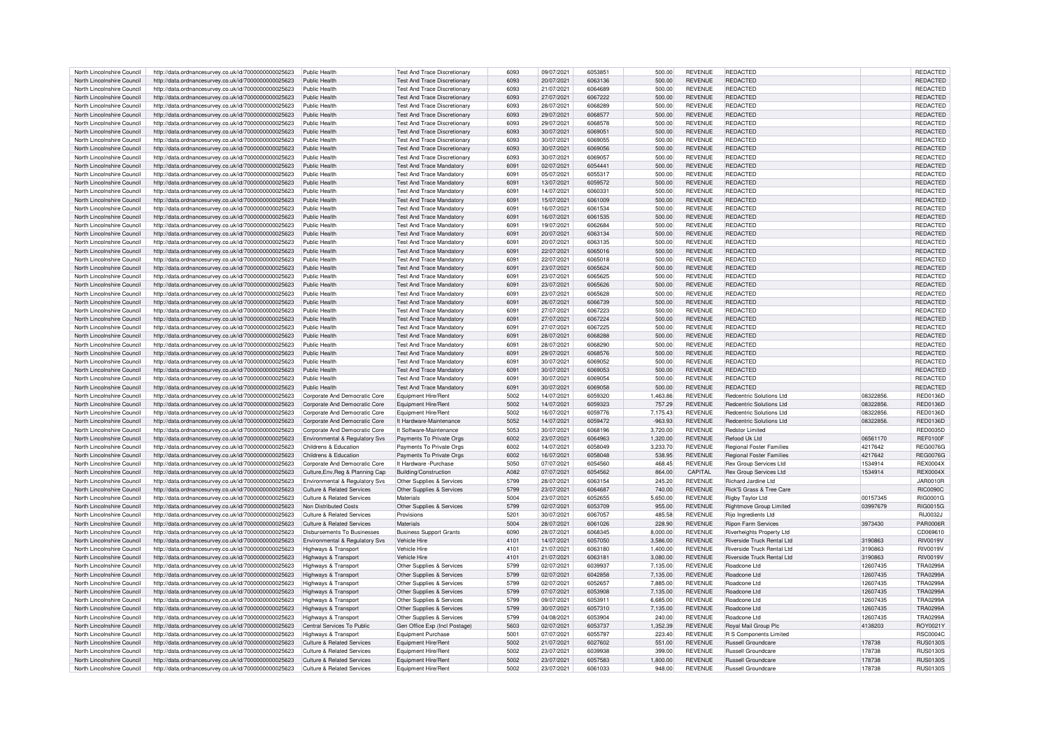| North Lincolnshire Council                               | http://data.ordnancesurvey.co.uk/id/7000000000025623                                                         | Public Health                                            | Test And Trace Discretionary               | 6093         | 09/07/2021               | 6053851            | 500.00             | <b>REVENUE</b>                   | REDACTED                                        |                  | REDACTED                           |
|----------------------------------------------------------|--------------------------------------------------------------------------------------------------------------|----------------------------------------------------------|--------------------------------------------|--------------|--------------------------|--------------------|--------------------|----------------------------------|-------------------------------------------------|------------------|------------------------------------|
| North Lincolnshire Council                               | http://data.ordnancesurvey.co.uk/id/7000000000025623                                                         | Public Health                                            | <b>Test And Trace Discretionary</b>        | 6093         | 20/07/2021               | 6063136            | 500.00             | <b>REVENUE</b>                   | <b>REDACTED</b>                                 |                  | REDACTED                           |
| North Lincolnshire Council                               | http://data.ordnancesurvey.co.uk/id/7000000000025623                                                         | Public Health                                            | Test And Trace Discretionary               | 6093         | 21/07/2021               | 6064689            | 500.00             | <b>REVENUE</b>                   | REDACTED                                        |                  | <b>REDACTED</b>                    |
|                                                          |                                                                                                              |                                                          |                                            |              |                          |                    |                    |                                  |                                                 |                  |                                    |
| North Lincolnshire Council                               | http://data.ordnancesurvey.co.uk/id/7000000000025623                                                         | Public Health                                            | <b>Test And Trace Discretionary</b>        | 6093         | 27/07/2021               | 6067222            | 500.00             | <b>REVENUE</b>                   | <b>REDACTED</b>                                 |                  | REDACTED                           |
| North Lincolnshire Council                               | http://data.ordnancesurvey.co.uk/id/7000000000025623                                                         | Public Health                                            | <b>Test And Trace Discretionary</b>        | 6093         | 28/07/2021               | 6068289            | 500.00             | <b>REVENUE</b>                   | <b>REDACTED</b>                                 |                  | REDACTED                           |
| North Lincolnshire Council                               | http://data.ordnancesurvey.co.uk/id/7000000000025623                                                         | <b>Public Health</b>                                     | <b>Test And Trace Discretionary</b>        | 6093         | 29/07/2021               | 6068577            | 500.00             | <b>REVENUE</b>                   | REDACTED                                        |                  | REDACTED                           |
| North Lincolnshire Council                               | http://data.ordnancesurvey.co.uk/id/7000000000025623                                                         | Public Health                                            | <b>Test And Trace Discretionary</b>        | 6093         | 29/07/2021               | 6068578            | 500.00             | <b>REVENUE</b>                   | REDACTED                                        |                  | REDACTED                           |
| North Lincolnshire Council                               | http://data.ordnancesurvey.co.uk/id/7000000000025623                                                         | Public Health                                            | <b>Test And Trace Discretionary</b>        | 6093         | 30/07/2021               | 6069051            | 500.00             | <b>REVENUE</b>                   | REDACTED                                        |                  | <b>REDACTED</b>                    |
| North Lincolnshire Council                               | http://data.ordnancesurvey.co.uk/id/7000000000025623                                                         | Public Health                                            | Test And Trace Discretionary               | 6093         | 30/07/2021               | 6069055            | 500.00             | <b>REVENUE</b>                   | REDACTED                                        |                  | <b>REDACTED</b>                    |
| North Lincolnshire Council                               | http://data.ordnancesurvey.co.uk/id/7000000000025623                                                         | Public Health                                            | <b>Test And Trace Discretionary</b>        | 6093         | 30/07/2021               | 6069056            | 500.00             | <b>REVENUE</b>                   | REDACTED                                        |                  | REDACTED                           |
| North Lincolnshire Council                               | http://data.ordnancesurvey.co.uk/id/7000000000025623                                                         | Public Health                                            | <b>Test And Trace Discretionary</b>        | 6093         | 30/07/2021               | 6069057            | 500.00             | <b>REVENUE</b>                   | <b>REDACTED</b>                                 |                  | <b>REDACTED</b>                    |
|                                                          |                                                                                                              |                                                          |                                            |              |                          |                    |                    |                                  |                                                 |                  |                                    |
| North Lincolnshire Council                               | http://data.ordnancesurvey.co.uk/id/7000000000025623                                                         | Public Health                                            | <b>Test And Trace Mandatory</b>            | 6091         | 02/07/2021               | 6054441            | 500.00             | <b>REVENUE</b>                   | REDACTED                                        |                  | REDACTED                           |
| North Lincolnshire Council                               | http://data.ordnancesurvey.co.uk/id/7000000000025623                                                         | Public Health                                            | <b>Test And Trace Mandatory</b>            | 6091         | 05/07/2021               | 6055317            | 500.00             | <b>REVENUE</b>                   | REDACTED                                        |                  | REDACTED                           |
| North Lincolnshire Council                               | http://data.ordnancesurvey.co.uk/id/7000000000025623                                                         | Public Health                                            | <b>Test And Trace Mandatory</b>            | 6091         | 13/07/2021               | 6059572            | 500.00             | <b>REVENUE</b>                   | <b>REDACTED</b>                                 |                  | REDACTED                           |
| North Lincolnshire Council                               | http://data.ordnancesurvey.co.uk/id/7000000000025623                                                         | Public Health                                            | <b>Test And Trace Mandatory</b>            | 6091         | 14/07/2021               | 606033             | 500.00             | <b>REVENUE</b>                   | REDACTED                                        |                  | REDACTED                           |
| North Lincolnshire Council                               | http://data.ordnancesurvey.co.uk/id/7000000000025623                                                         | Public Health                                            | Test And Trace Mandatory                   | 609          | 15/07/2021               | 6061009            | 500.00             | <b>REVENUE</b>                   | <b>REDACTED</b>                                 |                  | <b>REDACTED</b>                    |
| North Lincolnshire Council                               | http://data.ordnancesurvey.co.uk/id/7000000000025623                                                         | Public Health                                            | <b>Test And Trace Mandatory</b>            | 6091         | 16/07/2021               | 6061534            | 500.00             | <b>REVENUE</b>                   | REDACTED                                        |                  | REDACTED                           |
| North Lincolnshire Council                               | http://data.ordnancesurvey.co.uk/id/7000000000025623                                                         | Public Health                                            | <b>Test And Trace Mandatory</b>            | 609          | 16/07/2021               | 6061535            | 500.00             | <b>REVENUE</b>                   | REDACTED                                        |                  | <b>REDACTED</b>                    |
| North Lincolnshire Council                               | http://data.ordnancesurvey.co.uk/id/7000000000025623                                                         | Public Health                                            | <b>Test And Trace Mandatory</b>            | 6091         | 19/07/2021               | 6062684            | 500.00             | <b>REVENUE</b>                   | <b>REDACTED</b>                                 |                  | REDACTED                           |
|                                                          |                                                                                                              |                                                          |                                            |              |                          |                    |                    |                                  |                                                 |                  |                                    |
| North Lincolnshire Council                               | http://data.ordnancesurvey.co.uk/id/7000000000025623                                                         | Public Health                                            | <b>Test And Trace Mandatory</b>            | 6091         | 20/07/2021               | 6063134            | 500.00             | <b>REVENUE</b>                   | REDACTED                                        |                  | REDACTED                           |
| North Lincolnshire Council                               | http://data.ordnancesurvey.co.uk/id/7000000000025623                                                         | Public Health                                            | <b>Test And Trace Mandatory</b>            | 609          | 20/07/2021               | 6063135            | 500.00             | REVENUE                          | <b>REDACTED</b>                                 |                  | <b>REDACTEI</b>                    |
| North Lincolnshire Council                               | http://data.ordnancesurvey.co.uk/id/7000000000025623                                                         | Public Health                                            | <b>Test And Trace Mandatory</b>            | 6091         | 22/07/2021               | 6065016            | 500.00             | <b>REVENUE</b>                   | REDACTED                                        |                  | REDACTED                           |
| North Lincolnshire Council                               | http://data.ordnancesurvey.co.uk/id/7000000000025623                                                         | Public Health                                            | <b>Test And Trace Mandatory</b>            | 6091         | 22/07/2021               | 6065018            | 500.00             | <b>REVENUE</b>                   | REDACTED                                        |                  | REDACTED                           |
| North Lincolnshire Council                               | http://data.ordnancesurvey.co.uk/id/7000000000025623                                                         | Public Health                                            | <b>Test And Trace Mandatory</b>            | 6091         | 23/07/2021               | 6065624            | 500.00             | <b>REVENUE</b>                   | <b>REDACTED</b>                                 |                  | REDACTED                           |
| North Lincolnshire Council                               | http://data.ordnancesurvey.co.uk/id/7000000000025623                                                         | Public Health                                            | Test And Trace Mandatory                   | 609          | 23/07/2021               | 6065625            | 500.00             | <b>REVENUE</b>                   | REDACTED                                        |                  | REDACTED                           |
| North Lincolnshire Council                               | http://data.ordnancesurvey.co.uk/id/7000000000025623                                                         | Public Health                                            | <b>Test And Trace Mandatory</b>            | 609          | 23/07/2021               | 6065626            | 500.00             | <b>REVENUE</b>                   | <b>REDACTED</b>                                 |                  | <b>REDACTED</b>                    |
| North Lincolnshire Council                               | http://data.ordnancesurvey.co.uk/id/7000000000025623                                                         | Public Health                                            | <b>Test And Trace Mandatory</b>            | 6091         | 23/07/2021               | 6065628            | 500.00             | <b>REVENUE</b>                   | REDACTED                                        |                  | REDACTED                           |
|                                                          |                                                                                                              | Public Health                                            |                                            | 6091         |                          | 6066739            |                    |                                  | <b>REDACTED</b>                                 |                  | <b>REDACTED</b>                    |
| North Lincolnshire Council                               | http://data.ordnancesurvey.co.uk/id/7000000000025623                                                         |                                                          | <b>Test And Trace Mandatory</b>            |              | 26/07/2021               |                    | 500.00             | <b>REVENUE</b>                   |                                                 |                  |                                    |
| North Lincolnshire Council                               | http://data.ordnancesurvey.co.uk/id/7000000000025623                                                         | Public Health                                            | <b>Test And Trace Mandatory</b>            | 6091         | 27/07/2021               | 6067223            | 500.00             | <b>REVENUE</b>                   | <b>REDACTED</b>                                 |                  | <b>REDACTED</b>                    |
| North Lincolnshire Council                               | http://data.ordnancesurvey.co.uk/id/7000000000025623                                                         | Public Health                                            | <b>Test And Trace Mandatory</b>            | 6091         | 27/07/2021               | 6067224            | 500.00             | <b>REVENUE</b>                   | REDACTED                                        |                  | REDACTED                           |
| North Lincolnshire Council                               | http://data.ordnancesurvey.co.uk/id/7000000000025623                                                         | Public Health                                            | <b>Test And Trace Mandatory</b>            | 6091         | 27/07/2021               | 6067225            | 500.00             | <b>REVENUE</b>                   | <b>REDACTED</b>                                 |                  | <b>REDACTED</b>                    |
| North Lincolnshire Council                               | http://data.ordnancesurvey.co.uk/id/7000000000025623                                                         | Public Health                                            | <b>Test And Trace Mandatory</b>            | 6091         | 28/07/2021               | 6068288            | 500.00             | <b>REVENUE</b>                   | <b>REDACTED</b>                                 |                  | <b>REDACTED</b>                    |
| North Lincolnshire Council                               | http://data.ordnancesurvey.co.uk/id/7000000000025623                                                         | Public Health                                            | <b>Test And Trace Mandatory</b>            | 6091         | 28/07/2021               | 6068290            | 500.00             | <b>REVENUE</b>                   | <b>REDACTED</b>                                 |                  | REDACTED                           |
| North Lincolnshire Council                               | http://data.ordnancesurvey.co.uk/id/7000000000025623                                                         | Public Health                                            | <b>Test And Trace Mandatory</b>            | 6091         | 29/07/2021               | 6068576            | 500.00             | <b>REVENUE</b>                   | <b>REDACTED</b>                                 |                  | REDACTED                           |
| North Lincolnshire Council                               | http://data.ordnancesurvey.co.uk/id/7000000000025623                                                         | Public Health                                            | Test And Trace Mandatory                   | 6091         | 30/07/2021               | 6069052            | 500.00             | <b>REVENUE</b>                   | <b>REDACTED</b>                                 |                  | REDACTED                           |
|                                                          |                                                                                                              |                                                          |                                            |              |                          |                    |                    |                                  |                                                 |                  |                                    |
|                                                          |                                                                                                              |                                                          |                                            |              |                          |                    |                    |                                  |                                                 |                  |                                    |
| North Lincolnshire Council                               | http://data.ordnancesurvey.co.uk/id/7000000000025623                                                         | Public Health                                            | <b>Test And Trace Mandatory</b>            | 6091         | 30/07/2021               | 6069053            | 500.00             | <b>REVENUE</b>                   | <b>REDACTED</b>                                 |                  | REDACTED                           |
| North Lincolnshire Council                               | http://data.ordnancesurvey.co.uk/id/7000000000025623                                                         | Public Health                                            | <b>Test And Trace Mandatory</b>            | 6091         | 30/07/2021               | 6069054            | 500.00             | <b>REVENUE</b>                   | <b>REDACTED</b>                                 |                  | <b>REDACTED</b>                    |
| North Lincolnshire Council                               | http://data.ordnancesurvey.co.uk/id/7000000000025623                                                         | Public Health                                            | <b>Test And Trace Mandatory</b>            | 6091         | 30/07/2021               | 6069058            | 500.00             | <b>REVENUE</b>                   | <b>REDACTED</b>                                 |                  | <b>REDACTED</b>                    |
| North Lincolnshire Council                               | http://data.ordnancesurvey.co.uk/id/7000000000025623                                                         | Corporate And Democratic Core                            | Equipment Hire/Rent                        | 5002         | 14/07/2021               | 6059320            | 1,463.86           | <b>REVENUE</b>                   | <b>Redcentric Solutions Ltd</b>                 | 08322856         | <b>RED0136D</b>                    |
| North Lincolnshire Council                               | http://data.ordnancesurvey.co.uk/id/7000000000025623                                                         | Corporate And Democratic Core                            | Equipment Hire/Rent                        | 5002         | 14/07/2021               | 6059323            | 757.29             | <b>REVENUE</b>                   | <b>Redcentric Solutions Ltd</b>                 | 08322856         | <b>RED0136D</b>                    |
| North Lincolnshire Council                               | http://data.ordnancesurvey.co.uk/id/7000000000025623                                                         | Corporate And Democratic Core                            | Equipment Hire/Rent                        | 5002         | 16/07/2021               | 6059776            | 7,175.43           | <b>REVENUE</b>                   | <b>Redcentric Solutions Ltd</b>                 | 08322856         | <b>RED0136D</b>                    |
| North Lincolnshire Council                               | http://data.ordnancesurvey.co.uk/id/7000000000025623                                                         | Corporate And Democratic Core                            | It Hardware-Maintenance                    | 5052         | 14/07/2021               | 6059472            | $-963.93$          | <b>REVENUE</b>                   | Redcentric Solutions Ltd                        | 08322856         | <b>RED0136D</b>                    |
| North Lincolnshire Council                               |                                                                                                              | Corporate And Democratic Core                            | It Software-Maintenance                    | 5053         |                          | 6068196            | 3,720.00           | <b>REVENUE</b>                   | Redstor Limited                                 |                  | <b>RED0035D</b>                    |
|                                                          | http://data.ordnancesurvey.co.uk/id/7000000000025623                                                         |                                                          |                                            |              | 30/07/2021               |                    |                    |                                  |                                                 |                  |                                    |
| North Lincolnshire Council                               | http://data.ordnancesurvey.co.uk/id/7000000000025623                                                         | Environmental & Regulatory Svs                           | Payments To Private Orgs                   | 6002         | 23/07/2021               | 6064963            | 1,320.00           | <b>REVENUE</b>                   | Refood Uk Ltd                                   | 06561170         | <b>REF0100F</b>                    |
| North Lincolnshire Council                               | http://data.ordnancesurvey.co.uk/id/7000000000025623                                                         | Childrens & Education                                    | Payments To Private Orgs                   | 6002         | 14/07/2021               | 6058049            | 3,233.70           | <b>REVENUE</b>                   | <b>Regional Foster Families</b>                 | 4217642          | <b>REG0076G</b>                    |
| North Lincolnshire Council                               | http://data.ordnancesurvey.co.uk/id/7000000000025623                                                         | Childrens & Education                                    | Payments To Private Orgs                   | 6002         | 16/07/2021               | 6058048            | 538.95             | <b>REVENUE</b>                   | <b>Regional Foster Families</b>                 | 4217642          | <b>REG0076G</b>                    |
| North Lincolnshire Council                               | http://data.ordnancesurvey.co.uk/id/7000000000025623                                                         | Corporate And Democratic Core                            | It Hardware - Purchase                     | 5050         | 07/07/2021               | 6054560            | 468.45             | <b>REVENUE</b>                   | <b>Rex Group Services Ltd</b>                   | 1534914          | <b>REX0004X</b>                    |
| North Lincolnshire Council                               | http://data.ordnancesurvey.co.uk/id/7000000000025623                                                         | Culture, Env, Reg & Planning Cap                         | <b>Building/Construction</b>               | A082         | 07/07/2021               | 6054562            | 864.00             | CAPITAL                          | Rex Group Services Ltd                          | 1534914          | <b>REX0004X</b>                    |
| North Lincolnshire Council                               | http://data.ordnancesurvey.co.uk/id/7000000000025623                                                         | Environmental & Regulatory Svs                           | Other Supplies & Services                  | 5799         | 28/07/2021               | 6063154            | 245.20             | <b>REVENUE</b>                   | Richard Jardine Ltd                             |                  | <b>JAR0010R</b>                    |
| North Lincolnshire Council                               | http://data.ordnancesurvey.co.uk/id/7000000000025623                                                         | Culture & Related Services                               | Other Supplies & Services                  | 5799         | 23/07/2021               | 6064687            | 740.00             | <b>REVENUE</b>                   | <b>Rick'S Grass &amp; Tree Care</b>             |                  | <b>RIC0090C</b>                    |
| North Lincolnshire Council                               | http://data.ordnancesurvey.co.uk/id/7000000000025623                                                         | <b>Culture &amp; Related Services</b>                    | Materials                                  | 5004         | 23/07/2021               | 6052655            | 5,650.00           | <b>REVENUE</b>                   | Rigby Taylor Ltd                                | 00157345         | RIG0001G                           |
| North Lincolnshire Council                               | http://data.ordnancesurvey.co.uk/id/7000000000025623                                                         | Non Distributed Costs                                    | Other Supplies & Services                  | 5799         | 02/07/2021               | 6053709            | 955.00             | <b>REVENUE</b>                   | <b>Rightmove Group Limited</b>                  | 03997679         | RIG0015G                           |
| North Lincolnshire Council                               | http://data.ordnancesurvey.co.uk/id/7000000000025623                                                         | Culture & Related Services                               | Provisions                                 | 5201         | 30/07/2021               | 6067057            | 485.58             | <b>REVENUE</b>                   | Rijo Ingredients Ltd                            |                  | RIJ0032J                           |
|                                                          |                                                                                                              |                                                          | Materials                                  |              | 28/07/2021               |                    | 228.90             | <b>REVENUE</b>                   | <b>Ripon Farm Services</b>                      |                  |                                    |
| North Lincolnshire Council                               | http://data.ordnancesurvey.co.uk/id/7000000000025623                                                         | <b>Culture &amp; Related Services</b>                    |                                            | 5004         |                          | 6061026            |                    |                                  |                                                 | 3973430          | <b>PAR0006R</b>                    |
| North Lincolnshire Council                               | http://data.ordnancesurvey.co.uk/id/7000000000025623                                                         | Disbursements To Businesser                              | <b>Business Support Grants</b>             | 6090         | 28/07/2021               | 6068345            | 8.000.00           | <b>REVENUE</b>                   | <b>Riverheights Property Ltd</b>                |                  | CD069610                           |
| North Lincolnshire Council                               | http://data.ordnancesurvey.co.uk/id/7000000000025623                                                         | Environmental & Regulatory Svs                           | Vehicle Hire                               | 4101         | 14/07/2021               | 6057050            | 3,586.00           | <b>REVENUE</b>                   | Riverside Truck Rental Ltd                      | 3190863          | <b>RIV0019V</b>                    |
| North Lincolnshire Council                               | http://data.ordnancesurvey.co.uk/id/7000000000025623                                                         | Highways & Transport                                     | Vehicle Hire                               | 4101         | 21/07/2021               | 6063180            | 1,400.00           | <b>REVENUE</b>                   | <b>Riverside Truck Rental Ltd</b>               | 3190863          | RIV0019V                           |
| North Lincolnshire Council                               | http://data.ordnancesurvey.co.uk/id/7000000000025623                                                         | Highways & Transport                                     | Vehicle Hire                               | 4101         | 21/07/2021               | 6063181            | 3,080.00           | <b>REVENUE</b>                   | Riverside Truck Rental Ltd                      | 3190863          | <b>RIV0019V</b>                    |
| North Lincolnshire Council                               | http://data.ordnancesurvey.co.uk/id/7000000000025623                                                         | Highways & Transport                                     | Other Supplies & Services                  | 5799         | 02/07/2021               | 6039937            | 7,135.00           | <b>REVENUE</b>                   | Roadcone Ltd                                    | 12607435         | <b>TRA0299A</b>                    |
| North Lincolnshire Council                               | http://data.ordnancesurvey.co.uk/id/7000000000025623                                                         | Highways & Transport                                     | Other Supplies & Services                  | 5799         | 02/07/2021               | 6042858            | 7,135.00           | <b>REVENUE</b>                   | Roadcone I td                                   | 12607435         | <b>TRA0299A</b>                    |
| North Lincolnshire Council                               | http://data.ordnancesurvey.co.uk/id/7000000000025623                                                         | Highways & Transport                                     | Other Supplies & Services                  | 5799         | 02/07/2021               | 6052657            | 7,885.00           | <b>REVENUE</b>                   | Roadcone Ltd                                    | 12607435         | <b>TRA0299A</b>                    |
| North Lincolnshire Council                               | http://data.ordnancesurvey.co.uk/id/7000000000025623                                                         | Highways & Transport                                     | Other Supplies & Services                  | 5799         | 07/07/2021               | 6053908            | 7,135.00           | <b>REVENUE</b>                   | Roadcone Ltd                                    | 12607435         | <b>TRA0299A</b>                    |
| North Lincolnshire Council                               |                                                                                                              |                                                          |                                            | 5799         |                          | 605391             |                    | <b>REVENUE</b>                   | Roadcone Ltd                                    | 12607435         | <b>TRA0299A</b>                    |
|                                                          | http://data.ordnancesurvey.co.uk/id/7000000000025623                                                         | Highways & Transport                                     | Other Supplies & Services                  |              | 09/07/2021               |                    | 6,685.00           |                                  |                                                 |                  |                                    |
| North Lincolnshire Council                               | http://data.ordnancesurvey.co.uk/id/7000000000025623                                                         | Highways & Transport                                     | Other Supplies & Services                  | 5799         | 30/07/2021               | 6057310            | 7,135.00           | <b>REVENUE</b>                   | Roadcone Ltd                                    | 12607435         | <b>TRA0299A</b>                    |
| North Lincolnshire Council                               | http://data.ordnancesurvey.co.uk/id/7000000000025623                                                         | Highways & Transport                                     | Other Supplies & Services                  | 5799         | 04/08/2021               | 6053904            | 240.00             | <b>REVENUE</b>                   | Roadcone Ltd                                    | 12607435         | <b>TRA0299A</b>                    |
| North Lincolnshire Council                               | http://data.ordnancesurvey.co.uk/id/7000000000025623                                                         | Central Services To Public                               | Gen Office Exp (Incl Postage)              | 5603         | 02/07/2021               | 6053737            | 1.352.39           | <b>REVENUE</b>                   | Royal Mail Group Plc                            | 4138203          | ROY0021Y                           |
| North Lincolnshire Council                               | http://data.ordnancesurvey.co.uk/id/7000000000025623                                                         | Highways & Transport                                     | Equipment Purchase                         | 5001         | 07/07/2021               | 6055797            | 223.40             | <b>REVENUE</b>                   | R S Components Limited                          |                  | <b>RSC0004C</b>                    |
| North Lincolnshire Council                               | http://data.ordnancesurvey.co.uk/id/7000000000025623                                                         | Culture & Related Services                               | Equipment Hire/Rent                        | 5002         | 21/07/2021               | 6027602            | 551.00             | <b>REVENUE</b>                   | <b>Russell Groundcare</b>                       | 178738           | <b>RUS0130S</b>                    |
| North Lincolnshire Council                               | http://data.ordnancesurvey.co.uk/id/7000000000025623                                                         | Culture & Related Services                               | Equipment Hire/Rent                        | 5002         | 23/07/2021               | 6039938            | 399.00             | <b>REVENUE</b>                   | <b>Russell Groundcare</b>                       | 178738           | <b>RUS0130S</b>                    |
| North Lincolnshire Council<br>North Lincolnshire Council | http://data.ordnancesurvey.co.uk/id/7000000000025623<br>http://data.ordnancesurvey.co.uk/id/7000000000025623 | Culture & Related Services<br>Culture & Related Services | Equipment Hire/Rent<br>Equipment Hire/Rent | 5002<br>5002 | 23/07/2021<br>23/07/2021 | 6057583<br>6061033 | 1,800.00<br>948.00 | <b>REVENUE</b><br><b>REVENUE</b> | Russell Groundcare<br><b>Russell Groundcare</b> | 178738<br>178738 | <b>RUS0130S</b><br><b>RUS0130S</b> |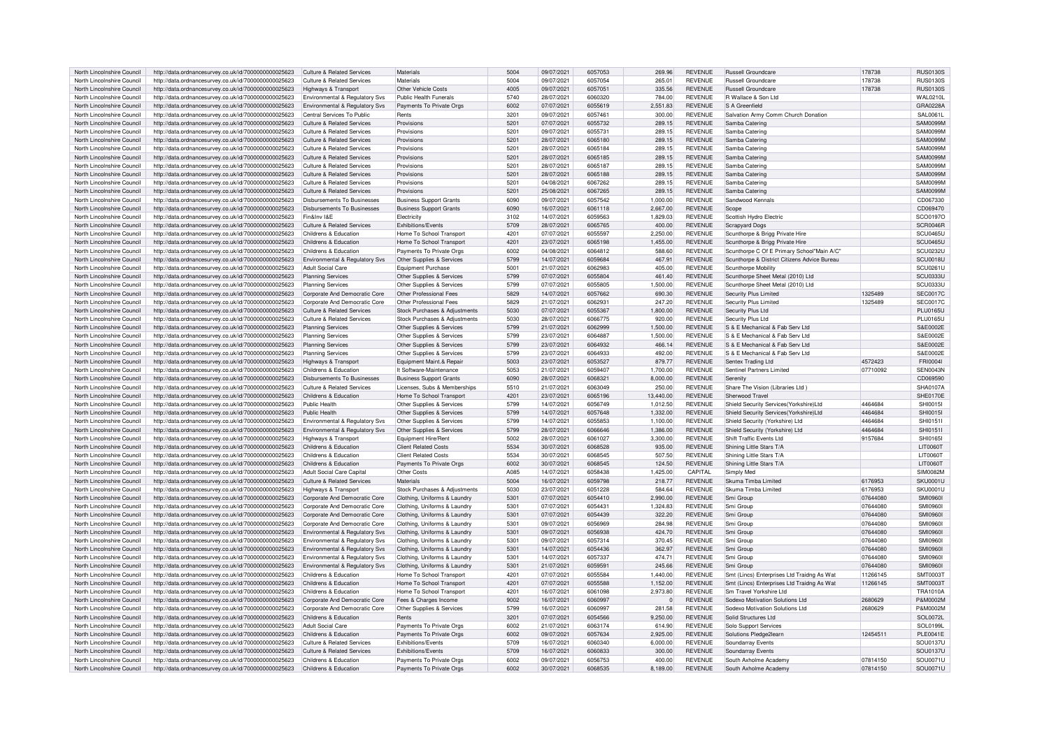| North Lincolnshire Council | http://data.ordnancesurvey.co.uk/id/7000000000025623 | Culture & Related Services            | Materials                      | 5004 | 09/07/2021 | 6057053 | 269.96       | <b>REVENUE</b> | <b>Russell Groundcare</b>                    | 178738   | <b>RUS0130S</b>  |
|----------------------------|------------------------------------------------------|---------------------------------------|--------------------------------|------|------------|---------|--------------|----------------|----------------------------------------------|----------|------------------|
| North Lincolnshire Council |                                                      | Culture & Related Services            | Materials                      | 5004 | 09/07/2021 | 6057054 | 265.01       | <b>REVENUE</b> | <b>Russell Groundcare</b>                    |          | <b>RUS0130S</b>  |
|                            | http://data.ordnancesurvey.co.uk/id/7000000000025623 |                                       |                                |      |            |         |              |                |                                              | 178738   |                  |
| North Lincolnshire Council | http://data.ordnancesurvey.co.uk/id/7000000000025623 | <b>Highways &amp; Transport</b>       | Other Vehicle Costs            | 4005 | 09/07/2021 | 6057051 | 335.56       | <b>REVENUE</b> | Russell Groundcare                           | 178738   | <b>RUS0130S</b>  |
| North Lincolnshire Council | http://data.ordnancesurvey.co.uk/id/7000000000025623 | Environmental & Regulatory Svs        | Public Health Funerals         | 5740 | 28/07/2021 | 6060320 | 784.00       | <b>REVENUE</b> | R Wallace & Son Ltd                          |          | WAI 0210         |
| North Lincolnshire Council | http://data.ordnancesurvey.co.uk/id/7000000000025623 | Environmental & Regulatory Svs        | Payments To Private Orgs       | 6002 | 07/07/2021 | 6055619 | 2,551.83     | REVENUE        | S A Greenfield                               |          | GRA0228A         |
| North Lincolnshire Council | http://data.ordnancesurvey.co.uk/id/7000000000025623 | Central Services To Public            | Rents                          | 3201 | 09/07/2021 | 6057461 | 300.00       | <b>REVENUE</b> | Salvation Army Comm Church Donation          |          | SAL0061L         |
|                            |                                                      |                                       |                                |      |            |         |              |                |                                              |          |                  |
| North Lincolnshire Council | http://data.ordnancesurvey.co.uk/id/7000000000025623 | <b>Culture &amp; Related Services</b> | Provisions                     | 5201 | 07/07/2021 | 6055732 | 289.15       | <b>REVENUE</b> | Samba Catering                               |          | <b>SAM0099M</b>  |
| North Lincolnshire Council | http://data.ordnancesurvey.co.uk/id/7000000000025623 | <b>Culture &amp; Related Services</b> | Provisions                     | 5201 | 09/07/2021 | 6055731 | 289.15       | <b>REVENUE</b> | Samba Catering                               |          | SAM0099M         |
| North Lincolnshire Council | http://data.ordnancesurvey.co.uk/id/7000000000025623 | <b>Culture &amp; Related Services</b> | Provisions                     | 5201 | 28/07/2021 | 6065180 | 289.15       | <b>REVENUE</b> | Samba Catering                               |          | <b>SAM0099N</b>  |
| North Lincolnshire Council | http://data.ordnancesurvey.co.uk/id/7000000000025623 | Culture & Related Services            | Provisions                     | 5201 | 28/07/2021 | 6065184 | 289.15       | <b>REVENUE</b> | Samba Catering                               |          | <b>SAM0099N</b>  |
|                            |                                                      |                                       |                                |      |            | 6065185 |              |                |                                              |          | SAM0099M         |
| North Lincolnshire Council | http://data.ordnancesurvey.co.uk/id/7000000000025623 | Culture & Related Services            | Provisions                     | 5201 | 28/07/2021 |         | 289.15       | <b>REVENUE</b> | Samba Caterino                               |          |                  |
| North Lincolnshire Council | http://data.ordnancesurvey.co.uk/id/7000000000025623 | Culture & Related Services            | Provisions                     | 5201 | 28/07/2021 | 6065187 | 289.15       | <b>REVENUE</b> | Samba Caterino                               |          | <b>SAM0099M</b>  |
| North Lincolnshire Council | http://data.ordnancesurvey.co.uk/id/7000000000025623 | Culture & Related Services            | Provisions                     | 5201 | 28/07/2021 | 6065188 | 289.15       | <b>REVENUE</b> | Samba Catering                               |          | SAM0099M         |
| North Lincolnshire Council | http://data.ordnancesurvey.co.uk/id/7000000000025623 | <b>Culture &amp; Related Services</b> | Provisions                     | 5201 | 04/08/2021 | 6067262 | 289.15       | <b>REVENUE</b> | Samba Caterino                               |          | <b>SAM0099N</b>  |
| North Lincolnshire Council | http://data.ordnancesurvey.co.uk/id/7000000000025623 | Culture & Related Services            | Provisions                     | 5201 | 25/08/2021 | 6067265 | 289.15       | <b>REVENUE</b> | Samba Catering                               |          | <b>SAM0099M</b>  |
| North Lincolnshire Council |                                                      | Disbursements To Businesses           |                                | 6090 | 09/07/2021 | 6057542 |              | <b>REVENUE</b> | Sandwood Kennals                             |          | CD067330         |
|                            | http://data.ordnancesurvey.co.uk/id/7000000000025623 |                                       | <b>Business Support Grants</b> |      |            |         | 1,000.00     |                |                                              |          |                  |
| North Lincolnshire Council | http://data.ordnancesurvey.co.uk/id/7000000000025623 | Disbursements To Businesses           | <b>Business Support Grants</b> | 6090 | 16/07/2021 | 6061118 | 2,667.00     | <b>REVENUE</b> | Scope                                        |          | CD069470         |
| North Lincolnshire Council | http://data.ordnancesurvey.co.uk/id/7000000000025623 | Fin&Inv I&F                           | Electricity                    | 3102 | 14/07/2021 | 6059563 | 1,829.03     | <b>REVENUE</b> | Scottish Hydro Electric                      |          | SCO0197C         |
| North Lincolnshire Council | http://data.ordnancesurvey.co.uk/id/7000000000025623 | <b>Culture &amp; Related Services</b> | Exhibitions/Events             | 5709 | 28/07/2021 | 6065765 | 400.00       | <b>REVENUE</b> | <b>Scrapyard Dogs</b>                        |          | SCR0046F         |
| North Lincolnshire Council | http://data.ordnancesurvey.co.uk/id/7000000000025623 | Childrens & Education                 | Home To School Transport       | 4201 | 07/07/2021 | 6055597 | 2,250.00     | <b>REVENUE</b> | Scunthorpe & Brigg Private Hire              |          | SCU0465U         |
|                            |                                                      |                                       |                                |      |            |         |              |                |                                              |          |                  |
| North Lincolnshire Council | http://data.ordnancesurvey.co.uk/id/7000000000025623 | Childrens & Education                 | Home To School Transport       | 4201 | 23/07/2021 | 6065198 | 1,455.00     | <b>REVENUE</b> | Scunthorpe & Brigg Private Hire              |          | SCU0465U         |
| North Lincolnshire Council | http://data.ordnancesurvey.co.uk/id/7000000000025623 | Childrens & Education                 | Payments To Private Orgs       | 6002 | 04/08/2021 | 6064812 | 588.60       | <b>REVENUE</b> | Scunthorpe C Of E Primary School"Main A/C"   |          | SCU0232L         |
| North Lincolnshire Council | http://data.ordnancesurvey.co.uk/id/7000000000025623 | Environmental & Regulatory Sys        | Other Supplies & Services      | 5799 | 14/07/2021 | 6059684 | 467.91       | <b>REVENUE</b> | Scunthorpe & District Citizens Advice Bureau |          | SCU0018U         |
| North Lincolnshire Council | http://data.ordnancesurvey.co.uk/id/7000000000025623 | <b>Adult Social Care</b>              | <b>Foujoment Purchase</b>      | 5001 | 21/07/2021 | 6062983 | 405.00       | <b>REVENUE</b> | Scunthorne Mobility                          |          | <b>SCLI0261L</b> |
|                            |                                                      |                                       |                                | 5799 |            | 6055804 |              |                |                                              |          |                  |
| North Lincolnshire Council | http://data.ordnancesurvey.co.uk/id/7000000000025623 | <b>Planning Services</b>              | Other Supplies & Services      |      | 07/07/2021 |         | 461.40       | <b>REVENUE</b> | Scunthorpe Sheet Metal (2010) Ltd            |          | SCU0333U         |
| North Lincolnshire Council | http://data.ordnancesurvey.co.uk/id/7000000000025623 | Planning Services                     | Other Supplies & Services      | 5799 | 07/07/2021 | 6055805 | 1.500.00     | <b>REVENUE</b> | Scunthorpe Sheet Metal (2010) Ltd            |          | SCU0333U         |
| North Lincolnshire Council | http://data.ordnancesurvey.co.uk/id/7000000000025623 | Corporate And Democratic Core         | Other Professional Fees        | 5829 | 14/07/2021 | 6057662 | 690.30       | <b>REVENUE</b> | Security Plus Limited                        | 1325489  | <b>SEC0017C</b>  |
| North Lincolnshire Council | http://data.ordnancesurvey.co.uk/id/7000000000025623 | Corporate And Democratic Core         | Other Professional Fees        | 5829 | 21/07/2021 | 6062931 | 247.20       | <b>REVENUE</b> | Security Plus Limited                        | 1325489  | <b>SEC0017C</b>  |
| North Lincolnshire Council | http://data.ordnancesurvey.co.uk/id/7000000000025623 | Culture & Related Services            | Stock Purchases & Adjustments  | 5030 | 07/07/2021 | 6055367 | 1.800.00     | <b>REVENUE</b> | Security Plus Ltd                            |          | <b>PLU0165U</b>  |
|                            |                                                      |                                       |                                |      |            |         |              |                |                                              |          |                  |
| North Lincolnshire Council | http://data.ordnancesurvey.co.uk/id/7000000000025623 | <b>Culture &amp; Related Services</b> | Stock Purchases & Adjustments  | 5030 | 28/07/2021 | 6066775 | 920.00       | <b>REVENUE</b> | Security Plus Ltd                            |          | <b>PLU0165U</b>  |
| North Lincolnshire Council | http://data.ordnancesurvey.co.uk/id/7000000000025623 | <b>Planning Services</b>              | Other Supplies & Services      | 5799 | 21/07/2021 | 6062999 | 1.500.00     | <b>REVENUE</b> | S & E Mechanical & Fab Serv Ltd              |          | S&E0002E         |
| North Lincolnshire Council | http://data.ordnancesurvey.co.uk/id/7000000000025623 | <b>Planning Services</b>              | Other Supplies & Services      | 5799 | 23/07/2021 | 6064887 | 1,500.00     | <b>REVENUE</b> | S & E Mechanical & Fab Serv Ltd              |          | S&F0002F         |
| North Lincolnshire Council | http://data.ordnancesurvey.co.uk/id/7000000000025623 | <b>Planning Services</b>              | Other Supplies & Services      | 5799 | 23/07/2021 | 6064932 | 466.14       | <b>REVENUE</b> | S & E Mechanical & Fab Serv Ltd              |          | S&F0002E         |
|                            |                                                      |                                       |                                |      |            |         |              |                |                                              |          |                  |
| North Lincolnshire Council | http://data.ordnancesurvey.co.uk/id/7000000000025623 | <b>Planning Services</b>              | Other Supplies & Services      | 5799 | 23/07/2021 | 6064933 | 492.00       | <b>REVENUE</b> | S & E Mechanical & Fab Serv Ltd              |          | S&E0002E         |
| North Lincolnshire Council | http://data.ordnancesurvey.co.uk/id/7000000000025623 | Highways & Transport                  | Equipment Maint.& Repair       | 5003 | 23/07/2021 | 6053527 | 879.77       | <b>REVENUE</b> | Sentex Trading Ltd                           | 4572423  | FRI0004          |
| North Lincolnshire Council | http://data.ordnancesurvey.co.uk/id/7000000000025623 | Childrens & Education                 | It Software-Maintenance        | 5053 | 21/07/2021 | 6059407 | 1,700.00     | <b>REVENUE</b> | Sentinel Partners Limited                    | 07710092 | SEN0043N         |
| North Lincolnshire Council | http://data.ordnancesurvey.co.uk/id/7000000000025623 | <b>Disbursements To Businesses</b>    | <b>Business Support Grants</b> | 6090 | 28/07/2021 | 606832  | 8,000.00     | <b>REVENUE</b> | Serenity                                     |          | CD069590         |
| North Lincolnshire Council | http://data.ordnancesurvey.co.uk/id/7000000000025623 | Culture & Related Services            | Licenses, Subs & Memberships   | 5510 | 21/07/2021 | 6063049 | 250.00       | <b>REVENUE</b> | Share The Vision (Libraries Ltd)             |          | SHA0107/         |
|                            |                                                      |                                       |                                |      |            |         |              |                |                                              |          |                  |
| North Lincolnshire Council | http://data.ordnancesurvey.co.uk/id/7000000000025623 | Childrens & Education                 | Home To School Transport       | 4201 | 23/07/2021 | 6065196 | 13,440.00    | REVENUE        | Sherwood Travel                              |          | <b>SHE0170E</b>  |
| North Lincolnshire Council | http://data.ordnancesurvey.co.uk/id/7000000000025623 | Public Health                         | Other Supplies & Services      | 5799 | 14/07/2021 | 6056749 | 1.012.50     | <b>REVENUE</b> | Shield Security Services (Yorkshire) I to    | 4464684  | <b>SHI0015I</b>  |
| North Lincolnshire Council | http://data.ordnancesurvey.co.uk/id/7000000000025623 | Public Health                         | Other Supplies & Services      | 5799 | 14/07/2021 | 6057648 | 1,332.00     | <b>REVENUE</b> | Shield Security Services(Yorkshire)Ltd       | 4464684  | <b>SHI0015I</b>  |
| North Lincolnshire Council | http://data.ordnancesurvey.co.uk/id/7000000000025623 | Environmental & Regulatory Sys        | Other Supplies & Services      | 5799 | 14/07/2021 | 6055853 | 1,100.00     | <b>REVENUE</b> | Shield Security (Yorkshire) Ltd              | 4464684  | SHI0151I         |
| North Lincolnshire Council |                                                      |                                       |                                | 5799 |            | 6066646 |              | <b>REVENUE</b> |                                              | 4464684  | SHI0151I         |
|                            | http://data.ordnancesurvey.co.uk/id/7000000000025623 | Environmental & Regulatory Svs        | Other Supplies & Services      |      | 28/07/2021 |         | 1,386.00     |                | Shield Security (Yorkshire) Ltd              |          |                  |
| North Lincolnshire Council | http://data.ordnancesurvey.co.uk/id/7000000000025623 | Highways & Transport                  | Faujoment Hire/Ren             | 5002 | 28/07/2021 | 6061027 | 3,300.00     | REVENUE        | Shift Traffic Events Ltd                     | 9157684  | SHI0165          |
| North Lincolnshire Council | http://data.ordnancesurvey.co.uk/id/7000000000025623 | Childrens & Education                 | <b>Client Related Costs</b>    | 5534 | 30/07/2021 | 6068528 | 935.00       | <b>REVENUE</b> | Shining Little Stars T/A                     |          | <b>LIT0060T</b>  |
| North Lincolnshire Council | http://data.ordnancesurvey.co.uk/id/7000000000025623 | Childrens & Education                 | <b>Client Related Costs</b>    | 5534 | 30/07/2021 | 6068545 | 507.50       | <b>REVENUE</b> | Shining Little Stars T/A                     |          | LIT0060T         |
| North Lincolnshire Council | http://data.ordnancesurvey.co.uk/id/7000000000025623 | Childrens & Education                 | Payments To Private Orgs       | 6002 | 30/07/2021 | 6068545 | 124.50       | <b>REVENUE</b> | Shining Little Stars T/A                     |          | LIT0060T         |
| North Lincolnshire Council | http://data.ordnancesurvey.co.uk/id/7000000000025623 | <b>Adult Social Care Capital</b>      | Other Costs                    | A085 | 14/07/2021 | 6058438 | 1,425.00     | CAPITAL        | Simply Med                                   |          | <b>SIM0082M</b>  |
|                            |                                                      |                                       |                                |      |            |         |              |                |                                              |          |                  |
| North Lincolnshire Council | http://data.ordnancesurvey.co.uk/id/7000000000025623 | Culture & Related Services            | Materials                      | 5004 | 16/07/2021 | 6059798 | 218.77       | <b>REVENUE</b> | Skuma Timba Limited                          | 6176953  | SKU0001U         |
| North Lincolnshire Council | http://data.ordnancesurvey.co.uk/id/7000000000025623 | Highways & Transport                  | Stock Purchases & Adjustments  | 5030 | 23/07/2021 | 6051228 | 584.64       | <b>REVENUE</b> | Skuma Timba Limited                          | 6176953  | <b>SKU0001U</b>  |
| North Lincolnshire Council | http://data.ordnancesurvey.co.uk/id/7000000000025623 | Corporate And Democratic Core         | Clothing, Uniforms & Laundry   | 5301 | 07/07/2021 | 6054410 | 2.990.00     | <b>REVENUE</b> | Smi Group                                    | 07644080 | <b>SMI0960I</b>  |
| North Lincolnshire Council | http://data.ordnancesurvey.co.uk/id/7000000000025623 | Corporate And Democratic Core         | Clothing, Uniforms & Laundry   | 5301 | 07/07/2021 | 6054431 | 1,324.83     | <b>REVENUE</b> | Smi Group                                    | 07644080 | SMI0960          |
|                            |                                                      |                                       |                                |      |            | 6054439 |              |                |                                              |          | SMI0960          |
| North Lincolnshire Council | http://data.ordnancesurvey.co.uk/id/7000000000025623 | Corporate And Democratic Core         | Clothing, Uniforms & Laundry   | 5301 | 07/07/2021 |         | 322.20       | <b>REVENUE</b> | Smi Group                                    | 07644080 |                  |
| North Lincolnshire Council | http://data.ordnancesurvey.co.uk/id/7000000000025623 | Corporate And Democratic Core         | Clothing, Uniforms & Laundry   | 5301 | 09/07/2021 | 6056969 | 284.98       | <b>REVENUE</b> | Smi Group                                    | 07644080 | <b>SMI09601</b>  |
| North Lincolnshire Council | http://data.ordnancesurvey.co.uk/id/7000000000025623 | Environmental & Regulatory Svs        | Clothing, Uniforms & Laundry   | 5301 | 09/07/2021 | 6056938 | 424.70       | <b>REVENUE</b> | Smi Group                                    | 07644080 | SMI0960          |
| North Lincolnshire Council | http://data.ordnancesurvey.co.uk/id/7000000000025623 | Environmental & Regulatory Svs        | Clothing, Uniforms & Laundry   | 5301 | 09/07/2021 | 6057314 | 370.45       | <b>REVENUE</b> | Smi Group                                    | 07644080 | <b>SMI0960I</b>  |
| North Lincolnshire Council | http://data.ordnancesurvey.co.uk/id/7000000000025623 | Environmental & Regulatory Svs        | Clothing, Uniforms & Laundry   | 5301 | 14/07/2021 | 6054436 | 362.97       | <b>REVENUE</b> | Smi Group                                    | 07644080 | <b>SMI0960I</b>  |
|                            |                                                      |                                       |                                | 5301 |            |         | 474.71       | <b>REVENUE</b> | Smi Groun                                    |          | <b>SMI0960I</b>  |
| North Lincolnshire Council | http://data.ordnancesurvey.co.uk/id/7000000000025623 | Environmental & Regulatory Svs        | Clothing, Uniforms & Laundry   |      | 14/07/2021 | 6057337 |              |                |                                              | 07644080 |                  |
| North Lincolnshire Council | http://data.ordnancesurvey.co.uk/id/7000000000025623 | Environmental & Regulatory Sys        | Clothing, Uniforms & Laundr    | 5301 | 21/07/2021 | 605959  | 245.66       | <b>REVENUE</b> | Smi Group                                    | 07644080 | <b>SMI0960I</b>  |
| North Lincolnshire Council | http://data.ordnancesurvey.co.uk/id/7000000000025623 | Childrens & Education                 | Home To School Transport       | 4201 | 07/07/2021 | 6055584 | 1,440.00     | REVENUE        | Smt (Lincs) Enterprises Ltd Traidng As Wat   | 11266145 | <b>SMT0003T</b>  |
| North Lincolnshire Council | http://data.ordnancesurvey.co.uk/id/7000000000025623 | Childrens & Education                 | Home To School Transport       | 4201 | 07/07/2021 | 6055588 | 1,152.00     | <b>REVENUE</b> | Smt (Lincs) Enterprises Ltd Traidng As Wat   | 11266145 | <b>SMT0003T</b>  |
| North Lincolnshire Council | http://data.ordnancesurvey.co.uk/id/7000000000025623 | Childrens & Education                 | Home To School Transport       | 4201 | 16/07/2021 | 6061098 | 2,973.80     | <b>REVENUE</b> | Sm Travel Yorkshire I to                     |          | <b>TRA1010A</b>  |
|                            |                                                      |                                       |                                |      |            |         |              |                |                                              | 2680629  |                  |
| North Lincolnshire Council | http://data.ordnancesurvey.co.uk/id/7000000000025623 | Corporate And Democratic Core         | Fees & Charges Income          | 9002 | 16/07/2021 | 6060997 | $\mathbf{0}$ | <b>REVENUE</b> | Sodexo Motivation Solutions Ltd              |          | P&M0002M         |
| North Lincolnshire Council | http://data.ordnancesurvey.co.uk/id/7000000000025623 | Corporate And Democratic Core         | Other Supplies & Services      | 5799 | 16/07/2021 | 6060997 | 281.58       | <b>REVENUE</b> | Sodexo Motivation Solutions Ltd              | 2680629  | P&M0002M         |
| North Lincolnshire Council | http://data.ordnancesurvey.co.uk/id/7000000000025623 | Childrens & Education                 | Rents                          | 3201 | 07/07/2021 | 6054566 | 9.250.00     | <b>REVENUE</b> | Solid Structures Ltd                         |          | SOL0072L         |
| North Lincolnshire Council | http://data.ordnancesurvey.co.uk/id/7000000000025623 | <b>Adult Social Care</b>              | Payments To Private Orgs       | 6002 | 21/07/2021 | 6063174 | 614.90       | <b>REVENUE</b> | Solo Support Services                        |          | SOL0199L         |
| North Lincolnshire Council | http://data.ordnancesurvey.co.uk/id/7000000000025623 | Childrens & Education                 | Payments To Private Orgs       | 6002 | 09/07/2021 | 6057634 | 2.925.00     | <b>REVENUE</b> | Solutions Pledge2learn                       | 12454511 | <b>PLE0041E</b>  |
|                            |                                                      |                                       |                                |      |            |         |              |                |                                              |          |                  |
| North Lincolnshire Council | http://data.ordnancesurvey.co.uk/id/7000000000025623 | <b>Culture &amp; Related Services</b> | <b>Exhibitions/Events</b>      | 5709 | 16/07/2021 | 6060340 | 6,000.00     | <b>REVENUE</b> | Soundarray Events                            |          | SOU0137L         |
| North Lincolnshire Council | http://data.ordnancesurvey.co.uk/id/7000000000025623 | Culture & Related Services            | <b>Exhibitions/Events</b>      | 5709 | 16/07/2021 | 6060833 | 300.00       | <b>REVENUE</b> | Soundarray Events                            |          | <b>SOU0137L</b>  |
| North Lincolnshire Council | http://data.ordnancesurvey.co.uk/id/7000000000025623 | Childrens & Education                 | Payments To Private Orgs       | 6002 | 09/07/2021 | 6056753 | 400.00       | <b>REVENUE</b> | South Axholme Academy                        | 07814150 | SOU0071L         |
| North Lincolnshire Council | http://data.ordnancesurvey.co.uk/id/7000000000025623 | Childrens & Education                 | Payments To Private Orgs       | 6002 | 30/07/2021 | 6068535 | 8.189.00     | <b>REVENUE</b> | South Axholme Academy                        | 07814150 | SOU0071U         |
|                            |                                                      |                                       |                                |      |            |         |              |                |                                              |          |                  |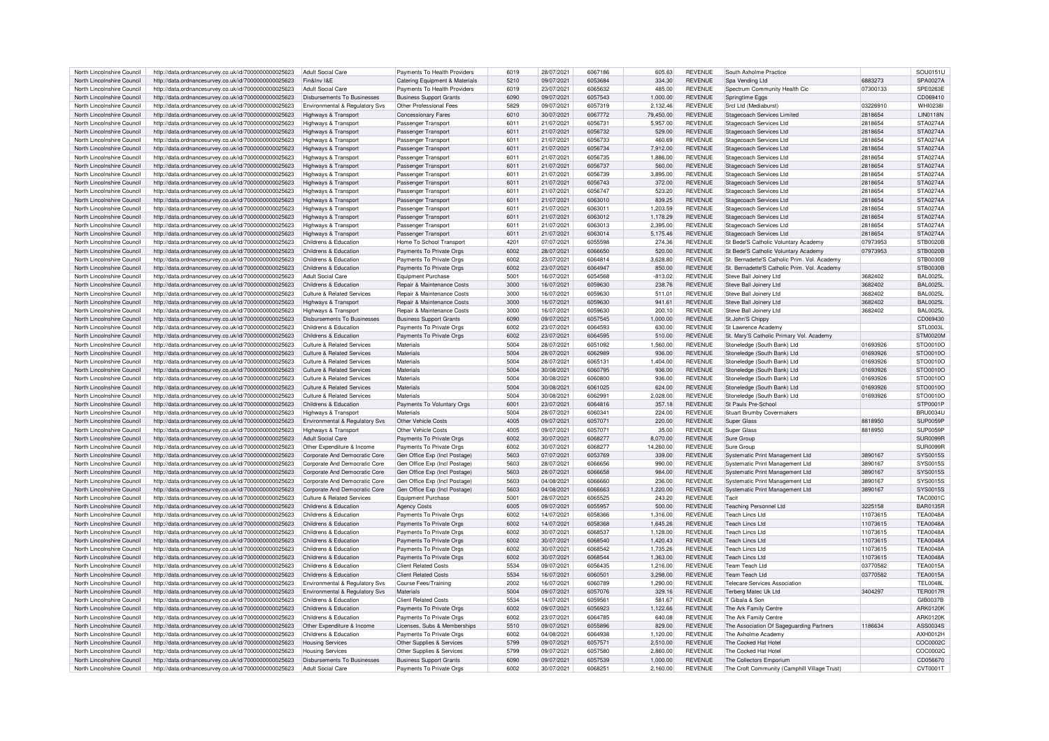| North Lincolnshire Council | http://data.ordnancesurvey.co.uk/id/7000000000025623 | <b>Adult Social Care</b>                  | Payments To Health Providers          | 6019 | 28/07/2021 | 6067186 | 605.63    | <b>REVENUE</b> | South Axholme Practice                       |          | SOU0151L        |
|----------------------------|------------------------------------------------------|-------------------------------------------|---------------------------------------|------|------------|---------|-----------|----------------|----------------------------------------------|----------|-----------------|
| North Lincolnshire Council | http://data.ordnancesurvey.co.uk/id/7000000000025623 | Fin&Inv I&F                               | Catering Equipment & Materials        | 5210 | 09/07/2021 | 6053684 | 334.30    | <b>REVENUE</b> | Spa Vending Ltd                              | 6883273  | SPA0027A        |
|                            |                                                      |                                           |                                       |      |            |         |           |                |                                              |          |                 |
| North Lincolnshire Council | http://data.ordnancesurvey.co.uk/id/7000000000025623 | Adult Social Care                         | Payments To Health Providers          | 6019 | 23/07/2021 | 6065632 | 485.00    | REVENUE        | Spectrum Community Health Cic                | 07300133 | SPE0263E        |
| North Lincolnshire Council | http://data.ordnancesurvey.co.uk/id/7000000000025623 | Disbursements To Businesses               | <b>Business Support Grants</b>        | 6090 | 09/07/2021 | 6057543 | 1,000.00  | <b>REVENUE</b> | Springtime Eggs                              |          | CD069410        |
| North Lincolnshire Council | http://data.ordnancesurvey.co.uk/id/7000000000025623 | Environmental & Regulatory Svs            | Other Professional Fees               | 5829 | 09/07/2021 | 6057319 | 2,132.46  | REVENUE        | Srcl Ltd (Mediaburst)                        | 03226910 | <b>WHI0238I</b> |
| North Lincolnshire Council | http://data.ordnancesurvey.co.uk/id/7000000000025623 | Highways & Transport                      | Concessionary Fares                   | 6010 | 30/07/2021 | 6067772 | 79,450.00 | <b>REVENUE</b> | Stagecoach Services Limited                  | 2818654  | <b>LIN0118N</b> |
| North Lincolnshire Council | http://data.ordnancesurvey.co.uk/id/7000000000025623 | Highways & Transport                      | Passenger Transport                   | 6011 | 21/07/2021 | 6056731 | 5,957.00  | <b>REVENUE</b> | Stagecoach Services Ltd                      | 2818654  | <b>STA0274A</b> |
|                            |                                                      |                                           |                                       |      |            | 6056732 |           | <b>REVENUE</b> |                                              | 2818654  | STA0274A        |
| North Lincolnshire Council | http://data.ordnancesurvey.co.uk/id/7000000000025623 | Highways & Transport                      | Passenger Transport                   | 6011 | 21/07/2021 |         | 529.00    |                | Stagecoach Services Ltd                      |          |                 |
| North Lincolnshire Council | http://data.ordnancesurvey.co.uk/id/7000000000025623 | Highways & Transport                      | Passenger Transport                   | 6011 | 21/07/2021 | 6056733 | 460.69    | REVENUE        | <b>Stagecoach Services Ltd</b>               | 2818654  | <b>STA0274A</b> |
| North Lincolnshire Council | http://data.ordnancesurvey.co.uk/id/7000000000025623 | Highways & Transport                      | Passenger Transport                   | 6011 | 21/07/2021 | 6056734 | 7,912.00  | <b>REVENUE</b> | Stagecoach Services Ltd                      | 2818654  | <b>STA0274A</b> |
| North Lincolnshire Council | http://data.ordnancesurvey.co.uk/id/7000000000025623 | Highways & Transport                      | Passenger Transport                   | 6011 | 21/07/2021 | 6056735 | 1.886.00  | <b>REVENUE</b> | Stagecoach Services Ltd                      | 2818654  | <b>STA0274A</b> |
| North Lincolnshire Council | http://data.ordnancesurvey.co.uk/id/7000000000025623 | Highways & Transport                      | Passenger Transport                   | 6011 | 21/07/2021 | 6056737 | 560.00    | <b>REVENUE</b> | Stagecoach Services Ltd                      | 2818654  | <b>STA0274A</b> |
| North Lincolnshire Council |                                                      |                                           |                                       | 6011 | 21/07/2021 | 6056739 | 3.895.00  | <b>REVENUE</b> |                                              | 2818654  | STA0274A        |
|                            | http://data.ordnancesurvey.co.uk/id/7000000000025623 | Highways & Transport                      | Passenger Transpor                    |      |            |         |           |                | Stagecoach Services Ltd                      |          |                 |
| North Lincolnshire Council | http://data.ordnancesurvey.co.uk/id/7000000000025623 | Highways & Transport                      | Passenger Transport                   | 6011 | 21/07/2021 | 6056743 | 372.00    | <b>REVENUE</b> | <b>Stagecoach Services Ltd</b>               | 2818654  | STA0274A        |
| North Lincolnshire Council | http://data.ordnancesurvey.co.uk/id/7000000000025623 | Highways & Transpor                       | Passenger Transport                   | 6011 | 21/07/2021 | 6056747 | 523.20    | <b>REVENUE</b> | Stagecoach Services Ltd                      | 2818654  | STA0274A        |
| North Lincolnshire Council | http://data.ordnancesurvey.co.uk/id/7000000000025623 | Highways & Transport                      | Passenger Transport                   | 6011 | 21/07/2021 | 6063010 | 839.25    | <b>REVENUE</b> | Stagecoach Services Ltd                      | 2818654  | STA0274A        |
| North Lincolnshire Council | http://data.ordnancesurvey.co.uk/id/7000000000025623 | Highways & Transpor                       | Passenger Transport                   | 6011 | 21/07/2021 | 6063011 | 1.203.59  | <b>REVENUE</b> | Stagecoach Services Ltd                      | 2818654  | <b>STA0274A</b> |
| North Lincolnshire Council | http://data.ordnancesurvey.co.uk/id/7000000000025623 | Highways & Transpor                       | Passenger Transpor                    | 6011 | 21/07/2021 | 6063012 | 1,178.29  | <b>REVENUE</b> | Stagecoach Services Ltd                      | 2818654  | STA0274A        |
|                            |                                                      |                                           |                                       |      |            |         |           |                |                                              |          |                 |
| North Lincolnshire Council | http://data.ordnancesurvey.co.uk/id/7000000000025623 | Highways & Transport                      | Passenger Transport                   | 6011 | 21/07/2021 | 6063013 | 2,395.00  | <b>REVENUE</b> | Stagecoach Services Ltd                      | 2818654  | STA0274A        |
| North Lincolnshire Council | http://data.ordnancesurvey.co.uk/id/7000000000025623 | Highways & Transport                      | Passenger Transport                   | 6011 | 21/07/2021 | 6063014 | 5,175.46  | <b>REVENUE</b> | <b>Stagecoach Services Ltd</b>               | 2818654  | <b>STA0274A</b> |
| North Lincolnshire Council | http://data.ordnancesurvey.co.uk/id/7000000000025623 | Childrens & Education                     | Home To School Transport              | 4201 | 07/07/2021 | 6055598 | 274.36    | REVENUE        | St Bede'S Catholic Voluntary Academy         | 07973953 | <b>STB0020B</b> |
| North Lincolnshire Council | http://data.ordnancesurvey.co.uk/id/7000000000025623 | Childrens & Education                     | Payments To Private Orgs              | 6002 | 28/07/2021 | 6066650 | 520.00    | <b>REVENUE</b> | St Bede'S Catholic Voluntary Academy         | 07973953 | <b>STB0020B</b> |
| North Lincolnshire Council | http://data.ordnancesurvey.co.uk/id/7000000000025623 | Childrens & Education                     | Payments To Private Orgs              | 6002 | 23/07/2021 | 6064814 | 3,628.80  | <b>REVENUE</b> | St. Bernadette'S Catholic Prim. Vol. Academy |          | <b>STB0030B</b> |
|                            |                                                      |                                           |                                       |      |            |         |           |                |                                              |          |                 |
| North Lincolnshire Council | http://data.ordnancesurvey.co.uk/id/7000000000025623 | Childrens & Education                     | Payments To Private Orgs              | 6002 | 23/07/2021 | 6064947 | 850.00    | <b>REVENUE</b> | St. Bernadette'S Catholic Prim. Vol. Academy |          | STB0030B        |
| North Lincolnshire Council | http://data.ordnancesurvey.co.uk/id/7000000000025623 | <b>Adult Social Care</b>                  | Equipment Purchase                    | 5001 | 16/07/2021 | 6054568 | $-813.02$ | <b>REVENUE</b> | Steve Ball Joinery Ltd                       | 3682402  | <b>BAL0025L</b> |
| North Lincolnshire Council | http://data.ordnancesurvey.co.uk/id/7000000000025623 | Childrens & Education                     | <b>Benair &amp; Maintenance Costs</b> | 3000 | 16/07/2021 | 6059630 | 238.76    | <b>REVENUE</b> | Steve Ball Joinery Ltd                       | 3682402  | <b>BAL0025L</b> |
| North Lincolnshire Council | http://data.ordnancesurvey.co.uk/id/7000000000025623 | <b>Culture &amp; Related Services</b>     | Repair & Maintenance Costs            | 3000 | 16/07/2021 | 6059630 | 511.01    | <b>REVENUE</b> | Steve Ball Joinery Ltd                       | 3682402  | <b>BAL0025L</b> |
| North Lincolnshire Council | http://data.ordnancesurvey.co.uk/id/7000000000025623 | Highways & Transport                      | Repair & Maintenance Costs            | 3000 | 16/07/2021 | 6059630 | 941.61    | <b>REVENUE</b> | Steve Ball Joinery Ltd                       | 3682402  | <b>BAL0025L</b> |
|                            |                                                      |                                           |                                       |      |            |         |           |                |                                              |          | <b>BAL0025L</b> |
| North Lincolnshire Council | http://data.ordnancesurvey.co.uk/id/7000000000025623 | Highways & Transport                      | Repair & Maintenance Costs            | 3000 | 16/07/2021 | 6059630 | 200.10    | <b>REVENUE</b> | Steve Ball Joinery Ltd                       | 3682402  |                 |
| North Lincolnshire Council | http://data.ordnancesurvey.co.uk/id/7000000000025623 | Disbursements To Businesses               | <b>Business Support Grants</b>        | 6090 | 09/07/2021 | 6057545 | 1,000.00  | <b>REVENUE</b> | St.John'S Chippy                             |          | CD069430        |
| North Lincolnshire Council | http://data.ordnancesurvey.co.uk/id/7000000000025623 | Childrens & Education                     | Payments To Private Orgs              | 6002 | 23/07/2021 | 6064593 | 630.00    | <b>REVENUE</b> | St Lawrence Academy                          |          | STI 0003L       |
| North Lincolnshire Council | http://data.ordnancesurvey.co.uk/id/7000000000025623 | Childrens & Education                     | Payments To Private Orgs              | 6002 | 23/07/2021 | 6064595 | 510.00    | <b>REVENUE</b> | St. Mary'S Catholic Primary Vol. Academy     |          | STM0020M        |
| North Lincolnshire Council | http://data.ordnancesurvey.co.uk/id/7000000000025623 | Culture & Related Services                | Materials                             | 5004 | 28/07/2021 | 6051092 | 1,560.00  | <b>REVENUE</b> | Stoneledge (South Bank) Ltd                  | 01693926 | STO0010O        |
|                            |                                                      |                                           |                                       |      |            | 6062989 |           |                |                                              |          |                 |
| North Lincolnshire Council | http://data.ordnancesurvey.co.uk/id/7000000000025623 | Culture & Related Services                | Materials                             | 5004 | 28/07/2021 |         | 936.00    | <b>REVENUE</b> | Stoneledge (South Bank) Ltd                  | 01693926 | STO0010O        |
| North Lincolnshire Council | http://data.ordnancesurvey.co.uk/id/7000000000025623 | <b>Culture &amp; Related Services</b>     | Materials                             | 5004 | 28/07/2021 | 6065131 | 1,404.00  | <b>REVENUE</b> | Stoneledge (South Bank) Ltd                  | 01693926 | STO0010O        |
| North Lincolnshire Council | http://data.ordnancesurvey.co.uk/id/7000000000025623 | <b>Culture &amp; Related Services</b>     | Materials                             | 5004 | 30/08/2021 | 6060795 | 936.00    | <b>REVENUE</b> | Stoneledge (South Bank) Ltd                  | 01693926 | STO0010O        |
| North Lincolnshire Council | http://data.ordnancesurvey.co.uk/id/7000000000025623 | Culture & Related Services                | Materials                             | 5004 | 30/08/2021 | 6060800 | 936.00    | <b>REVENUE</b> | Stoneledge (South Bank) Ltd                  | 01693926 | STO0010O        |
| North Lincolnshire Council | http://data.ordnancesurvey.co.uk/id/7000000000025623 | Culture & Related Services                | Materials                             | 5004 | 30/08/2021 | 6061025 | 624.00    | <b>REVENUE</b> | Stoneledge (South Bank) Ltd                  | 01693926 | STO0010O        |
| North Lincolnshire Council |                                                      | Culture & Related Services                | Materials                             | 5004 | 30/08/2021 | 6062991 |           | <b>REVENUE</b> |                                              |          | STO0010O        |
|                            | http://data.ordnancesurvey.co.uk/id/7000000000025623 |                                           |                                       |      |            |         | 2,028.00  |                | Stoneledge (South Bank) Ltd                  | 01693926 |                 |
| North Lincolnshire Council | http://data.ordnancesurvey.co.uk/id/7000000000025623 | Childrens & Education                     | Payments To Voluntary Orgs            | 6001 | 23/07/2021 | 6064816 | 357.18    | <b>REVENUE</b> | St Pauls Pre-School                          |          | STP0001P        |
| North Lincolnshire Council | http://data.ordnancesurvey.co.uk/id/7000000000025623 | Highways & Transport                      | Materials                             | 5004 | 28/07/2021 | 6060341 | 224.00    | <b>REVENUE</b> | <b>Stuart Brumby Covermakers</b>             |          | <b>BRU0034U</b> |
| North Lincolnshire Council | http://data.ordnancesurvey.co.uk/id/7000000000025623 | Environmental & Regulatory Svs            | Other Vehicle Costs                   | 4005 | 09/07/2021 | 6057071 | 220.00    | <b>REVENUE</b> | Super Glass                                  | 8818950  | SUP0059P        |
| North Lincolnshire Council | http://data.ordnancesurvey.co.uk/id/7000000000025623 | Highways & Transport                      | Other Vehicle Costs                   | 4005 | 09/07/2021 | 6057071 | 35.00     | <b>REVENUE</b> | <b>Super Glass</b>                           | 8818950  | SUP0059P        |
|                            |                                                      |                                           |                                       |      |            |         |           |                |                                              |          |                 |
| North Lincolnshire Council | http://data.ordnancesurvey.co.uk/id/7000000000025623 | <b>Adult Social Care</b>                  | Payments To Private Orgs              | 6002 | 30/07/2021 | 6068277 | 8,070.00  | <b>REVENUE</b> | Sure Group                                   |          | SUR0099F        |
| North Lincolnshire Council | http://data.ordnancesurvey.co.uk/id/7000000000025623 | Other Expenditure & Income                | Payments To Private Orgs              | 6002 | 30/07/2021 | 6068277 | 14.260.00 | REVENUE        | Sure Group                                   |          | SUR0099F        |
| North Lincolnshire Council | http://data.ordnancesurvey.co.uk/id/7000000000025623 | Corporate And Democratic Core             | Gen Office Exp (Incl Postage          | 5603 | 07/07/2021 | 6053769 | 339.00    | <b>REVENUE</b> | Systematic Print Management Ltd              | 3890167  | SYS0015S        |
| North Lincolnshire Council | http://data.ordnancesurvey.co.uk/id/7000000000025623 | Corporate And Democratic Core             | Gen Office Exp (Incl Postage)         | 5603 | 28/07/2021 | 6066656 | 990.00    | <b>REVENUE</b> | Systematic Print Management Ltd              | 3890167  | SYS0015S        |
| North Lincolnshire Council | http://data.ordnancesurvey.co.uk/id/7000000000025623 | Corporate And Democratic Core             | Gen Office Exp (Incl Postage)         | 5603 | 28/07/2021 | 6066658 | 984.00    | <b>REVENUE</b> | Systematic Print Management Ltd              | 3890167  | <b>SYS0015S</b> |
| North Lincolnshire Council | http://data.ordnancesurvey.co.uk/id/7000000000025623 | Corporate And Democratic Core             | Gen Office Exp (Incl Postage)         | 5603 | 04/08/2021 | 6066660 | 236.00    | <b>REVENUE</b> | Systematic Print Management Ltd              | 3890167  | SYS0015S        |
|                            |                                                      |                                           |                                       |      |            |         |           |                |                                              |          |                 |
| North Lincolnshire Council | http://data.ordnancesurvey.co.uk/id/7000000000025623 | Corporate And Democratic Core             | Gen Office Exp (Incl Postage)         | 5603 | 04/08/2021 | 6066663 | 1.220.00  | <b>REVENUE</b> | Systematic Print Management Ltd              | 3890167  | SYS0015S        |
| North Lincolnshire Council | http://data.ordnancesurvey.co.uk/id/7000000000025623 | Culture & Related Services                | <b>Equipment Purchase</b>             | 5001 | 28/07/2021 | 6065525 | 243.20    | <b>REVENUE</b> | Tacit                                        |          | <b>TAC0001C</b> |
| North Lincolnshire Council | http://data.ordnancesurvey.co.uk/id/7000000000025623 | Childrens & Education                     | <b>Agency Costs</b>                   | 6005 | 09/07/2021 | 6055957 | 500.00    | <b>REVENUE</b> | <b>Teaching Personnel Ltd</b>                | 3225158  | <b>BAR0135R</b> |
| North Lincolnshire Council | http://data.ordnancesurvey.co.uk/id/7000000000025623 | Childrens & Education                     | Payments To Private Orgs              | 6002 | 14/07/2021 | 6058366 | 1,316.00  | <b>REVENUE</b> | Teach Lincs Ltd                              | 11073615 | <b>TEA0048A</b> |
| North Lincolnshire Council | http://data.ordnancesurvey.co.uk/id/7000000000025623 | Childrens & Education                     | Payments To Private Orgs              | 6002 | 14/07/2021 | 6058368 | 1,645.26  | <b>REVENUE</b> | Teach Lincs Ltd                              | 11073615 | <b>TEA0048A</b> |
|                            |                                                      |                                           |                                       |      |            |         |           |                |                                              |          |                 |
| North Lincolnshire Council | http://data.ordnancesurvey.co.uk/id/7000000000025623 | Childrens & Education                     | Payments To Private Orgs              | 6002 | 30/07/2021 | 6068537 | 1,128.00  | <b>REVENUE</b> | <b>Teach Lincs Ltd</b>                       | 11073615 | <b>TEA0048A</b> |
| North Lincolnshire Council | http://data.ordnancesurvey.co.uk/id/7000000000025623 | Childrens & Education                     | Payments To Private Orgs              | 6002 | 30/07/2021 | 6068540 | 1,420.43  | <b>REVENUE</b> | Teach Lincs Ltd                              | 11073615 | <b>TEA0048A</b> |
| North Lincolnshire Council | http://data.ordnancesurvey.co.uk/id/7000000000025623 | Childrens & Education                     | Payments To Private Orgs              | 6002 | 30/07/2021 | 6068542 | 1,735.26  | <b>REVENUE</b> | <b>Teach Lincs Ltd</b>                       | 11073615 | <b>TEA0048A</b> |
| North Lincolnshire Council | http://data.ordnancesurvey.co.uk/id/7000000000025623 | Childrens & Education                     | Payments To Private Orgs              | 6002 | 30/07/2021 | 6068544 | 1,363.00  | <b>REVENUE</b> | Teach Lincs Ltd                              | 11073615 | <b>TEA0048A</b> |
| North Lincolnshire Council | http://data.ordnancesurvey.co.uk/id/7000000000025623 | Childrens & Education                     | <b>Client Related Costs</b>           | 5534 | 09/07/2021 | 6056435 | 1,216.00  | <b>REVENUE</b> | Team Teach I td                              | 03770582 | <b>TEA0015A</b> |
|                            |                                                      |                                           |                                       |      |            |         |           |                |                                              |          |                 |
| North Lincolnshire Council | http://data.ordnancesurvey.co.uk/id/7000000000025623 | Childrens & Education                     | <b>Client Related Costs</b>           | 5534 | 16/07/2021 | 6060501 | 3,298.00  | <b>REVENUE</b> | Team Teach Ltd                               | 03770582 | <b>TEA0015A</b> |
| North Lincolnshire Council | http://data.ordnancesurvey.co.uk/id/7000000000025623 | Environmental & Regulatory Svs            | Course Fees/Training                  | 2002 | 16/07/2021 | 6060789 | 1,290.00  | <b>REVENUE</b> | <b>Telecare Services Association</b>         |          | <b>TEL0048L</b> |
| North Lincolnshire Council | http://data.ordnancesurvey.co.uk/id/7000000000025623 | <b>Environmental &amp; Regulatory Sys</b> | Materials                             | 5004 | 09/07/2021 | 6057076 | 329.16    | <b>REVENUE</b> | Terberg Matec Uk Ltd                         | 3404297  | <b>TER0017R</b> |
| North Lincolnshire Council | http://data.ordnancesurvey.co.uk/id/7000000000025623 | Childrens & Education                     | <b>Client Related Costs</b>           | 5534 | 14/07/2021 | 6059561 | 581.67    | <b>REVENUE</b> | T Gibala & Son                               |          | GIB0037B        |
| North Lincolnshire Council | http://data.ordnancesurvey.co.uk/id/7000000000025623 | Childrens & Education                     | Payments To Private Orgs              | 6002 | 09/07/2021 | 6056923 | 1,122.66  | <b>REVENUE</b> | The Ark Family Centre                        |          | <b>ARK0120K</b> |
| North Lincolnshire Council |                                                      | Childrens & Education                     | Payments To Private Orgs              | 6002 | 23/07/2021 | 6064785 | 640.08    | <b>REVENUE</b> |                                              |          | <b>ARK0120K</b> |
|                            | http://data.ordnancesurvey.co.uk/id/7000000000025623 |                                           |                                       |      |            |         |           |                | The Ark Family Centre                        |          |                 |
| North Lincolnshire Council | http://data.ordnancesurvey.co.uk/id/7000000000025623 | Other Expenditure & Income                | Licenses, Subs & Memberships          | 5510 | 09/07/2021 | 6055896 | 829.00    | <b>REVENUE</b> | The Association Of Sageguarding Partners     | 1186634  | ASS0034S        |
| North Lincolnshire Council | http://data.ordnancesurvey.co.uk/id/7000000000025623 | Childrens & Education                     | Payments To Private Orgs              | 6002 | 04/08/2021 | 6064938 | 1.120.00  | <b>REVENUE</b> | The Axholme Academy                          |          | AXH0012H        |
| North Lincolnshire Council | http://data.ordnancesurvey.co.uk/id/7000000000025623 | <b>Housing Services</b>                   | Other Supplies & Services             | 5799 | 09/07/2021 | 6057571 | 2,510.00  | <b>REVENUE</b> | The Cocked Hat Hotel                         |          | COC0002C        |
| North Lincolnshire Council | http://data.ordnancesurvey.co.uk/id/7000000000025623 | <b>Housing Services</b>                   | Other Supplies & Services             | 5799 | 09/07/2021 | 6057580 | 2,860.00  | <b>REVENUE</b> | The Cocked Hat Hotel                         |          | COC0002C        |
| North Lincolnshire Council |                                                      | Disbursements To Businesses               |                                       | 6090 | 09/07/2021 | 6057539 | 1.000.00  | <b>REVENUE</b> | The Collectors Emporium                      |          | CD056670        |
|                            | http://data.ordnancesurvey.co.uk/id/7000000000025623 |                                           | <b>Business Support Grants</b>        |      |            |         |           |                |                                              |          |                 |
| North Lincolnshire Council | http://data.ordnancesurvey.co.uk/id/7000000000025623 | Adult Social Care                         | Payments To Private Orgs              | 6002 | 30/07/2021 | 6068251 | 2,160.00  | <b>REVENUE</b> | The Croft Community (Camphill Village Trust) |          | CVT0001T        |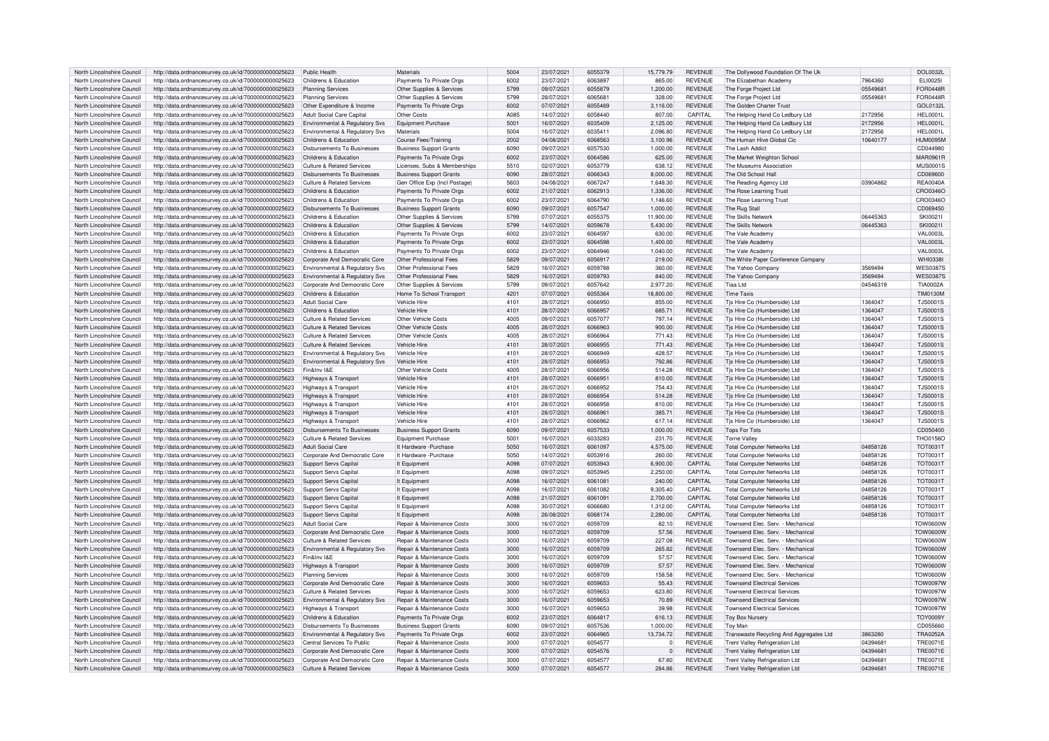| North Lincolnshire Council | http://data.ordnancesurvey.co.uk/id/7000000000025623 | Public Health                              | Materials                             | 5004             | 23/07/2021 | 6055379 | 15,779.79   | <b>REVENUE</b> | The Dollywood Foundation Of The Uk      |          | DOI 0032L        |
|----------------------------|------------------------------------------------------|--------------------------------------------|---------------------------------------|------------------|------------|---------|-------------|----------------|-----------------------------------------|----------|------------------|
| North Lincolnshire Council | http://data.ordnancesurvey.co.uk/id/7000000000025623 | Childrens & Education                      | Payments To Private Oras              | 6002             | 23/07/2021 | 6063897 | 865.00      | <b>REVENUE</b> | The Elizabethan Academy                 | 7964360  | ELI00251         |
|                            |                                                      |                                            |                                       |                  |            | 6055879 |             |                |                                         |          | <b>FOR0448R</b>  |
| North Lincolnshire Council | http://data.ordnancesurvey.co.uk/id/7000000000025623 | <b>Planning Services</b>                   | Other Supplies & Services             | 5799             | 09/07/2021 |         | 1,200.00    | <b>REVENUE</b> | The Forge Project Ltd                   | 05549681 |                  |
| North Lincolnshire Council | http://data.ordnancesurvey.co.uk/id/7000000000025623 | <b>Planning Services</b>                   | Other Supplies & Services             | 5799             | 28/07/2021 | 606568  | 328.00      | <b>REVENUE</b> | The Forge Project Ltd                   | 05549681 | <b>FOR0448R</b>  |
| North Lincolnshire Council | http://data.ordnancesurvey.co.uk/id/7000000000025623 | Other Expenditure & Income                 | Payments To Private Orgs              | 6002             | 07/07/2021 | 6055469 | 3,116.00    | <b>REVENUE</b> | The Golden Charter Trust                |          | GOL0132L         |
| North Lincolnshire Council | http://data.ordnancesurvey.co.uk/id/7000000000025623 | Adult Social Care Capita                   | Other Costs                           | A085             | 14/07/2021 | 605844  | 807.00      | CAPITAL        | The Helping Hand Co Ledbury Ltd         | 2172956  | <b>HFI 0001I</b> |
| North Lincolnshire Council | http://data.ordnancesurvey.co.uk/id/7000000000025623 | Environmental & Regulatory Svs             | Equipment Purchase                    | 5001             | 16/07/2021 | 6035409 | 2,125.00    | <b>REVENUE</b> | The Helping Hand Co Ledbury Ltd         | 2172956  | <b>HEL0001L</b>  |
| North Lincolnshire Council | http://data.ordnancesurvey.co.uk/id/7000000000025623 | Environmental & Regulatory Svs             | Materials                             | 5004             | 16/07/2021 | 603541  | 2.096.80    | <b>REVENUE</b> | The Helping Hand Co Ledbury Ltd         | 2172956  | HEL0001L         |
| North Lincolnshire Council | http://data.ordnancesurvey.co.uk/id/7000000000025623 | Childrens & Education                      | <b>Course Fees/Training</b>           | 2002             | 04/08/2021 | 6068563 | 3,100.96    | <b>REVENUE</b> | The Human Hive Global Cic               | 10640177 | HI IM0095M       |
| North Lincolnshire Council | http://data.ordnancesurvey.co.uk/id/7000000000025623 | Disbursements To Businesses                | <b>Business Support Grants</b>        | 6090             | 09/07/2021 | 6057530 | 1,000.00    | <b>REVENUE</b> | The Lash Addict                         |          | CD044980         |
|                            |                                                      |                                            |                                       |                  |            |         |             |                |                                         |          |                  |
| North Lincolnshire Council | http://data.ordnancesurvey.co.uk/id/7000000000025623 | Childrens & Education                      | Payments To Private Orgs              | 6002             | 23/07/2021 | 6064586 | 625.00      | <b>REVENUE</b> | The Market Weighton School              |          | MAR0961R         |
| North Lincolnshire Council | http://data.ordnancesurvey.co.uk/id/7000000000025623 | Culture & Related Services                 | Licenses, Subs & Memberships          | 5510             | 02/07/2021 | 6053779 | 638.12      | <b>REVENUE</b> | The Museums Association                 |          | <b>MUS0001S</b>  |
| North Lincolnshire Council | http://data.ordnancesurvey.co.uk/id/7000000000025623 | Disbursements To Businesses                | <b>Business Support Grants</b>        | 6090             | 28/07/2021 | 6068343 | 8.000.00    | <b>REVENUE</b> | The Old School Hal                      |          | CD069600         |
| North Lincolnshire Council | http://data.ordnancesurvey.co.uk/id/7000000000025623 | Culture & Related Services                 | Gen Office Exp (Incl Postage)         | 5603             | 04/08/2021 | 6067247 | 1.648.30    | <b>REVENUE</b> | The Reading Agency Ltd                  | 03904882 | <b>REA0040A</b>  |
| North Lincolnshire Council | http://data.ordnancesurvey.co.uk/id/7000000000025623 | Childrens & Education                      | Payments To Private Orgs              | 6002             | 21/07/2021 | 6062913 | 1,336.00    | <b>REVENUE</b> | The Rose Learning Trust                 |          | CRO0346O         |
| North Lincolnshire Council | http://data.ordnancesurvey.co.uk/id/7000000000025623 | Childrens & Education                      | Payments To Private Orgs              | 6002             | 23/07/2021 | 6064790 | 1,146.60    | <b>REVENUE</b> | The Rose Learning Trust                 |          | CRO0346O         |
| North Lincolnshire Council | http://data.ordnancesurvey.co.uk/id/7000000000025623 | <b>Disbursements To Businesses</b>         | <b>Business Support Grants</b>        | 6090             | 09/07/2021 | 6057547 | 1.000.00    | <b>REVENUE</b> | The Rug Stall                           |          | CD069450         |
| North Lincolnshire Council | http://data.ordnancesurvey.co.uk/id/7000000000025623 | Childrens & Education                      | Other Supplies & Services             | 5799             | 07/07/2021 | 6055375 | 11,900.00   | <b>REVENUE</b> | The Skills Network                      | 06445363 | SKI0021I         |
| North Lincolnshire Council | http://data.ordnancesurvey.co.uk/id/7000000000025623 | Childrens & Education                      | Other Supplies & Services             | 5799             | 14/07/2021 | 6059678 | 5,430.00    | <b>REVENUE</b> | The Skills Network                      | 06445363 | SKI0021I         |
| North Lincolnshire Council |                                                      | Childrens & Education                      |                                       | 6002             | 23/07/2021 | 6064597 |             | REVENUE        | The Vale Academ                         |          | <b>VAL0003L</b>  |
|                            | http://data.ordnancesurvey.co.uk/id/7000000000025623 |                                            | Payments To Private Orgs              |                  |            |         | 630.00      |                |                                         |          |                  |
| North Lincolnshire Council | http://data.ordnancesurvey.co.uk/id/7000000000025623 | Childrens & Education                      | Payments To Private Orgs              | 6002             | 23/07/2021 | 6064598 | 1,400.00    | REVENUE        | The Vale Academy                        |          | <b>VAL0003L</b>  |
| North Lincolnshire Council | http://data.ordnancesurvey.co.uk/id/7000000000025623 | Childrens & Education                      | Payments To Private Orgs              | 6002             | 23/07/2021 | 6064946 | 1.040.00    | <b>REVENUE</b> | The Vale Academy                        |          | <b>VAL0003L</b>  |
| North Lincolnshire Council | http://data.ordnancesurvey.co.uk/id/7000000000025623 | Corporate And Democratic Core              | Other Professional Fees               | 5829             | 09/07/2021 | 6056917 | 219.00      | <b>REVENUE</b> | The White Paper Conference Company      |          | <b>WHI0338I</b>  |
| North Lincolnshire Council | http://data.ordnancesurvey.co.uk/id/7000000000025623 | Environmental & Regulatory Svs             | Other Professional Fees               | 5829             | 16/07/2021 | 6059788 | 360.00      | <b>REVENUE</b> | The Yahoo Company                       | 3569494  | <b>WES0387S</b>  |
| North Lincolnshire Council | http://data.ordnancesurvey.co.uk/id/7000000000025623 | Environmental & Regulatory Sys             | Other Professional Fees               | 5829             | 16/07/2021 | 6059793 | 840.00      | <b>REVENUE</b> | The Yahoo Company                       | 3569494  | <b>WES0387S</b>  |
| North Lincolnshire Council | http://data.ordnancesurvey.co.uk/id/7000000000025623 | Corporate And Democratic Core              | Other Supplies & Services             | 5799             | 09/07/2021 | 6057642 | 2,977.20    | <b>REVENUE</b> | Tiaa Ltd                                | 04546319 | TIA0002A         |
| North Lincolnshire Council | http://data.ordnancesurvey.co.uk/id/7000000000025623 | Childrens & Education                      | Home To School Transport              | 4201             | 07/07/2021 | 6055364 | 18,800.00   | <b>REVENUE</b> | <b>Time Taxis</b>                       |          | <b>TIM0130M</b>  |
|                            |                                                      | <b>Adult Social Care</b>                   | Vehicle Hire                          | 4101             | 28/07/2021 | 6066950 |             | <b>REVENUE</b> |                                         | 1364047  | <b>TJS0001S</b>  |
| North Lincolnshire Council | http://data.ordnancesurvey.co.uk/id/7000000000025623 |                                            |                                       |                  |            |         | 855.00      |                | Tjs Hire Co (Humberside) Ltd            |          |                  |
| North Lincolnshire Council | http://data.ordnancesurvey.co.uk/id/7000000000025623 | Childrens & Education                      | Vehicle Hire                          | 4101             | 28/07/2021 | 6066957 | 685.71      | <b>REVENUE</b> | Tjs Hire Co (Humberside) Ltd            | 1364047  | <b>TJS0001S</b>  |
| North Lincolnshire Council | http://data.ordnancesurvey.co.uk/id/7000000000025623 | <b>Culture &amp; Related Services</b>      | Other Vehicle Costs                   | 4005             | 09/07/2021 | 6057077 | 797.14      | <b>REVENUE</b> | Tjs Hire Co (Humberside) Ltd            | 1364047  | <b>TJS0001S</b>  |
| North Lincolnshire Council | http://data.ordnancesurvey.co.uk/id/7000000000025623 | Culture & Related Services                 | Other Vehicle Costs                   | 4005             | 28/07/2021 | 6066963 | 900.00      | REVENUE        | Tis Hire Co (Humberside) Ltd            | 1364047  | T.IS0001S        |
| North Lincolnshire Council | http://data.ordnancesurvey.co.uk/id/7000000000025623 | Culture & Related Services                 | Other Vehicle Costs                   | 4005             | 28/07/2021 | 6066964 | 771.43      | <b>REVENUE</b> | Tis Hire Co (Humberside) I td           | 1364047  | <b>TJS0001S</b>  |
| North Lincolnshire Council | http://data.ordnancesurvey.co.uk/id/7000000000025623 | Culture & Related Services                 | Vehicle Hire                          | 4101             | 28/07/2021 | 6066955 | 771.43      | <b>REVENUE</b> | Tjs Hire Co (Humberside) Ltd            | 1364047  | <b>TJS0001S</b>  |
| North Lincolnshire Council | http://data.ordnancesurvey.co.uk/id/7000000000025623 | Environmental & Regulatory Svs             | Vehicle Hire                          | 4101             | 28/07/2021 | 6066949 | 428.57      | <b>REVENUE</b> | Tjs Hire Co (Humberside) Ltd            | 1364047  | <b>TJS0001S</b>  |
| North Lincolnshire Council | http://data.ordnancesurvey.co.uk/id/7000000000025623 | Environmental & Regulatory Svs             | Vehicle Hire                          | 4101             | 28/07/2021 | 6066953 | 792.86      | <b>REVENUE</b> | Tjs Hire Co (Humberside) Ltd            | 1364047  | <b>TJS0001S</b>  |
| North Lincolnshire Council | http://data.ordnancesurvey.co.uk/id/7000000000025623 | Fin&Inv I&F                                | Other Vehicle Costs                   | 4005             | 28/07/2021 | 6066956 | 514.28      | <b>REVENUE</b> | Tjs Hire Co (Humberside) Ltd            | 1364047  | <b>TJS0001S</b>  |
| North Lincolnshire Council | http://data.ordnancesurvey.co.uk/id/7000000000025623 | Highways & Transport                       | Vehicle Hire                          | 4101             | 28/07/2021 | 6066951 | 810.00      | <b>REVENUE</b> | Tis Hire Co (Humberside) I to           | 1364047  | <b>TJS0001S</b>  |
| North Lincolnshire Council |                                                      |                                            | Vehicle Hire                          | 4101             |            | 6066953 | 754.43      | <b>REVENUE</b> | Tis Hire Co (Humberside) I to           | 1364047  | <b>TJS0001S</b>  |
|                            | http://data.ordnancesurvey.co.uk/id/7000000000025623 | Highways & Transport                       |                                       |                  | 28/07/2021 |         |             |                |                                         |          |                  |
| North Lincolnshire Council | http://data.ordnancesurvey.co.uk/id/7000000000025623 | Highways & Transport                       | Vehicle Hire                          | 4101             | 28/07/2021 | 6066954 | 514.28      | <b>REVENUE</b> | Tjs Hire Co (Humberside) Ltd            | 1364047  | <b>TJS0001S</b>  |
| North Lincolnshire Council | http://data.ordnancesurvey.co.uk/id/7000000000025623 | Highways & Transport                       | Vehicle Hire                          | 4101             | 28/07/2021 | 6066958 | 810.00      | <b>REVENUE</b> | Tjs Hire Co (Humberside) Ltd            | 1364047  | <b>TJS0001S</b>  |
| North Lincolnshire Council | http://data.ordnancesurvey.co.uk/id/7000000000025623 | Highways & Transport                       | Vehicle Hire                          | 4101             | 28/07/2021 | 6066961 | 385.71      | <b>REVENUE</b> | Tjs Hire Co (Humberside) Ltd            | 1364047  | <b>TJS0001S</b>  |
| North Lincolnshire Council | http://data.ordnancesurvev.co.uk/id/7000000000025623 | Highways & Transport                       | Vehicle Hire                          | 4101             | 28/07/2021 | 6066962 | 617.14      | <b>REVENUE</b> | Tjs Hire Co (Humberside) Ltd            | 1364047  | <b>TJS0001S</b>  |
| North Lincolnshire Council | http://data.ordnancesurvey.co.uk/id/7000000000025623 | Disbursements To Businesses                | <b>Business Support Grants</b>        | 6090             | 09/07/2021 | 6057533 | 1,000.00    | <b>REVENUE</b> | <b>Tops For Tots</b>                    |          | CD050400         |
| North Lincolnshire Council | http://data.ordnancesurvey.co.uk/id/7000000000025623 | <b>Culture &amp; Related Services</b>      | Equipment Purchase                    | 5001             | 16/07/2021 | 6033283 | 231.70      | REVENUE        | <b>Torne Valley</b>                     |          | <b>THO01560</b>  |
| North Lincolnshire Council | http://data.ordnancesurvey.co.uk/id/7000000000025623 | <b>Adult Social Care</b>                   | It Hardware - Purchase                | 5050             | 16/07/2021 | 6061097 | 4.575.00    | <b>REVENUE</b> | <b>Total Computer Networks Ltd</b>      | 04858126 | <b>TOT0031T</b>  |
| North Lincolnshire Council | http://data.ordnancesurvey.co.uk/id/7000000000025623 | Corporate And Democratic Core              | It Hardware - Purchase                | 5050             | 14/07/2021 | 6053916 | 260.00      | REVENUE        | <b>Total Computer Networks Ltd</b>      | 04858126 | TOT00311         |
|                            |                                                      |                                            |                                       |                  |            |         |             |                |                                         |          |                  |
| North Lincolnshire Council | http://data.ordnancesurvey.co.uk/id/7000000000025623 | <b>Support Servs Capital</b>               | It Fauinment                          | A098             | 07/07/2021 | 6053943 | 6.900.00    | CAPITAL        | <b>Total Computer Networks Ltd</b>      | 04858126 | <b>TOT0031T</b>  |
| North Lincolnshire Council | http://data.ordnancesurvey.co.uk/id/7000000000025623 | <b>Support Servs Capital</b>               | It Equipment                          | A098             | 09/07/2021 | 6053945 | 2,250.00    | CAPITAL        | <b>Total Computer Networks Ltd</b>      | 04858126 | <b>TOT0031T</b>  |
| North Lincolnshire Council | http://data.ordnancesurvey.co.uk/id/7000000000025623 | Support Servs Capital                      | It Equipment                          | A098             | 16/07/2021 | 6061081 | 240.00      | CAPITAL        | <b>Total Computer Networks Ltd</b>      | 04858126 | <b>TOT0031T</b>  |
| North Lincolnshire Council | http://data.ordnancesurvey.co.uk/id/7000000000025623 | Support Servs Capital                      | It Equipment                          | A098             | 16/07/2021 | 6061082 | 9,305.40    | CAPITAL        | <b>Total Computer Networks Ltd</b>      | 04858126 | TOT0031T         |
| North Lincolnshire Council | http://data.ordnancesurvey.co.uk/id/7000000000025623 | Support Servs Capital                      | It Equipment                          | A098             | 21/07/2021 | 606109  | 2,700.00    | CAPITAL        | <b>Total Computer Networks Ltd</b>      | 04858126 | <b>TOT0031T</b>  |
| North Lincolnshire Council | http://data.ordnancesurvey.co.uk/id/7000000000025623 | Support Servs Capital                      | It Equipment                          | AN <sub>98</sub> | 30/07/2021 | 6066680 | 1,312.00    | CAPITAL        | Total Computer Networks Ltd             | 04858126 | TOT0031T         |
| North Lincolnshire Council | http://data.ordnancesurvey.co.uk/id/7000000000025623 | Support Servs Capital                      | It Fauinment                          | A098             | 26/08/2021 | 6068174 | 2,280.00    | CAPITAL        | <b>Total Computer Networks I td</b>     | 04858126 | <b>TOT0031T</b>  |
| North Lincolnshire Council | http://data.ordnancesurvey.co.uk/id/7000000000025623 | <b>Adult Social Care</b>                   | Repair & Maintenance Costs            | 3000             | 16/07/2021 | 6059709 | 82.10       | <b>REVENUE</b> | Townsend Flec. Serv. - Mechanical       |          | <b>TOW0600W</b>  |
| North Lincolnshire Council | http://data.ordnancesurvey.co.uk/id/7000000000025623 | Corporate And Democratic Core              | Repair & Maintenance Costs            | 3000             | 16/07/2021 | 6059709 | 57.56       | <b>REVENUE</b> | Townsend Elec. Serv. - Mechanical       |          | <b>TOW0600W</b>  |
| North Lincolnshire Council |                                                      | Culture & Related Services                 |                                       | 3000             | 16/07/2021 | 6059709 | 227.08      | <b>REVENUE</b> | Townsend Flec. Serv. - Mechanical       |          | <b>N0030WOT</b>  |
|                            | http://data.ordnancesurvey.co.uk/id/7000000000025623 |                                            | Repair & Maintenance Costs            |                  |            |         |             |                |                                         |          |                  |
| North Lincolnshire Council | http://data.ordnancesurvey.co.uk/id/7000000000025623 | Environmental & Regulatory Svs             | Repair & Maintenance Costs            | 3000             | 16/07/2021 | 6059709 | 265.82      | <b>REVENUE</b> | Townsend Elec. Serv. - Mechanical       |          | <b>TOW0600W</b>  |
| North Lincolnshire Council | http://data.ordnancesurvey.co.uk/id/7000000000025623 | Fin&Inv I&F                                | Repair & Maintenance Costs            | 3000             | 16/07/2021 | 6059709 | 57.57       | <b>REVENUE</b> | Townsend Flec. Serv. - Mechanical       |          | <b>TOW0600W</b>  |
| North Lincolnshire Council | http://data.ordnancesurvey.co.uk/id/7000000000025623 | Highways & Transport                       | Repair & Maintenance Costs            | 3000             | 16/07/2021 | 6059709 | 57.57       | <b>REVENUE</b> | Townsend Elec. Serv. - Mechanical       |          | <b>TOW0600W</b>  |
| North Lincolnshire Council | http://data.ordnancesurvey.co.uk/id/7000000000025623 | <b>Planning Services</b>                   | Repair & Maintenance Costs            | 3000             | 16/07/2021 | 6059709 | 158.58      | <b>REVENUE</b> | Townsend Elec. Serv. - Mechanical       |          | <b>TOW0600W</b>  |
| North Lincolnshire Council | http://data.ordnancesurvey.co.uk/id/7000000000025623 | Corporate And Democratic Core              | Repair & Maintenance Costs            | 3000             | 16/07/2021 | 6059653 | 55.43       | <b>REVENUE</b> | <b>Townsend Electrical Services</b>     |          | <b>TOW0097W</b>  |
| North Lincolnshire Council | http://data.ordnancesurvey.co.uk/id/7000000000025623 | <b>Culture &amp; Related Services</b>      | <b>Repair &amp; Maintenance Costs</b> | 3000             | 16/07/2021 | 6059653 | 623.80      | <b>REVENUE</b> | <b>Townsend Electrical Services</b>     |          | <b>TOW0097W</b>  |
| North Lincolnshire Council | http://data.ordnancesurvey.co.uk/id/7000000000025623 | Environmental & Regulatory Svs             | Repair & Maintenance Costs            | 3000             | 16/07/2021 | 6059653 | 70.89       | <b>REVENUE</b> | <b>Townsend Electrical Services</b>     |          | <b>TOW0097W</b>  |
| North Lincolnshire Council | http://data.ordnancesurvey.co.uk/id/7000000000025623 | Highways & Transport                       | Repair & Maintenance Costs            | 3000             | 16/07/2021 | 6059653 | 39.98       | <b>REVENUE</b> | <b>Townsend Electrical Services</b>     |          | <b>TOW0097W</b>  |
| North Lincolnshire Council |                                                      | Childrens & Education                      |                                       | 6002             | 23/07/2021 | 6064817 | 616.13      | <b>REVENUE</b> |                                         |          | <b>TOY0009Y</b>  |
|                            | http://data.ordnancesurvey.co.uk/id/7000000000025623 |                                            | Payments To Private Orgs              |                  |            |         |             |                | <b>Toy Box Nursery</b>                  |          |                  |
| North Lincolnshire Council | http://data.ordnancesurvey.co.uk/id/7000000000025623 | <b>Disbursements To Businesses</b>         | <b>Business Support Grants</b>        | 6090             | 09/07/2021 | 6057536 | 1,000.00    | <b>REVENUE</b> | Toy Man                                 |          | CD055660         |
| North Lincolnshire Council | http://data.ordnancesurvey.co.uk/id/7000000000025623 | <b>Environmental &amp; Regulatory Sys.</b> | Payments To Private Orgs              | 6002             | 23/07/2021 | 6064965 | 13.734.72   | <b>REVENUE</b> | Transwaste Recycling And Aggregates Ltd | 3863280  | <b>TRA0252A</b>  |
| North Lincolnshire Council | http://data.ordnancesurvey.co.uk/id/7000000000025623 | Central Services To Public                 | Repair & Maintenance Costs            | 3000             | 07/07/2021 | 605457  | $\mathbf 0$ | <b>REVENUE</b> | Trent Valley Refrigeration Ltd          | 04394681 | <b>TRE0071E</b>  |
| North Lincolnshire Council | http://data.ordnancesurvey.co.uk/id/7000000000025623 | Corporate And Democratic Core              | Repair & Maintenance Costs            | 3000             | 07/07/2021 | 6054576 | $\mathbf 0$ | <b>REVENUE</b> | Trent Valley Refrigeration Ltd          | 04394681 | <b>TRE0071E</b>  |
| North Lincolnshire Council | http://data.ordnancesurvey.co.uk/id/7000000000025623 | Corporate And Democratic Core              | Repair & Maintenance Costs            | 3000             | 07/07/2021 | 605457  | 67.80       | <b>REVENUE</b> | Trent Valley Refrigeration Ltd          | 04394681 | TRE0071E         |
| North Lincolnshire Council | http://data.ordnancesurvey.co.uk/id/7000000000025623 | Culture & Related Services                 | Repair & Maintenance Costs            | 3000             | 07/07/2021 | 6054577 | 284.86      | REVENUE        | Trent Valley Refrigeration Ltd          | 04394681 | TRE0071E         |
|                            |                                                      |                                            |                                       |                  |            |         |             |                |                                         |          |                  |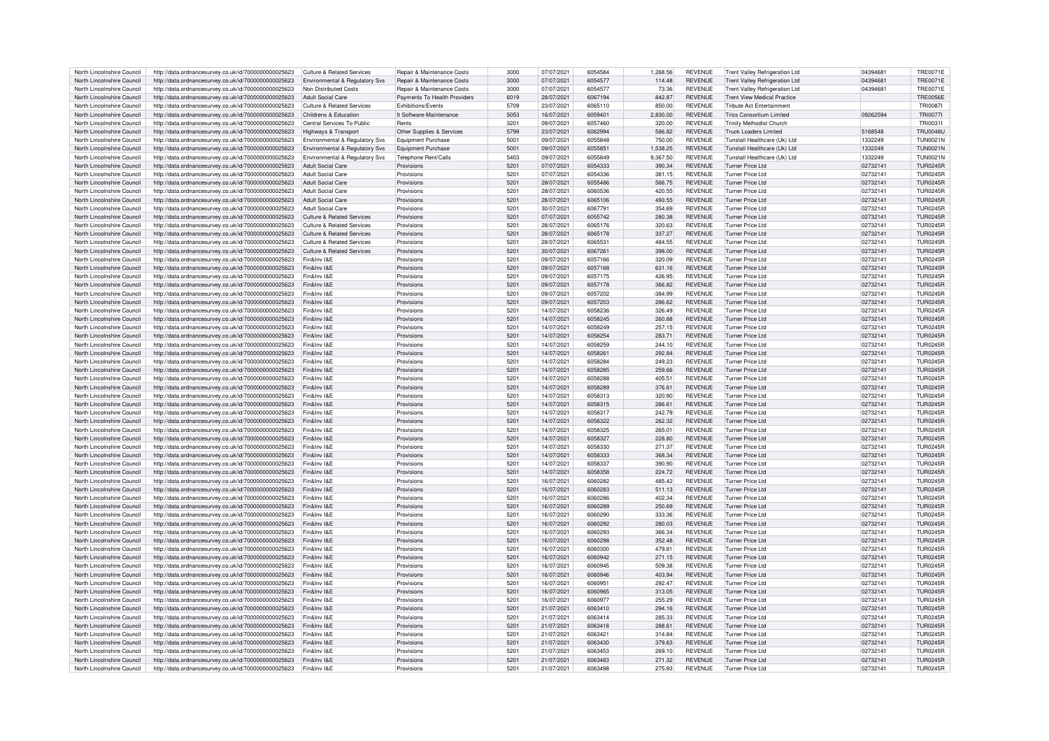| North Lincolnshire Council | http://data.ordnancesurvey.co.uk/id/7000000000025623 | Culture & Related Services            | Repair & Maintenance Costs   | 3000          | 07/07/2021 | 6054584 | 1.268.56  | <b>REVENUE</b> | Trent Valley Refrigeration Ltd        | 04394681 | <b>TRE0071E</b> |
|----------------------------|------------------------------------------------------|---------------------------------------|------------------------------|---------------|------------|---------|-----------|----------------|---------------------------------------|----------|-----------------|
| North Lincolnshire Council | http://data.ordnancesurvey.co.uk/id/7000000000025623 | Environmental & Regulatory Svs        | Repair & Maintenance Costs   | 3000          | 07/07/2021 | 6054577 | 114.48    | <b>REVENUE</b> | <b>Trent Valley Refrigeration Ltd</b> | 04394681 | <b>TRE0071E</b> |
|                            |                                                      |                                       |                              |               |            |         |           |                |                                       |          |                 |
| North Lincolnshire Council | http://data.ordnancesurvey.co.uk/id/7000000000025623 | Non Distributed Costs                 | Repair & Maintenance Costs   | 3000          | 07/07/2021 | 6054577 | 73.36     | <b>REVENUE</b> | <b>Trent Valley Refrigeration Ltd</b> | 0439468  | <b>TRE0071E</b> |
| North Lincolnshire Council | http://data.ordnancesurvey.co.uk/id/7000000000025623 | Adult Social Care                     | Payments To Health Providers | 6019          | 28/07/2021 | 6067194 | 842.87    | <b>REVENUE</b> | <b>Trent View Medical Practice</b>    |          | <b>TRE0056E</b> |
| North Lincolnshire Council | http://data.ordnancesurvey.co.uk/id/7000000000025623 | Culture & Related Services            | Exhibitions/Events           | 5709          | 23/07/2021 | 6065110 | 850.00    | <b>REVENUE</b> | Tribute Act Entertainmen              |          | <b>TRI0087I</b> |
| North Lincolnshire Council | http://data.ordnancesurvey.co.uk/id/7000000000025623 | Childrens & Education                 | It Software-Maintenance      | 5053          | 16/07/2021 | 6059401 | 2,830.00  | REVENUE        | <b>Trics Consortium Limited</b>       | 09262594 | <b>TRI0077I</b> |
| North Lincolnshire Council | http://data.ordnancesurvey.co.uk/id/7000000000025623 | Central Services To Public            | Rents                        | 3201          | 09/07/2021 | 6057460 | 320.00    | <b>REVENUE</b> | <b>Trinity Methodist Church</b>       |          | TRI0031I        |
| North Lincolnshire Council | http://data.ordnancesurvey.co.uk/id/7000000000025623 | Highways & Transport                  | Other Supplies & Services    | 5799          | 23/07/2021 | 6062994 | 586.82    | <b>REVENUE</b> | <b>Truck Loaders Limited</b>          | 5168548  | <b>TRU0048U</b> |
|                            |                                                      |                                       |                              |               |            |         |           |                |                                       |          |                 |
| North Lincolnshire Council | http://data.ordnancesurvey.co.uk/id/7000000000025623 | Environmental & Regulatory Svs        | <b>Foujoment Purchase</b>    | 5001          | 09/07/2021 | 6055848 | 750.00    | <b>REVENUE</b> | Tunstall Healthcare (Uk) Ltd          | 1332249  | <b>TUN0021N</b> |
| North Lincolnshire Council | http://data.ordnancesurvey.co.uk/id/7000000000025623 | Environmental & Regulatory Svs        | <b>Equipment Purchase</b>    | 5001          | 09/07/2021 | 6055851 | 1,538.25  | <b>REVENUE</b> | Tunstall Healthcare (Uk) Ltd          | 1332249  | <b>TUN0021N</b> |
| North Lincolnshire Council | http://data.ordnancesurvey.co.uk/id/7000000000025623 | Environmental & Regulatory Svs        | Telephone Rent/Calls         | 5403          | 09/07/2021 | 6055849 | 9,367.50  | <b>REVENUE</b> | Tunstall Healthcare (Uk) Ltd          | 1332249  | <b>TUN0021N</b> |
| North Lincolnshire Council | http://data.ordnancesurvey.co.uk/id/7000000000025623 | Adult Social Care                     | Provisions                   | 5201          | 07/07/2021 | 6054333 | 390.34    | <b>REVENUE</b> | Turner Price I td                     | 02732141 | <b>TUR0245R</b> |
| North Lincolnshire Council | http://data.ordnancesurvey.co.uk/id/7000000000025623 | <b>Adult Social Care</b>              | Provisions                   | 5201          | 07/07/2021 | 6054336 | 381.15    | <b>REVENUE</b> | Turner Price Ltd                      | 02732141 | <b>TUR0245R</b> |
|                            |                                                      |                                       |                              |               |            |         |           |                |                                       |          |                 |
| North Lincolnshire Council | http://data.ordnancesurvey.co.uk/id/7000000000025623 | Adult Social Care                     | Provisions                   | 5201          | 28/07/2021 | 6055486 | 566.75    | <b>REVENUE</b> | Turner Price Ltd                      | 02732141 | <b>TUR0245R</b> |
| North Lincolnshire Council | http://data.ordnancesurvey.co.uk/id/7000000000025623 | Adult Social Care                     | Provisions                   | 5201          | 28/07/2021 | 6060536 | 420.55    | <b>REVENUE</b> | <b>Turner Price Ltd</b>               | 02732141 | <b>TUR0245R</b> |
| North Lincolnshire Council | http://data.ordnancesurvey.co.uk/id/7000000000025623 | <b>Adult Social Care</b>              | Provisions                   | 5201          | 28/07/2021 | 6065106 | 493.55    | <b>REVENUE</b> | Turner Price Ltd                      | 02732141 | <b>TUR0245R</b> |
| North Lincolnshire Council | http://data.ordnancesurvey.co.uk/id/7000000000025623 | <b>Adult Social Care</b>              | Provisions                   | 5201          | 30/07/2021 | 6067791 | 354.69    | <b>REVENUE</b> | Turner Price I td                     | 0273214  | TUR0245F        |
| North Lincolnshire Council | http://data.ordnancesurvey.co.uk/id/7000000000025623 | <b>Culture &amp; Related Services</b> | Provisions                   | 5201          | 07/07/2021 | 6055742 | 280.38    | <b>REVENUE</b> | Turner Price I td                     | 02732141 | <b>TUR0245R</b> |
|                            |                                                      |                                       |                              |               |            |         |           |                |                                       |          |                 |
| North Lincolnshire Council | http://data.ordnancesurvey.co.uk/id/7000000000025623 | Culture & Related Services            | Provisions                   | 5201          | 28/07/2021 | 6065176 | 320.63    | <b>REVENUE</b> | <b>Turner Price Ltd</b>               | 02732141 | <b>TUR0245R</b> |
| North Lincolnshire Council | http://data.ordnancesurvey.co.uk/id/7000000000025623 | Culture & Related Services            | Provisions                   | 5201          | 28/07/2021 | 6065178 | 337.27    | <b>REVENUE</b> | <b>Turner Price Ltd</b>               | 02732141 | <b>TUR0245R</b> |
| North Lincolnshire Council | http://data.ordnancesurvey.co.uk/id/7000000000025623 | Culture & Related Services            | Provisions                   | 5201          | 28/07/2021 | 6065531 | 484.55    | <b>REVENUE</b> | Turner Price Ltd                      | 02732141 | <b>TUR0245R</b> |
| North Lincolnshire Council | http://data.ordnancesurvey.co.uk/id/7000000000025623 | Culture & Related Services            | Provisions                   | 5201          | 30/07/2021 | 6067261 | 398.00    | <b>REVENUE</b> | Turner Price I td                     | 02732141 | <b>TUR0245R</b> |
| North Lincolnshire Council | http://data.ordnancesurvey.co.uk/id/7000000000025623 | Fin&Inv I&F                           | Provisions                   | 520           | 09/07/2021 | 6057166 | 320.09    | <b>REVENUE</b> | Turner Price Ltd                      | 02732141 | <b>TUR0245R</b> |
|                            |                                                      |                                       |                              |               |            |         |           |                |                                       |          |                 |
| North Lincolnshire Council | http://data.ordnancesurvey.co.uk/id/7000000000025623 | Fin&Inv I&F                           | Provisions                   | 5201          | 09/07/2021 | 6057168 | 631.16    | <b>REVENUE</b> | Turner Price I td                     | 02732141 | <b>TUR0245R</b> |
| North Lincolnshire Council | http://data.ordnancesurvey.co.uk/id/7000000000025623 | Fin&Inv I&E                           | Provisions                   | 5201          | 09/07/2021 | 6057175 | 426.95    | <b>REVENUE</b> | <b>Turner Price Ltd</b>               | 02732141 | <b>TUR0245R</b> |
| North Lincolnshire Council | http://data.ordnancesurvey.co.uk/id/7000000000025623 | Fin&Inv I&F                           | Provisions                   | 5201          | 09/07/2021 | 6057178 | 366.82    | <b>REVENUE</b> | <b>Turner Price Ltd</b>               | 02732141 | <b>TUR0245R</b> |
| North Lincolnshire Council | http://data.ordnancesurvey.co.uk/id/7000000000025623 | Fin&Inv I&E                           | Provisions                   | 5201          | 09/07/2021 | 6057202 | $-384.99$ | <b>REVENUE</b> | <b>Turner Price Ltd</b>               | 02732141 | <b>TUR0245F</b> |
| North Lincolnshire Council | http://data.ordnancesurvey.co.uk/id/7000000000025623 | Fin&Inv I&F                           | Provisions                   | 5201          | 09/07/2021 | 6057203 | 286.62    | <b>REVENUE</b> | Turner Price I td                     | 02732141 | <b>TUR0245R</b> |
|                            |                                                      | Fin&Inv I&F                           |                              |               |            | 6058236 |           | <b>REVENUE</b> |                                       |          |                 |
| North Lincolnshire Council | http://data.ordnancesurvey.co.uk/id/7000000000025623 |                                       | Provisions                   | 5201          | 14/07/2021 |         | 326.49    |                | Turner Price Ltd                      | 02732141 | <b>TUR0245R</b> |
| North Lincolnshire Council | http://data.ordnancesurvey.co.uk/id/7000000000025623 | Fin&Inv I&E                           | Provisions                   | 5201          | 14/07/2021 | 6058245 | 260.88    | REVENUE        | Turner Price Ltd                      | 02732141 | <b>TUR0245R</b> |
| North Lincolnshire Council | http://data.ordnancesurvey.co.uk/id/7000000000025623 | Fin&Inv I&F                           | Provisions                   | 5201          | 14/07/2021 | 6058249 | 257.15    | <b>REVENUE</b> | Turner Price Ltd                      | 02732141 | <b>TUR0245R</b> |
| North Lincolnshire Council | http://data.ordnancesurvey.co.uk/id/7000000000025623 | Fin&Inv I&F                           | Provisions                   | 5201          | 14/07/2021 | 6058254 | 283.71    | <b>REVENUE</b> | Turner Price Ltd                      | 02732141 | <b>TUR0245R</b> |
| North Lincolnshire Council | http://data.ordnancesurvey.co.uk/id/7000000000025623 | Fin&Inv I&F                           | Provisions                   | 5201          | 14/07/2021 | 6058259 | 244.10    | <b>REVENUE</b> | Turner Price I td                     | 02732141 | <b>TUR0245R</b> |
|                            |                                                      |                                       |                              |               |            | 6058261 |           |                |                                       |          |                 |
| North Lincolnshire Council | http://data.ordnancesurvey.co.uk/id/7000000000025623 | Fin&Inv I&F                           | Provisions                   | 5201          | 14/07/2021 |         | 292.84    | <b>REVENUE</b> | Turner Price I td                     | 02732141 | <b>TUR0245R</b> |
| North Lincolnshire Council | http://data.ordnancesurvey.co.uk/id/7000000000025623 | Fin&Inv I&E                           | Provisions                   | 5201          | 14/07/2021 | 6058284 | 249.23    | <b>REVENUE</b> | <b>Turner Price Ltd</b>               | 02732141 | <b>TUR0245R</b> |
| North Lincolnshire Council | http://data.ordnancesurvey.co.uk/id/7000000000025623 | Fin&Inv I&F                           | Provisions                   | 5201          | 14/07/2021 | 6058285 | 259.66    | <b>REVENUE</b> | Turner Price I td                     | 02732141 | <b>TUR0245R</b> |
| North Lincolnshire Council | http://data.ordnancesurvey.co.uk/id/7000000000025623 | Fin&Inv I&F                           | Provisions                   | 5201          | 14/07/2021 | 6058288 | 405.51    | <b>REVENUE</b> | Turner Price Ltd                      | 02732141 | <b>TUR0245R</b> |
| North Lincolnshire Council | http://data.ordnancesurvey.co.uk/id/7000000000025623 | Fin&Inv I&E                           | Provisions                   | 5201          | 14/07/2021 | 6058289 | 376.61    | <b>REVENUE</b> | <b>Turner Price Ltd</b>               | 02732141 | <b>TUR0245R</b> |
|                            |                                                      | Fin&Inv I&F                           |                              |               |            |         |           |                | <b>Turner Price Ltd</b>               |          |                 |
| North Lincolnshire Council | http://data.ordnancesurvey.co.uk/id/7000000000025623 |                                       | Provisions                   | 5201          | 14/07/2021 | 6058313 | 320.90    | <b>REVENUE</b> |                                       | 02732141 | <b>TUR0245R</b> |
| North Lincolnshire Council | http://data.ordnancesurvey.co.uk/id/7000000000025623 | Fin&Inv I&E                           | Provisions                   | 5201          | 14/07/2021 | 6058315 | 286.61    | <b>REVENUE</b> | Turner Price Ltd                      | 02732141 | <b>TUR0245R</b> |
| North Lincolnshire Council | http://data.ordnancesurvey.co.uk/id/7000000000025623 | Fin&Inv I&F                           | Provisions                   | 520           | 14/07/2021 | 6058317 | 242.79    | <b>REVENUE</b> | Turner Price I to                     | 02732141 | TUR0245F        |
| North Lincolnshire Council | http://data.ordnancesurvey.co.uk/id/7000000000025623 | Fin&Inv I&F                           | Provisions                   | 5201          | 14/07/2021 | 6058322 | 262.32    | <b>REVENUE</b> | Turner Price Ltd                      | 02732141 | <b>TUR0245R</b> |
| North Lincolnshire Council | http://data.ordnancesurvey.co.uk/id/7000000000025623 | Fin&Inv I&F                           | Provisions                   | 5201          | 14/07/2021 | 6058325 | 265.01    | <b>REVENUE</b> | Turner Price I td                     | 02732141 | <b>TUR0245R</b> |
|                            |                                                      |                                       |                              |               |            |         |           |                |                                       |          |                 |
| North Lincolnshire Council | http://data.ordnancesurvey.co.uk/id/7000000000025623 | Fin&Inv I&E                           | Provisions                   | 5201          | 14/07/2021 | 6058327 | 228.80    | <b>REVENUE</b> | <b>Turner Price Ltd</b>               | 02732141 | <b>TUR0245F</b> |
| North Lincolnshire Council | http://data.ordnancesurvey.co.uk/id/7000000000025623 | Fin&Inv I&E                           | Provisions                   | 5201          | 14/07/2021 | 6058330 | 271.37    | <b>REVENUE</b> | Turner Price Ltd                      | 02732141 | <b>TUR0245R</b> |
| North Lincolnshire Council | http://data.ordnancesurvey.co.uk/id/7000000000025623 | Fin&Inv I&F                           | Provisions                   | 5201          | 14/07/2021 | 6058333 | 368.34    | <b>REVENUE</b> | Turner Price I td                     | 02732141 | TUR0245F        |
| North Lincolnshire Council | http://data.ordnancesurvey.co.uk/id/7000000000025623 | Fin&Inv I&F                           | Provisions                   | 520           | 14/07/2021 | 6058337 | 390.90    | <b>REVENUE</b> | Turner Price I td                     | 02732141 | <b>TUR0245R</b> |
| North Lincolnshire Council | http://data.ordnancesurvey.co.uk/id/7000000000025623 | Fin&Inv I&E                           | Provisions                   | 5201          | 14/07/2021 | 6058358 | 224.72    | <b>REVENUE</b> | <b>Turner Price Ltd</b>               | 02732141 | <b>TUR0245R</b> |
|                            |                                                      |                                       |                              |               |            |         |           |                |                                       |          |                 |
| North Lincolnshire Council | http://data.ordnancesurvey.co.uk/id/7000000000025623 | Fin&Inv I&E                           | Provisions                   | 5201          | 16/07/2021 | 6060282 | 485.42    | <b>REVENUE</b> | <b>Turner Price Ltd</b>               | 02732141 | <b>TUR0245R</b> |
| North Lincolnshire Council | http://data.ordnancesurvey.co.uk/id/7000000000025623 | Fin&Inv I&F                           | Provisions                   | 5201          | 16/07/2021 | 6060283 | 511.13    | <b>REVENUE</b> | Turner Price Ltd                      | 02732141 | <b>TUR0245R</b> |
| North Lincolnshire Council | http://data.ordnancesurvey.co.uk/id/7000000000025623 | Fin&Inv I&E                           | Provisions                   | 5201          | 16/07/2021 | 6060286 | 402.34    | <b>REVENUE</b> | <b>Turner Price Ltd</b>               | 02732141 | <b>TUR0245R</b> |
| North Lincolnshire Council | http://data.ordnancesurvey.co.uk/id/7000000000025623 | Fin&Inv I&F                           | Provisions                   | 5201          | 16/07/2021 | 6060289 | 250.69    | <b>REVENUE</b> | Turner Price I td                     | 02732141 | TUR0245R        |
| North Lincolnshire Council | http://data.ordnancesurvey.co.uk/id/7000000000025623 | Fin&Inv I&F                           | Provisions                   | 5201          | 16/07/2021 | 6060290 | 333.36    | <b>REVENUE</b> | <b>Turner Price Ltd</b>               | 02732141 | TUR0245F        |
| North Lincolnshire Council | http://data.ordnancesurvey.co.uk/id/7000000000025623 | Fin&Inv I&E                           | Provisions                   | 5201          | 16/07/2021 | 6060292 | 280.03    | <b>REVENUE</b> | <b>Turner Price Ltd</b>               | 02732141 | <b>TUR0245R</b> |
|                            |                                                      |                                       |                              |               |            |         |           |                |                                       |          |                 |
| North Lincolnshire Council | http://data.ordnancesurvey.co.uk/id/7000000000025623 | Fin&Inv I&E                           | Provisions                   | 5201          | 16/07/2021 | 6060293 | 366.34    | <b>REVENUE</b> | Turner Price Ltd                      | 02732141 | <b>TUR0245R</b> |
| North Lincolnshire Council | http://data.ordnancesurvey.co.uk/id/7000000000025623 | Fin&Inv I&E                           | Provisions                   | 5201          | 16/07/2021 | 6060298 | 352.48    | <b>REVENUE</b> | <b>Turner Price Ltd</b>               | 02732141 | <b>TUR0245F</b> |
| North Lincolnshire Council | http://data.ordnancesurvey.co.uk/id/7000000000025623 | Fin&Inv I&E                           | Provisions                   | 5201          | 16/07/2021 | 6060300 | 479.81    | <b>REVENUE</b> | <b>Turner Price Ltd</b>               | 02732141 | TUR0245R        |
| North Lincolnshire Council | http://data.ordnancesurvey.co.uk/id/7000000000025623 | Fin&Inv I&F                           | Provisions                   | 5201          | 16/07/2021 | 6060942 | 271.15    | <b>REVENUE</b> | Turner Price I to                     | 02732141 | <b>TUR0245R</b> |
| North Lincolnshire Council | http://data.ordnancesurvey.co.uk/id/7000000000025623 | Fin&Inv I&E                           | Provisions                   | 5201          | 16/07/2021 | 6060945 | 509.38    | <b>REVENUE</b> | <b>Turner Price Ltd</b>               | 02732141 | <b>TUR0245R</b> |
|                            |                                                      |                                       |                              |               |            |         |           |                |                                       |          |                 |
| North Lincolnshire Council | http://data.ordnancesurvey.co.uk/id/7000000000025623 | Fin&Inv I&E                           | Provisions                   | 5201          | 16/07/2021 | 6060946 | 403.94    | <b>REVENUE</b> | <b>Turner Price Ltd</b>               | 02732141 | <b>TUR0245R</b> |
| North Lincolnshire Council | http://data.ordnancesurvey.co.uk/id/7000000000025623 | Fin&Inv I&F                           | Provisions                   | 5201          | 16/07/2021 | 6060951 | 292.47    | <b>REVENUE</b> | <b>Turner Price Ltd</b>               | 02732141 | <b>TUR0245R</b> |
| North Lincolnshire Council | http://data.ordnancesurvey.co.uk/id/7000000000025623 | Fin&Inv I&F                           | Provisions                   | 5201          | 16/07/2021 | 6060965 | 313.05    | <b>REVENUE</b> | Turner Price I td                     | 02732141 | <b>TUR0245R</b> |
| North Lincolnshire Council | http://data.ordnancesurvey.co.uk/id/7000000000025623 | Fin&Inv I&F                           | Provisions                   | 5201          | 16/07/2021 | 6060977 | 255.29    | <b>REVENUE</b> | <b>Turner Price Ltd</b>               | 02732141 | <b>TUR0245R</b> |
| North Lincolnshire Council | http://data.ordnancesurvey.co.uk/id/7000000000025623 | Fin&Inv I&E                           | Provisions                   | 5201          | 21/07/2021 | 6063410 | 294.16    | <b>REVENUE</b> | <b>Turner Price Ltd</b>               | 02732141 | <b>TUR0245R</b> |
|                            |                                                      |                                       |                              |               |            |         |           |                |                                       |          |                 |
| North Lincolnshire Council | http://data.ordnancesurvey.co.uk/id/7000000000025623 | Fin&Inv I&F                           | Provisions                   | 5201          | 21/07/2021 | 6063414 | 285.33    | <b>REVENUE</b> | Turner Price I td                     | 02732141 | TUR0245F        |
| North Lincolnshire Council | http://data.ordnancesurvey.co.uk/id/7000000000025623 | Fin&Inv I&F                           | Provisions                   | 5201          | 21/07/2021 | 6063418 | 288.61    | <b>REVENUE</b> | Turner Price I td                     | 02732141 | <b>TUR0245R</b> |
| North Lincolnshire Council | http://data.ordnancesurvey.co.uk/id/7000000000025623 | Fin&Inv I&E                           | Provisions                   | 5201          | 21/07/2021 | 6063421 | 314.84    | <b>REVENUE</b> | Turner Price Ltd                      | 02732141 | <b>TUR0245R</b> |
| North Lincolnshire Council | http://data.ordnancesurvey.co.uk/id/7000000000025623 | Fin&Inv I&F                           | Provisions                   | 5201          | 21/07/2021 | 6063430 | 379.63    | <b>REVENUE</b> | Turner Price Ltd                      | 02732141 | <b>TUR0245R</b> |
| North Lincolnshire Council | http://data.ordnancesurvey.co.uk/id/7000000000025623 | Fin&Inv I&F                           | Provisions                   | $520^{\circ}$ | 21/07/2021 | 6063453 | 269.10    | <b>REVENUE</b> | Turner Price Ltd                      | 02732141 | <b>TUR0245R</b> |
|                            |                                                      |                                       |                              |               |            |         |           |                |                                       |          |                 |
| North Lincolnshire Council | http://data.ordnancesurvey.co.uk/id/7000000000025623 | Fin&Inv I&F                           | Provisions                   | 5201          | 21/07/2021 | 6063483 | 271.32    | <b>REVENUE</b> | Turner Price I td                     | 02732141 | <b>TUR0245R</b> |
| North Lincolnshire Council | http://data.ordnancesurvey.co.uk/id/7000000000025623 | Fin&Inv I&F                           | Provisions                   | 5201          | 21/07/2021 | 6063498 | 275.93    | <b>REVENUE</b> | <b>Turner Price Ltd</b>               | 02732141 | <b>TUR0245R</b> |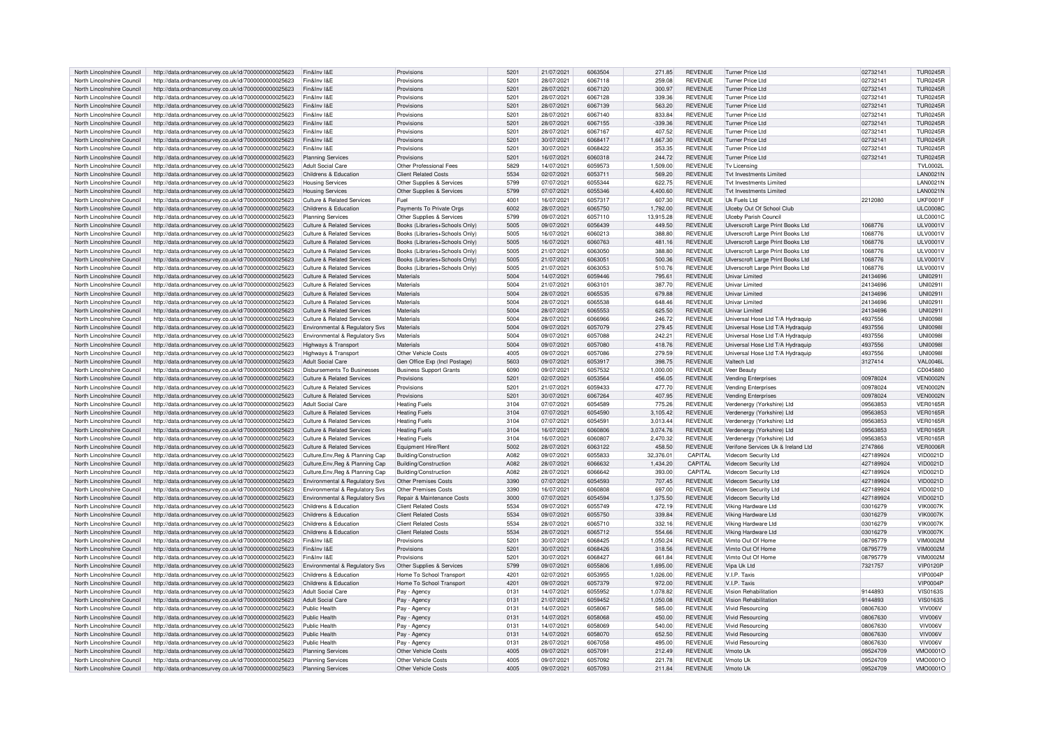| North Lincolnshire Council                               | http://data.ordnancesurvey.co.uk/id/7000000000025623                                                         | Fin&Inv I&F                                   | Provisions                                 | 520 <sup>1</sup> | 21/07/2021               | 6063504            | 271.85           | <b>REVENUE</b>                   | Turner Price Ltd                   | 02732141             | <b>TUR0245R</b>      |
|----------------------------------------------------------|--------------------------------------------------------------------------------------------------------------|-----------------------------------------------|--------------------------------------------|------------------|--------------------------|--------------------|------------------|----------------------------------|------------------------------------|----------------------|----------------------|
| North Lincolnshire Council                               | http://data.ordnancesurvey.co.uk/id/7000000000025623                                                         | Fin&Inv I&E                                   | Provisions                                 | 5201             | 28/07/2021               | 6067118            | 259.08           | REVENUE                          | Turner Price Ltd                   | 02732141             | <b>TUR0245R</b>      |
|                                                          |                                                                                                              |                                               |                                            |                  |                          |                    |                  |                                  |                                    |                      |                      |
| North Lincolnshire Council                               | http://data.ordnancesurvey.co.uk/id/7000000000025623                                                         | Fin&Inv I&F                                   | Provisions                                 | 5201             | 28/07/2021               | 6067120            | 300.97           | <b>REVENUE</b>                   | Turner Price Ltd                   | 02732141             | <b>TUR0245R</b>      |
| North Lincolnshire Council                               | http://data.ordnancesurvey.co.uk/id/7000000000025623                                                         | Fin&Inv I&F                                   | Provisions                                 | 5201             | 28/07/2021               | 6067128            | 339.36           | <b>REVENUE</b>                   | Turner Price I td                  | 02732141             | <b>TUR0245R</b>      |
| North Lincolnshire Council                               | http://data.ordnancesurvey.co.uk/id/7000000000025623                                                         | Fin&Inv I&E                                   | Provisions                                 | 5201             | 28/07/2021               | 6067139            | 563.20           | <b>REVENUE</b>                   | <b>Turner Price Ltd</b>            | 02732141             | <b>TUR0245R</b>      |
| North Lincolnshire Council                               | http://data.ordnancesurvey.co.uk/id/7000000000025623                                                         | Fin&Inv I&F                                   | Provisions                                 | 5201             | 28/07/2021               | 6067140            | 833.84           | <b>REVENUE</b>                   | Turner Price I td                  | 02732141             | <b>TUR0245R</b>      |
| North Lincolnshire Council                               | http://data.ordnancesurvey.co.uk/id/7000000000025623                                                         | Fin&Inv I&E                                   | Provisions                                 | 5201             | 28/07/2021               | 6067155            | $-339.36$        | <b>REVENUE</b>                   | Turner Price I td                  | 02732141             | <b>TUR0245R</b>      |
|                                                          |                                                                                                              |                                               |                                            |                  |                          |                    |                  |                                  |                                    |                      |                      |
| North Lincolnshire Council                               | http://data.ordnancesurvey.co.uk/id/7000000000025623                                                         | Fin&Inv I&F                                   | Provisions                                 | 5201             | 28/07/2021               | 6067167            | 407.52           | <b>REVENUE</b>                   | Turner Price Ltd                   | 02732141             | <b>TUR0245R</b>      |
| North Lincolnshire Council                               | http://data.ordnancesurvey.co.uk/id/7000000000025623                                                         | Fin&Inv I&E                                   | Provisions                                 | 5201             | 30/07/2021               | 6068417            | 1,667.30         | <b>REVENUE</b>                   | Turner Price Ltd                   | 02732141             | <b>TUR0245R</b>      |
| North Lincolnshire Council                               | http://data.ordnancesurvey.co.uk/id/7000000000025623                                                         | Fin&Inv I&F                                   | Provisions                                 | 5201             | 30/07/2021               | 6068422            | 353.35           | <b>REVENUE</b>                   | Turner Price Ltd                   | 02732141             | <b>TUR0245R</b>      |
| North Lincolnshire Council                               | http://data.ordnancesurvey.co.uk/id/7000000000025623                                                         | <b>Planning Services</b>                      | Provisions                                 | 5201             | 16/07/2021               | 6060318            | 244.72           | <b>REVENUE</b>                   | <b>Turner Price Ltd</b>            | 02732141             | <b>TUR0245R</b>      |
|                                                          |                                                                                                              |                                               |                                            |                  |                          |                    |                  |                                  |                                    |                      |                      |
| North Lincolnshire Council                               | http://data.ordnancesurvey.co.uk/id/7000000000025623                                                         | Adult Social Care                             | Other Professional Fees                    | 5829             | 14/07/2021               | 6059573            | 1,509.00         | <b>REVENUE</b>                   | Tv Licensing                       |                      | TVI 0002L            |
| North Lincolnshire Council                               | http://data.ordnancesurvey.co.uk/id/7000000000025623                                                         | Childrens & Education                         | <b>Client Related Costs</b>                | 5534             | 02/07/2021               | 6053711            | 569.20           | <b>REVENUE</b>                   | Tyt Investments I imited           |                      | <b>LAN0021N</b>      |
| North Lincolnshire Council                               | http://data.ordnancesurvey.co.uk/id/7000000000025623                                                         | <b>Housing Services</b>                       | Other Supplies & Services                  | 5799             | 07/07/2021               | 6055344            | 622.75           | <b>REVENUE</b>                   | Tyt Investments I imited           |                      | <b>LAN0021N</b>      |
| North Lincolnshire Council                               | http://data.ordnancesurvey.co.uk/id/7000000000025623                                                         | <b>Housing Services</b>                       | Other Supplies & Services                  | 5799             | 07/07/2021               | 6055346            | 4,400.60         | <b>REVENUE</b>                   | Tyt Investments I imited           |                      | <b>LAN0021N</b>      |
|                                                          |                                                                                                              |                                               |                                            |                  |                          |                    |                  |                                  |                                    |                      |                      |
| North Lincolnshire Council                               | http://data.ordnancesurvey.co.uk/id/7000000000025623                                                         | <b>Culture &amp; Related Services</b>         | Fuel                                       | 4001             | 16/07/2021               | 6057317            | 607.30           | <b>REVENUE</b>                   | Uk Fuels I td                      | 2212080              | <b>UKF0001F</b>      |
| North Lincolnshire Council                               | http://data.ordnancesurvey.co.uk/id/7000000000025623                                                         | Childrens & Education                         | Payments To Private Orgs                   | 6002             | 28/07/2021               | 6065750            | 1.792.00         | <b>REVENUE</b>                   | Ulceby Out Of School Club          |                      | <b>ULC0008C</b>      |
| North Lincolnshire Council                               | http://data.ordnancesurvey.co.uk/id/7000000000025623                                                         | <b>Planning Services</b>                      | Other Supplies & Services                  | 5799             | 09/07/2021               | 6057110            | 13,915.28        | <b>REVENUE</b>                   | <b>Ulceby Parish Council</b>       |                      | <b>ULC0001C</b>      |
| North Lincolnshire Council                               | http://data.ordnancesurvey.co.uk/id/7000000000025623                                                         | Culture & Related Services                    | Books (Libraries+Schools Only)             | 5005             | 09/07/2021               | 6056439            | 449.50           | <b>REVENUE</b>                   | Ulverscroft Large Print Books Ltd  | 1068776              | <b>ULV0001V</b>      |
|                                                          |                                                                                                              |                                               |                                            |                  |                          |                    |                  |                                  |                                    |                      |                      |
| North Lincolnshire Council                               | http://data.ordnancesurvey.co.uk/id/7000000000025623                                                         | Culture & Related Services                    | Books (Libraries+Schools Only              | 5005             | 16/07/2021               | 6060213            | 388.80           | REVENUE                          | Ulverscroft Large Print Books Ltd  | 1068776              | ULV0001V             |
| North Lincolnshire Council                               | http://data.ordnancesurvey.co.uk/id/7000000000025623                                                         | Culture & Related Services                    | Books (Libraries+Schools Only)             | 5005             | 16/07/2021               | 6060763            | 481.16           | REVENUE                          | Ulverscroft Large Print Books Ltd  | 1068776              | <b>ULV0001V</b>      |
| North Lincolnshire Council                               | http://data.ordnancesurvey.co.uk/id/7000000000025623                                                         | Culture & Related Services                    | Books (Libraries+Schools Only)             | 5005             | 21/07/2021               | 6063050            | 388.80           | REVENUE                          | Ulverscroft Large Print Books Ltd  | 1068776              | <b>ULV0001V</b>      |
| North Lincolnshire Council                               | http://data.ordnancesurvey.co.uk/id/7000000000025623                                                         | Culture & Related Services                    | Books (Libraries+Schools Only)             | 5005             | 21/07/2021               | 6063051            | 500.36           | <b>REVENUE</b>                   | Ulverscroft Large Print Books Ltd  | 1068776              | <b>ULV0001V</b>      |
|                                                          |                                                                                                              |                                               |                                            |                  |                          |                    |                  |                                  |                                    |                      |                      |
| North Lincolnshire Council                               | http://data.ordnancesurvey.co.uk/id/7000000000025623                                                         | <b>Culture &amp; Related Services</b>         | Books (Libraries+Schools Only)             | 5005             | 21/07/2021               | 6063053            | 510.76           | <b>REVENUE</b>                   | Ulverscroft Large Print Books Ltd  | 1068776              | <b>ULV0001V</b>      |
| North Lincolnshire Council                               | http://data.ordnancesurvey.co.uk/id/7000000000025623                                                         | <b>Culture &amp; Related Services</b>         | Materials                                  | 5004             | 14/07/2021               | 6059446            | 795.61           | <b>REVENUE</b>                   | <b>Univar Limited</b>              | 24134696             | UNI02911             |
| North Lincolnshire Council                               | http://data.ordnancesurvey.co.uk/id/7000000000025623                                                         | Culture & Related Services                    | Materials                                  | 5004             | 21/07/2021               | 6063101            | 387.70           | <b>REVENUE</b>                   | Univar Limited                     | 24134696             | UNI0291              |
| North Lincolnshire Council                               | http://data.ordnancesurvey.co.uk/id/7000000000025623                                                         | <b>Culture &amp; Related Services</b>         | Materials                                  | 5004             | 28/07/2021               | 6065535            | 679.88           | <b>REVENUE</b>                   | <b>Univar Limited</b>              | 24134696             | <b>UNI0291</b>       |
|                                                          |                                                                                                              |                                               |                                            |                  |                          |                    |                  |                                  |                                    |                      |                      |
| North Lincolnshire Council                               | http://data.ordnancesurvey.co.uk/id/7000000000025623                                                         | <b>Culture &amp; Related Services</b>         | Materials                                  | 5004             | 28/07/2021               | 6065538            | 648.46           | <b>REVENUE</b>                   | Univar Limited                     | 24134696             | <b>UNI0291</b>       |
| North Lincolnshire Council                               | http://data.ordnancesurvey.co.uk/id/7000000000025623                                                         | Culture & Related Services                    | Materials                                  | 5004             | 28/07/2021               | 6065553            | 625.50           | <b>REVENUE</b>                   | Univar Limited                     | 24134696             | UNI02911             |
| North Lincolnshire Council                               | http://data.ordnancesurvey.co.uk/id/7000000000025623                                                         | Culture & Related Services                    | Materials                                  | 5004             | 28/07/2021               | 6066966            | 246.72           | <b>REVENUE</b>                   | Universal Hose Ltd T/A Hydraquip   | 4937556              | <b>UNI0098I</b>      |
| North Lincolnshire Council                               | http://data.ordnancesurvey.co.uk/id/7000000000025623                                                         | Environmental & Regulatory Svs                | Materials                                  | 5004             | 09/07/2021               | 6057079            | 279.45           | <b>REVENUE</b>                   | Universal Hose Ltd T/A Hydraguip   | 4937556              | <b>UNI0098</b>       |
|                                                          |                                                                                                              |                                               |                                            |                  |                          |                    |                  |                                  |                                    |                      |                      |
| North Lincolnshire Council                               | http://data.ordnancesurvey.co.uk/id/7000000000025623                                                         | Environmental & Regulatory Svs                | Materials                                  | 5004             | 09/07/2021               | 6057088            | 242.21           | <b>REVENUE</b>                   | Universal Hose Ltd T/A Hydraquip   | 4937556              | <b>UNI0098</b>       |
| North Lincolnshire Council                               | http://data.ordnancesurvey.co.uk/id/7000000000025623                                                         | Highways & Transport                          | Materials                                  | 5004             | 09/07/2021               | 6057080            | 418.76           | <b>REVENUE</b>                   | Universal Hose Ltd T/A Hydraguip   | 4937556              | <b>UNI0098</b>       |
| North Lincolnshire Council                               | http://data.ordnancesurvey.co.uk/id/7000000000025623                                                         | Highways & Transport                          | Other Vehicle Costs                        | 4005             | 09/07/2021               | 6057086            | 279.59           | REVENUE                          | Universal Hose Ltd T/A Hydraquip   | 4937556              | <b>UNI0098</b>       |
| North Lincolnshire Council                               | http://data.ordnancesurvey.co.uk/id/7000000000025623                                                         | <b>Adult Social Care</b>                      | Gen Office Exp (Incl Postage)              | 5603             | 09/07/2021               | 6053917            | 398.75           | <b>REVENUE</b>                   | Valtech I td                       | 3127414              | <b>VAL0046L</b>      |
|                                                          |                                                                                                              |                                               |                                            |                  |                          |                    |                  |                                  |                                    |                      |                      |
| North Lincolnshire Council                               | http://data.ordnancesurvey.co.uk/id/7000000000025623                                                         | Disbursements To Businesses                   | <b>Business Support Grants</b>             | 6090             | 09/07/2021               | 6057532            | 1,000.00         | <b>REVENUE</b>                   | Veer Beauty                        |                      | CD045880             |
| North Lincolnshire Council                               | http://data.ordnancesurvey.co.uk/id/7000000000025623                                                         | <b>Culture &amp; Related Services</b>         | Provisions                                 | 5201             | 02/07/2021               | 6053564            | 456.05           | <b>REVENUE</b>                   | <b>Vending Enterprises</b>         | 00978024             | <b>VEN0002N</b>      |
| North Lincolnshire Council                               | http://data.ordnancesurvey.co.uk/id/7000000000025623                                                         | Culture & Related Services                    | Provisions                                 | 5201             | 21/07/2021               | 6059433            | 477 70           | <b>REVENUE</b>                   | <b>Vending Enterprises</b>         | 00978024             | VEN0002N             |
| North Lincolnshire Council                               | http://data.ordnancesurvey.co.uk/id/7000000000025623                                                         | Culture & Related Services                    | Provisions                                 | 5201             | 30/07/2021               | 6067264            | 407.95           | <b>REVENUE</b>                   | <b>Vending Enterprises</b>         | 00978024             | <b>VEN0002N</b>      |
|                                                          |                                                                                                              |                                               |                                            |                  |                          |                    |                  |                                  |                                    |                      |                      |
| North Lincolnshire Council                               | http://data.ordnancesurvey.co.uk/id/7000000000025623                                                         | Adult Social Care                             | <b>Heating Fuels</b>                       | 3104             | 07/07/2021               | 6054589            | 775.26           | REVENUE                          | Verdenergy (Yorkshire) Ltd         | 09563853             | <b>VER0165R</b>      |
| North Lincolnshire Council                               | http://data.ordnancesurvey.co.uk/id/7000000000025623                                                         | <b>Culture &amp; Related Services</b>         | <b>Heating Fuels</b>                       | 3104             | 07/07/2021               | 6054590            | 3,105.42         | <b>REVENUE</b>                   | Verdenergy (Yorkshire) Ltd         | 09563853             | <b>VER0165R</b>      |
| North Lincolnshire Council                               | http://data.ordnancesurvey.co.uk/id/7000000000025623                                                         | Culture & Related Services                    | <b>Heating Fuels</b>                       | 3104             | 07/07/2021               | 6054591            | 3.013.44         | REVENUE                          | Verdenergy (Yorkshire) Ltd         | 09563853             | <b>VER0165R</b>      |
| North Lincolnshire Council                               | http://data.ordnancesurvey.co.uk/id/7000000000025623                                                         | Culture & Related Services                    | <b>Heating Fuels</b>                       | 3104             | 16/07/2021               | 6060806            | 3,074.76         | <b>REVENUE</b>                   | Verdenergy (Yorkshire) Ltd         | 09563853             | <b>VER0165R</b>      |
|                                                          |                                                                                                              |                                               |                                            |                  |                          |                    |                  |                                  |                                    |                      |                      |
| North Lincolnshire Council                               | http://data.ordnancesurvey.co.uk/id/7000000000025623                                                         | <b>Culture &amp; Related Services</b>         | <b>Heating Fuels</b>                       | 3104             | 16/07/2021               | 6060807            | 2,470.32         | REVENUE                          | Verdenergy (Yorkshire) Ltd         | 09563853             | <b>VER0165R</b>      |
| North Lincolnshire Council                               | http://data.ordnancesurvey.co.uk/id/7000000000025623                                                         | Culture & Related Services                    | Equipment Hire/Rent                        | 5002             | 28/07/2021               | 6063122            | 458.50           | REVENUE                          | Verifone Services Uk & Ireland Ltd | 2747866              | VER0006R             |
| North Lincolnshire Council                               | http://data.ordnancesurvey.co.uk/id/7000000000025623                                                         | Culture, Env, Reg & Planning Cap              | Building/Construction                      | A082             | 09/07/2021               | 6055833            | 32,376.01        | CAPITAI                          | Videcom Security Ltd               | 427189924            | VID0021D             |
| North Lincolnshire Council                               | http://data.ordnancesurvey.co.uk/id/7000000000025623                                                         | Culture, Env, Reg & Planning Cap              | Building/Construction                      | A082             | 28/07/2021               | 6066632            | 1.434.20         | CAPITAL                          | Videcom Security Ltd               | 427189924            | <b>VID0021D</b>      |
|                                                          |                                                                                                              |                                               |                                            | A082             | 28/07/2021               | 6066642            | 393.00           | CAPITAL                          |                                    | 427189924            | VID0021D             |
| North Lincolnshire Council                               | http://data.ordnancesurvey.co.uk/id/7000000000025623                                                         | Culture, Env, Reg & Planning Cap              | Building/Construction                      |                  |                          |                    |                  |                                  | Videcom Security Ltd               |                      |                      |
| North Lincolnshire Council                               | http://data.ordnancesurvey.co.uk/id/7000000000025623                                                         | Environmental & Regulatory Svs                | Other Premises Costs                       | 3390             | 07/07/2021               | 6054593            | 707.45           | <b>REVENUE</b>                   | <b>Videcom Security Ltd</b>        | 427189924            | <b>VID0021D</b>      |
| North Lincolnshire Council                               | http://data.ordnancesurvey.co.uk/id/7000000000025623                                                         | Environmental & Regulatory Svs                | Other Premises Costs                       | 3390             | 16/07/2021               | 6060808            | 697.00           | <b>REVENUE</b>                   | Videcom Security Ltd               | 427189924            | VID0021D             |
| North Lincolnshire Council                               | http://data.ordnancesurvey.co.uk/id/7000000000025623                                                         | Environmental & Regulatory Svs                | Repair & Maintenance Costs                 | 3000             | 07/07/2021               | 6054594            | 1,375.50         | <b>REVENUE</b>                   | Videcom Security Ltd               | 427189924            | VID0021D             |
| North Lincolnshire Council                               | http://data.ordnancesurvey.co.uk/id/7000000000025623                                                         | Childrens & Education                         | Client Related Costs                       | 5534             | 09/07/2021               | 6055749            | 472 19           | <b>REVENUE</b>                   | Viking Hardware Ltd                | 03016279             | <b>VIK0007K</b>      |
|                                                          |                                                                                                              |                                               |                                            |                  |                          |                    |                  |                                  |                                    |                      |                      |
| North Lincolnshire Council                               | http://data.ordnancesurvey.co.uk/id/7000000000025623                                                         | Childrens & Education                         | <b>Client Related Costs</b>                | 5534             | 09/07/2021               | 6055750            | 339.84           | <b>REVENUE</b>                   | Viking Hardware Ltd                | 03016279             | VIK0007K             |
| North Lincolnshire Council                               | http://data.ordnancesurvey.co.uk/id/7000000000025623                                                         | Childrens & Education                         | <b>Client Related Costs</b>                | 5534             | 28/07/2021               | 6065710            | 332.16           | <b>REVENUE</b>                   | Viking Hardware Ltd                | 03016279             | VIK0007K             |
| North Lincolnshire Council                               | http://data.ordnancesurvey.co.uk/id/7000000000025623                                                         | Childrens & Education                         | <b>Client Related Costs</b>                | 5534             | 28/07/2021               | 6065712            | 554.66           | <b>REVENUE</b>                   | Viking Hardware Ltd                | 03016279             | <b>VIK0007K</b>      |
| North Lincolnshire Council                               | http://data.ordnancesurvey.co.uk/id/7000000000025623                                                         | Fin&Inv I&F                                   | Provisions                                 | 5201             | 30/07/2021               | 6068425            | 1.050.24         | <b>REVENUE</b>                   | Vimto Out Of Home                  | 08795779             | <b>VIM0002M</b>      |
|                                                          |                                                                                                              |                                               |                                            |                  |                          |                    |                  |                                  |                                    |                      |                      |
| North Lincolnshire Council                               | http://data.ordnancesurvey.co.uk/id/7000000000025623                                                         | Fin&Inv I&F                                   | Provisions                                 | 5201             | 30/07/2021               | 6068426            | 318.56           | <b>REVENUE</b>                   | Vimto Out Of Home                  | 08795779             | <b>VIM0002M</b>      |
| North Lincolnshire Council                               | http://data.ordnancesurvey.co.uk/id/7000000000025623                                                         | Fin&Inv I&F                                   | Provisions                                 | 5201             | 30/07/2021               | 6068427            | 661.84           | <b>REVENUE</b>                   | Vimto Out Of Home                  | 08795779             | VIM0002M             |
| North Lincolnshire Council                               | http://data.ordnancesurvey.co.uk/id/7000000000025623                                                         | Environmental & Regulatory Svs                | Other Supplies & Services                  | 5799             | 09/07/2021               | 6055806            | 1,695.00         | <b>REVENUE</b>                   | Vipa Uk Ltd                        | 7321757              | <b>VIP0120P</b>      |
| North Lincolnshire Council                               |                                                                                                              |                                               | Home To School Transport                   | 4201             | 02/07/2021               | 6053955            | 1,026.00         | <b>REVENUE</b>                   | V.I.P. Taxis                       |                      | VIP0004F             |
|                                                          |                                                                                                              |                                               |                                            |                  |                          |                    |                  |                                  |                                    |                      |                      |
|                                                          | http://data.ordnancesurvey.co.uk/id/7000000000025623                                                         | Childrens & Education                         |                                            |                  |                          |                    |                  |                                  |                                    |                      |                      |
| North Lincolnshire Council                               | http://data.ordnancesurvey.co.uk/id/7000000000025623                                                         | Childrens & Education                         | Home To School Transport                   | 4201             | 09/07/2021               | 6057379            | 972.00           | <b>REVENUE</b>                   | <b>VIP Taxis</b>                   |                      | <b>VIP0004P</b>      |
| North Lincolnshire Council                               | http://data.ordnancesurvey.co.uk/id/7000000000025623                                                         | Adult Social Care                             | Pay - Agency                               | 0131             | 14/07/2021               | 6055952            | 1.078.82         | <b>REVENUE</b>                   | Vision Rehabilitation              | 9144893              | <b>VIS0163S</b>      |
| North Lincolnshire Council                               | http://data.ordnancesurvey.co.uk/id/7000000000025623                                                         | <b>Adult Social Care</b>                      |                                            | 0131             | 21/07/2021               | 6059452            | 1.050.08         | <b>REVENUE</b>                   | Vision Rehabilitation              | 9144893              | <b>VIS0163S</b>      |
| North Lincolnshire Council                               | http://data.ordnancesurvey.co.uk/id/7000000000025623                                                         | Public Health                                 | Pay - Agency                               |                  | 14/07/2021               | 6058067            |                  |                                  | <b>Vivid Resourcing</b>            |                      |                      |
|                                                          |                                                                                                              |                                               | Pay - Agenc                                | 0131             |                          |                    | 585.00           | <b>REVENUE</b>                   |                                    | 08067630             | VIV006V              |
| North Lincolnshire Council                               | http://data.ordnancesurvey.co.uk/id/7000000000025623                                                         | Public Health                                 | Pay - Agency                               | 0131             | 14/07/2021               | 6058068            | 450.00           | <b>REVENUE</b>                   | <b>Vivid Resourcing</b>            | 08067630             | VIV006V              |
| North Lincolnshire Council                               | http://data.ordnancesurvey.co.uk/id/7000000000025623                                                         | Public Health                                 | Pay - Agency                               | 0131             | 14/07/2021               | 6058069            | 540.00           | <b>REVENUE</b>                   | Vivid Resourcing                   | 08067630             | VIV006V              |
| North Lincolnshire Council                               | http://data.ordnancesurvey.co.uk/id/7000000000025623                                                         | Public Health                                 | Pay - Agency                               | 0131             | 14/07/2021               | 6058070            | 652.50           | <b>REVENUE</b>                   | <b>Vivid Resourcing</b>            | 08067630             | VIV006V              |
| North Lincolnshire Council                               | http://data.ordnancesurvey.co.uk/id/7000000000025623                                                         | Public Health                                 |                                            | 0131             | 28/07/2021               | 6067058            | 495.00           | <b>REVENUE</b>                   | <b>Vivid Resourcing</b>            | 08067630             | VIV006V              |
|                                                          |                                                                                                              |                                               | Pay - Agency                               |                  |                          |                    |                  |                                  |                                    |                      |                      |
| North Lincolnshire Council                               | http://data.ordnancesurvey.co.uk/id/7000000000025623                                                         | <b>Planning Services</b>                      | Other Vehicle Costs                        | 4005             | 09/07/2021               | 6057091            | 212.49           | <b>REVENUE</b>                   | Vmoto Uk                           | 09524709             | <b>VMO0001C</b>      |
| North Lincolnshire Council<br>North Lincolnshire Council | http://data.ordnancesurvey.co.uk/id/7000000000025623<br>http://data.ordnancesurvey.co.uk/id/7000000000025623 | Planning Services<br><b>Planning Services</b> | Other Vehicle Costs<br>Other Vehicle Costs | 4005<br>4005     | 09/07/2021<br>09/07/2021 | 6057092<br>6057093 | 221.78<br>211.84 | <b>REVENUE</b><br><b>REVENUE</b> | Vmoto Uk<br>Vmoto Uk               | 09524709<br>09524709 | VMO0001C<br>VMO0001O |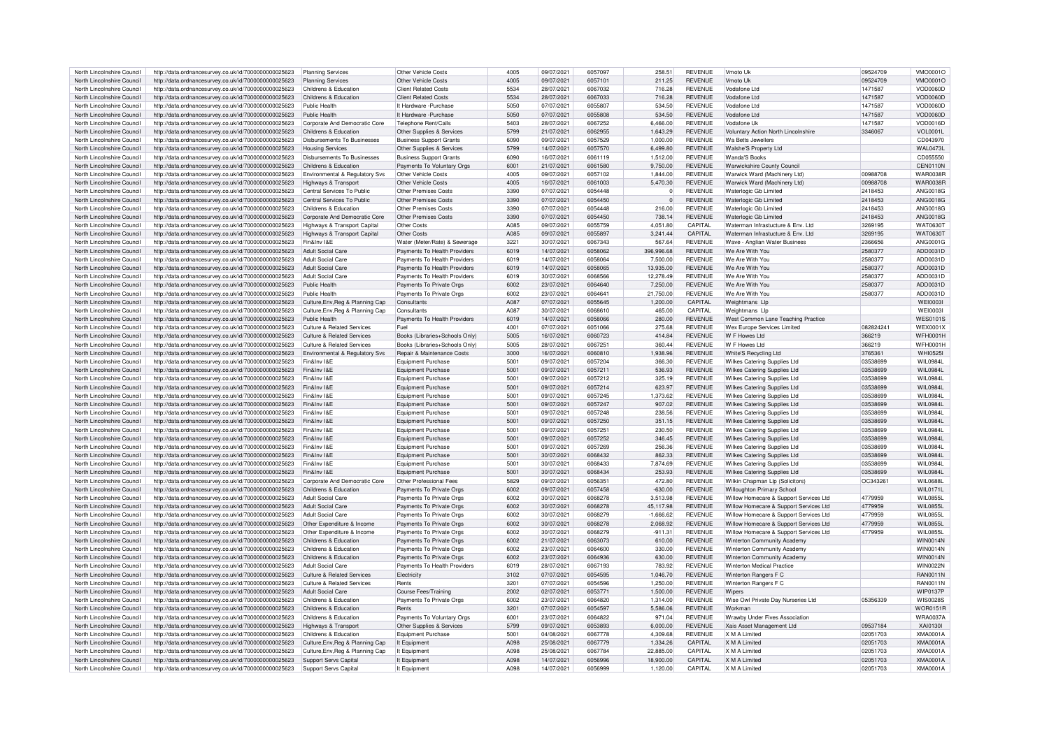| North Lincolnshire Council | http://data.ordnancesurvey.co.uk/id/7000000000025623 | Planning Services                     | Other Vehicle Costs            | 4005 | 09/07/2021 | 6057097 | 258.51      | <b>REVENUE</b> | Vmoto Uk                                   | 09524709  | VMO0001O        |
|----------------------------|------------------------------------------------------|---------------------------------------|--------------------------------|------|------------|---------|-------------|----------------|--------------------------------------------|-----------|-----------------|
| North Lincolnshire Council | http://data.ordnancesurvey.co.uk/id/7000000000025623 | <b>Planning Services</b>              | Other Vehicle Costs            | 4005 | 09/07/2021 | 6057101 | 211.25      | <b>REVENUE</b> | Vmoto U <sub>r</sub>                       | 09524709  | VMO0001C        |
| North Lincolnshire Council | http://data.ordnancesurvey.co.uk/id/7000000000025623 | Childrens & Education                 | <b>Client Related Costs</b>    | 5534 | 28/07/2021 | 6067032 | 716.28      | <b>REVENUE</b> | Vodafone Ltd                               | 1471587   | VOD0060D        |
| North Lincolnshire Council | http://data.ordnancesurvey.co.uk/id/7000000000025623 | Childrens & Education                 | <b>Client Related Costs</b>    | 5534 | 28/07/2021 | 6067033 | 716.28      | <b>REVENUE</b> | Vodafone I td                              | 1471587   | VOD0060D        |
| North Lincolnshire Council |                                                      | Public Health                         | It Hardware - Purchase         | 5050 | 07/07/2021 | 6055807 | 534.50      | <b>REVENUE</b> | Vodafone Ltd                               | 1471587   | VOD0060D        |
|                            | http://data.ordnancesurvey.co.uk/id/7000000000025623 | Public Health                         |                                | 5050 | 07/07/2021 | 6055808 | 534.50      | <b>REVENUE</b> | Vodafone I td                              |           |                 |
| North Lincolnshire Council | http://data.ordnancesurvey.co.uk/id/7000000000025623 |                                       | It Hardware - Purchase         |      |            |         |             |                |                                            | 1471587   | <b>VOD0060D</b> |
| North Lincolnshire Council | http://data.ordnancesurvey.co.uk/id/7000000000025623 | Corporate And Democratic Core         | Telephone Rent/Calls           | 5403 | 28/07/2021 | 6067252 | 6,466.00    | <b>REVENUE</b> | Vodafone Uk                                | 1471587   | VOD0016D        |
| North Lincolnshire Council | http://data.ordnancesurvey.co.uk/id/7000000000025623 | Childrens & Education                 | Other Supplies & Services      | 5799 | 21/07/2021 | 6062955 | 1.643.29    | <b>REVENUE</b> | <b>Voluntary Action North Lincolnshire</b> | 3346067   | <b>VOL0001L</b> |
| North Lincolnshire Council | http://data.ordnancesurvey.co.uk/id/7000000000025623 | Disbursements To Businesses           | <b>Business Support Grants</b> | 6090 | 09/07/2021 | 6057529 | 1,000.00    | REVENUE        | Wa Betts Jewellers                         |           | CD043970        |
| North Lincolnshire Council | http://data.ordnancesurvey.co.uk/id/7000000000025623 | <b>Housing Services</b>               | Other Supplies & Services      | 5799 | 14/07/2021 | 6057570 | 6,499.80    | <b>REVENUE</b> | Walshe'S Property Ltd                      |           | <b>WAL0473L</b> |
| North Lincolnshire Council | http://data.ordnancesurvey.co.uk/id/7000000000025623 | <b>Disbursements To Businesses</b>    | <b>Business Support Grants</b> | 6090 | 16/07/2021 | 6061119 | 1,512.00    | <b>REVENUE</b> | Wanda'S Books                              |           | CD055550        |
| North Lincolnshire Council | http://data.ordnancesurvey.co.uk/id/7000000000025623 | Childrens & Education                 | Payments To Voluntary Orgs     | 6001 | 21/07/2021 | 6061580 | 9.750.00    | <b>REVENUE</b> | Warwickshire County Council                |           | CEN0110N        |
| North Lincolnshire Council | http://data.ordnancesurvey.co.uk/id/7000000000025623 | Environmental & Regulatory Svs        | Other Vehicle Costs            | 4005 | 09/07/2021 | 6057102 | 1,844.00    | <b>REVENUE</b> | Warwick Ward (Machinery Ltd)               | 00988708  | <b>WAR0038F</b> |
| North Lincolnshire Council | http://data.ordnancesurvey.co.uk/id/7000000000025623 | Highways & Transport                  | Other Vehicle Costs            | 4005 | 16/07/2021 | 6061003 | 5.470.30    | <b>REVENUE</b> | Warwick Ward (Machinery Ltd)               | 00988708  | <b>WAR0038R</b> |
| North Lincolnshire Council | http://data.ordnancesurvey.co.uk/id/7000000000025623 | Central Services To Public            | <b>Other Premises Costs</b>    | 3390 | 07/07/2021 | 6054448 | $\Omega$    | <b>REVENUE</b> | Waterlogic Gb Limited                      | 2418453   | ANG0018G        |
| North Lincolnshire Council | http://data.ordnancesurvey.co.uk/id/7000000000025623 | Central Services To Public            | Other Premises Costs           | 3390 | 07/07/2021 | 6054450 | $\Omega$    | <b>REVENUE</b> | Waterlogic Gb Limited                      | 2418453   | ANG0018G        |
| North Lincolnshire Council | http://data.ordnancesurvey.co.uk/id/7000000000025623 | Childrens & Education                 | Other Premises Costs           | 3390 | 07/07/2021 | 6054448 | 216.00      | <b>REVENUE</b> | Waterlogic Gb Limited                      | 2418453   | ANG0018G        |
| North Lincolnshire Council | http://data.ordnancesurvey.co.uk/id/7000000000025623 | Corporate And Democratic Core         | Other Premises Costs           | 3390 | 07/07/2021 | 6054450 | 738.14      | <b>REVENUE</b> | Waterlogic Gb Limited                      | 2418453   | ANG0018G        |
| North Lincolnshire Council | http://data.ordnancesurvey.co.uk/id/7000000000025623 | Highways & Transport Capital          | Other Costs                    | A085 | 09/07/2021 | 6055759 | 4,051.80    | CAPITAL        | Waterman Infrastucture & Env. Ltd          | 3269195   | <b>WAT0630T</b> |
| North Lincolnshire Council | http://data.ordnancesurvey.co.uk/id/7000000000025623 | Highways & Transport Capital          | Other Costs                    | A085 | 09/07/2021 | 6055897 | 3.241.44    | CAPITAL        | Waterman Infrastucture & Env. Ltd          | 3269195   | <b>WAT0630T</b> |
| North Lincolnshire Council | http://data.ordnancesurvey.co.uk/id/7000000000025623 | Fin&Inv I&F                           | Water (Meter/Rate) & Sewerage  | 3221 | 30/07/2021 | 6067343 | 567.64      | REVENUE        | Wave - Anglian Water Business              | 2366656   | ANG0001G        |
|                            |                                                      |                                       |                                |      |            | 6058062 |             |                |                                            |           |                 |
| North Lincolnshire Council | http://data.ordnancesurvey.co.uk/id/7000000000025623 | <b>Adult Social Care</b>              | Payments To Health Providers   | 6019 | 14/07/2021 |         | 396.996.68  | <b>REVENUE</b> | We Are With You                            | 2580377   | ADD0031D        |
| North Lincolnshire Council | http://data.ordnancesurvey.co.uk/id/7000000000025623 | <b>Adult Social Care</b>              | Payments To Health Providers   | 6019 | 14/07/2021 | 6058064 | 7.500.00    | <b>REVENUE</b> | We Are With You                            | 2580377   | ADD0031D        |
| North Lincolnshire Council | http://data.ordnancesurvey.co.uk/id/7000000000025623 | <b>Adult Social Care</b>              | Payments To Health Providers   | 6019 | 14/07/2021 | 6058065 | 13.935.00   | REVENUE        | We Are With You                            | 2580377   | ADD0031D        |
| North Lincolnshire Council | http://data.ordnancesurvey.co.uk/id/7000000000025623 | <b>Adult Social Care</b>              | Payments To Health Providers   | 6019 | 30/07/2021 | 6068566 | 12,278.49   | <b>REVENUE</b> | We Are With You                            | 2580377   | ADD0031D        |
| North Lincolnshire Council | http://data.ordnancesurvey.co.uk/id/7000000000025623 | Public Health                         | Payments To Private Orgs       | 6002 | 23/07/2021 | 6064640 | 7.250.00    | <b>REVENUE</b> | We Are With You                            | 2580377   | ADD0031D        |
| North Lincolnshire Council | http://data.ordnancesurvey.co.uk/id/7000000000025623 | Public Health                         | Payments To Private Orgs       | 6002 | 23/07/2021 | 606464  | 21,750.00   | <b>REVENUE</b> | We Are With You                            | 2580377   | ADD0031D        |
| North Lincolnshire Council | http://data.ordnancesurvey.co.uk/id/7000000000025623 | Culture, Env, Reg & Planning Cap      | Consultants                    | A087 | 07/07/2021 | 6055645 | 1,200.00    | CAPITAL        | Weightmans Llp                             |           | <b>WEI0003I</b> |
| North Lincolnshire Council | http://data.ordnancesurvey.co.uk/id/7000000000025623 | Culture, Env. Reg & Planning Cap      | Consultants                    | A087 | 30/07/2021 | 6068610 | 465.00      | CAPITAL        | Weightmans Lip                             |           | <b>WEI0003I</b> |
| North Lincolnshire Council | http://data.ordnancesurvey.co.uk/id/7000000000025623 | Public Health                         | Payments To Health Providers   | 6019 | 14/07/2021 | 6058066 | 280.00      | REVENUE        | West Common Lane Teaching Practice         |           | <b>WES0101S</b> |
| North Lincolnshire Council | http://data.ordnancesurvey.co.uk/id/7000000000025623 | Culture & Related Services            | Fuel                           | 4001 | 07/07/2021 | 6051066 | 275.68      | <b>REVENUE</b> | Wex Europe Services Limited                | 082824241 | <b>WEX0001X</b> |
| North Lincolnshire Council | http://data.ordnancesurvey.co.uk/id/7000000000025623 | Culture & Related Services            | Books (Libraries+Schools Only) | 5005 | 16/07/2021 | 6060723 | 414.84      | <b>REVENUE</b> | W F Howes I to                             | 366219    | <b>WFH0001H</b> |
| North Lincolnshire Council | http://data.ordnancesurvey.co.uk/id/7000000000025623 | <b>Culture &amp; Related Services</b> | Books (Libraries+Schools Only) | 5005 | 28/07/2021 | 6067251 | 360.44      | <b>REVENUE</b> | W F Howes Ltd                              | 366219    | <b>WFH0001H</b> |
| North Lincolnshire Council | http://data.ordnancesurvey.co.uk/id/7000000000025623 | Environmental & Regulatory Svs        | Repair & Maintenance Costs     | 3000 | 16/07/2021 | 6060810 | 1,938.96    | <b>REVENUE</b> | White'S Recycling Ltd                      | 3765361   | <b>WHI0525I</b> |
| North Lincolnshire Council | http://data.ordnancesurvey.co.uk/id/7000000000025623 | Fin&Inv I&F                           | Equipment Purchase             | 5001 | 09/07/2021 | 6057204 | 366.30      | <b>REVENUE</b> | Wilkes Catering Supplies Ltd               | 03538699  | WII 09841       |
| North Lincolnshire Council | http://data.ordnancesurvey.co.uk/id/7000000000025623 | Fin&Inv I&F                           | <b>Equipment Purchase</b>      | 5001 | 09/07/2021 | 6057211 | 536.93      | <b>REVENUE</b> | Wilkes Catering Supplies Ltd               | 03538699  | <b>WIL0984L</b> |
| North Lincolnshire Council |                                                      | Fin&Inv I&F                           | Foujoment Purchase             | 5001 | 09/07/2021 | 6057212 | 325.19      | <b>REVENUE</b> |                                            | 03538699  | WII 0984I       |
| North Lincolnshire Council | http://data.ordnancesurvey.co.uk/id/7000000000025623 | Fin&Inv I&F                           |                                | 5001 | 09/07/2021 | 6057214 | 623.97      | <b>REVENUE</b> | Wilkes Catering Supplies Ltd               | 03538699  | <b>WIL0984L</b> |
|                            | http://data.ordnancesurvey.co.uk/id/7000000000025623 |                                       | <b>Equipment Purchase</b>      |      |            |         |             |                | Wilkes Catering Supplies Ltd               |           |                 |
| North Lincolnshire Council | http://data.ordnancesurvey.co.uk/id/7000000000025623 | Fin&Inv I&F                           | Equipment Purchase             | 5001 | 09/07/2021 | 6057245 | 1,373.62    | <b>REVENUE</b> | Wilkes Catering Supplies Ltd               | 0353869   | WII 09841       |
| North Lincolnshire Council | http://data.ordnancesurvey.co.uk/id/7000000000025623 | Fin&Inv I&F                           | Equipment Purchase             | 5001 | 09/07/2021 | 6057247 | 907.02      | REVENUE        | <b>Wilkes Catering Supplies Ltd</b>        | 03538699  | WII 09841       |
| North Lincolnshire Council | http://data.ordnancesurvey.co.uk/id/7000000000025623 | Fin&Inv I&F                           | Foujoment Purchase             | 5001 | 09/07/2021 | 6057248 | 238.56      | REVENUE        | Wilkes Catering Supplies Ltd               | 03538699  | <b>WIL0984L</b> |
| North Lincolnshire Council | http://data.ordnancesurvey.co.uk/id/7000000000025623 | Fin&Inv I&F                           | <b>Equipment Purchase</b>      | 5001 | 09/07/2021 | 6057250 | 351.15      | <b>REVENUE</b> | Wilkes Catering Supplies Ltd               | 03538699  | WIL0984L        |
| North Lincolnshire Council | http://data.ordnancesurvey.co.uk/id/7000000000025623 | Fin&Inv I&F                           | Equipment Purchase             | 5001 | 09/07/2021 | 605725  | 230.50      | <b>REVENUE</b> | Wilkes Catering Supplies Ltd               | 03538699  | <b>WIL0984L</b> |
| North Lincolnshire Council | http://data.ordnancesurvey.co.uk/id/7000000000025623 | Fin&Inv I&E                           | <b>Equipment Purchase</b>      | 5001 | 09/07/2021 | 6057252 | 346.45      | <b>REVENUE</b> | <b>Wilkes Catering Supplies Ltd</b>        | 03538699  | <b>WIL0984L</b> |
| North Lincolnshire Council | http://data.ordnancesurvey.co.uk/id/7000000000025623 | Fin&Inv I&F                           | <b>Equipment Purchase</b>      | 5001 | 09/07/2021 | 6057269 | 256.36      | REVENUE        | Wilkes Catering Supplies Ltd               | 03538699  | <b>WIL0984L</b> |
| North Lincolnshire Council | http://data.ordnancesurvey.co.uk/id/7000000000025623 | Fin&Inv I&F                           | <b>Equipment Purchase</b>      | 5001 | 30/07/2021 | 6068432 | 862.33      | <b>REVENUE</b> | Wilkes Catering Supplies Ltd               | 03538699  | WII 09841       |
| North Lincolnshire Council | http://data.ordnancesurvey.co.uk/id/7000000000025623 | Fin&Inv I&E                           | Foujoment Purchase             | 5001 | 30/07/2021 | 6068433 | 7.874.69    | <b>REVENUE</b> | Wilkes Catering Supplies Ltd               | 03538699  | <b>WIL0984L</b> |
| North Lincolnshire Council | http://data.ordnancesurvey.co.uk/id/7000000000025623 | Fin&Inv I&F                           | <b>Equipment Purchase</b>      | 5001 | 30/07/2021 | 6068434 | 253.93      | <b>REVENUE</b> | Wilkes Catering Supplies Ltd               | 03538699  | WII 09841       |
| North Lincolnshire Council | http://data.ordnancesurvey.co.uk/id/7000000000025623 | Corporate And Democratic Core         | Other Professional Fees        | 5829 | 09/07/2021 | 605635  | 472.80      | <b>REVENUE</b> | Wilkin Chapman Llp (Solicitors)            | OC343261  | <b>WIL0688L</b> |
| North Lincolnshire Council | http://data.ordnancesurvey.co.uk/id/7000000000025623 | Childrens & Education                 | Payments To Private Orgs       | 6002 | 09/07/2021 | 6057458 | $-630.00$   | <b>REVENUE</b> | Willoughton Primary School                 |           | WIL0171L        |
| North Lincolnshire Council | http://data.ordnancesurvey.co.uk/id/7000000000025623 | <b>Adult Social Care</b>              | Payments To Private Orgs       | 6002 | 30/07/2021 | 6068278 | 3.513.98    | REVENUE        | Willow Homecare & Support Services Ltd     | 4779959   | WII 0855I       |
| North Lincolnshire Council | http://data.ordnancesurvey.co.uk/id/7000000000025623 | <b>Adult Social Care</b>              | Payments To Private Orgs       | 6002 | 30/07/2021 | 6068278 | 45,117.98   | <b>REVENUE</b> | Willow Homecare & Support Services Ltd     | 4779959   | <b>WIL0855L</b> |
| North Lincolnshire Council | http://data.ordnancesurvey.co.uk/id/7000000000025623 | <b>Adult Social Care</b>              | Payments To Private Orgs       | 6002 | 30/07/2021 | 6068279 | $-1.666.62$ | <b>REVENUE</b> | Willow Homecare & Support Services Ltd     | 4779959   | WII 08551       |
| North Lincolnshire Council | http://data.ordnancesurvey.co.uk/id/7000000000025623 | Other Expenditure & Income            | Payments To Private Orgs       | 6002 | 30/07/2021 | 6068278 | 2,068.92    | <b>REVENUE</b> | Willow Homecare & Support Services Ltd     | 4779959   | <b>WIL0855L</b> |
| North Lincolnshire Council | http://data.ordnancesurvey.co.uk/id/7000000000025623 | Other Expenditure & Income            | Payments To Private Orgs       | 6002 | 30/07/2021 | 6068279 | $-911.31$   | <b>REVENUE</b> | Willow Homecare & Support Services Ltd     | 4779959   | <b>WIL0855L</b> |
| North Lincolnshire Council | http://data.ordnancesurvey.co.uk/id/7000000000025623 | Childrens & Education                 | Payments To Private Orgs       | 6002 | 21/07/2021 | 6063073 | 610.00      | <b>REVENUE</b> | Winterton Community Academy                |           | <b>WIN0014N</b> |
| North Lincolnshire Council | http://data.ordnancesurvey.co.uk/id/7000000000025623 | Childrens & Education                 | Payments To Private Orgs       | 6002 | 23/07/2021 | 6064600 | 330.00      | <b>REVENUE</b> | Winterton Community Academy                |           | <b>WIN0014N</b> |
|                            |                                                      | Childrens & Education                 |                                | 6002 | 23/07/2021 | 6064936 | 630.00      | <b>REVENUE</b> |                                            |           | WIN0014N        |
| North Lincolnshire Council | http://data.ordnancesurvey.co.uk/id/7000000000025623 | Adult Social Care                     | Payments To Private Orgs       |      |            |         |             |                | Winterton Community Academ                 |           |                 |
| North Lincolnshire Council | http://data.ordnancesurvey.co.uk/id/7000000000025623 |                                       | Payments To Health Providers   | 6019 | 28/07/2021 | 6067193 | 783.92      | <b>REVENUE</b> | Winterton Medical Practice                 |           | WIN0022N        |
| North Lincolnshire Council | http://data.ordnancesurvey.co.uk/id/7000000000025623 | Culture & Related Services            | Electricity                    | 3102 | 07/07/2021 | 6054595 | 1,046.70    | <b>REVENUE</b> | Winterton Rangers F C                      |           | RAN0011N        |
| North Lincolnshire Council | http://data.ordnancesurvey.co.uk/id/7000000000025623 | Culture & Related Services            | Rents                          | 3201 | 07/07/2021 | 6054596 | 1,250.00    | REVENUE        | Winterton Rangers F C                      |           | RAN0011N        |
| North Lincolnshire Council | http://data.ordnancesurvey.co.uk/id/7000000000025623 | <b>Adult Social Care</b>              | Course Fees/Training           | 2002 | 02/07/2021 | 6053771 | 1,500.00    | <b>REVENUE</b> | Winers                                     |           | <b>WIP0137P</b> |
| North Lincolnshire Council | http://data.ordnancesurvey.co.uk/id/7000000000025623 | Childrens & Education                 | Payments To Private Orgs       | 6002 | 23/07/2021 | 6064820 | 1.314.00    | <b>REVENUE</b> | Wise Owl Private Day Nurseries Ltd         | 05356339  | <b>WIS0028S</b> |
| North Lincolnshire Council | http://data.ordnancesurvey.co.uk/id/7000000000025623 | Childrens & Education                 | Rents                          | 3201 | 07/07/2021 | 6054597 | 5.586.06    | <b>REVENUE</b> | Workman                                    |           | <b>WOR0151F</b> |
| North Lincolnshire Council | http://data.ordnancesurvey.co.uk/id/7000000000025623 | Childrens & Education                 | Payments To Voluntary Orgs     | 6001 | 23/07/2021 | 6064822 | 971.04      | REVENUE        | Wrawby Under Fives Association             |           | WRA0037A        |
| North Lincolnshire Council | http://data.ordnancesurvey.co.uk/id/7000000000025623 | lighways & Transport                  | Other Supplies & Services      | 5799 | 09/07/2021 | 6053893 | 6.000.00    | REVENUE        | Xais Asset Management I to                 | 09537184  | XAI0130         |
| North Lincolnshire Council | http://data.ordnancesurvey.co.uk/id/7000000000025623 | Childrens & Education                 | <b>Equipment Purchase</b>      | 5001 | 04/08/2021 | 6067778 | 4,309.68    | REVENUE        | X M A I imited                             | 02051703  | XMA0001A        |
| North Lincolnshire Council | http://data.ordnancesurvey.co.uk/id/7000000000025623 | Culture, Env, Reg & Planning Cap      | It Fauinment                   | Ange | 25/08/2021 | 6067779 | 1.334.26    | CAPITAL        | X M A Limited                              | 02051703  | <b>XMA0001A</b> |
| North Lincolnshire Council | http://data.ordnancesurvey.co.uk/id/7000000000025623 | Culture, Env, Reg & Planning Cap      | It Equipment                   | A098 | 25/08/2021 | 6067784 | 22.885.00   | CAPITAL        | X M A I imited                             | 02051703  | XMA0001A        |
| North Lincolnshire Council | http://data.ordnancesurvey.co.uk/id/7000000000025623 | Support Servs Capital                 | It Equipment                   | Ange | 14/07/2021 | 6056996 | 18,900.00   | CAPITAL        | X M A I imited                             | 02051703  | <b>XMA0001A</b> |
| North Lincolnshire Council | http://data.ordnancesurvey.co.uk/id/7000000000025623 | Support Servs Capital                 | It Equipment                   | A098 | 14/07/2021 | 6056999 | 1.120.00    | CAPITAL        | X M A Limited                              | 02051703  | XMA0001A        |
|                            |                                                      |                                       |                                |      |            |         |             |                |                                            |           |                 |